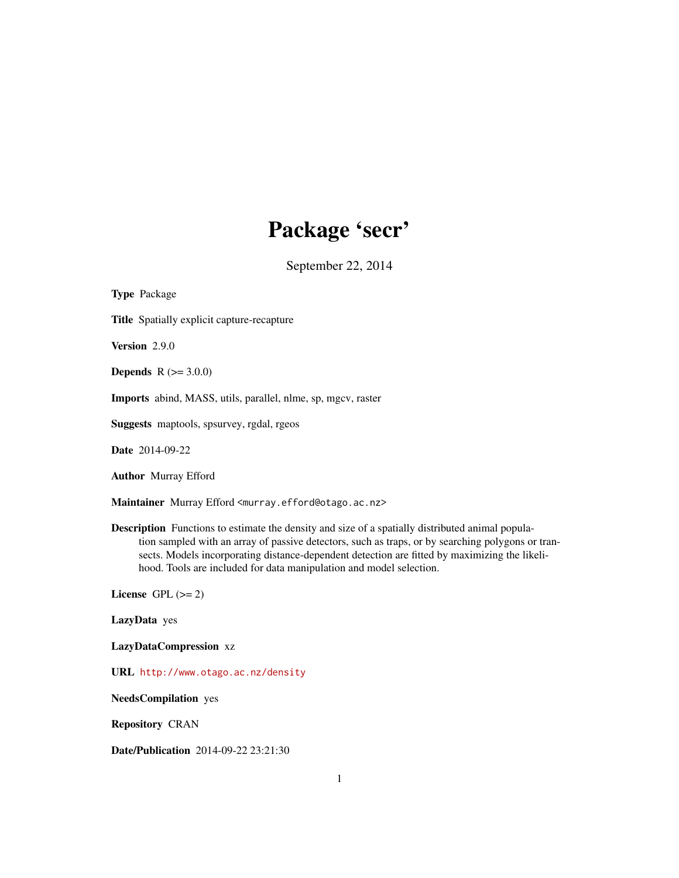# Package 'secr'

September 22, 2014

<span id="page-0-0"></span>Type Package Title Spatially explicit capture-recapture Version 2.9.0 **Depends**  $R (= 3.0.0)$ Imports abind, MASS, utils, parallel, nlme, sp, mgcv, raster Suggests maptools, spsurvey, rgdal, rgeos Date 2014-09-22 Author Murray Efford Maintainer Murray Efford <murray.efford@otago.ac.nz> Description Functions to estimate the density and size of a spatially distributed animal population sampled with an array of passive detectors, such as traps, or by searching polygons or transects. Models incorporating distance-dependent detection are fitted by maximizing the likelihood. Tools are included for data manipulation and model selection. License GPL  $(>= 2)$ 

LazyData yes

LazyDataCompression xz

URL <http://www.otago.ac.nz/density>

NeedsCompilation yes

Repository CRAN

Date/Publication 2014-09-22 23:21:30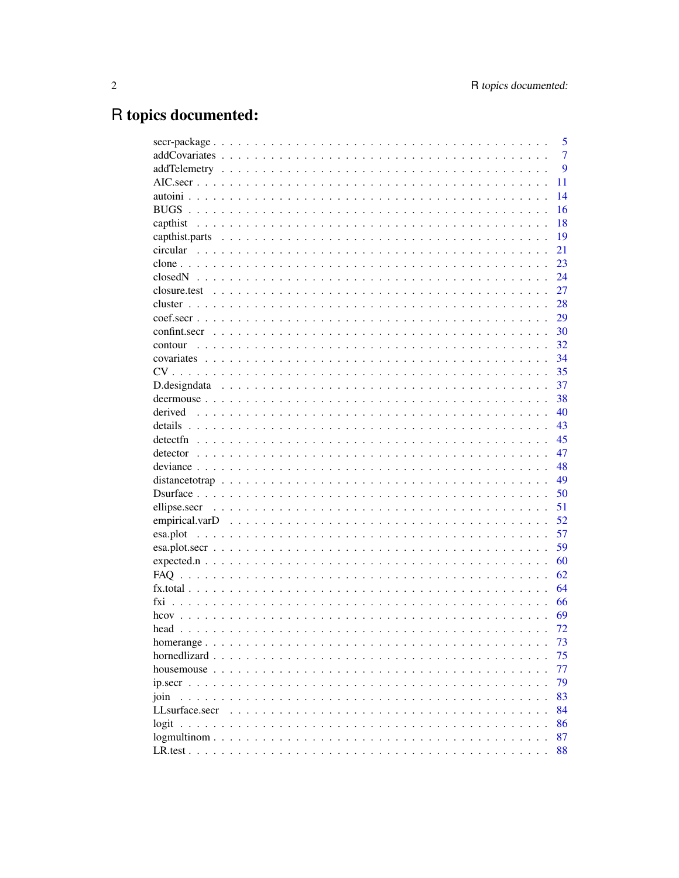# R topics documented:

|                                                                                           | 5              |
|-------------------------------------------------------------------------------------------|----------------|
|                                                                                           | $\overline{7}$ |
|                                                                                           | 9              |
|                                                                                           | 11             |
|                                                                                           | 14             |
|                                                                                           | 16             |
|                                                                                           | 18             |
|                                                                                           | 19             |
|                                                                                           | 21             |
|                                                                                           | 23             |
|                                                                                           | 24             |
|                                                                                           | 27             |
|                                                                                           | 28             |
|                                                                                           | 29             |
|                                                                                           | - 30           |
| contour                                                                                   | 32             |
|                                                                                           | 34             |
|                                                                                           | 35             |
|                                                                                           | 37             |
|                                                                                           | 38             |
|                                                                                           |                |
| derived                                                                                   | 40             |
|                                                                                           | 43             |
|                                                                                           | 45             |
|                                                                                           | 47             |
|                                                                                           | 48             |
|                                                                                           | 49             |
|                                                                                           | 50             |
|                                                                                           | 51             |
|                                                                                           | 52             |
|                                                                                           | 57             |
|                                                                                           | 59             |
|                                                                                           | 60             |
|                                                                                           | 62             |
|                                                                                           | 64             |
|                                                                                           | 66             |
|                                                                                           | 69             |
|                                                                                           | 72             |
|                                                                                           | 73             |
| hornedlizard<br>$\mathbf{1}$ , $\mathbf{1}$ , $\mathbf{1}$<br>$\mathbf{r}$ . $\mathbf{r}$ | 75             |
|                                                                                           | 77             |
|                                                                                           | 79             |
| join                                                                                      | 83             |
| LLsurface.secr                                                                            | 84             |
|                                                                                           | 86             |
|                                                                                           | 87             |
|                                                                                           | 88             |
|                                                                                           |                |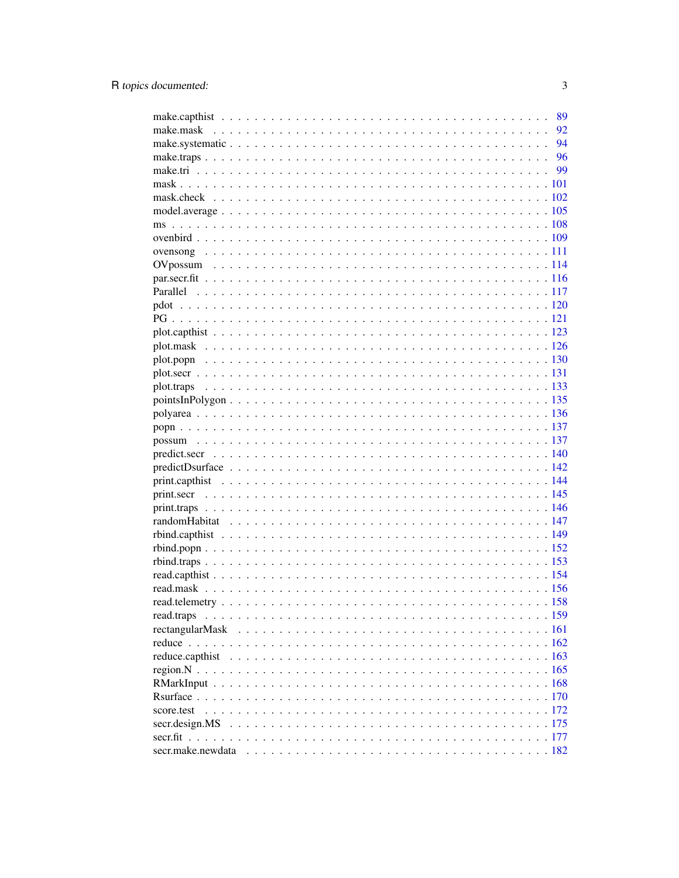|                | 89 |
|----------------|----|
|                | 92 |
|                |    |
|                |    |
|                |    |
|                |    |
|                |    |
|                |    |
|                |    |
|                |    |
|                |    |
|                |    |
|                |    |
|                |    |
|                |    |
|                |    |
|                |    |
|                |    |
|                |    |
|                |    |
|                |    |
|                |    |
|                |    |
|                |    |
|                |    |
|                |    |
|                |    |
|                |    |
|                |    |
|                |    |
|                |    |
|                |    |
|                |    |
|                |    |
|                |    |
|                |    |
|                |    |
| read.traps     |    |
|                |    |
|                |    |
|                |    |
|                |    |
|                |    |
|                |    |
| score.test     |    |
| secr.design.MS |    |
|                |    |
|                |    |

 $\overline{3}$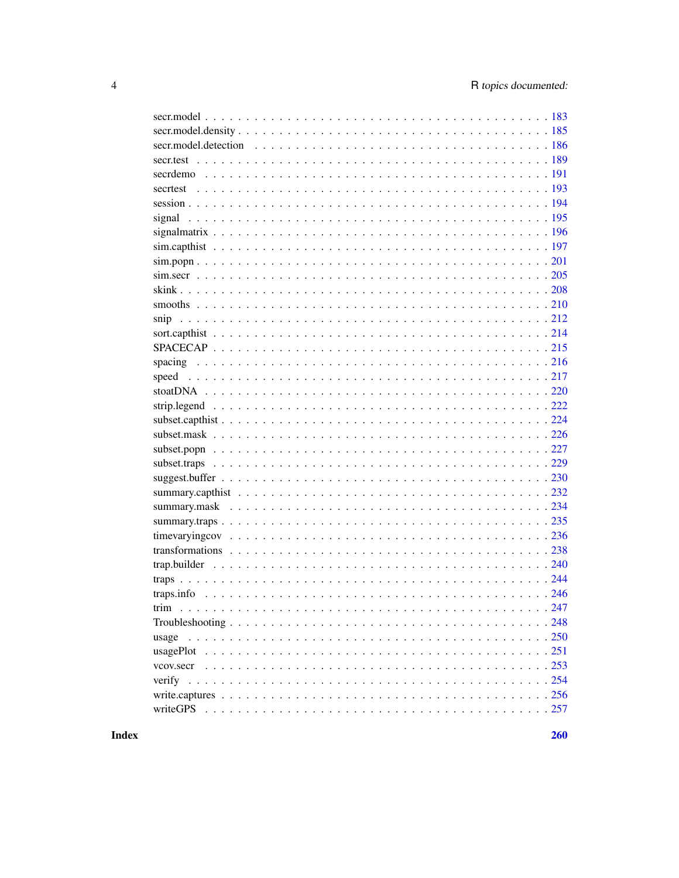| usage    |
|----------|
|          |
|          |
|          |
|          |
| writeGPS |

**Index**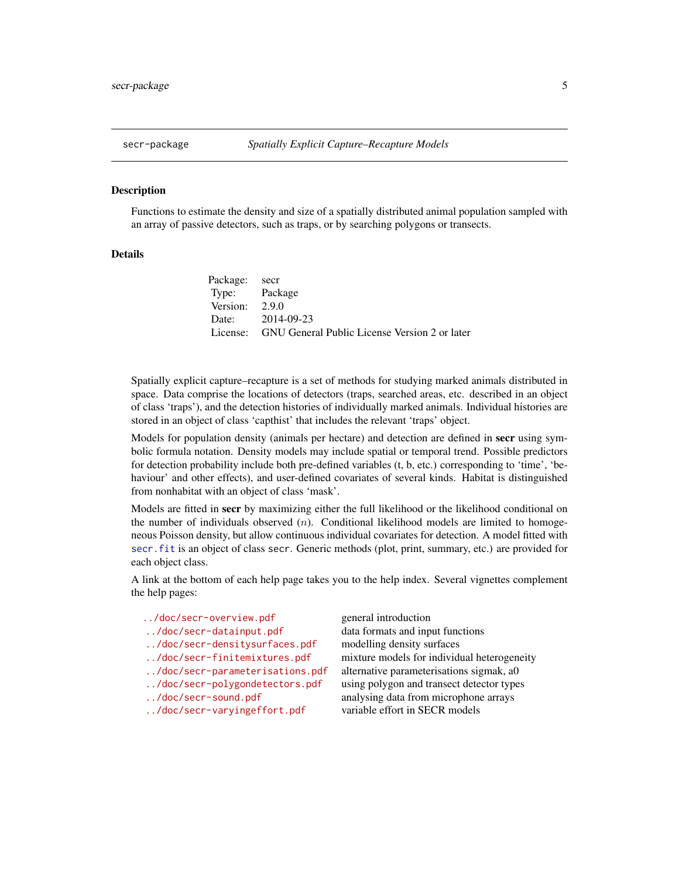<span id="page-4-0"></span>

#### Description

Functions to estimate the density and size of a spatially distributed animal population sampled with an array of passive detectors, such as traps, or by searching polygons or transects.

## Details

| Package: secr    |                                                        |
|------------------|--------------------------------------------------------|
| Type: Package    |                                                        |
| Version: $2.9.0$ |                                                        |
|                  | Date: 2014-09-23                                       |
|                  | License: GNU General Public License Version 2 or later |

Spatially explicit capture–recapture is a set of methods for studying marked animals distributed in space. Data comprise the locations of detectors (traps, searched areas, etc. described in an object of class 'traps'), and the detection histories of individually marked animals. Individual histories are stored in an object of class 'capthist' that includes the relevant 'traps' object.

Models for population density (animals per hectare) and detection are defined in secr using symbolic formula notation. Density models may include spatial or temporal trend. Possible predictors for detection probability include both pre-defined variables (t, b, etc.) corresponding to 'time', 'behaviour' and other effects), and user-defined covariates of several kinds. Habitat is distinguished from nonhabitat with an object of class 'mask'.

Models are fitted in secr by maximizing either the full likelihood or the likelihood conditional on the number of individuals observed  $(n)$ . Conditional likelihood models are limited to homogeneous Poisson density, but allow continuous individual covariates for detection. A model fitted with [secr.fit](#page-176-1) is an object of class secr. Generic methods (plot, print, summary, etc.) are provided for each object class.

A link at the bottom of each help page takes you to the help index. Several vignettes complement the help pages:

| general introduction |
|----------------------|
|                      |

- 
- <../doc/secr-densitysurfaces.pdf> modelling density surfaces
- 
- 
- 
- 
- <../doc/secr-varyingeffort.pdf> variable effort in SECR models

<../doc/secr-datainput.pdf> data formats and input functions <../doc/secr-finitemixtures.pdf> mixture models for individual heterogeneity <../doc/secr-parameterisations.pdf> alternative parameterisations sigmak, a0 <../doc/secr-polygondetectors.pdf> using polygon and transect detector types <../doc/secr-sound.pdf> analysing data from microphone arrays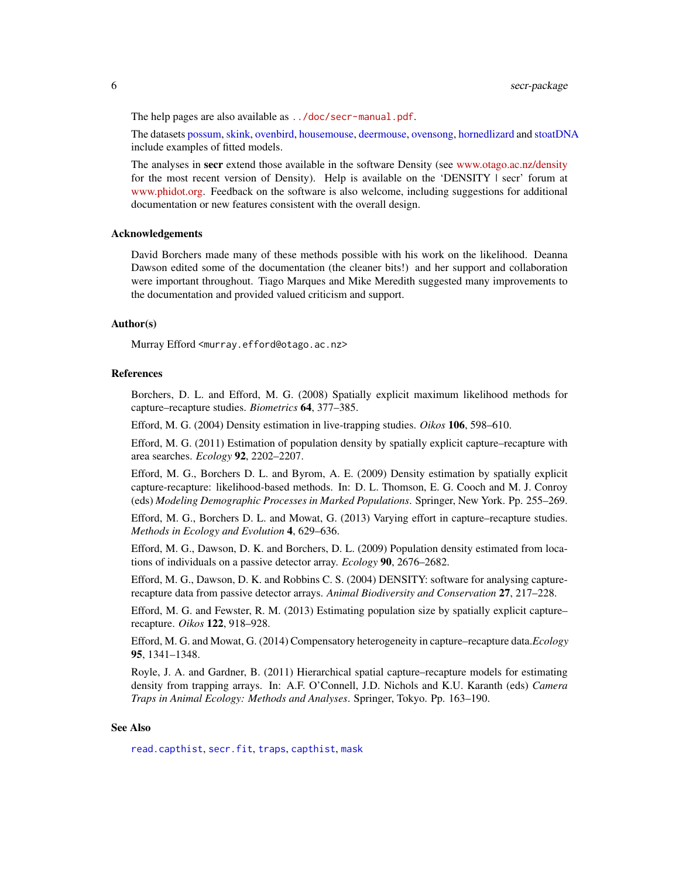The help pages are also available as <../doc/secr-manual.pdf>.

The datasets [possum,](#page-136-1) [skink,](#page-207-1) [ovenbird,](#page-108-1) [housemouse,](#page-76-1) [deermouse,](#page-37-1) [ovensong,](#page-110-1) [hornedlizard](#page-74-1) and [stoatDNA](#page-219-1) include examples of fitted models.

The analyses in secr extend those available in the software Density (see [www.otago.ac.nz/density](http://www.otago.ac.nz/density/index.html) for the most recent version of Density). Help is available on the 'DENSITY | secr' forum at [www.phidot.org.](http://www.phidot.org/forum/index.php) Feedback on the software is also welcome, including suggestions for additional documentation or new features consistent with the overall design.

#### Acknowledgements

David Borchers made many of these methods possible with his work on the likelihood. Deanna Dawson edited some of the documentation (the cleaner bits!) and her support and collaboration were important throughout. Tiago Marques and Mike Meredith suggested many improvements to the documentation and provided valued criticism and support.

## Author(s)

Murray Efford <murray.efford@otago.ac.nz>

#### References

Borchers, D. L. and Efford, M. G. (2008) Spatially explicit maximum likelihood methods for capture–recapture studies. *Biometrics* 64, 377–385.

Efford, M. G. (2004) Density estimation in live-trapping studies. *Oikos* 106, 598–610.

Efford, M. G. (2011) Estimation of population density by spatially explicit capture–recapture with area searches. *Ecology* 92, 2202–2207.

Efford, M. G., Borchers D. L. and Byrom, A. E. (2009) Density estimation by spatially explicit capture-recapture: likelihood-based methods. In: D. L. Thomson, E. G. Cooch and M. J. Conroy (eds) *Modeling Demographic Processes in Marked Populations*. Springer, New York. Pp. 255–269.

Efford, M. G., Borchers D. L. and Mowat, G. (2013) Varying effort in capture–recapture studies. *Methods in Ecology and Evolution* 4, 629–636.

Efford, M. G., Dawson, D. K. and Borchers, D. L. (2009) Population density estimated from locations of individuals on a passive detector array. *Ecology* 90, 2676–2682.

Efford, M. G., Dawson, D. K. and Robbins C. S. (2004) DENSITY: software for analysing capturerecapture data from passive detector arrays. *Animal Biodiversity and Conservation* 27, 217–228.

Efford, M. G. and Fewster, R. M. (2013) Estimating population size by spatially explicit capture– recapture. *Oikos* 122, 918–928.

Efford, M. G. and Mowat, G. (2014) Compensatory heterogeneity in capture–recapture data.*Ecology* 95, 1341–1348.

Royle, J. A. and Gardner, B. (2011) Hierarchical spatial capture–recapture models for estimating density from trapping arrays. In: A.F. O'Connell, J.D. Nichols and K.U. Karanth (eds) *Camera Traps in Animal Ecology: Methods and Analyses*. Springer, Tokyo. Pp. 163–190.

#### See Also

[read.capthist](#page-153-1), [secr.fit](#page-176-1), [traps](#page-243-1), [capthist](#page-17-1), [mask](#page-100-1)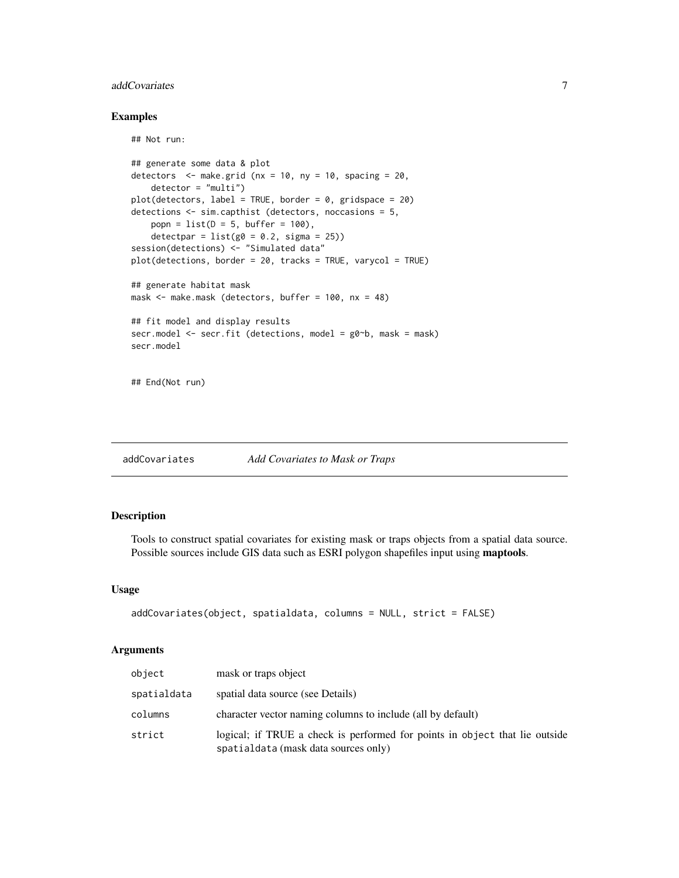# <span id="page-6-0"></span>addCovariates 7

## Not run:

# Examples

```
## generate some data & plot
detectors \leq make.grid (nx = 10, ny = 10, spacing = 20,
    detector = "multi")
plot(detectors, label = TRUE, border = 0, gridspace = 20)
detections <- sim.capthist (detectors, noccasions = 5,
   popn = list(D = 5, buffer = 100),detectpar = list(g0 = 0.2, sigma = 25))session(detections) <- "Simulated data"
plot(detections, border = 20, tracks = TRUE, varycol = TRUE)
## generate habitat mask
mask <- make.mask (detectors, buffer = 100, nx = 48)
## fit model and display results
secr.model <- secr.fit (detections, model = g0~b, mask = mask)
secr.model
## End(Not run)
```
addCovariates *Add Covariates to Mask or Traps*

# Description

Tools to construct spatial covariates for existing mask or traps objects from a spatial data source. Possible sources include GIS data such as ESRI polygon shapefiles input using maptools.

## Usage

```
addCovariates(object, spatialdata, columns = NULL, strict = FALSE)
```
## Arguments

| object      | mask or traps object                                                                                                |
|-------------|---------------------------------------------------------------------------------------------------------------------|
| spatialdata | spatial data source (see Details)                                                                                   |
| columns     | character vector naming columns to include (all by default)                                                         |
| strict      | logical; if TRUE a check is performed for points in object that lie outside<br>spatialdata (mask data sources only) |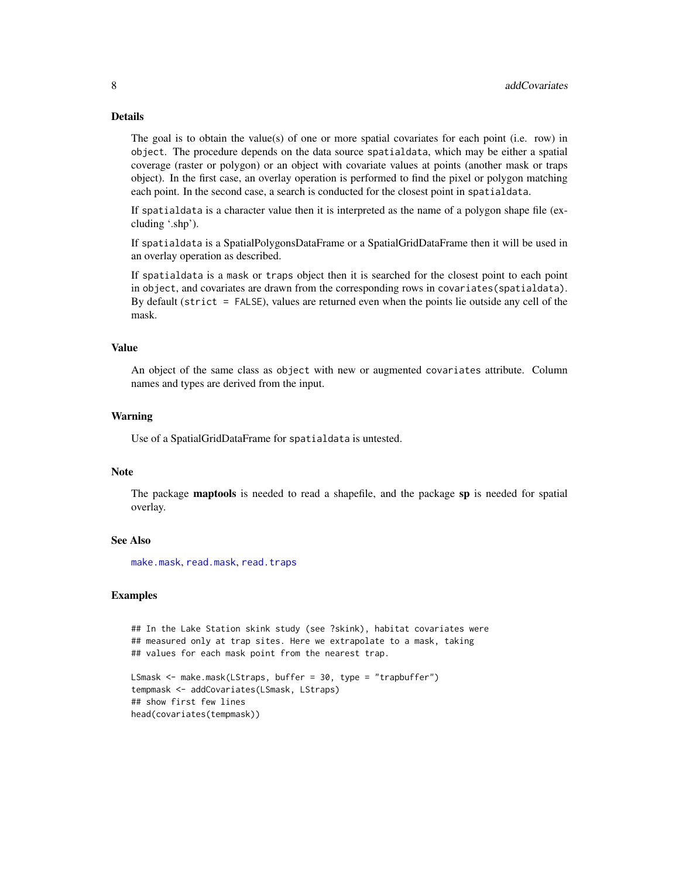# Details

The goal is to obtain the value(s) of one or more spatial covariates for each point (i.e. row) in object. The procedure depends on the data source spatialdata, which may be either a spatial coverage (raster or polygon) or an object with covariate values at points (another mask or traps object). In the first case, an overlay operation is performed to find the pixel or polygon matching each point. In the second case, a search is conducted for the closest point in spatialdata.

If spatialdata is a character value then it is interpreted as the name of a polygon shape file (excluding '.shp').

If spatialdata is a SpatialPolygonsDataFrame or a SpatialGridDataFrame then it will be used in an overlay operation as described.

If spatialdata is a mask or traps object then it is searched for the closest point to each point in object, and covariates are drawn from the corresponding rows in covariates(spatialdata). By default (strict = FALSE), values are returned even when the points lie outside any cell of the mask.

#### Value

An object of the same class as object with new or augmented covariates attribute. Column names and types are derived from the input.

#### Warning

Use of a SpatialGridDataFrame for spatialdata is untested.

#### Note

The package **maptools** is needed to read a shapefile, and the package sp is needed for spatial overlay.

## See Also

[make.mask](#page-91-1), [read.mask](#page-155-1), [read.traps](#page-158-1)

# Examples

## In the Lake Station skink study (see ?skink), habitat covariates were ## measured only at trap sites. Here we extrapolate to a mask, taking ## values for each mask point from the nearest trap.

```
LSmask <- make.mask(LStraps, buffer = 30, type = "trapbuffer")
tempmask <- addCovariates(LSmask, LStraps)
## show first few lines
head(covariates(tempmask))
```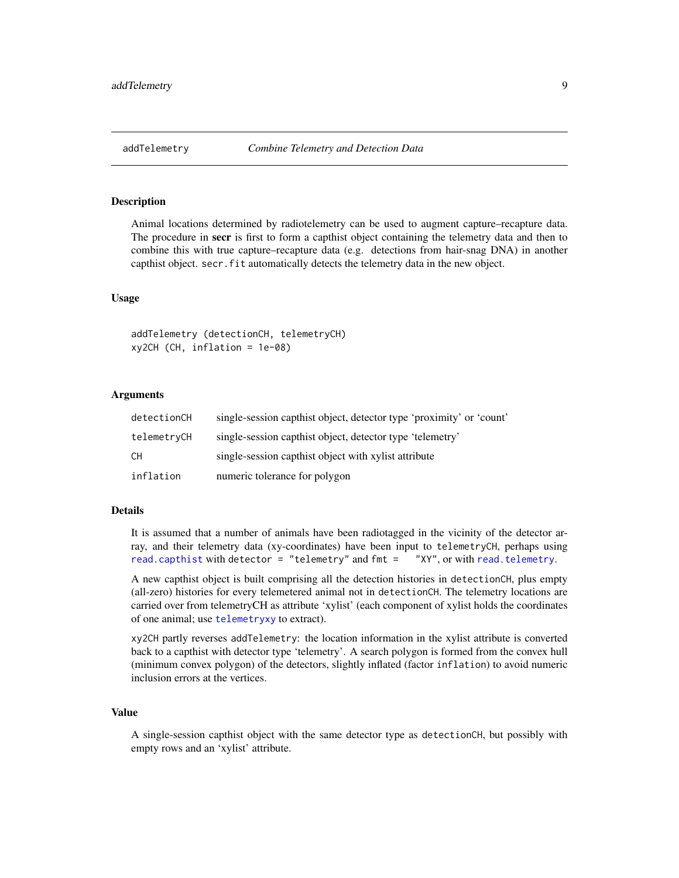<span id="page-8-0"></span>

# **Description**

Animal locations determined by radiotelemetry can be used to augment capture–recapture data. The procedure in **secr** is first to form a capthist object containing the telemetry data and then to combine this with true capture–recapture data (e.g. detections from hair-snag DNA) in another capthist object. secr.fit automatically detects the telemetry data in the new object.

## Usage

addTelemetry (detectionCH, telemetryCH) xy2CH (CH, inflation = 1e-08)

## Arguments

| detectionCH | single-session capthist object, detector type 'proximity' or 'count' |
|-------------|----------------------------------------------------------------------|
| telemetryCH | single-session capthist object, detector type 'telemetry'            |
| CН          | single-session capthist object with xylist attribute                 |
| inflation   | numeric tolerance for polygon                                        |

#### Details

It is assumed that a number of animals have been radiotagged in the vicinity of the detector array, and their telemetry data (xy-coordinates) have been input to telemetryCH, perhaps using [read.capthist](#page-153-1) with detector = "telemetry" and fmt = "XY", or with [read.telemetry](#page-157-1).

A new capthist object is built comprising all the detection histories in detectionCH, plus empty (all-zero) histories for every telemetered animal not in detectionCH. The telemetry locations are carried over from telemetryCH as attribute 'xylist' (each component of xylist holds the coordinates of one animal; use [telemetryxy](#page-18-1) to extract).

xy2CH partly reverses addTelemetry: the location information in the xylist attribute is converted back to a capthist with detector type 'telemetry'. A search polygon is formed from the convex hull (minimum convex polygon) of the detectors, slightly inflated (factor inflation) to avoid numeric inclusion errors at the vertices.

# Value

A single-session capthist object with the same detector type as detectionCH, but possibly with empty rows and an 'xylist' attribute.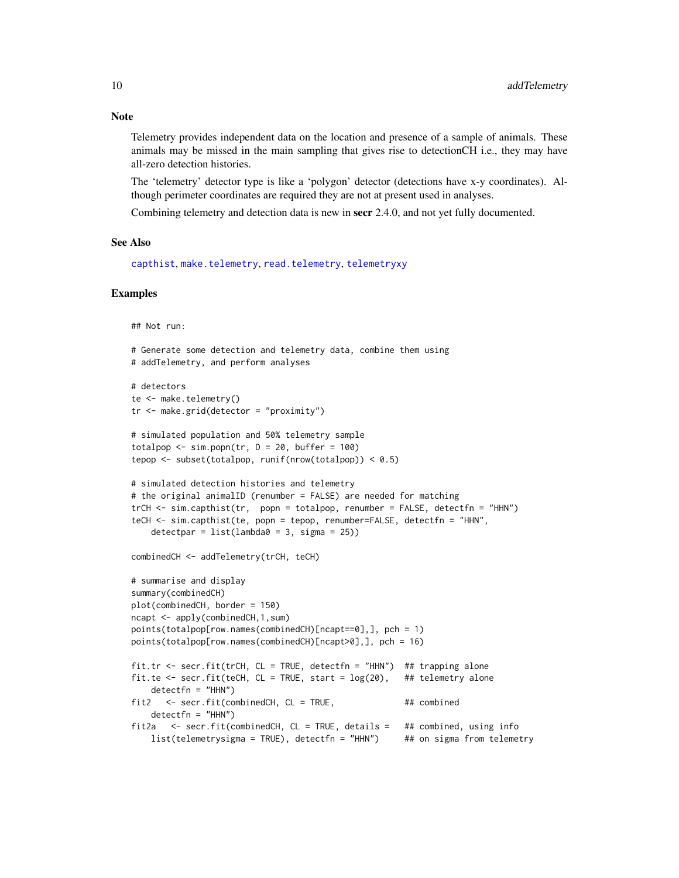Telemetry provides independent data on the location and presence of a sample of animals. These animals may be missed in the main sampling that gives rise to detectionCH i.e., they may have all-zero detection histories.

The 'telemetry' detector type is like a 'polygon' detector (detections have x-y coordinates). Although perimeter coordinates are required they are not at present used in analyses.

Combining telemetry and detection data is new in secr 2.4.0, and not yet fully documented.

#### See Also

[capthist](#page-17-1), [make.telemetry](#page-95-1), [read.telemetry](#page-157-1), [telemetryxy](#page-18-1)

#### Examples

## Not run:

```
# Generate some detection and telemetry data, combine them using
# addTelemetry, and perform analyses
# detectors
te <- make.telemetry()
tr < - make.grid(detector = "proximity")
# simulated population and 50% telemetry sample
totalpop \le sim.popn(tr, D = 20, buffer = 100)
tepop \leq subset(totalpop, runif(nrow(totalpop)) \leq 0.5)
# simulated detection histories and telemetry
# the original animalID (renumber = FALSE) are needed for matching
trCH <- sim.capthist(tr, popn = totalpop, renumber = FALSE, detectfn = "HHN")
teCH <- sim.capthist(te, popn = tepop, renumber=FALSE, detectfn = "HHN",
    detectpar = list(lambda = 3, sigma = 25))combinedCH <- addTelemetry(trCH, teCH)
# summarise and display
summary(combinedCH)
plot(combinedCH, border = 150)
ncapt <- apply(combinedCH,1,sum)
points(totalpop[row.names(combinedCH)[ncapt==0],], pch = 1)
points(totalpop[row.names(combinedCH)[ncapt>0],], pch = 16)
fit.tr <- secr.fit(trCH, CL = TRUE, detectfn = "HHN") ## trapping alone
fit.te <- secr.fit(teCH, CL = TRUE, start = log(20), ## telemetry alone
   detectfn = "HHN")
fit2 \le - secr.fit(combinedCH, CL = TRUE, \# the combined
   detectfn = "HHN")
fit2a <- secr.fit(combinedCH, CL = TRUE, details = ## combined, using info
   list(telemetry sigma = TRUE), detectfn = "HHN") ## on sigma from telemetry
```
# **Note**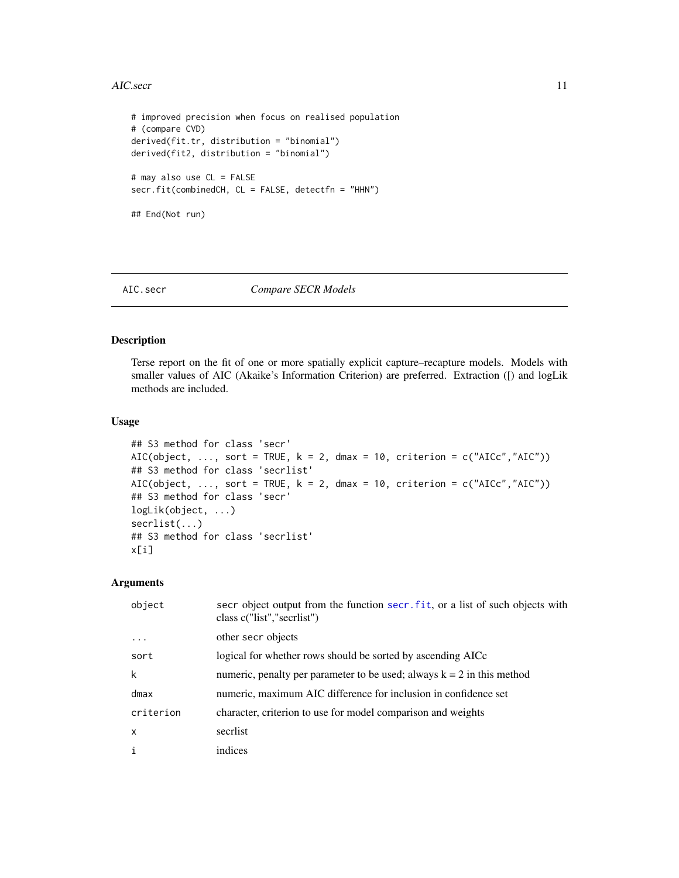#### <span id="page-10-0"></span>AIC.secr 11

```
# improved precision when focus on realised population
# (compare CVD)
derived(fit.tr, distribution = "binomial")
derived(fit2, distribution = "binomial")
# may also use CL = FALSE
secr.fit(combinedCH, CL = FALSE, detectfn = "HHN")
## End(Not run)
```
#### AIC.secr *Compare SECR Models*

# Description

Terse report on the fit of one or more spatially explicit capture–recapture models. Models with smaller values of AIC (Akaike's Information Criterion) are preferred. Extraction ([) and logLik methods are included.

# Usage

```
## S3 method for class 'secr'
AIC(object, ..., sort = TRUE, k = 2, dmax = 10, criterion = c("AICc","AIC"))
## S3 method for class 'secrlist'
AIC(object, ..., sort = TRUE, k = 2, dmax = 10, criterion = c("AICc","AIC"))
## S3 method for class 'secr'
logLik(object, ...)
secrlist(...)
## S3 method for class 'secrlist'
x[i]
```
#### Arguments

| object    | secr object output from the function secr. fit, or a list of such objects with<br>class c("list","secriist") |
|-----------|--------------------------------------------------------------------------------------------------------------|
| .         | other secr objects                                                                                           |
| sort      | logical for whether rows should be sorted by ascending AICc                                                  |
| k         | numeric, penalty per parameter to be used; always $k = 2$ in this method                                     |
| dmax      | numeric, maximum AIC difference for inclusion in confidence set                                              |
| criterion | character, criterion to use for model comparison and weights                                                 |
| X         | secriist                                                                                                     |
| i         | indices                                                                                                      |
|           |                                                                                                              |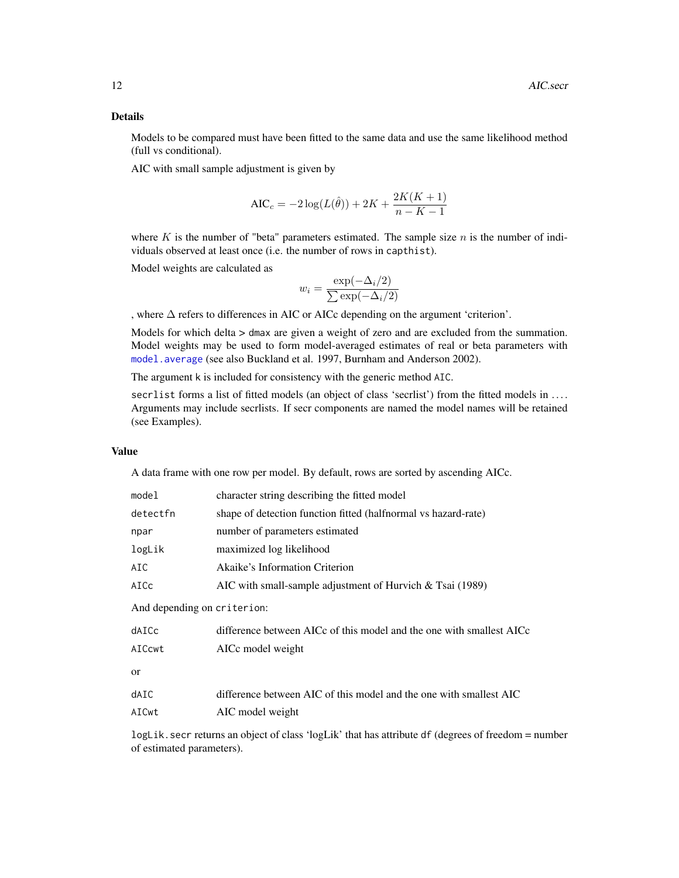# Details

Models to be compared must have been fitted to the same data and use the same likelihood method (full vs conditional).

AIC with small sample adjustment is given by

$$
AIC_c = -2\log(L(\hat{\theta})) + 2K + \frac{2K(K+1)}{n - K - 1}
$$

where  $K$  is the number of "beta" parameters estimated. The sample size  $n$  is the number of individuals observed at least once (i.e. the number of rows in capthist).

Model weights are calculated as

$$
w_i = \frac{\exp(-\Delta_i/2)}{\sum \exp(-\Delta_i/2)}
$$

, where ∆ refers to differences in AIC or AICc depending on the argument 'criterion'.

Models for which delta  $>$  dmax are given a weight of zero and are excluded from the summation. Model weights may be used to form model-averaged estimates of real or beta parameters with [model.average](#page-104-1) (see also Buckland et al. 1997, Burnham and Anderson 2002).

The argument k is included for consistency with the generic method AIC.

secrlist forms a list of fitted models (an object of class 'secrlist') from the fitted models in .... Arguments may include secrlists. If secr components are named the model names will be retained (see Examples).

## Value

A data frame with one row per model. By default, rows are sorted by ascending AICc.

| model                       | character string describing the fitted model                                                       |
|-----------------------------|----------------------------------------------------------------------------------------------------|
| detectfn                    | shape of detection function fitted (halfnormal vs hazard-rate)                                     |
| npar                        | number of parameters estimated                                                                     |
| logLik                      | maximized log likelihood                                                                           |
| AIC                         | Akaike's Information Criterion                                                                     |
| AICc                        | AIC with small-sample adjustment of Hurvich $&$ Tsai (1989)                                        |
| And depending on criterion: |                                                                                                    |
| dAICc                       | difference between AICc of this model and the one with smallest AICc                               |
| AICcwt                      | AICc model weight                                                                                  |
| or                          |                                                                                                    |
| dAIC                        | difference between AIC of this model and the one with smallest AIC                                 |
| AICwt                       | AIC model weight                                                                                   |
|                             | $\log$ ik secrivations an object of class 'logI ik' that has attribute df (degrees of freedom = no |

logLik.secr returns an object of class 'logLik' that has attribute df (degrees of freedom = number of estimated parameters).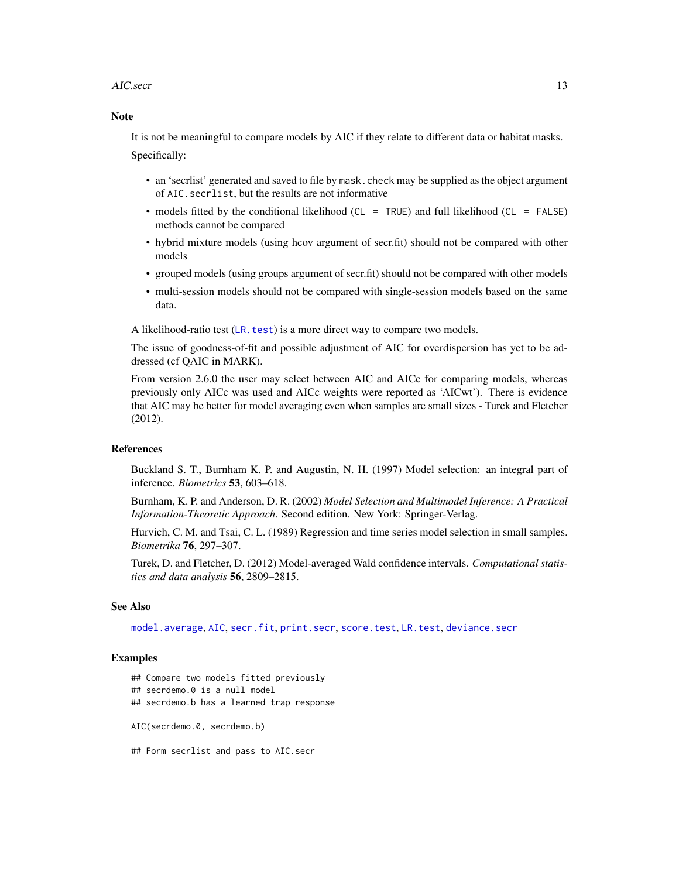#### AIC.secr 13

# Note

It is not be meaningful to compare models by AIC if they relate to different data or habitat masks. Specifically:

- an 'secrlist' generated and saved to file by mask.check may be supplied as the object argument of AIC.secrlist, but the results are not informative
- models fitted by the conditional likelihood (CL = TRUE) and full likelihood (CL = FALSE) methods cannot be compared
- hybrid mixture models (using hcov argument of secr.fit) should not be compared with other models
- grouped models (using groups argument of secr.fit) should not be compared with other models
- multi-session models should not be compared with single-session models based on the same data.

A likelihood-ratio test ([LR.test](#page-87-1)) is a more direct way to compare two models.

The issue of goodness-of-fit and possible adjustment of AIC for overdispersion has yet to be addressed (cf QAIC in MARK).

From version 2.6.0 the user may select between AIC and AICc for comparing models, whereas previously only AICc was used and AICc weights were reported as 'AICwt'). There is evidence that AIC may be better for model averaging even when samples are small sizes - Turek and Fletcher (2012).

## **References**

Buckland S. T., Burnham K. P. and Augustin, N. H. (1997) Model selection: an integral part of inference. *Biometrics* 53, 603–618.

Burnham, K. P. and Anderson, D. R. (2002) *Model Selection and Multimodel Inference: A Practical Information-Theoretic Approach*. Second edition. New York: Springer-Verlag.

Hurvich, C. M. and Tsai, C. L. (1989) Regression and time series model selection in small samples. *Biometrika* 76, 297–307.

Turek, D. and Fletcher, D. (2012) Model-averaged Wald confidence intervals. *Computational statistics and data analysis* 56, 2809–2815.

#### See Also

[model.average](#page-104-1), [AIC](#page-0-0), [secr.fit](#page-176-1), [print.secr](#page-144-1), [score.test](#page-171-1), [LR.test](#page-87-1), [deviance.secr](#page-47-1)

# Examples

## Compare two models fitted previously

## secrdemo.0 is a null model

## secrdemo.b has a learned trap response

AIC(secrdemo.0, secrdemo.b)

## Form secrlist and pass to AIC.secr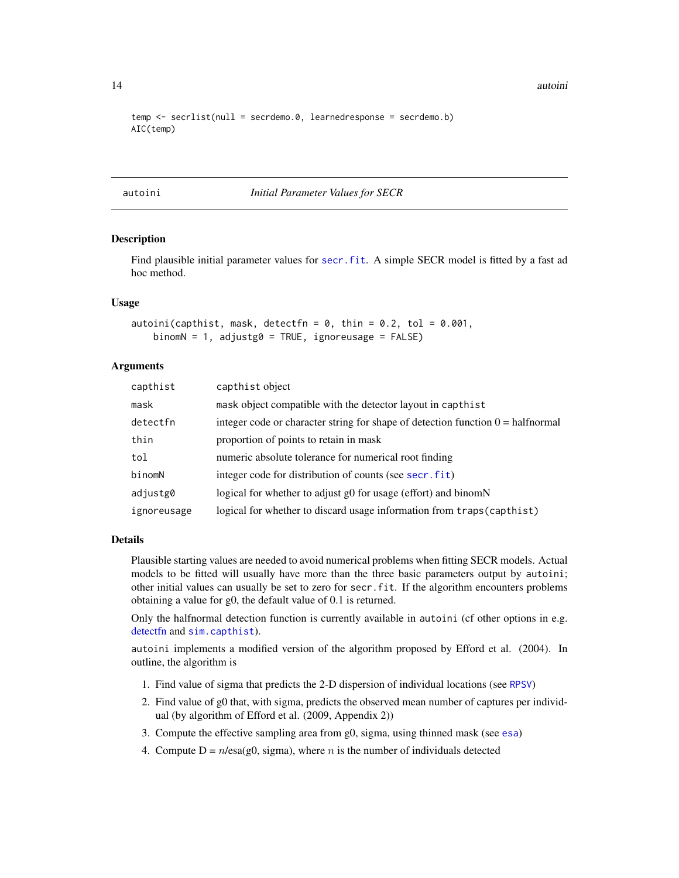14 autoini and the contract of the contract of the contract of the contract of the contract of the contract of the contract of the contract of the contract of the contract of the contract of the contract of the contract of

```
temp <- secrlist(null = secrdemo.0, learnedresponse = secrdemo.b)
AIC(temp)
```
#### autoini *Initial Parameter Values for SECR*

## Description

Find plausible initial parameter values for secr. fit. A simple SECR model is fitted by a fast ad hoc method.

## Usage

```
autoini(capthist, mask, detectfn = 0, thin = 0.2, tol = 0.001,
   binomN = 1, adjustg0 = TRUE, ignoreusage = FALSE)
```
# Arguments

| capthist    | capthist object                                                                          |
|-------------|------------------------------------------------------------------------------------------|
| mask        | mask object compatible with the detector layout in capthist                              |
| detectfn    | integer code or character string for shape of detection function $0 = \text{halfnormal}$ |
| thin        | proportion of points to retain in mask                                                   |
| tol         | numeric absolute tolerance for numerical root finding                                    |
| binomN      | integer code for distribution of counts (see secr. fit)                                  |
| adjustg0    | logical for whether to adjust g0 for usage (effort) and binomN                           |
| ignoreusage | logical for whether to discard usage information from traps (capthist)                   |

#### Details

Plausible starting values are needed to avoid numerical problems when fitting SECR models. Actual models to be fitted will usually have more than the three basic parameters output by autoini; other initial values can usually be set to zero for secr.fit. If the algorithm encounters problems obtaining a value for g0, the default value of 0.1 is returned.

Only the halfnormal detection function is currently available in autoini (cf other options in e.g. [detectfn](#page-44-1) and [sim.capthist](#page-196-1)).

autoini implements a modified version of the algorithm proposed by Efford et al. (2004). In outline, the algorithm is

- 1. Find value of sigma that predicts the 2-D dispersion of individual locations (see [RPSV](#page-72-1))
- 2. Find value of g0 that, with sigma, predicts the observed mean number of captures per individual (by algorithm of Efford et al. (2009, Appendix 2))
- 3. Compute the effective sampling area from g0, sigma, using thinned mask (see [esa](#page-39-1))
- 4. Compute  $D = n/\text{esa}(g0, \text{sigma})$ , where *n* is the number of individuals detected

<span id="page-13-0"></span>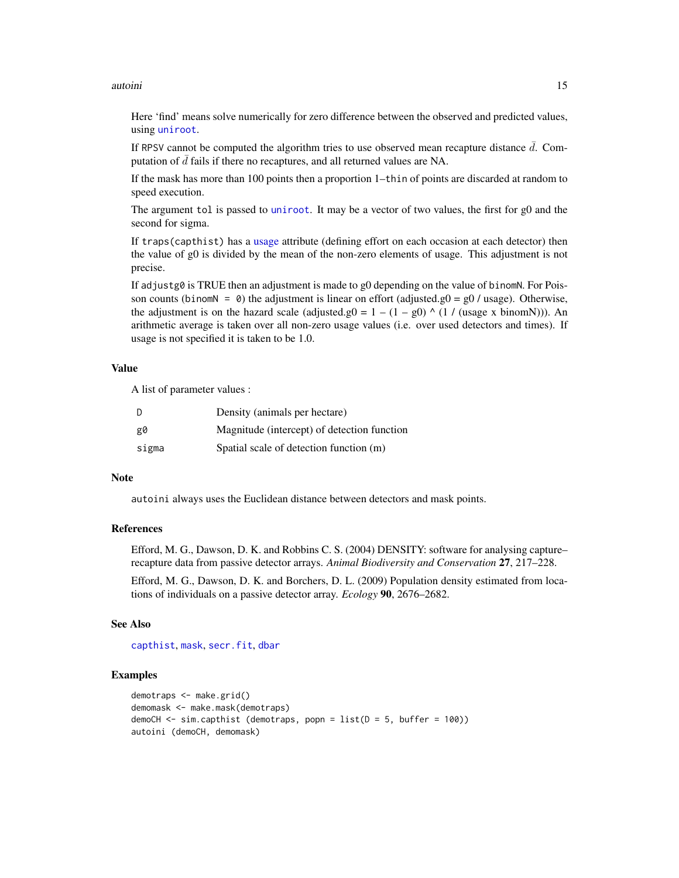#### autoini **15**

Here 'find' means solve numerically for zero difference between the observed and predicted values, using [uniroot](#page-0-0).

If RPSV cannot be computed the algorithm tries to use observed mean recapture distance  $\bar{d}$ . Computation of  $\bar{d}$  fails if there no recaptures, and all returned values are NA.

If the mask has more than 100 points then a proportion 1–thin of points are discarded at random to speed execution.

The argument tol is passed to [uniroot](#page-0-0). It may be a vector of two values, the first for g0 and the second for sigma.

If traps(capthist) has a [usage](#page-249-1) attribute (defining effort on each occasion at each detector) then the value of g0 is divided by the mean of the non-zero elements of usage. This adjustment is not precise.

If adjustg0 is TRUE then an adjustment is made to g0 depending on the value of binomN. For Poisson counts (binomN = 0) the adjustment is linear on effort (adjusted.g0 =  $g0$  / usage). Otherwise, the adjustment is on the hazard scale (adjusted.g0 =  $1 - (1 - g0)$  ^ (1 / (usage x binomN))). An arithmetic average is taken over all non-zero usage values (i.e. over used detectors and times). If usage is not specified it is taken to be 1.0.

# Value

A list of parameter values :

| D     | Density (animals per hectare)               |
|-------|---------------------------------------------|
| g0    | Magnitude (intercept) of detection function |
| sigma | Spatial scale of detection function (m)     |

## Note

autoini always uses the Euclidean distance between detectors and mask points.

## References

Efford, M. G., Dawson, D. K. and Robbins C. S. (2004) DENSITY: software for analysing capture– recapture data from passive detector arrays. *Animal Biodiversity and Conservation* 27, 217–228.

Efford, M. G., Dawson, D. K. and Borchers, D. L. (2009) Population density estimated from locations of individuals on a passive detector array. *Ecology* 90, 2676–2682.

#### See Also

[capthist](#page-17-1), [mask](#page-100-1), [secr.fit](#page-176-1), [dbar](#page-72-1)

# Examples

```
demotraps <- make.grid()
demomask <- make.mask(demotraps)
demoCH \le sim.capthist (demotraps, popn = list(D = 5, buffer = 100))
autoini (demoCH, demomask)
```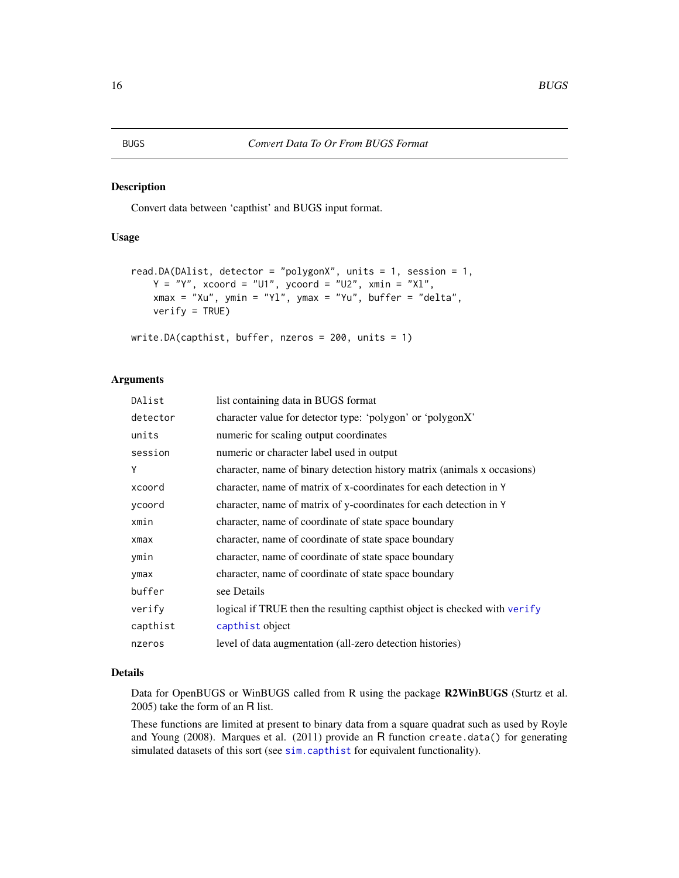## <span id="page-15-0"></span>Description

Convert data between 'capthist' and BUGS input format.

# Usage

```
read.DA(DAlist, detector = "polygonX", units = 1, session = 1,
    Y = "Y", xcoord = "U1", ycoord = "U2", xmin = "X1",xmax = "Xu", ymin = "Yl", ymax = "Yu", buffer = "delta",
    verify = TRUE)
write.DA(capthist, buffer, nzeros = 200, units = 1)
```
#### Arguments

| DAlist   | list containing data in BUGS format                                       |
|----------|---------------------------------------------------------------------------|
| detector | character value for detector type: 'polygon' or 'polygonX'                |
| units    | numeric for scaling output coordinates                                    |
| session  | numeric or character label used in output                                 |
| Y        | character, name of binary detection history matrix (animals x occasions)  |
| xcoord   | character, name of matrix of x-coordinates for each detection in Y        |
| ycoord   | character, name of matrix of y-coordinates for each detection in Y        |
| xmin     | character, name of coordinate of state space boundary                     |
| xmax     | character, name of coordinate of state space boundary                     |
| ymin     | character, name of coordinate of state space boundary                     |
| ymax     | character, name of coordinate of state space boundary                     |
| buffer   | see Details                                                               |
| verify   | logical if TRUE then the resulting capthist object is checked with verify |
| capthist | capthist object                                                           |
| nzeros   | level of data augmentation (all-zero detection histories)                 |

#### Details

Data for OpenBUGS or WinBUGS called from R using the package R2WinBUGS (Sturtz et al. 2005) take the form of an R list.

These functions are limited at present to binary data from a square quadrat such as used by Royle and Young (2008). Marques et al. (2011) provide an R function create.data() for generating simulated datasets of this sort (see [sim.capthist](#page-196-1) for equivalent functionality).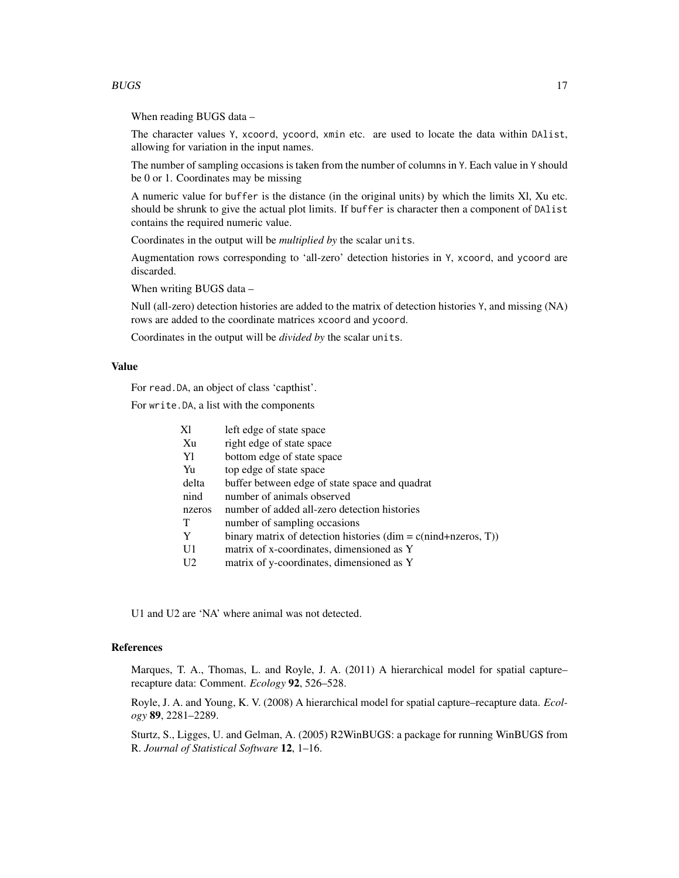#### $BUGS$  and  $17$

When reading BUGS data –

The character values Y, xcoord, ycoord, xmin etc. are used to locate the data within DAlist, allowing for variation in the input names.

The number of sampling occasions is taken from the number of columns in Y. Each value in Y should be 0 or 1. Coordinates may be missing

A numeric value for buffer is the distance (in the original units) by which the limits Xl, Xu etc. should be shrunk to give the actual plot limits. If buffer is character then a component of DAlist contains the required numeric value.

Coordinates in the output will be *multiplied by* the scalar units.

Augmentation rows corresponding to 'all-zero' detection histories in Y, xcoord, and ycoord are discarded.

When writing BUGS data –

Null (all-zero) detection histories are added to the matrix of detection histories Y, and missing (NA) rows are added to the coordinate matrices xcoord and ycoord.

Coordinates in the output will be *divided by* the scalar units.

# Value

For read.DA, an object of class 'capthist'.

For write.DA, a list with the components

| X1             | left edge of state space                                         |
|----------------|------------------------------------------------------------------|
| Xu             | right edge of state space                                        |
| Y1             | bottom edge of state space                                       |
| Yu             | top edge of state space                                          |
| delta          | buffer between edge of state space and quadrat                   |
| nind           | number of animals observed                                       |
| nzeros         | number of added all-zero detection histories                     |
|                | number of sampling occasions                                     |
| Y              | binary matrix of detection histories $(dim = c(nind+nzeros, T))$ |
| U1             | matrix of x-coordinates, dimensioned as Y                        |
| U <sub>2</sub> | matrix of y-coordinates, dimensioned as Y                        |

U1 and U2 are 'NA' where animal was not detected.

# References

Marques, T. A., Thomas, L. and Royle, J. A. (2011) A hierarchical model for spatial capture– recapture data: Comment. *Ecology* 92, 526–528.

Royle, J. A. and Young, K. V. (2008) A hierarchical model for spatial capture–recapture data. *Ecology* 89, 2281–2289.

Sturtz, S., Ligges, U. and Gelman, A. (2005) R2WinBUGS: a package for running WinBUGS from R. *Journal of Statistical Software* 12, 1–16.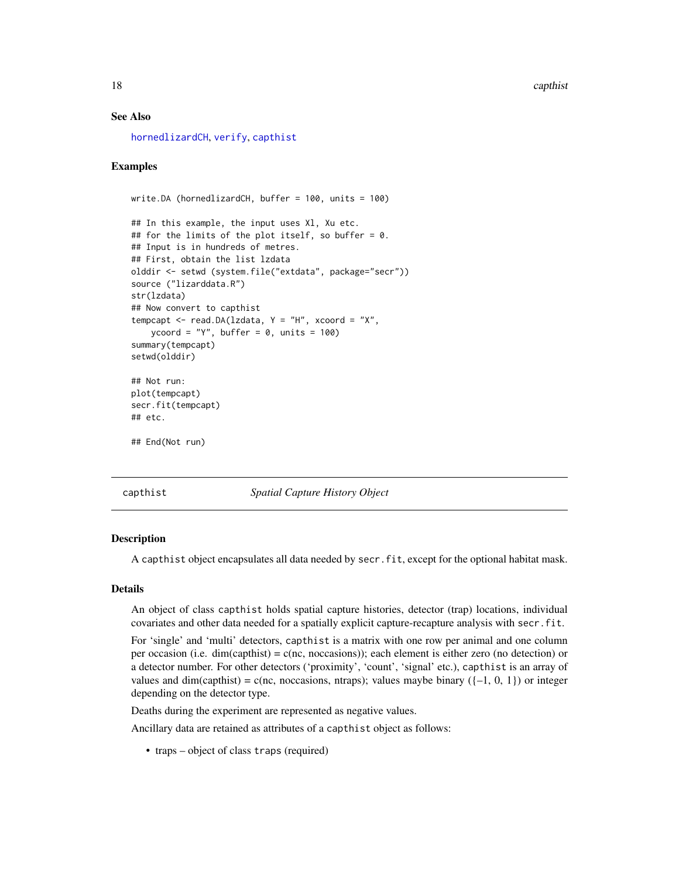## <span id="page-17-0"></span>See Also

[hornedlizardCH](#page-74-2), [verify](#page-253-1), [capthist](#page-17-1)

## Examples

```
write.DA (hornedlizardCH, buffer = 100, units = 100)
## In this example, the input uses Xl, Xu etc.
## for the limits of the plot itself, so buffer = 0.
## Input is in hundreds of metres.
## First, obtain the list lzdata
olddir <- setwd (system.file("extdata", package="secr"))
source ("lizarddata.R")
str(lzdata)
## Now convert to capthist
tempcapt \leq read.DA(lzdata, Y = "H", xcoord = "X",ycoord = "Y", buffer = 0, units = 100)
summary(tempcapt)
setwd(olddir)
## Not run:
plot(tempcapt)
secr.fit(tempcapt)
## etc.
## End(Not run)
```
<span id="page-17-1"></span>capthist *Spatial Capture History Object*

#### **Description**

A capthist object encapsulates all data needed by secr.fit, except for the optional habitat mask.

#### Details

An object of class capthist holds spatial capture histories, detector (trap) locations, individual covariates and other data needed for a spatially explicit capture-recapture analysis with secr.fit.

For 'single' and 'multi' detectors, capthist is a matrix with one row per animal and one column per occasion (i.e. dim(capthist) = c(nc, noccasions)); each element is either zero (no detection) or a detector number. For other detectors ('proximity', 'count', 'signal' etc.), capthist is an array of values and dim(capthist) = c(nc, noccasions, ntraps); values maybe binary ( $\{-1, 0, 1\}$ ) or integer depending on the detector type.

Deaths during the experiment are represented as negative values.

Ancillary data are retained as attributes of a capthist object as follows:

• traps – object of class traps (required)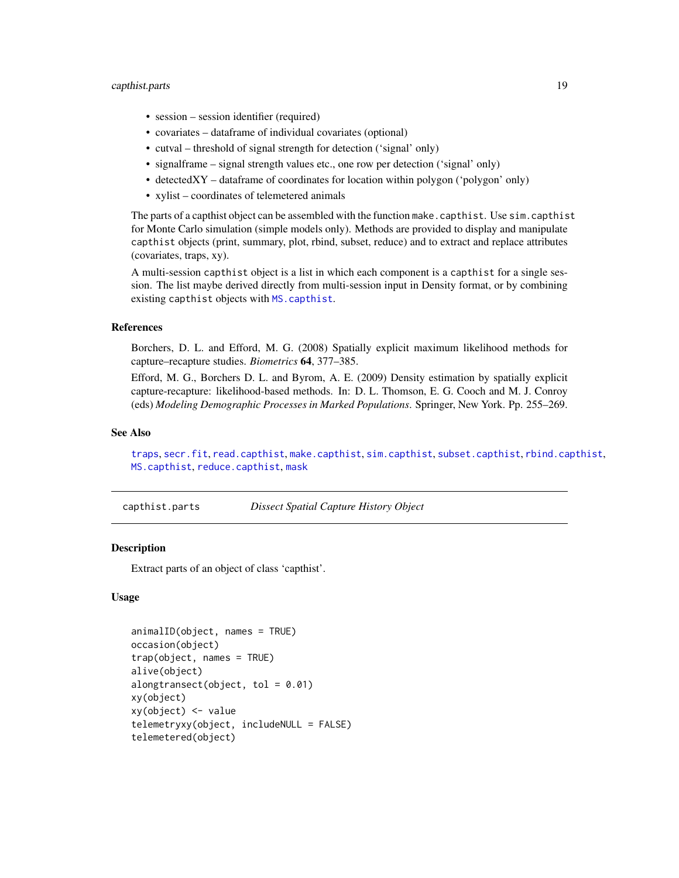# <span id="page-18-0"></span>capthist.parts 19

- session session identifier (required)
- covariates dataframe of individual covariates (optional)
- cutval threshold of signal strength for detection ('signal' only)
- signalframe signal strength values etc., one row per detection ('signal' only)
- detectedXY dataframe of coordinates for location within polygon ('polygon' only)
- xylist coordinates of telemetered animals

The parts of a capthist object can be assembled with the function make.capthist. Use sim.capthist for Monte Carlo simulation (simple models only). Methods are provided to display and manipulate capthist objects (print, summary, plot, rbind, subset, reduce) and to extract and replace attributes (covariates, traps, xy).

A multi-session capthist object is a list in which each component is a capthist for a single session. The list maybe derived directly from multi-session input in Density format, or by combining existing capthist objects with [MS.capthist](#page-148-1).

## References

Borchers, D. L. and Efford, M. G. (2008) Spatially explicit maximum likelihood methods for capture–recapture studies. *Biometrics* 64, 377–385.

Efford, M. G., Borchers D. L. and Byrom, A. E. (2009) Density estimation by spatially explicit capture-recapture: likelihood-based methods. In: D. L. Thomson, E. G. Cooch and M. J. Conroy (eds) *Modeling Demographic Processes in Marked Populations*. Springer, New York. Pp. 255–269.

## See Also

[traps](#page-243-1), [secr.fit](#page-176-1), [read.capthist](#page-153-1), [make.capthist](#page-88-1), [sim.capthist](#page-196-1), [subset.capthist](#page-223-1), [rbind.capthist](#page-148-2), [MS.capthist](#page-148-1), [reduce.capthist](#page-162-1), [mask](#page-100-1)

capthist.parts *Dissect Spatial Capture History Object*

# <span id="page-18-1"></span>Description

Extract parts of an object of class 'capthist'.

## Usage

```
animalID(object, names = TRUE)
occasion(object)
trap(object, names = TRUE)
alive(object)
alongtransect(object, tol = 0.01)
xy(object)
xy(object) <- value
telemetryxy(object, includeNULL = FALSE)
telemetered(object)
```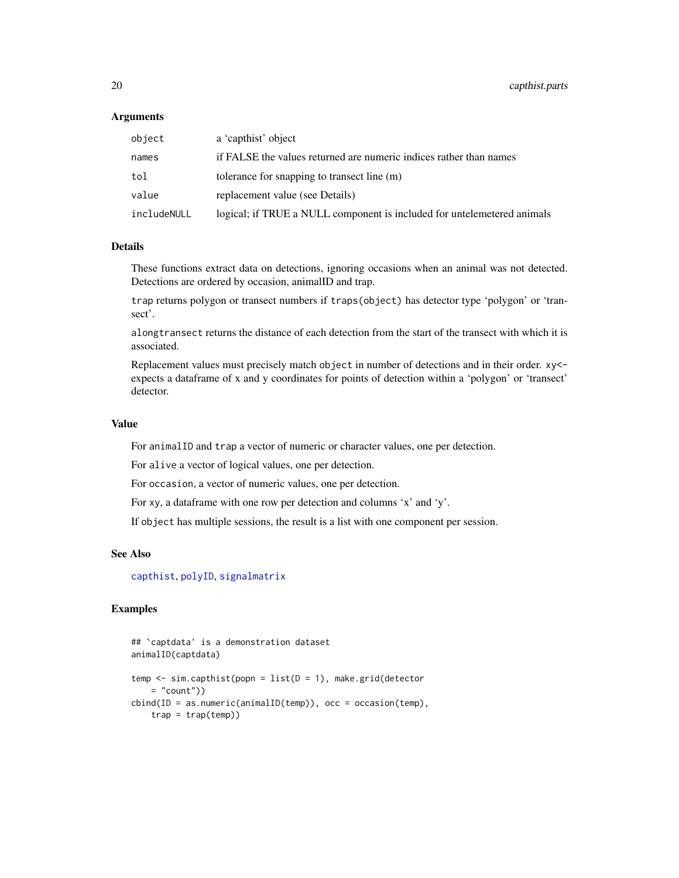## **Arguments**

| object      | a 'capthist' object                                                     |
|-------------|-------------------------------------------------------------------------|
| names       | if FALSE the values returned are numeric indices rather than names      |
| tol         | tolerance for snapping to transect line (m)                             |
| value       | replacement value (see Details)                                         |
| includeNULL | logical; if TRUE a NULL component is included for untelemetered animals |

# **Details**

These functions extract data on detections, ignoring occasions when an animal was not detected. Detections are ordered by occasion, animalID and trap.

trap returns polygon or transect numbers if traps(object) has detector type 'polygon' or 'transect'.

alongtransect returns the distance of each detection from the start of the transect with which it is associated.

Replacement values must precisely match object in number of detections and in their order. xy< expects a dataframe of x and y coordinates for points of detection within a 'polygon' or 'transect' detector.

#### Value

For animalID and trap a vector of numeric or character values, one per detection.

For alive a vector of logical values, one per detection.

For occasion, a vector of numeric values, one per detection.

For xy, a dataframe with one row per detection and columns 'x' and 'y'.

If object has multiple sessions, the result is a list with one component per session.

# See Also

[capthist](#page-17-1), [polyID](#page-245-1), [signalmatrix](#page-195-1)

# Examples

```
## `captdata' is a demonstration dataset
animalID(captdata)
temp \leq sim.capthist(popn = list(D = 1), make.grid(detector
   = "count"))
cbind(ID = as.numeric(animalID(temp)), occ = occasion(temp),trap = trap(temp)
```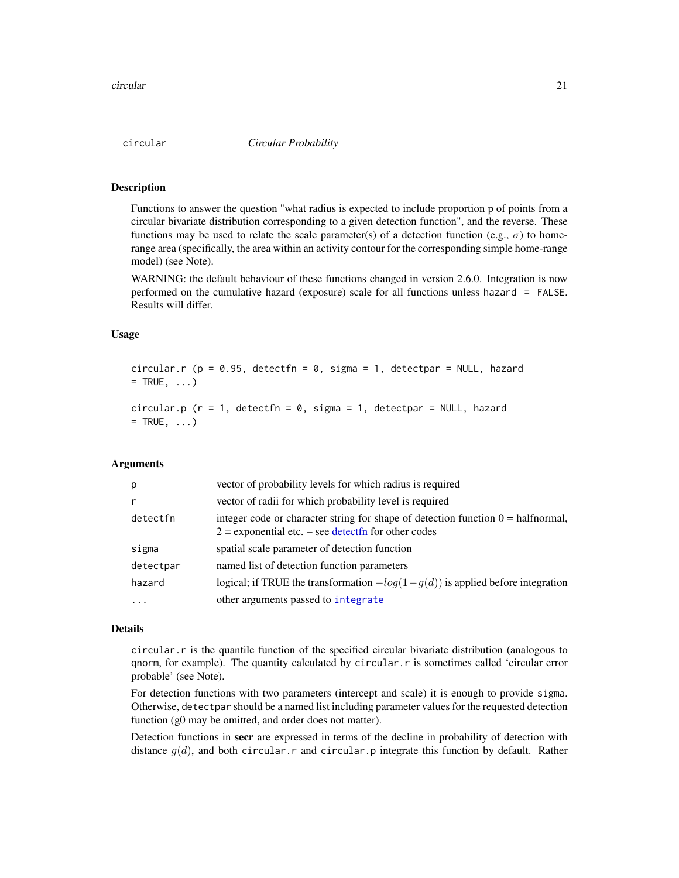<span id="page-20-0"></span>

#### Description

Functions to answer the question "what radius is expected to include proportion p of points from a circular bivariate distribution corresponding to a given detection function", and the reverse. These functions may be used to relate the scale parameter(s) of a detection function (e.g.,  $\sigma$ ) to homerange area (specifically, the area within an activity contour for the corresponding simple home-range model) (see Note).

WARNING: the default behaviour of these functions changed in version 2.6.0. Integration is now performed on the cumulative hazard (exposure) scale for all functions unless hazard = FALSE. Results will differ.

# Usage

circular.r ( $p = 0.95$ , detectfn = 0, sigma = 1, detectpar = NULL, hazard  $=$  TRUE,  $\ldots$ ) circular.p ( $r = 1$ , detectfn = 0, sigma = 1, detectpar = NULL, hazard  $=$  TRUE,  $\ldots$ )

# Arguments

| p         | vector of probability levels for which radius is required                                                                                            |
|-----------|------------------------------------------------------------------------------------------------------------------------------------------------------|
| r         | vector of radii for which probability level is required                                                                                              |
| detectfn  | integer code or character string for shape of detection function $0 = \text{halfnormal}$ ,<br>$2$ = exponential etc. – see detect fn for other codes |
| sigma     | spatial scale parameter of detection function                                                                                                        |
| detectpar | named list of detection function parameters                                                                                                          |
| hazard    | logical; if TRUE the transformation $-log(1 - g(d))$ is applied before integration                                                                   |
| $\ddots$  | other arguments passed to integrate                                                                                                                  |

## Details

circular.r is the quantile function of the specified circular bivariate distribution (analogous to qnorm, for example). The quantity calculated by circular.r is sometimes called 'circular error probable' (see Note).

For detection functions with two parameters (intercept and scale) it is enough to provide sigma. Otherwise, detectpar should be a named list including parameter values for the requested detection function (g0 may be omitted, and order does not matter).

Detection functions in secr are expressed in terms of the decline in probability of detection with distance  $g(d)$ , and both circular.r and circular.p integrate this function by default. Rather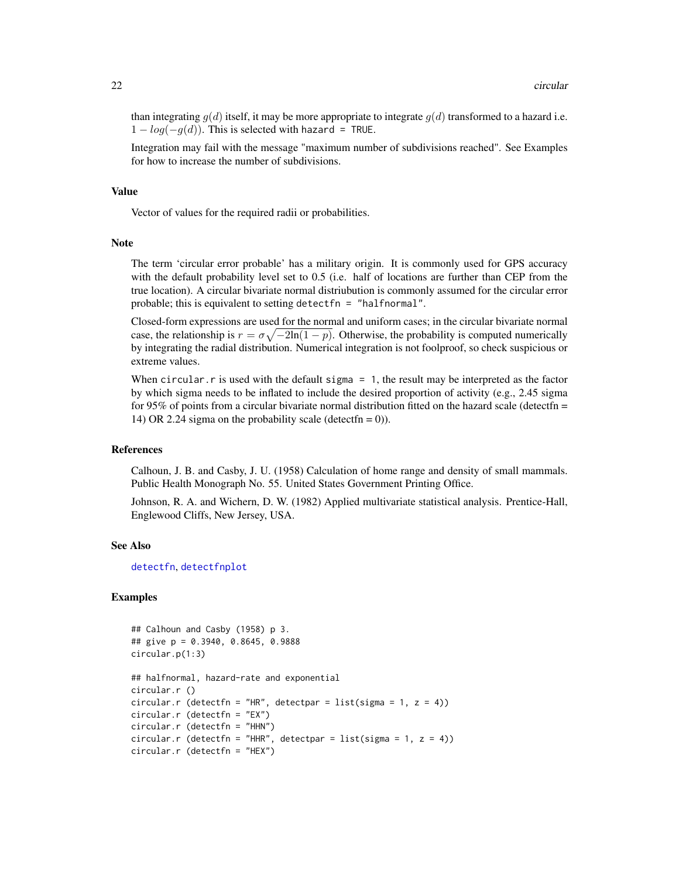than integrating  $g(d)$  itself, it may be more appropriate to integrate  $g(d)$  transformed to a hazard i.e.  $1 - log(-q(d))$ . This is selected with hazard = TRUE.

Integration may fail with the message "maximum number of subdivisions reached". See Examples for how to increase the number of subdivisions.

#### Value

Vector of values for the required radii or probabilities.

#### **Note**

The term 'circular error probable' has a military origin. It is commonly used for GPS accuracy with the default probability level set to 0.5 (i.e. half of locations are further than CEP from the true location). A circular bivariate normal distriubution is commonly assumed for the circular error probable; this is equivalent to setting detectfn = "halfnormal".

Closed-form expressions are used for the normal and uniform cases; in the circular bivariate normal case, the relationship is  $r = \sigma \sqrt{-2\ln(1-p)}$ . Otherwise, the probability is computed numerically by integrating the radial distribution. Numerical integration is not foolproof, so check suspicious or extreme values.

When circular.  $r$  is used with the default sigma  $= 1$ , the result may be interpreted as the factor by which sigma needs to be inflated to include the desired proportion of activity (e.g., 2.45 sigma for 95% of points from a circular bivariate normal distribution fitted on the hazard scale (detectfn = 14) OR 2.24 sigma on the probability scale (detectfn =  $0$ )).

## References

Calhoun, J. B. and Casby, J. U. (1958) Calculation of home range and density of small mammals. Public Health Monograph No. 55. United States Government Printing Office.

Johnson, R. A. and Wichern, D. W. (1982) Applied multivariate statistical analysis. Prentice-Hall, Englewood Cliffs, New Jersey, USA.

## See Also

[detectfn](#page-44-1), [detectfnplot](#page-130-1)

#### Examples

```
## Calhoun and Casby (1958) p 3.
## give p = 0.3940, 0.8645, 0.9888
circular.p(1:3)
## halfnormal, hazard-rate and exponential
circular.r ()
circular.r (detectfn = "HR", detectpar = list(sigma = 1, z = 4))
circular.r (detectfn = "EX")
circular.r (detectfn = "HHN")
circular.r (detectfn = "HHR", detectpar = list(sigma = 1, z = 4))
circular.r (detectfn = "HEX")
```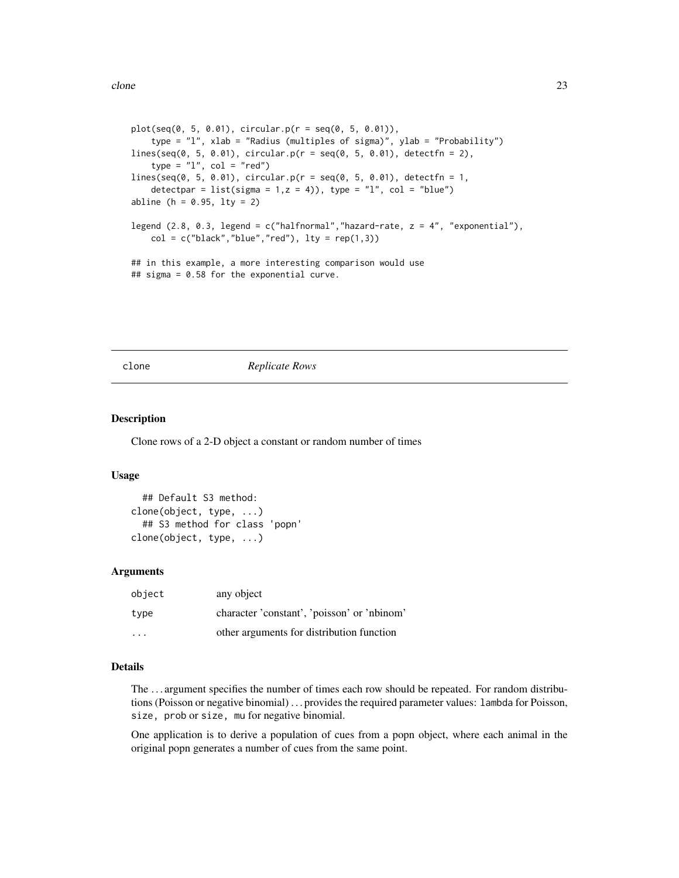<span id="page-22-0"></span>clone 23

```
plot(seq(0, 5, 0.01), circular.p(r = seq(0, 5, 0.01)),type = "l", xlab = "Radius (multiples of sigma)", ylab = "Probability")
lines(seq(0, 5, 0.01), circular.p(r = seq(0, 5, 0.01), detectfn = 2),type = "1", col = "red")lines(seq(0, 5, 0.01), circular.p(r = seq(0, 5, 0.01), detectfn = 1,detectpar = list(sigma = 1, z = 4)), type = "l", col = "blue")
abline (h = 0.95, lty = 2)
legend (2.8, 0.3, legend = c("halfnormal", "hazard-rate, z = 4", "exponential"),col = c("black", "blue", "red"), lty = rep(1,3)## in this example, a more interesting comparison would use
## sigma = 0.58 for the exponential curve.
```
clone *Replicate Rows*

# Description

Clone rows of a 2-D object a constant or random number of times

# Usage

```
## Default S3 method:
clone(object, type, ...)
  ## S3 method for class 'popn'
clone(object, type, ...)
```
## Arguments

| object | any object                                  |
|--------|---------------------------------------------|
| type   | character 'constant', 'poisson' or 'nbinom' |
| .      | other arguments for distribution function   |

# Details

The . . . argument specifies the number of times each row should be repeated. For random distributions (Poisson or negative binomial) . . . provides the required parameter values: lambda for Poisson, size, prob or size, mu for negative binomial.

One application is to derive a population of cues from a popn object, where each animal in the original popn generates a number of cues from the same point.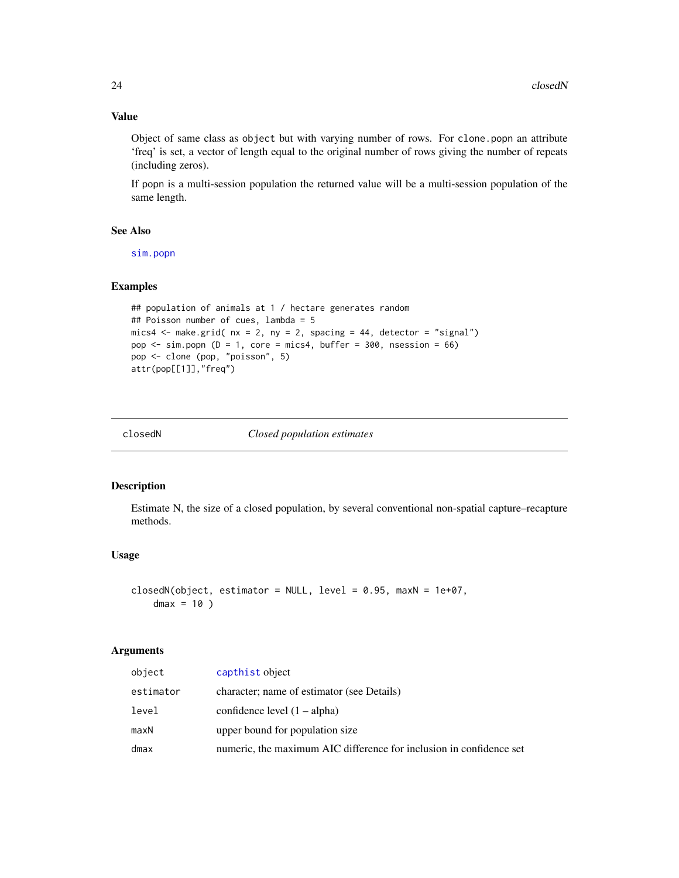# Value

Object of same class as object but with varying number of rows. For clone.popn an attribute 'freq' is set, a vector of length equal to the original number of rows giving the number of repeats (including zeros).

If popn is a multi-session population the returned value will be a multi-session population of the same length.

# See Also

[sim.popn](#page-200-1)

# Examples

```
## population of animals at 1 / hectare generates random
## Poisson number of cues, lambda = 5
mics4 \leq make.grid( nx = 2, ny = 2, spacing = 44, detector = "signal")
pop \le sim.popn (D = 1, core = mics4, buffer = 300, nsession = 66)
pop <- clone (pop, "poisson", 5)
attr(pop[[1]],"freq")
```
closedN *Closed population estimates*

#### Description

Estimate N, the size of a closed population, by several conventional non-spatial capture–recapture methods.

# Usage

```
closedN(object, estimator = NULL, level = 0.95, maxN = 1e+07,
   dmax = 10)
```
## Arguments

| object    | capthist object                                                     |
|-----------|---------------------------------------------------------------------|
| estimator | character; name of estimator (see Details)                          |
| level     | confidence level $(1 - alpha)$                                      |
| maxN      | upper bound for population size                                     |
| dmax      | numeric, the maximum AIC difference for inclusion in confidence set |

<span id="page-23-0"></span>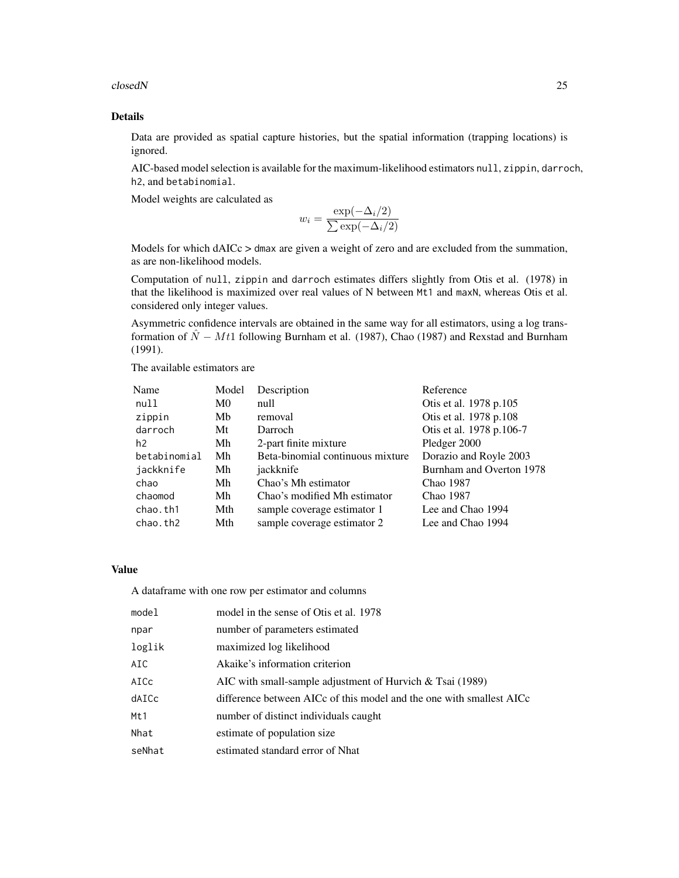closedN 25

# Details

Data are provided as spatial capture histories, but the spatial information (trapping locations) is ignored.

AIC-based model selection is available for the maximum-likelihood estimators null, zippin, darroch, h2, and betabinomial.

Model weights are calculated as

$$
w_i = \frac{\exp(-\Delta_i/2)}{\sum \exp(-\Delta_i/2)}
$$

Models for which dAICc > dmax are given a weight of zero and are excluded from the summation, as are non-likelihood models.

Computation of null, zippin and darroch estimates differs slightly from Otis et al. (1978) in that the likelihood is maximized over real values of N between Mt1 and maxN, whereas Otis et al. considered only integer values.

Asymmetric confidence intervals are obtained in the same way for all estimators, using a log transformation of  $\hat{N} - Mt1$  following Burnham et al. (1987), Chao (1987) and Rexstad and Burnham (1991).

The available estimators are

| Name           | Model | Description                      | Reference                |
|----------------|-------|----------------------------------|--------------------------|
| null           | M0    | null                             | Otis et al. 1978 p.105   |
| zippin         | Mb    | removal                          | Otis et al. 1978 p.108   |
| darroch        | Mt    | Darroch                          | Otis et al. 1978 p.106-7 |
| h <sub>2</sub> | Mh    | 2-part finite mixture            | Pledger 2000             |
| betabinomial   | Mh    | Beta-binomial continuous mixture | Dorazio and Royle 2003   |
| jackknife      | Mh    | jackknife                        | Burnham and Overton 1978 |
| chao           | Mh    | Chao's Mh estimator              | Chao 1987                |
| chaomod        | Mh    | Chao's modified Mh estimator     | Chao 1987                |
| chao.th1       | Mth   | sample coverage estimator 1      | Lee and Chao 1994        |
| chao.th2       | Mth   | sample coverage estimator 2      | Lee and Chao 1994        |

#### Value

A dataframe with one row per estimator and columns

| model  | model in the sense of Otis et al. 1978                               |
|--------|----------------------------------------------------------------------|
| npar   | number of parameters estimated                                       |
| loglik | maximized log likelihood                                             |
| AIC    | Akaike's information criterion                                       |
| AICc   | AIC with small-sample adjustment of Hurvich $&$ Tsai (1989)          |
| dAICc  | difference between AICc of this model and the one with smallest AICc |
| Mt1    | number of distinct individuals caught                                |
| Nhat   | estimate of population size                                          |
| seNhat | estimated standard error of Nhat                                     |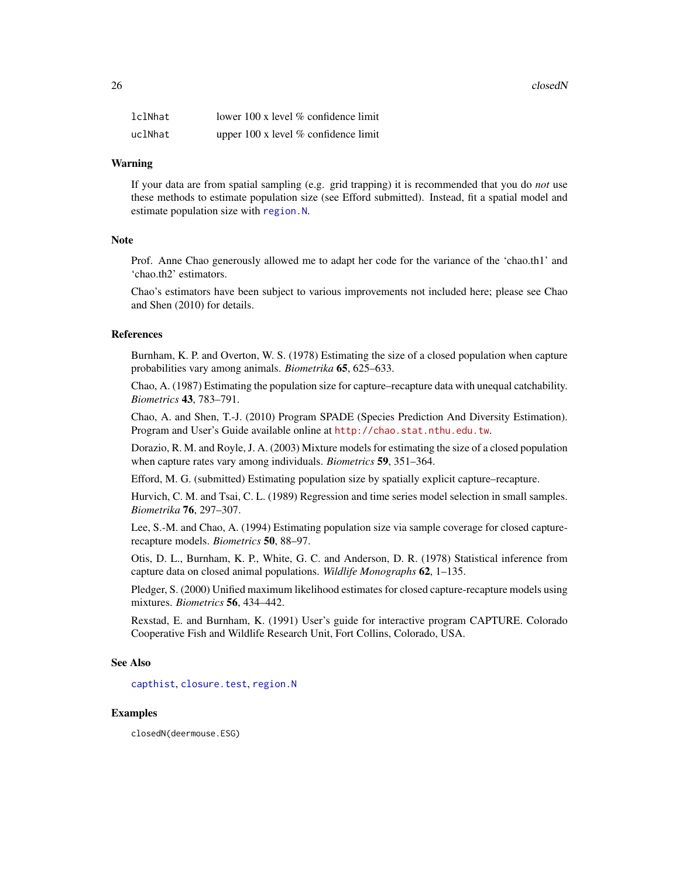$26$  closedN

| lclNhat | lower 100 x level $\%$ confidence limit     |
|---------|---------------------------------------------|
| uclNhat | upper $100 \times$ level % confidence limit |

#### Warning

If your data are from spatial sampling (e.g. grid trapping) it is recommended that you do *not* use these methods to estimate population size (see Efford submitted). Instead, fit a spatial model and estimate population size with [region.N](#page-164-1).

## **Note**

Prof. Anne Chao generously allowed me to adapt her code for the variance of the 'chao.th1' and 'chao.th2' estimators.

Chao's estimators have been subject to various improvements not included here; please see Chao and Shen (2010) for details.

# References

Burnham, K. P. and Overton, W. S. (1978) Estimating the size of a closed population when capture probabilities vary among animals. *Biometrika* 65, 625–633.

Chao, A. (1987) Estimating the population size for capture–recapture data with unequal catchability. *Biometrics* 43, 783–791.

Chao, A. and Shen, T.-J. (2010) Program SPADE (Species Prediction And Diversity Estimation). Program and User's Guide available online at <http://chao.stat.nthu.edu.tw>.

Dorazio, R. M. and Royle, J. A. (2003) Mixture models for estimating the size of a closed population when capture rates vary among individuals. *Biometrics* 59, 351–364.

Efford, M. G. (submitted) Estimating population size by spatially explicit capture–recapture.

Hurvich, C. M. and Tsai, C. L. (1989) Regression and time series model selection in small samples. *Biometrika* 76, 297–307.

Lee, S.-M. and Chao, A. (1994) Estimating population size via sample coverage for closed capturerecapture models. *Biometrics* 50, 88–97.

Otis, D. L., Burnham, K. P., White, G. C. and Anderson, D. R. (1978) Statistical inference from capture data on closed animal populations. *Wildlife Monographs* 62, 1–135.

Pledger, S. (2000) Unified maximum likelihood estimates for closed capture-recapture models using mixtures. *Biometrics* 56, 434–442.

Rexstad, E. and Burnham, K. (1991) User's guide for interactive program CAPTURE. Colorado Cooperative Fish and Wildlife Research Unit, Fort Collins, Colorado, USA.

## See Also

[capthist](#page-17-1), [closure.test](#page-26-1), [region.N](#page-164-1)

# Examples

closedN(deermouse.ESG)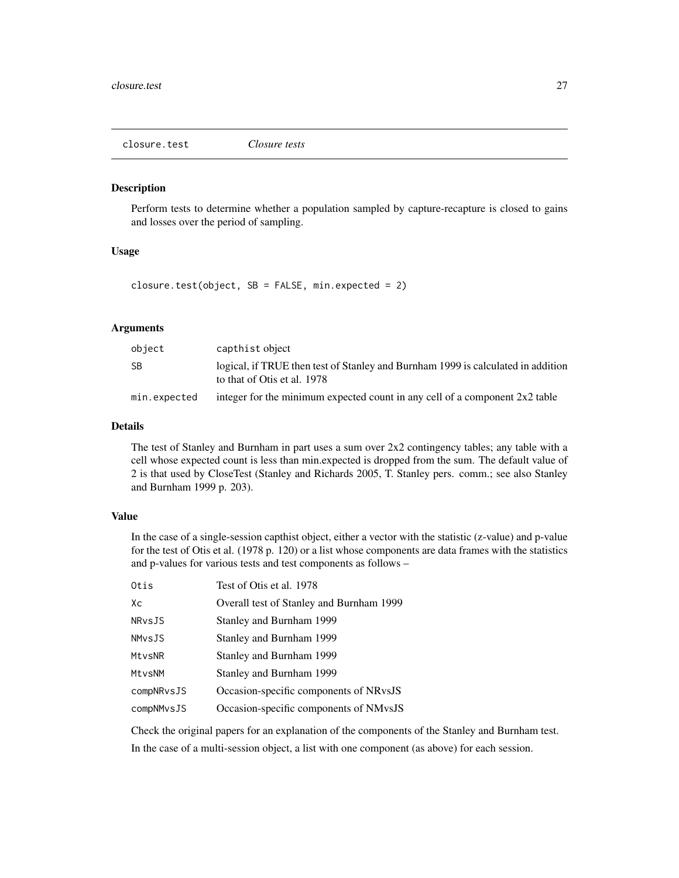<span id="page-26-1"></span><span id="page-26-0"></span>closure.test *Closure tests*

## Description

Perform tests to determine whether a population sampled by capture-recapture is closed to gains and losses over the period of sampling.

# Usage

closure.test(object,  $SB = FALSE$ , min.expected = 2)

# Arguments

| object       | capthist object                                                                                                 |
|--------------|-----------------------------------------------------------------------------------------------------------------|
| SB           | logical, if TRUE then test of Stanley and Burnham 1999 is calculated in addition<br>to that of Otis et al. 1978 |
| min.expected | integer for the minimum expected count in any cell of a component $2x2$ table                                   |

# Details

The test of Stanley and Burnham in part uses a sum over  $2x2$  contingency tables; any table with a cell whose expected count is less than min.expected is dropped from the sum. The default value of 2 is that used by CloseTest (Stanley and Richards 2005, T. Stanley pers. comm.; see also Stanley and Burnham 1999 p. 203).

# Value

In the case of a single-session capthist object, either a vector with the statistic (z-value) and p-value for the test of Otis et al. (1978 p. 120) or a list whose components are data frames with the statistics and p-values for various tests and test components as follows –

| Otis          | Test of Otis et al. 1978                 |
|---------------|------------------------------------------|
| Xс            | Overall test of Stanley and Burnham 1999 |
| NRvsJS        | Stanley and Burnham 1999                 |
| <b>NMvsJS</b> | Stanley and Burnham 1999                 |
| MtvsNR        | Stanley and Burnham 1999                 |
| MtvsNM        | Stanley and Burnham 1999                 |
| compNRvsJS    | Occasion-specific components of NRvsJS   |
| compNMvsJS    | Occasion-specific components of NMvsJS   |

Check the original papers for an explanation of the components of the Stanley and Burnham test.

In the case of a multi-session object, a list with one component (as above) for each session.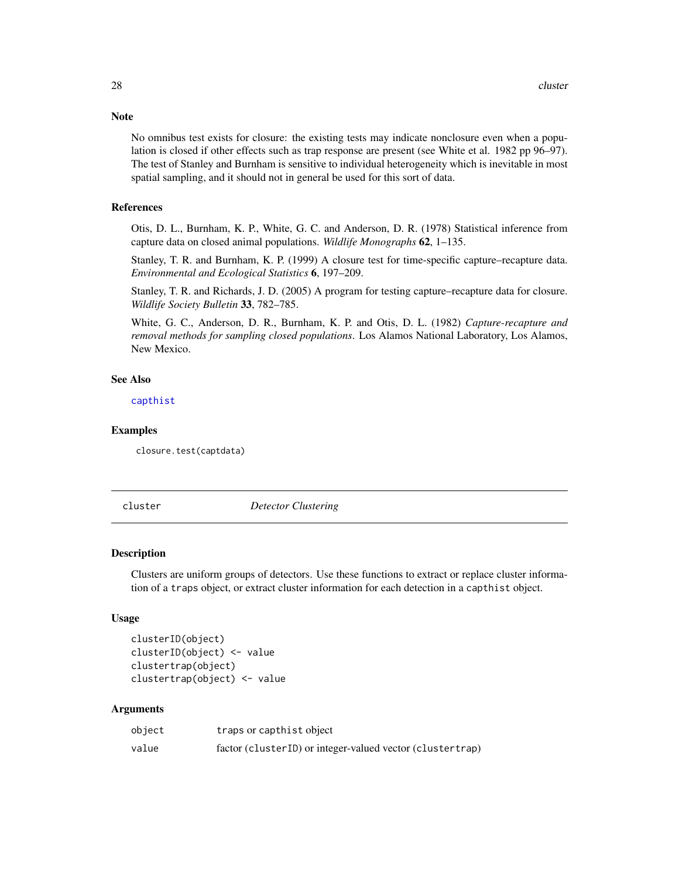**Note** 

No omnibus test exists for closure: the existing tests may indicate nonclosure even when a population is closed if other effects such as trap response are present (see White et al. 1982 pp 96–97). The test of Stanley and Burnham is sensitive to individual heterogeneity which is inevitable in most spatial sampling, and it should not in general be used for this sort of data.

# References

Otis, D. L., Burnham, K. P., White, G. C. and Anderson, D. R. (1978) Statistical inference from capture data on closed animal populations. *Wildlife Monographs* 62, 1–135.

Stanley, T. R. and Burnham, K. P. (1999) A closure test for time-specific capture–recapture data. *Environmental and Ecological Statistics* 6, 197–209.

Stanley, T. R. and Richards, J. D. (2005) A program for testing capture–recapture data for closure. *Wildlife Society Bulletin* 33, 782–785.

White, G. C., Anderson, D. R., Burnham, K. P. and Otis, D. L. (1982) *Capture-recapture and removal methods for sampling closed populations*. Los Alamos National Laboratory, Los Alamos, New Mexico.

#### See Also

[capthist](#page-17-1)

## Examples

closure.test(captdata)

cluster *Detector Clustering*

#### Description

Clusters are uniform groups of detectors. Use these functions to extract or replace cluster information of a traps object, or extract cluster information for each detection in a capthist object.

# Usage

```
clusterID(object)
clusterID(object) <- value
clustertrap(object)
clustertrap(object) <- value
```
## **Arguments**

| object | traps or capthist object                                  |
|--------|-----------------------------------------------------------|
| value  | factor (clusterID) or integer-valued vector (clustertrap) |

<span id="page-27-0"></span>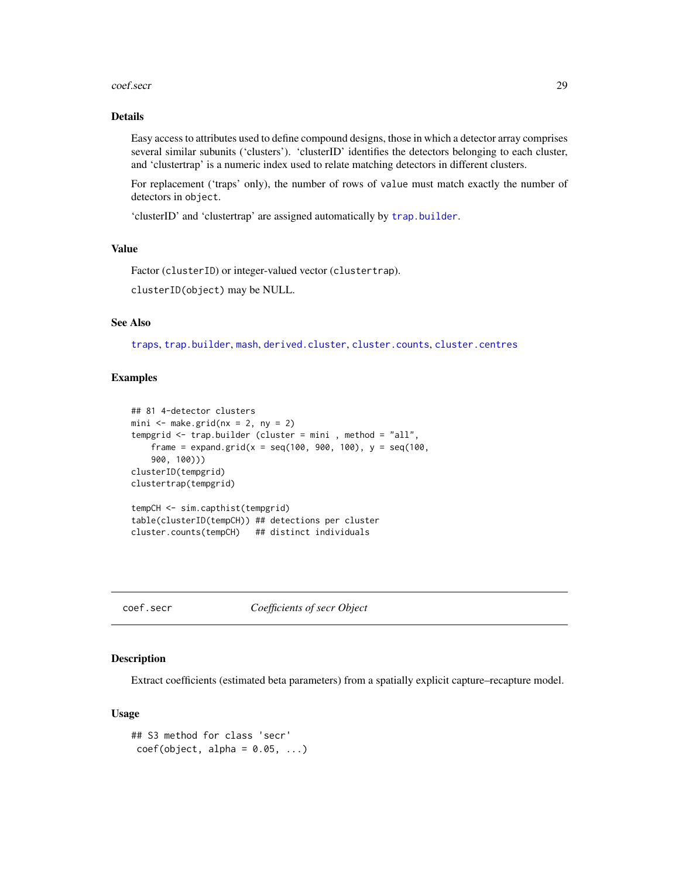#### <span id="page-28-0"></span>coef.secr 29

# Details

Easy access to attributes used to define compound designs, those in which a detector array comprises several similar subunits ('clusters'). 'clusterID' identifies the detectors belonging to each cluster, and 'clustertrap' is a numeric index used to relate matching detectors in different clusters.

For replacement ('traps' only), the number of rows of value must match exactly the number of detectors in object.

'clusterID' and 'clustertrap' are assigned automatically by [trap.builder](#page-239-1).

# Value

Factor (clusterID) or integer-valued vector (clustertrap).

clusterID(object) may be NULL.

# See Also

[traps](#page-243-1), [trap.builder](#page-239-1), [mash](#page-239-2), [derived.cluster](#page-51-1), [cluster.counts](#page-239-2), [cluster.centres](#page-239-2)

## Examples

```
## 81 4-detector clusters
mini \leq make.grid(nx = 2, ny = 2)
tempgrid <- trap.builder (cluster = mini , method = "all",
    frame = expand.grid(x = seq(100, 900, 100), y = \text{seq}(100,900, 100)))
clusterID(tempgrid)
clustertrap(tempgrid)
tempCH <- sim.capthist(tempgrid)
table(clusterID(tempCH)) ## detections per cluster
```

```
cluster.counts(tempCH) ## distinct individuals
```
coef.secr *Coefficients of secr Object*

# Description

Extract coefficients (estimated beta parameters) from a spatially explicit capture–recapture model.

## Usage

```
## S3 method for class 'secr'
coef(object, alpha = 0.05, ...)
```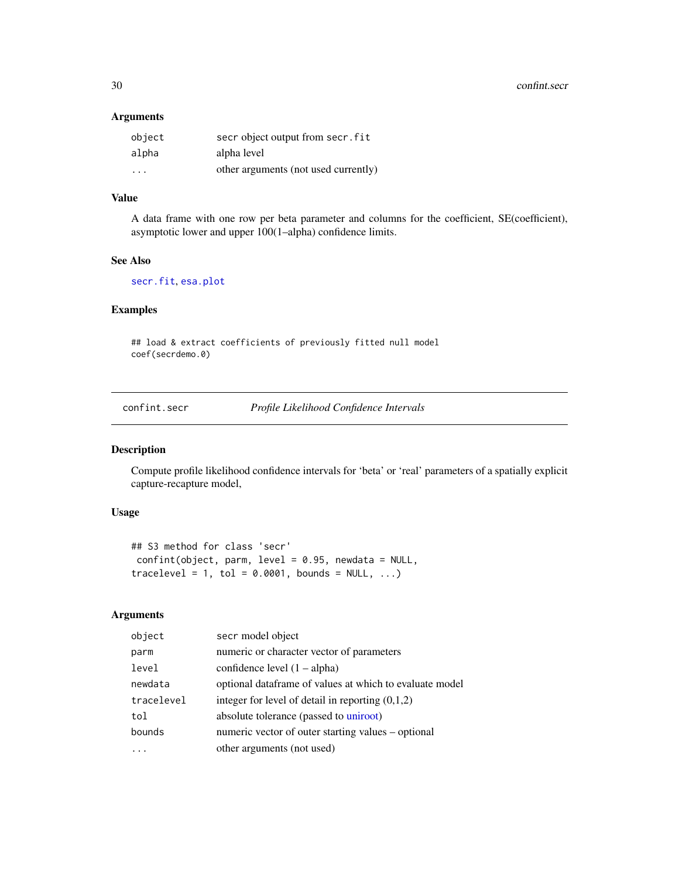<span id="page-29-0"></span>30 confint.secr

# Arguments

| object                  | secr object output from secr. fit    |
|-------------------------|--------------------------------------|
| alpha                   | alpha level                          |
| $\cdot$ $\cdot$ $\cdot$ | other arguments (not used currently) |

# Value

A data frame with one row per beta parameter and columns for the coefficient, SE(coefficient), asymptotic lower and upper 100(1–alpha) confidence limits.

## See Also

[secr.fit](#page-176-1), [esa.plot](#page-56-1)

# Examples

## load & extract coefficients of previously fitted null model coef(secrdemo.0)

confint.secr *Profile Likelihood Confidence Intervals*

# Description

Compute profile likelihood confidence intervals for 'beta' or 'real' parameters of a spatially explicit capture-recapture model,

# Usage

```
## S3 method for class 'secr'
confint(object, parm, level = 0.95, newdata = NULL,tracelevel = 1, tol = 0.0001, bounds = NULL, ...)
```
# Arguments

| object     | secr model object                                       |
|------------|---------------------------------------------------------|
| parm       | numeric or character vector of parameters               |
| level      | confidence level $(1 - alpha)$                          |
| newdata    | optional dataframe of values at which to evaluate model |
| tracelevel | integer for level of detail in reporting $(0,1,2)$      |
| tol        | absolute tolerance (passed to uniroot)                  |
| bounds     | numeric vector of outer starting values – optional      |
|            | other arguments (not used)                              |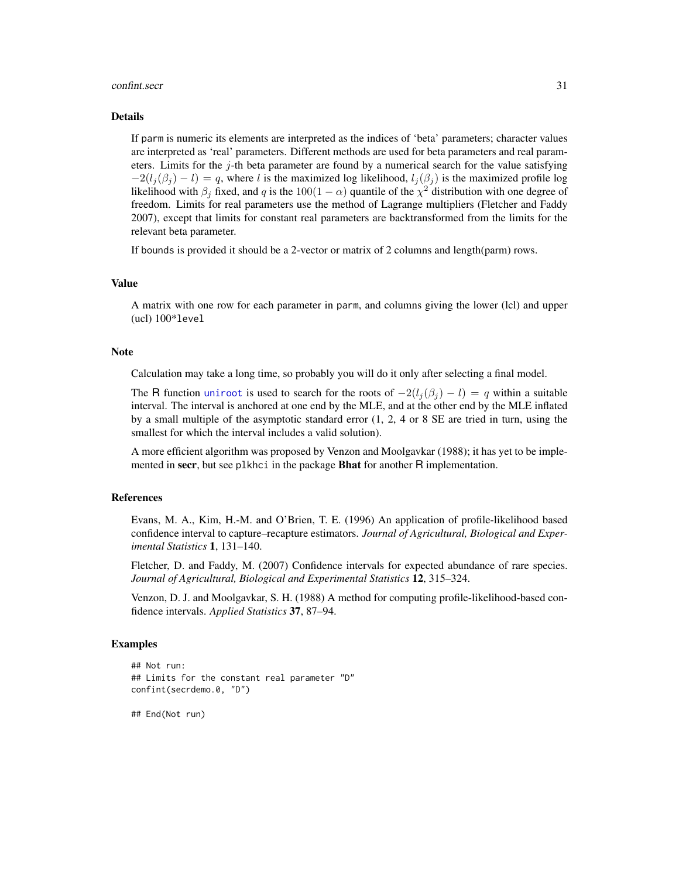#### confint.secr 31

#### Details

If parm is numeric its elements are interpreted as the indices of 'beta' parameters; character values are interpreted as 'real' parameters. Different methods are used for beta parameters and real parameters. Limits for the  $j$ -th beta parameter are found by a numerical search for the value satisfying  $-2(l_i(\beta_i) - l) = q$ , where l is the maximized log likelihood,  $l_i(\beta_i)$  is the maximized profile log likelihood with  $\beta_j$  fixed, and q is the 100(1 –  $\alpha$ ) quantile of the  $\chi^2$  distribution with one degree of freedom. Limits for real parameters use the method of Lagrange multipliers (Fletcher and Faddy 2007), except that limits for constant real parameters are backtransformed from the limits for the relevant beta parameter.

If bounds is provided it should be a 2-vector or matrix of 2 columns and length(parm) rows.

#### Value

A matrix with one row for each parameter in parm, and columns giving the lower (lcl) and upper (ucl) 100\*level

## **Note**

Calculation may take a long time, so probably you will do it only after selecting a final model.

The R function [uniroot](#page-0-0) is used to search for the roots of  $-2(l_i(\beta_i) - l) = q$  within a suitable interval. The interval is anchored at one end by the MLE, and at the other end by the MLE inflated by a small multiple of the asymptotic standard error (1, 2, 4 or 8 SE are tried in turn, using the smallest for which the interval includes a valid solution).

A more efficient algorithm was proposed by Venzon and Moolgavkar (1988); it has yet to be implemented in secr, but see plkhci in the package **Bhat** for another R implementation.

## References

Evans, M. A., Kim, H.-M. and O'Brien, T. E. (1996) An application of profile-likelihood based confidence interval to capture–recapture estimators. *Journal of Agricultural, Biological and Experimental Statistics* 1, 131–140.

Fletcher, D. and Faddy, M. (2007) Confidence intervals for expected abundance of rare species. *Journal of Agricultural, Biological and Experimental Statistics* 12, 315–324.

Venzon, D. J. and Moolgavkar, S. H. (1988) A method for computing profile-likelihood-based confidence intervals. *Applied Statistics* 37, 87–94.

#### Examples

```
## Not run:
## Limits for the constant real parameter "D"
confint(secrdemo.0, "D")
```
## End(Not run)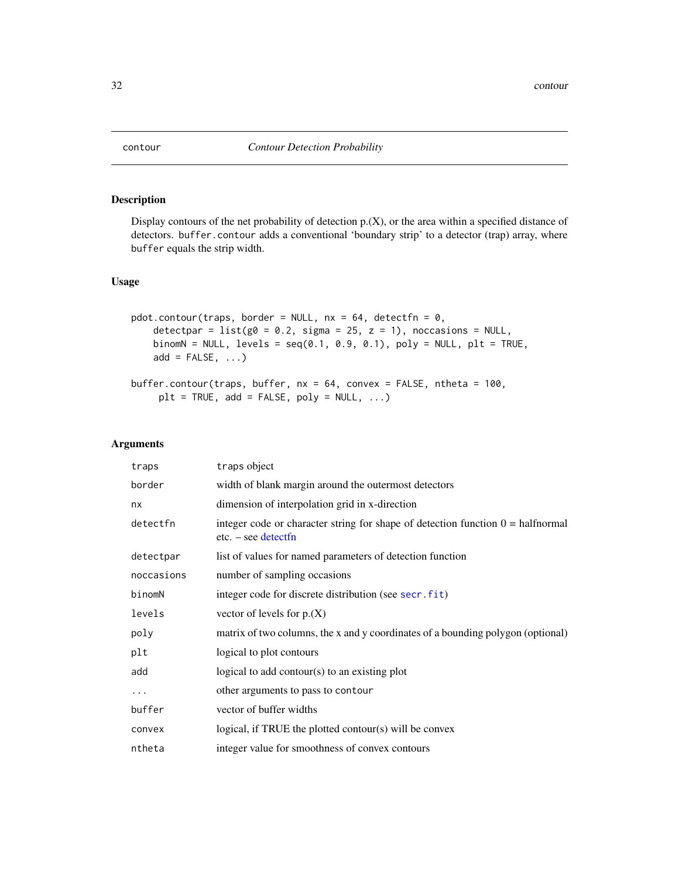<span id="page-31-0"></span>

# Description

Display contours of the net probability of detection  $p(X)$ , or the area within a specified distance of detectors. buffer.contour adds a conventional 'boundary strip' to a detector (trap) array, where buffer equals the strip width.

# Usage

```
pdot.contour(traps, border = NULL, nx = 64, detectfn = 0,
   detectpar = list(g0 = 0.2, sigma = 25, z = 1), noccasions = NULL,
   binomN = NULL, levels = seq(0.1, 0.9, 0.1), poly = NULL, plt = TRUE,
   add = FALSE, ...)
```

```
buffer.contour(traps, buffer, nx = 64, convex = FALSE, ntheta = 100,
     plt = TRUE, add = FALSE, poly = NULL, ...)
```
#### Arguments

| traps      | traps object                                                                                                    |
|------------|-----------------------------------------------------------------------------------------------------------------|
| border     | width of blank margin around the outermost detectors                                                            |
| nx         | dimension of interpolation grid in x-direction                                                                  |
| detectfn   | integer code or character string for shape of detection function $0 = \text{halfnormal}$<br>$etc. - see detect$ |
| detectpar  | list of values for named parameters of detection function                                                       |
| noccasions | number of sampling occasions                                                                                    |
| binomN     | integer code for discrete distribution (see secr.fit)                                                           |
| levels     | vector of levels for $p_{\cdot}(X)$                                                                             |
| poly       | matrix of two columns, the x and y coordinates of a bounding polygon (optional)                                 |
| plt        | logical to plot contours                                                                                        |
| add        | logical to add contour( $s$ ) to an existing plot                                                               |
| .          | other arguments to pass to contour                                                                              |
| buffer     | vector of buffer widths                                                                                         |
| convex     | logical, if TRUE the plotted contour(s) will be convex                                                          |
| ntheta     | integer value for smoothness of convex contours                                                                 |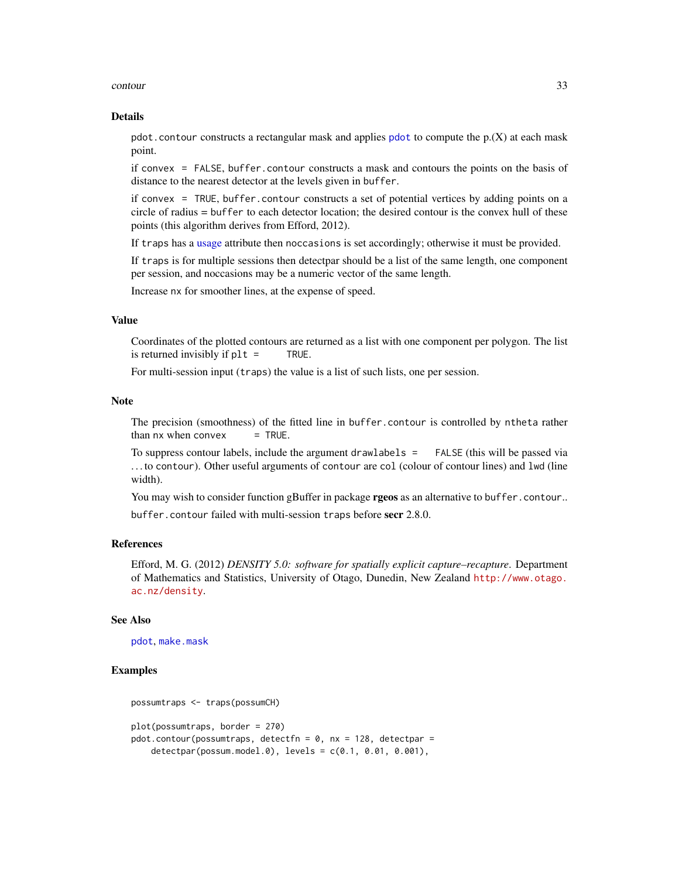#### contour 33

#### Details

[pdot](#page-119-1).contour constructs a rectangular mask and applies pdot to compute the  $p(X)$  at each mask point.

if convex = FALSE, buffer.contour constructs a mask and contours the points on the basis of distance to the nearest detector at the levels given in buffer.

if convex = TRUE, buffer.contour constructs a set of potential vertices by adding points on a circle of radius = buffer to each detector location; the desired contour is the convex hull of these points (this algorithm derives from Efford, 2012).

If traps has a [usage](#page-249-1) attribute then noccasions is set accordingly; otherwise it must be provided.

If traps is for multiple sessions then detectpar should be a list of the same length, one component per session, and noccasions may be a numeric vector of the same length.

Increase nx for smoother lines, at the expense of speed.

## Value

Coordinates of the plotted contours are returned as a list with one component per polygon. The list is returned invisibly if plt = TRUE.

For multi-session input (traps) the value is a list of such lists, one per session.

# Note

The precision (smoothness) of the fitted line in buffer.contour is controlled by ntheta rather than  $nx$  when convex  $=$  TRUE.

To suppress contour labels, include the argument drawlabels = FALSE (this will be passed via . . . to contour). Other useful arguments of contour are col (colour of contour lines) and lwd (line width).

You may wish to consider function gBuffer in package **rgeos** as an alternative to buffer.contour..

buffer.contour failed with multi-session traps before secr 2.8.0.

## References

Efford, M. G. (2012) *DENSITY 5.0: software for spatially explicit capture–recapture*. Department of Mathematics and Statistics, University of Otago, Dunedin, New Zealand [http://www.otago.](http://www.otago.ac.nz/density) [ac.nz/density](http://www.otago.ac.nz/density).

## See Also

[pdot](#page-119-1), [make.mask](#page-91-1)

## Examples

```
possumtraps <- traps(possumCH)
plot(possumtraps, border = 270)
pdot.contour(possumtraps, detectfn = 0, nx = 128, detectpar =
   detectpar(possum.model.0), levels = c(0.1, 0.01, 0.001),
```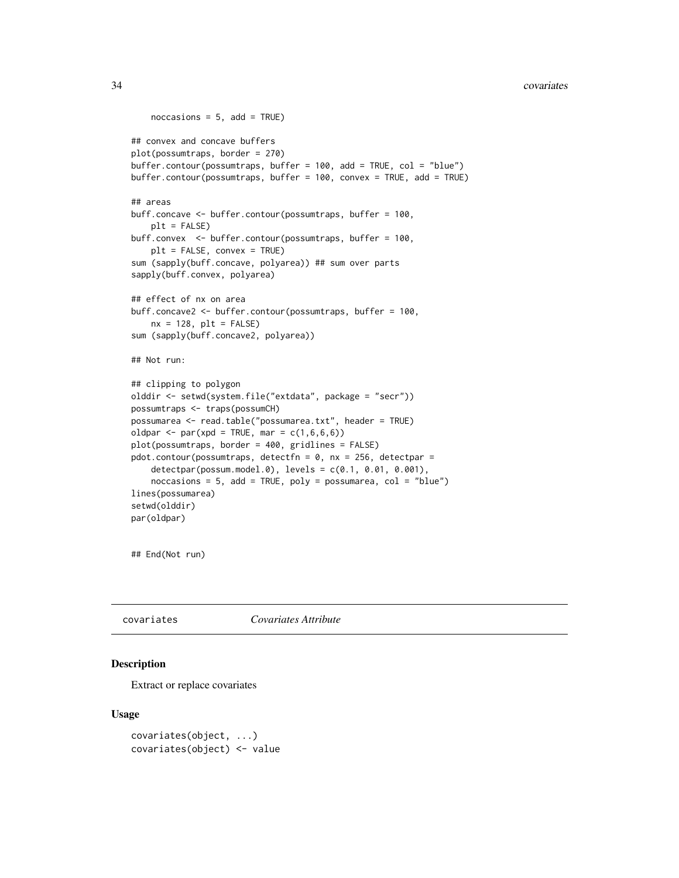#### <span id="page-33-0"></span>34 covariates

```
noccasis = 5, add = TRUE)
## convex and concave buffers
plot(possumtraps, border = 270)
buffer.contour(possumtraps, buffer = 100, add = TRUE, col = "blue")
buffer.contour(possumtraps, buffer = 100, convex = TRUE, add = TRUE)
## areas
buff.concave <- buffer.contour(possumtraps, buffer = 100,
    plt = FALSE)
buff.convex <- buffer.contour(possumtraps, buffer = 100,
    plt = FALSE, convex = TRUE)
sum (sapply(buff.concave, polyarea)) ## sum over parts
sapply(buff.convex, polyarea)
## effect of nx on area
buff.concave2 <- buffer.contour(possumtraps, buffer = 100,
    nx = 128, plt = FALSEsum (sapply(buff.concave2, polyarea))
## Not run:
## clipping to polygon
olddir <- setwd(system.file("extdata", package = "secr"))
possumtraps <- traps(possumCH)
possumarea <- read.table("possumarea.txt", header = TRUE)
oldpar <- par(xpd = TRUE, mar = c(1,6,6,6))plot(possumtraps, border = 400, gridlines = FALSE)
pdot.contour(possumtraps, detectfn = 0, nx = 256, detectpar =
    detectpar(possum.model.0), levels = c(0.1, 0.01, 0.001),
    noccasions = 5, add = TRUE, poly = possumarea, col = "blue")lines(possumarea)
setwd(olddir)
par(oldpar)
```
## End(Not run)

covariates *Covariates Attribute*

# **Description**

Extract or replace covariates

## Usage

```
covariates(object, ...)
covariates(object) <- value
```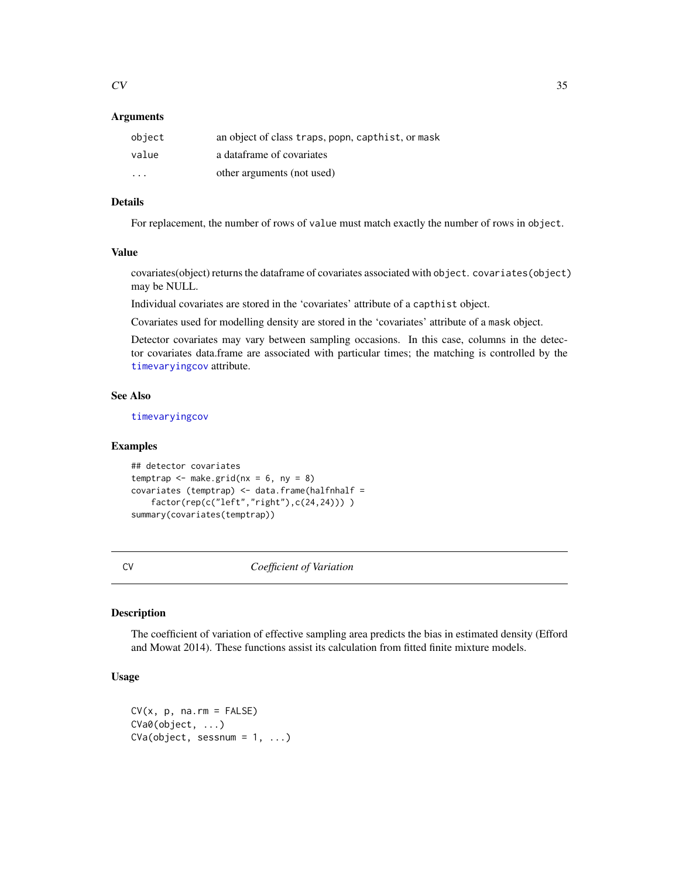## <span id="page-34-0"></span>**Arguments**

| object | an object of class traps, popn, capthist, or mask |
|--------|---------------------------------------------------|
| value  | a dataframe of covariates                         |
| .      | other arguments (not used)                        |

# Details

For replacement, the number of rows of value must match exactly the number of rows in object.

#### Value

covariates(object) returns the dataframe of covariates associated with object. covariates(object) may be NULL.

Individual covariates are stored in the 'covariates' attribute of a capthist object.

Covariates used for modelling density are stored in the 'covariates' attribute of a mask object.

Detector covariates may vary between sampling occasions. In this case, columns in the detector covariates data.frame are associated with particular times; the matching is controlled by the [timevaryingcov](#page-235-1) attribute.

# See Also

[timevaryingcov](#page-235-1)

#### Examples

```
## detector covariates
temptrap \leq make.grid(nx = 6, ny = 8)
covariates (temptrap) <- data.frame(halfnhalf =
   factor(rep(c("left","right"),c(24,24))) )
summary(covariates(temptrap))
```
CV *Coefficient of Variation*

# Description

The coefficient of variation of effective sampling area predicts the bias in estimated density (Efford and Mowat 2014). These functions assist its calculation from fitted finite mixture models.

# Usage

```
CV(x, p, na.rm = FALSE)CVa0(object, ...)
CVa(object, sesnum = 1, ...)
```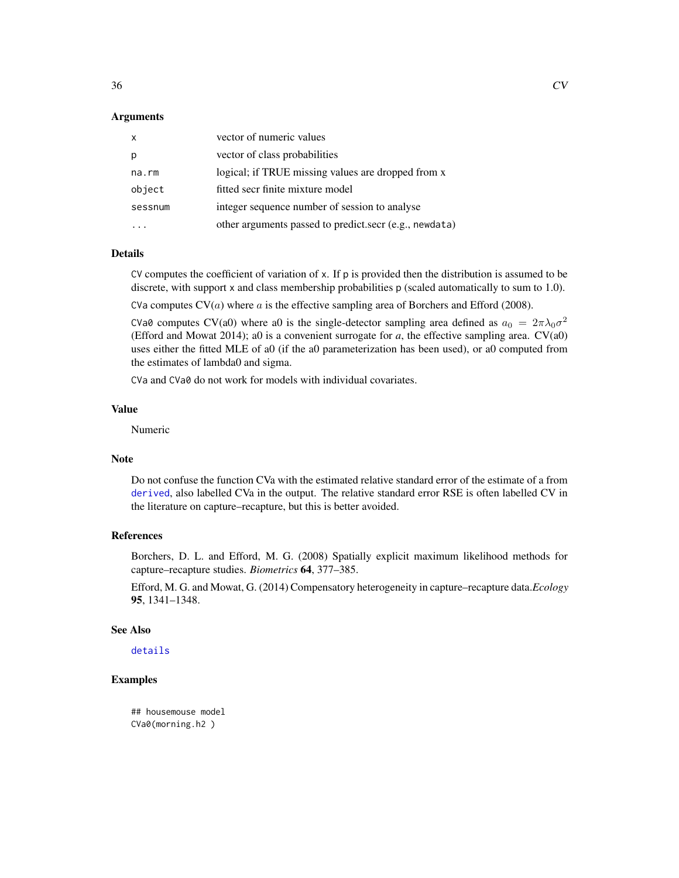## Arguments

| $\mathsf{x}$ | vector of numeric values                               |
|--------------|--------------------------------------------------------|
| p            | vector of class probabilities                          |
| na.rm        | logical; if TRUE missing values are dropped from x     |
| object       | fitted secr finite mixture model                       |
| sessnum      | integer sequence number of session to analyse          |
|              | other arguments passed to predict.secr (e.g., newdata) |

# Details

CV computes the coefficient of variation of x. If p is provided then the distribution is assumed to be discrete, with support x and class membership probabilities p (scaled automatically to sum to 1.0).

CVa computes  $CV(a)$  where a is the effective sampling area of Borchers and Efford (2008).

CVa0 computes CV(a0) where a0 is the single-detector sampling area defined as  $a_0 = 2\pi\lambda_0\sigma^2$ (Efford and Mowat 2014); a0 is a convenient surrogate for  $a$ , the effective sampling area.  $CV(a0)$ uses either the fitted MLE of a0 (if the a0 parameterization has been used), or a0 computed from the estimates of lambda0 and sigma.

CVa and CVa0 do not work for models with individual covariates.

# Value

Numeric

#### Note

Do not confuse the function CVa with the estimated relative standard error of the estimate of a from [derived](#page-39-2), also labelled CVa in the output. The relative standard error RSE is often labelled CV in the literature on capture–recapture, but this is better avoided.

# References

Borchers, D. L. and Efford, M. G. (2008) Spatially explicit maximum likelihood methods for capture–recapture studies. *Biometrics* 64, 377–385.

Efford, M. G. and Mowat, G. (2014) Compensatory heterogeneity in capture–recapture data.*Ecology* 95, 1341–1348.

## See Also

[details](#page-42-1)

# Examples

## housemouse model CVa0(morning.h2 )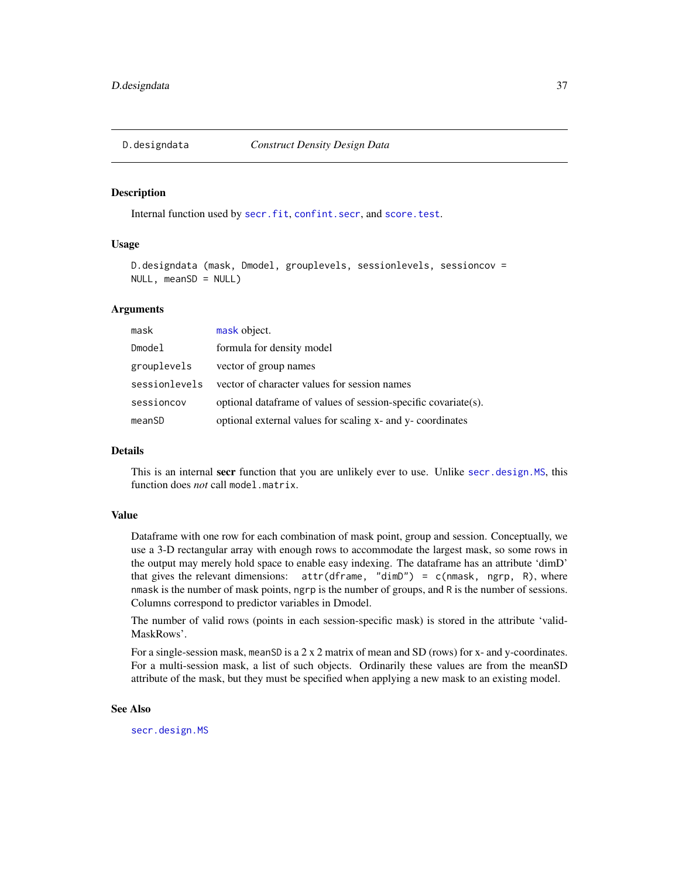## Description

Internal function used by [secr.fit](#page-176-0), [confint.secr](#page-29-0), and [score.test](#page-171-0).

# Usage

```
D.designdata (mask, Dmodel, grouplevels, sessionlevels, sessioncov =
NULL, meanSD = NULL
```
## Arguments

| mask          | mask object.                                                   |
|---------------|----------------------------------------------------------------|
| Dmodel        | formula for density model                                      |
| grouplevels   | vector of group names                                          |
| sessionlevels | vector of character values for session names                   |
| sessioncov    | optional dataframe of values of session-specific covariate(s). |
| meanSD        | optional external values for scaling x- and y- coordinates     |

## Details

This is an internal secr function that you are unlikely ever to use. Unlike [secr.design.MS](#page-174-0), this function does *not* call model.matrix.

#### Value

Dataframe with one row for each combination of mask point, group and session. Conceptually, we use a 3-D rectangular array with enough rows to accommodate the largest mask, so some rows in the output may merely hold space to enable easy indexing. The dataframe has an attribute 'dimD' that gives the relevant dimensions:  $attr(dframe, "dimD") = c(mmask, ngrp, R)$ , where nmask is the number of mask points, ngrp is the number of groups, and R is the number of sessions. Columns correspond to predictor variables in Dmodel.

The number of valid rows (points in each session-specific mask) is stored in the attribute 'valid-MaskRows'.

For a single-session mask, meanSD is a 2 x 2 matrix of mean and SD (rows) for x- and y-coordinates. For a multi-session mask, a list of such objects. Ordinarily these values are from the meanSD attribute of the mask, but they must be specified when applying a new mask to an existing model.

# See Also

[secr.design.MS](#page-174-0)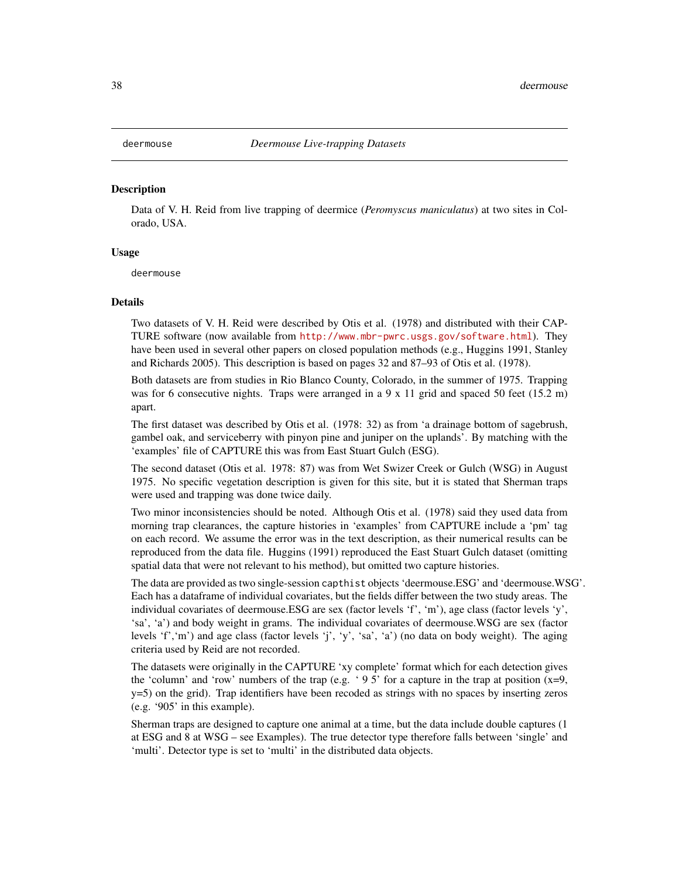## Description

Data of V. H. Reid from live trapping of deermice (*Peromyscus maniculatus*) at two sites in Colorado, USA.

## Usage

deermouse

#### Details

Two datasets of V. H. Reid were described by Otis et al. (1978) and distributed with their CAP-TURE software (now available from <http://www.mbr-pwrc.usgs.gov/software.html>). They have been used in several other papers on closed population methods (e.g., Huggins 1991, Stanley and Richards 2005). This description is based on pages 32 and 87–93 of Otis et al. (1978).

Both datasets are from studies in Rio Blanco County, Colorado, in the summer of 1975. Trapping was for 6 consecutive nights. Traps were arranged in a 9 x 11 grid and spaced 50 feet (15.2 m) apart.

The first dataset was described by Otis et al. (1978: 32) as from 'a drainage bottom of sagebrush, gambel oak, and serviceberry with pinyon pine and juniper on the uplands'. By matching with the 'examples' file of CAPTURE this was from East Stuart Gulch (ESG).

The second dataset (Otis et al. 1978: 87) was from Wet Swizer Creek or Gulch (WSG) in August 1975. No specific vegetation description is given for this site, but it is stated that Sherman traps were used and trapping was done twice daily.

Two minor inconsistencies should be noted. Although Otis et al. (1978) said they used data from morning trap clearances, the capture histories in 'examples' from CAPTURE include a 'pm' tag on each record. We assume the error was in the text description, as their numerical results can be reproduced from the data file. Huggins (1991) reproduced the East Stuart Gulch dataset (omitting spatial data that were not relevant to his method), but omitted two capture histories.

The data are provided as two single-session capthist objects 'deermouse.ESG' and 'deermouse.WSG'. Each has a dataframe of individual covariates, but the fields differ between the two study areas. The individual covariates of deermouse.ESG are sex (factor levels 'f', 'm'), age class (factor levels 'y', 'sa', 'a') and body weight in grams. The individual covariates of deermouse.WSG are sex (factor levels 'f','m') and age class (factor levels 'j', 'y', 'sa', 'a') (no data on body weight). The aging criteria used by Reid are not recorded.

The datasets were originally in the CAPTURE 'xy complete' format which for each detection gives the 'column' and 'row' numbers of the trap (e.g. '95' for a capture in the trap at position  $(x=9,$ y=5) on the grid). Trap identifiers have been recoded as strings with no spaces by inserting zeros (e.g. '905' in this example).

Sherman traps are designed to capture one animal at a time, but the data include double captures (1 at ESG and 8 at WSG – see Examples). The true detector type therefore falls between 'single' and 'multi'. Detector type is set to 'multi' in the distributed data objects.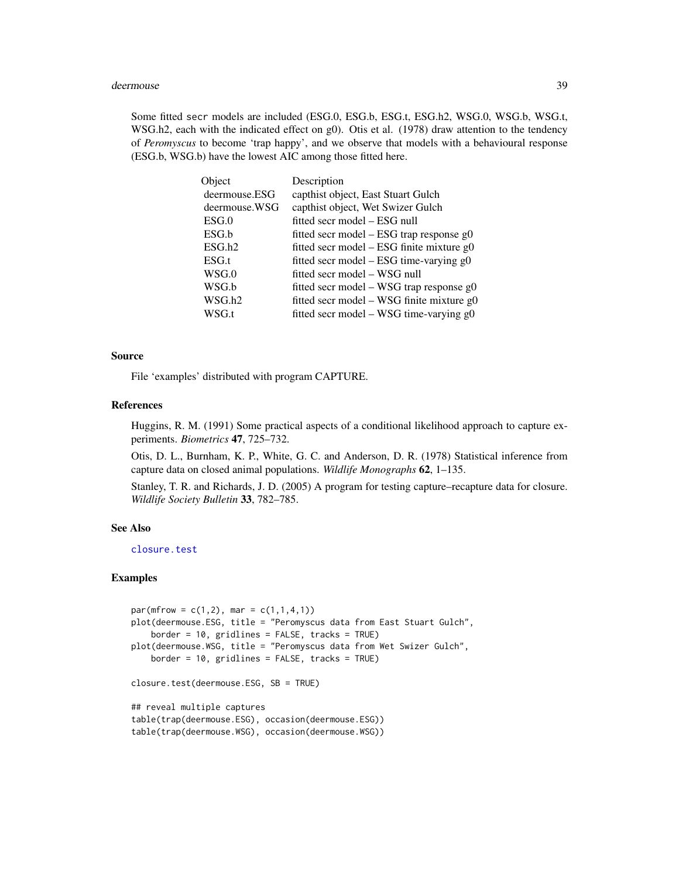#### deermouse 39

Some fitted secr models are included (ESG.0, ESG.b, ESG.t, ESG.h2, WSG.0, WSG.b, WSG.t, WSG.h2, each with the indicated effect on g0). Otis et al. (1978) draw attention to the tendency of *Peromyscus* to become 'trap happy', and we observe that models with a behavioural response (ESG.b, WSG.b) have the lowest AIC among those fitted here.

| Object             | Description                                 |
|--------------------|---------------------------------------------|
| deermouse.ESG      | capthist object, East Stuart Gulch          |
| deermouse.WSG      | capthist object, Wet Swizer Gulch           |
| ESG.0              | fitted secr model – ESG null                |
| ESG.b              | fitted secr model – ESG trap response g0    |
| ESG.h2             | fitted secr model $-$ ESG finite mixture g0 |
| ESG.t              | fitted secr model - ESG time-varying g0     |
| WSG.0              | fitted secr model – WSG null                |
| WSG.b              | fitted secr model – WSG trap response $g0$  |
| WSG.h <sub>2</sub> | fitted secr model - WSG finite mixture g0   |
| WSG.t              | fitted secr model - WSG time-varying g0     |

## Source

File 'examples' distributed with program CAPTURE.

#### References

Huggins, R. M. (1991) Some practical aspects of a conditional likelihood approach to capture experiments. *Biometrics* 47, 725–732.

Otis, D. L., Burnham, K. P., White, G. C. and Anderson, D. R. (1978) Statistical inference from capture data on closed animal populations. *Wildlife Monographs* 62, 1–135.

Stanley, T. R. and Richards, J. D. (2005) A program for testing capture–recapture data for closure. *Wildlife Society Bulletin* 33, 782–785.

## See Also

[closure.test](#page-26-0)

## Examples

```
par(mfrow = c(1,2), mar = c(1,1,4,1))plot(deermouse.ESG, title = "Peromyscus data from East Stuart Gulch",
    border = 10, gridlines = FALSE, tracks = TRUE)
plot(deermouse.WSG, title = "Peromyscus data from Wet Swizer Gulch",
   border = 10, gridlines = FALSE, tracks = TRUE)
closure.test(deermouse.ESG, SB = TRUE)
## reveal multiple captures
table(trap(deermouse.ESG), occasion(deermouse.ESG))
table(trap(deermouse.WSG), occasion(deermouse.WSG))
```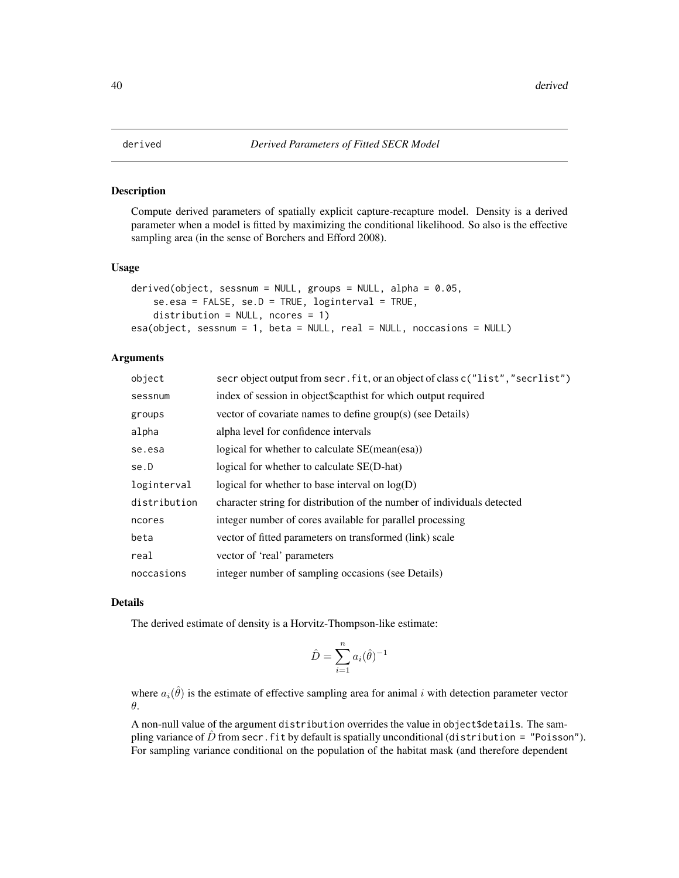<span id="page-39-0"></span>

## <span id="page-39-1"></span>Description

Compute derived parameters of spatially explicit capture-recapture model. Density is a derived parameter when a model is fitted by maximizing the conditional likelihood. So also is the effective sampling area (in the sense of Borchers and Efford 2008).

## Usage

```
derived(object, sessnum = NULL, groups = NULL, alpha = 0.05,
   se.esa = FALSE, se.D = TRUE, loginterval = TRUE,distribution = NULL, ncores = 1)
esa(object, sessnum = 1, beta = NULL, real = NULL, noccasions = NULL)
```
## **Arguments**

| secr object output from secr. fit, or an object of class $c("list", "secretist")$ |
|-----------------------------------------------------------------------------------|
| index of session in object\$capthist for which output required                    |
|                                                                                   |
|                                                                                   |
|                                                                                   |
|                                                                                   |
|                                                                                   |
| character string for distribution of the number of individuals detected           |
|                                                                                   |
|                                                                                   |
|                                                                                   |
|                                                                                   |
|                                                                                   |

## Details

The derived estimate of density is a Horvitz-Thompson-like estimate:

$$
\hat{D} = \sum_{i=1}^{n} a_i(\hat{\theta})^{-1}
$$

where  $a_i(\hat{\theta})$  is the estimate of effective sampling area for animal i with detection parameter vector θ.

A non-null value of the argument distribution overrides the value in object\$details. The sampling variance of  $\hat{D}$  from secr. fit by default is spatially unconditional (distribution = "Poisson"). For sampling variance conditional on the population of the habitat mask (and therefore dependent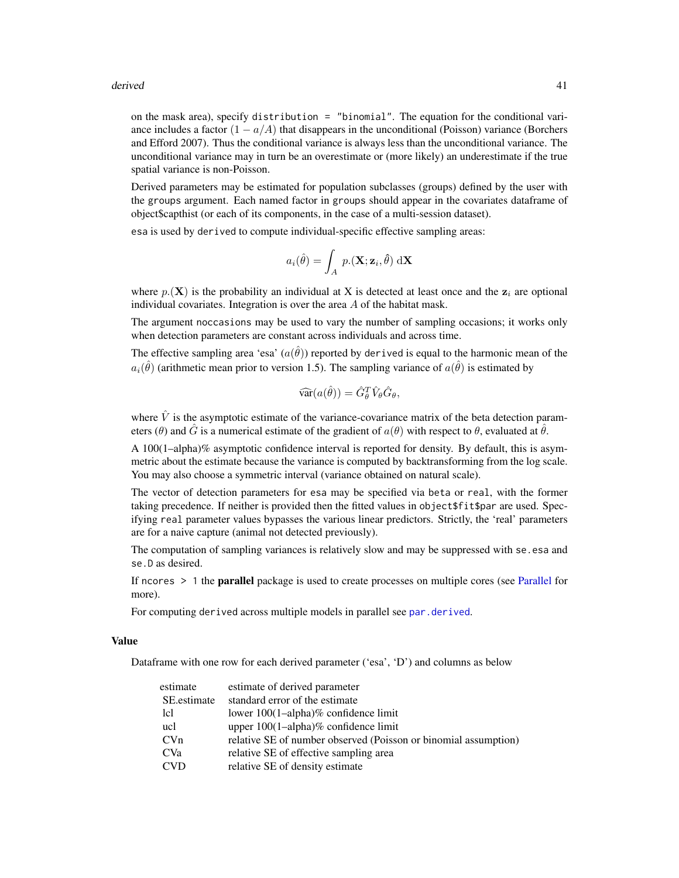#### derived 41

on the mask area), specify distribution = "binomial". The equation for the conditional variance includes a factor  $(1 - a/A)$  that disappears in the unconditional (Poisson) variance (Borchers and Efford 2007). Thus the conditional variance is always less than the unconditional variance. The unconditional variance may in turn be an overestimate or (more likely) an underestimate if the true spatial variance is non-Poisson.

Derived parameters may be estimated for population subclasses (groups) defined by the user with the groups argument. Each named factor in groups should appear in the covariates dataframe of object\$capthist (or each of its components, in the case of a multi-session dataset).

esa is used by derived to compute individual-specific effective sampling areas:

$$
a_i(\hat{\theta}) = \int_A p.(\mathbf{X}; \mathbf{z}_i, \hat{\theta}) \, d\mathbf{X}
$$

where  $p(\mathbf{X})$  is the probability an individual at X is detected at least once and the  $z_i$  are optional individual covariates. Integration is over the area  $A$  of the habitat mask.

The argument noccasions may be used to vary the number of sampling occasions; it works only when detection parameters are constant across individuals and across time.

The effective sampling area 'esa'  $(a(\hat{\theta}))$  reported by derived is equal to the harmonic mean of the  $a_i(\hat{\theta})$  (arithmetic mean prior to version 1.5). The sampling variance of  $a(\hat{\theta})$  is estimated by

$$
\widehat{\text{var}}(a(\hat{\theta})) = \hat{G}_{\theta}^{T} \hat{V}_{\theta} \hat{G}_{\theta},
$$

where  $\hat{V}$  is the asymptotic estimate of the variance-covariance matrix of the beta detection parameters (θ) and  $\hat{G}$  is a numerical estimate of the gradient of  $a(\theta)$  with respect to  $\theta$ , evaluated at  $\hat{\theta}$ .

A 100(1–alpha)% asymptotic confidence interval is reported for density. By default, this is asymmetric about the estimate because the variance is computed by backtransforming from the log scale. You may also choose a symmetric interval (variance obtained on natural scale).

The vector of detection parameters for esa may be specified via beta or real, with the former taking precedence. If neither is provided then the fitted values in object\$fit\$par are used. Specifying real parameter values bypasses the various linear predictors. Strictly, the 'real' parameters are for a naive capture (animal not detected previously).

The computation of sampling variances is relatively slow and may be suppressed with se.esa and se.D as desired.

If ncores  $> 1$  the **parallel** package is used to create processes on multiple cores (see [Parallel](#page-116-0) for more).

For computing derived across multiple models in parallel see [par.derived](#page-115-0).

# Value

Dataframe with one row for each derived parameter ('esa', 'D') and columns as below

| estimate        | estimate of derived parameter                                   |
|-----------------|-----------------------------------------------------------------|
| SE.estimate     | standard error of the estimate                                  |
| lcl             | lower $100(1–alpha)$ % confidence limit                         |
| ucl             | upper $100(1$ -alpha)% confidence limit                         |
| CVn             | relative SE of number observed (Poisson or binomial assumption) |
| CV <sub>a</sub> | relative SE of effective sampling area                          |
| <b>CVD</b>      | relative SE of density estimate                                 |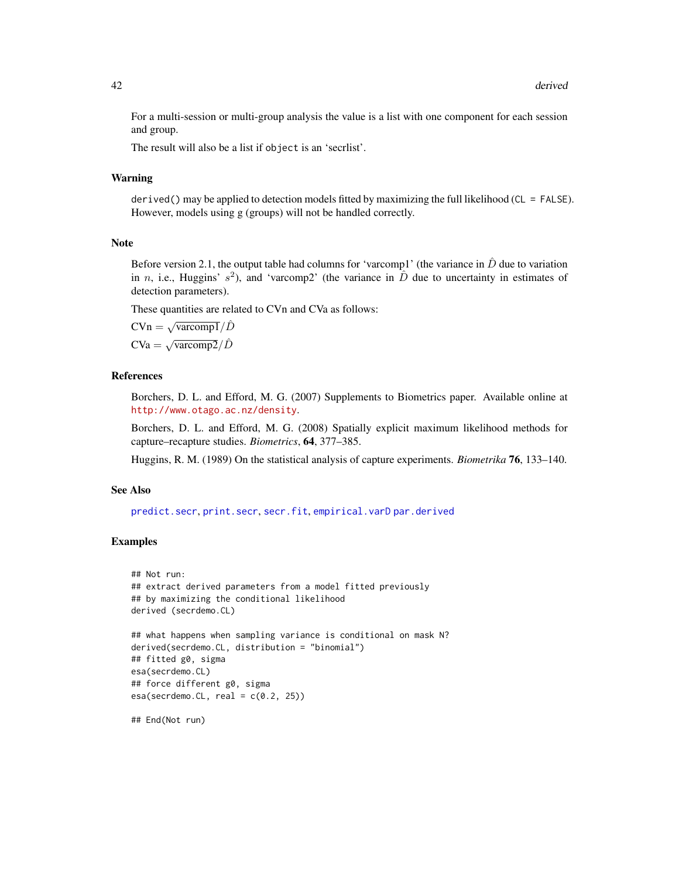For a multi-session or multi-group analysis the value is a list with one component for each session and group.

The result will also be a list if object is an 'secrlist'.

## Warning

derived() may be applied to detection models fitted by maximizing the full likelihood (CL = FALSE). However, models using g (groups) will not be handled correctly.

# Note

Before version 2.1, the output table had columns for 'varcomp1' (the variance in  $\hat{D}$  due to variation in n, i.e., Huggins'  $s^2$ ), and 'varcomp2' (the variance in  $\hat{D}$  due to uncertainty in estimates of detection parameters).

These quantities are related to CVn and CVa as follows:

$$
C V n = \sqrt{\text{vacomp1}} / \hat{D}
$$

$$
C V a = \sqrt{\text{vacomp2}} / \hat{D}
$$

### **References**

Borchers, D. L. and Efford, M. G. (2007) Supplements to Biometrics paper. Available online at <http://www.otago.ac.nz/density>.

Borchers, D. L. and Efford, M. G. (2008) Spatially explicit maximum likelihood methods for capture–recapture studies. *Biometrics*, 64, 377–385.

Huggins, R. M. (1989) On the statistical analysis of capture experiments. *Biometrika* 76, 133–140.

#### See Also

[predict.secr](#page-139-0), [print.secr](#page-144-0), [secr.fit](#page-176-0), [empirical.varD](#page-51-0) [par.derived](#page-115-0)

# Examples

```
## Not run:
## extract derived parameters from a model fitted previously
## by maximizing the conditional likelihood
derived (secrdemo.CL)
## what happens when sampling variance is conditional on mask N?
derived(secrdemo.CL, distribution = "binomial")
## fitted g0, sigma
esa(secrdemo.CL)
## force different g0, sigma
esa(secrdemo.CL, real = c(0.2, 25))## End(Not run)
```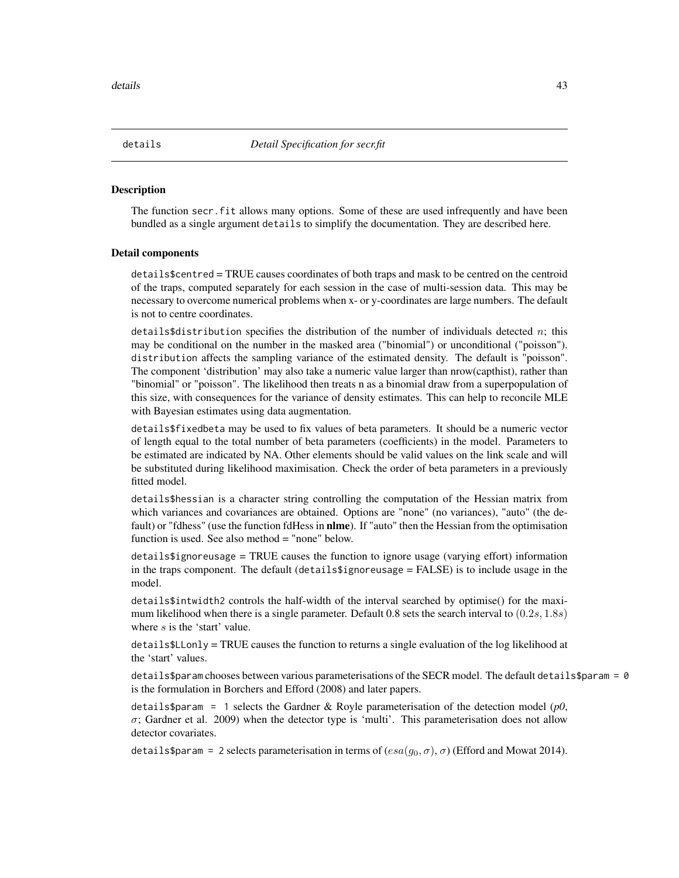### **Description**

The function secr.fit allows many options. Some of these are used infrequently and have been bundled as a single argument details to simplify the documentation. They are described here.

#### Detail components

details\$centred = TRUE causes coordinates of both traps and mask to be centred on the centroid of the traps, computed separately for each session in the case of multi-session data. This may be necessary to overcome numerical problems when x- or y-coordinates are large numbers. The default is not to centre coordinates.

details\$distribution specifies the distribution of the number of individuals detected n; this may be conditional on the number in the masked area ("binomial") or unconditional ("poisson"). distribution affects the sampling variance of the estimated density. The default is "poisson". The component 'distribution' may also take a numeric value larger than nrow(capthist), rather than "binomial" or "poisson". The likelihood then treats n as a binomial draw from a superpopulation of this size, with consequences for the variance of density estimates. This can help to reconcile MLE with Bayesian estimates using data augmentation.

details\$fixedbeta may be used to fix values of beta parameters. It should be a numeric vector of length equal to the total number of beta parameters (coefficients) in the model. Parameters to be estimated are indicated by NA. Other elements should be valid values on the link scale and will be substituted during likelihood maximisation. Check the order of beta parameters in a previously fitted model.

details\$hessian is a character string controlling the computation of the Hessian matrix from which variances and covariances are obtained. Options are "none" (no variances), "auto" (the default) or "fdhess" (use the function fdHess in **nlme**). If "auto" then the Hessian from the optimisation function is used. See also method  $=$  "none" below.

details\$ignoreusage = TRUE causes the function to ignore usage (varying effort) information in the traps component. The default (details\$ignoreusage = FALSE) is to include usage in the model.

details\$intwidth2 controls the half-width of the interval searched by optimise() for the maximum likelihood when there is a single parameter. Default 0.8 sets the search interval to  $(0.2s, 1.8s)$ where s is the 'start' value.

details\$LLonly = TRUE causes the function to returns a single evaluation of the log likelihood at the 'start' values.

details\$param chooses between various parameterisations of the SECR model. The default details\$param = 0 is the formulation in Borchers and Efford (2008) and later papers.

details\$param = 1 selects the Gardner & Royle parameterisation of the detection model (*p0*,  $\sigma$ ; Gardner et al. 2009) when the detector type is 'multi'. This parameterisation does not allow detector covariates.

details\$param = 2 selects parameterisation in terms of  $(esa(g_0, \sigma), \sigma)$  (Efford and Mowat 2014).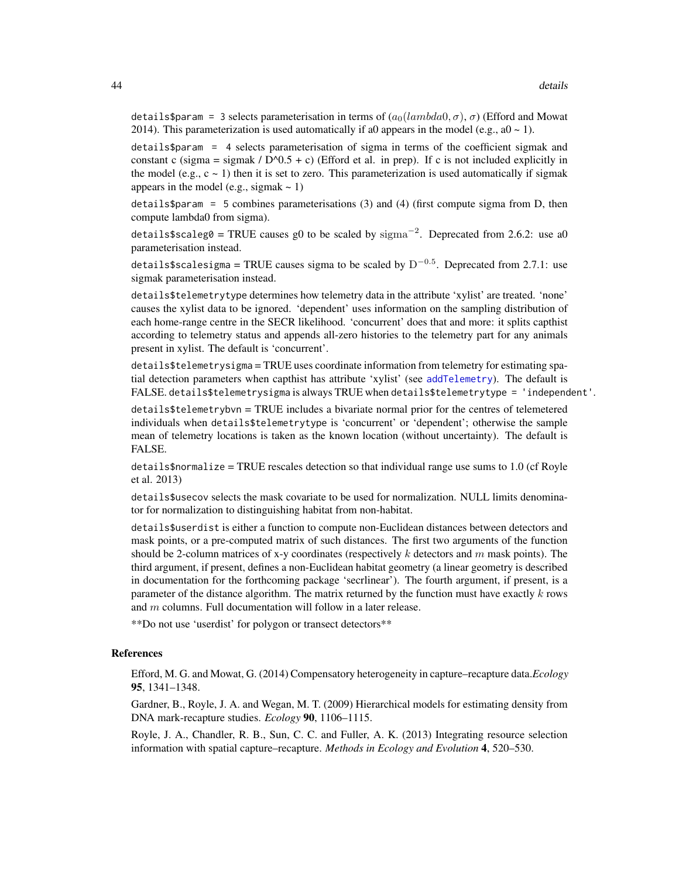details\$param = 3 selects parameterisation in terms of  $(a_0(lambda, \sigma), \sigma)$  (Efford and Mowat 2014). This parameterization is used automatically if a0 appears in the model (e.g.,  $a0 \sim 1$ ).

details\$param = 4 selects parameterisation of sigma in terms of the coefficient sigmak and constant c (sigma = sigmak /  $D^0(0.5 + c)$  (Efford et al. in prep). If c is not included explicitly in the model (e.g.,  $c \sim 1$ ) then it is set to zero. This parameterization is used automatically if sigmak appears in the model (e.g., sigmak  $\sim$  1)

 $\text{details}$   $\text{span}$  = 5 combines parameterisations (3) and (4) (first compute sigma from D, then compute lambda0 from sigma).

details\$scaleg0 = TRUE causes g0 to be scaled by  $\text{sigma}^{-2}$ . Deprecated from 2.6.2: use a0 parameterisation instead.

details\$scalesigma = TRUE causes sigma to be scaled by  $\mathrm{D}^{-0.5}.$  Deprecated from 2.7.1: use sigmak parameterisation instead.

details\$telemetrytype determines how telemetry data in the attribute 'xylist' are treated. 'none' causes the xylist data to be ignored. 'dependent' uses information on the sampling distribution of each home-range centre in the SECR likelihood. 'concurrent' does that and more: it splits capthist according to telemetry status and appends all-zero histories to the telemetry part for any animals present in xylist. The default is 'concurrent'.

details\$telemetrysigma = TRUE uses coordinate information from telemetry for estimating spatial detection parameters when capthist has attribute 'xylist' (see [addTelemetry](#page-8-0)). The default is FALSE. details\$telemetrysigma is always TRUE when details\$telemetrytype = 'independent'.

details\$telemetrybvn = TRUE includes a bivariate normal prior for the centres of telemetered individuals when details\$telemetrytype is 'concurrent' or 'dependent'; otherwise the sample mean of telemetry locations is taken as the known location (without uncertainty). The default is FALSE.

 $details on  $1.0$  (cf Rove)$  details are  $TRUE$  rescales detection so that individual range use sums to 1.0 (cf Royle et al. 2013)

details\$usecov selects the mask covariate to be used for normalization. NULL limits denominator for normalization to distinguishing habitat from non-habitat.

details\$userdist is either a function to compute non-Euclidean distances between detectors and mask points, or a pre-computed matrix of such distances. The first two arguments of the function should be 2-column matrices of x-y coordinates (respectively  $k$  detectors and  $m$  mask points). The third argument, if present, defines a non-Euclidean habitat geometry (a linear geometry is described in documentation for the forthcoming package 'secrlinear'). The fourth argument, if present, is a parameter of the distance algorithm. The matrix returned by the function must have exactly  $k$  rows and m columns. Full documentation will follow in a later release.

\*\*Do not use 'userdist' for polygon or transect detectors\*\*

# References

Efford, M. G. and Mowat, G. (2014) Compensatory heterogeneity in capture–recapture data.*Ecology* 95, 1341–1348.

Gardner, B., Royle, J. A. and Wegan, M. T. (2009) Hierarchical models for estimating density from DNA mark-recapture studies. *Ecology* 90, 1106–1115.

Royle, J. A., Chandler, R. B., Sun, C. C. and Fuller, A. K. (2013) Integrating resource selection information with spatial capture–recapture. *Methods in Ecology and Evolution* 4, 520–530.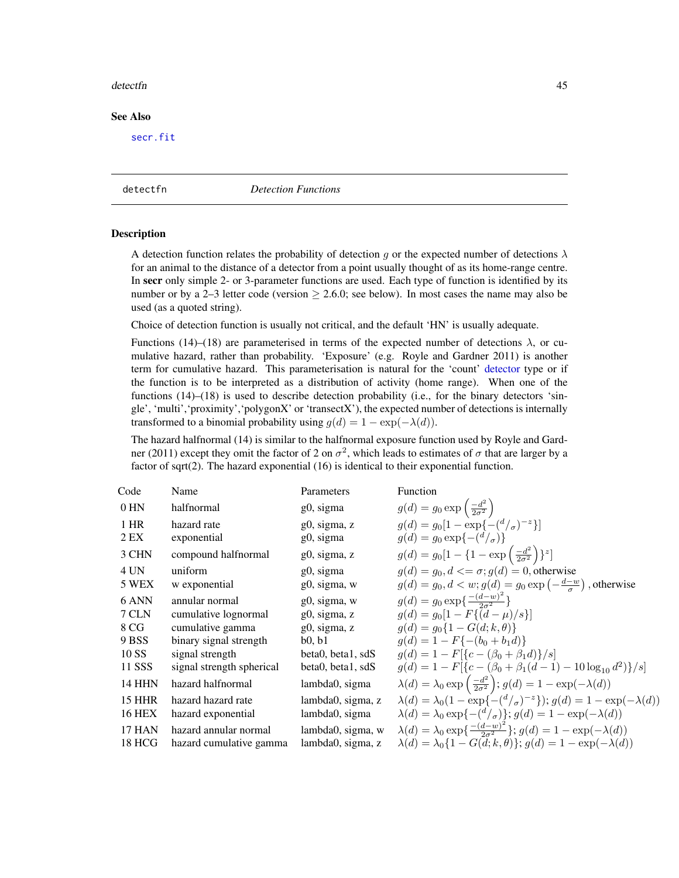#### detectfn and the control of the control of the control of the control of the control of the control of the control of the control of the control of the control of the control of the control of the control of the control of

# See Also

[secr.fit](#page-176-0)

<span id="page-44-0"></span>detectfn *Detection Functions*

#### **Description**

A detection function relates the probability of detection q or the expected number of detections  $\lambda$ for an animal to the distance of a detector from a point usually thought of as its home-range centre. In secr only simple 2- or 3-parameter functions are used. Each type of function is identified by its number or by a 2–3 letter code (version  $\geq$  2.6.0; see below). In most cases the name may also be used (as a quoted string).

Choice of detection function is usually not critical, and the default 'HN' is usually adequate.

Functions (14)–(18) are parameterised in terms of the expected number of detections  $\lambda$ , or cumulative hazard, rather than probability. 'Exposure' (e.g. Royle and Gardner 2011) is another term for cumulative hazard. This parameterisation is natural for the 'count' [detector](#page-46-0) type or if the function is to be interpreted as a distribution of activity (home range). When one of the functions (14)–(18) is used to describe detection probability (i.e., for the binary detectors 'single', 'multi','proximity','polygonX' or 'transectX'), the expected number of detections is internally transformed to a binomial probability using  $g(d) = 1 - \exp(-\lambda(d)).$ 

The hazard halfnormal (14) is similar to the halfnormal exposure function used by Royle and Gardner (2011) except they omit the factor of 2 on  $\sigma^2$ , which leads to estimates of  $\sigma$  that are larger by a factor of sqrt(2). The hazard exponential (16) is identical to their exponential function.

| Code          | Name                       | Parameters                   | Function                                                                                               |
|---------------|----------------------------|------------------------------|--------------------------------------------------------------------------------------------------------|
| $0$ HN        | halfnormal                 | g0, sigma                    | $g(d) = g_0 \exp\left(\frac{-d^2}{2\sigma^2}\right)$                                                   |
| 1 HR<br>2 EX  | hazard rate<br>exponential | $g0$ , sigma, z<br>g0, sigma | $q(d) = q_0[1 - \exp(-\frac{d}{\sigma})^{-z}]$<br>$g(d) = g_0 \exp\{-(\frac{d}{a})\}$                  |
| 3 CHN         | compound halfnormal        | g0, sigma, z                 | $g(d) = g_0[1 - \{1 - \exp\left(\frac{-d^2}{2\sigma^2}\right)\}^z]$                                    |
| 4 UN          | uniform                    | g0, sigma                    | $q(d) = q_0, d \leq \sigma$ ; $q(d) = 0$ , otherwise                                                   |
| 5 WEX         | w exponential              | g0, sigma, w                 | $g(d) = g_0, d < w$ ; $g(d) = g_0 \exp\left(-\frac{d-w}{\sigma}\right)$ , otherwise                    |
| 6 ANN         | annular normal             | g0, sigma, w                 | $g(d) = g_0 \exp\left\{\frac{-(d-w)^2}{2\sigma^2}\right\}$                                             |
| 7 CLN         | cumulative lognormal       | g0, sigma, z                 | $q(d) = q_0[1 - F{(d - \mu)/s}]$                                                                       |
| 8 CG          | cumulative gamma           | g0, sigma, z                 | $g(d) = g_0\{1 - G(d; k, \theta)\}\$                                                                   |
| 9 BSS         | binary signal strength     | b0, b1                       | $q(d) = 1 - F\{-(b_0 + b_1 d)\}\$                                                                      |
| 10 SS         | signal strength            | beta0, beta1, sdS            | $q(d) = 1 - F[{c - (\beta_0 + \beta_1 d)}/s]$                                                          |
| 11 SSS        | signal strength spherical  | beta0, beta1, sdS            | $g(d) = 1 - F[{c - (\beta_0 + \beta_1(d-1) - 10 \log_{10} d^2)}/s]$                                    |
| <b>14 HHN</b> | hazard halfnormal          | lambda0, sigma               | $\lambda(d) = \lambda_0 \exp\left(\frac{-d^2}{2\sigma^2}\right); g(d) = 1 - \exp(-\lambda(d))$         |
| <b>15 HHR</b> | hazard hazard rate         | lambda0, sigma, z            | $\lambda(d) = \lambda_0(1 - \exp\{-(d/\sigma)^{-z}\}); g(d) = 1 - \exp(-\lambda(d))$                   |
| <b>16 HEX</b> | hazard exponential         | lambda0, sigma               | $\lambda(d) = \lambda_0 \exp\{-(\frac{d}{\sigma})\}; g(d) = 1 - \exp(-\lambda(d))$                     |
| <b>17 HAN</b> | hazard annular normal      | lambda0, sigma, w            | $\lambda(d) = \lambda_0 \exp\left\{ \frac{-(d-w)^2}{2\sigma^2} \right\}; g(d) = 1 - \exp(-\lambda(d))$ |
| 18 HCG        | hazard cumulative gamma    | lambda0, sigma, z            | $\lambda(d) = \lambda_0 \{ 1 - G(d; k, \theta) \}; g(d) = 1 - \exp(-\lambda(d))$                       |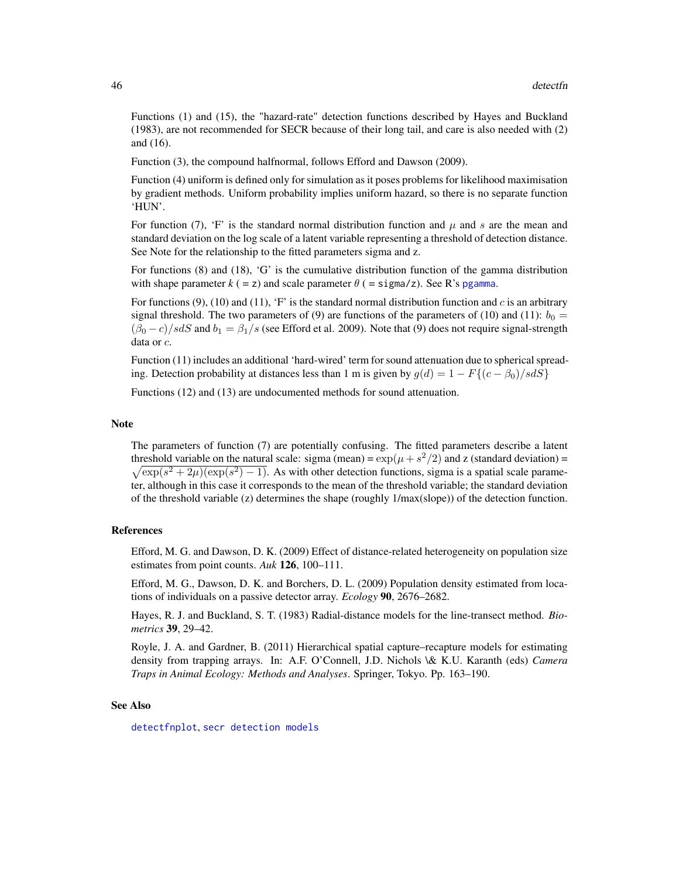Functions (1) and (15), the "hazard-rate" detection functions described by Hayes and Buckland (1983), are not recommended for SECR because of their long tail, and care is also needed with (2) and (16).

Function (3), the compound halfnormal, follows Efford and Dawson (2009).

Function (4) uniform is defined only for simulation as it poses problems for likelihood maximisation by gradient methods. Uniform probability implies uniform hazard, so there is no separate function 'HUN'.

For function (7), 'F' is the standard normal distribution function and  $\mu$  and s are the mean and standard deviation on the log scale of a latent variable representing a threshold of detection distance. See Note for the relationship to the fitted parameters sigma and z.

For functions (8) and (18), 'G' is the cumulative distribution function of the gamma distribution with shape parameter  $k (=z)$  and scale parameter  $\theta$  (= sigma/z). See R's [pgamma](#page-0-0).

For functions  $(9)$ ,  $(10)$  and  $(11)$ , 'F' is the standard normal distribution function and c is an arbitrary signal threshold. The two parameters of (9) are functions of the parameters of (10) and (11):  $b_0 =$  $(\beta_0 - c)/s dS$  and  $b_1 = \beta_1/s$  (see Efford et al. 2009). Note that (9) does not require signal-strength data or c.

Function (11) includes an additional 'hard-wired' term for sound attenuation due to spherical spreading. Detection probability at distances less than 1 m is given by  $g(d) = 1 - F\{(c - \beta_0)/s dS\}$ 

Functions (12) and (13) are undocumented methods for sound attenuation.

#### Note

The parameters of function (7) are potentially confusing. The fitted parameters describe a latent threshold variable on the natural scale: sigma (mean) =  $\exp(\mu + s^2/2)$  and z (standard deviation) =  $\sqrt{\exp(s^2 + 2\mu)(\exp(s^2) - 1)}$ . As with other detection functions, sigma is a spatial scale parameter, although in this case it corresponds to the mean of the threshold variable; the standard deviation of the threshold variable (z) determines the shape (roughly 1/max(slope)) of the detection function.

#### References

Efford, M. G. and Dawson, D. K. (2009) Effect of distance-related heterogeneity on population size estimates from point counts. *Auk* 126, 100–111.

Efford, M. G., Dawson, D. K. and Borchers, D. L. (2009) Population density estimated from locations of individuals on a passive detector array. *Ecology* 90, 2676–2682.

Hayes, R. J. and Buckland, S. T. (1983) Radial-distance models for the line-transect method. *Biometrics* 39, 29–42.

Royle, J. A. and Gardner, B. (2011) Hierarchical spatial capture–recapture models for estimating density from trapping arrays. In: A.F. O'Connell, J.D. Nichols \& K.U. Karanth (eds) *Camera Traps in Animal Ecology: Methods and Analyses*. Springer, Tokyo. Pp. 163–190.

#### See Also

[detectfnplot](#page-130-0), [secr detection models](#page-0-0)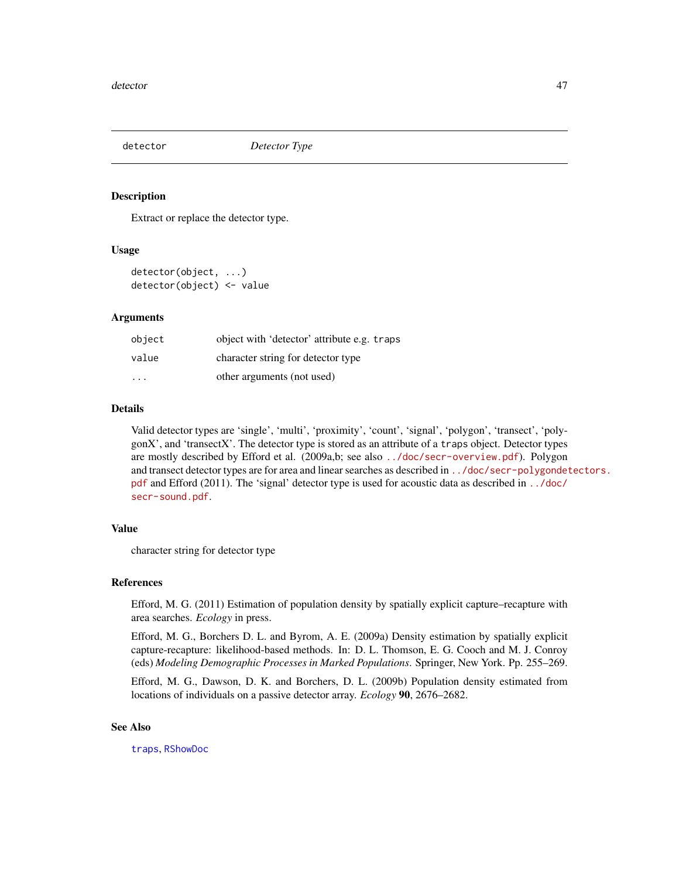<span id="page-46-0"></span>

## Description

Extract or replace the detector type.

## Usage

detector(object, ...) detector(object) <- value

#### Arguments

| object | object with 'detector' attribute e.g. traps |
|--------|---------------------------------------------|
| value  | character string for detector type          |
| .      | other arguments (not used)                  |

# Details

Valid detector types are 'single', 'multi', 'proximity', 'count', 'signal', 'polygon', 'transect', 'polygonX', and 'transectX'. The detector type is stored as an attribute of a traps object. Detector types are mostly described by Efford et al. (2009a,b; see also <../doc/secr-overview.pdf>). Polygon and transect detector types are for area and linear searches as described in [../doc/secr-polygondet](../doc/secr-polygondetectors.pdf)ectors. [pdf](../doc/secr-polygondetectors.pdf) and Efford (2011). The 'signal' detector type is used for acoustic data as described in [../doc/](../doc/secr-sound.pdf) [secr-sound.pdf](../doc/secr-sound.pdf).

## Value

character string for detector type

## References

Efford, M. G. (2011) Estimation of population density by spatially explicit capture–recapture with area searches. *Ecology* in press.

Efford, M. G., Borchers D. L. and Byrom, A. E. (2009a) Density estimation by spatially explicit capture-recapture: likelihood-based methods. In: D. L. Thomson, E. G. Cooch and M. J. Conroy (eds) *Modeling Demographic Processes in Marked Populations*. Springer, New York. Pp. 255–269.

Efford, M. G., Dawson, D. K. and Borchers, D. L. (2009b) Population density estimated from locations of individuals on a passive detector array. *Ecology* 90, 2676–2682.

## See Also

[traps](#page-243-0), [RShowDoc](#page-0-0)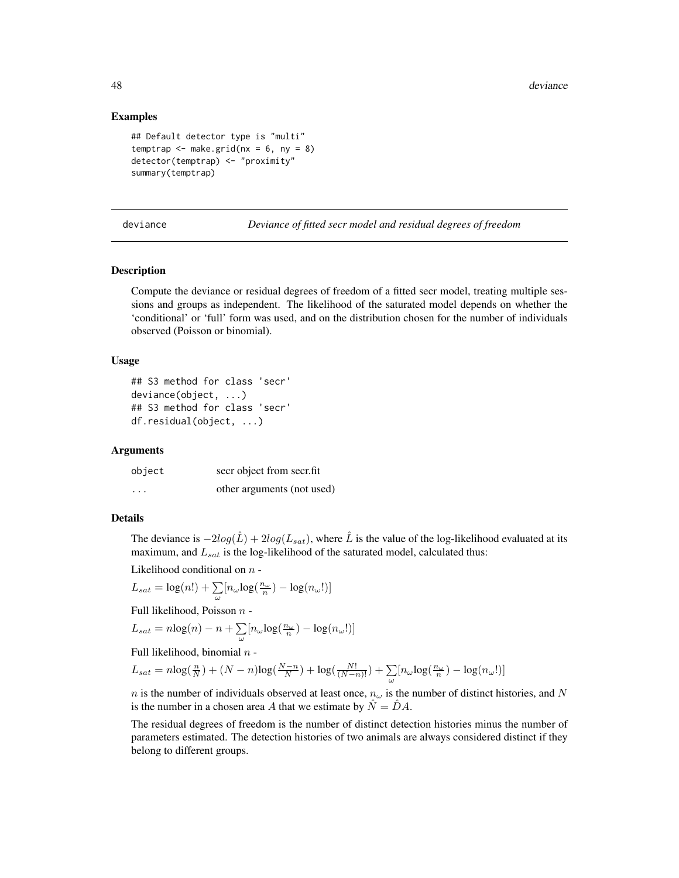## Examples

```
## Default detector type is "multi"
temptrap \leq make.grid(nx = 6, ny = 8)
detector(temptrap) <- "proximity"
summary(temptrap)
```
deviance *Deviance of fitted secr model and residual degrees of freedom*

#### Description

Compute the deviance or residual degrees of freedom of a fitted secr model, treating multiple sessions and groups as independent. The likelihood of the saturated model depends on whether the 'conditional' or 'full' form was used, and on the distribution chosen for the number of individuals observed (Poisson or binomial).

# Usage

```
## S3 method for class 'secr'
deviance(object, ...)
## S3 method for class 'secr'
df.residual(object, ...)
```
## Arguments

| object   | secr object from secr.fit  |  |
|----------|----------------------------|--|
| $\cdots$ | other arguments (not used) |  |

## Details

The deviance is  $-2log(\hat{L}) + 2log(L_{sat})$ , where  $\hat{L}$  is the value of the log-likelihood evaluated at its maximum, and  $L_{sat}$  is the log-likelihood of the saturated model, calculated thus:

Likelihood conditional on  $n-$ 

$$
L_{sat} = \log(n!) + \sum_{\omega} [n_{\omega} \log(\frac{n_{\omega}}{n}) - \log(n_{\omega}!)]
$$

Full likelihood, Poisson n -

$$
L_{sat} = n \log(n) - n + \sum_{\omega} [n_{\omega} \log(\frac{n_{\omega}}{n}) - \log(n_{\omega}!)]
$$

Full likelihood, binomial  $n -$ 

$$
L_{sat}=n\text{log}(\tfrac{n}{N})+(N-n)\text{log}(\tfrac{N-n}{N})+\text{log}(\tfrac{N!}{(N-n)!})+\sum_{\omega}[n_{\omega}\text{log}(\tfrac{n_{\omega}}{n})-\text{log}(n_{\omega}!)]
$$

n is the number of individuals observed at least once,  $n_{\omega}$  is the number of distinct histories, and N is the number in a chosen area A that we estimate by  $\hat{N} = \hat{D}A$ .

The residual degrees of freedom is the number of distinct detection histories minus the number of parameters estimated. The detection histories of two animals are always considered distinct if they belong to different groups.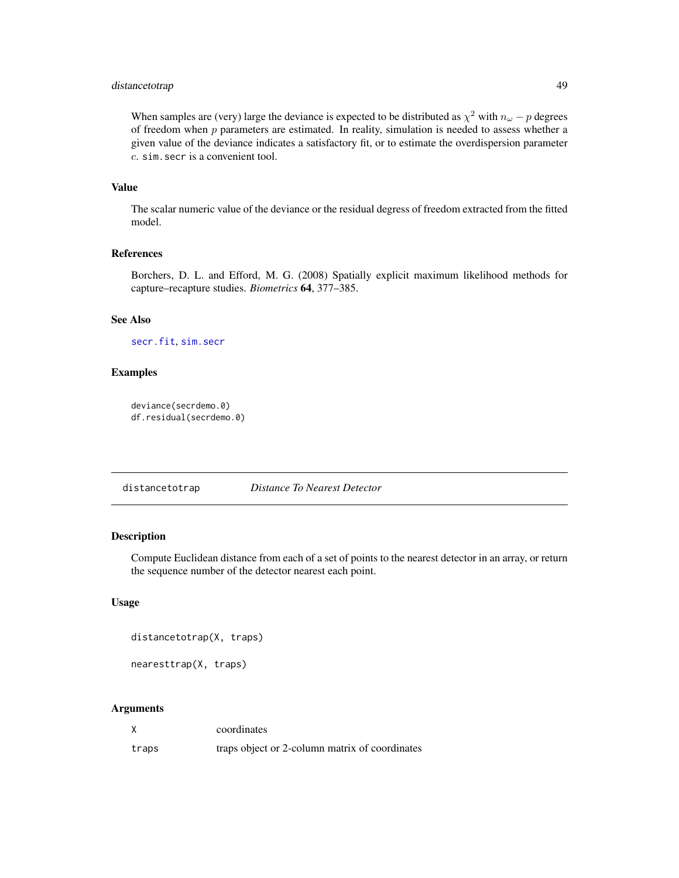# distancetotrap 49

When samples are (very) large the deviance is expected to be distributed as  $\chi^2$  with  $n_{\omega} - p$  degrees of freedom when  $p$  parameters are estimated. In reality, simulation is needed to assess whether a given value of the deviance indicates a satisfactory fit, or to estimate the overdispersion parameter c. sim.secr is a convenient tool.

## Value

The scalar numeric value of the deviance or the residual degress of freedom extracted from the fitted model.

## References

Borchers, D. L. and Efford, M. G. (2008) Spatially explicit maximum likelihood methods for capture–recapture studies. *Biometrics* 64, 377–385.

# See Also

[secr.fit](#page-176-0), [sim.secr](#page-204-0)

# Examples

```
deviance(secrdemo.0)
df.residual(secrdemo.0)
```
distancetotrap *Distance To Nearest Detector*

# Description

Compute Euclidean distance from each of a set of points to the nearest detector in an array, or return the sequence number of the detector nearest each point.

## Usage

```
distancetotrap(X, traps)
```
nearesttrap(X, traps)

#### Arguments

|       | coordinates                                    |
|-------|------------------------------------------------|
| traps | traps object or 2-column matrix of coordinates |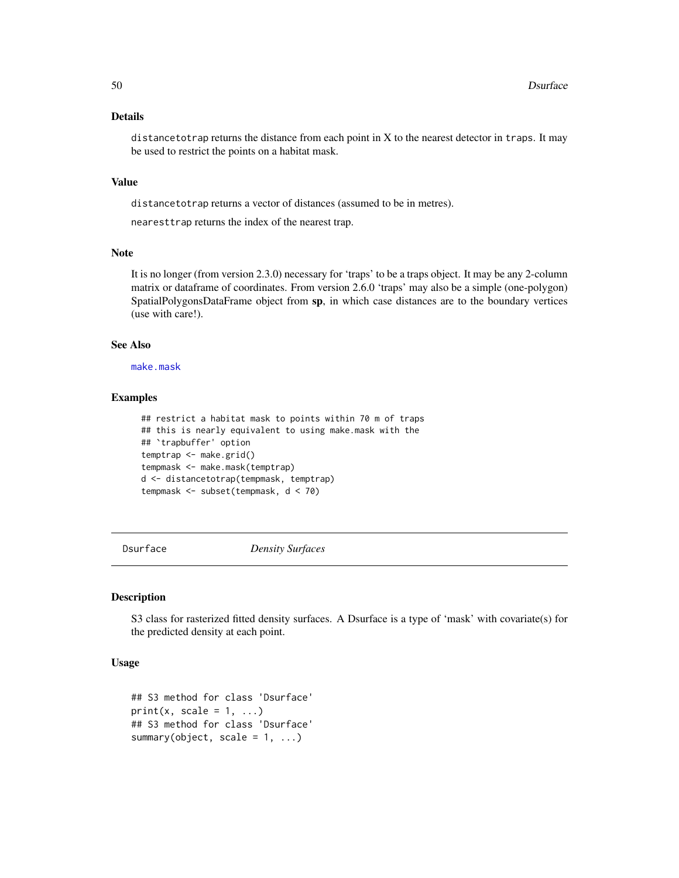## Details

distancetotrap returns the distance from each point in X to the nearest detector in traps. It may be used to restrict the points on a habitat mask.

## Value

distancetotrap returns a vector of distances (assumed to be in metres).

nearesttrap returns the index of the nearest trap.

# Note

It is no longer (from version 2.3.0) necessary for 'traps' to be a traps object. It may be any 2-column matrix or dataframe of coordinates. From version 2.6.0 'traps' may also be a simple (one-polygon) SpatialPolygonsDataFrame object from sp, in which case distances are to the boundary vertices (use with care!).

#### See Also

[make.mask](#page-91-0)

## Examples

```
## restrict a habitat mask to points within 70 m of traps
## this is nearly equivalent to using make.mask with the
## `trapbuffer' option
temptrap <- make.grid()
tempmask <- make.mask(temptrap)
d <- distancetotrap(tempmask, temptrap)
tempmask <- subset(tempmask, d < 70)
```
Dsurface *Density Surfaces*

# Description

S3 class for rasterized fitted density surfaces. A Dsurface is a type of 'mask' with covariate(s) for the predicted density at each point.

# Usage

```
## S3 method for class 'Dsurface'
print(x, scale = 1, ...)
## S3 method for class 'Dsurface'
summary(object, scale = 1, ...)
```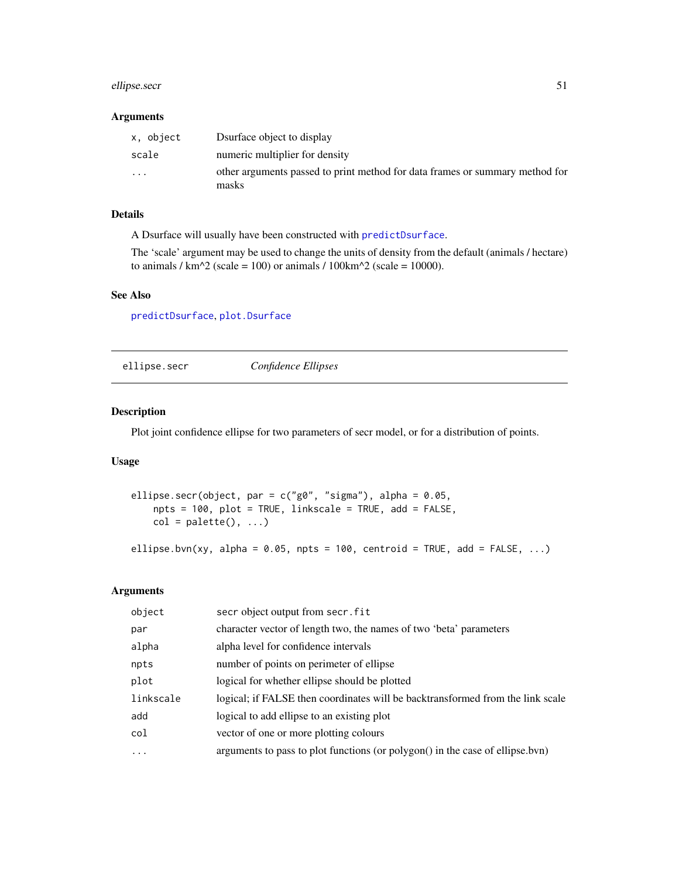# ellipse.secr 51

## Arguments

| x, object | Dsurface object to display                                                            |
|-----------|---------------------------------------------------------------------------------------|
| scale     | numeric multiplier for density                                                        |
| $\cdots$  | other arguments passed to print method for data frames or summary method for<br>masks |

# Details

A Dsurface will usually have been constructed with [predictDsurface](#page-141-0).

The 'scale' argument may be used to change the units of density from the default (animals / hectare) to animals /  $km^2$  (scale = 100) or animals / 100 $km^2$  (scale = 10000).

#### See Also

[predictDsurface](#page-141-0), [plot.Dsurface](#page-125-0)

ellipse.secr *Confidence Ellipses*

# Description

Plot joint confidence ellipse for two parameters of secr model, or for a distribution of points.

## Usage

```
ellipse.secr(object, par = c("g0", "sigma"), alpha = 0.05,
   npts = 100, plot = TRUE, linkscale = TRUE, add = FALSE,
   col = palette(), ...)ellipse.bvn(xy, alpha = 0.05, npts = 100, centroid = TRUE, add = FALSE, ...)
```
# Arguments

| object    | secr object output from secr. fit                                              |
|-----------|--------------------------------------------------------------------------------|
| par       | character vector of length two, the names of two 'beta' parameters             |
| alpha     | alpha level for confidence intervals                                           |
| npts      | number of points on perimeter of ellipse                                       |
| plot      | logical for whether ellipse should be plotted                                  |
| linkscale | logical; if FALSE then coordinates will be backtransformed from the link scale |
| add       | logical to add ellipse to an existing plot                                     |
| col       | vector of one or more plotting colours                                         |
| .         | arguments to pass to plot functions (or polygon() in the case of ellipse.bvn)  |
|           |                                                                                |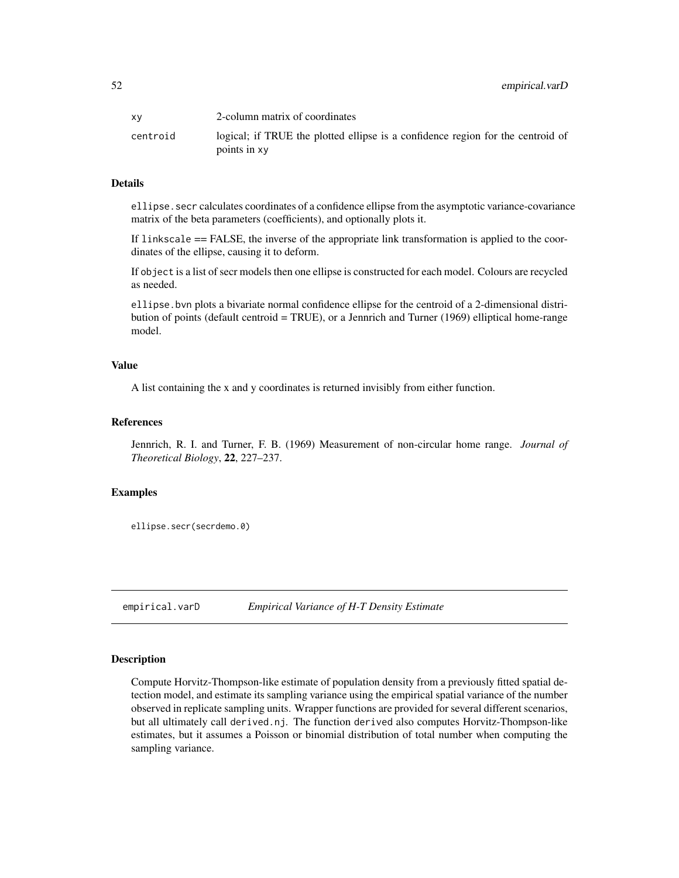| XV       | 2-column matrix of coordinates                                                                  |
|----------|-------------------------------------------------------------------------------------------------|
| centroid | logical; if TRUE the plotted ellipse is a confidence region for the centroid of<br>points in xy |

## Details

ellipse.secr calculates coordinates of a confidence ellipse from the asymptotic variance-covariance matrix of the beta parameters (coefficients), and optionally plots it.

If linkscale == FALSE, the inverse of the appropriate link transformation is applied to the coordinates of the ellipse, causing it to deform.

If object is a list of secr models then one ellipse is constructed for each model. Colours are recycled as needed.

ellipse.bvn plots a bivariate normal confidence ellipse for the centroid of a 2-dimensional distribution of points (default centroid = TRUE), or a Jennrich and Turner (1969) elliptical home-range model.

## Value

A list containing the x and y coordinates is returned invisibly from either function.

## References

Jennrich, R. I. and Turner, F. B. (1969) Measurement of non-circular home range. *Journal of Theoretical Biology*, 22, 227–237.

### Examples

ellipse.secr(secrdemo.0)

<span id="page-51-0"></span>empirical.varD *Empirical Variance of H-T Density Estimate*

# **Description**

Compute Horvitz-Thompson-like estimate of population density from a previously fitted spatial detection model, and estimate its sampling variance using the empirical spatial variance of the number observed in replicate sampling units. Wrapper functions are provided for several different scenarios, but all ultimately call derived.nj. The function derived also computes Horvitz-Thompson-like estimates, but it assumes a Poisson or binomial distribution of total number when computing the sampling variance.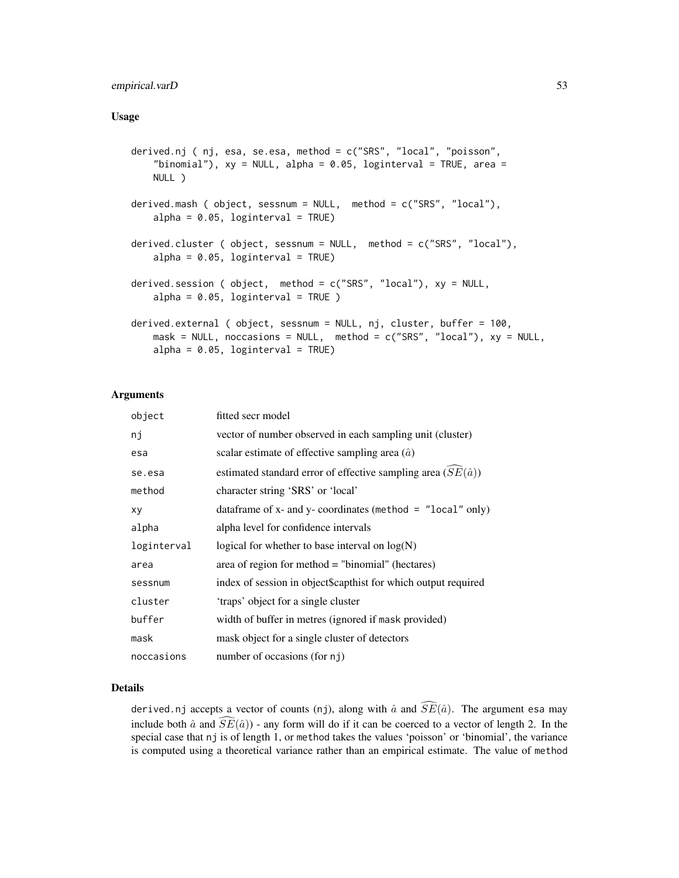# empirical.varD 53

## Usage

```
derived.nj ( nj, esa, se.esa, method = c("SRS", "local", "poisson",
    "binomial"), xy = NULL, alpha = 0.05, loginterval = TRUE, area =
   NULL )
derived.mash ( object, sessnum = NULL, method = c("SRS", "local"),
    alpha = 0.05, loginterval = TRUE)
derived.cluster ( object, sessnum = NULL, method = c("SRS", "local"),
   alpha = 0.05, loginterval = TRUE)
derived.session ( object, method = c("SRS", "local"), xy = NULL,
    alpha = 0.05, loginterval = TRUE)
derived.external ( object, sessnum = NULL, nj, cluster, buffer = 100,
   mask = NULL, noccasions = NULL, method = c("SRS", "local"), xy = NULL,alpha = 0.05, loginterval = TRUE)
```
## Arguments

| object      | fitted secr model                                                   |
|-------------|---------------------------------------------------------------------|
| nj          | vector of number observed in each sampling unit (cluster)           |
| esa         | scalar estimate of effective sampling area $(\hat{a})$              |
| se.esa      | estimated standard error of effective sampling area $(SE(\hat{a}))$ |
| method      | character string 'SRS' or 'local'                                   |
| xy          | data frame of x- and y- coordinates (method = $"local" only)$       |
| alpha       | alpha level for confidence intervals                                |
| loginterval | logical for whether to base interval on $log(N)$                    |
| area        | area of region for method = "binomial" (hectares)                   |
| sessnum     | index of session in object\$capthist for which output required      |
| cluster     | 'traps' object for a single cluster                                 |
| buffer      | width of buffer in metres (ignored if mask provided)                |
| mask        | mask object for a single cluster of detectors                       |
| noccasions  | number of occasions (for nj)                                        |

## Details

derived.nj accepts a vector of counts (nj), along with  $\hat{a}$  and  $\widehat{SE}(\hat{a})$ . The argument esa may include both  $\hat{a}$  and  $\overline{SE}(\hat{a})$ ) - any form will do if it can be coerced to a vector of length 2. In the special case that nj is of length 1, or method takes the values 'poisson' or 'binomial', the variance is computed using a theoretical variance rather than an empirical estimate. The value of method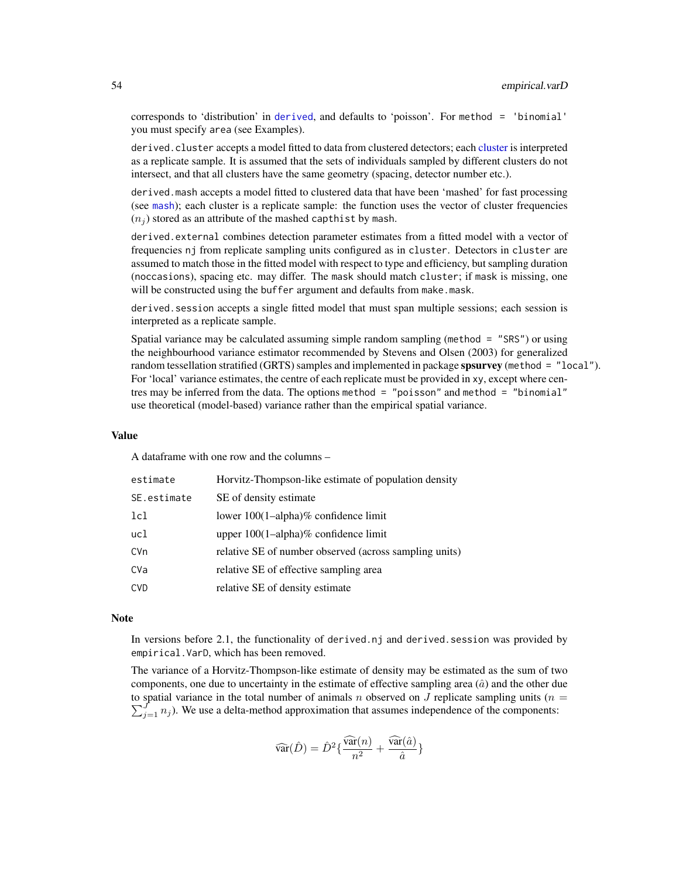corresponds to 'distribution' in [derived](#page-39-0), and defaults to 'poisson'. For method = 'binomial' you must specify area (see Examples).

derived.cluster accepts a model fitted to data from clustered detectors; each [cluster](#page-27-0) is interpreted as a replicate sample. It is assumed that the sets of individuals sampled by different clusters do not intersect, and that all clusters have the same geometry (spacing, detector number etc.).

derived.mash accepts a model fitted to clustered data that have been 'mashed' for fast processing (see [mash](#page-239-0)); each cluster is a replicate sample: the function uses the vector of cluster frequencies  $(n_i)$  stored as an attribute of the mashed capthist by mash.

derived.external combines detection parameter estimates from a fitted model with a vector of frequencies nj from replicate sampling units configured as in cluster. Detectors in cluster are assumed to match those in the fitted model with respect to type and efficiency, but sampling duration (noccasions), spacing etc. may differ. The mask should match cluster; if mask is missing, one will be constructed using the buffer argument and defaults from make.mask.

derived. session accepts a single fitted model that must span multiple sessions; each session is interpreted as a replicate sample.

Spatial variance may be calculated assuming simple random sampling (method = "SRS") or using the neighbourhood variance estimator recommended by Stevens and Olsen (2003) for generalized random tessellation stratified (GRTS) samples and implemented in package spsurvey (method = "local"). For 'local' variance estimates, the centre of each replicate must be provided in xy, except where centres may be inferred from the data. The options method = "poisson" and method = "binomial" use theoretical (model-based) variance rather than the empirical spatial variance.

#### Value

A dataframe with one row and the columns –

| estimate    | Horvitz-Thompson-like estimate of population density   |
|-------------|--------------------------------------------------------|
| SE.estimate | SE of density estimate                                 |
| lcl         | lower $100(1–alpha)$ % confidence limit                |
| ucl         | upper $100(1–alpha)$ % confidence limit                |
| <b>CVn</b>  | relative SE of number observed (across sampling units) |
| CVa         | relative SE of effective sampling area                 |
| <b>CVD</b>  | relative SE of density estimate                        |

#### Note

In versions before 2.1, the functionality of derived.nj and derived.session was provided by empirical.VarD, which has been removed.

The variance of a Horvitz-Thompson-like estimate of density may be estimated as the sum of two components, one due to uncertainty in the estimate of effective sampling area  $(\hat{a})$  and the other due to spatial variance in the total number of animals n observed on J replicate sampling units ( $n =$  $\sum_{j=1}^{J} n_j$ ). We use a delta-method approximation that assumes independence of the components:

$$
\widehat{\text{var}}(\hat{D}) = \hat{D}^2\{\frac{\widehat{\text{var}}(n)}{n^2} + \frac{\widehat{\text{var}}(\hat{a})}{\hat{a}}\}
$$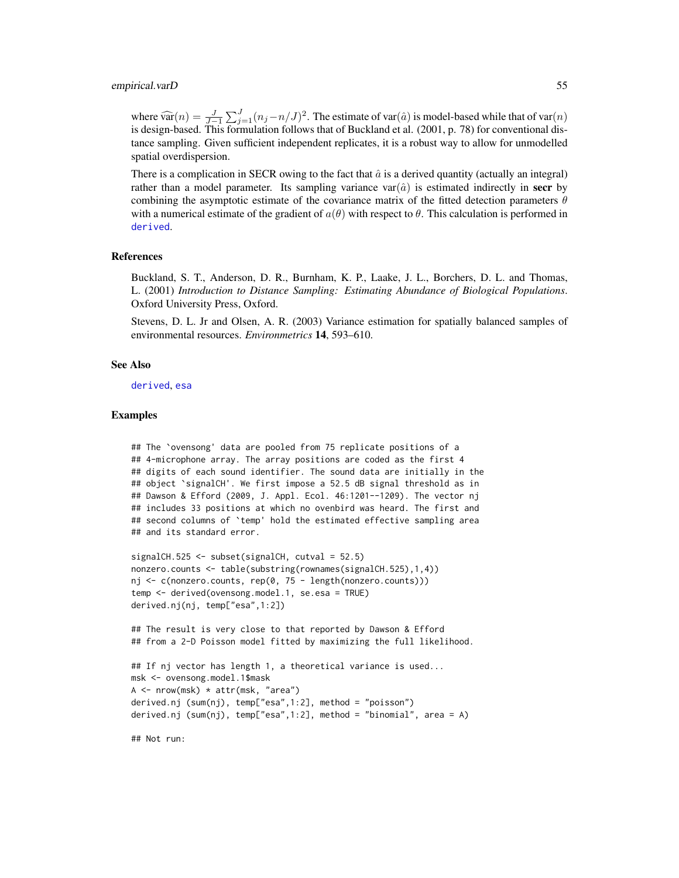#### empirical.varD 55

where  $\widehat{\text{var}}(n) = \frac{J}{J-1} \sum_{j=1}^{J} (n_j - n/J)^2$ . The estimate of var $(\hat{a})$  is model-based while that of var $(n)$  is design based. This formulation follows that of Buckland at al. (2001, p. 78) for conventional disis design-based. This formulation follows that of Buckland et al. (2001, p. 78) for conventional distance sampling. Given sufficient independent replicates, it is a robust way to allow for unmodelled spatial overdispersion.

There is a complication in SECR owing to the fact that  $\hat{a}$  is a derived quantity (actually an integral) rather than a model parameter. Its sampling variance var $(\hat{a})$  is estimated indirectly in **secr** by combining the asymptotic estimate of the covariance matrix of the fitted detection parameters  $\theta$ with a numerical estimate of the gradient of  $a(\theta)$  with respect to  $\theta$ . This calculation is performed in [derived](#page-39-0).

#### References

Buckland, S. T., Anderson, D. R., Burnham, K. P., Laake, J. L., Borchers, D. L. and Thomas, L. (2001) *Introduction to Distance Sampling: Estimating Abundance of Biological Populations*. Oxford University Press, Oxford.

Stevens, D. L. Jr and Olsen, A. R. (2003) Variance estimation for spatially balanced samples of environmental resources. *Environmetrics* 14, 593–610.

#### See Also

[derived](#page-39-0), [esa](#page-39-1)

## Examples

```
## The `ovensong' data are pooled from 75 replicate positions of a
## 4-microphone array. The array positions are coded as the first 4
## digits of each sound identifier. The sound data are initially in the
## object `signalCH'. We first impose a 52.5 dB signal threshold as in
## Dawson & Efford (2009, J. Appl. Ecol. 46:1201--1209). The vector nj
## includes 33 positions at which no ovenbird was heard. The first and
## second columns of `temp' hold the estimated effective sampling area
## and its standard error.
```

```
signalCH.525 \leq subset(signalCH, cutval = 52.5)
nonzero.counts <- table(substring(rownames(signalCH.525),1,4))
nj <- c(nonzero.counts, rep(0, 75 - length(nonzero.counts)))
temp <- derived(ovensong.model.1, se.esa = TRUE)
derived.nj(nj, temp["esa",1:2])
```
## The result is very close to that reported by Dawson & Efford ## from a 2-D Poisson model fitted by maximizing the full likelihood.

```
## If nj vector has length 1, a theoretical variance is used...
msk <- ovensong.model.1$mask
A <- nrow(msk) * attr(msk, "area")
derived.nj (sum(nj), temp["esa",1:2], method = "poisson")
derived.nj (sum(nj), temp["esa",1:2], method = "binomial", area = A)
```
## Not run: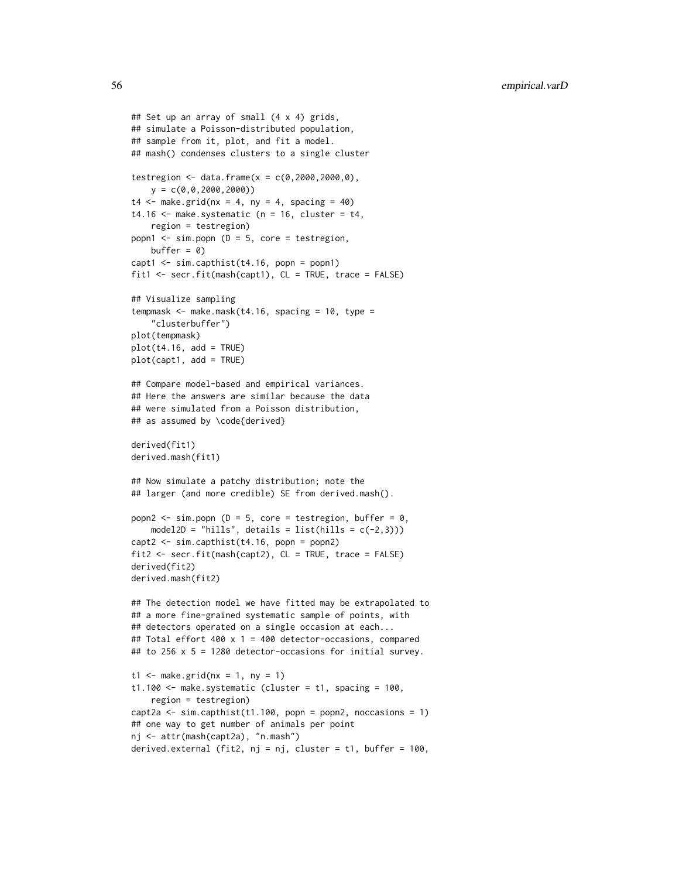```
## Set up an array of small (4 x 4) grids,
## simulate a Poisson-distributed population,
## sample from it, plot, and fit a model.
## mash() condenses clusters to a single cluster
testregion <- data.frame(x = c(0, 2000, 2000, 0),
   y = c(0, 0, 2000, 2000)t4 \leq - make.grid(nx = 4, ny = 4, spacing = 40)
t4.16 \leq make.systematic (n = 16, cluster = t4,
    region = testregion)
popn1 \leq sim.popn (D = 5, core = testregion,
   buffer = 0)capt1 < -sim.capthist(t4.16, popn = popn1)fit1 <- secr.fit(mash(capt1), CL = TRUE, trace = FALSE)
## Visualize sampling
tempmask <- make.mask(t4.16, spacing = 10, type =
    "clusterbuffer")
plot(tempmask)
plot(t4.16, add = TRUE)plot(capt1, add = TRUE)
## Compare model-based and empirical variances.
## Here the answers are similar because the data
## were simulated from a Poisson distribution,
## as assumed by \code{derived}
derived(fit1)
derived.mash(fit1)
## Now simulate a patchy distribution; note the
## larger (and more credible) SE from derived.mash().
popn2 \le - sim.popn (D = 5, core = testregion, buffer = 0,
   model2D = "hills", details = list(hills = c(-2,3)))
capt2 <- sim.capthist(t4.16, popn = popn2)
fit2 <- secr.fit(mash(capt2), CL = TRUE, trace = FALSE)
derived(fit2)
derived.mash(fit2)
## The detection model we have fitted may be extrapolated to
## a more fine-grained systematic sample of points, with
## detectors operated on a single occasion at each...
## Total effort 400 x 1 = 400 detector-occasions, compared
## to 256 x 5 = 1280 detector-occasions for initial survey.
t1 <- make.grid(nx = 1, ny = 1)
t1.100 <- make.systematic (cluster = t1, spacing = 100,
    region = testregion)
capt2a \le sim.capthist(t1.100, popn = popn2, noccasions = 1)
## one way to get number of animals per point
nj <- attr(mash(capt2a), "n.mash")
derived.external (fit2, nj = nj, cluster = t1, buffer = 100,
```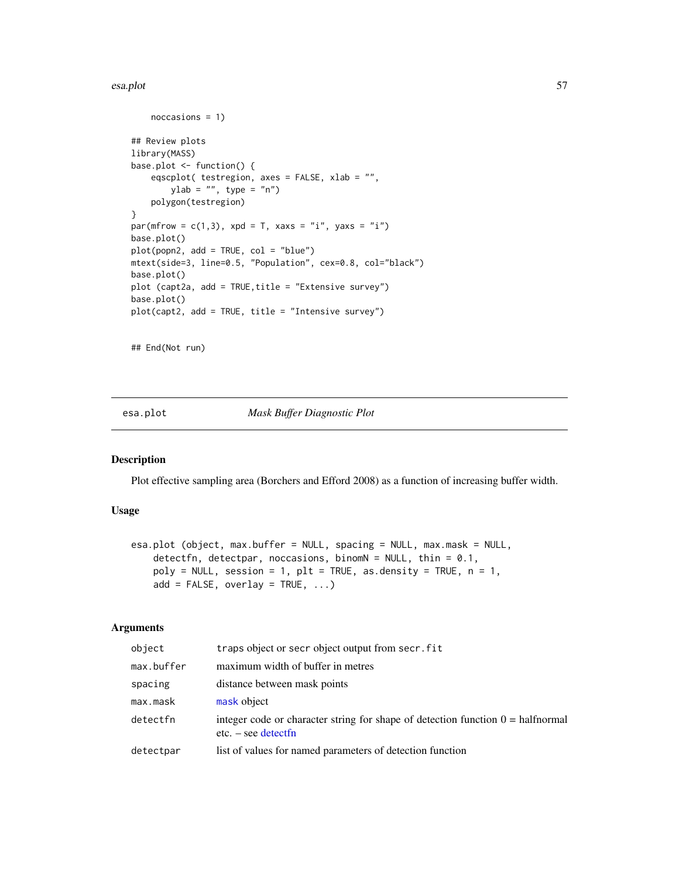#### esa.plot 57

```
noccasions = 1)
## Review plots
library(MASS)
base.plot <- function() {
    eqscplot( testregion, axes = FALSE, xlab = "",
       ylab = "", type = "n")polygon(testregion)
}
par(mfrow = c(1,3), xpd = T, xaxs = "i", yaxs = "i")
base.plot()
plot(popn2, add = TRUE, col = "blue")
mtext(side=3, line=0.5, "Population", cex=0.8, col="black")
base.plot()
plot (capt2a, add = TRUE,title = "Extensive survey")
base.plot()
plot(capt2, add = TRUE, title = "Intensive survey")
```
## End(Not run)

<span id="page-56-0"></span>esa.plot *Mask Buffer Diagnostic Plot*

#### Description

Plot effective sampling area (Borchers and Efford 2008) as a function of increasing buffer width.

## Usage

```
esa.plot (object, max.buffer = NULL, spacing = NULL, max.mask = NULL,
   detectfn, detectpar, noccasions, binomN = NULL, thin = 0.1,
   poly = NULL, session = 1, plt = TRUE, as.density = TRUE, n = 1,
   add = FALSE, overlap = TRUE, ...)
```
# Arguments

| object     | traps object or secr object output from secr. fit                                                               |
|------------|-----------------------------------------------------------------------------------------------------------------|
| max.buffer | maximum width of buffer in metres                                                                               |
| spacing    | distance between mask points                                                                                    |
| max.mask   | mask object                                                                                                     |
| detectfn   | integer code or character string for shape of detection function $0 = \text{halfnormal}$<br>$etc. - see detect$ |
| detectpar  | list of values for named parameters of detection function                                                       |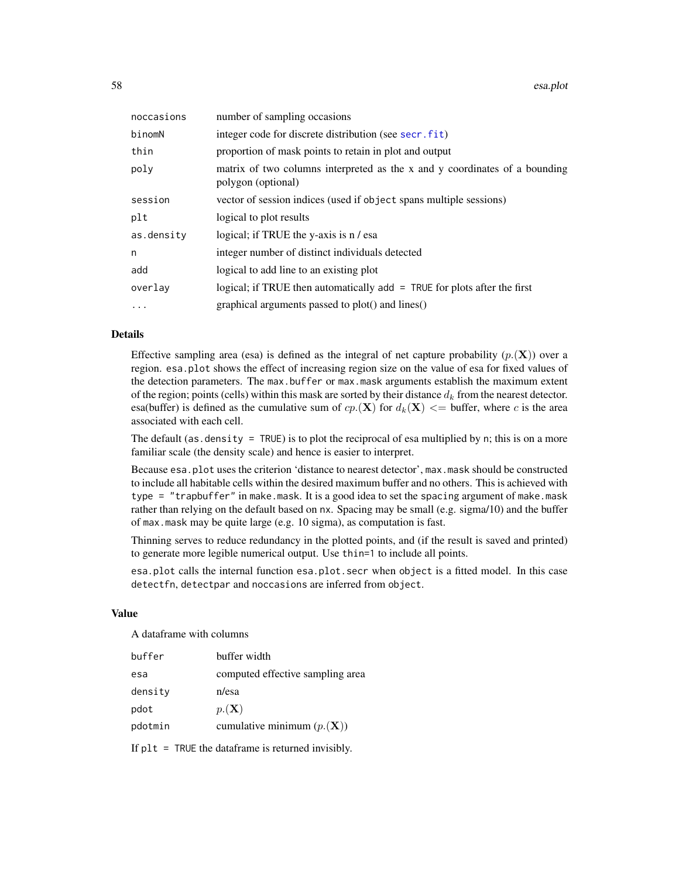| noccasions | number of sampling occasions                                                                     |
|------------|--------------------------------------------------------------------------------------------------|
| binomN     | integer code for discrete distribution (see secr. fit)                                           |
| thin       | proportion of mask points to retain in plot and output                                           |
| poly       | matrix of two columns interpreted as the x and y coordinates of a bounding<br>polygon (optional) |
| session    | vector of session indices (used if object spans multiple sessions)                               |
| plt        | logical to plot results                                                                          |
| as.density | logical; if TRUE the y-axis is n / esa                                                           |
| n          | integer number of distinct individuals detected                                                  |
| add        | logical to add line to an existing plot                                                          |
| overlay    | logical; if TRUE then automatically $add = TRUE$ for plots after the first                       |
| $\cdots$   | graphical arguments passed to plot() and lines()                                                 |

### Details

Effective sampling area (esa) is defined as the integral of net capture probability  $(p_1(\mathbf{X}))$  over a region. esa.plot shows the effect of increasing region size on the value of esa for fixed values of the detection parameters. The max.buffer or max.mask arguments establish the maximum extent of the region; points (cells) within this mask are sorted by their distance  $d_k$  from the nearest detector. esa(buffer) is defined as the cumulative sum of  $cp(\mathbf{X})$  for  $d_k(\mathbf{X}) \leq$  buffer, where c is the area associated with each cell.

The default (as. density  $=$  TRUE) is to plot the reciprocal of esa multiplied by n; this is on a more familiar scale (the density scale) and hence is easier to interpret.

Because esa.plot uses the criterion 'distance to nearest detector', max.mask should be constructed to include all habitable cells within the desired maximum buffer and no others. This is achieved with type = "trapbuffer" in make.mask. It is a good idea to set the spacing argument of make.mask rather than relying on the default based on nx. Spacing may be small (e.g. sigma/10) and the buffer of max.mask may be quite large (e.g. 10 sigma), as computation is fast.

Thinning serves to reduce redundancy in the plotted points, and (if the result is saved and printed) to generate more legible numerical output. Use thin=1 to include all points.

esa.plot calls the internal function esa.plot.secr when object is a fitted model. In this case detectfn, detectpar and noccasions are inferred from object.

#### Value

A dataframe with columns

| buffer  | buffer width                                 |
|---------|----------------------------------------------|
| esa     | computed effective sampling area             |
| densitv | n/esa                                        |
| pdot    | $p(\mathbf{X})$                              |
| pdotmin | cumulative minimum $(p_{\cdot}(\mathbf{X}))$ |
|         |                                              |

If  $plt = TRUE$  the dataframe is returned invisibly.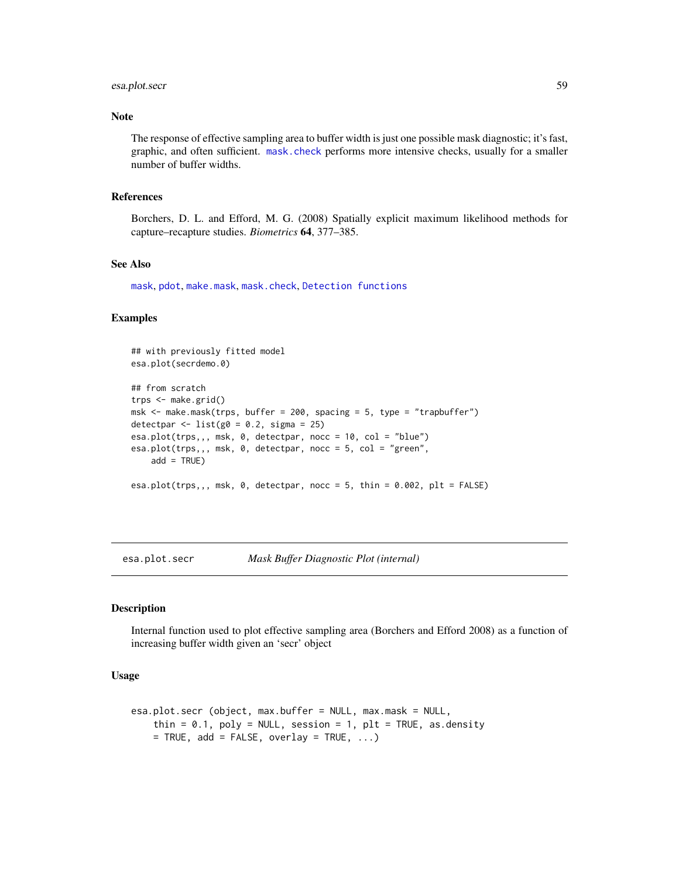# esa.plot.secr 59

## Note

The response of effective sampling area to buffer width is just one possible mask diagnostic; it's fast, graphic, and often sufficient. [mask.check](#page-101-0) performs more intensive checks, usually for a smaller number of buffer widths.

## References

Borchers, D. L. and Efford, M. G. (2008) Spatially explicit maximum likelihood methods for capture–recapture studies. *Biometrics* 64, 377–385.

# See Also

[mask](#page-100-0), [pdot](#page-119-0), [make.mask](#page-91-0), [mask.check](#page-101-0), [Detection functions](#page-0-0)

## Examples

```
## with previously fitted model
esa.plot(secrdemo.0)
## from scratch
trps <- make.grid()
msk <- make.mask(trps, buffer = 200, spacing = 5, type = "trapbuffer")
detectpar \le list(g0 = 0.2, sigma = 25)
esa.plot(trps,,, msk, 0, detectpar, nocc = 10, col = "blue")
esa.plot(trps,,, msk, 0, detectpar, nocc = 5, col = "green",
    add = TRUE)
esa.plot(trps,,, msk, 0, detectpar, nocc = 5, thin = 0.002, plt = FALSE)
```
esa.plot.secr *Mask Buffer Diagnostic Plot (internal)*

#### Description

Internal function used to plot effective sampling area (Borchers and Efford 2008) as a function of increasing buffer width given an 'secr' object

#### Usage

```
esa.plot.secr (object, max.buffer = NULL, max.mask = NULL,
   thin = 0.1, poly = NULL, session = 1, plt = TRUE, as.density
   = TRUE, add = FALSE, overlay = TRUE, ...)
```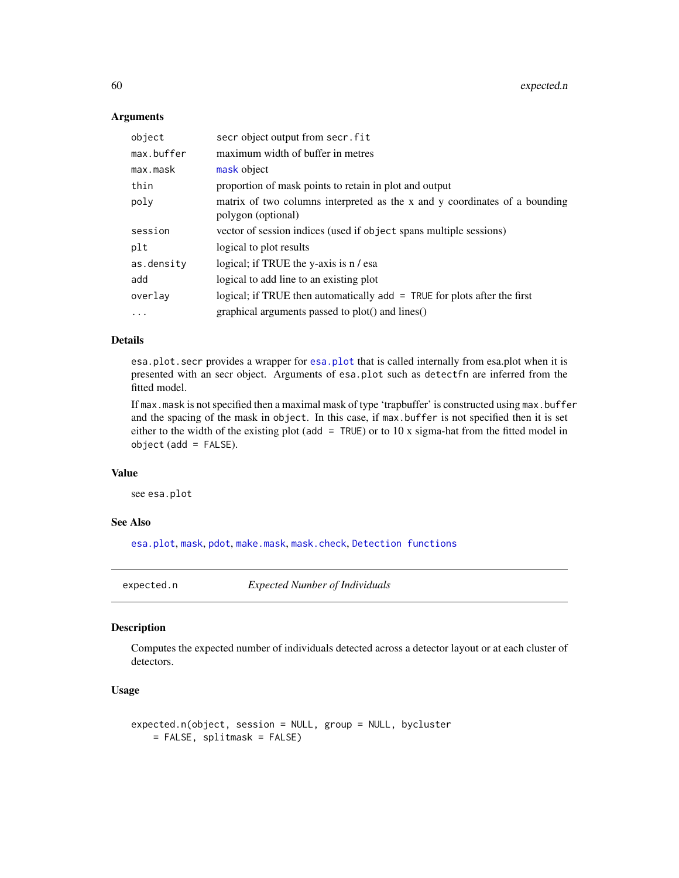## **Arguments**

| object     | secr object output from secr. fit                                                                |
|------------|--------------------------------------------------------------------------------------------------|
| max.buffer | maximum width of buffer in metres                                                                |
| max.mask   | mask object                                                                                      |
| thin       | proportion of mask points to retain in plot and output                                           |
| poly       | matrix of two columns interpreted as the x and y coordinates of a bounding<br>polygon (optional) |
| session    | vector of session indices (used if object spans multiple sessions)                               |
| plt        | logical to plot results                                                                          |
| as.density | logical; if TRUE the y-axis is n / esa                                                           |
| add        | logical to add line to an existing plot                                                          |
| overlay    | logical; if TRUE then automatically $add = TRUE$ for plots after the first                       |
| $\cdots$   | graphical arguments passed to plot() and lines()                                                 |

## Details

esa.plot.secr provides a wrapper for [esa.plot](#page-56-0) that is called internally from esa.plot when it is presented with an secr object. Arguments of esa.plot such as detectfn are inferred from the fitted model.

If max.mask is not specified then a maximal mask of type 'trapbuffer' is constructed using max.buffer and the spacing of the mask in object. In this case, if max.buffer is not specified then it is set either to the width of the existing plot (add = TRUE) or to 10 x sigma-hat from the fitted model in  $object (add = FALSE).$ 

## Value

see esa.plot

# See Also

[esa.plot](#page-56-0), [mask](#page-100-0), [pdot](#page-119-0), [make.mask](#page-91-0), [mask.check](#page-101-0), [Detection functions](#page-0-0)

expected.n *Expected Number of Individuals*

# Description

Computes the expected number of individuals detected across a detector layout or at each cluster of detectors.

## Usage

```
expected.n(object, session = NULL, group = NULL, bycluster
   = FALSE, splitmask = FALSE)
```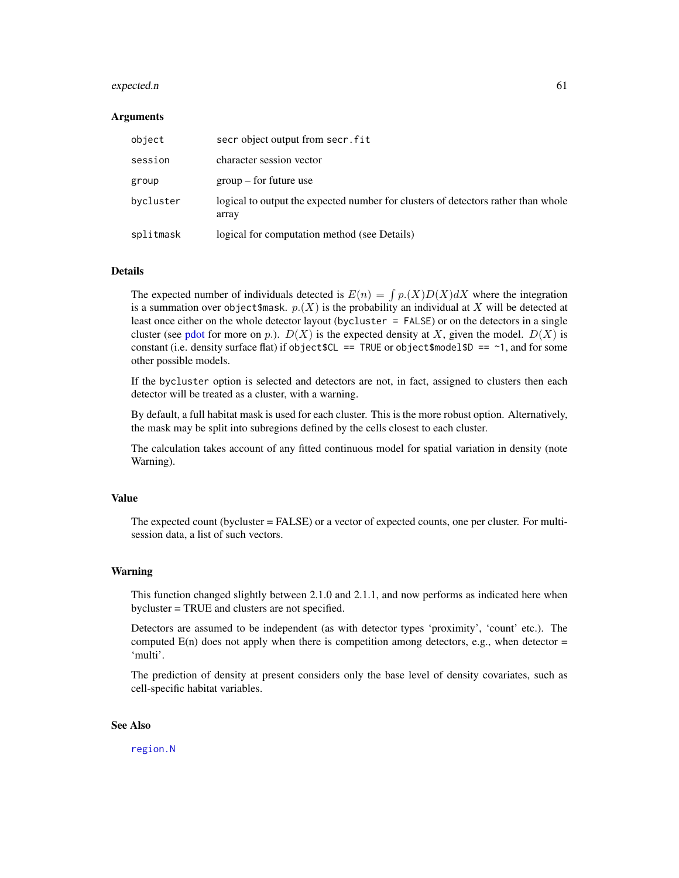#### expected.n 61

#### Arguments

| object    | secr object output from secr. fit                                                          |
|-----------|--------------------------------------------------------------------------------------------|
| session   | character session vector                                                                   |
| group     | $group - for future use$                                                                   |
| bycluster | logical to output the expected number for clusters of detectors rather than whole<br>array |
| splitmask | logical for computation method (see Details)                                               |

#### Details

The expected number of individuals detected is  $E(n) = \int p(X)D(X)dX$  where the integration is a summation over object \$mask.  $p(X)$  is the probability an individual at X will be detected at least once either on the whole detector layout (bycluster = FALSE) or on the detectors in a single cluster (see [pdot](#page-119-0) for more on p.).  $D(X)$  is the expected density at X, given the model.  $D(X)$  is constant (i.e. density surface flat) if object  $$CL = TRUE$  or object $$model$D = ~1$ , and for some other possible models.

If the bycluster option is selected and detectors are not, in fact, assigned to clusters then each detector will be treated as a cluster, with a warning.

By default, a full habitat mask is used for each cluster. This is the more robust option. Alternatively, the mask may be split into subregions defined by the cells closest to each cluster.

The calculation takes account of any fitted continuous model for spatial variation in density (note Warning).

## Value

The expected count (bycluster = FALSE) or a vector of expected counts, one per cluster. For multisession data, a list of such vectors.

#### Warning

This function changed slightly between 2.1.0 and 2.1.1, and now performs as indicated here when bycluster = TRUE and clusters are not specified.

Detectors are assumed to be independent (as with detector types 'proximity', 'count' etc.). The computed  $E(n)$  does not apply when there is competition among detectors, e.g., when detector = 'multi'.

The prediction of density at present considers only the base level of density covariates, such as cell-specific habitat variables.

## See Also

[region.N](#page-164-0)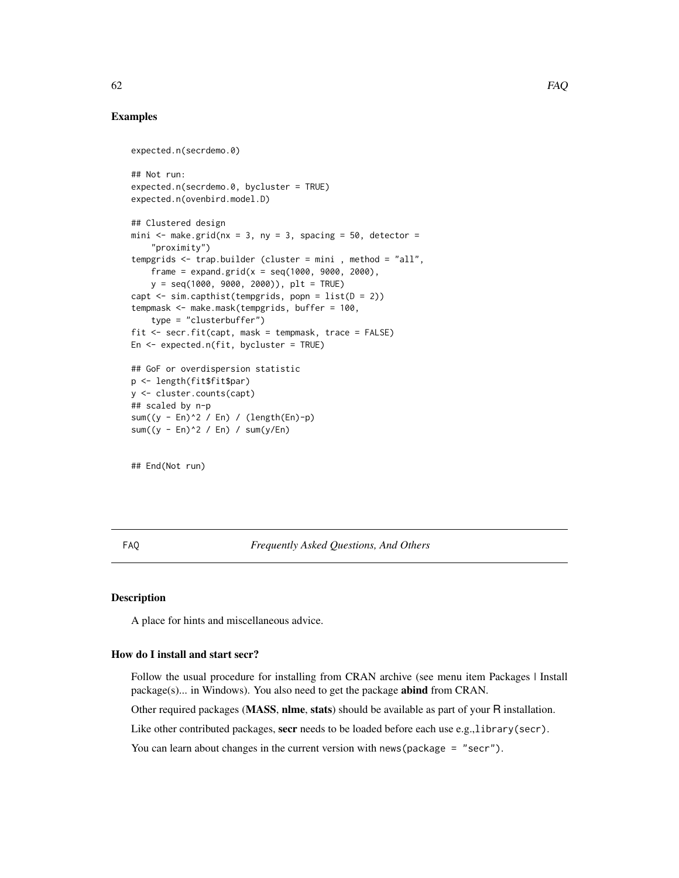## Examples

```
expected.n(secrdemo.0)
## Not run:
expected.n(secrdemo.0, bycluster = TRUE)
expected.n(ovenbird.model.D)
## Clustered design
mini \leq make.grid(nx = 3, ny = 3, spacing = 50, detector =
    "proximity")
tempgrids <- trap.builder (cluster = mini , method = "all",
   frame = expand.grid(x = \text{seq}(1000, 9000, 2000),
   y = seq(1000, 9000, 2000)), plt = TRUE)
capt \le sim.capthist(tempgrids, popn = list(D = 2))
tempmask <- make.mask(tempgrids, buffer = 100,
    type = "clusterbuffer")
fit <- secr.fit(capt, mask = tempmask, trace = FALSE)
En <- expected.n(fit, bycluster = TRUE)
## GoF or overdispersion statistic
p <- length(fit$fit$par)
y <- cluster.counts(capt)
## scaled by n-p
sum((y - En)^2 / En) / (length(En)-p)
sum((y - En)^2 / En) / sum(y/En)
```
## End(Not run)

FAQ *Frequently Asked Questions, And Others*

# Description

A place for hints and miscellaneous advice.

#### How do I install and start secr?

Follow the usual procedure for installing from CRAN archive (see menu item Packages | Install package(s)... in Windows). You also need to get the package abind from CRAN.

Other required packages (MASS, nlme, stats) should be available as part of your R installation.

Like other contributed packages, secr needs to be loaded before each use e.g.,library(secr).

You can learn about changes in the current version with news (package = "secr").

 $62$  FAQ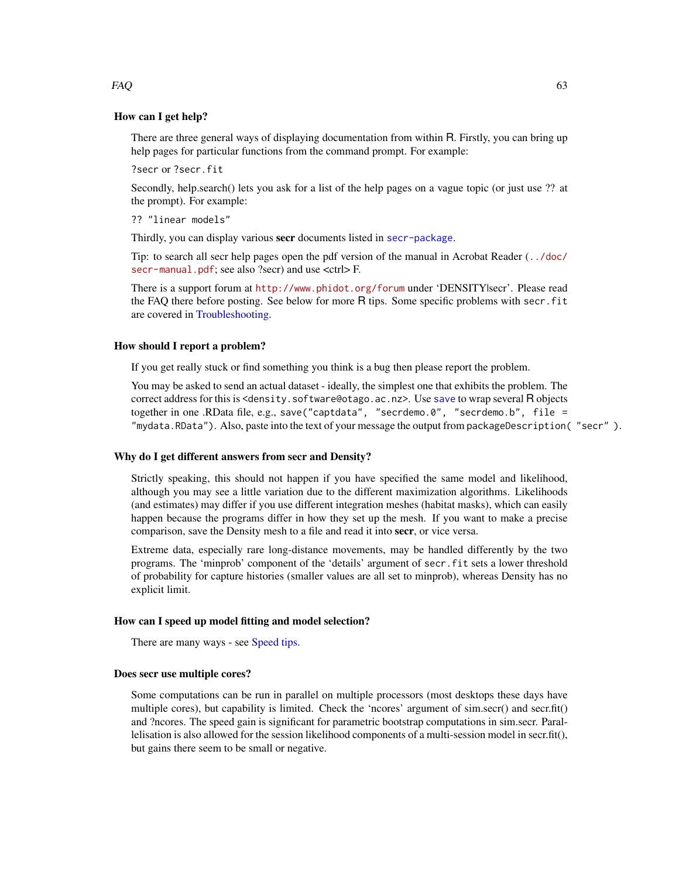## How can I get help?

There are three general ways of displaying documentation from within R. Firstly, you can bring up help pages for particular functions from the command prompt. For example:

?secr or ?secr.fit

Secondly, help.search() lets you ask for a list of the help pages on a vague topic (or just use ?? at the prompt). For example:

?? "linear models"

Thirdly, you can display various secr documents listed in [secr-package](#page-4-0).

Tip: to search all secr help pages open the pdf version of the manual in Acrobat Reader ([../doc/](../doc/secr-manual.pdf) [secr-manual.pdf](../doc/secr-manual.pdf); see also ?secr) and use <ctrl>F.

There is a support forum at <http://www.phidot.org/forum> under 'DENSITY|secr'. Please read the FAQ there before posting. See below for more R tips. Some specific problems with secr.fit are covered in [Troubleshooting.](#page-247-0)

#### How should I report a problem?

If you get really stuck or find something you think is a bug then please report the problem.

You may be asked to send an actual dataset - ideally, the simplest one that exhibits the problem. The correct address for this is <density.software@otago.ac.nz>. Use [save](#page-0-0) to wrap several R objects together in one .RData file, e.g., save("captdata", "secrdemo.0", "secrdemo.b", file = "mydata.RData"). Also, paste into the text of your message the output from packageDescription( "secr" ).

## Why do I get different answers from secr and Density?

Strictly speaking, this should not happen if you have specified the same model and likelihood, although you may see a little variation due to the different maximization algorithms. Likelihoods (and estimates) may differ if you use different integration meshes (habitat masks), which can easily happen because the programs differ in how they set up the mesh. If you want to make a precise comparison, save the Density mesh to a file and read it into secr, or vice versa.

Extreme data, especially rare long-distance movements, may be handled differently by the two programs. The 'minprob' component of the 'details' argument of secr.fit sets a lower threshold of probability for capture histories (smaller values are all set to minprob), whereas Density has no explicit limit.

## How can I speed up model fitting and model selection?

There are many ways - see [Speed tips.](#page-216-0)

#### Does secr use multiple cores?

Some computations can be run in parallel on multiple processors (most desktops these days have multiple cores), but capability is limited. Check the 'ncores' argument of sim.secr() and secr.fit() and ?ncores. The speed gain is significant for parametric bootstrap computations in sim.secr. Parallelisation is also allowed for the session likelihood components of a multi-session model in secr.fit(), but gains there seem to be small or negative.

## $FAQ$  63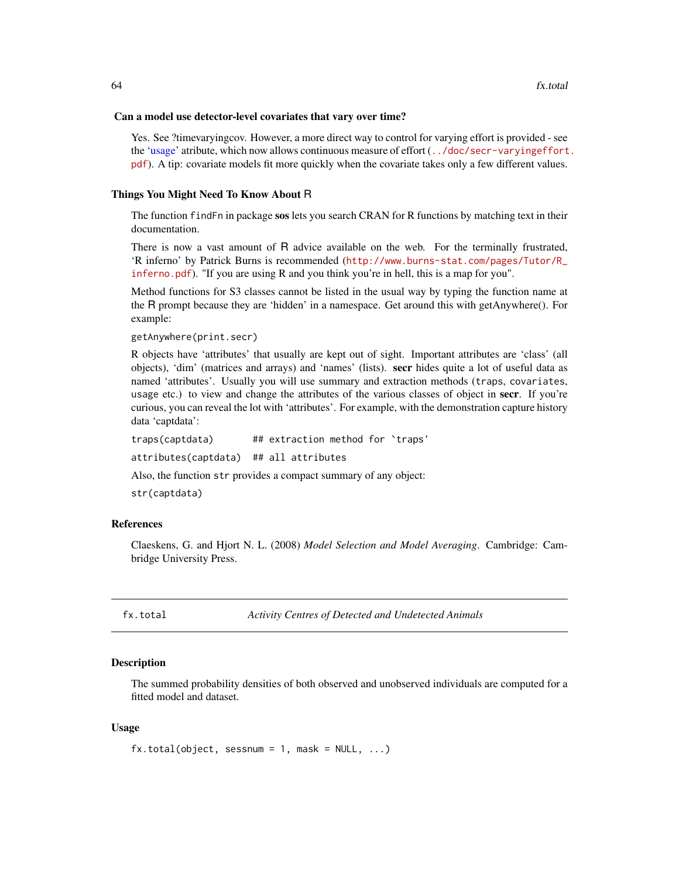#### Can a model use detector-level covariates that vary over time?

Yes. See ?timevaryingcov. However, a more direct way to control for varying effort is provided - see the ['usage'](#page-249-0) atribute, which now allows continuous measure of effort ([../doc/secr-varyingeffort](../doc/secr-varyingeffort.pdf). [pdf](../doc/secr-varyingeffort.pdf)). A tip: covariate models fit more quickly when the covariate takes only a few different values.

#### Things You Might Need To Know About R

The function findFn in package sos lets you search CRAN for R functions by matching text in their documentation.

There is now a vast amount of R advice available on the web. For the terminally frustrated, 'R inferno' by Patrick Burns is recommended ([http://www.burns-stat.com/pages/Tutor/R\\_](http://www.burns-stat.com/pages/Tutor/R_inferno.pdf) [inferno.pdf](http://www.burns-stat.com/pages/Tutor/R_inferno.pdf)). "If you are using R and you think you're in hell, this is a map for you".

Method functions for S3 classes cannot be listed in the usual way by typing the function name at the R prompt because they are 'hidden' in a namespace. Get around this with getAnywhere(). For example:

```
getAnywhere(print.secr)
```
R objects have 'attributes' that usually are kept out of sight. Important attributes are 'class' (all objects), 'dim' (matrices and arrays) and 'names' (lists). secr hides quite a lot of useful data as named 'attributes'. Usually you will use summary and extraction methods (traps, covariates, usage etc.) to view and change the attributes of the various classes of object in secr. If you're curious, you can reveal the lot with 'attributes'. For example, with the demonstration capture history data 'captdata':

traps(captdata) ## extraction method for `traps' attributes(captdata) ## all attributes Also, the function str provides a compact summary of any object:

str(captdata)

# References

Claeskens, G. and Hjort N. L. (2008) *Model Selection and Model Averaging*. Cambridge: Cambridge University Press.

<span id="page-63-0"></span>fx.total *Activity Centres of Detected and Undetected Animals*

## **Description**

The summed probability densities of both observed and unobserved individuals are computed for a fitted model and dataset.

## Usage

```
fx.total(object, sesnum = 1, mask = NULL, ...)
```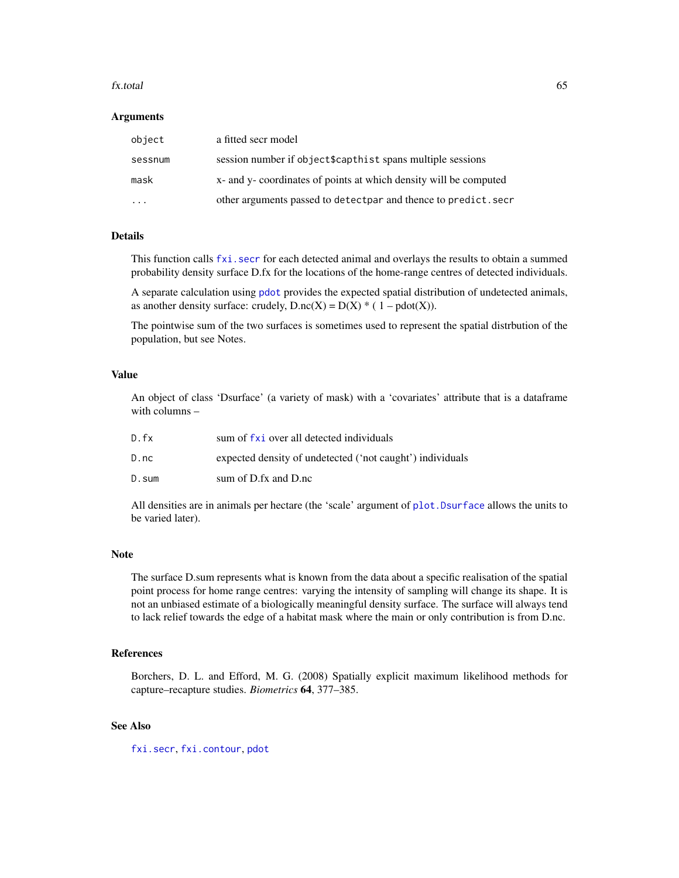#### fx.total 65

#### **Arguments**

| object  | a fitted secr model                                                   |
|---------|-----------------------------------------------------------------------|
| sessnum | session number if object\$capthist spans multiple sessions            |
| mask    | x- and y- coordinates of points at which density will be computed     |
| $\cdot$ | other arguments passed to detectpar and thence to predict. secretion- |

## Details

This function calls [fxi.secr](#page-65-0) for each detected animal and overlays the results to obtain a summed probability density surface D.fx for the locations of the home-range centres of detected individuals.

A separate calculation using [pdot](#page-119-0) provides the expected spatial distribution of undetected animals, as another density surface: crudely,  $D \cdot nc(X) = D(X) * (1 - pdot(X)).$ 

The pointwise sum of the two surfaces is sometimes used to represent the spatial distrbution of the population, but see Notes.

### Value

An object of class 'Dsurface' (a variety of mask) with a 'covariates' attribute that is a dataframe with columns –

| D.fx  | sum of fxi over all detected individuals                  |
|-------|-----------------------------------------------------------|
| D.nc  | expected density of undetected ('not caught') individuals |
| D.sum | sum of D.fx and D.nc                                      |

All densities are in animals per hectare (the 'scale' argument of [plot.Dsurface](#page-125-0) allows the units to be varied later).

## Note

The surface D.sum represents what is known from the data about a specific realisation of the spatial point process for home range centres: varying the intensity of sampling will change its shape. It is not an unbiased estimate of a biologically meaningful density surface. The surface will always tend to lack relief towards the edge of a habitat mask where the main or only contribution is from D.nc.

# References

Borchers, D. L. and Efford, M. G. (2008) Spatially explicit maximum likelihood methods for capture–recapture studies. *Biometrics* 64, 377–385.

## See Also

[fxi.secr](#page-65-0), [fxi.contour](#page-65-0), [pdot](#page-119-0)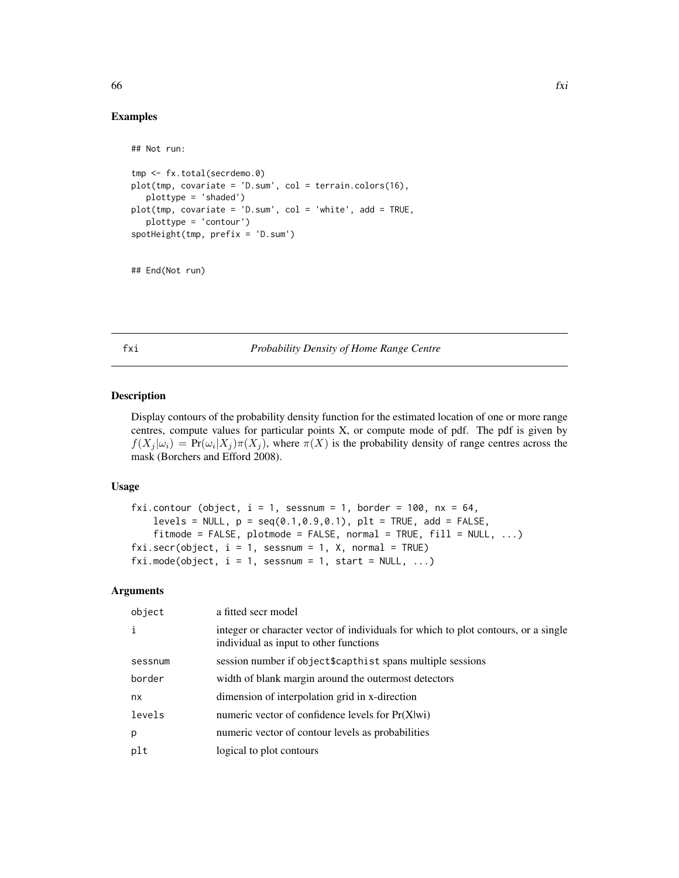## Examples

## Not run:

```
tmp <- fx.total(secrdemo.0)
plot(tmp, covariate = 'D.sum', col = terrain.colors(16),
  plottype = 'shaded')
plot(tmp, covariate = 'D.sum', col = 'white', add = TRUE,
  plottype = 'contour')
spotHeight(tmp, prefix = 'D.sum')
```

```
## End(Not run)
```
<span id="page-65-1"></span>fxi *Probability Density of Home Range Centre*

## <span id="page-65-0"></span>Description

Display contours of the probability density function for the estimated location of one or more range centres, compute values for particular points X, or compute mode of pdf. The pdf is given by  $f(X_j | \omega_i) = Pr(\omega_i | X_j) \pi(X_j)$ , where  $\pi(X)$  is the probability density of range centres across the mask (Borchers and Efford 2008).

#### Usage

```
fxi.contour (object, i = 1, sessnum = 1, border = 100, nx = 64,
   levels = NULL, p = seq(0.1, 0.9, 0.1), plt = TRUE, add = FALSE,
    fitmode = FALSE, plotmode = FALSE, normal = TRUE, fill = NULL, ...)fixi.secr(object, i = 1, sesnum = 1, X, normal = TRUE)fixi.mode(object, i = 1, sessnum = 1, start = NULL, ...)
```
## Arguments

| a fitted secr model                                                                                                          |
|------------------------------------------------------------------------------------------------------------------------------|
| integer or character vector of individuals for which to plot contours, or a single<br>individual as input to other functions |
| session number if object\$capthist spans multiple sessions                                                                   |
| width of blank margin around the outermost detectors                                                                         |
| dimension of interpolation grid in x-direction                                                                               |
| numeric vector of confidence levels for Pr(X wi)                                                                             |
| numeric vector of contour levels as probabilities                                                                            |
| logical to plot contours                                                                                                     |
|                                                                                                                              |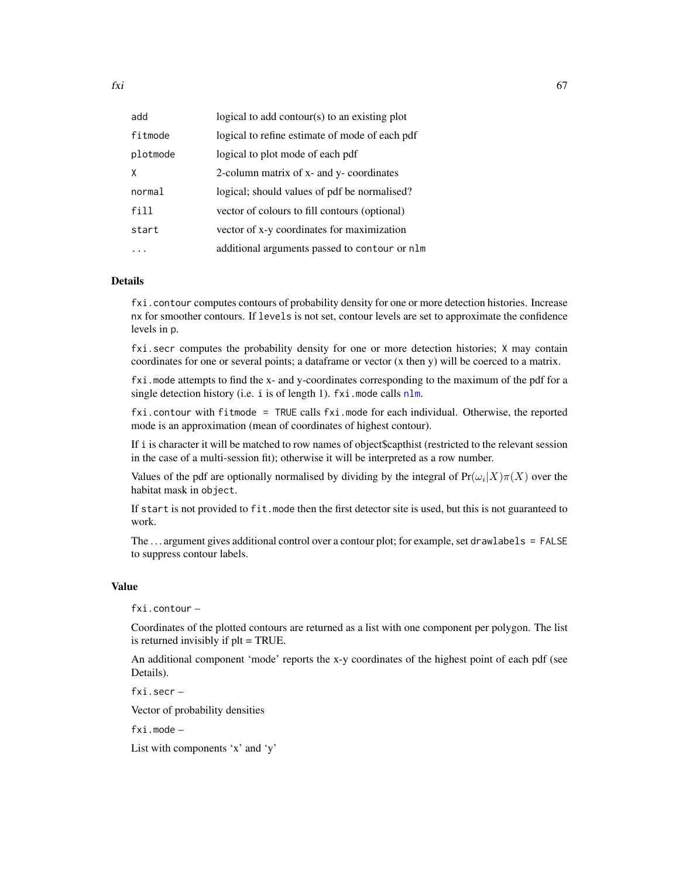| add      | logical to add contour( $s$ ) to an existing plot |
|----------|---------------------------------------------------|
| fitmode  | logical to refine estimate of mode of each pdf    |
| plotmode | logical to plot mode of each pdf                  |
| X        | 2-column matrix of x- and y- coordinates          |
| normal   | logical; should values of pdf be normalised?      |
| fill     | vector of colours to fill contours (optional)     |
| start    | vector of x-y coordinates for maximization        |
|          | additional arguments passed to contour or nlm     |

#### Details

fxi.contour computes contours of probability density for one or more detection histories. Increase nx for smoother contours. If levels is not set, contour levels are set to approximate the confidence levels in p.

fxi.secr computes the probability density for one or more detection histories; X may contain coordinates for one or several points; a dataframe or vector (x then y) will be coerced to a matrix.

fxi.mode attempts to find the x- and y-coordinates corresponding to the maximum of the pdf for a single detection history (i.e. i is of length 1).  $fxi$ . mode calls  $nlm$ .

fxi.contour with fitmode = TRUE calls fxi.mode for each individual. Otherwise, the reported mode is an approximation (mean of coordinates of highest contour).

If i is character it will be matched to row names of object\$capthist (restricted to the relevant session in the case of a multi-session fit); otherwise it will be interpreted as a row number.

Values of the pdf are optionally normalised by dividing by the integral of  $Pr(\omega_i|X)\pi(X)$  over the habitat mask in object.

If start is not provided to fit.mode then the first detector site is used, but this is not guaranteed to work.

The ... argument gives additional control over a contour plot; for example, set drawlabels = FALSE to suppress contour labels.

## Value

fxi.contour –

Coordinates of the plotted contours are returned as a list with one component per polygon. The list is returned invisibly if plt = TRUE.

An additional component 'mode' reports the x-y coordinates of the highest point of each pdf (see Details).

fxi.secr –

Vector of probability densities

fxi.mode –

List with components 'x' and 'y'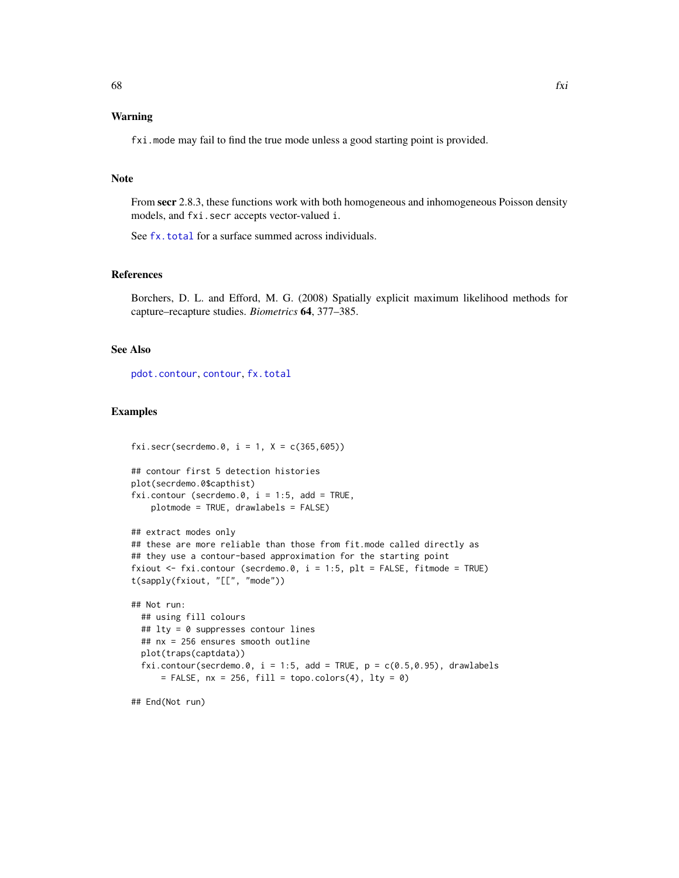# Warning

fxi.mode may fail to find the true mode unless a good starting point is provided.

#### Note

From secr 2.8.3, these functions work with both homogeneous and inhomogeneous Poisson density models, and fxi.secr accepts vector-valued i.

See [fx.total](#page-63-0) for a surface summed across individuals.

#### References

Borchers, D. L. and Efford, M. G. (2008) Spatially explicit maximum likelihood methods for capture–recapture studies. *Biometrics* 64, 377–385.

## See Also

[pdot.contour](#page-31-0), [contour](#page-31-1), [fx.total](#page-63-0)

## Examples

```
fixi.secr(secrdemo.0, i = 1, X = c(365,605))
```

```
## contour first 5 detection histories
plot(secrdemo.0$capthist)
fxi.contour (secrdemo.0, i = 1:5, add = TRUE,
   plotmode = TRUE, drawlabels = FALSE)
```

```
## extract modes only
## these are more reliable than those from fit.mode called directly as
## they use a contour-based approximation for the starting point
fxiout \le fxi.contour (secrdemo.0, i = 1:5, plt = FALSE, fitmode = TRUE)
t(sapply(fxiout, "[[", "mode"))
```

```
## Not run:
 ## using fill colours
 ## lty = 0 suppresses contour lines
 ## nx = 256 ensures smooth outline
 plot(traps(captdata))
 fxi.contour(secrdemo.0, i = 1:5, add = TRUE, p = c(0.5, 0.95), drawlabels
     = FALSE, nx = 256, fill = topo.colors(4), lty = 0)
```
## End(Not run)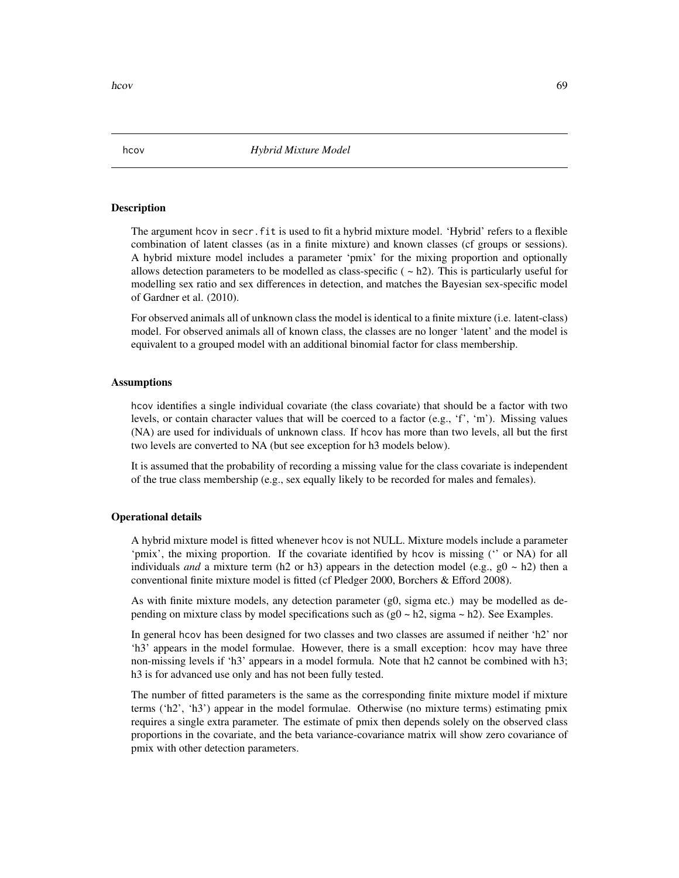## Description

The argument hcov in secr.fit is used to fit a hybrid mixture model. 'Hybrid' refers to a flexible combination of latent classes (as in a finite mixture) and known classes (cf groups or sessions). A hybrid mixture model includes a parameter 'pmix' for the mixing proportion and optionally allows detection parameters to be modelled as class-specific  $( \sim h2)$ . This is particularly useful for modelling sex ratio and sex differences in detection, and matches the Bayesian sex-specific model of Gardner et al. (2010).

For observed animals all of unknown class the model is identical to a finite mixture (i.e. latent-class) model. For observed animals all of known class, the classes are no longer 'latent' and the model is equivalent to a grouped model with an additional binomial factor for class membership.

### Assumptions

hcov identifies a single individual covariate (the class covariate) that should be a factor with two levels, or contain character values that will be coerced to a factor  $(e.g., 'f', 'm')$ . Missing values (NA) are used for individuals of unknown class. If hcov has more than two levels, all but the first two levels are converted to NA (but see exception for h3 models below).

It is assumed that the probability of recording a missing value for the class covariate is independent of the true class membership (e.g., sex equally likely to be recorded for males and females).

## Operational details

A hybrid mixture model is fitted whenever hcov is not NULL. Mixture models include a parameter 'pmix', the mixing proportion. If the covariate identified by hcov is missing ('' or NA) for all individuals *and* a mixture term (h2 or h3) appears in the detection model (e.g.,  $g0 \sim h2$ ) then a conventional finite mixture model is fitted (cf Pledger 2000, Borchers & Efford 2008).

As with finite mixture models, any detection parameter (g0, sigma etc.) may be modelled as depending on mixture class by model specifications such as  $(g0 \sim h2)$ , sigma  $\sim h2$ ). See Examples.

In general hcov has been designed for two classes and two classes are assumed if neither 'h2' nor 'h3' appears in the model formulae. However, there is a small exception: hcov may have three non-missing levels if 'h3' appears in a model formula. Note that h2 cannot be combined with h3; h3 is for advanced use only and has not been fully tested.

The number of fitted parameters is the same as the corresponding finite mixture model if mixture terms ('h2', 'h3') appear in the model formulae. Otherwise (no mixture terms) estimating pmix requires a single extra parameter. The estimate of pmix then depends solely on the observed class proportions in the covariate, and the beta variance-covariance matrix will show zero covariance of pmix with other detection parameters.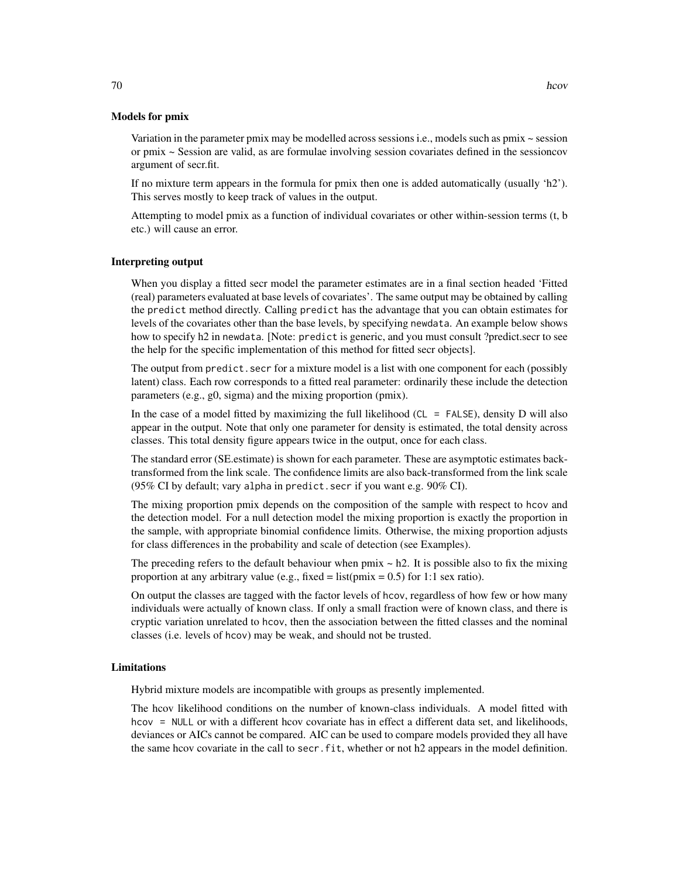Variation in the parameter pmix may be modelled across sessions i.e., models such as  $pmx \sim$  session or pmix ~ Session are valid, as are formulae involving session covariates defined in the sessioncov argument of secr.fit.

If no mixture term appears in the formula for pmix then one is added automatically (usually 'h2'). This serves mostly to keep track of values in the output.

Attempting to model pmix as a function of individual covariates or other within-session terms (t, b etc.) will cause an error.

#### Interpreting output

When you display a fitted secr model the parameter estimates are in a final section headed 'Fitted (real) parameters evaluated at base levels of covariates'. The same output may be obtained by calling the predict method directly. Calling predict has the advantage that you can obtain estimates for levels of the covariates other than the base levels, by specifying newdata. An example below shows how to specify h2 in newdata. [Note: predict is generic, and you must consult ?predict.secr to see the help for the specific implementation of this method for fitted secr objects].

The output from predict. secr for a mixture model is a list with one component for each (possibly latent) class. Each row corresponds to a fitted real parameter: ordinarily these include the detection parameters (e.g., g0, sigma) and the mixing proportion (pmix).

In the case of a model fitted by maximizing the full likelihood (CL = FALSE), density D will also appear in the output. Note that only one parameter for density is estimated, the total density across classes. This total density figure appears twice in the output, once for each class.

The standard error (SE.estimate) is shown for each parameter. These are asymptotic estimates backtransformed from the link scale. The confidence limits are also back-transformed from the link scale (95% CI by default; vary alpha in predict.secr if you want e.g. 90% CI).

The mixing proportion pmix depends on the composition of the sample with respect to hcov and the detection model. For a null detection model the mixing proportion is exactly the proportion in the sample, with appropriate binomial confidence limits. Otherwise, the mixing proportion adjusts for class differences in the probability and scale of detection (see Examples).

The preceding refers to the default behaviour when  $pmix \sim h2$ . It is possible also to fix the mixing proportion at any arbitrary value (e.g., fixed = list( $pmix = 0.5$ ) for 1:1 sex ratio).

On output the classes are tagged with the factor levels of hcov, regardless of how few or how many individuals were actually of known class. If only a small fraction were of known class, and there is cryptic variation unrelated to hcov, then the association between the fitted classes and the nominal classes (i.e. levels of hcov) may be weak, and should not be trusted.

#### Limitations

Hybrid mixture models are incompatible with groups as presently implemented.

The hcov likelihood conditions on the number of known-class individuals. A model fitted with hcov = NULL or with a different hcov covariate has in effect a different data set, and likelihoods, deviances or AICs cannot be compared. AIC can be used to compare models provided they all have the same hcov covariate in the call to secr.fit, whether or not h2 appears in the model definition.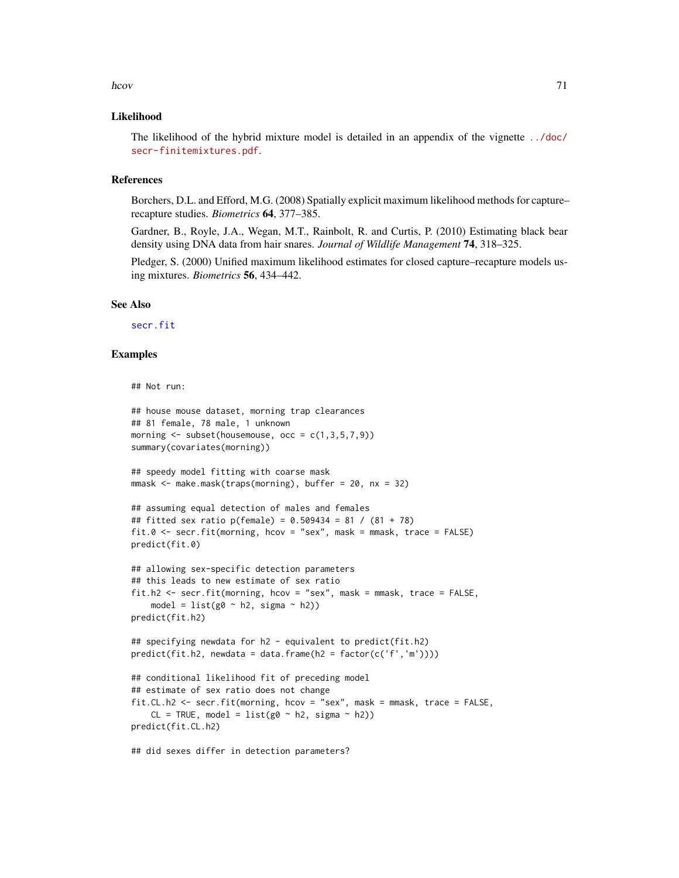#### hcov 71

## Likelihood

The likelihood of the hybrid mixture model is detailed in an appendix of the vignette [../doc/](../doc/secr-finitemixtures.pdf) [secr-finitemixtures.pdf](../doc/secr-finitemixtures.pdf).

#### References

Borchers, D.L. and Efford, M.G. (2008) Spatially explicit maximum likelihood methods for capture– recapture studies. *Biometrics* 64, 377–385.

Gardner, B., Royle, J.A., Wegan, M.T., Rainbolt, R. and Curtis, P. (2010) Estimating black bear density using DNA data from hair snares. *Journal of Wildlife Management* 74, 318–325.

Pledger, S. (2000) Unified maximum likelihood estimates for closed capture–recapture models using mixtures. *Biometrics* 56, 434–442.

#### See Also

[secr.fit](#page-176-0)

## Examples

```
## Not run:
```

```
## house mouse dataset, morning trap clearances
## 81 female, 78 male, 1 unknown
morning \leq subset(housemouse, occ = c(1,3,5,7,9))
summary(covariates(morning))
## speedy model fitting with coarse mask
mmask <- make.mask(traps(morning), buffer = 20, nx = 32)
## assuming equal detection of males and females
## fitted sex ratio p(female) = 0.509434 = 81 / (81 + 78)
fit.0 \le secr.fit(morning, hcov = "sex", mask = mmask, trace = FALSE)
predict(fit.0)
## allowing sex-specific detection parameters
## this leads to new estimate of sex ratio
fit.h2 <- secr.fit(morning, hcov = "sex", mask = mmask, trace = FALSE,
    model = list(g0 \sim h2, sigma \sim h2)predict(fit.h2)
## specifying newdata for h2 - equivalent to predict(fit.h2)
predict(fit.h2, newdata = data.frame(h2 = factor(c('f', 'm'))))## conditional likelihood fit of preceding model
## estimate of sex ratio does not change
fit.CL.h2 <- secr.fit(morning, hcov = "sex", mask = mmask, trace = FALSE,
    CL = TRUE, model = list(g0 ~ h2, sigma ~ h2))
predict(fit.CL.h2)
```
## did sexes differ in detection parameters?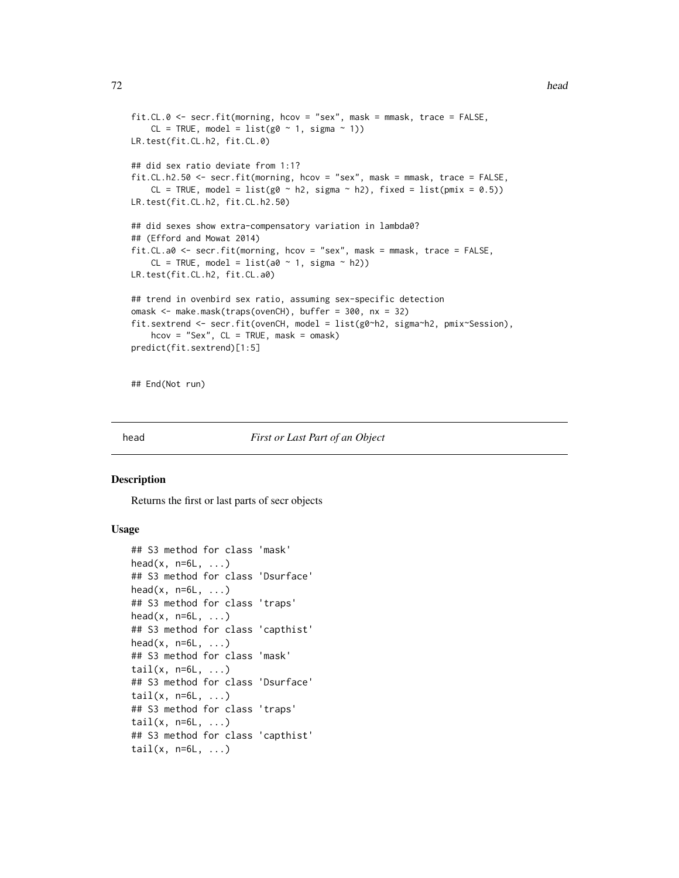```
fit.CL.0 <- secr.fit(morning, hcov = "sex", mask = mmask, trace = FALSE,
    CL = TRUE, model = list(g0 ~ 1, sigma ~ 1))
LR.test(fit.CL.h2, fit.CL.0)
## did sex ratio deviate from 1:1?
fit.CL.h2.50 <- secr.fit(morning, hcov = "sex", mask = mmask, trace = FALSE,
    CL = TRUE, model = list(g0 \sim h2, sigma \sim h2), fixed = list(pmix = 0.5))
LR.test(fit.CL.h2, fit.CL.h2.50)
## did sexes show extra-compensatory variation in lambda0?
## (Efford and Mowat 2014)
fit.CL.a0 <- secr.fit(morning, hcov = "sex", mask = mmask, trace = FALSE,
    CL = TRUE, model = list(a0 ~ 1, sigma ~ h2))LR.test(fit.CL.h2, fit.CL.a0)
## trend in ovenbird sex ratio, assuming sex-specific detection
omask <- make.mask(traps(ovenCH), buffer = 300, nx = 32)
fit.sextrend <- secr.fit(ovenCH, model = list(g0~h2, sigma~h2, pmix~Session),
    hcov = "Sex", CL = TRUE, mask = omask)predict(fit.sextrend)[1:5]
```
## End(Not run)

#### head *First or Last Part of an Object*

## Description

Returns the first or last parts of secr objects

## Usage

```
## S3 method for class 'mask'
head(x, n=6L, \ldots)## S3 method for class 'Dsurface'
head(x, n=6L, \ldots)## S3 method for class 'traps'
head(x, n=6L, ...)## S3 method for class 'capthist'
head(x, n=6L, ...)## S3 method for class 'mask'
tail(x, n=6L, ...)## S3 method for class 'Dsurface'
tail(x, n=6L, \ldots)## S3 method for class 'traps'
tail(x, n=6L, \ldots)## S3 method for class 'capthist'
tail(x, n=6L, \ldots)
```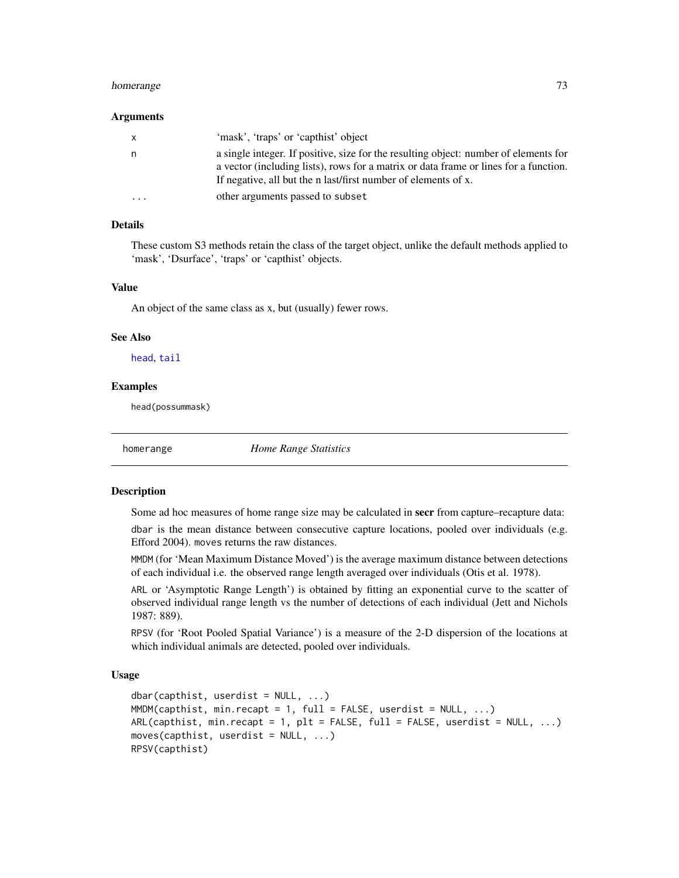#### homerange 73

#### Arguments

| $\mathsf{X}$ | 'mask', 'traps' or 'capthist' object                                                                                                                                                                                                           |
|--------------|------------------------------------------------------------------------------------------------------------------------------------------------------------------------------------------------------------------------------------------------|
| n.           | a single integer. If positive, size for the resulting object: number of elements for<br>a vector (including lists), rows for a matrix or data frame or lines for a function.<br>If negative, all but the n last/first number of elements of x. |
| $\cdot$      | other arguments passed to subset                                                                                                                                                                                                               |

# Details

These custom S3 methods retain the class of the target object, unlike the default methods applied to 'mask', 'Dsurface', 'traps' or 'capthist' objects.

# Value

An object of the same class as x, but (usually) fewer rows.

## See Also

[head](#page-71-0), [tail](#page-0-0)

#### Examples

head(possummask)

homerange *Home Range Statistics*

#### <span id="page-72-0"></span>Description

Some ad hoc measures of home range size may be calculated in secr from capture–recapture data:

dbar is the mean distance between consecutive capture locations, pooled over individuals (e.g. Efford 2004). moves returns the raw distances.

MMDM (for 'Mean Maximum Distance Moved') is the average maximum distance between detections of each individual i.e. the observed range length averaged over individuals (Otis et al. 1978).

ARL or 'Asymptotic Range Length') is obtained by fitting an exponential curve to the scatter of observed individual range length vs the number of detections of each individual (Jett and Nichols 1987: 889).

RPSV (for 'Root Pooled Spatial Variance') is a measure of the 2-D dispersion of the locations at which individual animals are detected, pooled over individuals.

# Usage

```
dbar(capthist, userdist = NULL, ...)MMDM(capthist, min.recapt = 1, full = FALSE, userdist = NULL, ...)
ARL(capthist, min.recapt = 1, plt = FALSE, full = FALSE, userdist = NULL, \ldots)
moves(capthist, userdist = NULL, ...)RPSV(capthist)
```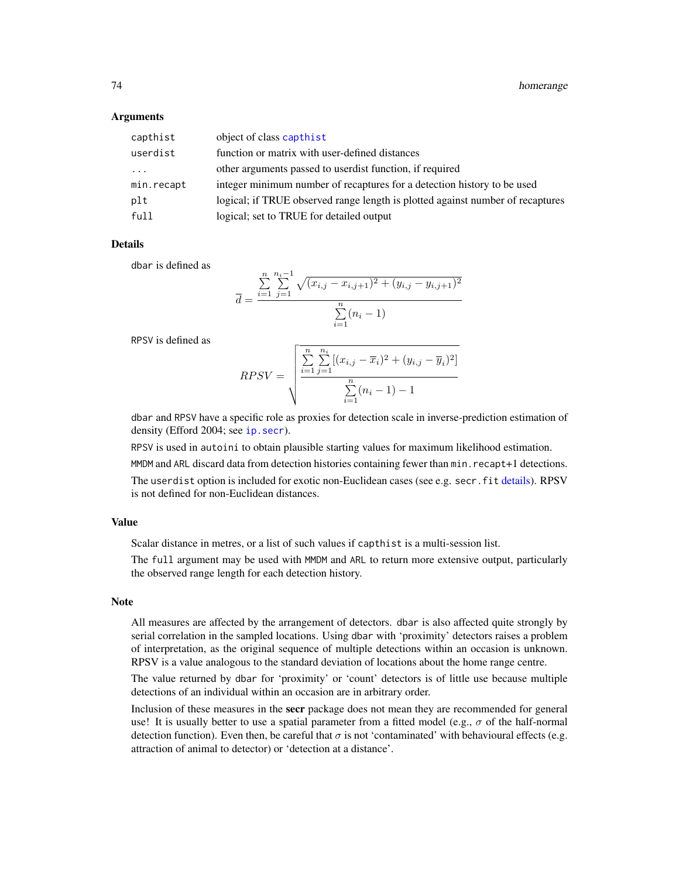## **Arguments**

| capthist   | object of class capthist                                                       |
|------------|--------------------------------------------------------------------------------|
| userdist   | function or matrix with user-defined distances                                 |
| $\cdots$   | other arguments passed to userdist function, if required                       |
| min.recapt | integer minimum number of recaptures for a detection history to be used        |
| plt        | logical; if TRUE observed range length is plotted against number of recaptures |
| full       | logical; set to TRUE for detailed output                                       |

## **Details**

dbar is defined as

$$
\overline{d} = \frac{\sum_{i=1}^{n} \sum_{j=1}^{n_i - 1} \sqrt{(x_{i,j} - x_{i,j+1})^2 + (y_{i,j} - y_{i,j+1})^2}}{\sum_{i=1}^{n} (n_i - 1)}
$$

RPSV is defined as

$$
RPSV = \sqrt{\frac{\sum_{i=1}^{n} \sum_{j=1}^{n_i} [(x_{i,j} - \overline{x}_i)^2 + (y_{i,j} - \overline{y}_i)^2]}{\sum_{i=1}^{n} (n_i - 1) - 1}}
$$

dbar and RPSV have a specific role as proxies for detection scale in inverse-prediction estimation of density (Efford 2004; see ip. secr).

RPSV is used in autoini to obtain plausible starting values for maximum likelihood estimation. MMDM and ARL discard data from detection histories containing fewer than min.recapt+1 detections. The userdist option is included for exotic non-Euclidean cases (see e.g. secr. fit [details\)](#page-42-0). RPSV is not defined for non-Euclidean distances.

## Value

Scalar distance in metres, or a list of such values if capthist is a multi-session list.

The full argument may be used with MMDM and ARL to return more extensive output, particularly the observed range length for each detection history.

## Note

All measures are affected by the arrangement of detectors. dbar is also affected quite strongly by serial correlation in the sampled locations. Using dbar with 'proximity' detectors raises a problem of interpretation, as the original sequence of multiple detections within an occasion is unknown. RPSV is a value analogous to the standard deviation of locations about the home range centre.

The value returned by dbar for 'proximity' or 'count' detectors is of little use because multiple detections of an individual within an occasion are in arbitrary order.

Inclusion of these measures in the secr package does not mean they are recommended for general use! It is usually better to use a spatial parameter from a fitted model (e.g.,  $\sigma$  of the half-normal detection function). Even then, be careful that  $\sigma$  is not 'contaminated' with behavioural effects (e.g. attraction of animal to detector) or 'detection at a distance'.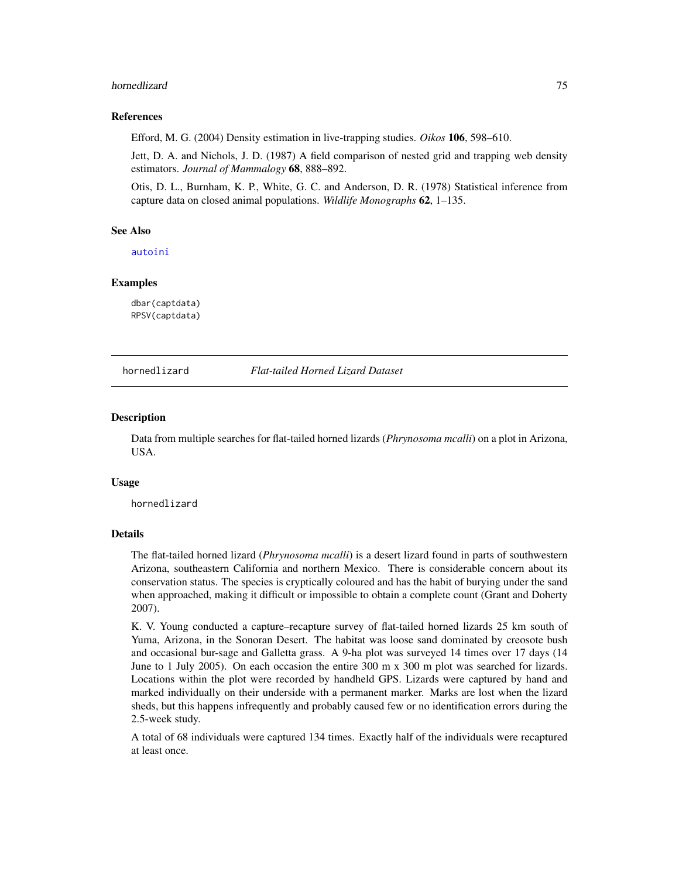#### hornedlizard 75

### References

Efford, M. G. (2004) Density estimation in live-trapping studies. *Oikos* 106, 598–610.

Jett, D. A. and Nichols, J. D. (1987) A field comparison of nested grid and trapping web density estimators. *Journal of Mammalogy* 68, 888–892.

Otis, D. L., Burnham, K. P., White, G. C. and Anderson, D. R. (1978) Statistical inference from capture data on closed animal populations. *Wildlife Monographs* 62, 1–135.

#### See Also

[autoini](#page-13-0)

#### Examples

dbar(captdata) RPSV(captdata)

hornedlizard *Flat-tailed Horned Lizard Dataset*

#### **Description**

Data from multiple searches for flat-tailed horned lizards (*Phrynosoma mcalli*) on a plot in Arizona, USA.

#### Usage

hornedlizard

## Details

The flat-tailed horned lizard (*Phrynosoma mcalli*) is a desert lizard found in parts of southwestern Arizona, southeastern California and northern Mexico. There is considerable concern about its conservation status. The species is cryptically coloured and has the habit of burying under the sand when approached, making it difficult or impossible to obtain a complete count (Grant and Doherty 2007).

K. V. Young conducted a capture–recapture survey of flat-tailed horned lizards 25 km south of Yuma, Arizona, in the Sonoran Desert. The habitat was loose sand dominated by creosote bush and occasional bur-sage and Galletta grass. A 9-ha plot was surveyed 14 times over 17 days (14 June to 1 July 2005). On each occasion the entire 300 m x 300 m plot was searched for lizards. Locations within the plot were recorded by handheld GPS. Lizards were captured by hand and marked individually on their underside with a permanent marker. Marks are lost when the lizard sheds, but this happens infrequently and probably caused few or no identification errors during the 2.5-week study.

A total of 68 individuals were captured 134 times. Exactly half of the individuals were recaptured at least once.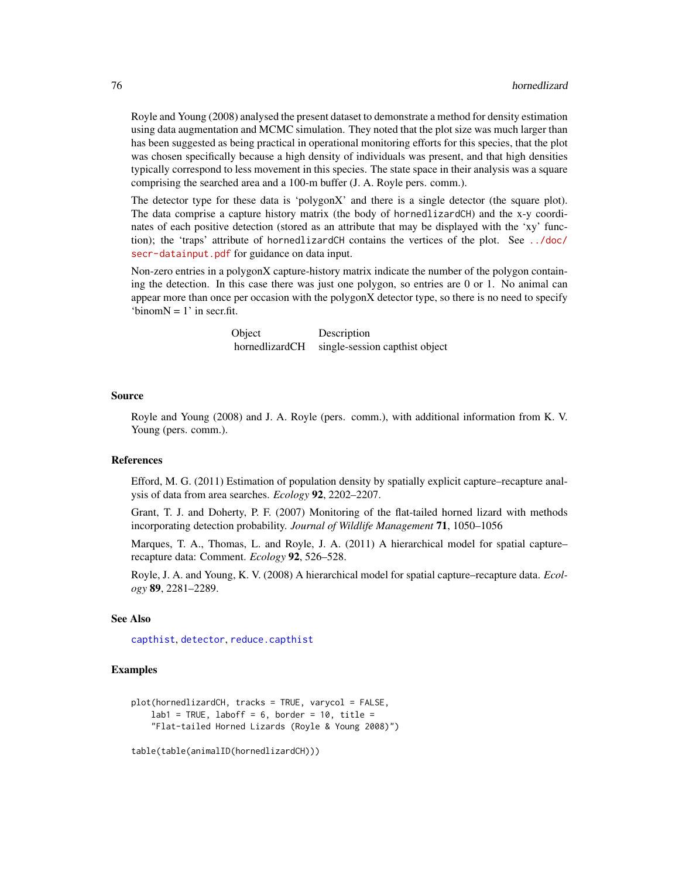Royle and Young (2008) analysed the present dataset to demonstrate a method for density estimation using data augmentation and MCMC simulation. They noted that the plot size was much larger than has been suggested as being practical in operational monitoring efforts for this species, that the plot was chosen specifically because a high density of individuals was present, and that high densities typically correspond to less movement in this species. The state space in their analysis was a square comprising the searched area and a 100-m buffer (J. A. Royle pers. comm.).

The detector type for these data is 'polygonX' and there is a single detector (the square plot). The data comprise a capture history matrix (the body of hornedlizardCH) and the x-y coordinates of each positive detection (stored as an attribute that may be displayed with the 'xy' function); the 'traps' attribute of hornedlizardCH contains the vertices of the plot. See [../doc/](../doc/secr-datainput.pdf) [secr-datainput.pdf](../doc/secr-datainput.pdf) for guidance on data input.

Non-zero entries in a polygonX capture-history matrix indicate the number of the polygon containing the detection. In this case there was just one polygon, so entries are 0 or 1. No animal can appear more than once per occasion with the polygonX detector type, so there is no need to specify 'binom $N = 1$ ' in secr.fit.

> Object Description hornedlizardCH single-session capthist object

#### Source

Royle and Young (2008) and J. A. Royle (pers. comm.), with additional information from K. V. Young (pers. comm.).

#### References

Efford, M. G. (2011) Estimation of population density by spatially explicit capture–recapture analysis of data from area searches. *Ecology* 92, 2202–2207.

Grant, T. J. and Doherty, P. F. (2007) Monitoring of the flat-tailed horned lizard with methods incorporating detection probability. *Journal of Wildlife Management* 71, 1050–1056

Marques, T. A., Thomas, L. and Royle, J. A. (2011) A hierarchical model for spatial capture– recapture data: Comment. *Ecology* 92, 526–528.

Royle, J. A. and Young, K. V. (2008) A hierarchical model for spatial capture–recapture data. *Ecology* 89, 2281–2289.

## See Also

[capthist](#page-17-0), [detector](#page-46-0), [reduce.capthist](#page-162-0)

## Examples

```
plot(hornedlizardCH, tracks = TRUE, varycol = FALSE,
   lab1 = TRUE, laboff = 6, border = 10, title =
    "Flat-tailed Horned Lizards (Royle & Young 2008)")
```

```
table(table(animalID(hornedlizardCH)))
```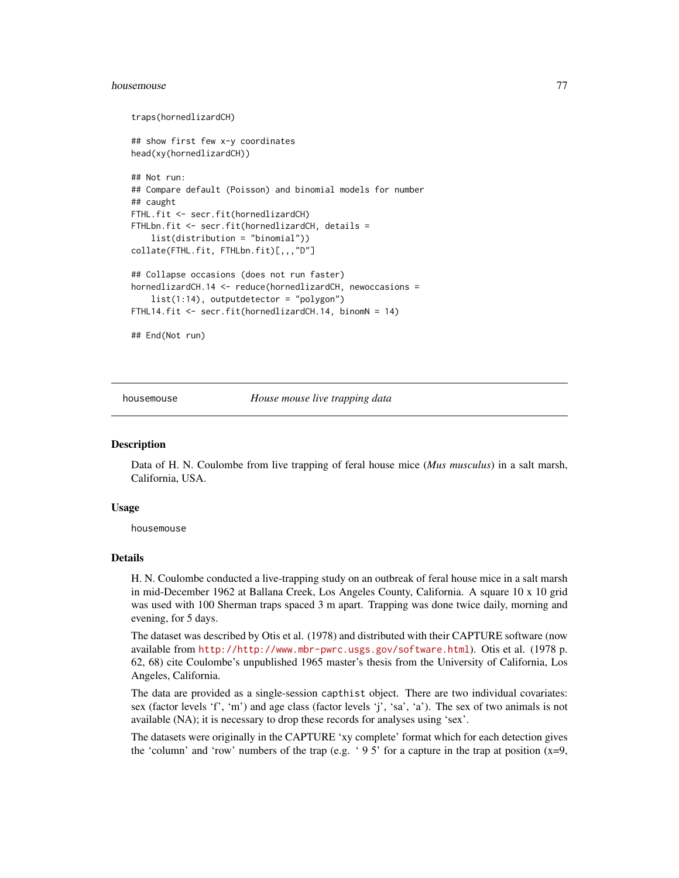#### housemouse **77**

```
traps(hornedlizardCH)
## show first few x-y coordinates
head(xy(hornedlizardCH))
## Not run:
## Compare default (Poisson) and binomial models for number
## caught
FTHL.fit <- secr.fit(hornedlizardCH)
FTHLbn.fit <- secr.fit(hornedlizardCH, details =
    list(distribution = "binomial"))
collate(FTHL.fit, FTHLbn.fit)[,,,"D"]
## Collapse occasions (does not run faster)
hornedlizardCH.14 <- reduce(hornedlizardCH, newoccasions =
    list(1:14), outputdetector = "polygon")
FTHL14.fit <- secr.fit(hornedlizardCH.14, binomN = 14)
## End(Not run)
```
housemouse *House mouse live trapping data*

## Description

Data of H. N. Coulombe from live trapping of feral house mice (*Mus musculus*) in a salt marsh, California, USA.

#### Usage

housemouse

#### Details

H. N. Coulombe conducted a live-trapping study on an outbreak of feral house mice in a salt marsh in mid-December 1962 at Ballana Creek, Los Angeles County, California. A square 10 x 10 grid was used with 100 Sherman traps spaced 3 m apart. Trapping was done twice daily, morning and evening, for 5 days.

The dataset was described by Otis et al. (1978) and distributed with their CAPTURE software (now available from <http://http://www.mbr-pwrc.usgs.gov/software.html>). Otis et al. (1978 p. 62, 68) cite Coulombe's unpublished 1965 master's thesis from the University of California, Los Angeles, California.

The data are provided as a single-session capthist object. There are two individual covariates: sex (factor levels 'f', 'm') and age class (factor levels 'j', 'sa', 'a'). The sex of two animals is not available (NA); it is necessary to drop these records for analyses using 'sex'.

The datasets were originally in the CAPTURE 'xy complete' format which for each detection gives the 'column' and 'row' numbers of the trap (e.g. '95' for a capture in the trap at position  $(x=9,$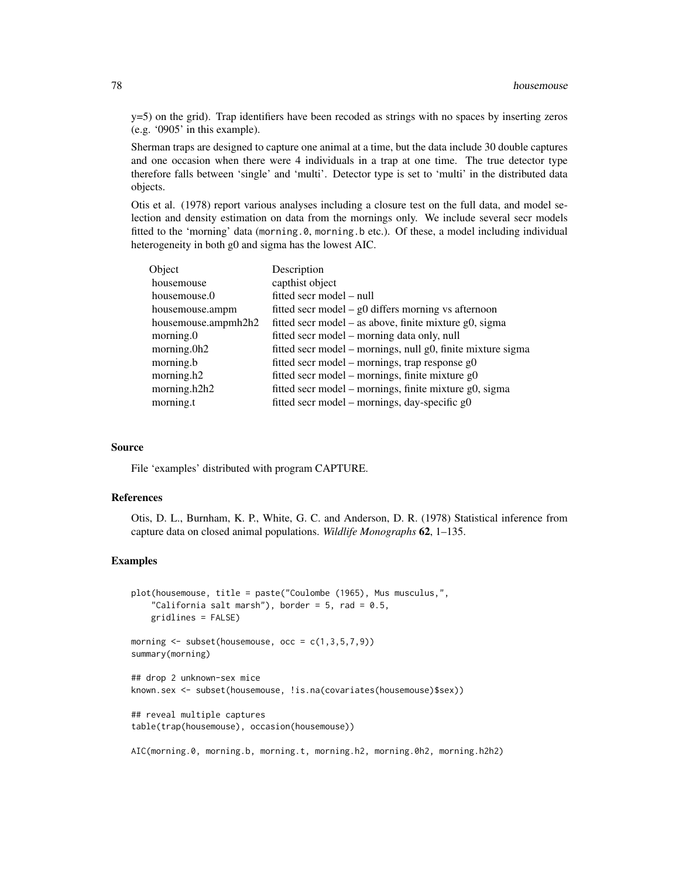y=5) on the grid). Trap identifiers have been recoded as strings with no spaces by inserting zeros (e.g. '0905' in this example).

Sherman traps are designed to capture one animal at a time, but the data include 30 double captures and one occasion when there were 4 individuals in a trap at one time. The true detector type therefore falls between 'single' and 'multi'. Detector type is set to 'multi' in the distributed data objects.

Otis et al. (1978) report various analyses including a closure test on the full data, and model selection and density estimation on data from the mornings only. We include several secr models fitted to the 'morning' data (morning.0, morning.b etc.). Of these, a model including individual heterogeneity in both g0 and sigma has the lowest AIC.

| Object              | Description                                                 |
|---------------------|-------------------------------------------------------------|
| housemouse          | capthist object                                             |
| housemouse.0        | fitted secr model – null                                    |
| housemouse.ampm     | fitted secr model $-$ g0 differs morning vs afternoon       |
| housemouse.ampmh2h2 | fitted secr model – as above, finite mixture g0, sigma      |
| morning.0           | fitted secr model – morning data only, null                 |
| morning.0h2         | fitted secr model – mornings, null g0, finite mixture sigma |
| morning.b           | fitted secr model – mornings, trap response $g0$            |
| morning.h2          | fitted secr model – mornings, finite mixture $g0$           |
| morning.h2h2        | fitted secr model – mornings, finite mixture g0, sigma      |
| morning.t           | fitted secr model – mornings, day-specific $g0$             |
|                     |                                                             |

## Source

File 'examples' distributed with program CAPTURE.

## References

Otis, D. L., Burnham, K. P., White, G. C. and Anderson, D. R. (1978) Statistical inference from capture data on closed animal populations. *Wildlife Monographs* 62, 1–135.

## Examples

```
plot(housemouse, title = paste("Coulombe (1965), Mus musculus,",
    "California salt marsh"), border = 5, rad = 0.5,
   gridlines = FALSE)
morning \leq subset(housemouse, occ = c(1,3,5,7,9))
summary(morning)
## drop 2 unknown-sex mice
known.sex <- subset(housemouse, !is.na(covariates(housemouse)$sex))
## reveal multiple captures
table(trap(housemouse), occasion(housemouse))
```
AIC(morning.0, morning.b, morning.t, morning.h2, morning.0h2, morning.h2h2)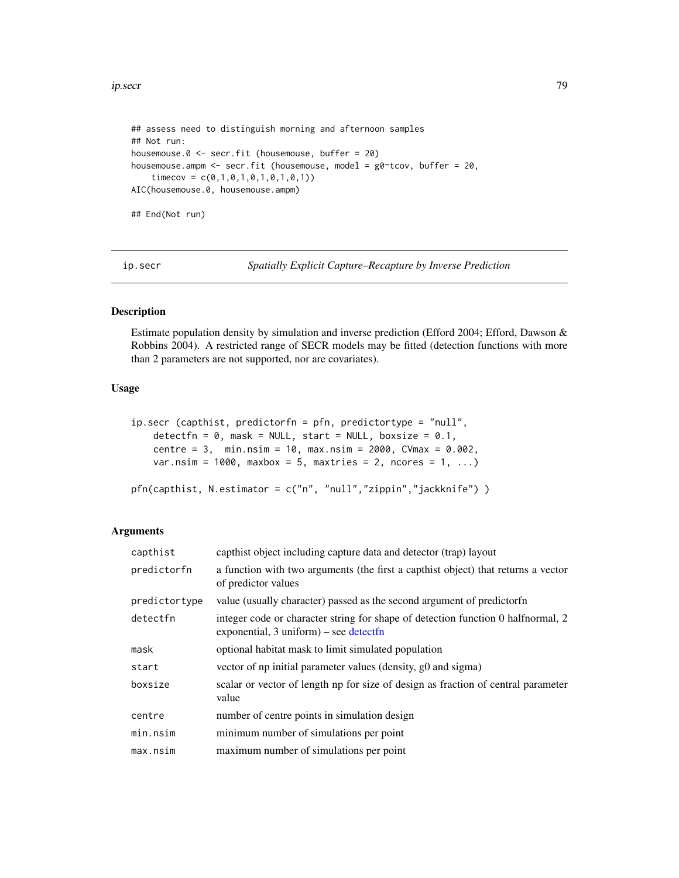#### ip.secr 79

```
## assess need to distinguish morning and afternoon samples
## Not run:
housemouse.0 <- secr.fit (housemouse, buffer = 20)
housemouse.ampm <- secr.fit (housemouse, model = g0~tcov, buffer = 20,
    timecov = c(0,1,0,1,0,1,0,1,0,1))
AIC(housemouse.0, housemouse.ampm)
## End(Not run)
```
ip.secr *Spatially Explicit Capture–Recapture by Inverse Prediction*

# Description

Estimate population density by simulation and inverse prediction (Efford 2004; Efford, Dawson & Robbins 2004). A restricted range of SECR models may be fitted (detection functions with more than 2 parameters are not supported, nor are covariates).

# Usage

```
ip.secr (capthist, predictorfn = pfn, predictortype = "null",
   detectfn = 0, mask = NULL, start = NULL, boxsize = 0.1,
   centre = 3, min.nsim = 10, max.nsim = 2000, CVmax = 0.002,
   var.nsim = 1000, maxbox = 5, maxtries = 2, ncores = 1, ...)
pfn(capthist, N.estimator = c("n", "null","zippin","jackknife") )
```
# Arguments

| capthist      | capthist object including capture data and detector (trap) layout                                                             |
|---------------|-------------------------------------------------------------------------------------------------------------------------------|
| predictorfn   | a function with two arguments (the first a capthist object) that returns a vector<br>of predictor values                      |
| predictortype | value (usually character) passed as the second argument of predictorfn                                                        |
| detectfn      | integer code or character string for shape of detection function 0 half normal, 2<br>exponential, $3$ uniform) – see detectfn |
| mask          | optional habitat mask to limit simulated population                                                                           |
| start         | vector of np initial parameter values (density, g0 and sigma)                                                                 |
| boxsize       | scalar or vector of length np for size of design as fraction of central parameter<br>value                                    |
| centre        | number of centre points in simulation design                                                                                  |
| min.nsim      | minimum number of simulations per point                                                                                       |
| max.nsim      | maximum number of simulations per point                                                                                       |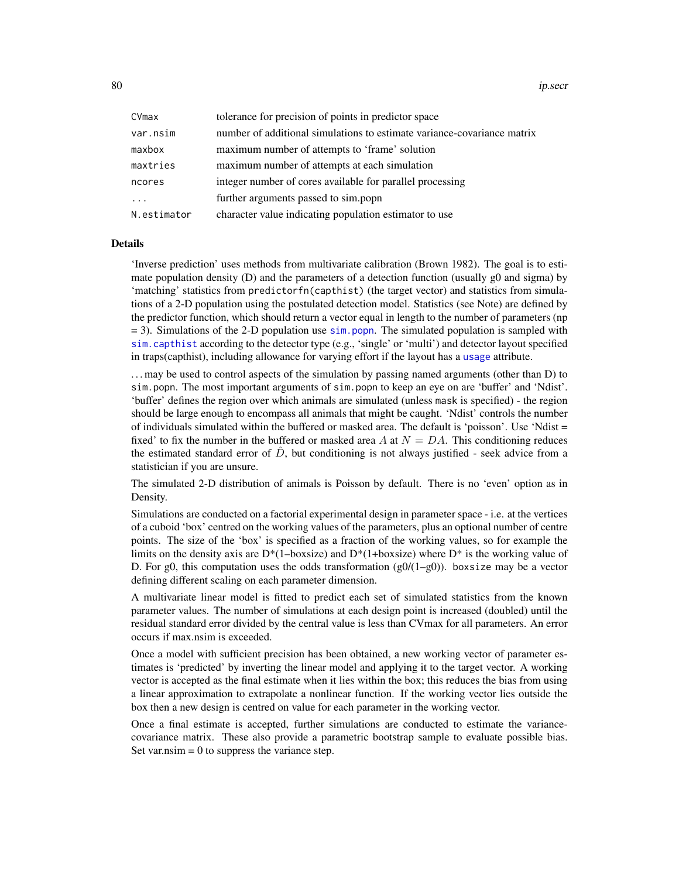80 ip.secr

| CVmax       | tolerance for precision of points in predictor space                    |
|-------------|-------------------------------------------------------------------------|
| var.nsim    | number of additional simulations to estimate variance-covariance matrix |
| maxbox      | maximum number of attempts to 'frame' solution                          |
| maxtries    | maximum number of attempts at each simulation                           |
| ncores      | integer number of cores available for parallel processing               |
| .           | further arguments passed to sim.popn                                    |
| N.estimator | character value indicating population estimator to use                  |

# Details

'Inverse prediction' uses methods from multivariate calibration (Brown 1982). The goal is to estimate population density  $(D)$  and the parameters of a detection function (usually  $g0$  and sigma) by 'matching' statistics from predictorfn(capthist) (the target vector) and statistics from simulations of a 2-D population using the postulated detection model. Statistics (see Note) are defined by the predictor function, which should return a vector equal in length to the number of parameters (np  $= 3$ ). Simulations of the 2-D population use [sim.popn](#page-200-0). The simulated population is sampled with [sim.capthist](#page-196-0) according to the detector type (e.g., 'single' or 'multi') and detector layout specified in traps(capthist), including allowance for varying effort if the layout has a [usage](#page-249-0) attribute.

. . . may be used to control aspects of the simulation by passing named arguments (other than D) to sim.popn. The most important arguments of sim.popn to keep an eye on are 'buffer' and 'Ndist'. 'buffer' defines the region over which animals are simulated (unless mask is specified) - the region should be large enough to encompass all animals that might be caught. 'Ndist' controls the number of individuals simulated within the buffered or masked area. The default is 'poisson'. Use 'Ndist = fixed' to fix the number in the buffered or masked area A at  $N = DA$ . This conditioning reduces the estimated standard error of  $\overline{D}$ , but conditioning is not always justified - seek advice from a statistician if you are unsure.

The simulated 2-D distribution of animals is Poisson by default. There is no 'even' option as in Density.

Simulations are conducted on a factorial experimental design in parameter space - i.e. at the vertices of a cuboid 'box' centred on the working values of the parameters, plus an optional number of centre points. The size of the 'box' is specified as a fraction of the working values, so for example the limits on the density axis are  $D^*(1-boxsize)$  and  $D^*(1+boxsize)$  where  $D^*$  is the working value of D. For g0, this computation uses the odds transformation  $(g0/(1-g0))$ . boxsize may be a vector defining different scaling on each parameter dimension.

A multivariate linear model is fitted to predict each set of simulated statistics from the known parameter values. The number of simulations at each design point is increased (doubled) until the residual standard error divided by the central value is less than CVmax for all parameters. An error occurs if max.nsim is exceeded.

Once a model with sufficient precision has been obtained, a new working vector of parameter estimates is 'predicted' by inverting the linear model and applying it to the target vector. A working vector is accepted as the final estimate when it lies within the box; this reduces the bias from using a linear approximation to extrapolate a nonlinear function. If the working vector lies outside the box then a new design is centred on value for each parameter in the working vector.

Once a final estimate is accepted, further simulations are conducted to estimate the variancecovariance matrix. These also provide a parametric bootstrap sample to evaluate possible bias. Set var.nsim  $= 0$  to suppress the variance step.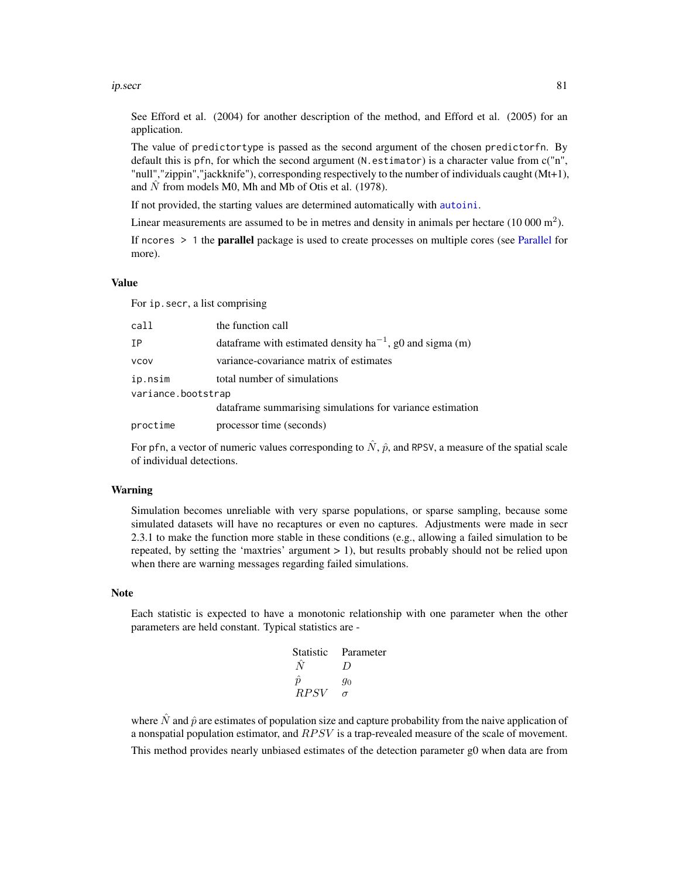#### ip.secr 81

See Efford et al. (2004) for another description of the method, and Efford et al. (2005) for an application.

The value of predictortype is passed as the second argument of the chosen predictorfn. By default this is pfn, for which the second argument (N.estimator) is a character value from  $c("n",$ "null","zippin","jackknife"), corresponding respectively to the number of individuals caught (Mt+1), and  $\hat{N}$  from models M0, Mh and Mb of Otis et al. (1978).

If not provided, the starting values are determined automatically with [autoini](#page-13-0).

Linear measurements are assumed to be in metres and density in animals per hectare  $(10000 \text{ m}^2)$ .

If ncores  $> 1$  the **parallel** package is used to create processes on multiple cores (see [Parallel](#page-116-0) for more).

#### Value

For ip.secr, a list comprising

| call               | the function call                                              |
|--------------------|----------------------------------------------------------------|
| IΡ                 | data frame with estimated density $ha^{-1}$ , g0 and sigma (m) |
| <b>VCOV</b>        | variance-covariance matrix of estimates                        |
| ip.nsim            | total number of simulations                                    |
| variance.bootstrap |                                                                |
|                    | dataframe summarising simulations for variance estimation      |
| proctime           | processor time (seconds)                                       |

For pfn, a vector of numeric values corresponding to  $\hat{N}$ ,  $\hat{p}$ , and RPSV, a measure of the spatial scale of individual detections.

#### Warning

Simulation becomes unreliable with very sparse populations, or sparse sampling, because some simulated datasets will have no recaptures or even no captures. Adjustments were made in secr 2.3.1 to make the function more stable in these conditions (e.g., allowing a failed simulation to be repeated, by setting the 'maxtries' argument  $> 1$ ), but results probably should not be relied upon when there are warning messages regarding failed simulations.

#### Note

Each statistic is expected to have a monotonic relationship with one parameter when the other parameters are held constant. Typical statistics are -

| Statistic   | Parameter        |
|-------------|------------------|
| N           | $\left( \right)$ |
| $\hat{n}$   | 90               |
| <i>RPSV</i> | σ                |

where  $\hat{N}$  and  $\hat{p}$  are estimates of population size and capture probability from the naive application of a nonspatial population estimator, and  $RPSV$  is a trap-revealed measure of the scale of movement. This method provides nearly unbiased estimates of the detection parameter g0 when data are from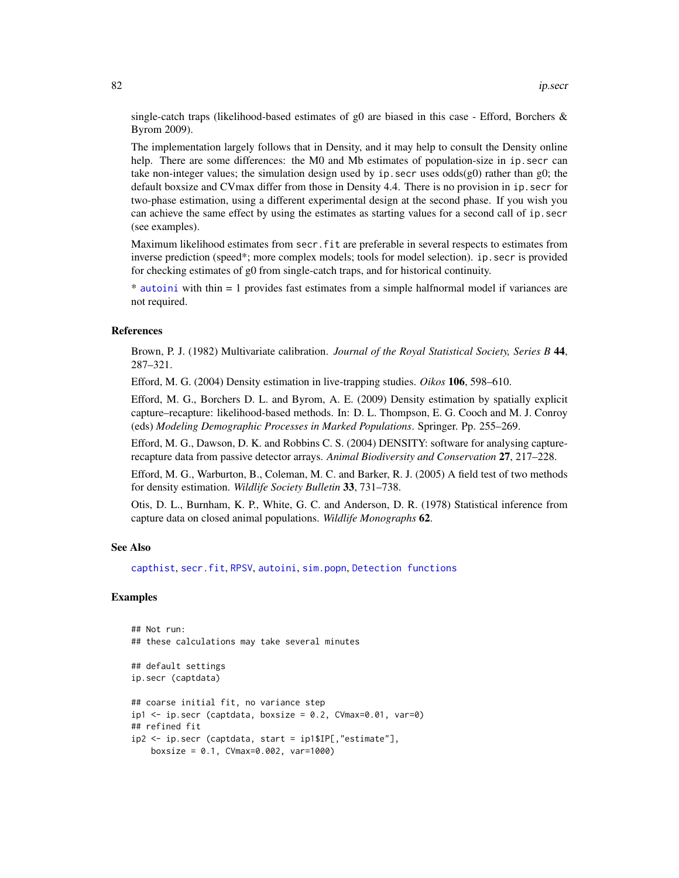single-catch traps (likelihood-based estimates of g0 are biased in this case - Efford, Borchers  $\&$ Byrom 2009).

The implementation largely follows that in Density, and it may help to consult the Density online help. There are some differences: the M0 and Mb estimates of population-size in ip. secr can take non-integer values; the simulation design used by ip. secr uses odds $(g0)$  rather than  $g0$ ; the default boxsize and CVmax differ from those in Density 4.4. There is no provision in ip.secr for two-phase estimation, using a different experimental design at the second phase. If you wish you can achieve the same effect by using the estimates as starting values for a second call of ip. secr (see examples).

Maximum likelihood estimates from secr.fit are preferable in several respects to estimates from inverse prediction (speed\*; more complex models; tools for model selection). ip. secr is provided for checking estimates of g0 from single-catch traps, and for historical continuity.

\* [autoini](#page-13-0) with thin = 1 provides fast estimates from a simple halfnormal model if variances are not required.

## References

Brown, P. J. (1982) Multivariate calibration. *Journal of the Royal Statistical Society, Series B* 44, 287–321.

Efford, M. G. (2004) Density estimation in live-trapping studies. *Oikos* 106, 598–610.

Efford, M. G., Borchers D. L. and Byrom, A. E. (2009) Density estimation by spatially explicit capture–recapture: likelihood-based methods. In: D. L. Thompson, E. G. Cooch and M. J. Conroy (eds) *Modeling Demographic Processes in Marked Populations*. Springer. Pp. 255–269.

Efford, M. G., Dawson, D. K. and Robbins C. S. (2004) DENSITY: software for analysing capturerecapture data from passive detector arrays. *Animal Biodiversity and Conservation* 27, 217–228.

Efford, M. G., Warburton, B., Coleman, M. C. and Barker, R. J. (2005) A field test of two methods for density estimation. *Wildlife Society Bulletin* 33, 731–738.

Otis, D. L., Burnham, K. P., White, G. C. and Anderson, D. R. (1978) Statistical inference from capture data on closed animal populations. *Wildlife Monographs* 62.

# See Also

[capthist](#page-17-0), [secr.fit](#page-176-0), [RPSV](#page-72-0), [autoini](#page-13-0), [sim.popn](#page-200-0), [Detection functions](#page-0-0)

# Examples

```
## Not run:
## these calculations may take several minutes
## default settings
ip.secr (captdata)
## coarse initial fit, no variance step
ip1 < -ip/sec (captdata, boxsize = 0.2, CVmax=0.01, var=0)
## refined fit
ip2 <- ip.secr (captdata, start = ip1$IP[,"estimate"],
   boxsize = 0.1, CVmax=0.002, var=1000)
```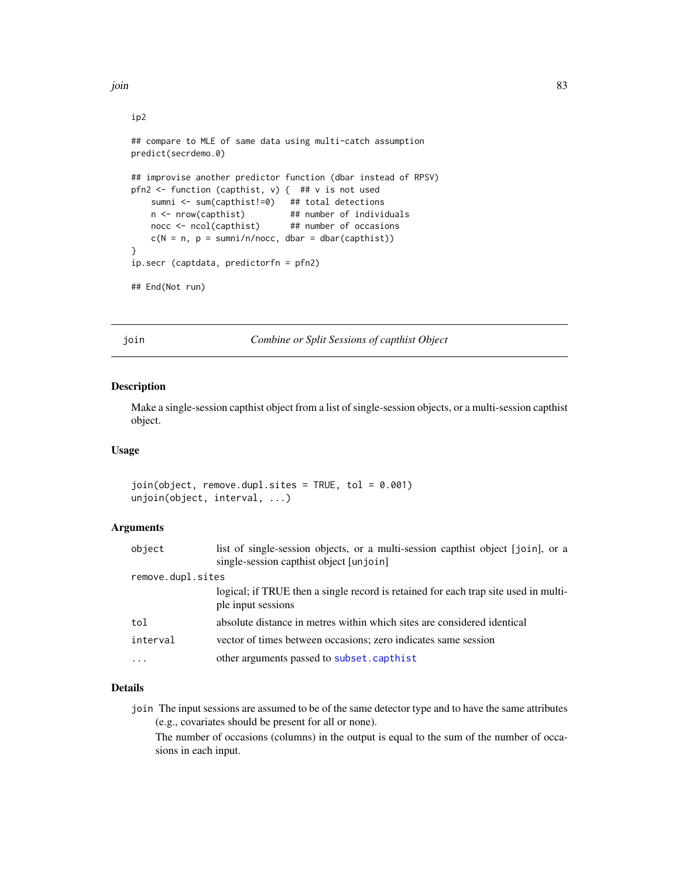```
ip2
## compare to MLE of same data using multi-catch assumption
predict(secrdemo.0)
## improvise another predictor function (dbar instead of RPSV)
pfn2 <- function (capthist, v) { ## v is not used
   sumni <- sum(capthist!=0) ## total detections
   n <- nrow(capthist) ## number of individuals
   nocc <- ncol(capthist) ## number of occasions
   c(N = n, p = sumni/n/nocc, dbar = dbar(capthist))}
ip.secr (captdata, predictorfn = pfn2)
## End(Not run)
```
join *Combine or Split Sessions of capthist Object*

#### Description

Make a single-session capthist object from a list of single-session objects, or a multi-session capthist object.

## Usage

join(object, remove.dupl.sites = TRUE, tol = 0.001) unjoin(object, interval, ...)

#### Arguments

| object            | list of single-session objects, or a multi-session capthist object [join], or a<br>single-session capthist object [unjoin] |
|-------------------|----------------------------------------------------------------------------------------------------------------------------|
| remove.dupl.sites |                                                                                                                            |
|                   | logical; if TRUE then a single record is retained for each trap site used in multi-<br>ple input sessions                  |
| tol               | absolute distance in metres within which sites are considered identical                                                    |
| interval          | vector of times between occasions; zero indicates same session                                                             |
| $\ddotsc$         | other arguments passed to subset.capthist                                                                                  |
|                   |                                                                                                                            |

#### Details

join The input sessions are assumed to be of the same detector type and to have the same attributes (e.g., covariates should be present for all or none).

The number of occasions (columns) in the output is equal to the sum of the number of occasions in each input.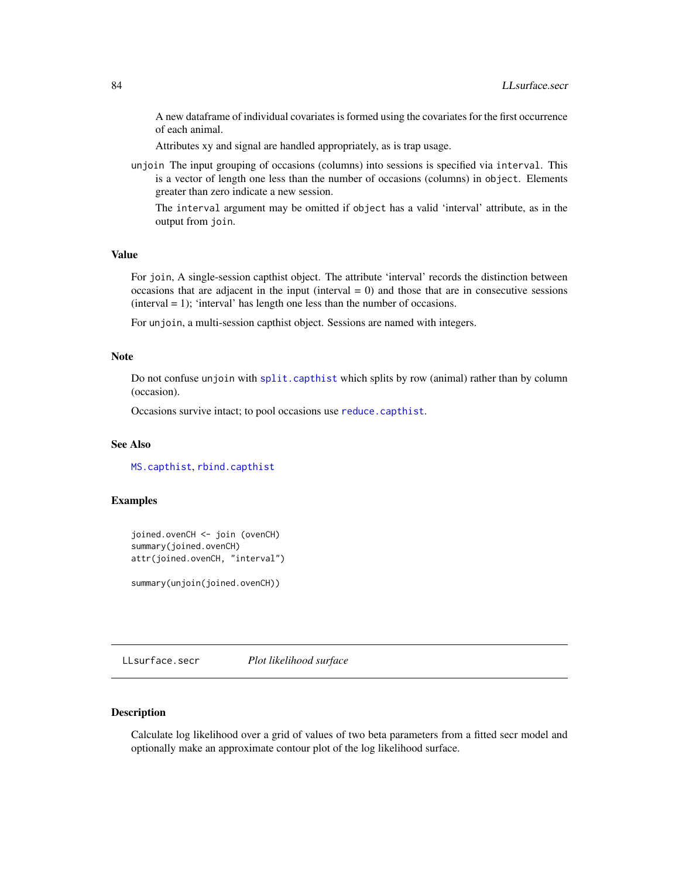A new dataframe of individual covariates is formed using the covariates for the first occurrence of each animal.

Attributes xy and signal are handled appropriately, as is trap usage.

unjoin The input grouping of occasions (columns) into sessions is specified via interval. This is a vector of length one less than the number of occasions (columns) in object. Elements greater than zero indicate a new session.

The interval argument may be omitted if object has a valid 'interval' attribute, as in the output from join.

# Value

For join, A single-session capthist object. The attribute 'interval' records the distinction between occasions that are adjacent in the input (interval  $= 0$ ) and those that are in consecutive sessions  $(interval = 1)$ ; 'interval' has length one less than the number of occasions.

For unjoin, a multi-session capthist object. Sessions are named with integers.

## Note

Do not confuse unjoin with [split.capthist](#page-223-1) which splits by row (animal) rather than by column (occasion).

Occasions survive intact; to pool occasions use [reduce.capthist](#page-162-0).

## See Also

[MS.capthist](#page-148-0), [rbind.capthist](#page-148-1)

# Examples

```
joined.ovenCH <- join (ovenCH)
summary(joined.ovenCH)
attr(joined.ovenCH, "interval")
```
summary(unjoin(joined.ovenCH))

LLsurface.secr *Plot likelihood surface*

# Description

Calculate log likelihood over a grid of values of two beta parameters from a fitted secr model and optionally make an approximate contour plot of the log likelihood surface.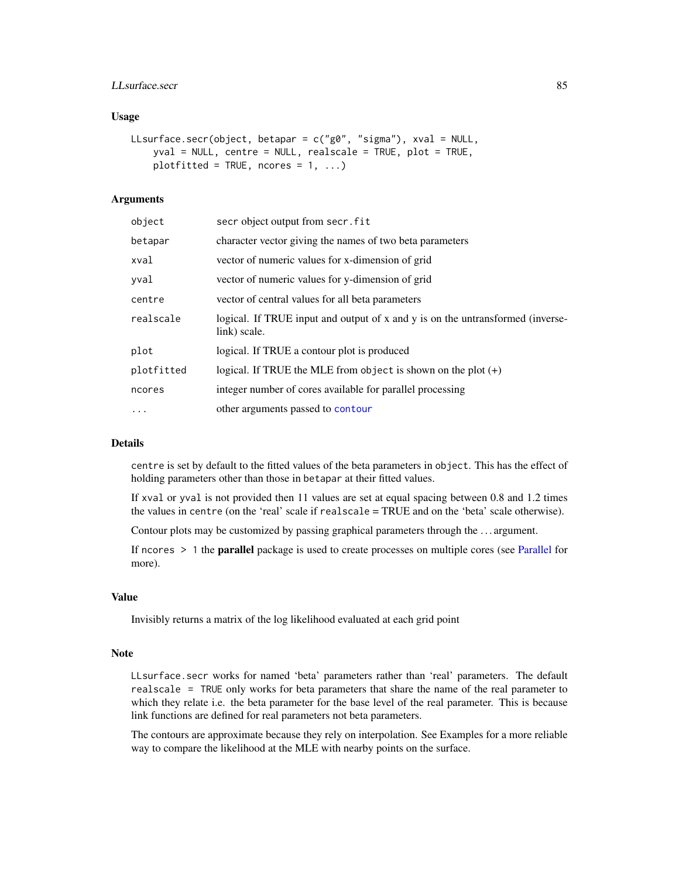# LLsurface.secr 85

## Usage

```
LLsurface.secr(object, betapar = c("g0", "sigma"), xval = NULL,
    yval = NULL, centre = NULL, realscale = TRUE, plot = TRUE,
    plotfitted = TRUE, ncores = 1, ...)
```
## Arguments

| object     | secr object output from secr. fit                                                              |
|------------|------------------------------------------------------------------------------------------------|
| betapar    | character vector giving the names of two beta parameters                                       |
| xval       | vector of numeric values for x-dimension of grid                                               |
| yval       | vector of numeric values for y-dimension of grid                                               |
| centre     | vector of central values for all beta parameters                                               |
| realscale  | logical. If TRUE input and output of x and y is on the untransformed (inverse-<br>link) scale. |
| plot       | logical. If TRUE a contour plot is produced                                                    |
| plotfitted | logical. If TRUE the MLE from object is shown on the plot $(+)$                                |
| ncores     | integer number of cores available for parallel processing                                      |
| $\cdots$   | other arguments passed to contour                                                              |

## Details

centre is set by default to the fitted values of the beta parameters in object. This has the effect of holding parameters other than those in betapar at their fitted values.

If xval or yval is not provided then 11 values are set at equal spacing between 0.8 and 1.2 times the values in centre (on the 'real' scale if realscale = TRUE and on the 'beta' scale otherwise).

Contour plots may be customized by passing graphical parameters through the . . . argument.

If ncores > 1 the parallel package is used to create processes on multiple cores (see [Parallel](#page-116-0) for more).

# Value

Invisibly returns a matrix of the log likelihood evaluated at each grid point

# Note

LLsurface.secr works for named 'beta' parameters rather than 'real' parameters. The default realscale = TRUE only works for beta parameters that share the name of the real parameter to which they relate i.e. the beta parameter for the base level of the real parameter. This is because link functions are defined for real parameters not beta parameters.

The contours are approximate because they rely on interpolation. See Examples for a more reliable way to compare the likelihood at the MLE with nearby points on the surface.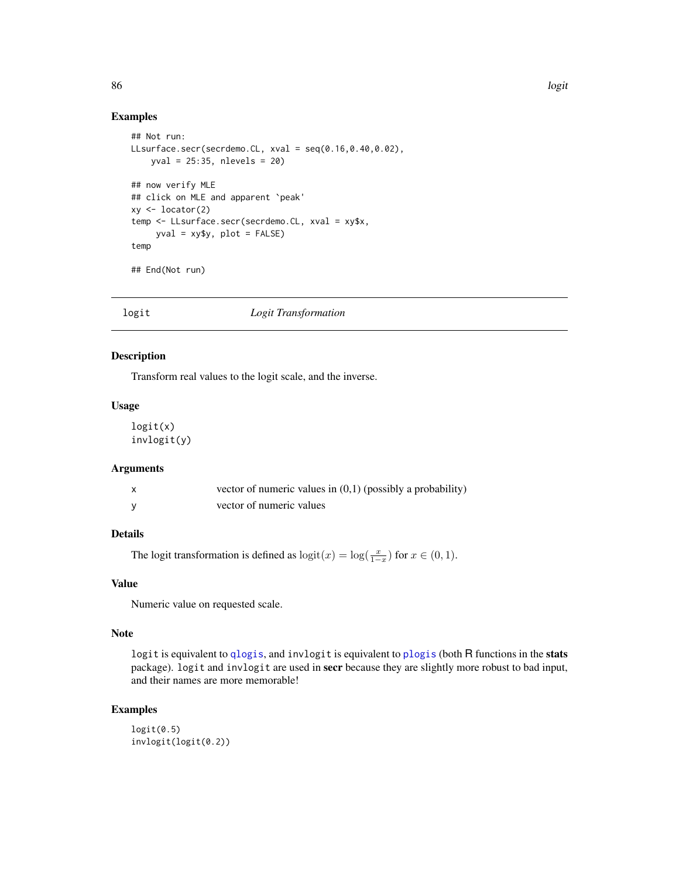# Examples

```
## Not run:
LLsurface.secr(secrdemo.CL, xval = seq(0.16,0.40,0.02),
   yval = 25:35, nlevels = 20)
## now verify MLE
## click on MLE and apparent `peak'
xy <- locator(2)
temp <- LLsurface.secr(secrdemo.CL, xval = xy$x,
     yval = xy$y, plot = FALSE)
temp
## End(Not run)
```
## logit *Logit Transformation*

#### Description

Transform real values to the logit scale, and the inverse.

#### Usage

logit(x) invlogit(y)

## Arguments

| X | vector of numeric values in $(0,1)$ (possibly a probability) |
|---|--------------------------------------------------------------|
|   | vector of numeric values                                     |

# Details

The logit transformation is defined as  $\text{logit}(x) = \text{log}(\frac{x}{1-x})$  for  $x \in (0,1)$ .

# Value

Numeric value on requested scale.

## Note

logit is equivalent to [qlogis](#page-0-0), and invlogit is equivalent to [plogis](#page-0-0) (both R functions in the stats package). logit and invlogit are used in secr because they are slightly more robust to bad input, and their names are more memorable!

# Examples

```
logit(0.5)
invlogit(logit(0.2))
```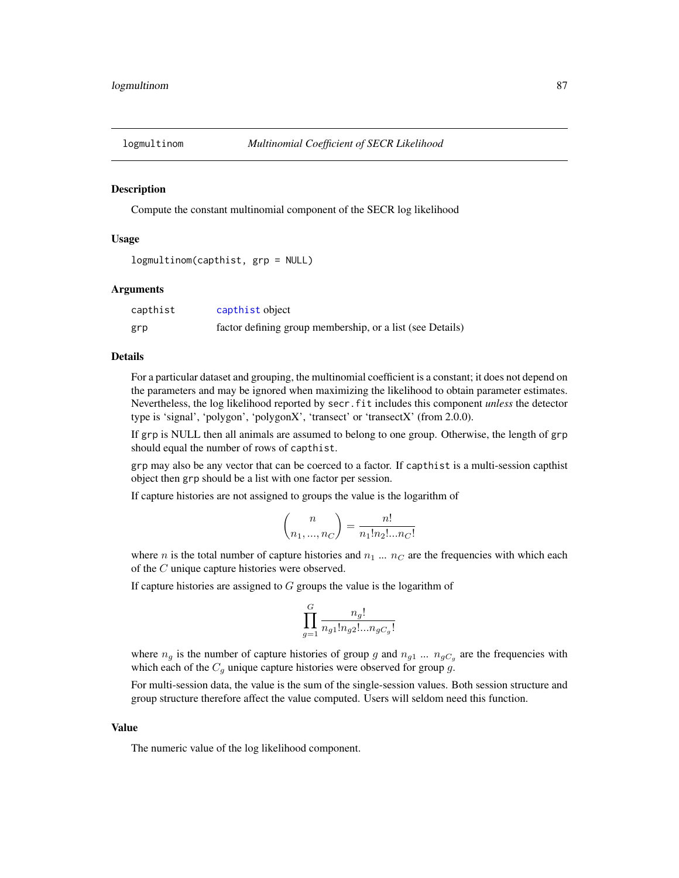## **Description**

Compute the constant multinomial component of the SECR log likelihood

#### Usage

```
logmultinom(capthist, grp = NULL)
```
## **Arguments**

| capthist | capthist object                                           |
|----------|-----------------------------------------------------------|
| grp      | factor defining group membership, or a list (see Details) |

## Details

For a particular dataset and grouping, the multinomial coefficient is a constant; it does not depend on the parameters and may be ignored when maximizing the likelihood to obtain parameter estimates. Nevertheless, the log likelihood reported by secr.fit includes this component *unless* the detector type is 'signal', 'polygon', 'polygonX', 'transect' or 'transectX' (from 2.0.0).

If grp is NULL then all animals are assumed to belong to one group. Otherwise, the length of grp should equal the number of rows of capthist.

grp may also be any vector that can be coerced to a factor. If capthist is a multi-session capthist object then grp should be a list with one factor per session.

If capture histories are not assigned to groups the value is the logarithm of

$$
\binom{n}{n_1, ..., n_C} = \frac{n!}{n_1! n_2! ... n_C!}
$$

where n is the total number of capture histories and  $n_1 \dots n_C$  are the frequencies with which each of the C unique capture histories were observed.

If capture histories are assigned to  $G$  groups the value is the logarithm of

$$
\prod_{g=1}^G \frac{n_g!}{n_{g1}! n_{g2}!...n_{gC_g}!}
$$

where  $n_g$  is the number of capture histories of group g and  $n_{g1}$  ...  $n_{gC_g}$  are the frequencies with which each of the  $C<sub>g</sub>$  unique capture histories were observed for group g.

For multi-session data, the value is the sum of the single-session values. Both session structure and group structure therefore affect the value computed. Users will seldom need this function.

## Value

The numeric value of the log likelihood component.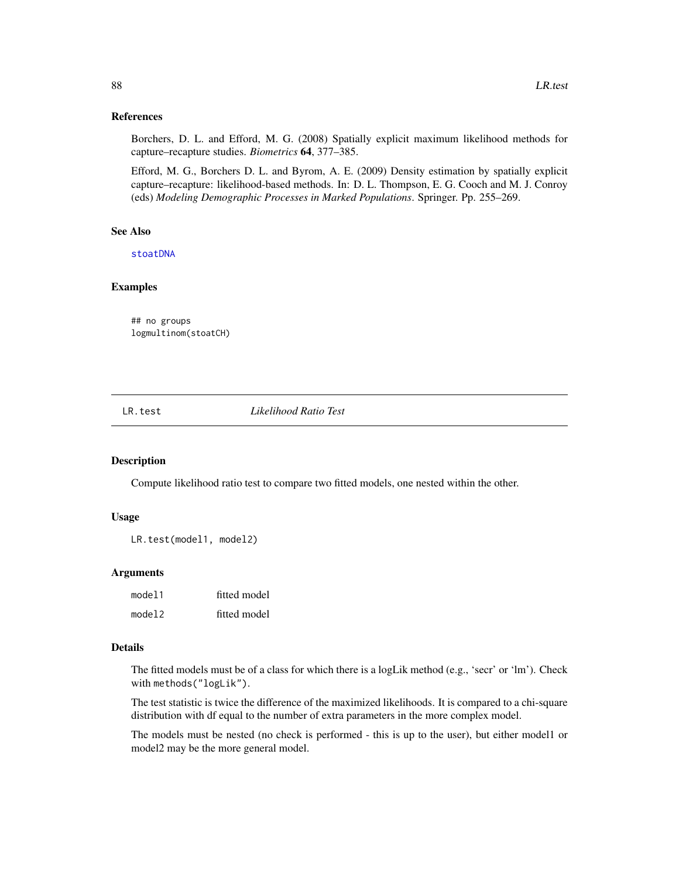## References

Borchers, D. L. and Efford, M. G. (2008) Spatially explicit maximum likelihood methods for capture–recapture studies. *Biometrics* 64, 377–385.

Efford, M. G., Borchers D. L. and Byrom, A. E. (2009) Density estimation by spatially explicit capture–recapture: likelihood-based methods. In: D. L. Thompson, E. G. Cooch and M. J. Conroy (eds) *Modeling Demographic Processes in Marked Populations*. Springer. Pp. 255–269.

# See Also

[stoatDNA](#page-219-0)

# Examples

## no groups logmultinom(stoatCH)

LR.test *Likelihood Ratio Test*

#### Description

Compute likelihood ratio test to compare two fitted models, one nested within the other.

#### Usage

```
LR.test(model1, model2)
```
### Arguments

| model1 | fitted model |
|--------|--------------|
| model2 | fitted model |

## Details

The fitted models must be of a class for which there is a logLik method (e.g., 'secr' or 'lm'). Check with methods("logLik").

The test statistic is twice the difference of the maximized likelihoods. It is compared to a chi-square distribution with df equal to the number of extra parameters in the more complex model.

The models must be nested (no check is performed - this is up to the user), but either model1 or model2 may be the more general model.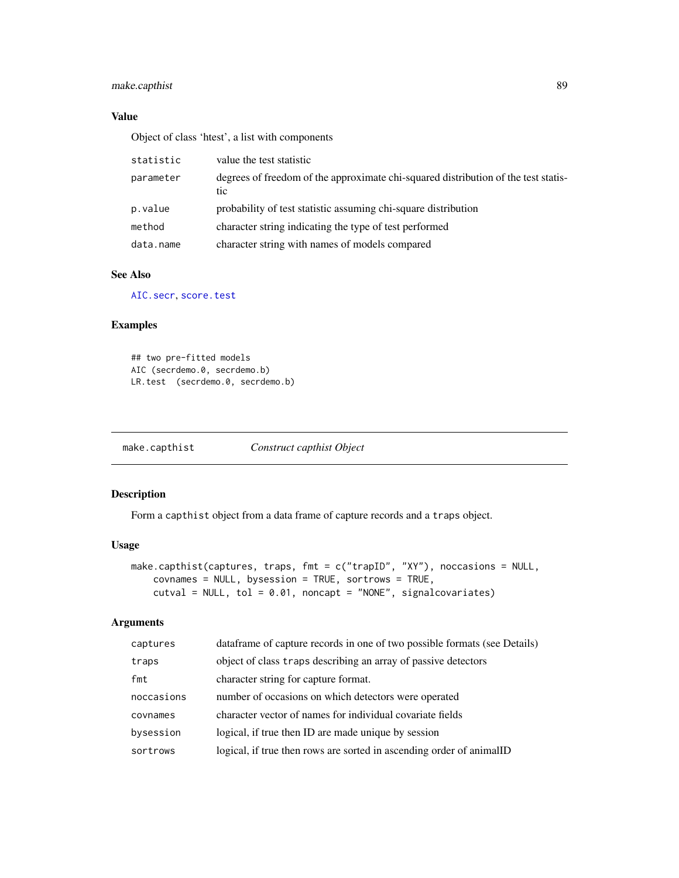# make.capthist 89

# Value

Object of class 'htest', a list with components

| statistic | value the test statistic                                                                  |
|-----------|-------------------------------------------------------------------------------------------|
| parameter | degrees of freedom of the approximate chi-squared distribution of the test statis-<br>tic |
| p.value   | probability of test statistic assuming chi-square distribution                            |
| method    | character string indicating the type of test performed                                    |
| data.name | character string with names of models compared                                            |

# See Also

[AIC.secr](#page-10-0), [score.test](#page-171-0)

# Examples

## two pre-fitted models AIC (secrdemo.0, secrdemo.b) LR.test (secrdemo.0, secrdemo.b)

make.capthist *Construct capthist Object*

# Description

Form a capthist object from a data frame of capture records and a traps object.

# Usage

```
make.capthist(captures, traps, fmt = c("trapID", "XY"), noccasions = NULL,
    covnames = NULL, bysession = TRUE, sortrows = TRUE,
    cutval = NULL, tol = 0.01, noncapt = "NONE", signalcovariates)
```
# Arguments

| captures   | data frame of capture records in one of two possible formats (see Details) |
|------------|----------------------------------------------------------------------------|
| traps      | object of class traps describing an array of passive detectors             |
| fmt        | character string for capture format.                                       |
| noccasions | number of occasions on which detectors were operated                       |
| covnames   | character vector of names for individual covariate fields                  |
| bysession  | logical, if true then ID are made unique by session                        |
| sortrows   | logical, if true then rows are sorted in ascending order of animalID       |
|            |                                                                            |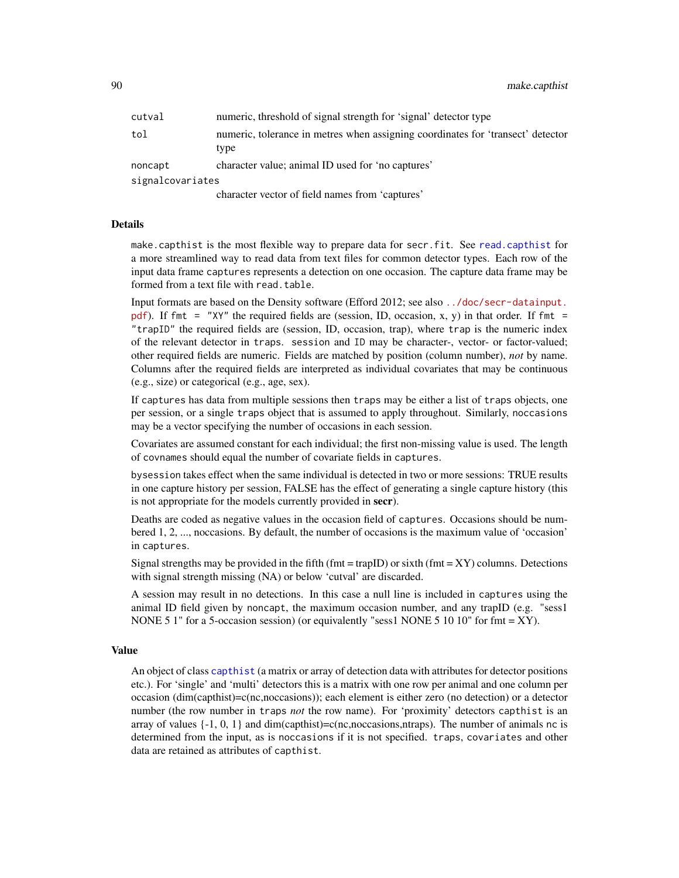90 make.capthist

| cutval           | numeric, threshold of signal strength for 'signal' detector type                        |
|------------------|-----------------------------------------------------------------------------------------|
| tol              | numeric, tolerance in metres when assigning coordinates for 'transect' detector<br>type |
| noncapt          | character value; animal ID used for 'no captures'                                       |
| signalcovariates |                                                                                         |
|                  |                                                                                         |

character vector of field names from 'captures'

## Details

make.capthist is the most flexible way to prepare data for secr.fit. See [read.capthist](#page-153-0) for a more streamlined way to read data from text files for common detector types. Each row of the input data frame captures represents a detection on one occasion. The capture data frame may be formed from a text file with read.table.

Input formats are based on the Density software (Efford 2012; see also [../doc/secr-datainput.](../doc/secr-datainput.pdf) [pdf](../doc/secr-datainput.pdf)). If fmt = "XY" the required fields are (session, ID, occasion, x, y) in that order. If fmt = "trapID" the required fields are (session, ID, occasion, trap), where trap is the numeric index of the relevant detector in traps. session and ID may be character-, vector- or factor-valued; other required fields are numeric. Fields are matched by position (column number), *not* by name. Columns after the required fields are interpreted as individual covariates that may be continuous (e.g., size) or categorical (e.g., age, sex).

If captures has data from multiple sessions then traps may be either a list of traps objects, one per session, or a single traps object that is assumed to apply throughout. Similarly, noccasions may be a vector specifying the number of occasions in each session.

Covariates are assumed constant for each individual; the first non-missing value is used. The length of covnames should equal the number of covariate fields in captures.

bysession takes effect when the same individual is detected in two or more sessions: TRUE results in one capture history per session, FALSE has the effect of generating a single capture history (this is not appropriate for the models currently provided in secr).

Deaths are coded as negative values in the occasion field of captures. Occasions should be numbered 1, 2, ..., noccasions. By default, the number of occasions is the maximum value of 'occasion' in captures.

Signal strengths may be provided in the fifth (fmt = trapID) or sixth (fmt =  $XY$ ) columns. Detections with signal strength missing (NA) or below 'cutval' are discarded.

A session may result in no detections. In this case a null line is included in captures using the animal ID field given by noncapt, the maximum occasion number, and any trapID (e.g. "sess1 NONE 5 1" for a 5-occasion session) (or equivalently "sess1 NONE 5 10 10" for fmt = XY).

#### Value

An object of class [capthist](#page-17-0) (a matrix or array of detection data with attributes for detector positions etc.). For 'single' and 'multi' detectors this is a matrix with one row per animal and one column per occasion (dim(capthist)=c(nc,noccasions)); each element is either zero (no detection) or a detector number (the row number in traps *not* the row name). For 'proximity' detectors capthist is an array of values  $\{-1, 0, 1\}$  and dim(capthist)=c(nc,noccasions,ntraps). The number of animals nc is determined from the input, as is noccasions if it is not specified. traps, covariates and other data are retained as attributes of capthist.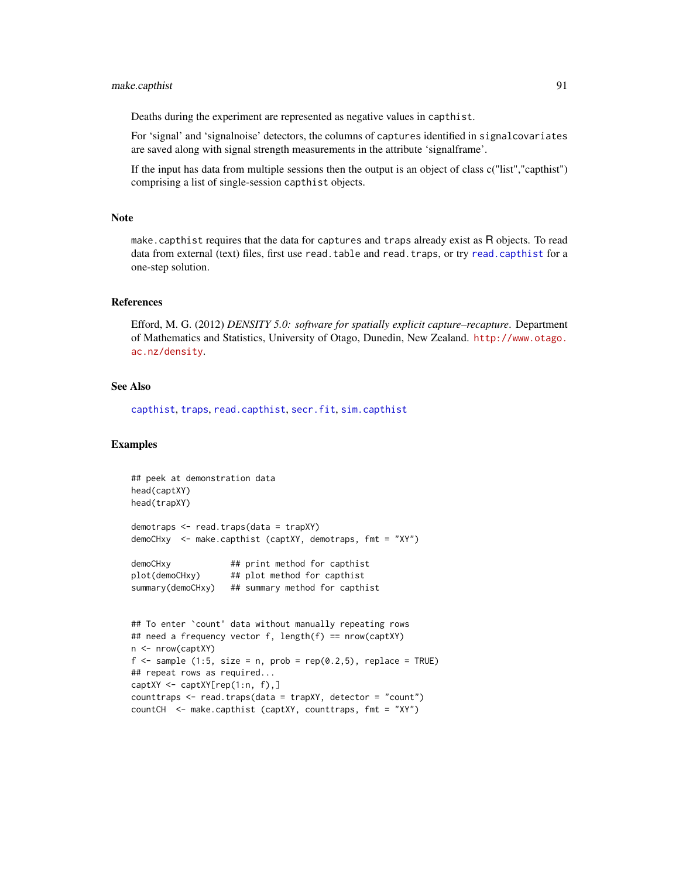# make.capthist 91

Deaths during the experiment are represented as negative values in capthist.

For 'signal' and 'signalnoise' detectors, the columns of captures identified in signalcovariates are saved along with signal strength measurements in the attribute 'signalframe'.

If the input has data from multiple sessions then the output is an object of class c("list","capthist") comprising a list of single-session capthist objects.

## Note

make.capthist requires that the data for captures and traps already exist as R objects. To read data from external (text) files, first use read.table and read.traps, or try [read.capthist](#page-153-0) for a one-step solution.

## References

Efford, M. G. (2012) *DENSITY 5.0: software for spatially explicit capture–recapture*. Department of Mathematics and Statistics, University of Otago, Dunedin, New Zealand. [http://www.otago.](http://www.otago.ac.nz/density) [ac.nz/density](http://www.otago.ac.nz/density).

## See Also

[capthist](#page-17-0), [traps](#page-243-0), [read.capthist](#page-153-0), [secr.fit](#page-176-0), [sim.capthist](#page-196-0)

# Examples

```
## peek at demonstration data
head(captXY)
head(trapXY)
demotraps <- read.traps(data = trapXY)
demoCHxy <- make.capthist (captXY, demotraps, fmt = "XY")
demoCHxy ## print method for capthist
plot(demoCHxy) ## plot method for capthist
summary(demoCHxy) ## summary method for capthist
## To enter `count' data without manually repeating rows
## need a frequency vector f, length(f) == nrow(captXY)
n <- nrow(captXY)
f \le sample (1:5, size = n, prob = rep(0.2,5), replace = TRUE)
## repeat rows as required...
captXY <- captXY[rep(1:n, f),]
counttraps <- read.traps(data = trapXY, detector = "count")
countCH <- make.capthist (captXY, counttraps, fmt = "XY")
```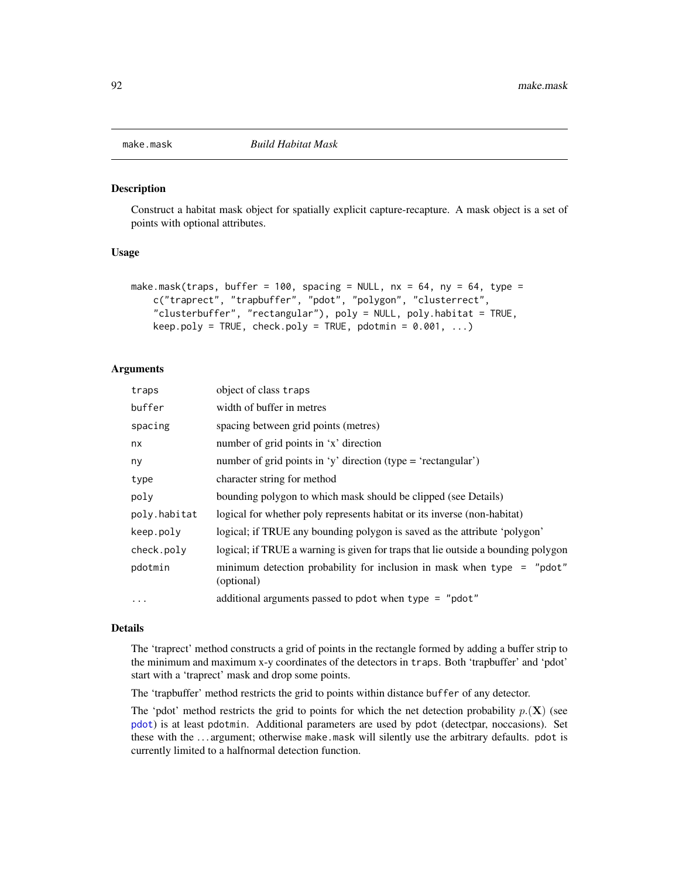<span id="page-91-0"></span>

#### Description

Construct a habitat mask object for spatially explicit capture-recapture. A mask object is a set of points with optional attributes.

## Usage

```
make.mask(traps, buffer = 100, spacing = NULL, nx = 64, ny = 64, type =
   c("traprect", "trapbuffer", "pdot", "polygon", "clusterrect",
    "clusterbuffer", "rectangular"), poly = NULL, poly.habitat = TRUE,
   keep.poly = TRUE, check.poly = TRUE, pdotmin = 0.001, ...)
```
## Arguments

| traps        | object of class traps                                                                  |
|--------------|----------------------------------------------------------------------------------------|
| buffer       | width of buffer in metres                                                              |
| spacing      | spacing between grid points (metres)                                                   |
| nx           | number of grid points in 'x' direction                                                 |
| ny           | number of grid points in 'y' direction (type = 'rectangular')                          |
| type         | character string for method                                                            |
| poly         | bounding polygon to which mask should be clipped (see Details)                         |
| poly.habitat | logical for whether poly represents habitat or its inverse (non-habitat)               |
| keep.poly    | logical; if TRUE any bounding polygon is saved as the attribute 'polygon'              |
| check.poly   | logical; if TRUE a warning is given for traps that lie outside a bounding polygon      |
| pdotmin      | minimum detection probability for inclusion in mask when type $=$ "pdot"<br>(optional) |
| $\ddotsc$    | additional arguments passed to pdot when type = "pdot"                                 |

#### Details

The 'traprect' method constructs a grid of points in the rectangle formed by adding a buffer strip to the minimum and maximum x-y coordinates of the detectors in traps. Both 'trapbuffer' and 'pdot' start with a 'traprect' mask and drop some points.

The 'trapbuffer' method restricts the grid to points within distance buffer of any detector.

The 'pdot' method restricts the grid to points for which the net detection probability  $p(\mathbf{X})$  (see [pdot](#page-119-0)) is at least pdotmin. Additional parameters are used by pdot (detectpar, noccasions). Set these with the . . . argument; otherwise make.mask will silently use the arbitrary defaults. pdot is currently limited to a halfnormal detection function.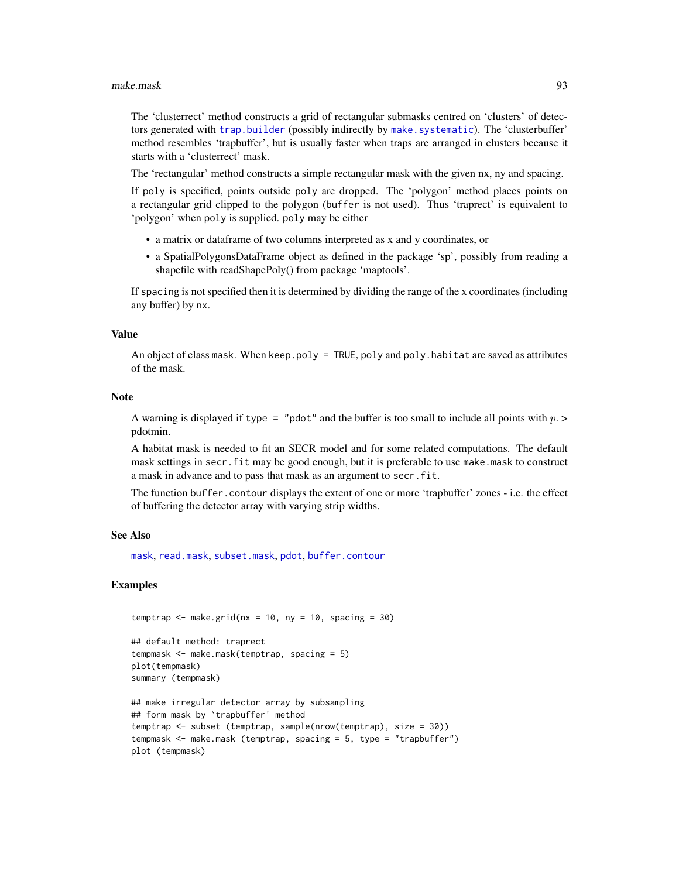#### make.mask 93

The 'clusterrect' method constructs a grid of rectangular submasks centred on 'clusters' of detectors generated with [trap.builder](#page-239-0) (possibly indirectly by [make.systematic](#page-93-0)). The 'clusterbuffer' method resembles 'trapbuffer', but is usually faster when traps are arranged in clusters because it starts with a 'clusterrect' mask.

The 'rectangular' method constructs a simple rectangular mask with the given nx, ny and spacing.

If poly is specified, points outside poly are dropped. The 'polygon' method places points on a rectangular grid clipped to the polygon (buffer is not used). Thus 'traprect' is equivalent to 'polygon' when poly is supplied. poly may be either

- a matrix or dataframe of two columns interpreted as x and y coordinates, or
- a SpatialPolygonsDataFrame object as defined in the package 'sp', possibly from reading a shapefile with readShapePoly() from package 'maptools'.

If spacing is not specified then it is determined by dividing the range of the x coordinates (including any buffer) by nx.

## Value

An object of class mask. When keep.poly = TRUE, poly and poly.habitat are saved as attributes of the mask.

## Note

A warning is displayed if type = "pdot" and the buffer is too small to include all points with  $p >$ pdotmin.

A habitat mask is needed to fit an SECR model and for some related computations. The default mask settings in secr.fit may be good enough, but it is preferable to use make.mask to construct a mask in advance and to pass that mask as an argument to secr.fit.

The function buffer.contour displays the extent of one or more 'trapbuffer' zones - i.e. the effect of buffering the detector array with varying strip widths.

## See Also

[mask](#page-100-0), [read.mask](#page-155-0), [subset.mask](#page-225-0), [pdot](#page-119-0), [buffer.contour](#page-31-1)

## Examples

```
temptrap \leq make.grid(nx = 10, ny = 10, spacing = 30)
```

```
## default method: traprect
tempmask <- make.mask(temptrap, spacing = 5)
plot(tempmask)
summary (tempmask)
```

```
## make irregular detector array by subsampling
## form mask by `trapbuffer' method
temptrap <- subset (temptrap, sample(nrow(temptrap), size = 30))
tempmask <- make.mask (temptrap, spacing = 5, type = "trapbuffer")
plot (tempmask)
```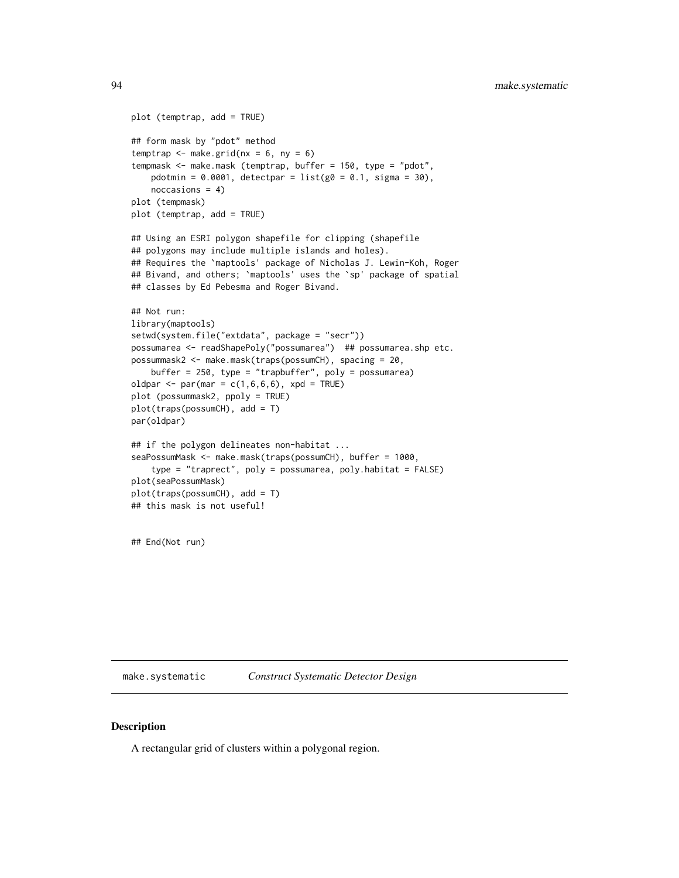```
plot (temptrap, add = TRUE)
## form mask by "pdot" method
temptrap \leq make.grid(nx = 6, ny = 6)
tempmask <- make.mask (temptrap, buffer = 150, type = "pdot",
   pdotmin = 0.0001, detectpar = list(g0 = 0.1, sigma = 30),
   noccasions = 4)
plot (tempmask)
plot (temptrap, add = TRUE)
## Using an ESRI polygon shapefile for clipping (shapefile
## polygons may include multiple islands and holes).
## Requires the `maptools' package of Nicholas J. Lewin-Koh, Roger
## Bivand, and others; `maptools' uses the `sp' package of spatial
## classes by Ed Pebesma and Roger Bivand.
## Not run:
library(maptools)
setwd(system.file("extdata", package = "secr"))
possumarea <- readShapePoly("possumarea") ## possumarea.shp etc.
possummask2 <- make.mask(traps(possumCH), spacing = 20,
   buffer = 250, type = "trapbuffer", poly = possumarea)
oldpar \leq par(mar = c(1,6,6,6), xpd = TRUE)
plot (possummask2, ppoly = TRUE)
plot(traps(possumCH), add = T)
par(oldpar)
## if the polygon delineates non-habitat ...
seaPossumMask <- make.mask(traps(possumCH), buffer = 1000,
    type = "traprect", poly = possumarea, poly.habitat = FALSE)
plot(seaPossumMask)
plot(traps(possumCH), add = T)
## this mask is not useful!
```
## End(Not run)

<span id="page-93-0"></span>make.systematic *Construct Systematic Detector Design*

# Description

A rectangular grid of clusters within a polygonal region.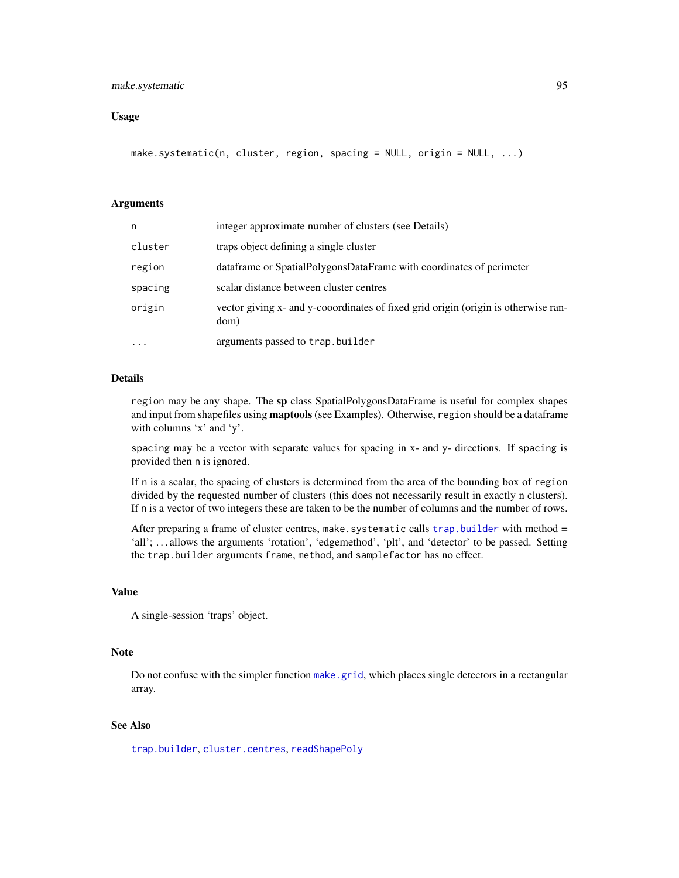# make.systematic 95

## Usage

```
make.systematic(n, cluster, region, spacing = NULL, origin = NULL, ...)
```
## Arguments

| n         | integer approximate number of clusters (see Details)                                       |
|-----------|--------------------------------------------------------------------------------------------|
| cluster   | traps object defining a single cluster                                                     |
| region    | dataframe or SpatialPolygonsDataFrame with coordinates of perimeter                        |
| spacing   | scalar distance between cluster centres                                                    |
| origin    | vector giving x- and y-cooordinates of fixed grid origin (origin is otherwise ran-<br>dom) |
| $\ddotsc$ | arguments passed to trap.builder                                                           |

# Details

region may be any shape. The sp class SpatialPolygonsDataFrame is useful for complex shapes and input from shapefiles using **maptools** (see Examples). Otherwise, region should be a dataframe with columns 'x' and 'y'.

spacing may be a vector with separate values for spacing in x- and y- directions. If spacing is provided then n is ignored.

If n is a scalar, the spacing of clusters is determined from the area of the bounding box of region divided by the requested number of clusters (this does not necessarily result in exactly n clusters). If n is a vector of two integers these are taken to be the number of columns and the number of rows.

After preparing a frame of cluster centres, make. systematic calls trap. builder with method  $=$ 'all'; ... allows the arguments 'rotation', 'edgemethod', 'plt', and 'detector' to be passed. Setting the trap.builder arguments frame, method, and samplefactor has no effect.

## Value

A single-session 'traps' object.

## Note

Do not confuse with the simpler function [make.grid](#page-95-0), which places single detectors in a rectangular array.

## See Also

[trap.builder](#page-239-0), [cluster.centres](#page-239-1), [readShapePoly](#page-0-0)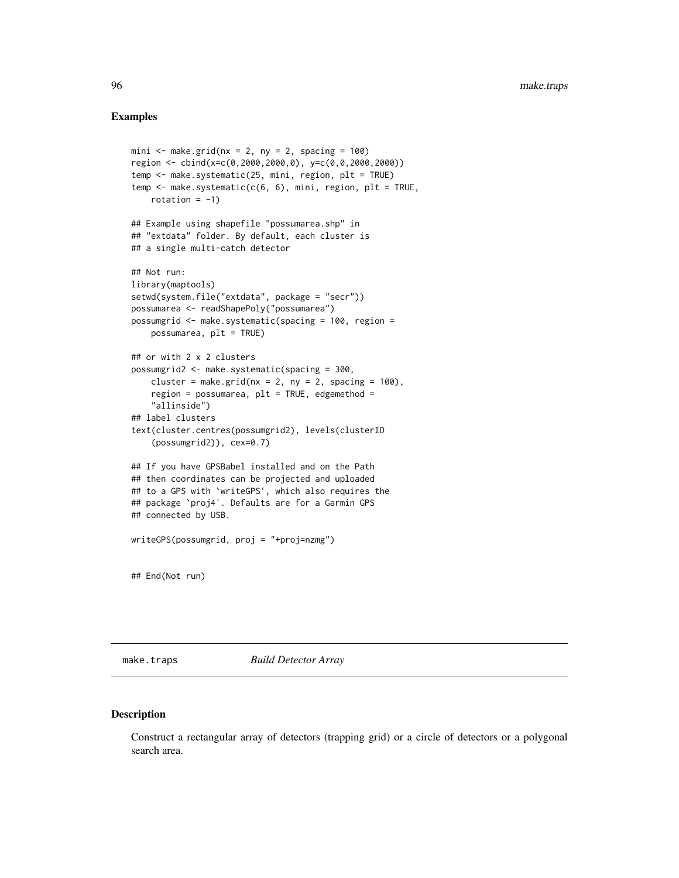## Examples

```
mini \leq make.grid(nx = 2, ny = 2, spacing = 100)
region <- cbind(x=c(0,2000,2000,0), y=c(0,0,2000,2000))
temp <- make.systematic(25, mini, region, plt = TRUE)
temp \leq make.systematic(c(6, 6), mini, region, plt = TRUE,
   rotation = -1)
## Example using shapefile "possumarea.shp" in
## "extdata" folder. By default, each cluster is
## a single multi-catch detector
## Not run:
library(maptools)
setwd(system.file("extdata", package = "secr"))
possumarea <- readShapePoly("possumarea")
possumgrid <- make.systematic(spacing = 100, region =
    possumarea, plt = TRUE)
## or with 2 x 2 clusters
possumgrid2 <- make.systematic(spacing = 300,
    cluster = make.grid(nx = 2, ny = 2, spacing = 100),
    region = possumarea, plt = TRUE, edgemethod =
    "allinside")
## label clusters
text(cluster.centres(possumgrid2), levels(clusterID
    (possumgrid2)), cex=0.7)
## If you have GPSBabel installed and on the Path
## then coordinates can be projected and uploaded
## to a GPS with `writeGPS', which also requires the
## package `proj4'. Defaults are for a Garmin GPS
## connected by USB.
writeGPS(possumgrid, proj = "+proj=nzmg")
## End(Not run)
```
make.traps *Build Detector Array*

# <span id="page-95-0"></span>Description

Construct a rectangular array of detectors (trapping grid) or a circle of detectors or a polygonal search area.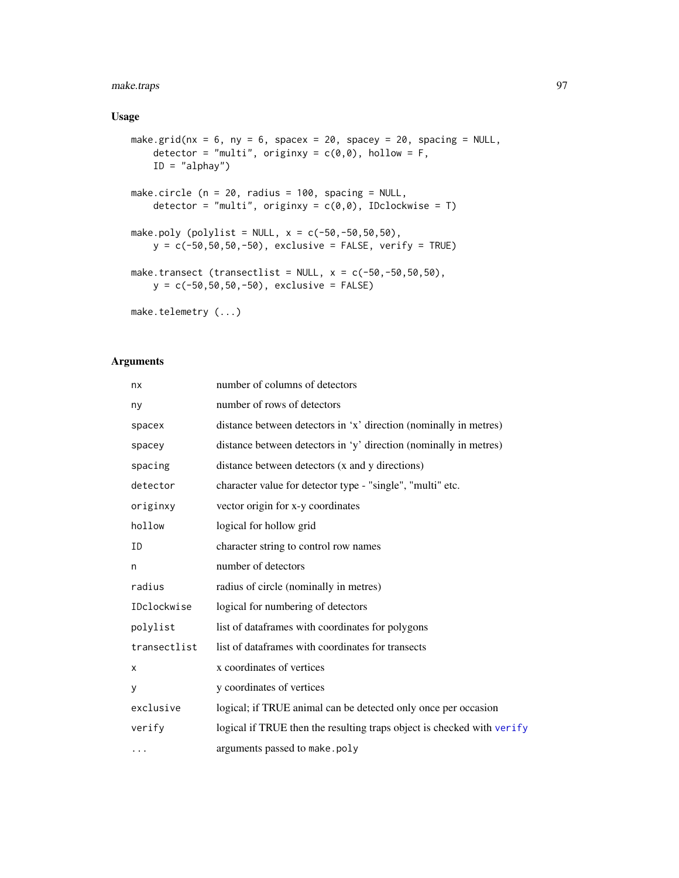# make.traps 97

# Usage

```
make.grid(nx = 6, ny = 6, spacex = 20, spacey = 20, spacing = NULL,
    detector = "multi", originxy = c(\emptyset, \emptyset), hollow = F,
    ID = "alphay")make.circle (n = 20, radius = 100, spacing = NULL,
    detector = "multi", originxy = c(0,0), IDclockwise = T)
make.poly (polylist = NULL, x = c(-50, -50, 50, 50),
    y = c(-50,50,50,-50), exclusive = FALSE, verify = TRUE)
make.transect (transectlist = NULL, x = c(-50, -50, 50, 50),
    y = c(-50, 50, 50, -50), exclusive = FALSE)
make.telemetry (...)
```
# Arguments

| nx           | number of columns of detectors                                         |
|--------------|------------------------------------------------------------------------|
| ny           | number of rows of detectors                                            |
| spacex       | distance between detectors in 'x' direction (nominally in metres)      |
| spacey       | distance between detectors in 'y' direction (nominally in metres)      |
| spacing      | distance between detectors (x and y directions)                        |
| detector     | character value for detector type - "single", "multi" etc.             |
| originxy     | vector origin for x-y coordinates                                      |
| hollow       | logical for hollow grid                                                |
| ID           | character string to control row names                                  |
| n            | number of detectors                                                    |
| radius       | radius of circle (nominally in metres)                                 |
| IDclockwise  | logical for numbering of detectors                                     |
| polylist     | list of dataframes with coordinates for polygons                       |
| transectlist | list of dataframes with coordinates for transects                      |
| X            | x coordinates of vertices                                              |
| У            | y coordinates of vertices                                              |
| exclusive    | logical; if TRUE animal can be detected only once per occasion         |
| verify       | logical if TRUE then the resulting traps object is checked with verify |
| .            | arguments passed to make.poly                                          |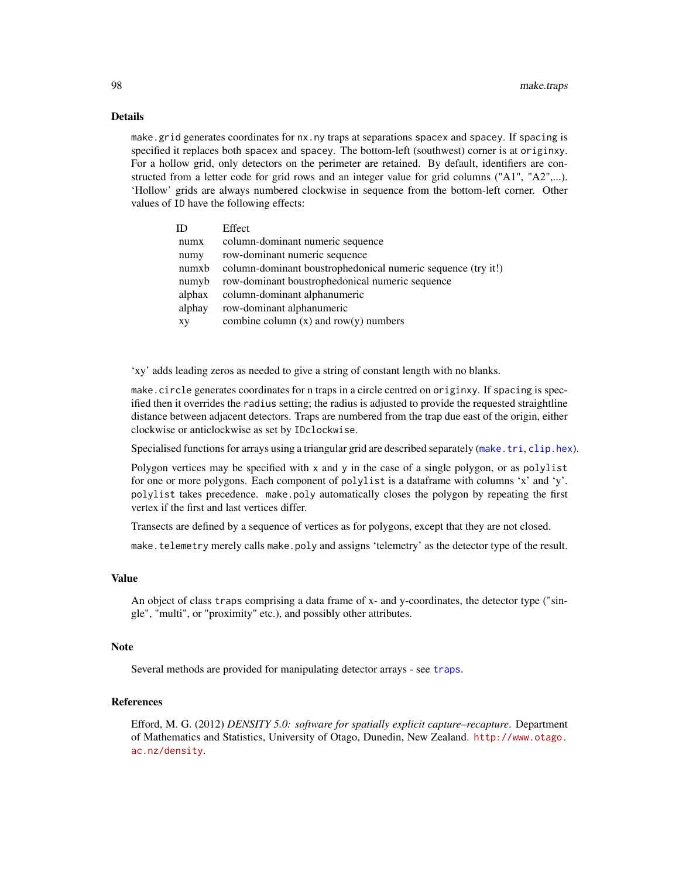### Details

make.grid generates coordinates for nx.ny traps at separations spacex and spacey. If spacing is specified it replaces both spacex and spacey. The bottom-left (southwest) corner is at originxy. For a hollow grid, only detectors on the perimeter are retained. By default, identifiers are constructed from a letter code for grid rows and an integer value for grid columns ("A1", "A2",...). 'Hollow' grids are always numbered clockwise in sequence from the bottom-left corner. Other values of ID have the following effects:

| ID     | Effect                                                       |
|--------|--------------------------------------------------------------|
| numx   | column-dominant numeric sequence                             |
| numy   | row-dominant numeric sequence                                |
| numxb  | column-dominant boustrophedonical numeric sequence (try it!) |
| numyb  | row-dominant boustrophedonical numeric sequence              |
| alphax | column-dominant alphanumeric                                 |
| alphay | row-dominant alphanumeric                                    |
| XV     | combine column $(x)$ and row $(y)$ numbers                   |
|        |                                                              |

'xy' adds leading zeros as needed to give a string of constant length with no blanks.

make.circle generates coordinates for n traps in a circle centred on originxy. If spacing is specified then it overrides the radius setting; the radius is adjusted to provide the requested straightline distance between adjacent detectors. Traps are numbered from the trap due east of the origin, either clockwise or anticlockwise as set by IDclockwise.

Specialised functions for arrays using a triangular grid are described separately ([make.tri](#page-98-0), [clip.hex](#page-98-1)).

Polygon vertices may be specified with x and y in the case of a single polygon, or as polylist for one or more polygons. Each component of polylist is a dataframe with columns 'x' and 'y'. polylist takes precedence. make.poly automatically closes the polygon by repeating the first vertex if the first and last vertices differ.

Transects are defined by a sequence of vertices as for polygons, except that they are not closed.

make.telemetry merely calls make.poly and assigns 'telemetry' as the detector type of the result.

#### Value

An object of class traps comprising a data frame of x- and y-coordinates, the detector type ("single", "multi", or "proximity" etc.), and possibly other attributes.

## Note

Several methods are provided for manipulating detector arrays - see [traps](#page-243-0).

# References

Efford, M. G. (2012) *DENSITY 5.0: software for spatially explicit capture–recapture*. Department of Mathematics and Statistics, University of Otago, Dunedin, New Zealand. [http://www.otago.](http://www.otago.ac.nz/density) [ac.nz/density](http://www.otago.ac.nz/density).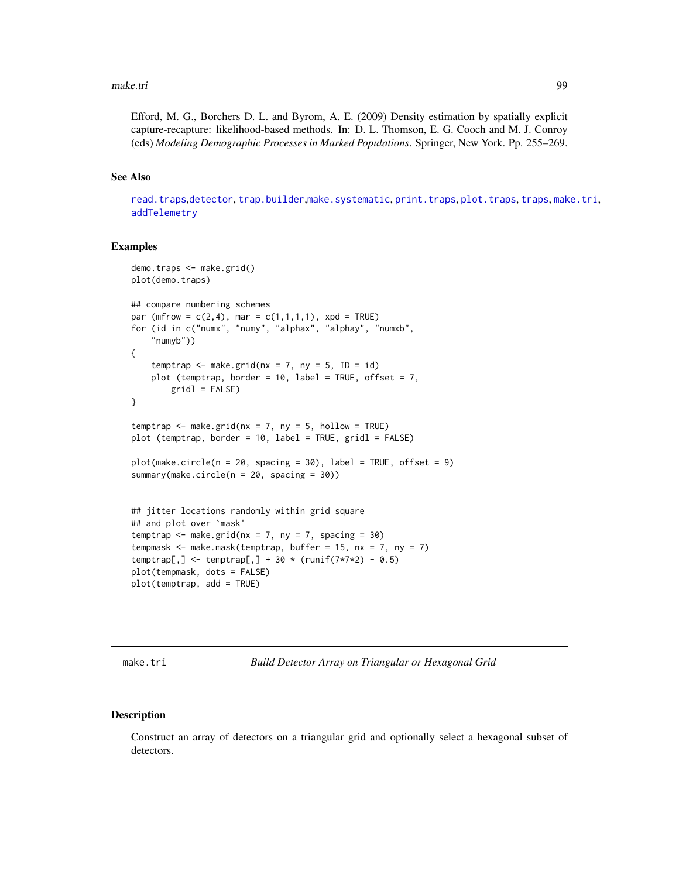#### make.tri 99

Efford, M. G., Borchers D. L. and Byrom, A. E. (2009) Density estimation by spatially explicit capture-recapture: likelihood-based methods. In: D. L. Thomson, E. G. Cooch and M. J. Conroy (eds) *Modeling Demographic Processes in Marked Populations*. Springer, New York. Pp. 255–269.

# See Also

[read.traps](#page-158-0),[detector](#page-46-0), [trap.builder](#page-239-0),[make.systematic](#page-93-0), [print.traps](#page-145-0), [plot.traps](#page-132-0), [traps](#page-243-0), [make.tri](#page-98-0), [addTelemetry](#page-8-0)

#### Examples

```
demo.traps <- make.grid()
plot(demo.traps)
## compare numbering schemes
par (mfrow = c(2,4), mar = c(1,1,1,1), xpd = TRUE)
for (id in c("numx", "numy", "alphax", "alphay", "numxb",
    "numyb"))
{
   temptrap \leq make.grid(nx = 7, ny = 5, ID = id)
   plot (temptrap, border = 10, label = TRUE, offset = 7,
        grid1 = FALSE)}
temptrap \leq make.grid(nx = 7, ny = 5, hollow = TRUE)
plot (temptrap, border = 10, label = TRUE, gridl = FALSE)
plot(make.circle(n = 20, spacing = 30), label = TRUE, offset = 9)summary(make.circle(n = 20, spacing = 30))
## jitter locations randomly within grid square
## and plot over `mask'
temptrap \leq make.grid(nx = 7, ny = 7, spacing = 30)
tempmask \leq make.mask(temptrap, buffer = 15, nx = 7, ny = 7)
temptrap[,] <- temptrap[,] + 30 * (runif(7*7*2) - 0.5)
plot(tempmask, dots = FALSE)
plot(temptrap, add = TRUE)
```
<span id="page-98-0"></span>make.tri *Build Detector Array on Triangular or Hexagonal Grid*

## <span id="page-98-1"></span>Description

Construct an array of detectors on a triangular grid and optionally select a hexagonal subset of detectors.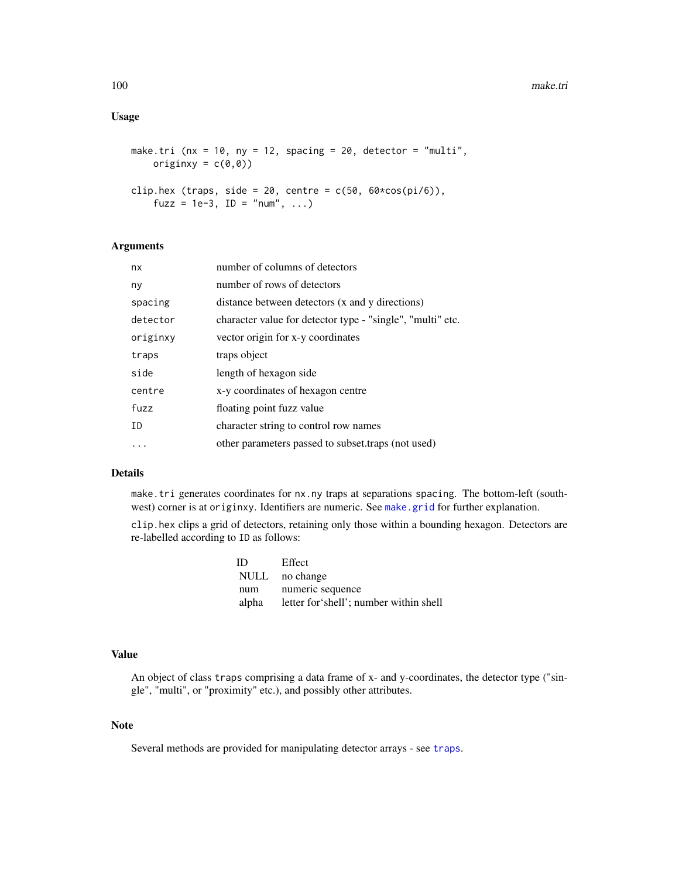# Usage

```
make.tri (nx = 10, ny = 12, spacing = 20, detector = "multi",
    originxy = c(\emptyset, \emptyset))
clip.hex (traps, side = 20, centre = c(50, 60 \times cos(pi/6)),
    fuzz = 1e-3, ID = "num", ...)
```
#### Arguments

| nx       | number of columns of detectors                             |
|----------|------------------------------------------------------------|
| ny       | number of rows of detectors                                |
| spacing  | distance between detectors (x and y directions)            |
| detector | character value for detector type - "single", "multi" etc. |
| originxy | vector origin for x-y coordinates                          |
| traps    | traps object                                               |
| side     | length of hexagon side                                     |
| centre   | x-y coordinates of hexagon centre                          |
| fuzz     | floating point fuzz value                                  |
| ID       | character string to control row names                      |
|          | other parameters passed to subset traps (not used)         |

# Details

make.tri generates coordinates for nx.ny traps at separations spacing. The bottom-left (southwest) corner is at originxy. Identifiers are numeric. See [make.grid](#page-95-0) for further explanation.

clip.hex clips a grid of detectors, retaining only those within a bounding hexagon. Detectors are re-labelled according to ID as follows:

| ID  | Effect                                       |
|-----|----------------------------------------------|
|     | NULL no change                               |
| num | numeric sequence                             |
|     | alpha letter for shell'; number within shell |

#### Value

An object of class traps comprising a data frame of x- and y-coordinates, the detector type ("single", "multi", or "proximity" etc.), and possibly other attributes.

# Note

Several methods are provided for manipulating detector arrays - see [traps](#page-243-0).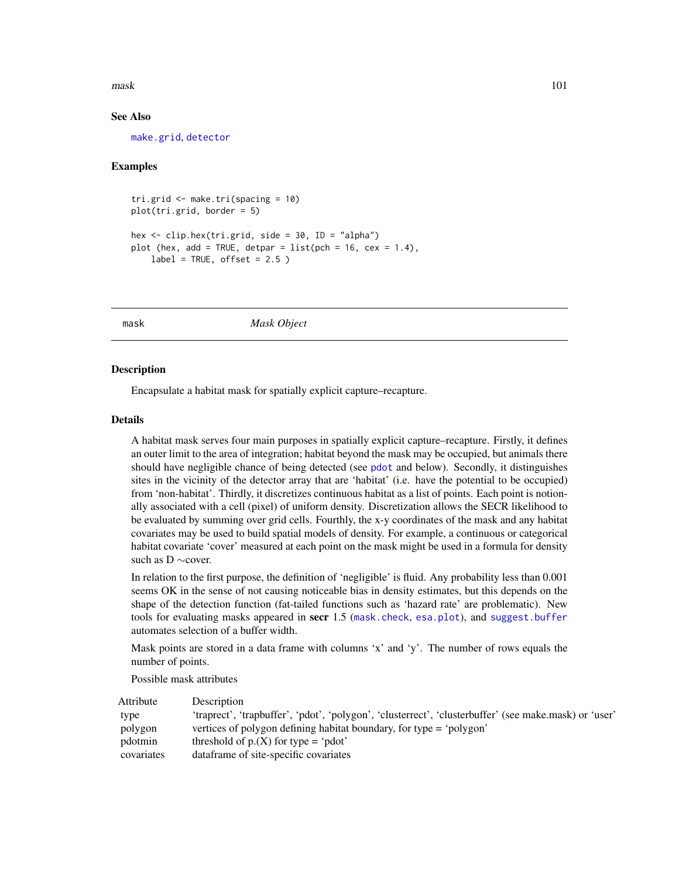#### mask and the contract of the contract of the contract of the contract of the contract of the contract of the contract of the contract of the contract of the contract of the contract of the contract of the contract of the c

## See Also

[make.grid](#page-95-0), [detector](#page-46-0)

## Examples

```
tri.grid <- make.tri(spacing = 10)
plot(tri.grid, border = 5)
hex <- clip.hex(tri.grid, side = 30, ID = "alpha")
plot (hex, add = TRUE, detpar = list(pch = 16, cex = 1.4),
   label = TRUE, offset = 2.5)
```
<span id="page-100-0"></span>mask *Mask Object*

#### **Description**

Encapsulate a habitat mask for spatially explicit capture–recapture.

# Details

A habitat mask serves four main purposes in spatially explicit capture–recapture. Firstly, it defines an outer limit to the area of integration; habitat beyond the mask may be occupied, but animals there should have negligible chance of being detected (see [pdot](#page-119-0) and below). Secondly, it distinguishes sites in the vicinity of the detector array that are 'habitat' (i.e. have the potential to be occupied) from 'non-habitat'. Thirdly, it discretizes continuous habitat as a list of points. Each point is notionally associated with a cell (pixel) of uniform density. Discretization allows the SECR likelihood to be evaluated by summing over grid cells. Fourthly, the x-y coordinates of the mask and any habitat covariates may be used to build spatial models of density. For example, a continuous or categorical habitat covariate 'cover' measured at each point on the mask might be used in a formula for density such as D ∼cover.

In relation to the first purpose, the definition of 'negligible' is fluid. Any probability less than 0.001 seems OK in the sense of not causing noticeable bias in density estimates, but this depends on the shape of the detection function (fat-tailed functions such as 'hazard rate' are problematic). New tools for evaluating masks appeared in secr 1.5 ([mask.check](#page-101-0), [esa.plot](#page-56-0)), and [suggest.buffer](#page-229-0) automates selection of a buffer width.

Mask points are stored in a data frame with columns 'x' and 'y'. The number of rows equals the number of points.

Possible mask attributes

| Attribute  | Description                                                                                           |
|------------|-------------------------------------------------------------------------------------------------------|
| type       | 'traprect', 'trapbuffer', 'pdot', 'polygon', 'clusterrect', 'clusterbuffer' (see make.mask) or 'user' |
| polygon    | vertices of polygon defining habitat boundary, for type = 'polygon'                                   |
| pdotmin    | threshold of $p(x)$ for type = 'pdot'                                                                 |
| covariates | data frame of site-specific covariates                                                                |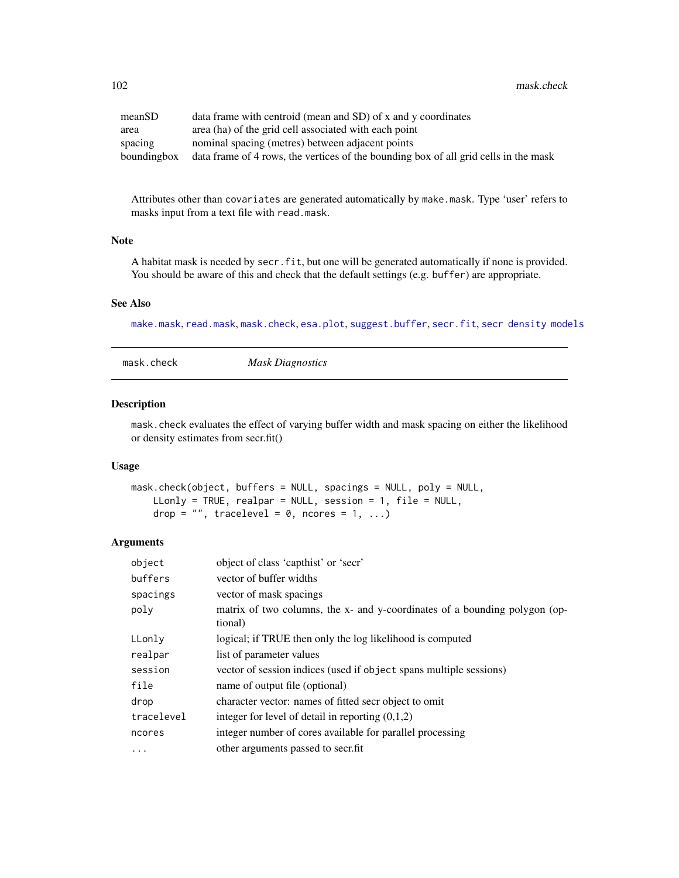| meanSD      | data frame with centroid (mean and SD) of x and y coordinates                        |
|-------------|--------------------------------------------------------------------------------------|
| area        | area (ha) of the grid cell associated with each point                                |
| spacing     | nominal spacing (metres) between adjacent points                                     |
| boundingbox | data frame of 4 rows, the vertices of the bounding box of all grid cells in the mask |

Attributes other than covariates are generated automatically by make.mask. Type 'user' refers to masks input from a text file with read.mask.

# Note

A habitat mask is needed by secr.fit, but one will be generated automatically if none is provided. You should be aware of this and check that the default settings (e.g. buffer) are appropriate.

#### See Also

[make.mask](#page-91-0), [read.mask](#page-155-0), [mask.check](#page-101-0), [esa.plot](#page-56-0), [suggest.buffer](#page-229-0), [secr.fit](#page-176-0), [secr density models](#page-0-0)

<span id="page-101-0"></span>mask.check *Mask Diagnostics*

## Description

mask.check evaluates the effect of varying buffer width and mask spacing on either the likelihood or density estimates from secr.fit()

## Usage

```
mask.check(object, buffers = NULL, spacings = NULL, poly = NULL,
   LLonly = TRUE, realpar = NULL, session = 1, file = NULL,
   drop = "", tracelevel = 0, ncores = 1, ...)
```
# Arguments

| object     | object of class 'capthist' or 'secr'                                                  |
|------------|---------------------------------------------------------------------------------------|
| buffers    | vector of buffer widths                                                               |
| spacings   | vector of mask spacings                                                               |
| poly       | matrix of two columns, the x- and y-coordinates of a bounding polygon (op-<br>tional) |
| LLonly     | logical; if TRUE then only the log likelihood is computed                             |
| realpar    | list of parameter values                                                              |
| session    | vector of session indices (used if object spans multiple sessions)                    |
| file       | name of output file (optional)                                                        |
| drop       | character vector: names of fitted secr object to omit                                 |
| tracelevel | integer for level of detail in reporting $(0,1,2)$                                    |
| ncores     | integer number of cores available for parallel processing                             |
| $\cdot$    | other arguments passed to secrifit                                                    |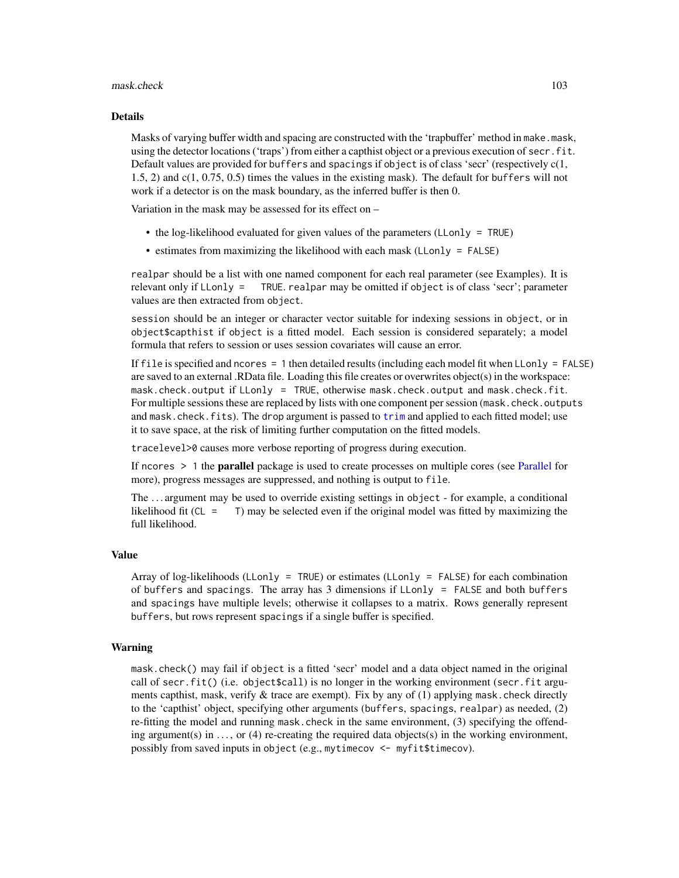#### mask.check 103

#### Details

Masks of varying buffer width and spacing are constructed with the 'trapbuffer' method in make.mask, using the detector locations ('traps') from either a capthist object or a previous execution of secr. fit. Default values are provided for buffers and spacings if object is of class 'secr' (respectively c(1, 1.5, 2) and c(1, 0.75, 0.5) times the values in the existing mask). The default for buffers will not work if a detector is on the mask boundary, as the inferred buffer is then 0.

Variation in the mask may be assessed for its effect on –

- the log-likelihood evaluated for given values of the parameters (LLonly = TRUE)
- estimates from maximizing the likelihood with each mask (LLonly = FALSE)

realpar should be a list with one named component for each real parameter (see Examples). It is relevant only if LLonly = TRUE. realpar may be omitted if object is of class 'secr'; parameter values are then extracted from object.

session should be an integer or character vector suitable for indexing sessions in object, or in object\$capthist if object is a fitted model. Each session is considered separately; a model formula that refers to session or uses session covariates will cause an error.

If file is specified and ncores = 1 then detailed results (including each model fit when LLonly = FALSE) are saved to an external .RData file. Loading this file creates or overwrites object(s) in the workspace: mask.check.output if LLonly = TRUE, otherwise mask.check.output and mask.check.fit. For multiple sessions these are replaced by lists with one component per session (mask.check.outputs and mask.check.fits). The drop argument is passed to [trim](#page-246-0) and applied to each fitted model; use it to save space, at the risk of limiting further computation on the fitted models.

tracelevel>0 causes more verbose reporting of progress during execution.

If ncores  $> 1$  the **parallel** package is used to create processes on multiple cores (see [Parallel](#page-116-0) for more), progress messages are suppressed, and nothing is output to file.

The . . . argument may be used to override existing settings in object - for example, a conditional likelihood fit ( $CL = T$ ) may be selected even if the original model was fitted by maximizing the full likelihood.

#### Value

Array of log-likelihoods (LLonly = TRUE) or estimates (LLonly = FALSE) for each combination of buffers and spacings. The array has 3 dimensions if LLonly = FALSE and both buffers and spacings have multiple levels; otherwise it collapses to a matrix. Rows generally represent buffers, but rows represent spacings if a single buffer is specified.

## Warning

mask.check() may fail if object is a fitted 'secr' model and a data object named in the original call of secr.fit() (i.e. object\$call) is no longer in the working environment (secr.fit arguments capthist, mask, verify & trace are exempt). Fix by any of (1) applying mask.check directly to the 'capthist' object, specifying other arguments (buffers, spacings, realpar) as needed, (2) re-fitting the model and running mask.check in the same environment, (3) specifying the offending argument(s) in  $\dots$ , or (4) re-creating the required data objects(s) in the working environment, possibly from saved inputs in object (e.g., mytimecov <- myfit\$timecov).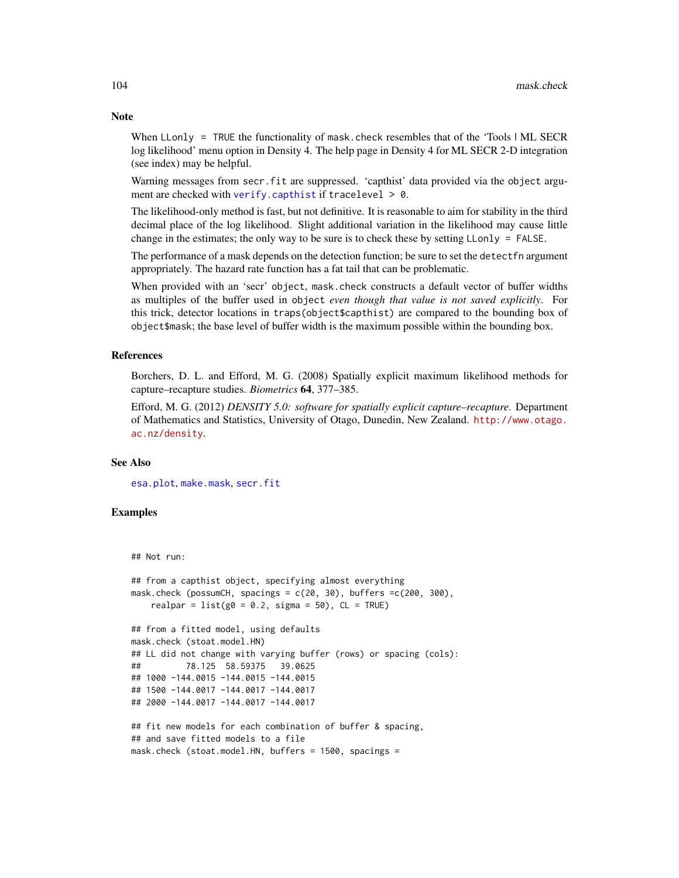When LLonly  $=$  TRUE the functionality of mask, check resembles that of the 'Tools  $|M$ . SECR log likelihood' menu option in Density 4. The help page in Density 4 for ML SECR 2-D integration (see index) may be helpful.

Warning messages from secr. fit are suppressed. 'capthist' data provided via the object argument are checked with [verify.capthist](#page-253-1) if tracelevel > 0.

The likelihood-only method is fast, but not definitive. It is reasonable to aim for stability in the third decimal place of the log likelihood. Slight additional variation in the likelihood may cause little change in the estimates; the only way to be sure is to check these by setting LLonly = FALSE.

The performance of a mask depends on the detection function; be sure to set the detectfn argument appropriately. The hazard rate function has a fat tail that can be problematic.

When provided with an 'secr' object, mask.check constructs a default vector of buffer widths as multiples of the buffer used in object *even though that value is not saved explicitly*. For this trick, detector locations in traps(object\$capthist) are compared to the bounding box of object\$mask; the base level of buffer width is the maximum possible within the bounding box.

## References

Borchers, D. L. and Efford, M. G. (2008) Spatially explicit maximum likelihood methods for capture–recapture studies. *Biometrics* 64, 377–385.

Efford, M. G. (2012) *DENSITY 5.0: software for spatially explicit capture–recapture*. Department of Mathematics and Statistics, University of Otago, Dunedin, New Zealand. [http://www.otago.](http://www.otago.ac.nz/density) [ac.nz/density](http://www.otago.ac.nz/density).

## See Also

[esa.plot](#page-56-0), [make.mask](#page-91-0), [secr.fit](#page-176-0)

# Examples

## Not run:

```
## from a capthist object, specifying almost everything
mask.check (possumCH, spacings = c(20, 30), buffers =c(200, 300),
   realpar = list(g0 = 0.2, sigma = 50), CL = TRUE## from a fitted model, using defaults
mask.check (stoat.model.HN)
## LL did not change with varying buffer (rows) or spacing (cols):
## 78.125 58.59375 39.0625
## 1000 -144.0015 -144.0015 -144.0015
## 1500 -144.0017 -144.0017 -144.0017
## 2000 -144.0017 -144.0017 -144.0017
## fit new models for each combination of buffer & spacing,
## and save fitted models to a file
mask.check (stoat.model.HN, buffers = 1500, spacings =
```
# Note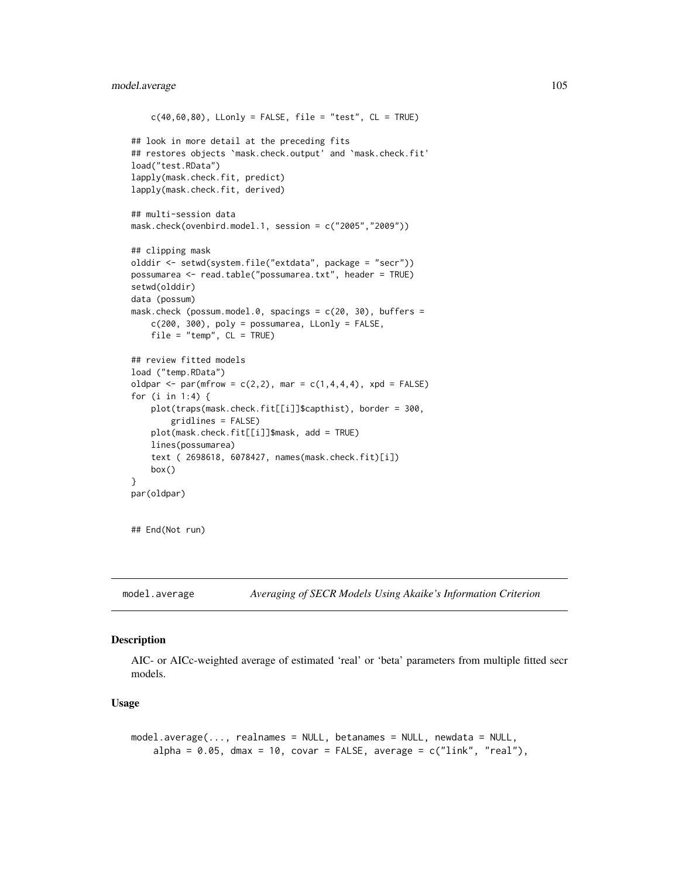# model.average 105

```
c(40,60,80), LLonly = FALSE, file = "test", CL = TRUE)
## look in more detail at the preceding fits
## restores objects `mask.check.output' and `mask.check.fit'
load("test.RData")
lapply(mask.check.fit, predict)
lapply(mask.check.fit, derived)
## multi-session data
mask.check(ovenbird.model.1, session = c("2005","2009"))
## clipping mask
olddir <- setwd(system.file("extdata", package = "secr"))
possumarea <- read.table("possumarea.txt", header = TRUE)
setwd(olddir)
data (possum)
mask.check (possum.model.0, spacings = c(20, 30), buffers =
   c(200, 300), poly = possumarea, LLonly = FALSE,
    file = "temp", CL = TRUE)## review fitted models
load ("temp.RData")
oldpar <- par(mfrow = c(2,2), mar = c(1,4,4,4), xpd = FALSE)
for (i in 1:4) {
   plot(traps(mask.check.fit[[i]]$capthist), border = 300,
        gridlines = FALSE)
   plot(mask.check.fit[[i]]$mask, add = TRUE)
   lines(possumarea)
    text ( 2698618, 6078427, names(mask.check.fit)[i])
   box()
}
par(oldpar)
## End(Not run)
```
model.average *Averaging of SECR Models Using Akaike's Information Criterion*

# Description

AIC- or AICc-weighted average of estimated 'real' or 'beta' parameters from multiple fitted secr models.

#### Usage

```
model.average(..., realnames = NULL, betanames = NULL, newdata = NULL,
   alpha = 0.05, dmax = 10, covar = FALSE, average = c("link", "real"),
```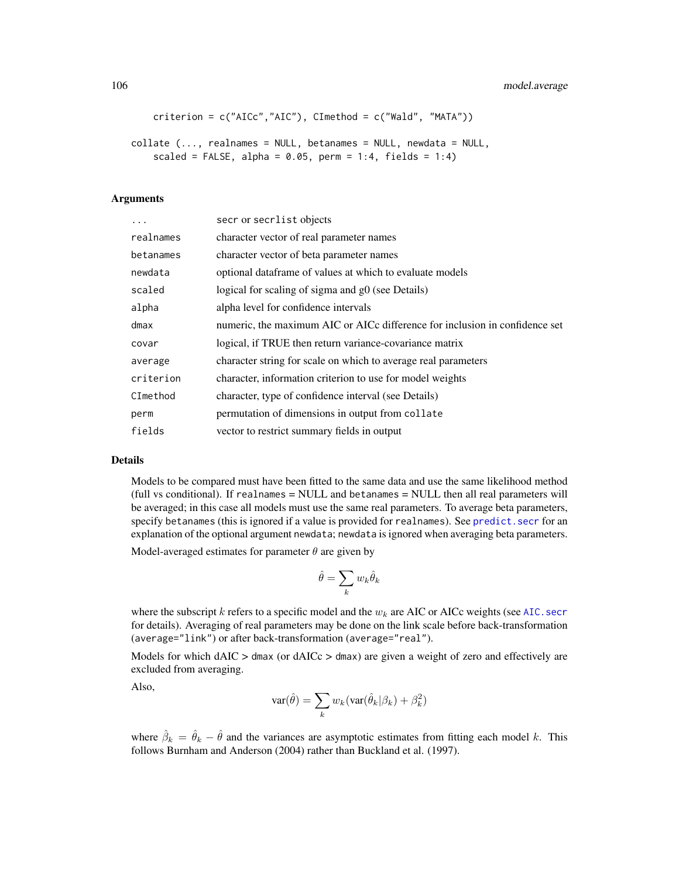```
criterion = c("AICc","AIC"), CImethod = c("Wald", "MATA"))
```

```
collate (..., realnames = NULL, betanames = NULL, newdata = NULL,
   scaled = FALSE, alpha = 0.05, perm = 1:4, fields = 1:4)
```
## Arguments

| .         | secr or secrlist objects                                                    |
|-----------|-----------------------------------------------------------------------------|
| realnames | character vector of real parameter names                                    |
| betanames | character vector of beta parameter names                                    |
| newdata   | optional dataframe of values at which to evaluate models                    |
| scaled    | logical for scaling of sigma and g0 (see Details)                           |
| alpha     | alpha level for confidence intervals                                        |
| dmax      | numeric, the maximum AIC or AICc difference for inclusion in confidence set |
| covar     | logical, if TRUE then return variance-covariance matrix                     |
| average   | character string for scale on which to average real parameters              |
| criterion | character, information criterion to use for model weights                   |
| CImethod  | character, type of confidence interval (see Details)                        |
| perm      | permutation of dimensions in output from collate                            |
| fields    | vector to restrict summary fields in output                                 |

#### Details

Models to be compared must have been fitted to the same data and use the same likelihood method (full vs conditional). If realnames = NULL and betanames = NULL then all real parameters will be averaged; in this case all models must use the same real parameters. To average beta parameters, specify betanames (this is ignored if a value is provided for realnames). See [predict.secr](#page-139-0) for an explanation of the optional argument newdata; newdata is ignored when averaging beta parameters.

Model-averaged estimates for parameter  $\theta$  are given by

$$
\hat{\theta}=\sum_k w_k \hat{\theta}_k
$$

where the subscript k refers to a specific model and the  $w_k$  are AIC or AICc weights (see AIC. secr for details). Averaging of real parameters may be done on the link scale before back-transformation (average="link") or after back-transformation (average="real").

Models for which  $dAIC > dmax$  (or  $dAICc > dmax$ ) are given a weight of zero and effectively are excluded from averaging.

Also,

$$
\text{var}(\hat{\theta}) = \sum_{k} w_k(\text{var}(\hat{\theta}_k|\beta_k) + \beta_k^2)
$$

where  $\hat{\beta}_k = \hat{\theta}_k - \hat{\theta}$  and the variances are asymptotic estimates from fitting each model k. This follows Burnham and Anderson (2004) rather than Buckland et al. (1997).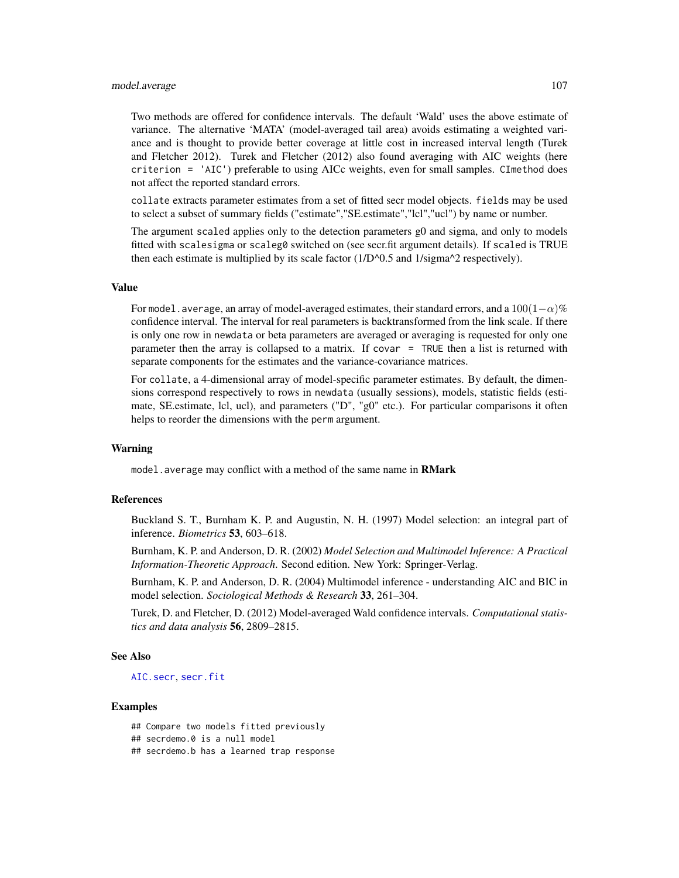## model.average 107

Two methods are offered for confidence intervals. The default 'Wald' uses the above estimate of variance. The alternative 'MATA' (model-averaged tail area) avoids estimating a weighted variance and is thought to provide better coverage at little cost in increased interval length (Turek and Fletcher 2012). Turek and Fletcher (2012) also found averaging with AIC weights (here criterion = 'AIC') preferable to using AICc weights, even for small samples. CImethod does not affect the reported standard errors.

collate extracts parameter estimates from a set of fitted secr model objects. fields may be used to select a subset of summary fields ("estimate","SE.estimate","lcl","ucl") by name or number.

The argument scaled applies only to the detection parameters g0 and sigma, and only to models fitted with scalesigma or scaleg0 switched on (see secr.fit argument details). If scaled is TRUE then each estimate is multiplied by its scale factor  $(1/D<sup>0.5</sup>$  and  $1/\text{sigma}^2$  respectively).

# Value

For model.average, an array of model-averaged estimates, their standard errors, and a  $100(1-\alpha)\%$ confidence interval. The interval for real parameters is backtransformed from the link scale. If there is only one row in newdata or beta parameters are averaged or averaging is requested for only one parameter then the array is collapsed to a matrix. If covar = TRUE then a list is returned with separate components for the estimates and the variance-covariance matrices.

For collate, a 4-dimensional array of model-specific parameter estimates. By default, the dimensions correspond respectively to rows in newdata (usually sessions), models, statistic fields (estimate, SE.estimate, lcl, ucl), and parameters ("D", "g0" etc.). For particular comparisons it often helps to reorder the dimensions with the perm argument.

#### Warning

model.average may conflict with a method of the same name in RMark

# References

Buckland S. T., Burnham K. P. and Augustin, N. H. (1997) Model selection: an integral part of inference. *Biometrics* 53, 603–618.

Burnham, K. P. and Anderson, D. R. (2002) *Model Selection and Multimodel Inference: A Practical Information-Theoretic Approach*. Second edition. New York: Springer-Verlag.

Burnham, K. P. and Anderson, D. R. (2004) Multimodel inference - understanding AIC and BIC in model selection. *Sociological Methods & Research* 33, 261–304.

Turek, D. and Fletcher, D. (2012) Model-averaged Wald confidence intervals. *Computational statistics and data analysis* 56, 2809–2815.

## See Also

[AIC.secr](#page-10-0), [secr.fit](#page-176-0)

## **Examples**

## Compare two models fitted previously ## secrdemo.0 is a null model ## secrdemo.b has a learned trap response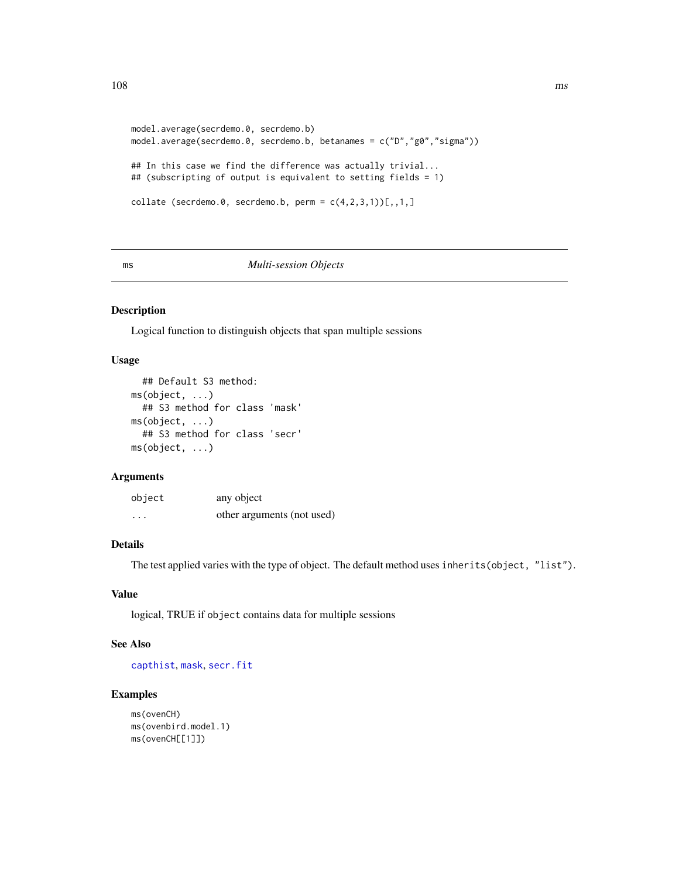```
108 ms
```

```
model.average(secrdemo.0, secrdemo.b)
model.average(secrdemo.0, secrdemo.b, betanames = c("D","g0","sigma"))
## In this case we find the difference was actually trivial...
## (subscripting of output is equivalent to setting fields = 1)
collate (secrdemo.0, secrdemo.b, perm = c(4,2,3,1)[1,1,1]
```
#### ms *Multi-session Objects*

# Description

Logical function to distinguish objects that span multiple sessions

# Usage

```
## Default S3 method:
ms(object, ...)
  ## S3 method for class 'mask'
ms(object, ...)
  ## S3 method for class 'secr'
ms(object, ...)
```
## Arguments

| object   | any object                 |
|----------|----------------------------|
| $\cdots$ | other arguments (not used) |

# Details

The test applied varies with the type of object. The default method uses inherits(object, "list").

# Value

logical, TRUE if object contains data for multiple sessions

## See Also

[capthist](#page-17-0), [mask](#page-100-0), [secr.fit](#page-176-0)

# Examples

```
ms(ovenCH)
ms(ovenbird.model.1)
ms(ovenCH[[1]])
```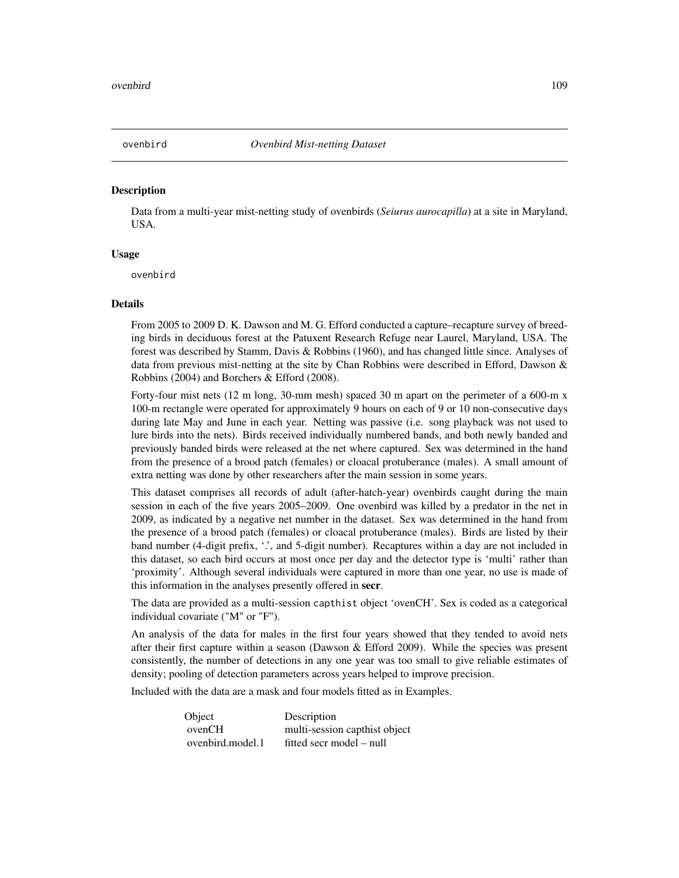<span id="page-108-0"></span>

## Description

Data from a multi-year mist-netting study of ovenbirds (*Seiurus aurocapilla*) at a site in Maryland, USA.

## Usage

ovenbird

#### Details

From 2005 to 2009 D. K. Dawson and M. G. Efford conducted a capture–recapture survey of breeding birds in deciduous forest at the Patuxent Research Refuge near Laurel, Maryland, USA. The forest was described by Stamm, Davis & Robbins (1960), and has changed little since. Analyses of data from previous mist-netting at the site by Chan Robbins were described in Efford, Dawson & Robbins (2004) and Borchers & Efford (2008).

Forty-four mist nets (12 m long, 30-mm mesh) spaced 30 m apart on the perimeter of a 600-m x 100-m rectangle were operated for approximately 9 hours on each of 9 or 10 non-consecutive days during late May and June in each year. Netting was passive (i.e. song playback was not used to lure birds into the nets). Birds received individually numbered bands, and both newly banded and previously banded birds were released at the net where captured. Sex was determined in the hand from the presence of a brood patch (females) or cloacal protuberance (males). A small amount of extra netting was done by other researchers after the main session in some years.

This dataset comprises all records of adult (after-hatch-year) ovenbirds caught during the main session in each of the five years 2005–2009. One ovenbird was killed by a predator in the net in 2009, as indicated by a negative net number in the dataset. Sex was determined in the hand from the presence of a brood patch (females) or cloacal protuberance (males). Birds are listed by their band number (4-digit prefix, '.', and 5-digit number). Recaptures within a day are not included in this dataset, so each bird occurs at most once per day and the detector type is 'multi' rather than 'proximity'. Although several individuals were captured in more than one year, no use is made of this information in the analyses presently offered in secr.

The data are provided as a multi-session capthist object 'ovenCH'. Sex is coded as a categorical individual covariate ("M" or "F").

An analysis of the data for males in the first four years showed that they tended to avoid nets after their first capture within a season (Dawson  $\&$  Efford 2009). While the species was present consistently, the number of detections in any one year was too small to give reliable estimates of density; pooling of detection parameters across years helped to improve precision.

Included with the data are a mask and four models fitted as in Examples.

| Object           | Description                   |
|------------------|-------------------------------|
| ovenCH           | multi-session capthist object |
| ovenbird.model.1 | fitted secr model – null      |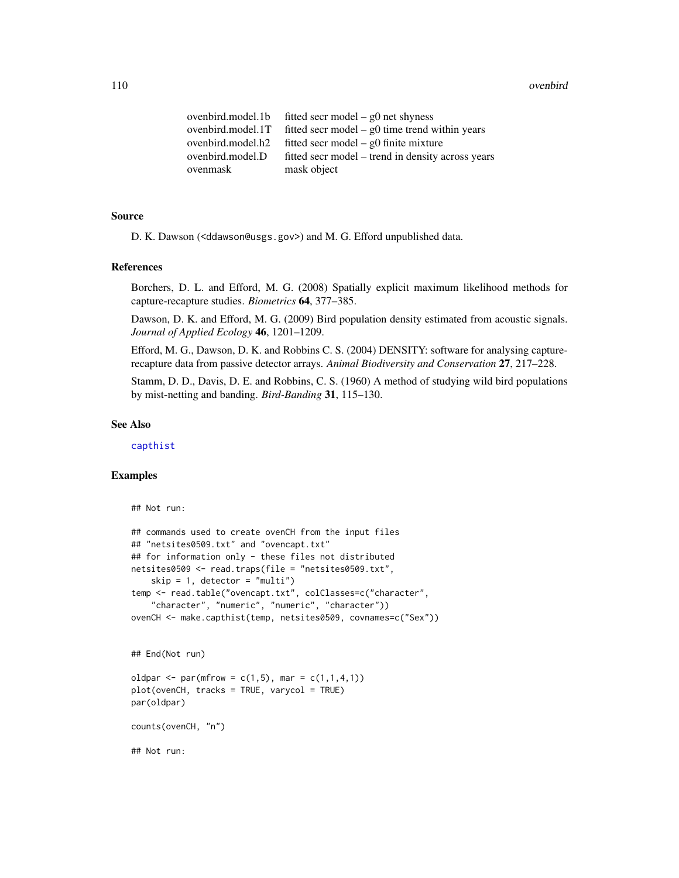#### 110 overbird

| ovenbird.model.1b | fitted secr model – $g0$ net shyness              |
|-------------------|---------------------------------------------------|
| ovenbird.model.1T | fitted secr model $-$ g0 time trend within years  |
| ovenbird.model.h2 | fitted secr model $-$ g0 finite mixture           |
| ovenbird.model.D  | fitted secr model – trend in density across years |
| ovenmask          | mask object                                       |

## Source

D. K. Dawson (<ddawson@usgs.gov>) and M. G. Efford unpublished data.

#### References

Borchers, D. L. and Efford, M. G. (2008) Spatially explicit maximum likelihood methods for capture-recapture studies. *Biometrics* 64, 377–385.

Dawson, D. K. and Efford, M. G. (2009) Bird population density estimated from acoustic signals. *Journal of Applied Ecology* 46, 1201–1209.

Efford, M. G., Dawson, D. K. and Robbins C. S. (2004) DENSITY: software for analysing capturerecapture data from passive detector arrays. *Animal Biodiversity and Conservation* 27, 217–228.

Stamm, D. D., Davis, D. E. and Robbins, C. S. (1960) A method of studying wild bird populations by mist-netting and banding. *Bird-Banding* 31, 115–130.

#### See Also

[capthist](#page-17-0)

# Examples

```
## Not run:
## commands used to create ovenCH from the input files
## "netsites0509.txt" and "ovencapt.txt"
## for information only - these files not distributed
netsites0509 <- read.traps(file = "netsites0509.txt",
    skip = 1, detector = "multi")
temp <- read.table("ovencapt.txt", colClasses=c("character",
    "character", "numeric", "numeric", "character"))
ovenCH <- make.capthist(temp, netsites0509, covnames=c("Sex"))
```
## End(Not run)

```
oldpar <- par(mfrow = c(1,5), mar = c(1,1,4,1))
plot(ovenCH, tracks = TRUE, varycol = TRUE)
par(oldpar)
```
counts(ovenCH, "n")

## Not run: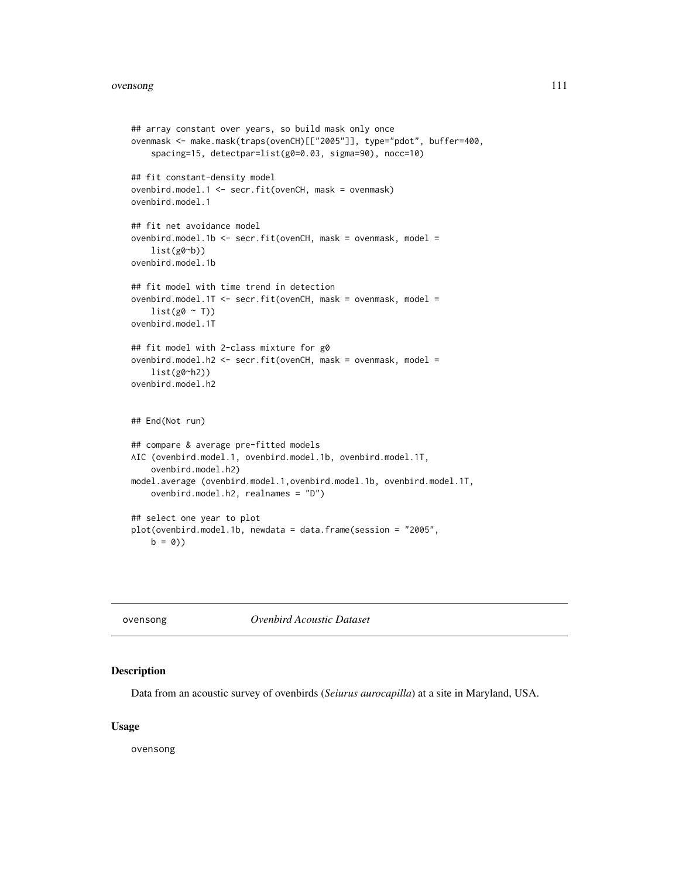#### ovensong 111

```
## array constant over years, so build mask only once
ovenmask <- make.mask(traps(ovenCH)[["2005"]], type="pdot", buffer=400,
    spacing=15, detectpar=list(g0=0.03, sigma=90), nocc=10)
## fit constant-density model
ovenbird.model.1 <- secr.fit(ovenCH, mask = ovenmask)
ovenbird.model.1
## fit net avoidance model
ovenbird.model.1b <- secr.fit(ovenCH, mask = ovenmask, model =
    list(g0<sub>o</sub>b))ovenbird.model.1b
## fit model with time trend in detection
ovenbird.model.1T <- secr.fit(ovenCH, mask = ovenmask, model =
    list(g0 ~ ~ T))ovenbird.model.1T
## fit model with 2-class mixture for g0
ovenbird.model.h2 <- secr.fit(ovenCH, mask = ovenmask, model =
    list(g0~h2))
ovenbird.model.h2
## End(Not run)
## compare & average pre-fitted models
AIC (ovenbird.model.1, ovenbird.model.1b, ovenbird.model.1T,
    ovenbird.model.h2)
model.average (ovenbird.model.1,ovenbird.model.1b, ovenbird.model.1T,
   ovenbird.model.h2, realnames = "D")
## select one year to plot
plot(ovenbird.model.1b, newdata = data.frame(session = "2005",
   b = 0)
```
ovensong *Ovenbird Acoustic Dataset*

## Description

Data from an acoustic survey of ovenbirds (*Seiurus aurocapilla*) at a site in Maryland, USA.

## Usage

ovensong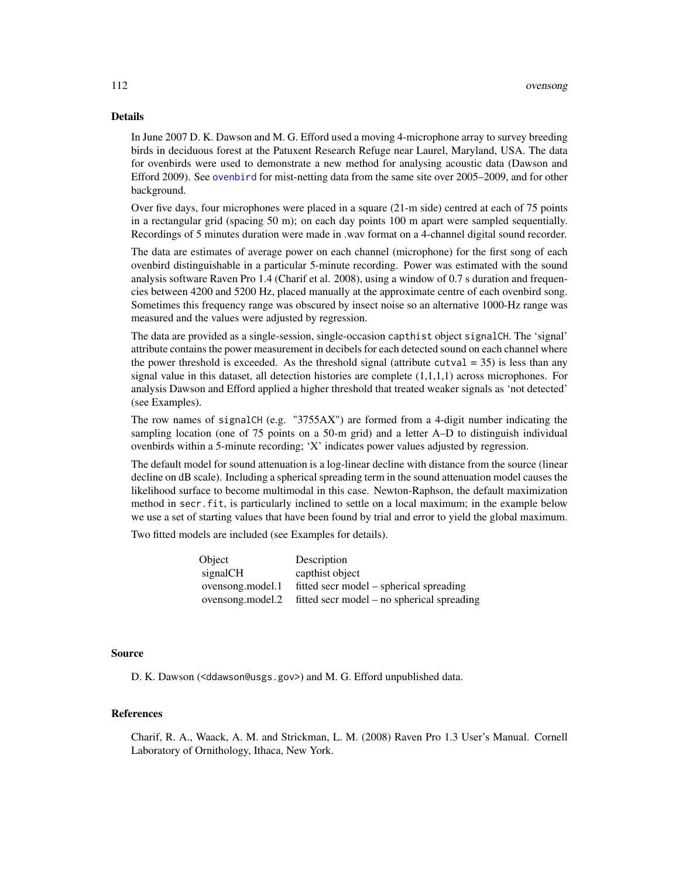#### Details

In June 2007 D. K. Dawson and M. G. Efford used a moving 4-microphone array to survey breeding birds in deciduous forest at the Patuxent Research Refuge near Laurel, Maryland, USA. The data for ovenbirds were used to demonstrate a new method for analysing acoustic data (Dawson and Efford 2009). See [ovenbird](#page-108-0) for mist-netting data from the same site over 2005–2009, and for other background.

Over five days, four microphones were placed in a square (21-m side) centred at each of 75 points in a rectangular grid (spacing 50 m); on each day points 100 m apart were sampled sequentially. Recordings of 5 minutes duration were made in .wav format on a 4-channel digital sound recorder.

The data are estimates of average power on each channel (microphone) for the first song of each ovenbird distinguishable in a particular 5-minute recording. Power was estimated with the sound analysis software Raven Pro 1.4 (Charif et al. 2008), using a window of 0.7 s duration and frequencies between 4200 and 5200 Hz, placed manually at the approximate centre of each ovenbird song. Sometimes this frequency range was obscured by insect noise so an alternative 1000-Hz range was measured and the values were adjusted by regression.

The data are provided as a single-session, single-occasion capthist object signalCH. The 'signal' attribute contains the power measurement in decibels for each detected sound on each channel where the power threshold is exceeded. As the threshold signal (attribute cutval  $=$  35) is less than any signal value in this dataset, all detection histories are complete  $(1,1,1,1)$  across microphones. For analysis Dawson and Efford applied a higher threshold that treated weaker signals as 'not detected' (see Examples).

The row names of signalCH (e.g. "3755AX") are formed from a 4-digit number indicating the sampling location (one of 75 points on a 50-m grid) and a letter A–D to distinguish individual ovenbirds within a 5-minute recording; 'X' indicates power values adjusted by regression.

The default model for sound attenuation is a log-linear decline with distance from the source (linear decline on dB scale). Including a spherical spreading term in the sound attenuation model causes the likelihood surface to become multimodal in this case. Newton-Raphson, the default maximization method in secr.fit, is particularly inclined to settle on a local maximum; in the example below we use a set of starting values that have been found by trial and error to yield the global maximum.

Two fitted models are included (see Examples for details).

| Object           | Description                                |
|------------------|--------------------------------------------|
| signalCH         | capthist object                            |
| ovensong.model.1 | fitted secr model – spherical spreading    |
| ovensong.model.2 | fitted secr model – no spherical spreading |

## Source

D. K. Dawson (<ddawson@usgs.gov>) and M. G. Efford unpublished data.

## References

Charif, R. A., Waack, A. M. and Strickman, L. M. (2008) Raven Pro 1.3 User's Manual. Cornell Laboratory of Ornithology, Ithaca, New York.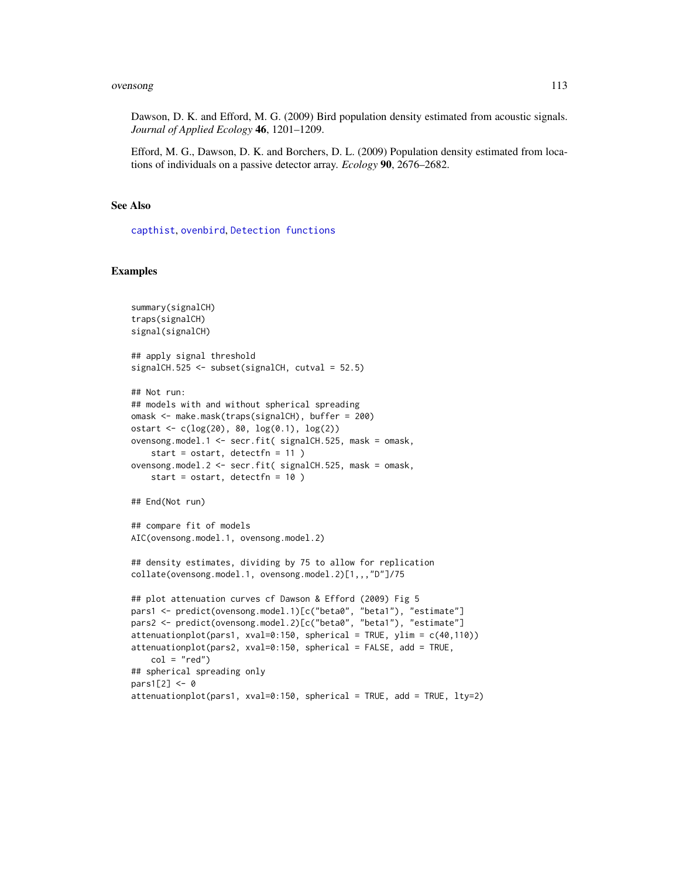#### ovensong 113

Dawson, D. K. and Efford, M. G. (2009) Bird population density estimated from acoustic signals. *Journal of Applied Ecology* 46, 1201–1209.

Efford, M. G., Dawson, D. K. and Borchers, D. L. (2009) Population density estimated from locations of individuals on a passive detector array. *Ecology* 90, 2676–2682.

# See Also

[capthist](#page-17-0), [ovenbird](#page-108-0), [Detection functions](#page-0-0)

```
summary(signalCH)
traps(signalCH)
signal(signalCH)
## apply signal threshold
signalCH.525 <- subset(signalCH, cutval = 52.5)
## Not run:
## models with and without spherical spreading
omask <- make.mask(traps(signalCH), buffer = 200)
ostart \leq c(\log(20), 80, \log(0.1), \log(2))ovensong.model.1 <- secr.fit( signalCH.525, mask = omask,
   start = ostart, detectfn = 11 )
ovensong.model.2 <- secr.fit( signalCH.525, mask = omask,
    start = ostart, detectfn = 10 )
## End(Not run)
## compare fit of models
AIC(ovensong.model.1, ovensong.model.2)
## density estimates, dividing by 75 to allow for replication
collate(ovensong.model.1, ovensong.model.2)[1,,,"D"]/75
## plot attenuation curves cf Dawson & Efford (2009) Fig 5
pars1 <- predict(ovensong.model.1)[c("beta0", "beta1"), "estimate"]
pars2 <- predict(ovensong.model.2)[c("beta0", "beta1"), "estimate"]
attenuationplot(pars1, xval=0:150, spherical = TRUE, ylim = c(40,110))
attenuationplot(pars2, xval=0:150, spherical = FALSE, add = TRUE,
    col = "red")## spherical spreading only
pars1[2] <- 0
attenuationplot(pars1, xval=0:150, spherical = TRUE, add = TRUE, lty=2)
```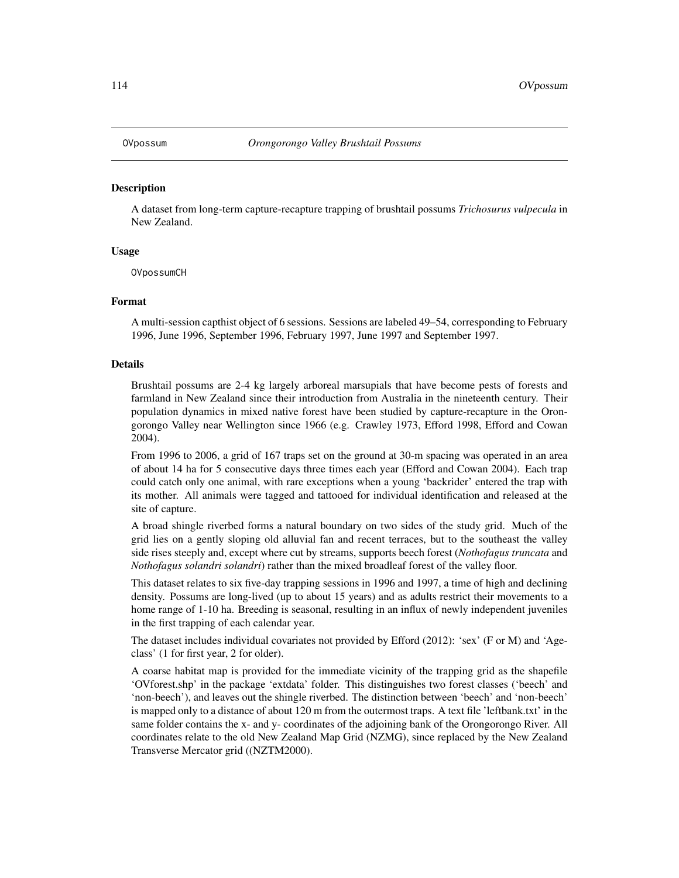## **Description**

A dataset from long-term capture-recapture trapping of brushtail possums *Trichosurus vulpecula* in New Zealand.

## Usage

OVpossumCH

## Format

A multi-session capthist object of 6 sessions. Sessions are labeled 49–54, corresponding to February 1996, June 1996, September 1996, February 1997, June 1997 and September 1997.

## Details

Brushtail possums are 2-4 kg largely arboreal marsupials that have become pests of forests and farmland in New Zealand since their introduction from Australia in the nineteenth century. Their population dynamics in mixed native forest have been studied by capture-recapture in the Orongorongo Valley near Wellington since 1966 (e.g. Crawley 1973, Efford 1998, Efford and Cowan 2004).

From 1996 to 2006, a grid of 167 traps set on the ground at 30-m spacing was operated in an area of about 14 ha for 5 consecutive days three times each year (Efford and Cowan 2004). Each trap could catch only one animal, with rare exceptions when a young 'backrider' entered the trap with its mother. All animals were tagged and tattooed for individual identification and released at the site of capture.

A broad shingle riverbed forms a natural boundary on two sides of the study grid. Much of the grid lies on a gently sloping old alluvial fan and recent terraces, but to the southeast the valley side rises steeply and, except where cut by streams, supports beech forest (*Nothofagus truncata* and *Nothofagus solandri solandri*) rather than the mixed broadleaf forest of the valley floor.

This dataset relates to six five-day trapping sessions in 1996 and 1997, a time of high and declining density. Possums are long-lived (up to about 15 years) and as adults restrict their movements to a home range of 1-10 ha. Breeding is seasonal, resulting in an influx of newly independent juveniles in the first trapping of each calendar year.

The dataset includes individual covariates not provided by Efford (2012): 'sex' (F or M) and 'Ageclass' (1 for first year, 2 for older).

A coarse habitat map is provided for the immediate vicinity of the trapping grid as the shapefile 'OVforest.shp' in the package 'extdata' folder. This distinguishes two forest classes ('beech' and 'non-beech'), and leaves out the shingle riverbed. The distinction between 'beech' and 'non-beech' is mapped only to a distance of about 120 m from the outermost traps. A text file 'leftbank.txt' in the same folder contains the x- and y- coordinates of the adjoining bank of the Orongorongo River. All coordinates relate to the old New Zealand Map Grid (NZMG), since replaced by the New Zealand Transverse Mercator grid ((NZTM2000).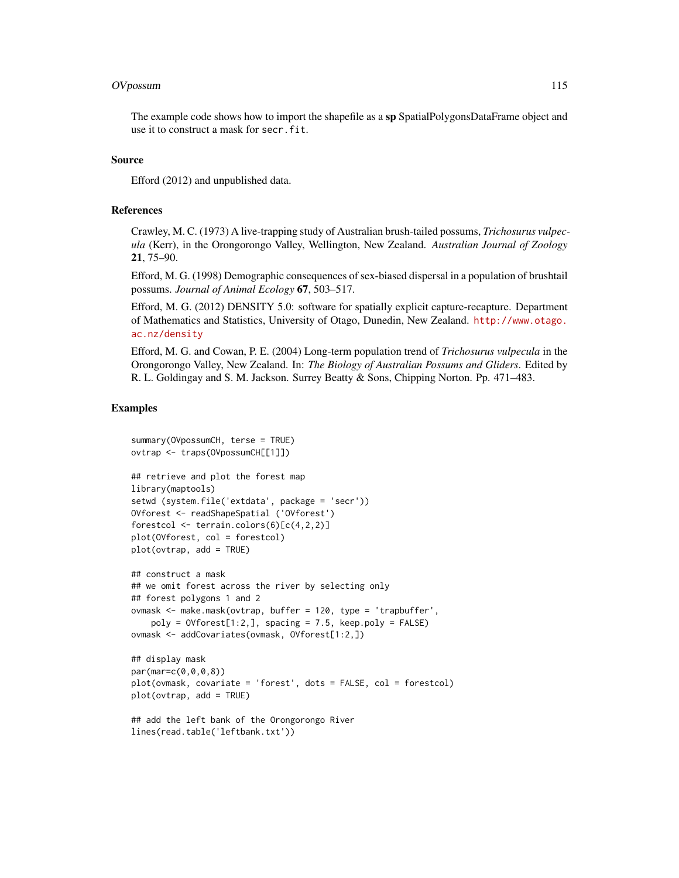#### OVpossum 115

The example code shows how to import the shapefile as a sp SpatialPolygonsDataFrame object and use it to construct a mask for secr.fit.

# Source

Efford (2012) and unpublished data.

## References

Crawley, M. C. (1973) A live-trapping study of Australian brush-tailed possums, *Trichosurus vulpecula* (Kerr), in the Orongorongo Valley, Wellington, New Zealand. *Australian Journal of Zoology* 21, 75–90.

Efford, M. G. (1998) Demographic consequences of sex-biased dispersal in a population of brushtail possums. *Journal of Animal Ecology* 67, 503–517.

Efford, M. G. (2012) DENSITY 5.0: software for spatially explicit capture-recapture. Department of Mathematics and Statistics, University of Otago, Dunedin, New Zealand. [http://www.otago.](http://www.otago.ac.nz/density) [ac.nz/density](http://www.otago.ac.nz/density)

Efford, M. G. and Cowan, P. E. (2004) Long-term population trend of *Trichosurus vulpecula* in the Orongorongo Valley, New Zealand. In: *The Biology of Australian Possums and Gliders*. Edited by R. L. Goldingay and S. M. Jackson. Surrey Beatty & Sons, Chipping Norton. Pp. 471–483.

```
summary(OVpossumCH, terse = TRUE)
ovtrap <- traps(OVpossumCH[[1]])
## retrieve and plot the forest map
library(maptools)
setwd (system.file('extdata', package = 'secr'))
OVforest <- readShapeSpatial ('OVforest')
forestcol <- terrain.colors(6)[c(4,2,2)]
plot(OVforest, col = forestcol)
plot(ovtrap, add = TRUE)
## construct a mask
## we omit forest across the river by selecting only
## forest polygons 1 and 2
ovmask <- make.mask(ovtrap, buffer = 120, type = 'trapbuffer',
   poly = 0Vforest[1:2,], spacing = 7.5, keep.poly = FALSE)
ovmask <- addCovariates(ovmask, OVforest[1:2,])
## display mask
par(mar=c(0,0,0,8))
plot(ovmask, covariate = 'forest', dots = FALSE, col = forestcol)
plot(ovtrap, add = TRUE)
## add the left bank of the Orongorongo River
lines(read.table('leftbank.txt'))
```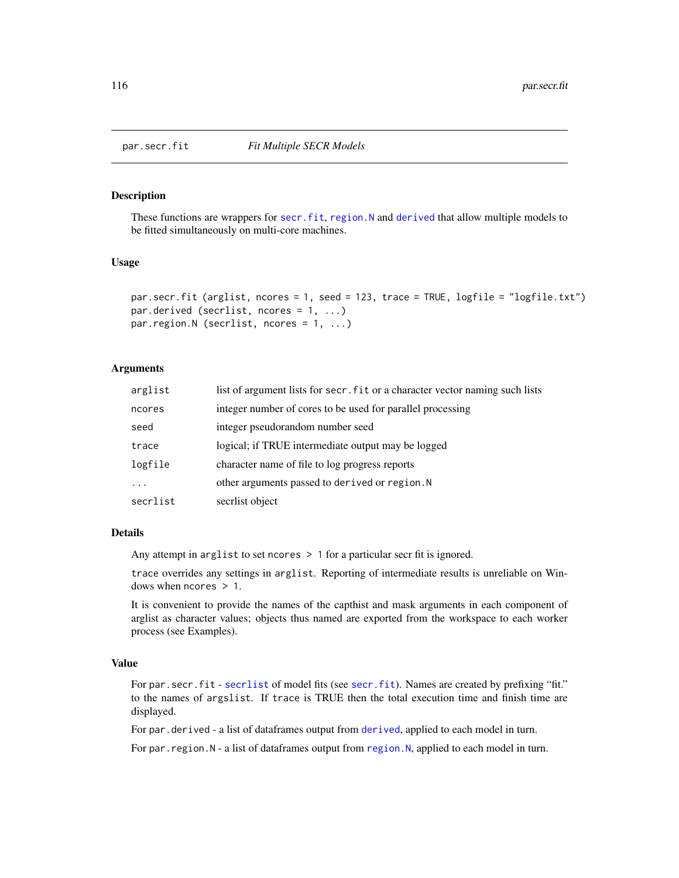<span id="page-115-0"></span>

## <span id="page-115-1"></span>Description

These functions are wrappers for [secr.fit](#page-176-0), [region.N](#page-164-0) and [derived](#page-39-0) that allow multiple models to be fitted simultaneously on multi-core machines.

## Usage

```
par.secr.fit (arglist, ncores = 1, seed = 123, trace = TRUE, logfile = "logfile.txt")
par.derived (secrlist, ncores = 1, ...)
par.region.N (secrlist, ncores = 1, ...)
```
## Arguments

| arglist  | list of argument lists for secr. fit or a character vector naming such lists |
|----------|------------------------------------------------------------------------------|
| ncores   | integer number of cores to be used for parallel processing                   |
| seed     | integer pseudorandom number seed                                             |
| trace    | logical; if TRUE intermediate output may be logged                           |
| logfile  | character name of file to log progress reports                               |
|          | other arguments passed to derived or region. N                               |
| secrlist | secriist object                                                              |

## Details

Any attempt in arglist to set ncores > 1 for a particular secr fit is ignored.

trace overrides any settings in arglist. Reporting of intermediate results is unreliable on Windows when ncores > 1.

It is convenient to provide the names of the capthist and mask arguments in each component of arglist as character values; objects thus named are exported from the workspace to each worker process (see Examples).

## Value

For par. secr.fit - [secrlist](#page-10-0) of model fits (see [secr.fit](#page-176-0)). Names are created by prefixing "fit." to the names of argslist. If trace is TRUE then the total execution time and finish time are displayed.

For par.[derived](#page-39-0) - a list of dataframes output from derived, applied to each model in turn.

For par.[region.N](#page-164-0) - a list of dataframes output from region.N, applied to each model in turn.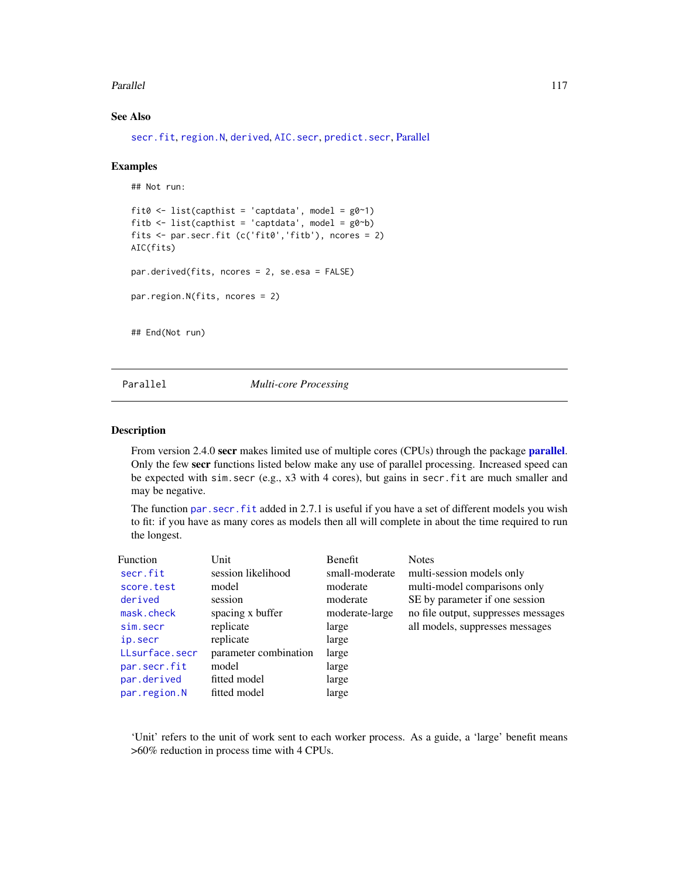#### Parallel 117

# See Also

[secr.fit](#page-176-0), [region.N](#page-164-0), [derived](#page-39-0), [AIC.secr](#page-10-1), [predict.secr](#page-139-0), [Parallel](#page-116-0)

#### Examples

```
## Not run:
```

```
fit0 <- list(capthist = 'captdata', model = g0^{\sim}1)
fitb \le list(capthist = 'captdata', model = g0\simb)
fits <- par.secr.fit (c('fit0','fitb'), ncores = 2)
AIC(fits)
par.derived(fits, ncores = 2, se.esa = FALSE)
par.region.N(fits, ncores = 2)
## End(Not run)
```
<span id="page-116-0"></span>Parallel *Multi-core Processing*

## Description

From version 2.4.0 secr makes limited use of multiple cores (CPUs) through the package **[parallel](#page-0-0)**. Only the few secr functions listed below make any use of parallel processing. Increased speed can be expected with sim.secr (e.g., x3 with 4 cores), but gains in secr.fit are much smaller and may be negative.

The function [par.secr.fit](#page-115-0) added in 2.7.1 is useful if you have a set of different models you wish to fit: if you have as many cores as models then all will complete in about the time required to run the longest.

| <b>Function</b> | Unit                  | <b>Benefit</b> | <b>Notes</b>                        |
|-----------------|-----------------------|----------------|-------------------------------------|
| secr.fit        | session likelihood    | small-moderate | multi-session models only           |
| score.test      | model                 | moderate       | multi-model comparisons only        |
| derived         | session               | moderate       | SE by parameter if one session      |
| mask.check      | spacing x buffer      | moderate-large | no file output, suppresses messages |
| sim.secr        | replicate             | large          | all models, suppresses messages     |
| ip.secr         | replicate             | large          |                                     |
| LLsurface.secr  | parameter combination | large          |                                     |
| par.secr.fit    | model                 | large          |                                     |
| par.derived     | fitted model          | large          |                                     |
| par.region.N    | fitted model          | large          |                                     |

'Unit' refers to the unit of work sent to each worker process. As a guide, a 'large' benefit means >60% reduction in process time with 4 CPUs.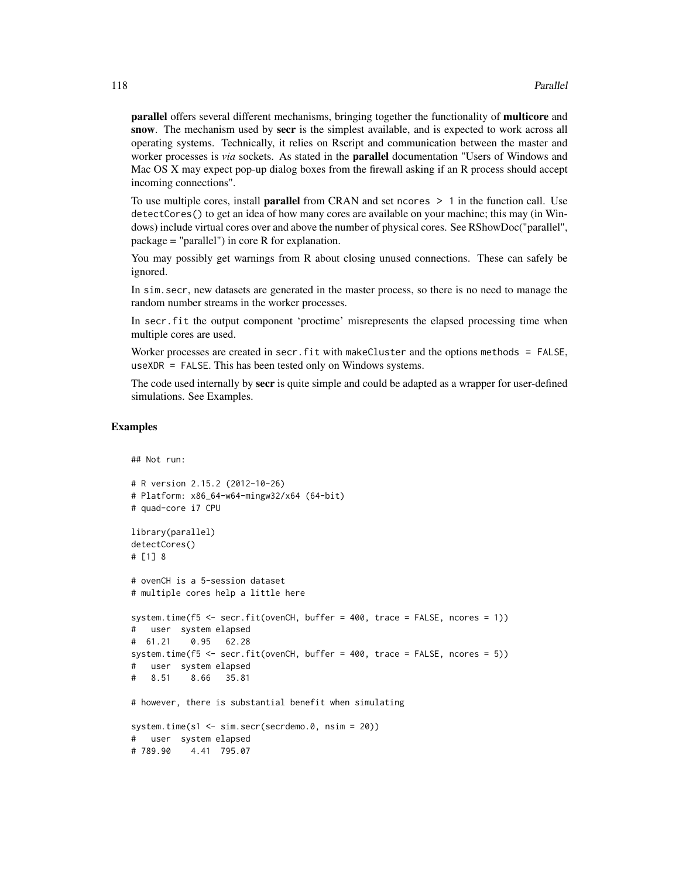parallel offers several different mechanisms, bringing together the functionality of multicore and snow. The mechanism used by secr is the simplest available, and is expected to work across all operating systems. Technically, it relies on Rscript and communication between the master and worker processes is *via* sockets. As stated in the parallel documentation "Users of Windows and Mac OS X may expect pop-up dialog boxes from the firewall asking if an R process should accept incoming connections".

To use multiple cores, install **parallel** from CRAN and set ncores  $> 1$  in the function call. Use detectCores() to get an idea of how many cores are available on your machine; this may (in Windows) include virtual cores over and above the number of physical cores. See RShowDoc("parallel", package = "parallel") in core R for explanation.

You may possibly get warnings from R about closing unused connections. These can safely be ignored.

In sim.secr, new datasets are generated in the master process, so there is no need to manage the random number streams in the worker processes.

In secr.fit the output component 'proctime' misrepresents the elapsed processing time when multiple cores are used.

Worker processes are created in secr.fit with makeCluster and the options methods = FALSE, useXDR = FALSE. This has been tested only on Windows systems.

The code used internally by secr is quite simple and could be adapted as a wrapper for user-defined simulations. See Examples.

## Examples

## Not run:

```
# R version 2.15.2 (2012-10-26)
# Platform: x86_64-w64-mingw32/x64 (64-bit)
# quad-core i7 CPU
library(parallel)
detectCores()
# [1] 8
# ovenCH is a 5-session dataset
# multiple cores help a little here
system.time(f5 <- secr.fit(ovenCH, buffer = 400, trace = FALSE, ncores = 1))
# user system elapsed
# 61.21 0.95 62.28
system.time(f5 <- secr.fit(ovenCH, buffer = 400, trace = FALSE, ncores = 5))
   user system elapsed
# 8.51 8.66 35.81
# however, there is substantial benefit when simulating
system.time(s1 <- sim.secr(secrdemo.0, nsim = 20))
# user system elapsed
# 789.90 4.41 795.07
```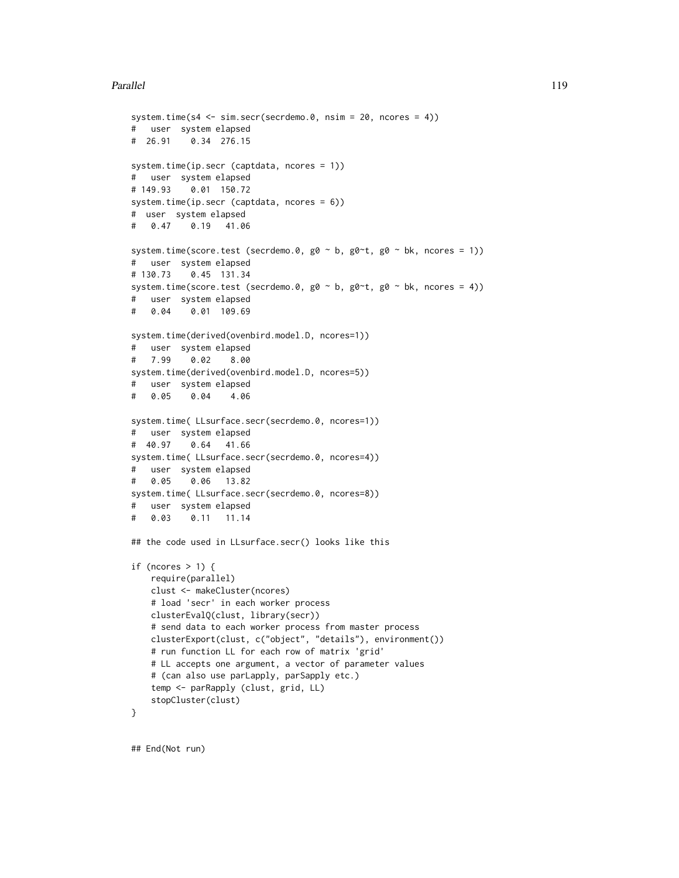## Parallel 119

```
system.time(s4 <- sim.secr(secrdemo.0, nsim = 20, ncores = 4))
# user system elapsed
# 26.91 0.34 276.15
system.time(ip.secr (captdata, ncores = 1))
# user system elapsed
# 149.93 0.01 150.72
system.time(ip.secr (captdata, ncores = 6))
# user system elapsed
# 0.47 0.19 41.06
system.time(score.test (secrdemo.0, g0 \sim b, g0\simt, g0 \sim bk, ncores = 1))
# user system elapsed
# 130.73 0.45 131.34
system.time(score.test (secrdemo.0, g0 \sim b, g0\simt, g0 \sim bk, ncores = 4))
# user system elapsed
# 0.04 0.01 109.69
system.time(derived(ovenbird.model.D, ncores=1))
# user system elapsed
# 7.99 0.02 8.00
system.time(derived(ovenbird.model.D, ncores=5))
# user system elapsed
# 0.05 0.04 4.06
system.time( LLsurface.secr(secrdemo.0, ncores=1))
# user system elapsed
# 40.97 0.64 41.66
system.time( LLsurface.secr(secrdemo.0, ncores=4))
# user system elapsed
# 0.05 0.06 13.82
system.time( LLsurface.secr(secrdemo.0, ncores=8))
# user system elapsed
# 0.03 0.11 11.14
## the code used in LLsurface.secr() looks like this
if (ncores > 1) {
    require(parallel)
   clust <- makeCluster(ncores)
    # load 'secr' in each worker process
   clusterEvalQ(clust, library(secr))
    # send data to each worker process from master process
   clusterExport(clust, c("object", "details"), environment())
    # run function LL for each row of matrix 'grid'
    # LL accepts one argument, a vector of parameter values
    # (can also use parLapply, parSapply etc.)
    temp <- parRapply (clust, grid, LL)
   stopCluster(clust)
}
```
## End(Not run)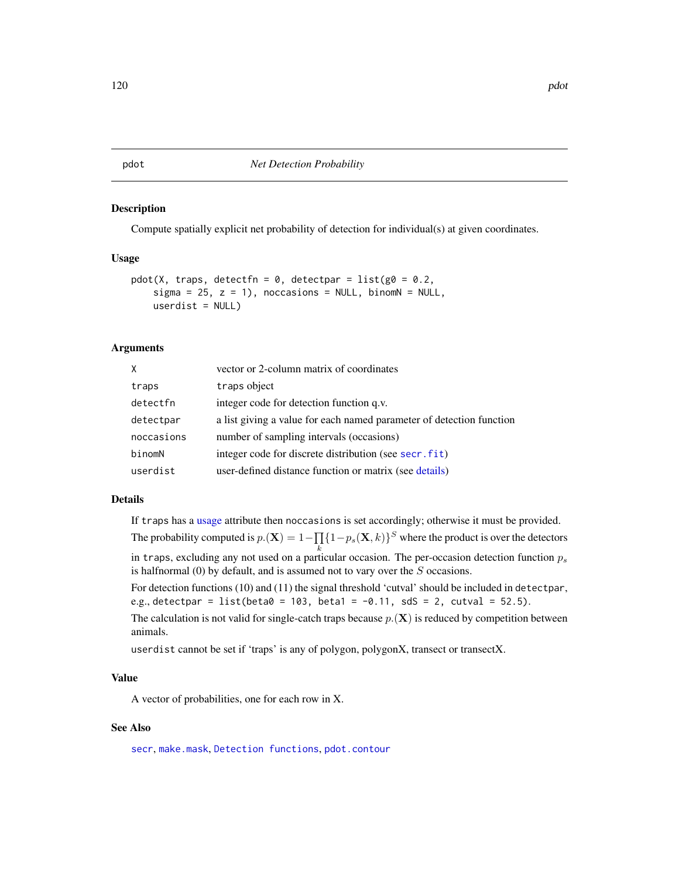## **Description**

Compute spatially explicit net probability of detection for individual(s) at given coordinates.

#### Usage

```
pdot(X, traps, detectfn = 0, detectpar = list(g0 = 0.2,sigma = 25, z = 1), noccasions = NULL, binomN = NULL,
   userdist = NULL)
```
## Arguments

| X.         | vector or 2-column matrix of coordinates                             |
|------------|----------------------------------------------------------------------|
| traps      | traps object                                                         |
| detectfn   | integer code for detection function q.v.                             |
| detectpar  | a list giving a value for each named parameter of detection function |
| noccasions | number of sampling intervals (occasions)                             |
| binomN     | integer code for discrete distribution (see secr.fit)                |
| userdist   | user-defined distance function or matrix (see details)               |

# Details

If traps has a [usage](#page-249-0) attribute then noccasions is set accordingly; otherwise it must be provided. The probability computed is  $p.(\mathbf{X}) = 1 - \prod_{i} \{1 - p_s(\mathbf{X}, k)\}^S$  where the product is over the detectors

in traps, excluding any not used on a particular occasion. The per-occasion detection function  $p_s$ is halfnormal (0) by default, and is assumed not to vary over the S occasions.

For detection functions (10) and (11) the signal threshold 'cutval' should be included in detectpar, e.g., detectpar = list(beta $0 = 103$ , beta1 = -0.11, sdS = 2, cutval = 52.5).

The calculation is not valid for single-catch traps because  $p(\mathbf{X})$  is reduced by competition between animals.

userdist cannot be set if 'traps' is any of polygon, polygonX, transect or transectX.

# Value

A vector of probabilities, one for each row in X.

## See Also

[secr](#page-4-0), [make.mask](#page-91-0), [Detection functions](#page-0-0), [pdot.contour](#page-31-0)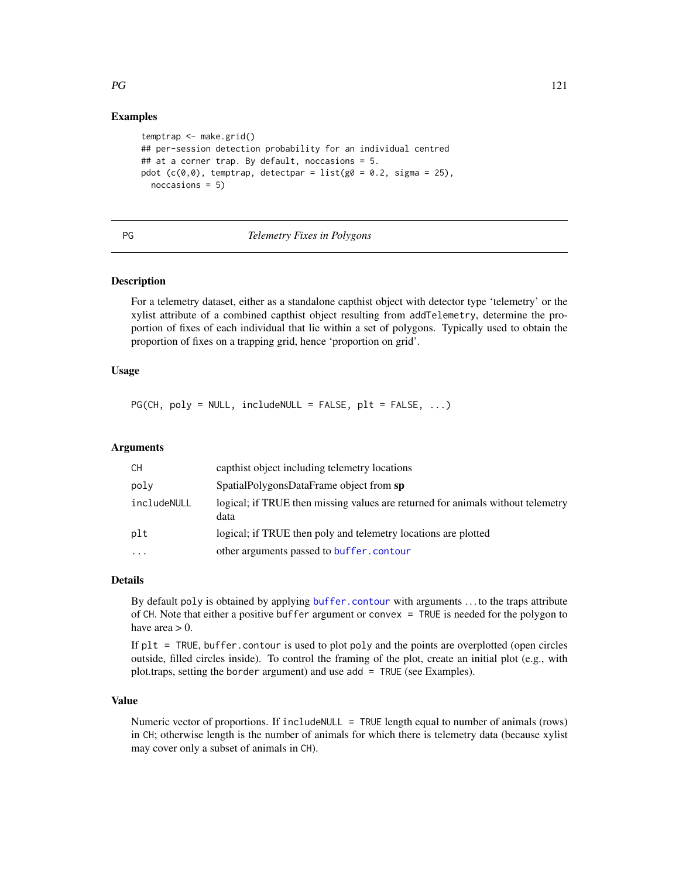# Examples

```
temptrap <- make.grid()
## per-session detection probability for an individual centred
# at a corner trap. By default, noccasions = 5.
pdot (c(\theta, \theta)), temptrap, detectpar = list(g\theta = 0.2, sigma = 25),
  noccasions = 5)
```
# PG *Telemetry Fixes in Polygons*

## Description

For a telemetry dataset, either as a standalone capthist object with detector type 'telemetry' or the xylist attribute of a combined capthist object resulting from addTelemetry, determine the proportion of fixes of each individual that lie within a set of polygons. Typically used to obtain the proportion of fixes on a trapping grid, hence 'proportion on grid'.

## Usage

 $PG(CH, poly = NULL, include NULL = FALSE, plt = FALSE, ...)$ 

# Arguments

| CH          | capthist object including telemetry locations                                           |
|-------------|-----------------------------------------------------------------------------------------|
| poly        | SpatialPolygonsDataFrame object from sp                                                 |
| includeNULL | logical; if TRUE then missing values are returned for animals without telemetry<br>data |
| plt         | logical; if TRUE then poly and telemetry locations are plotted                          |
| $\cdots$    | other arguments passed to buffer, contour                                               |

## Details

By default poly is obtained by applying [buffer.contour](#page-31-0) with arguments . . . to the traps attribute of CH. Note that either a positive buffer argument or convex = TRUE is needed for the polygon to have area  $> 0$ .

If  $plt = TRUE$ , buffer. contour is used to plot poly and the points are overplotted (open circles outside, filled circles inside). To control the framing of the plot, create an initial plot (e.g., with plot.traps, setting the border argument) and use add = TRUE (see Examples).

## Value

Numeric vector of proportions. If includeNULL = TRUE length equal to number of animals (rows) in CH; otherwise length is the number of animals for which there is telemetry data (because xylist may cover only a subset of animals in CH).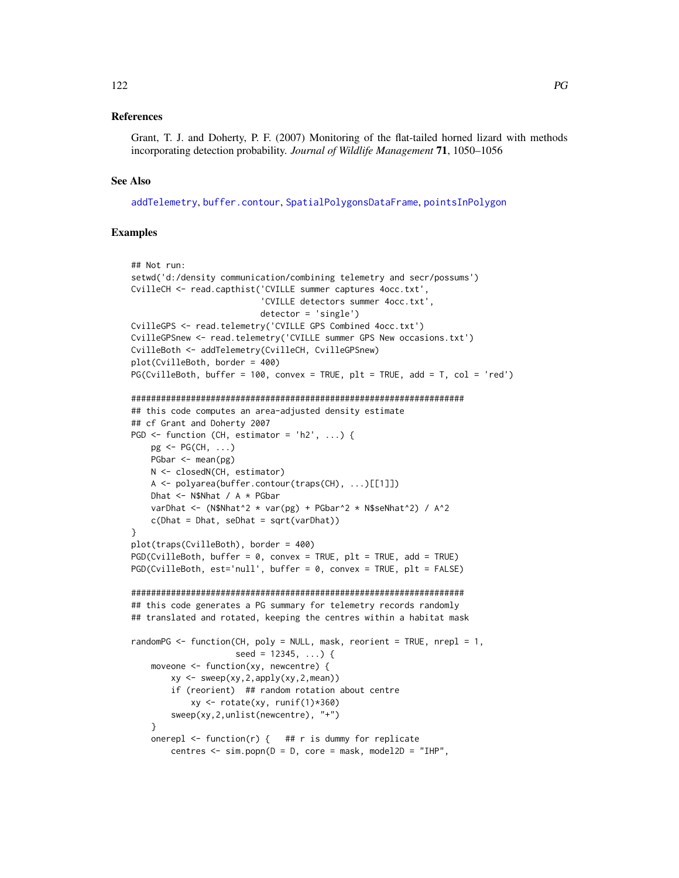### 122 PG

## References

Grant, T. J. and Doherty, P. F. (2007) Monitoring of the flat-tailed horned lizard with methods incorporating detection probability. *Journal of Wildlife Management* 71, 1050–1056

## See Also

[addTelemetry](#page-8-0), [buffer.contour](#page-31-0), [SpatialPolygonsDataFrame](#page-0-0), [pointsInPolygon](#page-134-0)

```
## Not run:
setwd('d:/density communication/combining telemetry and secr/possums')
CvilleCH <- read.capthist('CVILLE summer captures 4occ.txt',
                           'CVILLE detectors summer 4occ.txt',
                           detector = 'single')
CvilleGPS <- read.telemetry('CVILLE GPS Combined 4occ.txt')
CvilleGPSnew <- read.telemetry('CVILLE summer GPS New occasions.txt')
CvilleBoth <- addTelemetry(CvilleCH, CvilleGPSnew)
plot(CvilleBoth, border = 400)
PG(CvilleBoth, buffer = 100, convex = TRUE, plt = TRUE, add = T, col = 'red')###################################################################
## this code computes an area-adjusted density estimate
## cf Grant and Doherty 2007
PGD \leftarrow function (CH, estimator = 'h2', ...)pg \leq PG(CH, \ldots)PGbar <- mean(pg)
    N <- closedN(CH, estimator)
    A <- polyarea(buffer.contour(traps(CH), ...)[[1]])
    Dhat <- N$Nhat / A * PGbar
    varDhat <- (N$Nhat^2 * var(pg) + PGbar^2 * N$seNhat^2) / A^2c(Dhat = Dhat, seDhat = sqrt(varDhat))
}
plot(traps(CvilleBoth), border = 400)
PGD(CvilleBoth, buffer = 0, convex = TRUE, plt = TRUE, add = TRUE)PGD(CvilleBoth, est='null', buffer = 0, convex = TRUE, plt = FALSE)
###################################################################
## this code generates a PG summary for telemetry records randomly
## translated and rotated, keeping the centres within a habitat mask
randomPG \le function(CH, poly = NULL, mask, reorient = TRUE, nrepl = 1,
                      seed = 12345, ...) { }moveone <- function(xy, newcentre) {
        xy \leftarrow \text{ sweep}(xy, 2, \text{apply}(xy, 2, \text{mean}))if (reorient) ## random rotation about centre
            xy \leftarrow \text{rotate}(xy, \text{runif}(1)*360)sweep(xy,2,unlist(newcentre), "+")
    }
    onerepl \leq function(r) { ## r is dummy for replicate
        centres \leq sim.popn(D = D, core = mask, model2D = "IHP",
```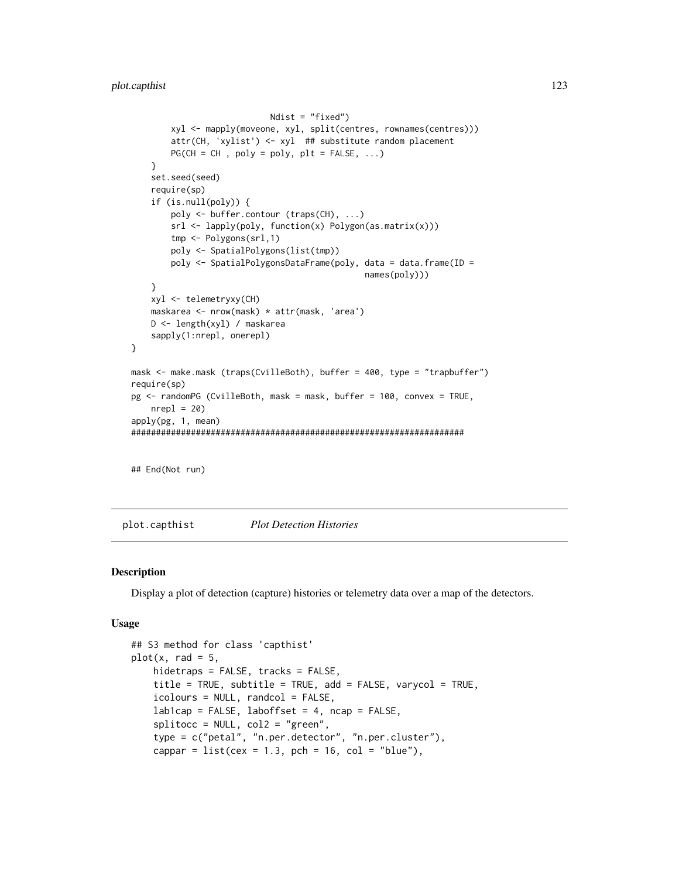```
Ndist = "fixed")
        xyl <- mapply(moveone, xyl, split(centres, rownames(centres)))
        attr(CH, 'xylist') <- xyl ## substitute random placement
        PG(CH = CH, poly = poly, plt = FALSE, ...)}
    set.seed(seed)
    require(sp)
    if (is.null(poly)) {
        poly <- buffer.contour (traps(CH), ...)
        srl <- lapply(poly, function(x) Polygon(as.matrix(x)))
        tmp <- Polygons(srl,1)
        poly <- SpatialPolygons(list(tmp))
        poly <- SpatialPolygonsDataFrame(poly, data = data.frame(ID =
                                               names(poly)))
    }
    xyl <- telemetryxy(CH)
    maskarea <- nrow(mask) * attr(mask, 'area')
   D <- length(xyl) / maskarea
   sapply(1:nrepl, onerepl)
}
mask <- make.mask (traps(CvilleBoth), buffer = 400, type = "trapbuffer")
require(sp)
pg <- randomPG (CvilleBoth, mask = mask, buffer = 100, convex = TRUE,
    nrep1 = 20apply(pg, 1, mean)
###################################################################
```
## End(Not run)

plot.capthist *Plot Detection Histories*

## Description

Display a plot of detection (capture) histories or telemetry data over a map of the detectors.

#### Usage

```
## S3 method for class 'capthist'
plot(x, rad = 5,hidetraps = FALSE, tracks = FALSE,
   title = TRUE, subtitle = TRUE, add = FALSE, varycol = TRUE,
   icolours = NULL, randcol = FALSE,
   lab1cap = FALSE, laboffset = 4, ncap = FALSE,splitocc = NULL, col2 = "green",type = c("petal", "n.per.detector", "n.per.cluster"),
   cappar = list(cex = 1.3, pch = 16, col = "blue"),
```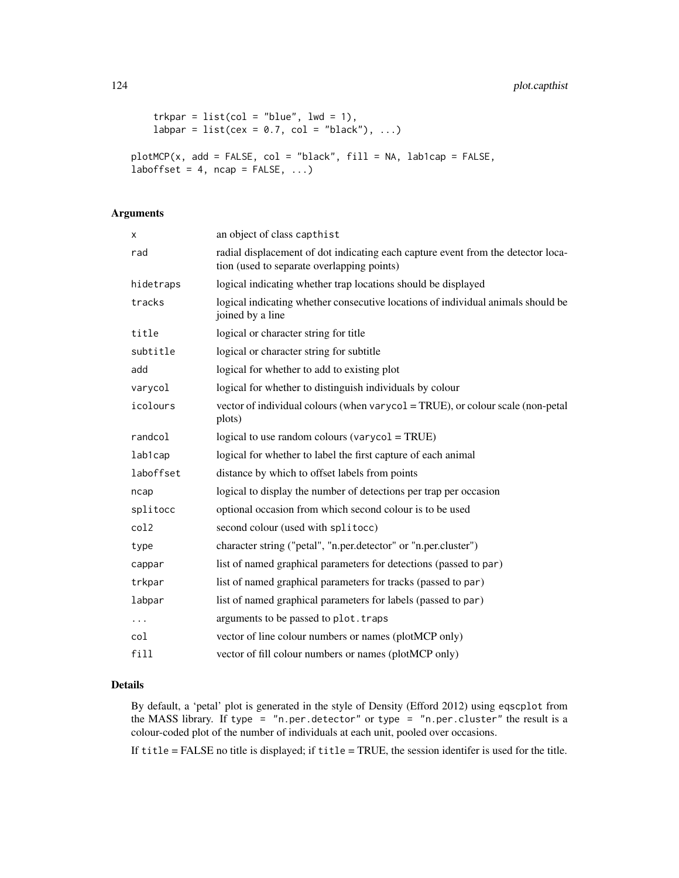```
trkpar = list(col = "blue", lw = 1),labpar = list(cex = 0.7, col = "black"), ...)
plotMCP(x, add = FALSE, col = "black", fill = NA, lab1cap = FALSE,laborfset = 4, ncap = FALSE, ...
```
# Arguments

| x         | an object of class capthist                                                                                                    |
|-----------|--------------------------------------------------------------------------------------------------------------------------------|
| rad       | radial displacement of dot indicating each capture event from the detector loca-<br>tion (used to separate overlapping points) |
| hidetraps | logical indicating whether trap locations should be displayed                                                                  |
| tracks    | logical indicating whether consecutive locations of individual animals should be<br>joined by a line                           |
| title     | logical or character string for title                                                                                          |
| subtitle  | logical or character string for subtitle                                                                                       |
| add       | logical for whether to add to existing plot                                                                                    |
| varycol   | logical for whether to distinguish individuals by colour                                                                       |
| icolours  | vector of individual colours (when varycol = TRUE), or colour scale (non-petal<br>plots)                                       |
| randcol   | logical to use random colours (varyco $1 = TRUE$ )                                                                             |
| lab1cap   | logical for whether to label the first capture of each animal                                                                  |
| laboffset | distance by which to offset labels from points                                                                                 |
| ncap      | logical to display the number of detections per trap per occasion                                                              |
| splitocc  | optional occasion from which second colour is to be used                                                                       |
| col2      | second colour (used with splitocc)                                                                                             |
| type      | character string ("petal", "n.per.detector" or "n.per.cluster")                                                                |
| cappar    | list of named graphical parameters for detections (passed to par)                                                              |
| trkpar    | list of named graphical parameters for tracks (passed to par)                                                                  |
| labpar    | list of named graphical parameters for labels (passed to par)                                                                  |
| .         | arguments to be passed to plot. traps                                                                                          |
| col       | vector of line colour numbers or names (plotMCP only)                                                                          |
| fill      | vector of fill colour numbers or names (plotMCP only)                                                                          |

# Details

By default, a 'petal' plot is generated in the style of Density (Efford 2012) using eqscplot from the MASS library. If type = "n.per.detector" or type = "n.per.cluster" the result is a colour-coded plot of the number of individuals at each unit, pooled over occasions.

If title = FALSE no title is displayed; if title = TRUE, the session identifer is used for the title.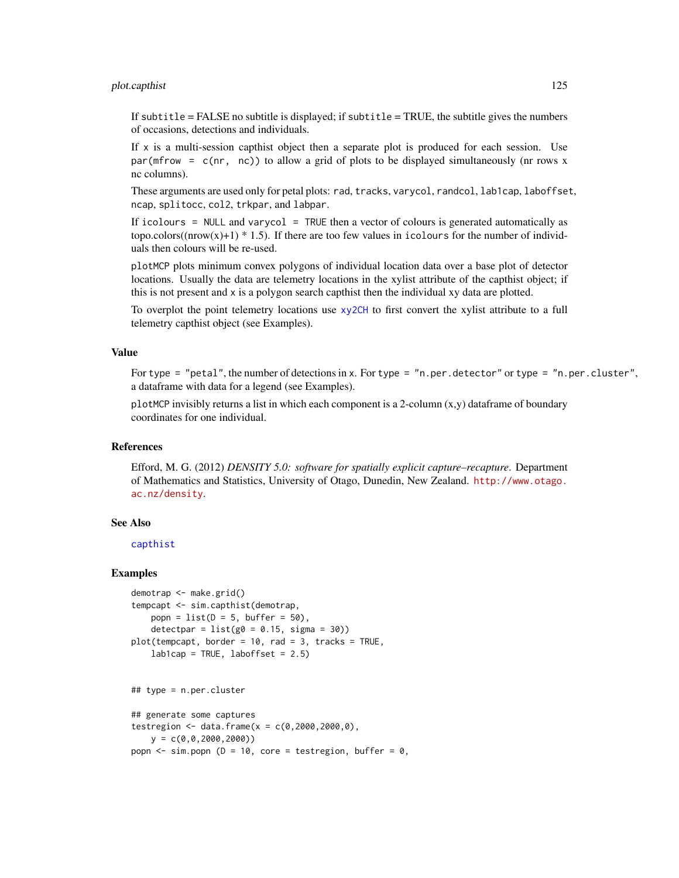## plot.capthist 125

If subtitle  $=$  FALSE no subtitle is displayed; if subtitle  $=$  TRUE, the subtitle gives the numbers of occasions, detections and individuals.

If  $x$  is a multi-session capthist object then a separate plot is produced for each session. Use par( $m$ frow = c(nr, nc)) to allow a grid of plots to be displayed simultaneously (nr rows x nc columns).

These arguments are used only for petal plots: rad, tracks, varycol, randcol, lab1cap, laboffset, ncap, splitocc, col2, trkpar, and labpar.

If icolours = NULL and varycol = TRUE then a vector of colours is generated automatically as topo.colors( $(nrow(x)+1)$  \* 1.5). If there are too few values in icolours for the number of individuals then colours will be re-used.

plotMCP plots minimum convex polygons of individual location data over a base plot of detector locations. Usually the data are telemetry locations in the xylist attribute of the capthist object; if this is not present and x is a polygon search capthist then the individual xy data are plotted.

To overplot the point telemetry locations use [xy2CH](#page-8-1) to first convert the xylist attribute to a full telemetry capthist object (see Examples).

## Value

For type = "petal", the number of detections in x. For type = "n.per.detector" or type = "n.per.cluster", a dataframe with data for a legend (see Examples).

plotMCP invisibly returns a list in which each component is a 2-column  $(x,y)$  dataframe of boundary coordinates for one individual.

# References

Efford, M. G. (2012) *DENSITY 5.0: software for spatially explicit capture–recapture*. Department of Mathematics and Statistics, University of Otago, Dunedin, New Zealand. [http://www.otago.](http://www.otago.ac.nz/density) [ac.nz/density](http://www.otago.ac.nz/density).

## See Also

[capthist](#page-17-0)

```
demotrap <- make.grid()
tempcapt <- sim.capthist(demotrap,
   popn = list(D = 5, buffer = 50),
   detectpar = list(g0 = 0.15, sigma = 30)plot(tempcapt, border = 10, rad = 3, tracks = TRUE,
   lab1cap = TRUE, laboffset = 2.5)## type = n.per.cluster
## generate some captures
testregion <- data.frame(x = c(0, 2000, 2000, 0),
   y = c(0, 0, 2000, 2000)popn \le sim.popn (D = 10, core = testregion, buffer = 0,
```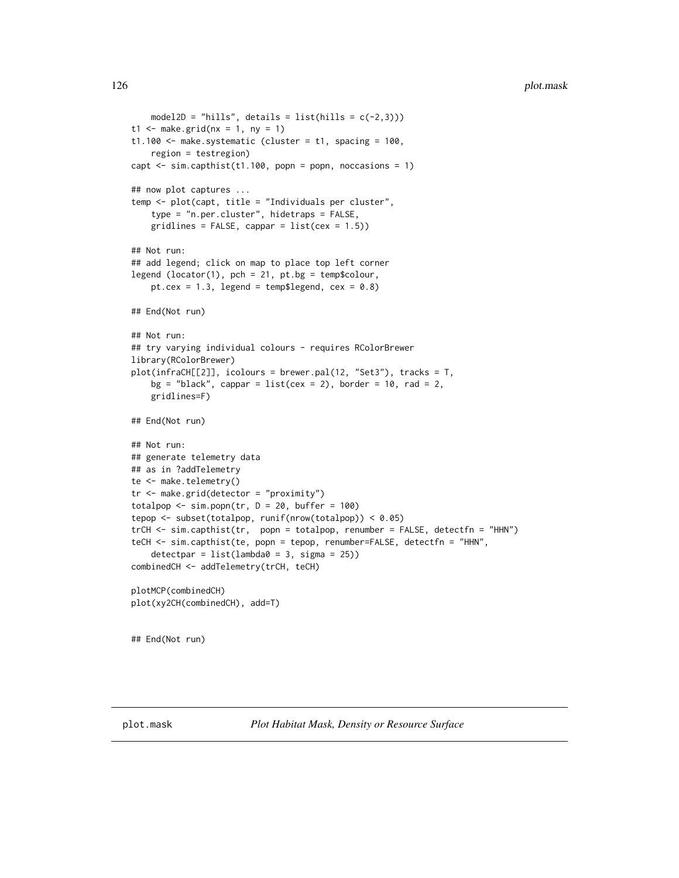```
model2D = "hills", details = list(hills = c(-2,3)))
t1 \le make.grid(nx = 1, ny = 1)
t1.100 <- make.systematic (cluster = t1, spacing = 100,
   region = testregion)
capt <- sim.capthist(t1.100, popn = popn, noccasions = 1)
## now plot captures ...
temp <- plot(capt, title = "Individuals per cluster",
    type = "n.per.cluster", hidetraps = FALSE,
    gridlines = FALSE, cappar = list(cex = 1.5))## Not run:
## add legend; click on map to place top left corner
legend (locator(1), pch = 21, pt.bg = temp$colour,
    pt.cex = 1.3, legend = temp$legend, cex = 0.8)
## End(Not run)
## Not run:
## try varying individual colours - requires RColorBrewer
library(RColorBrewer)
plot(infraCH[[2]], icolours = brewer.pal(12, "Set3"), tracks = T,
    bg = "black", cappar = list(cex = 2), border = 10, rad = 2,
    gridlines=F)
## End(Not run)
## Not run:
## generate telemetry data
## as in ?addTelemetry
te <- make.telemetry()
tr <- make.grid(detector = "proximity")
totalpop \le sim.popn(tr, D = 20, buffer = 100)
tepop <- subset(totalpop, runif(nrow(totalpop)) < 0.05)
trCH <- sim.capthist(tr, popn = totalpop, renumber = FALSE, detectfn = "HHN")
teCH <- sim.capthist(te, popn = tepop, renumber=FALSE, detectfn = "HHN",
    detectpar = list(lambda0 = 3, sigma = 25))
combinedCH <- addTelemetry(trCH, teCH)
plotMCP(combinedCH)
plot(xy2CH(combinedCH), add=T)
## End(Not run)
```
<span id="page-125-0"></span>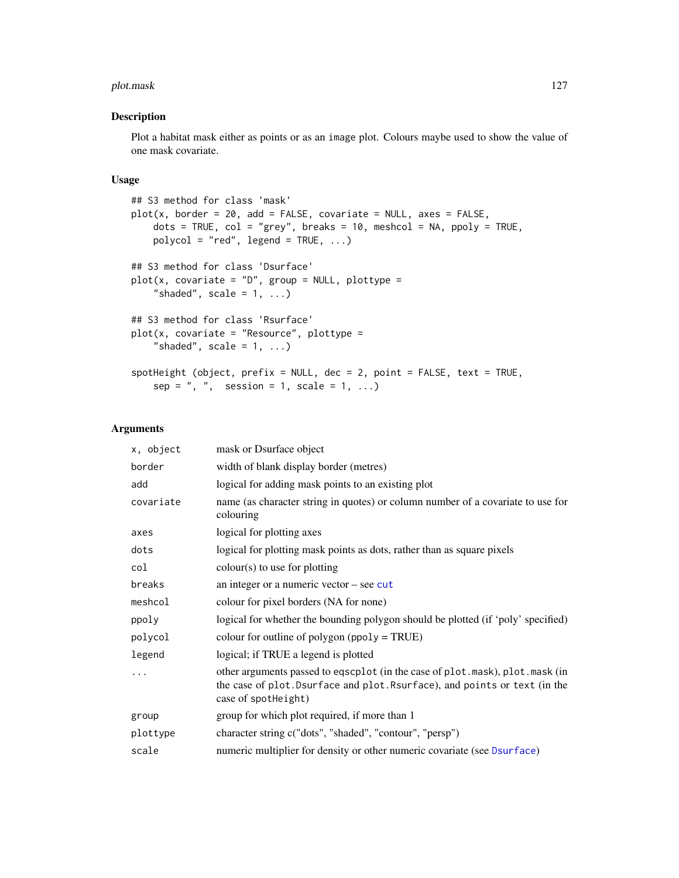#### plot.mask 127

## Description

Plot a habitat mask either as points or as an image plot. Colours maybe used to show the value of one mask covariate.

## Usage

```
## S3 method for class 'mask'
plot(x, border = 20, add = FALSE, covariate = NULL, axes = FALSE,dots = TRUE, col = "grey", breaks = 10, meshcol = NA, ppoly = TRUE,
   polycol = "red", legend = TRUE, ...)## S3 method for class 'Dsurface'
plot(x, covariate = "D", group = NULL, plottype ="shaded", scale = 1, ...## S3 method for class 'Rsurface'
plot(x, covariate = "Resource", plottype ="shaded", scale = 1, ...spotHeight (object, prefix = NULL, dec = 2, point = FALSE, text = TRUE,
    sep = ", ", session = 1, scale = 1, ...)
```
## Arguments

| x, object | mask or Dsurface object                                                                                                                                                           |
|-----------|-----------------------------------------------------------------------------------------------------------------------------------------------------------------------------------|
| border    | width of blank display border (metres)                                                                                                                                            |
| add       | logical for adding mask points to an existing plot                                                                                                                                |
| covariate | name (as character string in quotes) or column number of a covariate to use for<br>colouring                                                                                      |
| axes      | logical for plotting axes                                                                                                                                                         |
| dots      | logical for plotting mask points as dots, rather than as square pixels                                                                                                            |
| col       | $colour(s)$ to use for plotting                                                                                                                                                   |
| breaks    | an integer or a numeric vector $-$ see cut                                                                                                                                        |
| meshcol   | colour for pixel borders (NA for none)                                                                                                                                            |
| ppoly     | logical for whether the bounding polygon should be plotted (if 'poly' specified)                                                                                                  |
| polycol   | colour for outline of polygon ( $ppoly = TRUE$ )                                                                                                                                  |
| legend    | logical; if TRUE a legend is plotted                                                                                                                                              |
|           | other arguments passed to eqscplot (in the case of plot.mask), plot.mask (in<br>the case of plot. Dsurface and plot. Rsurface), and points or text (in the<br>case of spotheight) |
| group     | group for which plot required, if more than 1                                                                                                                                     |
| plottype  | character string c("dots", "shaded", "contour", "persp")                                                                                                                          |
| scale     | numeric multiplier for density or other numeric covariate (see Dsurface)                                                                                                          |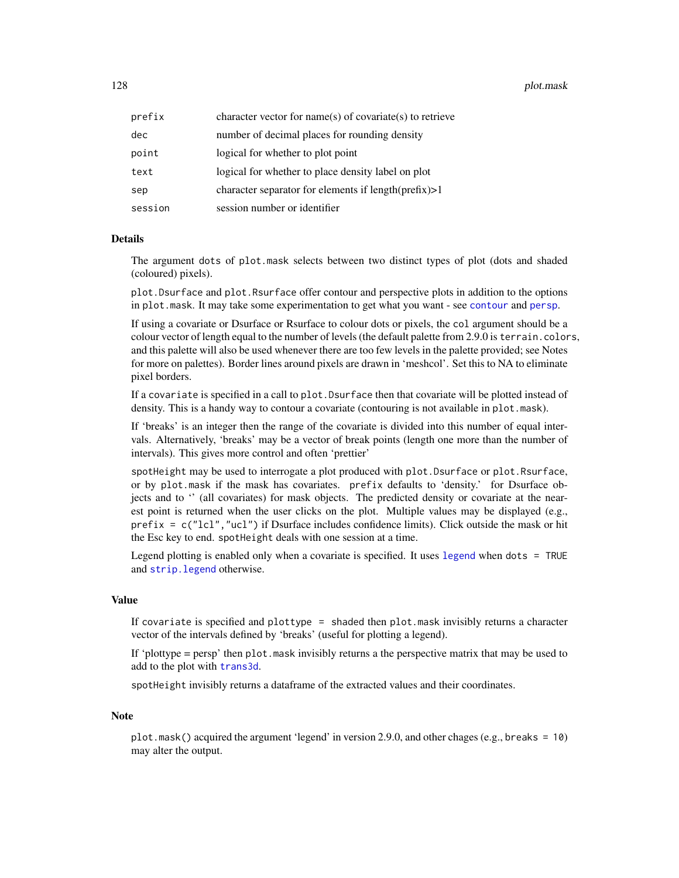128 **plot.mask** 

| prefix  | character vector for name(s) of covariate(s) to retrieve |
|---------|----------------------------------------------------------|
| dec     | number of decimal places for rounding density            |
| point   | logical for whether to plot point                        |
| text    | logical for whether to place density label on plot       |
| sep     | character separator for elements if $length(prefix) > 1$ |
| session | session number or identifier                             |

#### Details

The argument dots of plot.mask selects between two distinct types of plot (dots and shaded (coloured) pixels).

plot.Dsurface and plot.Rsurface offer contour and perspective plots in addition to the options in plot.mask. It may take some experimentation to get what you want - see [contour](#page-31-1) and [persp](#page-0-0).

If using a covariate or Dsurface or Rsurface to colour dots or pixels, the col argument should be a colour vector of length equal to the number of levels (the default palette from 2.9.0 is terrain.colors, and this palette will also be used whenever there are too few levels in the palette provided; see Notes for more on palettes). Border lines around pixels are drawn in 'meshcol'. Set this to NA to eliminate pixel borders.

If a covariate is specified in a call to plot.Dsurface then that covariate will be plotted instead of density. This is a handy way to contour a covariate (contouring is not available in plot.mask).

If 'breaks' is an integer then the range of the covariate is divided into this number of equal intervals. Alternatively, 'breaks' may be a vector of break points (length one more than the number of intervals). This gives more control and often 'prettier'

spotHeight may be used to interrogate a plot produced with plot. Dsurface or plot. Rsurface, or by plot.mask if the mask has covariates. prefix defaults to 'density.' for Dsurface objects and to '' (all covariates) for mask objects. The predicted density or covariate at the nearest point is returned when the user clicks on the plot. Multiple values may be displayed (e.g.,  $prefix = c("lcl", "ucl")$  if Dsurface includes confidence limits). Click outside the mask or hit the Esc key to end. spotHeight deals with one session at a time.

Legend plotting is enabled only when a covariate is specified. It uses [legend](#page-0-0) when dots = TRUE and [strip.legend](#page-221-0) otherwise.

#### Value

If covariate is specified and plottype = shaded then plot.mask invisibly returns a character vector of the intervals defined by 'breaks' (useful for plotting a legend).

If 'plottype  $=$  persp' then plot. mask invisibly returns a the perspective matrix that may be used to add to the plot with [trans3d](#page-0-0).

spotHeight invisibly returns a dataframe of the extracted values and their coordinates.

#### Note

plot.mask() acquired the argument 'legend' in version 2.9.0, and other chages (e.g., breaks = 10) may alter the output.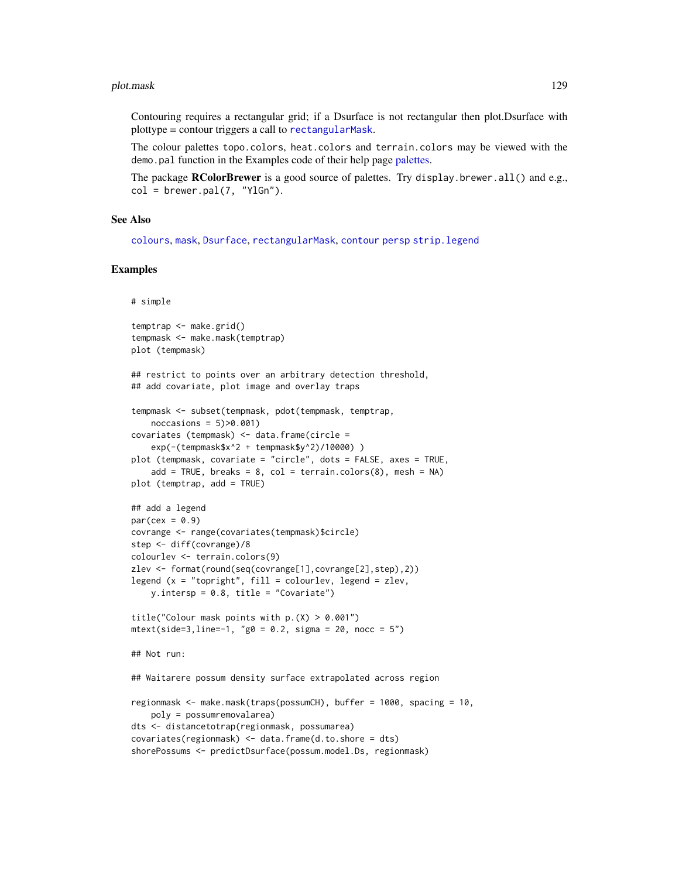#### plot.mask 129

Contouring requires a rectangular grid; if a Dsurface is not rectangular then plot.Dsurface with plottype = contour triggers a call to [rectangularMask](#page-160-0).

The colour palettes topo.colors, heat.colors and terrain.colors may be viewed with the demo.pal function in the Examples code of their help page [palettes.](#page-0-0)

The package **RColorBrewer** is a good source of palettes. Try display.brewer.all() and e.g.,  $col = b$ rewer.pal $(7, "YlGn").$ 

## See Also

[colours](#page-0-0), [mask](#page-100-0), [Dsurface](#page-49-0), [rectangularMask](#page-160-0), [contour](#page-31-1) [persp](#page-0-0) [strip.legend](#page-221-0)

```
# simple
```

```
temptrap <- make.grid()
tempmask <- make.mask(temptrap)
plot (tempmask)
## restrict to points over an arbitrary detection threshold,
## add covariate, plot image and overlay traps
tempmask <- subset(tempmask, pdot(tempmask, temptrap,
   noccasions = 5)>0.001)
covariates (tempmask) <- data.frame(circle =
   exp(-(tempmask$x^2 + tempmask$y^2)/10000) )
plot (tempmask, covariate = "circle", dots = FALSE, axes = TRUE,
    add = TRUE, breaks = 8, col = terrain.colors(8), mesh = NA)
plot (temptrap, add = TRUE)
## add a legend
par(cex = 0.9)covrange <- range(covariates(tempmask)$circle)
step <- diff(covrange)/8
colourlev <- terrain.colors(9)
zlev <- format(round(seq(covrange[1],covrange[2],step),2))
legend (x = "topright", fill = colourlev, legend = zlev,y.intersp = 0.8, title = "Covariate")
title("Colour mask points with p.(X) > 0.001")mtext{text(side=3, line=-1, "g0 = 0.2, sigma = 20, noc = 5")## Not run:
## Waitarere possum density surface extrapolated across region
regionmask <- make.mask(traps(possumCH), buffer = 1000, spacing = 10,
   poly = possumremovalarea)
dts <- distancetotrap(regionmask, possumarea)
covariates(regionmask) <- data.frame(d.to.shore = dts)
shorePossums <- predictDsurface(possum.model.Ds, regionmask)
```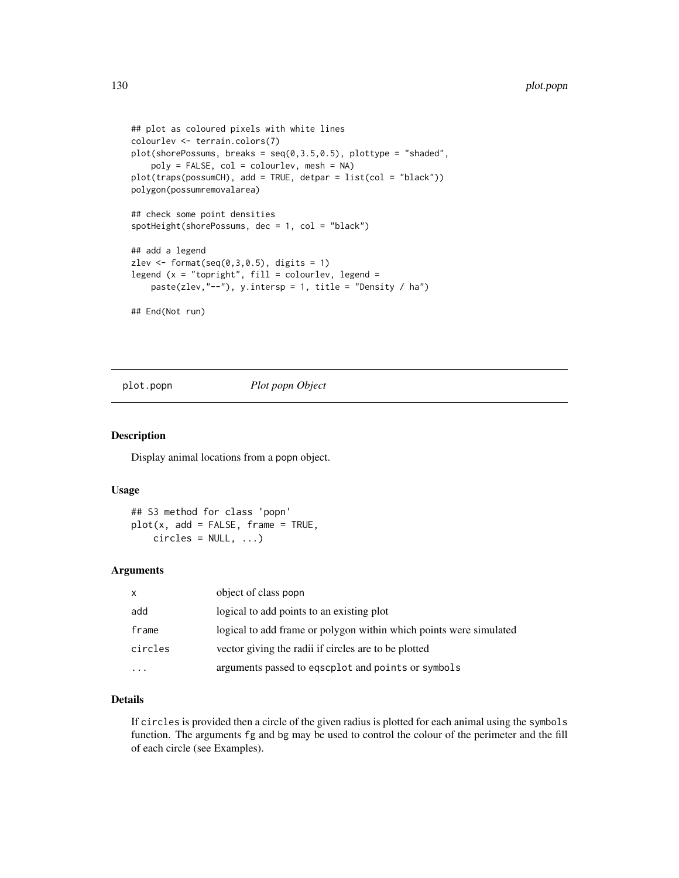```
## plot as coloured pixels with white lines
colourlev <- terrain.colors(7)
plot(shorePossums, breaks = seq(0, 3.5, 0.5), plottype = "shaded",poly = FALSE, col = colourlev, mesh = NA)
plot(traps(possumCH), add = TRUE, detpar = list(col = "black"))
polygon(possumremovalarea)
## check some point densities
spotHeight(shorePossums, dec = 1, col = "black")
## add a legend
zlev \le format(seq(0,3,0.5), digits = 1)
legend (x = "topright", fill = colourlev, legend =paste(zlev,"--"), y.intersp = 1, title = "Density / ha")
## End(Not run)
```
<span id="page-129-0"></span>plot.popn *Plot popn Object*

## Description

Display animal locations from a popn object.

## Usage

## S3 method for class 'popn'  $plot(x, add = FALSE, frame = TRUE,$  $circles = NULL, ...$ 

## Arguments

| $\mathsf{x}$ | object of class popn                                               |
|--------------|--------------------------------------------------------------------|
| add          | logical to add points to an existing plot                          |
| frame        | logical to add frame or polygon within which points were simulated |
| circles      | vector giving the radii if circles are to be plotted               |
|              | arguments passed to eqscplot and points or symbols                 |

## Details

If circles is provided then a circle of the given radius is plotted for each animal using the symbols function. The arguments fg and bg may be used to control the colour of the perimeter and the fill of each circle (see Examples).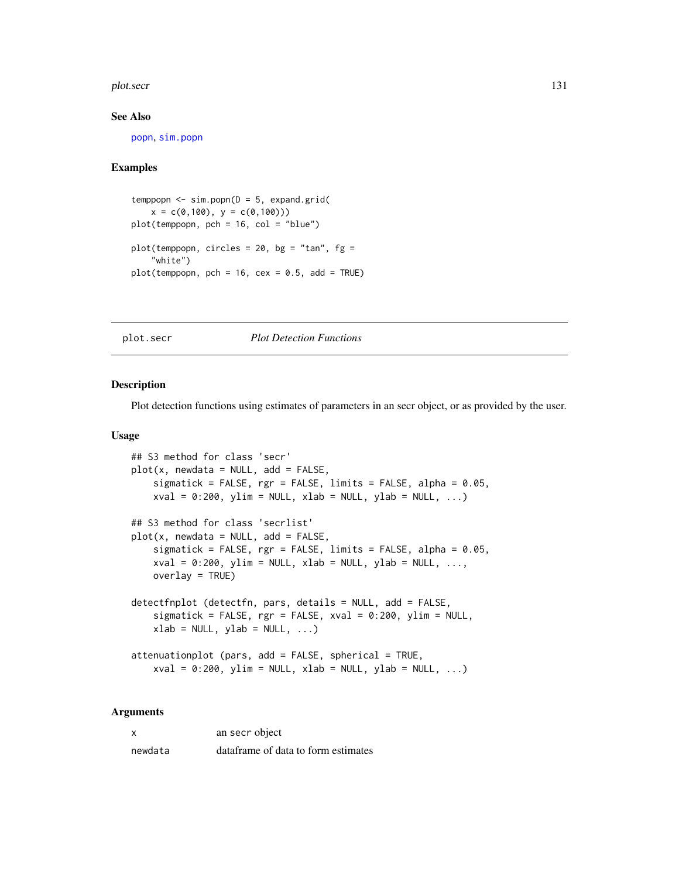#### plot.secr 131

## See Also

[popn](#page-136-0), [sim.popn](#page-200-0)

## Examples

```
temppopn \leq sim.popn(D = 5, expand.grid(
   x = c(0,100), y = c(0,100))plot(temppopn, pch = 16, col = "blue")
plot(temppopn, circles = 20, bg = "tan", fg =
    "white")
plot(temppop, pch = 16, cex = 0.5, add = TRUE)
```
## plot.secr *Plot Detection Functions*

## Description

Plot detection functions using estimates of parameters in an secr object, or as provided by the user.

#### Usage

```
## S3 method for class 'secr'
plot(x, newdata = NULL, add = FALSE,sigmatick = FALSE, rgr = FALSE, limits = FALSE, alpha = 0.05,
   xval = 0:200, ylim = NULL, xlab = NULL, ylab = NULL, ...)
## S3 method for class 'secrlist'
plot(x, newdata = NULL, add = FALSE,sigmatick = FALSE, rgr = FALSE, limits = FALSE, alpha = 0.05,
   xval = 0:200, ylim = NULL, xlab = NULL, ylab = NULL, ...,
   overlay = TRUE)
detectfnplot (detectfn, pars, details = NULL, add = FALSE,
   sigmatick = FALSE, rgr = FALSE, xval = 0:200, ylim = NULL,
   xlab = NULL, ylab = NULL, ...)attenuationplot (pars, add = FALSE, spherical = TRUE,
   xval = 0:200, ylim = NULL, xlab = NULL, ylab = NULL, ...)
```
## Arguments

| X       | an secr object                      |
|---------|-------------------------------------|
| newdata | dataframe of data to form estimates |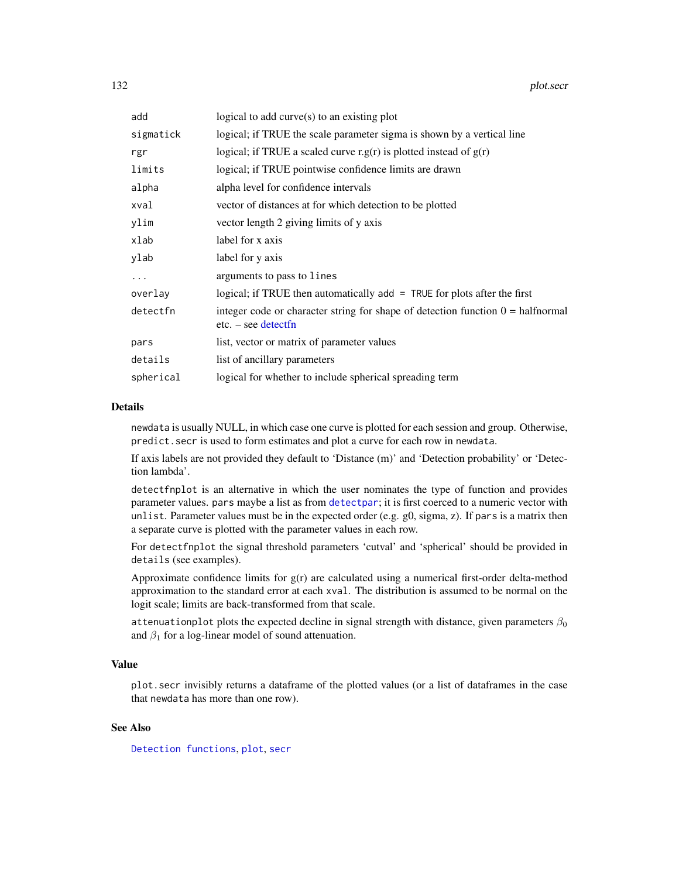| add       | logical to add curve(s) to an existing plot                                                                     |
|-----------|-----------------------------------------------------------------------------------------------------------------|
| sigmatick | logical; if TRUE the scale parameter sigma is shown by a vertical line                                          |
| rgr       | logical; if TRUE a scaled curve r.g(r) is plotted instead of $g(r)$                                             |
| limits    | logical; if TRUE pointwise confidence limits are drawn                                                          |
| alpha     | alpha level for confidence intervals                                                                            |
| xval      | vector of distances at for which detection to be plotted                                                        |
| ylim      | vector length 2 giving limits of y axis                                                                         |
| xlab      | label for x axis                                                                                                |
| ylab      | label for y axis                                                                                                |
| $\cdots$  | arguments to pass to lines                                                                                      |
| overlay   | logical; if TRUE then automatically $add = TRUE$ for plots after the first                                      |
| detectfn  | integer code or character string for shape of detection function $0 = \text{halfnormal}$<br>$etc. - see detect$ |
| pars      | list, vector or matrix of parameter values                                                                      |
| details   | list of ancillary parameters                                                                                    |
| spherical | logical for whether to include spherical spreading term                                                         |

# Details

newdata is usually NULL, in which case one curve is plotted for each session and group. Otherwise, predict.secr is used to form estimates and plot a curve for each row in newdata.

If axis labels are not provided they default to 'Distance (m)' and 'Detection probability' or 'Detection lambda'.

detectfnplot is an alternative in which the user nominates the type of function and provides parameter values. pars maybe a list as from [detectpar](#page-139-1); it is first coerced to a numeric vector with unlist. Parameter values must be in the expected order (e.g.  $g0$ , sigma, z). If pars is a matrix then a separate curve is plotted with the parameter values in each row.

For detectfnplot the signal threshold parameters 'cutval' and 'spherical' should be provided in details (see examples).

Approximate confidence limits for g(r) are calculated using a numerical first-order delta-method approximation to the standard error at each xval. The distribution is assumed to be normal on the logit scale; limits are back-transformed from that scale.

attenuationplot plots the expected decline in signal strength with distance, given parameters  $\beta_0$ and  $\beta_1$  for a log-linear model of sound attenuation.

# Value

plot.secr invisibly returns a dataframe of the plotted values (or a list of dataframes in the case that newdata has more than one row).

## See Also

[Detection functions](#page-0-0), [plot](#page-0-0), [secr](#page-4-0)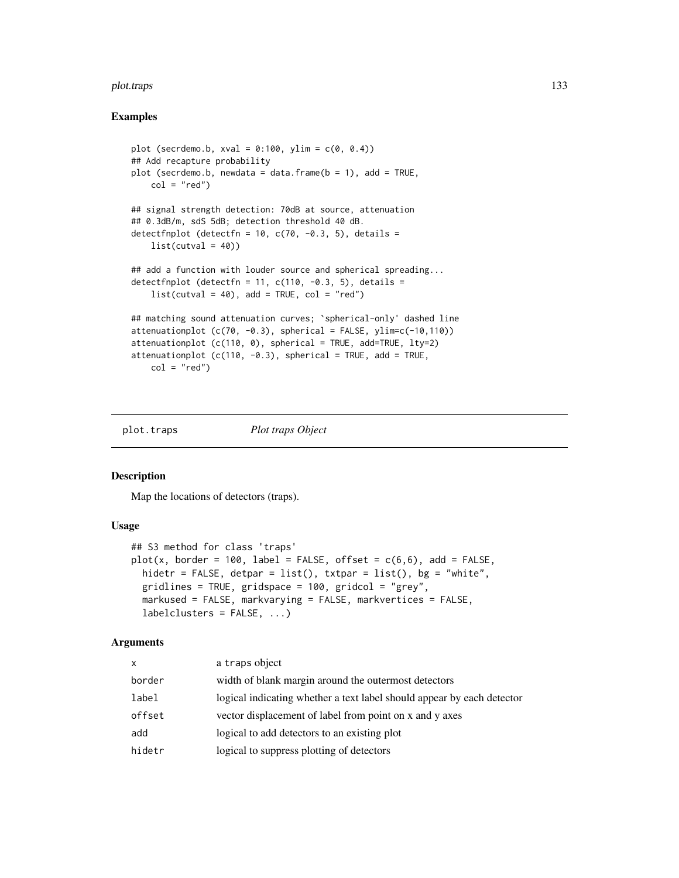#### plot.traps 133

## Examples

```
plot (secrdemo.b, xval = 0:100, ylim = c(0, 0.4))
## Add recapture probability
plot (secrdemo.b, newdata = data.frame(b = 1), add = TRUE,
    col = "red")## signal strength detection: 70dB at source, attenuation
## 0.3dB/m, sdS 5dB; detection threshold 40 dB.
detectfnplot (detectfn = 10, c(70, -0.3, 5), details =
    list(cutval = 40)## add a function with louder source and spherical spreading...
detectfnplot (detectfn = 11, c(110, -0.3, 5), details =
    list(cutval = 40), add = TRUE, col = "red")## matching sound attenuation curves; `spherical-only' dashed line
attenuationplot (c(70, -0.3)), spherical = FALSE, ylim=c(-10,110))
attenuationplot (c(110, 0), spherical = TRUE, add=TRUE, lty=2)attenuationplot (c(110, -0.3)), spherical = TRUE, add = TRUE,
    col = "red")
```
plot.traps *Plot traps Object*

# Description

Map the locations of detectors (traps).

## Usage

```
## S3 method for class 'traps'
plot(x, border = 100, label = FALSE, offset = c(6,6), add = FALSE,hidetr = FALSE, detpar = list(), txtpar = list(), bg = "white",
  gridlines = TRUE, gridspace = 100, gridcol = "grey",
 markused = FALSE, markvarying = FALSE, markvertices = FALSE,
  labelclusters = FALSE, ...)
```
## Arguments

| X      | a traps object                                                         |
|--------|------------------------------------------------------------------------|
| border | width of blank margin around the outermost detectors                   |
| label  | logical indicating whether a text label should appear by each detector |
| offset | vector displacement of label from point on x and y axes                |
| add    | logical to add detectors to an existing plot                           |
| hidetr | logical to suppress plotting of detectors                              |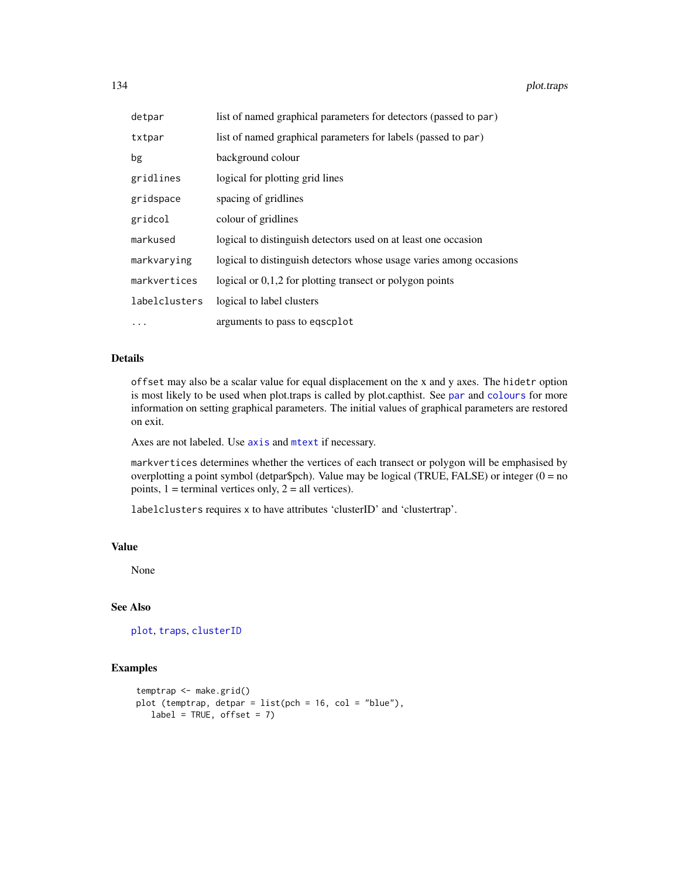134 plot.traps

| detpar        | list of named graphical parameters for detectors (passed to par)    |
|---------------|---------------------------------------------------------------------|
| txtpar        | list of named graphical parameters for labels (passed to par)       |
| bg            | background colour                                                   |
| gridlines     | logical for plotting grid lines                                     |
| gridspace     | spacing of gridlines                                                |
| gridcol       | colour of gridlines                                                 |
| markused      | logical to distinguish detectors used on at least one occasion      |
| markvarying   | logical to distinguish detectors whose usage varies among occasions |
| markvertices  | logical or $0,1,2$ for plotting transect or polygon points          |
| labelclusters | logical to label clusters                                           |
| $\cdots$      | arguments to pass to eqscplot                                       |

# Details

offset may also be a scalar value for equal displacement on the x and y axes. The hidetr option is most likely to be used when plot.traps is called by plot.capthist. See [par](#page-0-0) and [colours](#page-0-0) for more information on setting graphical parameters. The initial values of graphical parameters are restored on exit.

Axes are not labeled. Use [axis](#page-0-0) and [mtext](#page-0-0) if necessary.

markvertices determines whether the vertices of each transect or polygon will be emphasised by overplotting a point symbol (detpar\$pch). Value may be logical (TRUE, FALSE) or integer ( $0 = no$ points,  $1 =$  terminal vertices only,  $2 =$  all vertices).

labelclusters requires x to have attributes 'clusterID' and 'clustertrap'.

# Value

None

# See Also

[plot](#page-0-0), [traps](#page-243-0), [clusterID](#page-27-0)

```
temptrap <- make.grid()
plot (temptrap, detpar = list(pch = 16, col = "blue"),
  label = TRUE, offset = 7)
```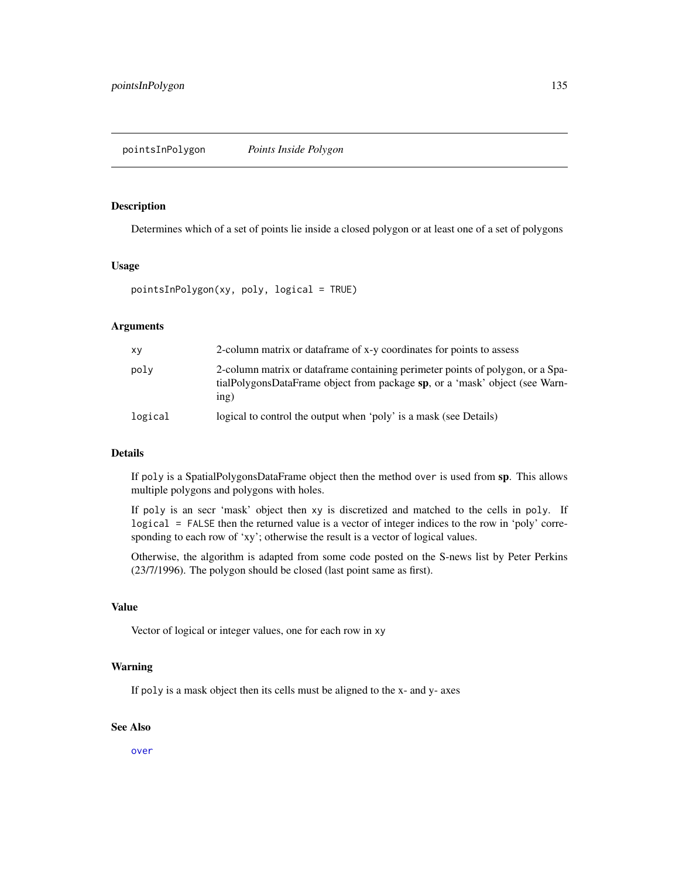<span id="page-134-0"></span>pointsInPolygon *Points Inside Polygon*

## Description

Determines which of a set of points lie inside a closed polygon or at least one of a set of polygons

## Usage

```
pointsInPolygon(xy, poly, logical = TRUE)
```
## Arguments

| XV      | 2-column matrix or dataframe of x-y coordinates for points to assess                                                                                                  |
|---------|-----------------------------------------------------------------------------------------------------------------------------------------------------------------------|
| poly    | 2-column matrix or dataframe containing perimeter points of polygon, or a Spa-<br>tialPolygonsDataFrame object from package sp, or a 'mask' object (see Warn-<br>inp) |
| logical | logical to control the output when 'poly' is a mask (see Details)                                                                                                     |

## Details

If poly is a SpatialPolygonsDataFrame object then the method over is used from sp. This allows multiple polygons and polygons with holes.

If poly is an secr 'mask' object then xy is discretized and matched to the cells in poly. If logical = FALSE then the returned value is a vector of integer indices to the row in 'poly' corresponding to each row of 'xy'; otherwise the result is a vector of logical values.

Otherwise, the algorithm is adapted from some code posted on the S-news list by Peter Perkins (23/7/1996). The polygon should be closed (last point same as first).

# Value

Vector of logical or integer values, one for each row in xy

## Warning

If poly is a mask object then its cells must be aligned to the x- and y- axes

#### See Also

[over](#page-0-0)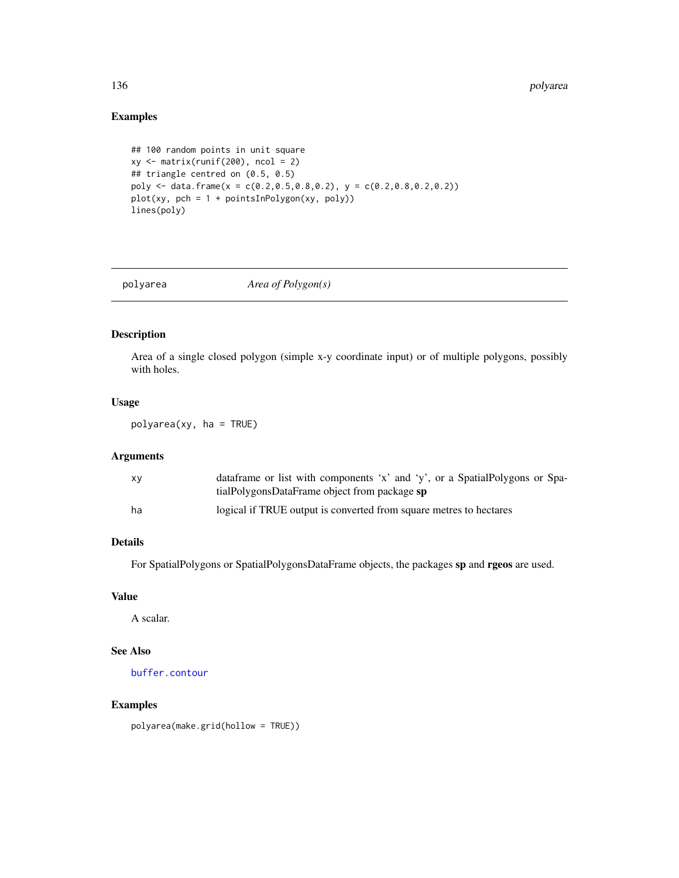# Examples

```
## 100 random points in unit square
xy \leftarrow matrix(runif(200), ncol = 2)## triangle centred on (0.5, 0.5)
poly <- data.frame(x = c(0.2,0.5,0.8,0.2), y = c(0.2,0.8,0.2,0.2))
plot(xy, pch = 1 + pointsInPolygon(xy, poly))lines(poly)
```
polyarea *Area of Polygon(s)*

# Description

Area of a single closed polygon (simple x-y coordinate input) or of multiple polygons, possibly with holes.

# Usage

polyarea(xy, ha = TRUE)

## Arguments

| xy | dataframe or list with components 'x' and 'y', or a SpatialPolygons or Spa-<br>tialPolygonsDataFrame object from package sp |
|----|-----------------------------------------------------------------------------------------------------------------------------|
| ha | logical if TRUE output is converted from square metres to hectares                                                          |

# Details

For SpatialPolygons or SpatialPolygonsDataFrame objects, the packages sp and rgeos are used.

## Value

A scalar.

# See Also

[buffer.contour](#page-31-0)

#### Examples

polyarea(make.grid(hollow = TRUE))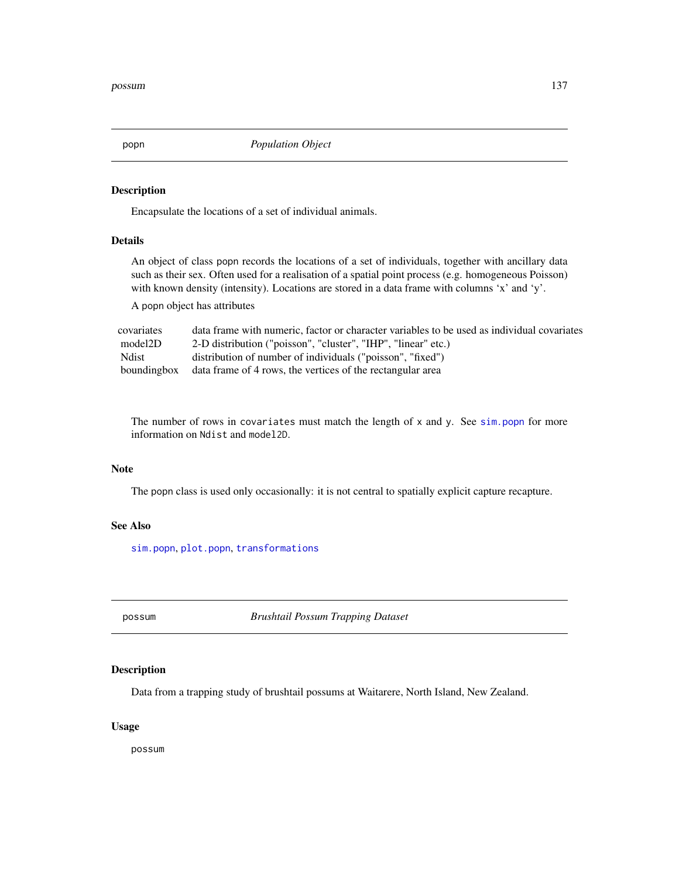<span id="page-136-0"></span>

## Description

Encapsulate the locations of a set of individual animals.

# Details

An object of class popn records the locations of a set of individuals, together with ancillary data such as their sex. Often used for a realisation of a spatial point process (e.g. homogeneous Poisson) with known density (intensity). Locations are stored in a data frame with columns 'x' and 'y'.

A popn object has attributes

| covariates   | data frame with numeric, factor or character variables to be used as individual covariates |
|--------------|--------------------------------------------------------------------------------------------|
| model2D      | 2-D distribution ("poisson", "cluster", "IHP", "linear" etc.)                              |
| <b>Ndist</b> | distribution of number of individuals ("poisson", "fixed")                                 |
| boundingbox  | data frame of 4 rows, the vertices of the rectangular area                                 |

The number of rows in covariates must match the length of  $x$  and  $y$ . See [sim.popn](#page-200-0) for more information on Ndist and model2D.

## Note

The popn class is used only occasionally: it is not central to spatially explicit capture recapture.

## See Also

[sim.popn](#page-200-0), [plot.popn](#page-129-0), [transformations](#page-237-0)

possum *Brushtail Possum Trapping Dataset*

# Description

Data from a trapping study of brushtail possums at Waitarere, North Island, New Zealand.

# Usage

possum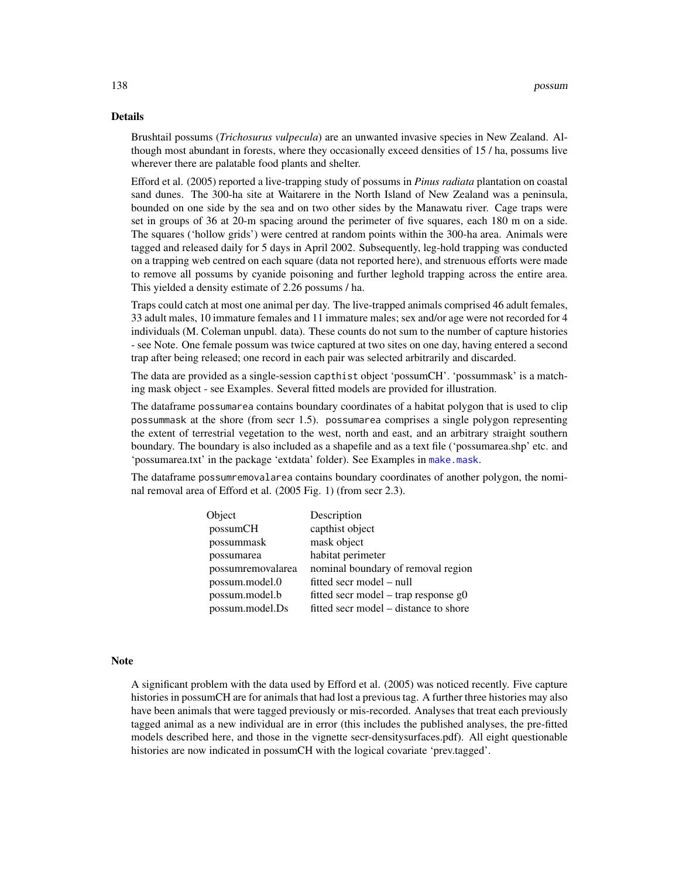#### Details

Brushtail possums (*Trichosurus vulpecula*) are an unwanted invasive species in New Zealand. Although most abundant in forests, where they occasionally exceed densities of 15 / ha, possums live wherever there are palatable food plants and shelter.

Efford et al. (2005) reported a live-trapping study of possums in *Pinus radiata* plantation on coastal sand dunes. The 300-ha site at Waitarere in the North Island of New Zealand was a peninsula, bounded on one side by the sea and on two other sides by the Manawatu river. Cage traps were set in groups of 36 at 20-m spacing around the perimeter of five squares, each 180 m on a side. The squares ('hollow grids') were centred at random points within the 300-ha area. Animals were tagged and released daily for 5 days in April 2002. Subsequently, leg-hold trapping was conducted on a trapping web centred on each square (data not reported here), and strenuous efforts were made to remove all possums by cyanide poisoning and further leghold trapping across the entire area. This yielded a density estimate of 2.26 possums / ha.

Traps could catch at most one animal per day. The live-trapped animals comprised 46 adult females, 33 adult males, 10 immature females and 11 immature males; sex and/or age were not recorded for 4 individuals (M. Coleman unpubl. data). These counts do not sum to the number of capture histories - see Note. One female possum was twice captured at two sites on one day, having entered a second trap after being released; one record in each pair was selected arbitrarily and discarded.

The data are provided as a single-session capthist object 'possumCH'. 'possummask' is a matching mask object - see Examples. Several fitted models are provided for illustration.

The dataframe possumarea contains boundary coordinates of a habitat polygon that is used to clip possummask at the shore (from secr 1.5). possumarea comprises a single polygon representing the extent of terrestrial vegetation to the west, north and east, and an arbitrary straight southern boundary. The boundary is also included as a shapefile and as a text file ('possumarea.shp' etc. and 'possumarea.txt' in the package 'extdata' folder). See Examples in [make.mask](#page-91-0).

The dataframe possumremovalarea contains boundary coordinates of another polygon, the nominal removal area of Efford et al. (2005 Fig. 1) (from secr 2.3).

| Object            | Description                            |
|-------------------|----------------------------------------|
| possumCH          | capthist object                        |
| possummask        | mask object                            |
| possumarea        | habitat perimeter                      |
| possumremovalarea | nominal boundary of removal region     |
| possum.model.0    | fitted secr model – null               |
| possum.model.b    | fitted secr model – trap response $g0$ |
| possum.model.Ds   | fitted secr model – distance to shore  |

## Note

A significant problem with the data used by Efford et al. (2005) was noticed recently. Five capture histories in possumCH are for animals that had lost a previous tag. A further three histories may also have been animals that were tagged previously or mis-recorded. Analyses that treat each previously tagged animal as a new individual are in error (this includes the published analyses, the pre-fitted models described here, and those in the vignette secr-densitysurfaces.pdf). All eight questionable histories are now indicated in possumCH with the logical covariate 'prev.tagged'.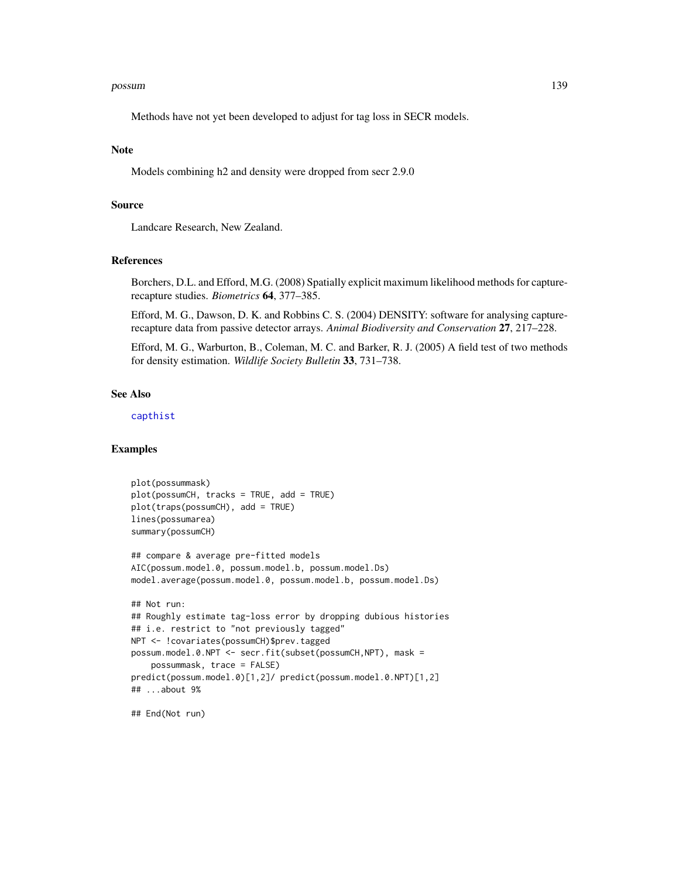#### possum 139

Methods have not yet been developed to adjust for tag loss in SECR models.

#### Note

Models combining h2 and density were dropped from secr 2.9.0

## Source

Landcare Research, New Zealand.

### References

Borchers, D.L. and Efford, M.G. (2008) Spatially explicit maximum likelihood methods for capturerecapture studies. *Biometrics* 64, 377–385.

Efford, M. G., Dawson, D. K. and Robbins C. S. (2004) DENSITY: software for analysing capturerecapture data from passive detector arrays. *Animal Biodiversity and Conservation* 27, 217–228.

Efford, M. G., Warburton, B., Coleman, M. C. and Barker, R. J. (2005) A field test of two methods for density estimation. *Wildlife Society Bulletin* 33, 731–738.

## See Also

[capthist](#page-17-0)

## Examples

```
plot(possummask)
plot(possumCH, tracks = TRUE, add = TRUE)
plot(traps(possumCH), add = TRUE)
lines(possumarea)
summary(possumCH)
## compare & average pre-fitted models
AIC(possum.model.0, possum.model.b, possum.model.Ds)
model.average(possum.model.0, possum.model.b, possum.model.Ds)
## Not run:
## Roughly estimate tag-loss error by dropping dubious histories
## i.e. restrict to "not previously tagged"
NPT <- !covariates(possumCH)$prev.tagged
possum.model.0.NPT <- secr.fit(subset(possumCH,NPT), mask =
    possummask, trace = FALSE)
predict(possum.model.0)[1,2]/ predict(possum.model.0.NPT)[1,2]
## ...about 9%
```
## End(Not run)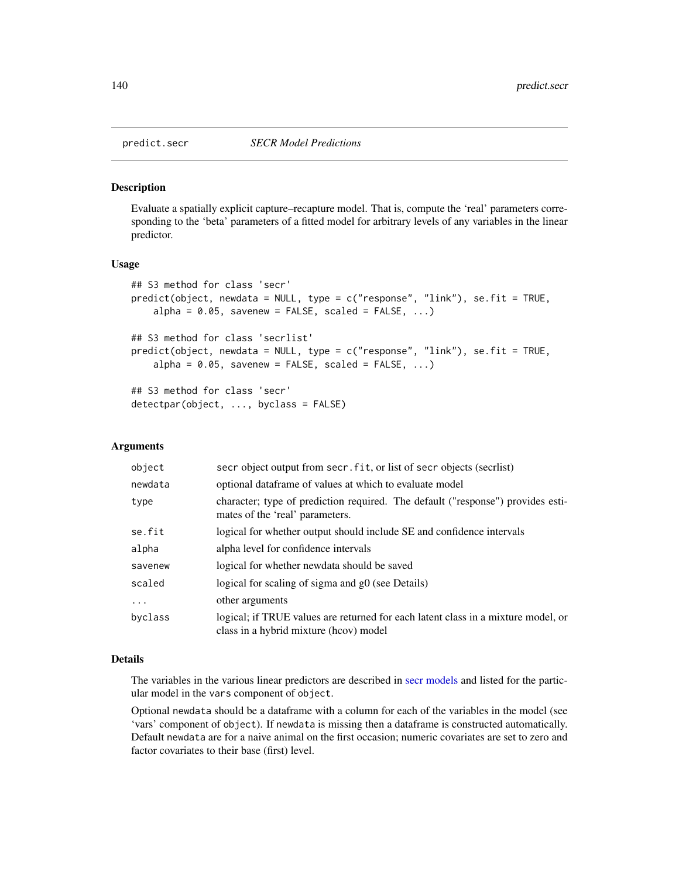<span id="page-139-0"></span>

#### <span id="page-139-1"></span>Description

Evaluate a spatially explicit capture–recapture model. That is, compute the 'real' parameters corresponding to the 'beta' parameters of a fitted model for arbitrary levels of any variables in the linear predictor.

#### Usage

```
## S3 method for class 'secr'
predict(object, newdata = NULL, type = c("response", "link"), se.fit = TRUE,
    alpha = 0.05, savenew = FALSE, scaled = FALSE, ...)
## S3 method for class 'secrlist'
predict(object, newdata = NULL, type = c("response", "link"), se.fit = TRUE,
    alpha = 0.05, savenew = FALSE, scaled = FALSE, ...)
## S3 method for class 'secr'
detectpar(object, ..., byclass = FALSE)
```
## Arguments

| object   | secr object output from secr. fit, or list of secr objects (secriist)                                                       |
|----------|-----------------------------------------------------------------------------------------------------------------------------|
| newdata  | optional dataframe of values at which to evaluate model                                                                     |
| type     | character; type of prediction required. The default ("response") provides esti-<br>mates of the 'real' parameters.          |
| se.fit   | logical for whether output should include SE and confidence intervals                                                       |
| alpha    | alpha level for confidence intervals                                                                                        |
| savenew  | logical for whether newdata should be saved                                                                                 |
| scaled   | logical for scaling of sigma and g0 (see Details)                                                                           |
| $\cdots$ | other arguments                                                                                                             |
| byclass  | logical; if TRUE values are returned for each latent class in a mixture model, or<br>class in a hybrid mixture (hcov) model |

## Details

The variables in the various linear predictors are described in [secr models](#page-182-0) and listed for the particular model in the vars component of object.

Optional newdata should be a dataframe with a column for each of the variables in the model (see 'vars' component of object). If newdata is missing then a dataframe is constructed automatically. Default newdata are for a naive animal on the first occasion; numeric covariates are set to zero and factor covariates to their base (first) level.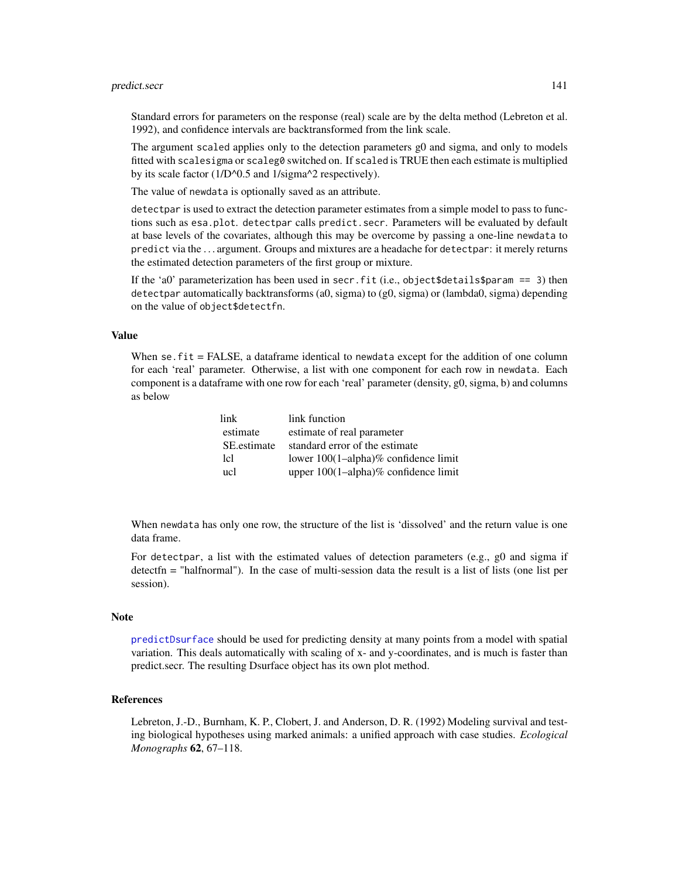#### predict.secr and the secret of the secret of the secret of the secret of the secret of the secret of the secret of the secret of the secret of the secret of the secret of the secret of the secret of the secret of the secre

Standard errors for parameters on the response (real) scale are by the delta method (Lebreton et al. 1992), and confidence intervals are backtransformed from the link scale.

The argument scaled applies only to the detection parameters g0 and sigma, and only to models fitted with scalesigma or scaleg0 switched on. If scaled is TRUE then each estimate is multiplied by its scale factor (1/D^0.5 and 1/sigma^2 respectively).

The value of newdata is optionally saved as an attribute.

detectpar is used to extract the detection parameter estimates from a simple model to pass to functions such as esa.plot. detectpar calls predict.secr. Parameters will be evaluated by default at base levels of the covariates, although this may be overcome by passing a one-line newdata to predict via the . . . argument. Groups and mixtures are a headache for detectpar: it merely returns the estimated detection parameters of the first group or mixture.

If the 'a0' parameterization has been used in secr.fit (i.e., object \$details \$param == 3) then detectpar automatically backtransforms (a0, sigma) to (g0, sigma) or (lambda0, sigma) depending on the value of object\$detectfn.

# Value

When se. fit = FALSE, a dataframe identical to newdata except for the addition of one column for each 'real' parameter. Otherwise, a list with one component for each row in newdata. Each component is a dataframe with one row for each 'real' parameter (density, g0, sigma, b) and columns as below

| link             | link function                        |
|------------------|--------------------------------------|
| estimate         | estimate of real parameter           |
| SE estimate      | standard error of the estimate       |
| 1 <sub>c</sub> l | lower 100(1-alpha)% confidence limit |
| ucl              | upper 100(1-alpha)% confidence limit |

When newdata has only one row, the structure of the list is 'dissolved' and the return value is one data frame.

For detectpar, a list with the estimated values of detection parameters (e.g., g0 and sigma if detectfn = "halfnormal"). In the case of multi-session data the result is a list of lists (one list per session).

#### Note

[predictDsurface](#page-141-0) should be used for predicting density at many points from a model with spatial variation. This deals automatically with scaling of x- and y-coordinates, and is much is faster than predict.secr. The resulting Dsurface object has its own plot method.

## References

Lebreton, J.-D., Burnham, K. P., Clobert, J. and Anderson, D. R. (1992) Modeling survival and testing biological hypotheses using marked animals: a unified approach with case studies. *Ecological Monographs* 62, 67–118.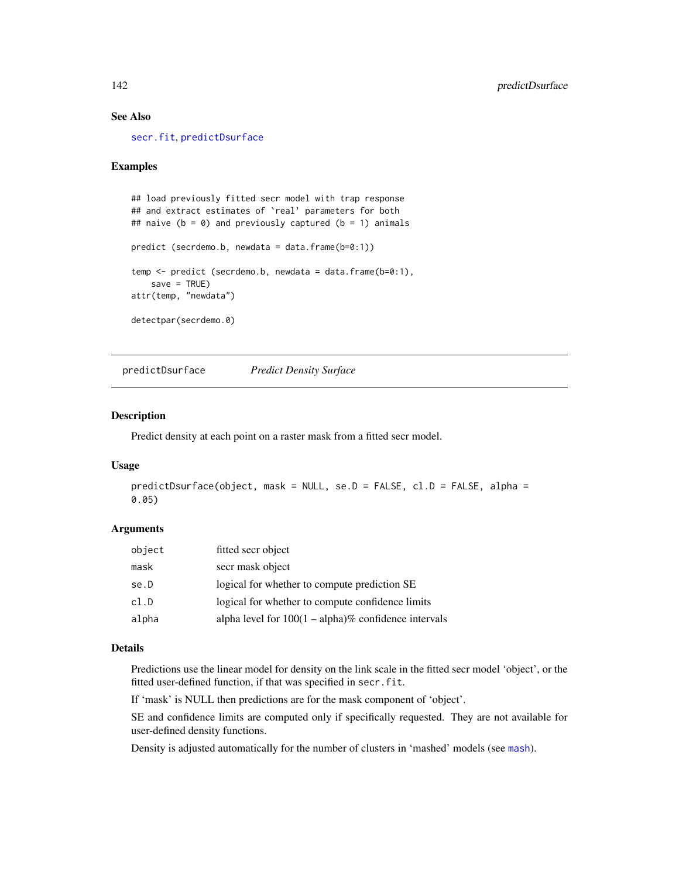# See Also

[secr.fit](#page-176-0), [predictDsurface](#page-141-0)

## Examples

```
## load previously fitted secr model with trap response
## and extract estimates of `real' parameters for both
## naive (b = 0) and previously captured (b = 1) animals
predict (secrdemo.b, newdata = data.frame(b=0:1))
temp <- predict (secrdemo.b, newdata = data.frame(b=0:1),
   save = TRUE)
attr(temp, "newdata")
detectpar(secrdemo.0)
```
<span id="page-141-0"></span>predictDsurface *Predict Density Surface*

## Description

Predict density at each point on a raster mask from a fitted secr model.

#### Usage

```
predictDsurface(object, mask = NULL, se.D = FALSE, cl.D = FALSE, alpha =
0.05)
```
#### Arguments

| object | fitted secr object                                      |
|--------|---------------------------------------------------------|
| mask   | secr mask object                                        |
| se.D   | logical for whether to compute prediction SE            |
| cl.D   | logical for whether to compute confidence limits        |
| alpha  | alpha level for $100(1 - alpha)\%$ confidence intervals |

## Details

Predictions use the linear model for density on the link scale in the fitted secr model 'object', or the fitted user-defined function, if that was specified in secr.fit.

If 'mask' is NULL then predictions are for the mask component of 'object'.

SE and confidence limits are computed only if specifically requested. They are not available for user-defined density functions.

Density is adjusted automatically for the number of clusters in 'mashed' models (see [mash](#page-239-0)).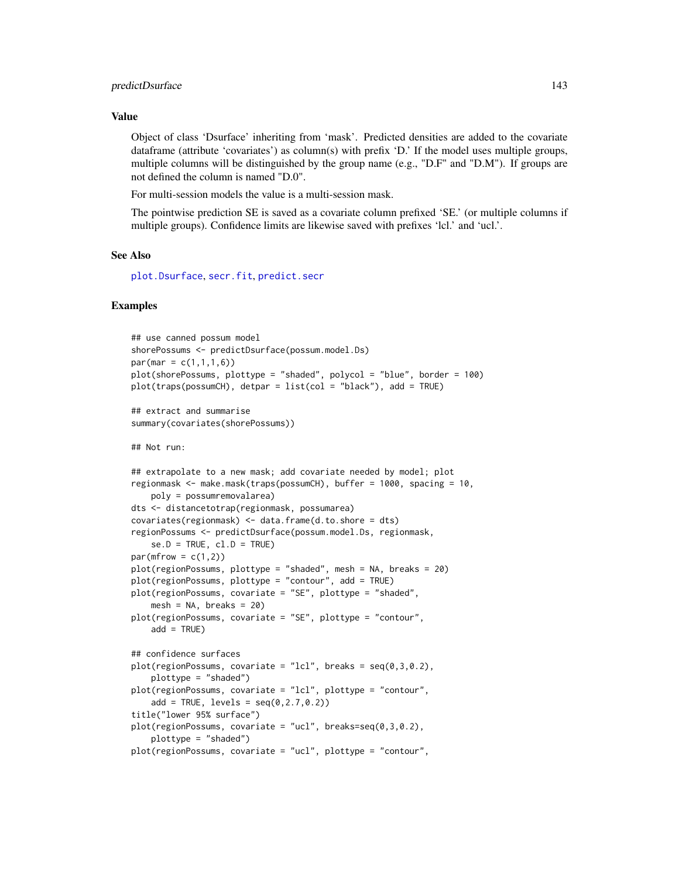#### Value

Object of class 'Dsurface' inheriting from 'mask'. Predicted densities are added to the covariate dataframe (attribute 'covariates') as column(s) with prefix 'D.' If the model uses multiple groups, multiple columns will be distinguished by the group name  $(e.g., "D.F"$  and " $D.M"$ ). If groups are not defined the column is named "D.0".

For multi-session models the value is a multi-session mask.

The pointwise prediction SE is saved as a covariate column prefixed 'SE.' (or multiple columns if multiple groups). Confidence limits are likewise saved with prefixes 'lcl.' and 'ucl.'.

## See Also

[plot.Dsurface](#page-125-0), [secr.fit](#page-176-0), [predict.secr](#page-139-0)

```
## use canned possum model
shorePossums <- predictDsurface(possum.model.Ds)
par(max = c(1, 1, 1, 6))plot(shorePossums, plottype = "shaded", polycol = "blue", border = 100)
plot(traps(possumCH), detpar = list(col = "black"), add = TRUE)
## extract and summarise
summary(covariates(shorePossums))
## Not run:
## extrapolate to a new mask; add covariate needed by model; plot
regionmask <- make.mask(traps(possumCH), buffer = 1000, spacing = 10,
   poly = possumremovalarea)
dts <- distancetotrap(regionmask, possumarea)
covariates(regionmask) <- data.frame(d.to.shore = dts)
regionPossums <- predictDsurface(possum.model.Ds, regionmask,
    se.D = TRUE, cl.D = TRUEpar(mfrow = c(1,2))plot(regionPossums, plottype = "shaded", mesh = NA, breaks = 20)
plot(regionPossums, plottype = "contour", add = TRUE)
plot(regionPossums, covariate = "SE", plottype = "shaded",
    mesh = NA, breaks = 20)
plot(regionPossums, covariate = "SE", plottype = "contour",
   add = TRUE)
## confidence surfaces
plot(regionPossums, covariate = "lcl", breaks = seq(0,3,0.2),
    plottype = "shaded")
plot(regionPossums, covariate = "lcl", plottype = "contour",
    add = TRUE, levels = seq(0, 2.7, 0.2))title("lower 95% surface")
plot(regionPossums, covariate = "ucl", breaks=seq(0,3,0.2),
   plottype = "shaded")
plot(regionPossums, covariate = "ucl", plottype = "contour",
```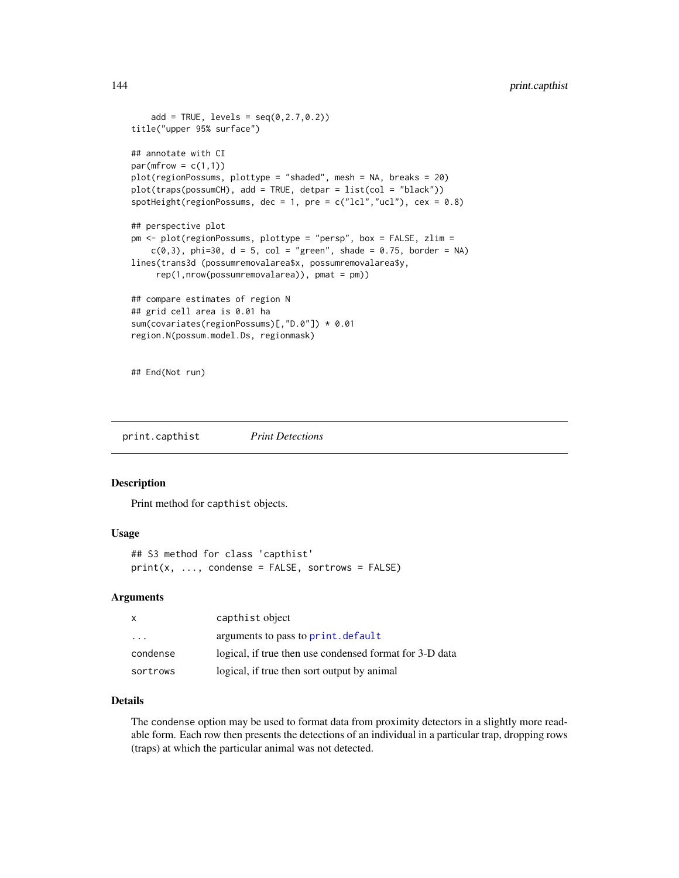```
add = TRUE, levels = seq(0, 2.7, 0.2))title("upper 95% surface")
## annotate with CI
par(mfrow = c(1,1))plot(regionPossums, plottype = "shaded", mesh = NA, breaks = 20)
plot(traps(possumCH), add = TRUE, detpar = list(col = "black"))
spotHeight(regionPossums, dec = 1, pre = c("lcl", "ucl"), cex = 0.8)## perspective plot
pm <- plot(regionPossums, plottype = "persp", box = FALSE, zlim =
    c(0,3), phi=30, d = 5, col = "green", shade = 0.75, border = NA)
lines(trans3d (possumremovalarea$x, possumremovalarea$y,
     rep(1,nrow(possumremovalarea)), pmat = pm))
## compare estimates of region N
## grid cell area is 0.01 ha
sum(covariates(regionPossums)[,"D.0"]) * 0.01
region.N(possum.model.Ds, regionmask)
```
## End(Not run)

print.capthist *Print Detections*

## Description

Print method for capthist objects.

## Usage

```
## S3 method for class 'capthist'
print(x, ..., condense = FALSE, sortrows = FALSE)
```
#### Arguments

| $\mathsf{x}$            | capthist object                                         |
|-------------------------|---------------------------------------------------------|
| $\cdot$ $\cdot$ $\cdot$ | arguments to pass to print.default                      |
| condense                | logical, if true then use condensed format for 3-D data |
| sortrows                | logical, if true then sort output by animal             |

# Details

The condense option may be used to format data from proximity detectors in a slightly more readable form. Each row then presents the detections of an individual in a particular trap, dropping rows (traps) at which the particular animal was not detected.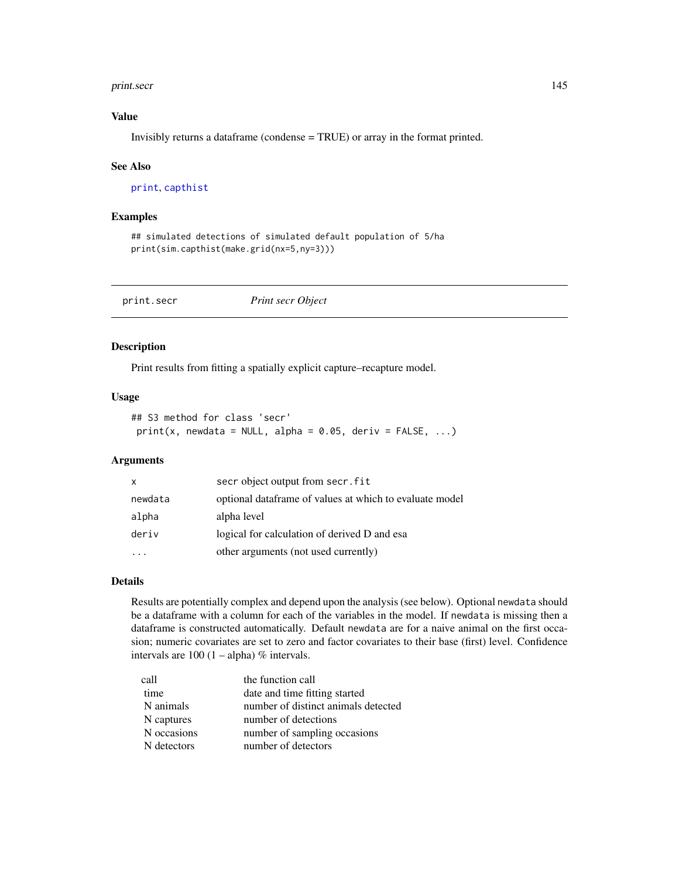#### print.secr 145

# Value

Invisibly returns a dataframe (condense = TRUE) or array in the format printed.

#### See Also

[print](#page-0-0), [capthist](#page-17-0)

## Examples

```
## simulated detections of simulated default population of 5/ha
print(sim.capthist(make.grid(nx=5,ny=3)))
```
print.secr *Print secr Object*

# Description

Print results from fitting a spatially explicit capture–recapture model.

## Usage

```
## S3 method for class 'secr'
print(x, newdata = NULL, alpha = 0.05, deriv = FALSE, ...)
```
#### Arguments

| X       | secr object output from secr. fit                       |
|---------|---------------------------------------------------------|
| newdata | optional dataframe of values at which to evaluate model |
| alpha   | alpha level                                             |
| deriv   | logical for calculation of derived D and esa            |
|         | other arguments (not used currently)                    |

# Details

Results are potentially complex and depend upon the analysis (see below). Optional newdata should be a dataframe with a column for each of the variables in the model. If newdata is missing then a dataframe is constructed automatically. Default newdata are for a naive animal on the first occasion; numeric covariates are set to zero and factor covariates to their base (first) level. Confidence intervals are  $100 (1 - alpha) \%$  intervals.

| call        | the function call                   |
|-------------|-------------------------------------|
| time        | date and time fitting started       |
| N animals   | number of distinct animals detected |
| N captures  | number of detections                |
| N occasions | number of sampling occasions        |
| N detectors | number of detectors                 |
|             |                                     |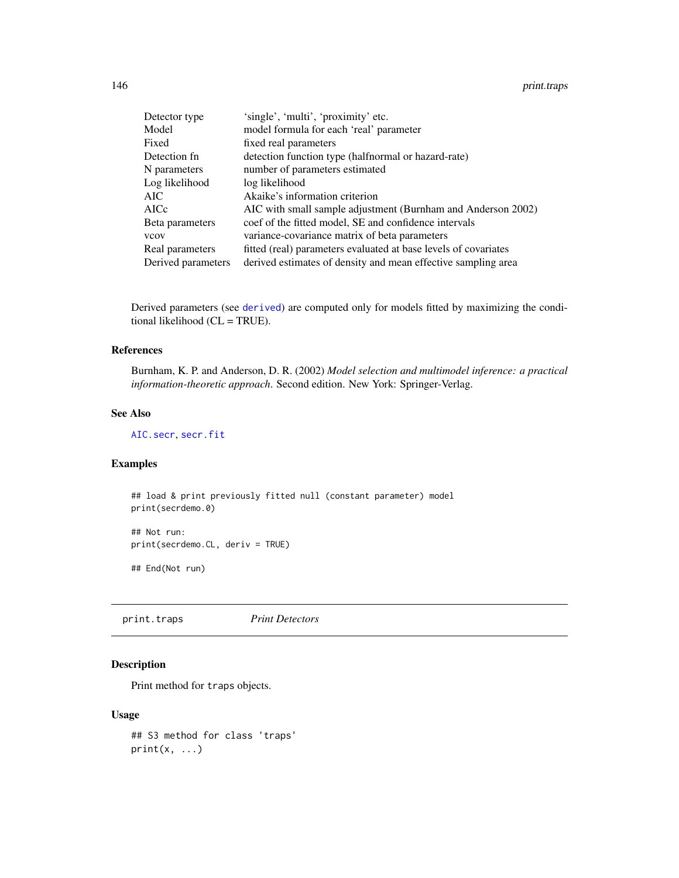| Detector type      | 'single', 'multi', 'proximity' etc.                             |
|--------------------|-----------------------------------------------------------------|
| Model              | model formula for each 'real' parameter                         |
| Fixed              | fixed real parameters                                           |
| Detection fn       | detection function type (halfnormal or hazard-rate)             |
| N parameters       | number of parameters estimated                                  |
| Log likelihood     | log likelihood                                                  |
| AIC                | Akaike's information criterion                                  |
| AICc               | AIC with small sample adjustment (Burnham and Anderson 2002)    |
| Beta parameters    | coef of the fitted model, SE and confidence intervals           |
| vcov               | variance-covariance matrix of beta parameters                   |
| Real parameters    | fitted (real) parameters evaluated at base levels of covariates |
| Derived parameters | derived estimates of density and mean effective sampling area   |

Derived parameters (see [derived](#page-39-0)) are computed only for models fitted by maximizing the conditional likelihood (CL = TRUE).

#### References

Burnham, K. P. and Anderson, D. R. (2002) *Model selection and multimodel inference: a practical information-theoretic approach*. Second edition. New York: Springer-Verlag.

# See Also

[AIC.secr](#page-10-0), [secr.fit](#page-176-0)

# Examples

## load & print previously fitted null (constant parameter) model print(secrdemo.0)

## Not run: print(secrdemo.CL, deriv = TRUE)

## End(Not run)

print.traps *Print Detectors*

## Description

Print method for traps objects.

# Usage

```
## S3 method for class 'traps'
print(x, \ldots)
```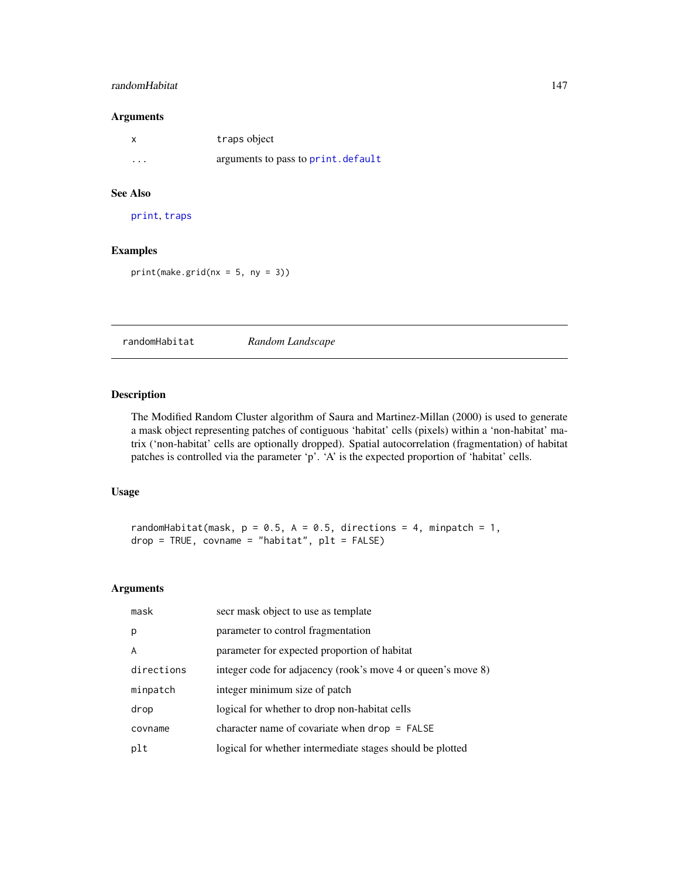# randomHabitat 147

## Arguments

|          | traps object                        |
|----------|-------------------------------------|
| $\cdots$ | arguments to pass to print. default |

# See Also

[print](#page-0-0), [traps](#page-243-0)

# Examples

 $print(make.grid(nx = 5, ny = 3))$ 

randomHabitat *Random Landscape*

## Description

The Modified Random Cluster algorithm of Saura and Martinez-Millan (2000) is used to generate a mask object representing patches of contiguous 'habitat' cells (pixels) within a 'non-habitat' matrix ('non-habitat' cells are optionally dropped). Spatial autocorrelation (fragmentation) of habitat patches is controlled via the parameter 'p'. 'A' is the expected proportion of 'habitat' cells.

## Usage

randomHabitat(mask,  $p = 0.5$ ,  $A = 0.5$ , directions = 4, minpatch = 1, drop = TRUE, covname = "habitat", plt = FALSE)

#### Arguments

| mask       | secr mask object to use as template                          |
|------------|--------------------------------------------------------------|
| p          | parameter to control fragmentation                           |
| A          | parameter for expected proportion of habitat                 |
| directions | integer code for adjacency (rook's move 4 or queen's move 8) |
| minpatch   | integer minimum size of patch                                |
| drop       | logical for whether to drop non-habitat cells                |
| covname    | character name of covariate when $drop = FALSE$              |
| plt        | logical for whether intermediate stages should be plotted    |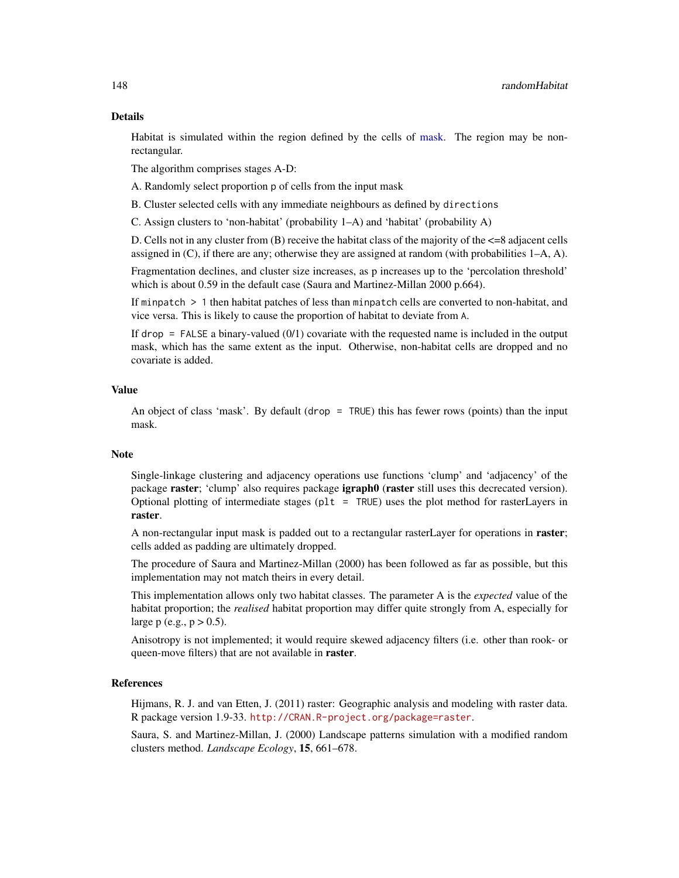#### Details

Habitat is simulated within the region defined by the cells of [mask.](#page-100-0) The region may be nonrectangular.

The algorithm comprises stages A-D:

A. Randomly select proportion p of cells from the input mask

B. Cluster selected cells with any immediate neighbours as defined by directions

C. Assign clusters to 'non-habitat' (probability  $1-A$ ) and 'habitat' (probability A)

D. Cells not in any cluster from  $(B)$  receive the habitat class of the majority of the  $\leq 8$  adjacent cells assigned in (C), if there are any; otherwise they are assigned at random (with probabilities 1–A, A).

Fragmentation declines, and cluster size increases, as p increases up to the 'percolation threshold' which is about 0.59 in the default case (Saura and Martinez-Millan 2000 p.664).

If minpatch > 1 then habitat patches of less than minpatch cells are converted to non-habitat, and vice versa. This is likely to cause the proportion of habitat to deviate from A.

If drop = FALSE a binary-valued (0/1) covariate with the requested name is included in the output mask, which has the same extent as the input. Otherwise, non-habitat cells are dropped and no covariate is added.

# Value

An object of class 'mask'. By default (drop = TRUE) this has fewer rows (points) than the input mask.

#### **Note**

Single-linkage clustering and adjacency operations use functions 'clump' and 'adjacency' of the package raster; 'clump' also requires package igraph0 (raster still uses this decrecated version). Optional plotting of intermediate stages ( $plt = TRUE$ ) uses the plot method for rasterLayers in raster.

A non-rectangular input mask is padded out to a rectangular rasterLayer for operations in **raster**; cells added as padding are ultimately dropped.

The procedure of Saura and Martinez-Millan (2000) has been followed as far as possible, but this implementation may not match theirs in every detail.

This implementation allows only two habitat classes. The parameter A is the *expected* value of the habitat proportion; the *realised* habitat proportion may differ quite strongly from A, especially for large p (e.g.,  $p > 0.5$ ).

Anisotropy is not implemented; it would require skewed adjacency filters (i.e. other than rook- or queen-move filters) that are not available in **raster**.

# References

Hijmans, R. J. and van Etten, J. (2011) raster: Geographic analysis and modeling with raster data. R package version 1.9-33. <http://CRAN.R-project.org/package=raster>.

Saura, S. and Martinez-Millan, J. (2000) Landscape patterns simulation with a modified random clusters method. *Landscape Ecology*, 15, 661–678.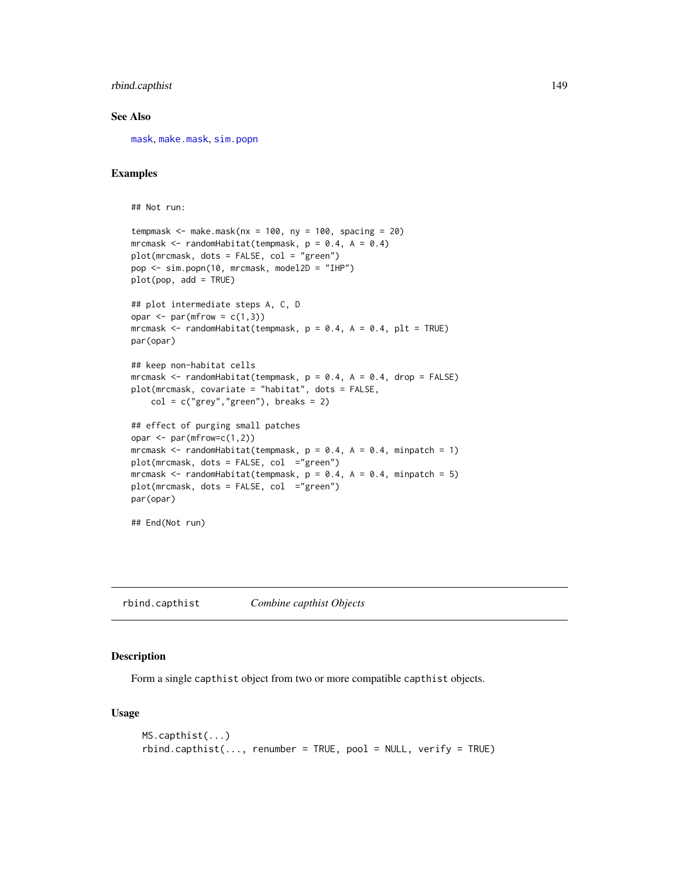# rbind.capthist 149

## See Also

[mask](#page-100-0), [make.mask](#page-91-0), [sim.popn](#page-200-0)

# Examples

```
## Not run:
tempmask \leq make.mask(nx = 100, ny = 100, spacing = 20)
mrcmask \leq randomHabitat(tempmask, p = 0.4, A = 0.4)
plot(mrcmask, dots = FALSE, col = "green")
pop <- sim.popn(10, mrcmask, model2D = "IHP")
plot(pop, add = TRUE)
## plot intermediate steps A, C, D
opar \leq par(mfrow = c(1,3))
mrcmask <- randomHabitat(tempmask, p = 0.4, A = 0.4, plt = TRUE)
par(opar)
## keep non-habitat cells
mrcmask \le randomHabitat(tempmask, p = 0.4, A = 0.4, drop = FALSE)
plot(mrcmask, covariate = "habitat", dots = FALSE,
    col = c("grey", "green"), breaks = 2)
## effect of purging small patches
opar <- par(mfrow=c(1,2))
mrcmask \le randomHabitat(tempmask, p = 0.4, A = 0.4, minpatch = 1)
plot(mrcmask, dots = FALSE, col ="green")
mrcmask <- randomHabitat(tempmask, p = 0.4, A = 0.4, minpatch = 5)
plot(mrcmask, dots = FALSE, col ="green")
par(opar)
```

```
## End(Not run)
```
rbind.capthist *Combine capthist Objects*

# Description

Form a single capthist object from two or more compatible capthist objects.

#### Usage

```
MS.capthist(...)
rbind.capthist(..., renumber = TRUE, pool = NULL, verify = TRUE)
```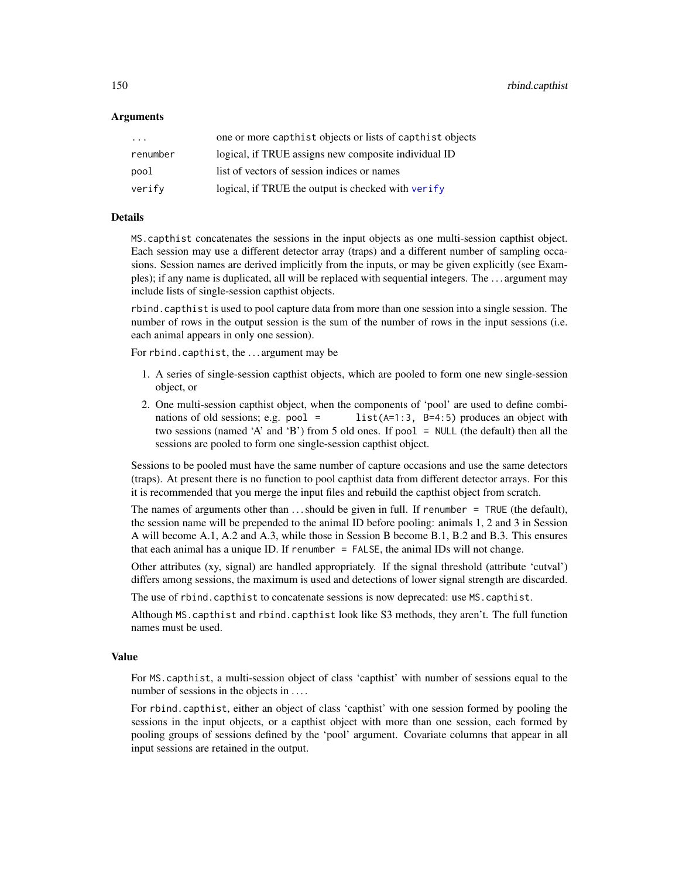150 rbind.capthist

## Arguments

| $\cdot$ $\cdot$ $\cdot$ | one or more capthist objects or lists of capthist objects |
|-------------------------|-----------------------------------------------------------|
| renumber                | logical, if TRUE assigns new composite individual ID      |
| pool                    | list of vectors of session indices or names               |
| verify                  | logical, if TRUE the output is checked with verify        |

## Details

MS.capthist concatenates the sessions in the input objects as one multi-session capthist object. Each session may use a different detector array (traps) and a different number of sampling occasions. Session names are derived implicitly from the inputs, or may be given explicitly (see Examples); if any name is duplicated, all will be replaced with sequential integers. The . . . argument may include lists of single-session capthist objects.

rbind.capthist is used to pool capture data from more than one session into a single session. The number of rows in the output session is the sum of the number of rows in the input sessions (i.e. each animal appears in only one session).

For rbind.capthist, the . . . argument may be

- 1. A series of single-session capthist objects, which are pooled to form one new single-session object, or
- 2. One multi-session capthist object, when the components of 'pool' are used to define combinations of old sessions; e.g. pool = list( $A=1:3$ ,  $B=4:5$ ) produces an object with two sessions (named 'A' and 'B') from 5 old ones. If pool = NULL (the default) then all the sessions are pooled to form one single-session capthist object.

Sessions to be pooled must have the same number of capture occasions and use the same detectors (traps). At present there is no function to pool capthist data from different detector arrays. For this it is recommended that you merge the input files and rebuild the capthist object from scratch.

The names of arguments other than  $\dots$  should be given in full. If renumber = TRUE (the default), the session name will be prepended to the animal ID before pooling: animals 1, 2 and 3 in Session A will become A.1, A.2 and A.3, while those in Session B become B.1, B.2 and B.3. This ensures that each animal has a unique ID. If renumber  $=$  FALSE, the animal IDs will not change.

Other attributes (xy, signal) are handled appropriately. If the signal threshold (attribute 'cutval') differs among sessions, the maximum is used and detections of lower signal strength are discarded.

The use of rbind.capthist to concatenate sessions is now deprecated: use MS.capthist.

Although MS.capthist and rbind.capthist look like S3 methods, they aren't. The full function names must be used.

# Value

For MS.capthist, a multi-session object of class 'capthist' with number of sessions equal to the number of sessions in the objects in ....

For rbind.capthist, either an object of class 'capthist' with one session formed by pooling the sessions in the input objects, or a capthist object with more than one session, each formed by pooling groups of sessions defined by the 'pool' argument. Covariate columns that appear in all input sessions are retained in the output.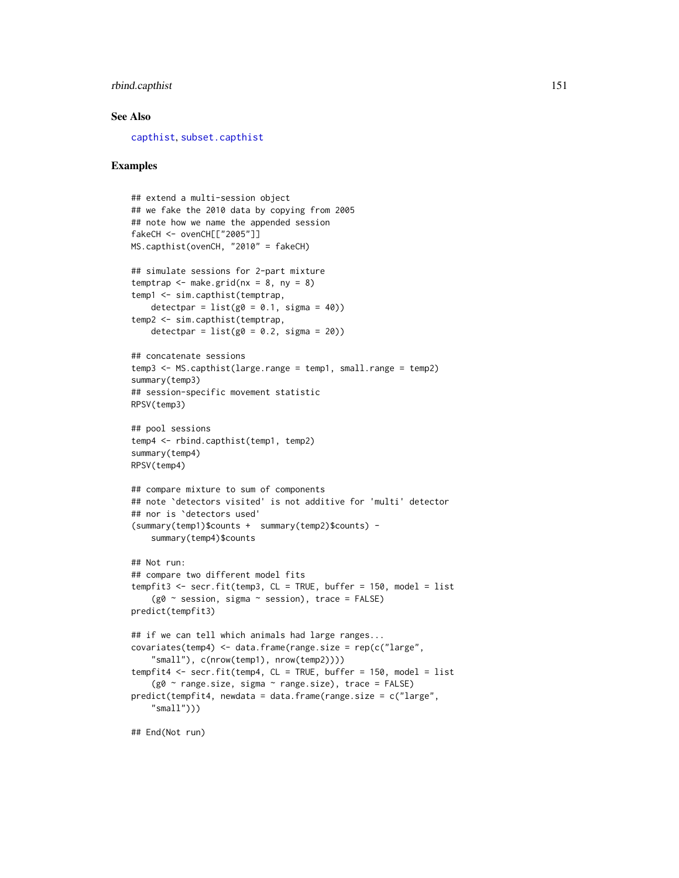# rbind.capthist 151

#### See Also

[capthist](#page-17-0), [subset.capthist](#page-223-0)

```
## extend a multi-session object
## we fake the 2010 data by copying from 2005
## note how we name the appended session
fakeCH <- ovenCH[["2005"]]
MS.capthist(ovenCH, "2010" = fakeCH)
## simulate sessions for 2-part mixture
temptrap \leq make.grid(nx = 8, ny = 8)
temp1 <- sim.capthist(temptrap,
   detectpar = list(g0 = 0.1, sigma = 40))
temp2 <- sim.capthist(temptrap,
   detectpar = list(g0 = 0.2, sigma = 20))
## concatenate sessions
temp3 <- MS.capthist(large.range = temp1, small.range = temp2)
summary(temp3)
## session-specific movement statistic
RPSV(temp3)
## pool sessions
temp4 <- rbind.capthist(temp1, temp2)
summary(temp4)
RPSV(temp4)
## compare mixture to sum of components
## note `detectors visited' is not additive for 'multi' detector
## nor is `detectors used'
(summary(temp1)$counts + summary(temp2)$counts) -
    summary(temp4)$counts
## Not run:
## compare two different model fits
tempfit3 <- secr.fit(temp3, CL = TRUE, buffer = 150, model = list
    (g0 \sim session, sigma \sim session), trace = FALSE)
predict(tempfit3)
## if we can tell which animals had large ranges...
covariates(temp4) <- data.frame(range.size = rep(c("large",
    "small"), c(nrow(temp1), nrow(temp2))))
tempfit4 <- secr.fit(temp4, CL = TRUE, buffer = 150, model = list
    (g0 ~ range.size, sigma ~ range.size), trace = FALSE)
predict(tempfit4, newdata = data.frame(range.size = c("large",
    "small")))
```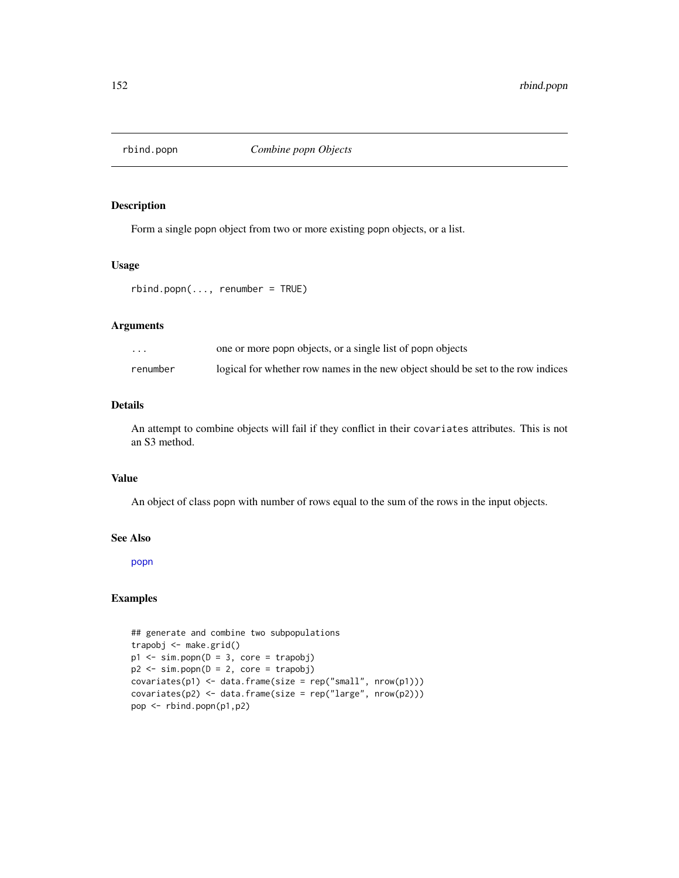Form a single popn object from two or more existing popn objects, or a list.

#### Usage

```
rbind.popn(..., renumber = TRUE)
```
# Arguments

| $\cdot$ $\cdot$ $\cdot$ | one or more popn objects, or a single list of popn objects                       |
|-------------------------|----------------------------------------------------------------------------------|
| renumber                | logical for whether row names in the new object should be set to the row indices |

# Details

An attempt to combine objects will fail if they conflict in their covariates attributes. This is not an S3 method.

# Value

An object of class popn with number of rows equal to the sum of the rows in the input objects.

#### See Also

[popn](#page-136-0)

```
## generate and combine two subpopulations
trapobj <- make.grid()
p1 \le -\sin.popn(D = 3, core = trapobj)p2 \le -\sin.popn(D = 2, core = trapobj)covariates(p1) < -data frame(size = rep("small", nrow(p1)))covariates(p2) < - data.frame(size = rep("large", nrow(p2)))
pop <- rbind.popn(p1,p2)
```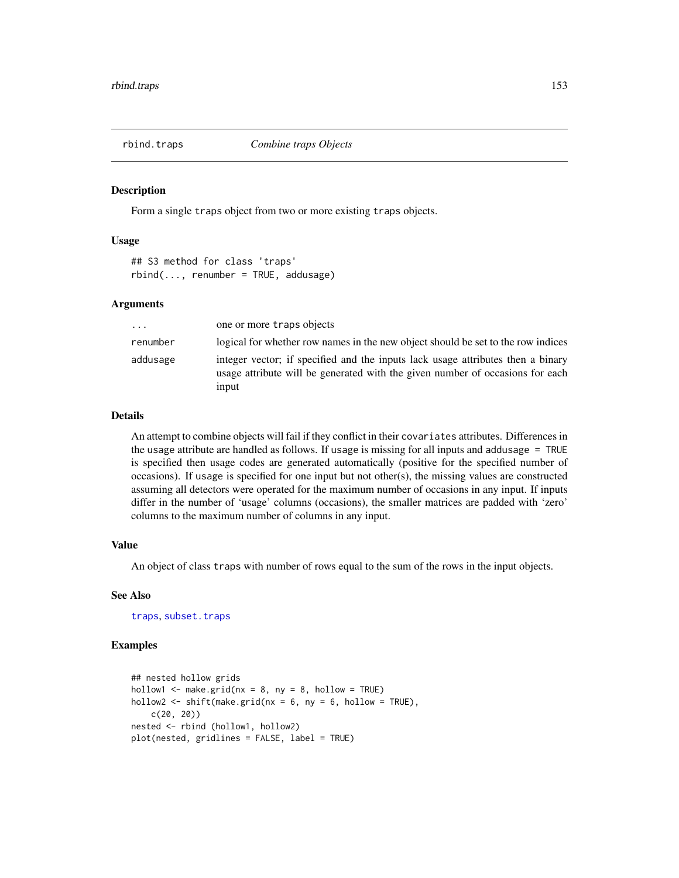Form a single traps object from two or more existing traps objects.

## Usage

## S3 method for class 'traps'  $rbind(...,$  renumber = TRUE, addusage)

## Arguments

| $\cdots$ | one or more traps objects                                                                                                                                                 |
|----------|---------------------------------------------------------------------------------------------------------------------------------------------------------------------------|
| renumber | logical for whether row names in the new object should be set to the row indices                                                                                          |
| addusage | integer vector; if specified and the inputs lack usage attributes then a binary<br>usage attribute will be generated with the given number of occasions for each<br>input |

#### Details

An attempt to combine objects will fail if they conflict in their covariates attributes. Differences in the usage attribute are handled as follows. If usage is missing for all inputs and addusage = TRUE is specified then usage codes are generated automatically (positive for the specified number of occasions). If usage is specified for one input but not other(s), the missing values are constructed assuming all detectors were operated for the maximum number of occasions in any input. If inputs differ in the number of 'usage' columns (occasions), the smaller matrices are padded with 'zero' columns to the maximum number of columns in any input.

# Value

An object of class traps with number of rows equal to the sum of the rows in the input objects.

## See Also

[traps](#page-243-0), [subset.traps](#page-228-0)

```
## nested hollow grids
hollow1 \leq make.grid(nx = 8, ny = 8, hollow = TRUE)
hollow2 <- shift(make.grid(nx = 6, ny = 6, hollow = TRUE),
   c(20, 20))
nested <- rbind (hollow1, hollow2)
plot(nested, gridlines = FALSE, label = TRUE)
```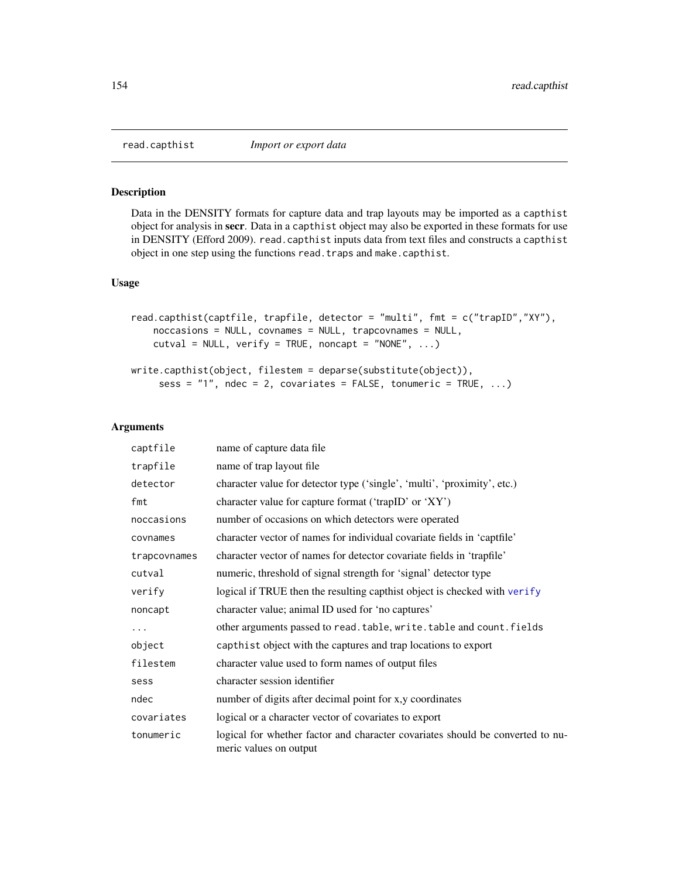<span id="page-153-0"></span>

Data in the DENSITY formats for capture data and trap layouts may be imported as a capthist object for analysis in secr. Data in a capthist object may also be exported in these formats for use in DENSITY (Efford 2009). read.capthist inputs data from text files and constructs a capthist object in one step using the functions read.traps and make.capthist.

#### Usage

```
read.capthist(captfile, trapfile, detector = "multi", fmt = c("trapID","XY"),
   noccasions = NULL, covnames = NULL, trapcovnames = NULL,
   cutval = NULL, verify = TRUE, noncapt = "NONE", ...)
```

```
write.capthist(object, filestem = deparse(substitute(object)),
     sess = "1", ndec = 2, covariates = FALSE, tonumeric = TRUE, ...)
```
# Arguments

| captfile     | name of capture data file                                                                                |
|--------------|----------------------------------------------------------------------------------------------------------|
| trapfile     | name of trap layout file                                                                                 |
| detector     | character value for detector type ('single', 'multi', 'proximity', etc.)                                 |
| fmt          | character value for capture format ('trapID' or 'XY')                                                    |
| noccasions   | number of occasions on which detectors were operated                                                     |
| covnames     | character vector of names for individual covariate fields in 'captfile'                                  |
| trapcovnames | character vector of names for detector covariate fields in 'trapfile'                                    |
| cutval       | numeric, threshold of signal strength for 'signal' detector type                                         |
| verify       | logical if TRUE then the resulting capthist object is checked with verify                                |
| noncapt      | character value; animal ID used for 'no captures'                                                        |
| $\cdots$     | other arguments passed to read. table, write. table and count. fields                                    |
| object       | capthist object with the captures and trap locations to export                                           |
| filestem     | character value used to form names of output files                                                       |
| sess         | character session identifier                                                                             |
| ndec         | number of digits after decimal point for x,y coordinates                                                 |
| covariates   | logical or a character vector of covariates to export                                                    |
| tonumeric    | logical for whether factor and character covariates should be converted to nu-<br>meric values on output |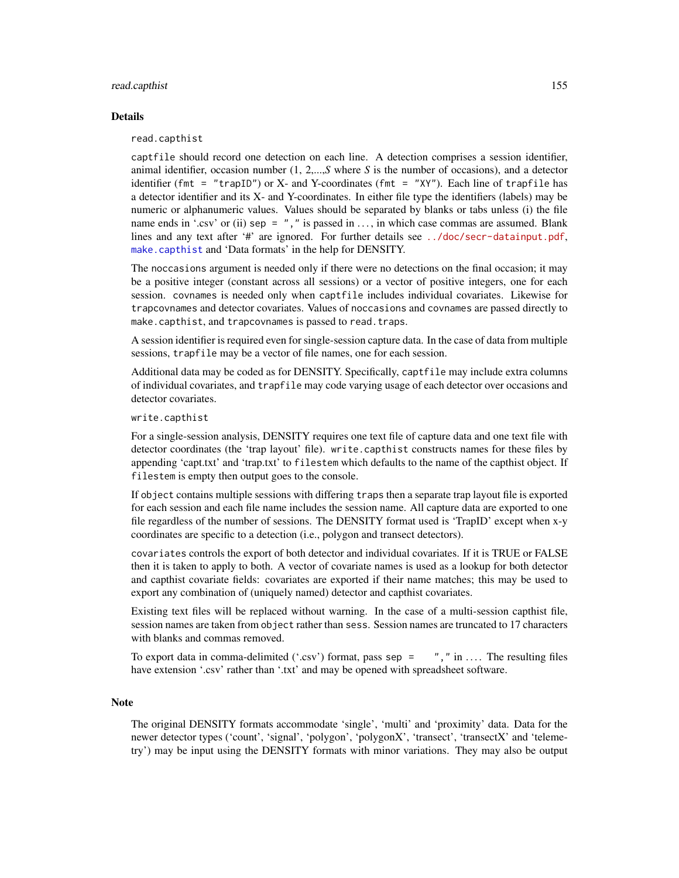#### read.capthist 155

#### Details

read.capthist

captfile should record one detection on each line. A detection comprises a session identifier, animal identifier, occasion number (1, 2,...,*S* where *S* is the number of occasions), and a detector identifier (fmt = "trapID") or X- and Y-coordinates (fmt = "XY"). Each line of trapfile has a detector identifier and its X- and Y-coordinates. In either file type the identifiers (labels) may be numeric or alphanumeric values. Values should be separated by blanks or tabs unless (i) the file name ends in '.csv' or (ii) sep =  $"$ , " is passed in ..., in which case commas are assumed. Blank lines and any text after '#' are ignored. For further details see <../doc/secr-datainput.pdf>, [make.capthist](#page-88-0) and 'Data formats' in the help for DENSITY.

The noccasions argument is needed only if there were no detections on the final occasion; it may be a positive integer (constant across all sessions) or a vector of positive integers, one for each session. covnames is needed only when captfile includes individual covariates. Likewise for trapcovnames and detector covariates. Values of noccasions and covnames are passed directly to make.capthist, and trapcovnames is passed to read.traps.

A session identifier is required even for single-session capture data. In the case of data from multiple sessions, trapfile may be a vector of file names, one for each session.

Additional data may be coded as for DENSITY. Specifically, captfile may include extra columns of individual covariates, and trapfile may code varying usage of each detector over occasions and detector covariates.

write.capthist

For a single-session analysis, DENSITY requires one text file of capture data and one text file with detector coordinates (the 'trap layout' file). write.capthist constructs names for these files by appending 'capt.txt' and 'trap.txt' to filestem which defaults to the name of the capthist object. If filestem is empty then output goes to the console.

If object contains multiple sessions with differing traps then a separate trap layout file is exported for each session and each file name includes the session name. All capture data are exported to one file regardless of the number of sessions. The DENSITY format used is 'TrapID' except when x-y coordinates are specific to a detection (i.e., polygon and transect detectors).

covariates controls the export of both detector and individual covariates. If it is TRUE or FALSE then it is taken to apply to both. A vector of covariate names is used as a lookup for both detector and capthist covariate fields: covariates are exported if their name matches; this may be used to export any combination of (uniquely named) detector and capthist covariates.

Existing text files will be replaced without warning. In the case of a multi-session capthist file, session names are taken from object rather than sess. Session names are truncated to 17 characters with blanks and commas removed.

To export data in comma-delimited ('.csv') format, pass sep =  $\theta$ ," in .... The resulting files have extension '.csv' rather than '.txt' and may be opened with spreadsheet software.

#### Note

The original DENSITY formats accommodate 'single', 'multi' and 'proximity' data. Data for the newer detector types ('count', 'signal', 'polygon', 'polygonX', 'transect', 'transectX' and 'telemetry') may be input using the DENSITY formats with minor variations. They may also be output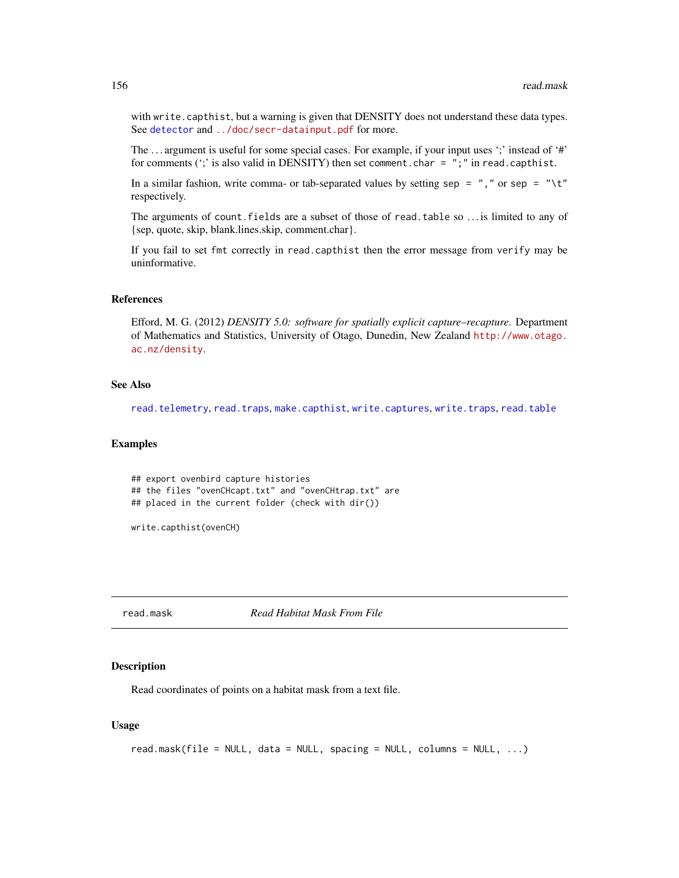with write.capthist, but a warning is given that DENSITY does not understand these data types. See [detector](#page-46-0) and <../doc/secr-datainput.pdf> for more.

The ... argument is useful for some special cases. For example, if your input uses ';' instead of '#' for comments ( $\cdot$ ; is also valid in DENSITY) then set comment.char =  $"$ ;  $"$  in read.capthist.

In a similar fashion, write comma- or tab-separated values by setting sep =  $","$  or sep = "\t" respectively.

The arguments of count.fields are a subset of those of read.table so . . . is limited to any of {sep, quote, skip, blank.lines.skip, comment.char}.

If you fail to set fmt correctly in read.capthist then the error message from verify may be uninformative.

# References

Efford, M. G. (2012) *DENSITY 5.0: software for spatially explicit capture–recapture*. Department of Mathematics and Statistics, University of Otago, Dunedin, New Zealand [http://www.otago.](http://www.otago.ac.nz/density) [ac.nz/density](http://www.otago.ac.nz/density).

# See Also

[read.telemetry](#page-157-0), [read.traps](#page-158-0), [make.capthist](#page-88-0), [write.captures](#page-255-0), [write.traps](#page-255-1), [read.table](#page-0-0)

## Examples

```
## export ovenbird capture histories
## the files "ovenCHcapt.txt" and "ovenCHtrap.txt" are
## placed in the current folder (check with dir())
```
write.capthist(ovenCH)

read.mask *Read Habitat Mask From File*

## **Description**

Read coordinates of points on a habitat mask from a text file.

#### Usage

```
read.mask(file = NULL, data = NULL, spacing = NULL, columns = NULL, ...)
```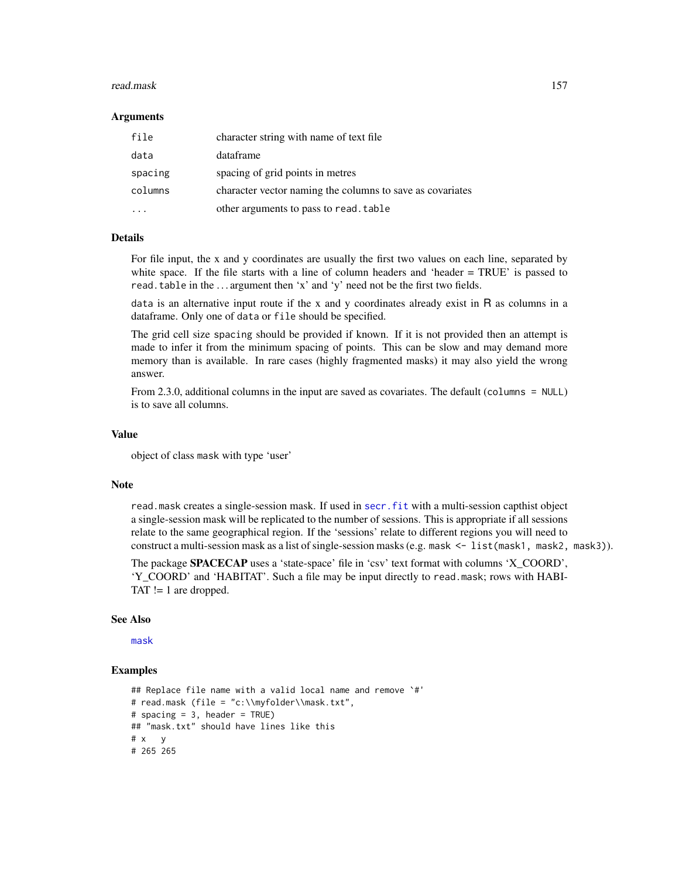#### read.mask 157

#### Arguments

| file    | character string with name of text file                   |
|---------|-----------------------------------------------------------|
| data    | dataframe                                                 |
| spacing | spacing of grid points in metres                          |
| columns | character vector naming the columns to save as covariates |
|         | other arguments to pass to read. table                    |

# Details

For file input, the x and y coordinates are usually the first two values on each line, separated by white space. If the file starts with a line of column headers and 'header = TRUE' is passed to read.table in the ... argument then 'x' and 'y' need not be the first two fields.

data is an alternative input route if the x and y coordinates already exist in  $R$  as columns in a dataframe. Only one of data or file should be specified.

The grid cell size spacing should be provided if known. If it is not provided then an attempt is made to infer it from the minimum spacing of points. This can be slow and may demand more memory than is available. In rare cases (highly fragmented masks) it may also yield the wrong answer.

From 2.3.0, additional columns in the input are saved as covariates. The default (columns = NULL) is to save all columns.

## Value

object of class mask with type 'user'

#### Note

read.mask creates a single-session mask. If used in [secr.fit](#page-176-0) with a multi-session capthist object a single-session mask will be replicated to the number of sessions. This is appropriate if all sessions relate to the same geographical region. If the 'sessions' relate to different regions you will need to construct a multi-session mask as a list of single-session masks (e.g. mask <- list (mask1, mask2, mask3)).

The package SPACECAP uses a 'state-space' file in 'csv' text format with columns 'X\_COORD', 'Y\_COORD' and 'HABITAT'. Such a file may be input directly to read.mask; rows with HABI-TAT != 1 are dropped.

## See Also

[mask](#page-100-0)

```
## Replace file name with a valid local name and remove `#'
# read.mask (file = "c:\\myfolder\\mask.txt",
# spacing = 3, header = TRUE)
## "mask.txt" should have lines like this
# x y
# 265 265
```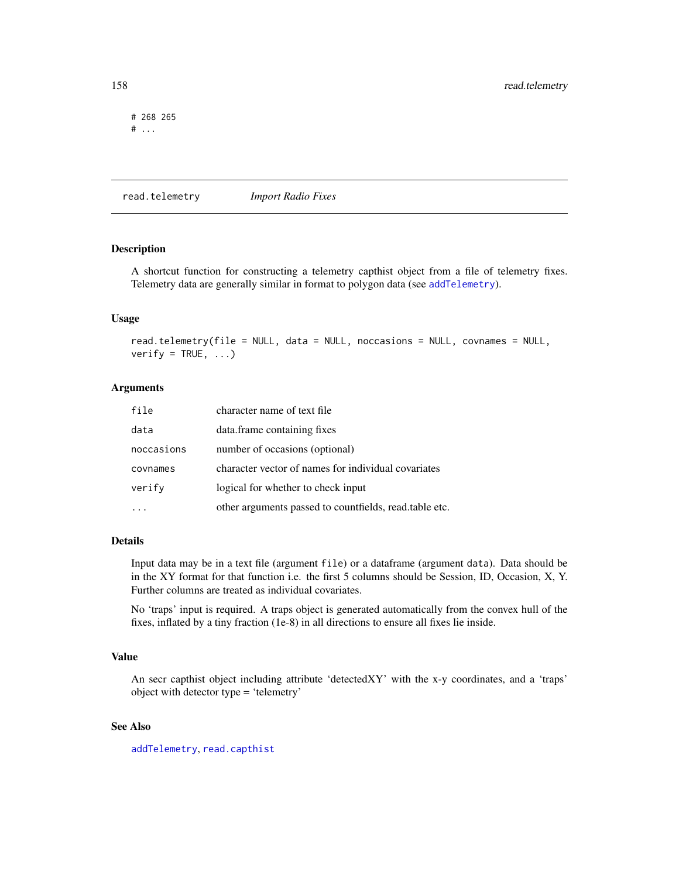# 268 265  $#$  ...

<span id="page-157-0"></span>read.telemetry *Import Radio Fixes*

## Description

A shortcut function for constructing a telemetry capthist object from a file of telemetry fixes. Telemetry data are generally similar in format to polygon data (see [addTelemetry](#page-8-0)).

#### Usage

read.telemetry(file = NULL, data = NULL, noccasions = NULL, covnames = NULL, verify = TRUE,  $\ldots$ )

# Arguments

| file       | character name of text file                            |
|------------|--------------------------------------------------------|
| data       | data.frame containing fixes                            |
| noccasions | number of occasions (optional)                         |
| covnames   | character vector of names for individual covariates    |
| verify     | logical for whether to check input                     |
|            | other arguments passed to countfields, read.table etc. |

#### Details

Input data may be in a text file (argument file) or a dataframe (argument data). Data should be in the XY format for that function i.e. the first 5 columns should be Session, ID, Occasion, X, Y. Further columns are treated as individual covariates.

No 'traps' input is required. A traps object is generated automatically from the convex hull of the fixes, inflated by a tiny fraction (1e-8) in all directions to ensure all fixes lie inside.

# Value

An secr capthist object including attribute 'detectedXY' with the x-y coordinates, and a 'traps' object with detector type = 'telemetry'

# See Also

[addTelemetry](#page-8-0), [read.capthist](#page-153-0)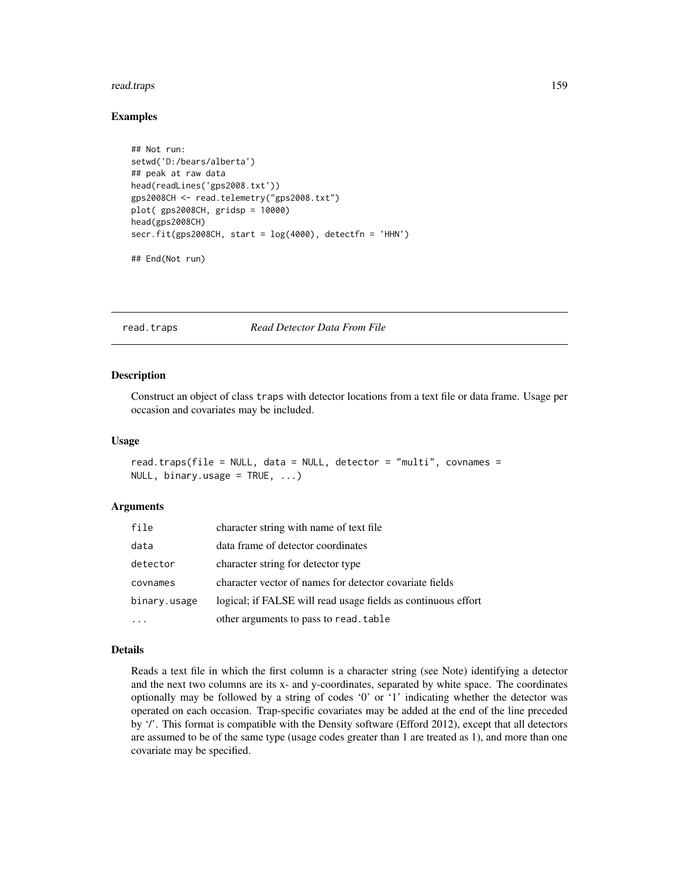#### read.traps 159

## Examples

```
## Not run:
setwd('D:/bears/alberta')
## peak at raw data
head(readLines('gps2008.txt'))
gps2008CH <- read.telemetry("gps2008.txt")
plot( gps2008CH, gridsp = 10000)
head(gps2008CH)
secr.fit(gps2008CH, start = log(4000), detectfn = 'HHN')
## End(Not run)
```
<span id="page-158-0"></span>

read.traps *Read Detector Data From File*

#### Description

Construct an object of class traps with detector locations from a text file or data frame. Usage per occasion and covariates may be included.

#### Usage

```
read.traps(file = NULL, data = NULL, detector = "multi", covnames =
NULL, binary.usage = TRUE, ...)
```
#### Arguments

| file         | character string with name of text file                       |
|--------------|---------------------------------------------------------------|
| data         | data frame of detector coordinates                            |
| detector     | character string for detector type                            |
| covnames     | character vector of names for detector covariate fields       |
| binary.usage | logical; if FALSE will read usage fields as continuous effort |
|              | other arguments to pass to read. table                        |

# Details

Reads a text file in which the first column is a character string (see Note) identifying a detector and the next two columns are its x- and y-coordinates, separated by white space. The coordinates optionally may be followed by a string of codes '0' or '1' indicating whether the detector was operated on each occasion. Trap-specific covariates may be added at the end of the line preceded by '/'. This format is compatible with the Density software (Efford 2012), except that all detectors are assumed to be of the same type (usage codes greater than 1 are treated as 1), and more than one covariate may be specified.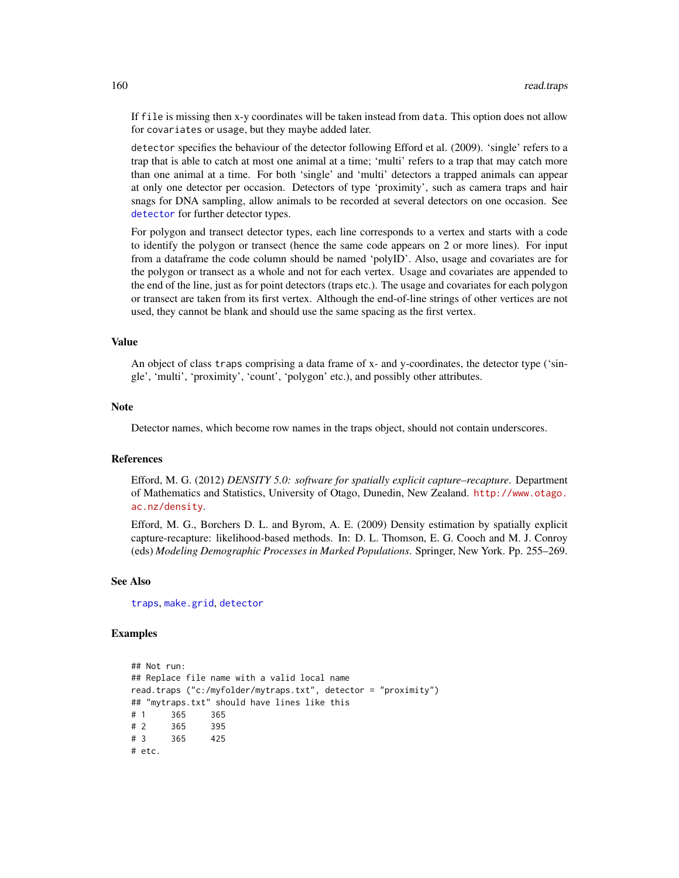If file is missing then x-y coordinates will be taken instead from data. This option does not allow for covariates or usage, but they maybe added later.

detector specifies the behaviour of the detector following Efford et al. (2009). 'single' refers to a trap that is able to catch at most one animal at a time; 'multi' refers to a trap that may catch more than one animal at a time. For both 'single' and 'multi' detectors a trapped animals can appear at only one detector per occasion. Detectors of type 'proximity', such as camera traps and hair snags for DNA sampling, allow animals to be recorded at several detectors on one occasion. See [detector](#page-46-0) for further detector types.

For polygon and transect detector types, each line corresponds to a vertex and starts with a code to identify the polygon or transect (hence the same code appears on 2 or more lines). For input from a dataframe the code column should be named 'polyID'. Also, usage and covariates are for the polygon or transect as a whole and not for each vertex. Usage and covariates are appended to the end of the line, just as for point detectors (traps etc.). The usage and covariates for each polygon or transect are taken from its first vertex. Although the end-of-line strings of other vertices are not used, they cannot be blank and should use the same spacing as the first vertex.

#### Value

An object of class traps comprising a data frame of x- and y-coordinates, the detector type ('single', 'multi', 'proximity', 'count', 'polygon' etc.), and possibly other attributes.

#### **Note**

Detector names, which become row names in the traps object, should not contain underscores.

#### References

Efford, M. G. (2012) *DENSITY 5.0: software for spatially explicit capture–recapture*. Department of Mathematics and Statistics, University of Otago, Dunedin, New Zealand. [http://www.otago.](http://www.otago.ac.nz/density) [ac.nz/density](http://www.otago.ac.nz/density).

Efford, M. G., Borchers D. L. and Byrom, A. E. (2009) Density estimation by spatially explicit capture-recapture: likelihood-based methods. In: D. L. Thomson, E. G. Cooch and M. J. Conroy (eds) *Modeling Demographic Processes in Marked Populations*. Springer, New York. Pp. 255–269.

#### See Also

[traps](#page-243-0), [make.grid](#page-95-0), [detector](#page-46-0)

#### Examples

## Not run: ## Replace file name with a valid local name read.traps ("c:/myfolder/mytraps.txt", detector = "proximity") ## "mytraps.txt" should have lines like this # 1 365 365 # 2 365 395 # 3 365 425 # etc.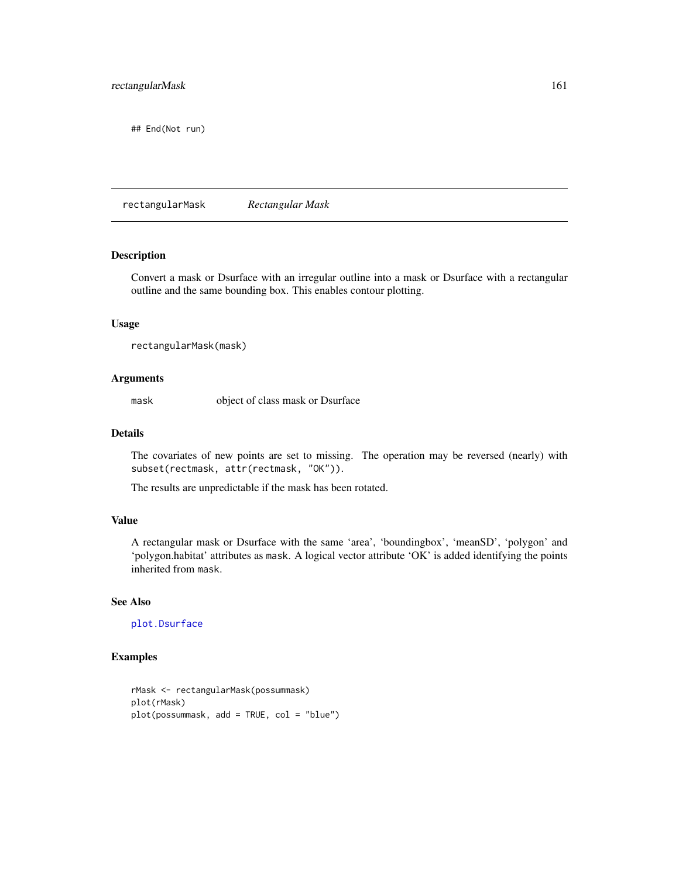## End(Not run)

rectangularMask *Rectangular Mask*

# Description

Convert a mask or Dsurface with an irregular outline into a mask or Dsurface with a rectangular outline and the same bounding box. This enables contour plotting.

# Usage

```
rectangularMask(mask)
```
# Arguments

mask object of class mask or Dsurface

## Details

The covariates of new points are set to missing. The operation may be reversed (nearly) with subset(rectmask, attr(rectmask, "OK")).

The results are unpredictable if the mask has been rotated.

# Value

A rectangular mask or Dsurface with the same 'area', 'boundingbox', 'meanSD', 'polygon' and 'polygon.habitat' attributes as mask. A logical vector attribute 'OK' is added identifying the points inherited from mask.

# See Also

[plot.Dsurface](#page-125-0)

```
rMask <- rectangularMask(possummask)
plot(rMask)
plot(possummask, add = TRUE, col = "blue")
```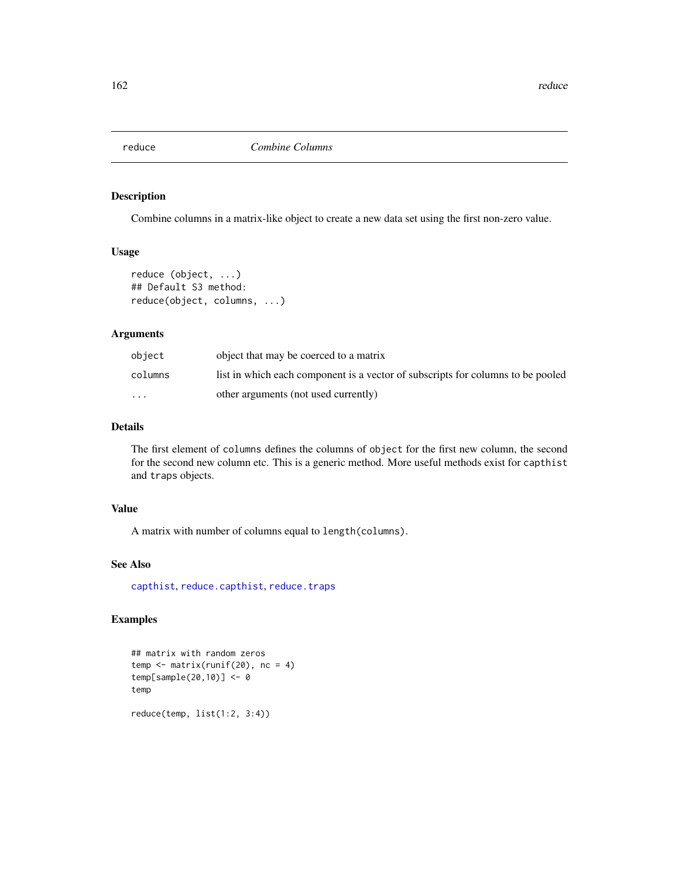Combine columns in a matrix-like object to create a new data set using the first non-zero value.

#### Usage

```
reduce (object, ...)
## Default S3 method:
reduce(object, columns, ...)
```
# Arguments

| object                  | object that may be coerced to a matrix                                          |
|-------------------------|---------------------------------------------------------------------------------|
| columns                 | list in which each component is a vector of subscripts for columns to be pooled |
| $\cdot$ $\cdot$ $\cdot$ | other arguments (not used currently)                                            |

# Details

The first element of columns defines the columns of object for the first new column, the second for the second new column etc. This is a generic method. More useful methods exist for capthist and traps objects.

# Value

A matrix with number of columns equal to length(columns).

## See Also

[capthist](#page-17-0), [reduce.capthist](#page-162-0), [reduce.traps](#page-162-1)

```
## matrix with random zeros
temp \leq matrix(runif(20), nc = 4)
temp[sample(20,10)] <- 0
temp
reduce(temp, list(1:2, 3:4))
```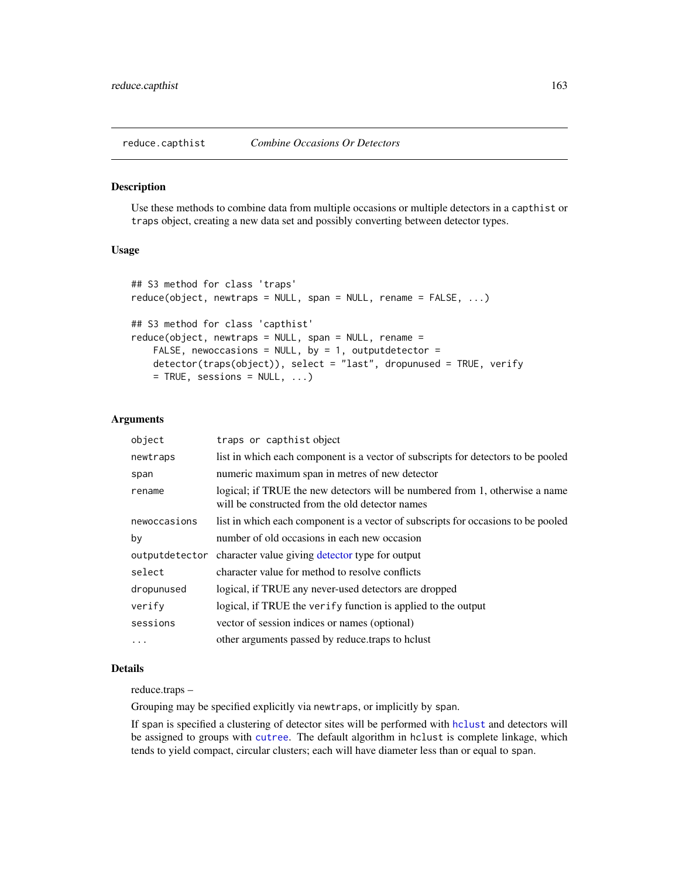<span id="page-162-1"></span><span id="page-162-0"></span>

Use these methods to combine data from multiple occasions or multiple detectors in a capthist or traps object, creating a new data set and possibly converting between detector types.

# Usage

```
## S3 method for class 'traps'
reduce(object, newtraps = NULL, span = NULL, remain = FALSE, ...)## S3 method for class 'capthist'
reduce(object, newtraps = NULL, span = NULL, rename =
   FALSE, newoccasions = NULL, by = 1, outputdetector =
   detector(traps(object)), select = "last", dropunused = TRUE, verify
   = TRUE, sessions = NULL, ...)
```
## Arguments

| object         | traps or capthist object                                                                                                        |
|----------------|---------------------------------------------------------------------------------------------------------------------------------|
| newtraps       | list in which each component is a vector of subscripts for detectors to be pooled                                               |
| span           | numeric maximum span in metres of new detector                                                                                  |
| rename         | logical; if TRUE the new detectors will be numbered from 1, otherwise a name<br>will be constructed from the old detector names |
| newoccasions   | list in which each component is a vector of subscripts for occasions to be pooled                                               |
| by             | number of old occasions in each new occasion                                                                                    |
| outputdetector | character value giving detector type for output                                                                                 |
| select         | character value for method to resolve conflicts                                                                                 |
| dropunused     | logical, if TRUE any never-used detectors are dropped                                                                           |
| verify         | logical, if TRUE the verify function is applied to the output                                                                   |
| sessions       | vector of session indices or names (optional)                                                                                   |
|                | other arguments passed by reduce.traps to holust                                                                                |

#### Details

reduce.traps –

Grouping may be specified explicitly via newtraps, or implicitly by span.

If span is specified a clustering of detector sites will be performed with [hclust](#page-0-0) and detectors will be assigned to groups with [cutree](#page-0-0). The default algorithm in hclust is complete linkage, which tends to yield compact, circular clusters; each will have diameter less than or equal to span.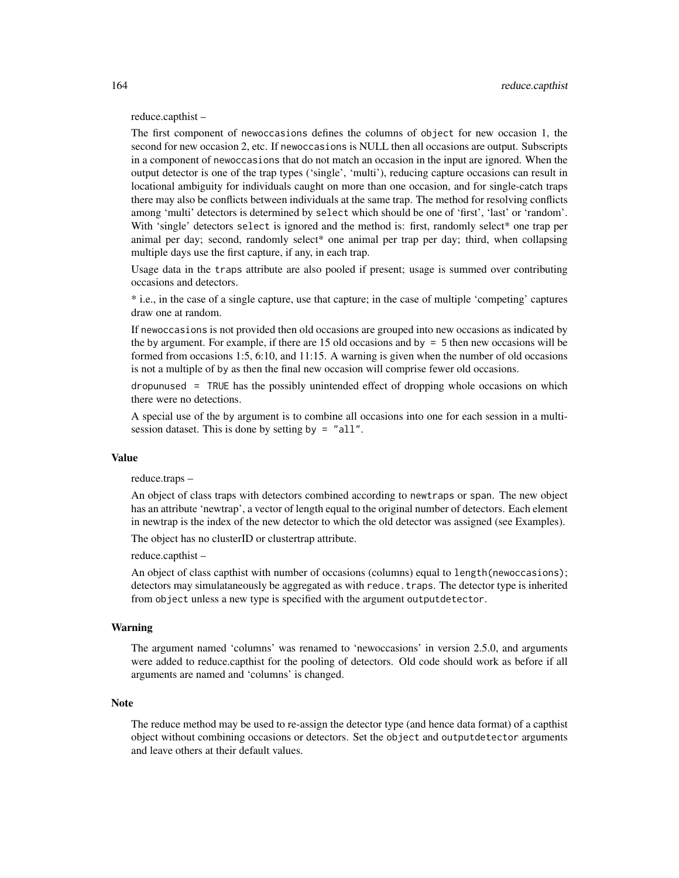reduce.capthist –

The first component of newoccasions defines the columns of object for new occasion 1, the second for new occasion 2, etc. If newoccasions is NULL then all occasions are output. Subscripts in a component of newoccasions that do not match an occasion in the input are ignored. When the output detector is one of the trap types ('single', 'multi'), reducing capture occasions can result in locational ambiguity for individuals caught on more than one occasion, and for single-catch traps there may also be conflicts between individuals at the same trap. The method for resolving conflicts among 'multi' detectors is determined by select which should be one of 'first', 'last' or 'random'. With 'single' detectors select is ignored and the method is: first, randomly select\* one trap per animal per day; second, randomly select\* one animal per trap per day; third, when collapsing multiple days use the first capture, if any, in each trap.

Usage data in the traps attribute are also pooled if present; usage is summed over contributing occasions and detectors.

\* i.e., in the case of a single capture, use that capture; in the case of multiple 'competing' captures draw one at random.

If newoccasions is not provided then old occasions are grouped into new occasions as indicated by the by argument. For example, if there are 15 old occasions and by  $= 5$  then new occasions will be formed from occasions 1:5, 6:10, and 11:15. A warning is given when the number of old occasions is not a multiple of by as then the final new occasion will comprise fewer old occasions.

dropunused = TRUE has the possibly unintended effect of dropping whole occasions on which there were no detections.

A special use of the by argument is to combine all occasions into one for each session in a multisession dataset. This is done by setting by  $=$  "all".

## Value

reduce.traps –

An object of class traps with detectors combined according to newtraps or span. The new object has an attribute 'newtrap', a vector of length equal to the original number of detectors. Each element in newtrap is the index of the new detector to which the old detector was assigned (see Examples).

The object has no clusterID or clustertrap attribute.

reduce.capthist –

An object of class capthist with number of occasions (columns) equal to length(newoccasions); detectors may simulataneously be aggregated as with reduce. traps. The detector type is inherited from object unless a new type is specified with the argument outputdetector.

# Warning

The argument named 'columns' was renamed to 'newoccasions' in version 2.5.0, and arguments were added to reduce.capthist for the pooling of detectors. Old code should work as before if all arguments are named and 'columns' is changed.

#### **Note**

The reduce method may be used to re-assign the detector type (and hence data format) of a capthist object without combining occasions or detectors. Set the object and outputdetector arguments and leave others at their default values.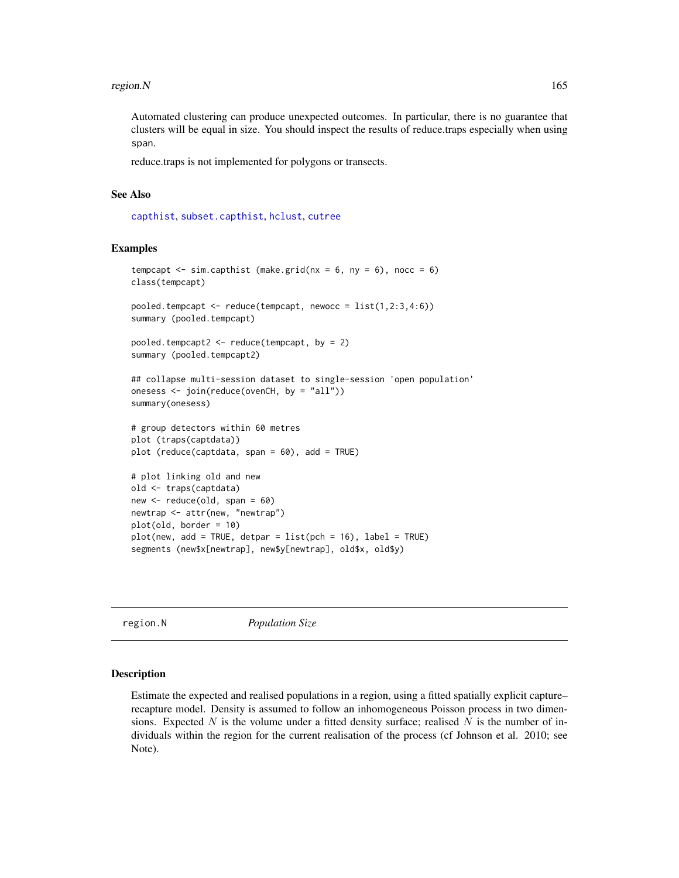#### region.N  $165$

Automated clustering can produce unexpected outcomes. In particular, there is no guarantee that clusters will be equal in size. You should inspect the results of reduce.traps especially when using span.

reduce.traps is not implemented for polygons or transects.

# See Also

[capthist](#page-17-0), [subset.capthist](#page-223-0), [hclust](#page-0-0), [cutree](#page-0-0)

## Examples

```
tempcapt \leq sim.capthist (make.grid(nx = 6, ny = 6), nocc = 6)
class(tempcapt)
pooled.tempcapt \leq reduce(tempcapt, newocc = list(1,2:3,4:6))
summary (pooled.tempcapt)
pooled.tempcapt2 <- reduce(tempcapt, by = 2)
summary (pooled.tempcapt2)
## collapse multi-session dataset to single-session 'open population'
onesess <- join(reduce(ovenCH, by = "all"))
summary(onesess)
# group detectors within 60 metres
plot (traps(captdata))
plot (reduce(captdata, span = 60), add = TRUE)
# plot linking old and new
old <- traps(captdata)
new <- reduce(old, span = 60)
newtrap <- attr(new, "newtrap")
plot(old, border = 10)
plot(new, add = TRUE, detpar = list(pch = 16), label = TRUE)segments (new$x[newtrap], new$y[newtrap], old$x, old$y)
```
region.N *Population Size*

#### Description

Estimate the expected and realised populations in a region, using a fitted spatially explicit capture– recapture model. Density is assumed to follow an inhomogeneous Poisson process in two dimensions. Expected N is the volume under a fitted density surface; realised N is the number of individuals within the region for the current realisation of the process (cf Johnson et al. 2010; see Note).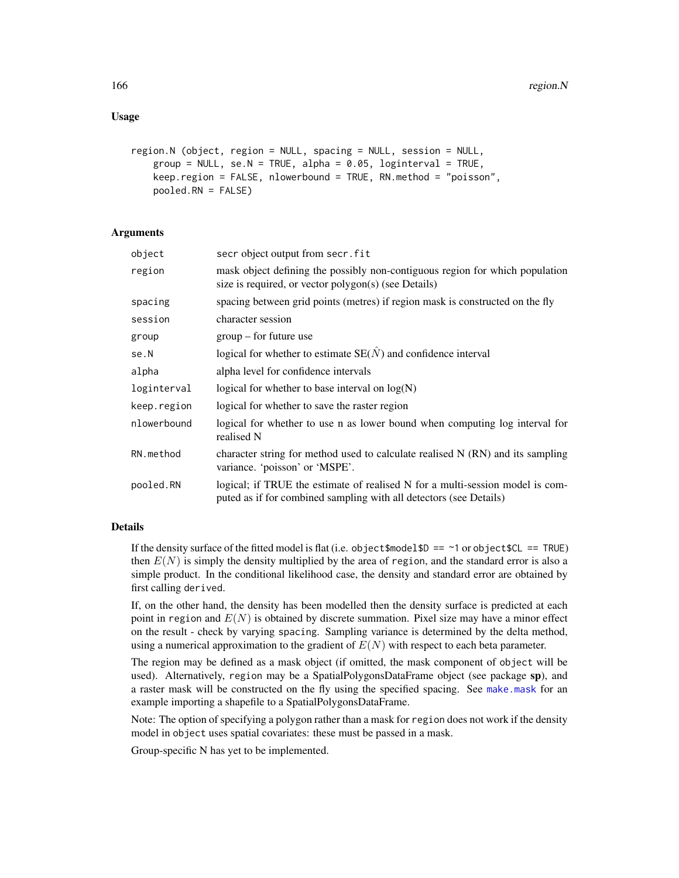```
region.N (object, region = NULL, spacing = NULL, session = NULL,
   group = NULL, se.N = TRUE, alpha = 0.05, loginterval = TRUE,
   keep.region = FALSE, nlowerbound = TRUE, RN.method = "poisson",
   pooled.RN = FALSE)
```
## Arguments

| object      | secr object output from secr. fit                                                                                                                   |
|-------------|-----------------------------------------------------------------------------------------------------------------------------------------------------|
| region      | mask object defining the possibly non-contiguous region for which population<br>size is required, or vector polygon(s) (see Details)                |
| spacing     | spacing between grid points (metres) if region mask is constructed on the fly                                                                       |
| session     | character session                                                                                                                                   |
| group       | $group - for future use$                                                                                                                            |
| se.N        | logical for whether to estimate $SE(\hat{N})$ and confidence interval                                                                               |
| alpha       | alpha level for confidence intervals                                                                                                                |
| loginterval | logical for whether to base interval on log(N)                                                                                                      |
| keep.region | logical for whether to save the raster region                                                                                                       |
| nlowerbound | logical for whether to use n as lower bound when computing log interval for<br>realised N                                                           |
| RN.method   | character string for method used to calculate realised $N(RN)$ and its sampling<br>variance. 'poisson' or 'MSPE'.                                   |
| pooled.RN   | logical; if TRUE the estimate of realised N for a multi-session model is com-<br>puted as if for combined sampling with all detectors (see Details) |
|             |                                                                                                                                                     |

## Details

If the density surface of the fitted model is flat (i.e. object $\text{smodel}\$ ) == ~1 or object $\text{SCL}$  == TRUE) then  $E(N)$  is simply the density multiplied by the area of region, and the standard error is also a simple product. In the conditional likelihood case, the density and standard error are obtained by first calling derived.

If, on the other hand, the density has been modelled then the density surface is predicted at each point in region and  $E(N)$  is obtained by discrete summation. Pixel size may have a minor effect on the result - check by varying spacing. Sampling variance is determined by the delta method, using a numerical approximation to the gradient of  $E(N)$  with respect to each beta parameter.

The region may be defined as a mask object (if omitted, the mask component of object will be used). Alternatively, region may be a SpatialPolygonsDataFrame object (see package sp), and a raster mask will be constructed on the fly using the specified spacing. See [make.mask](#page-91-0) for an example importing a shapefile to a SpatialPolygonsDataFrame.

Note: The option of specifying a polygon rather than a mask for region does not work if the density model in object uses spatial covariates: these must be passed in a mask.

Group-specific N has yet to be implemented.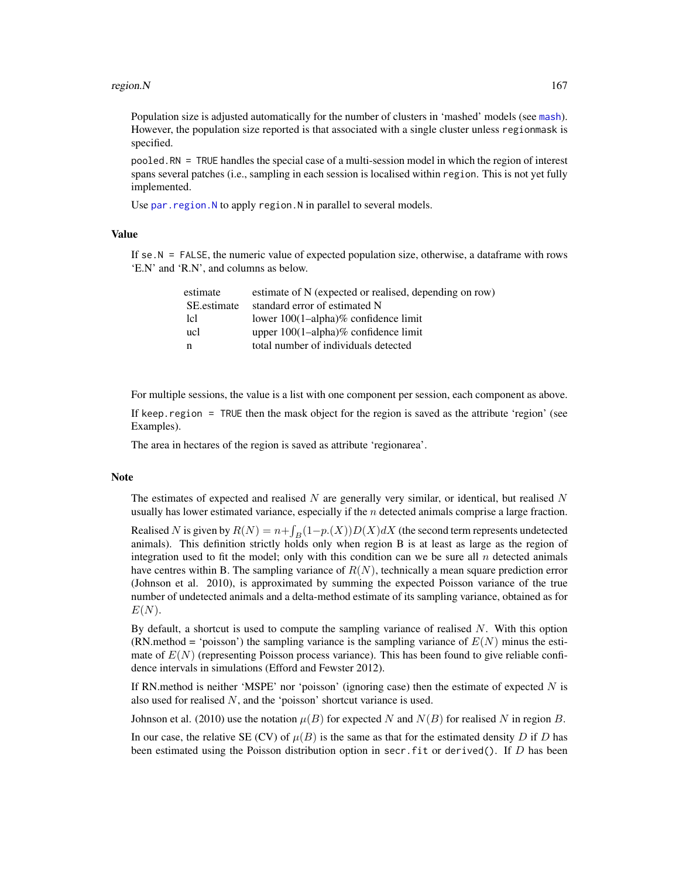#### region.N  $167$

Population size is adjusted automatically for the number of clusters in 'mashed' models (see [mash](#page-239-0)). However, the population size reported is that associated with a single cluster unless regionmask is specified.

pooled.RN = TRUE handles the special case of a multi-session model in which the region of interest spans several patches (i.e., sampling in each session is localised within region. This is not yet fully implemented.

Use par. region. N to apply region. N in parallel to several models.

#### Value

If se.N = FALSE, the numeric value of expected population size, otherwise, a dataframe with rows 'E.N' and 'R.N', and columns as below.

| estimate    | estimate of N (expected or realised, depending on row) |
|-------------|--------------------------------------------------------|
| SE estimate | standard error of estimated N                          |
| 1c1         | lower $100(1–alpha)$ % confidence limit                |
| ucl         | upper $100(1-\alpha)$ alpha $\%$ confidence limit      |
| n           | total number of individuals detected                   |
|             |                                                        |

For multiple sessions, the value is a list with one component per session, each component as above.

If keep.region = TRUE then the mask object for the region is saved as the attribute 'region' (see Examples).

The area in hectares of the region is saved as attribute 'regionarea'.

#### Note

The estimates of expected and realised  $N$  are generally very similar, or identical, but realised  $N$ usually has lower estimated variance, especially if the  $n$  detected animals comprise a large fraction.

Realised N is given by  $R(N) = n + \int_B(1-p.(X))D(X)dX$  (the second term represents undetected animals). This definition strictly holds only when region B is at least as large as the region of integration used to fit the model; only with this condition can we be sure all  $n$  detected animals have centres within B. The sampling variance of  $R(N)$ , technically a mean square prediction error (Johnson et al. 2010), is approximated by summing the expected Poisson variance of the true number of undetected animals and a delta-method estimate of its sampling variance, obtained as for  $E(N)$ .

By default, a shortcut is used to compute the sampling variance of realised  $N$ . With this option (RN.method = 'poisson') the sampling variance is the sampling variance of  $E(N)$  minus the estimate of  $E(N)$  (representing Poisson process variance). This has been found to give reliable confidence intervals in simulations (Efford and Fewster 2012).

If RN.method is neither 'MSPE' nor 'poisson' (ignoring case) then the estimate of expected  $N$  is also used for realised N, and the 'poisson' shortcut variance is used.

Johnson et al. (2010) use the notation  $\mu(B)$  for expected N and  $N(B)$  for realised N in region B.

In our case, the relative SE (CV) of  $\mu(B)$  is the same as that for the estimated density D if D has been estimated using the Poisson distribution option in secr. fit or derived(). If  $D$  has been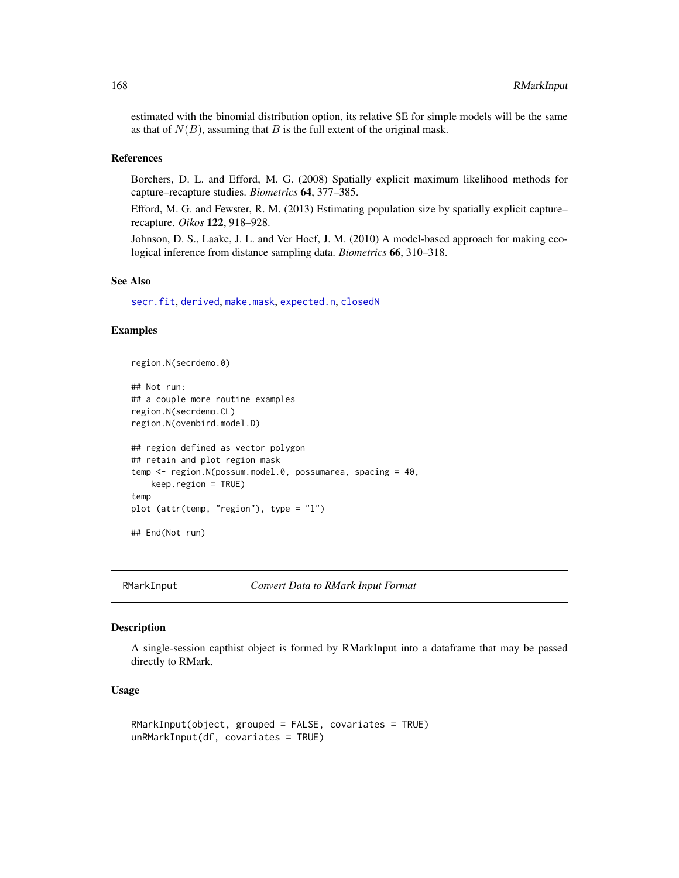estimated with the binomial distribution option, its relative SE for simple models will be the same as that of  $N(B)$ , assuming that B is the full extent of the original mask.

# References

Borchers, D. L. and Efford, M. G. (2008) Spatially explicit maximum likelihood methods for capture–recapture studies. *Biometrics* 64, 377–385.

Efford, M. G. and Fewster, R. M. (2013) Estimating population size by spatially explicit capture– recapture. *Oikos* 122, 918–928.

Johnson, D. S., Laake, J. L. and Ver Hoef, J. M. (2010) A model-based approach for making ecological inference from distance sampling data. *Biometrics* 66, 310–318.

#### See Also

[secr.fit](#page-176-0), [derived](#page-39-0), [make.mask](#page-91-0), [expected.n](#page-59-0), [closedN](#page-23-0)

## Examples

```
region.N(secrdemo.0)
```

```
## Not run:
## a couple more routine examples
region.N(secrdemo.CL)
region.N(ovenbird.model.D)
## region defined as vector polygon
## retain and plot region mask
temp <- region.N(possum.model.0, possumarea, spacing = 40,
   keep.region = TRUE)
temp
plot (attr(temp, "region"), type = "l")
## End(Not run)
```
RMarkInput *Convert Data to RMark Input Format*

# **Description**

A single-session capthist object is formed by RMarkInput into a dataframe that may be passed directly to RMark.

## Usage

```
RMarkInput(object, grouped = FALSE, covariates = TRUE)
unRMarkInput(df, covariates = TRUE)
```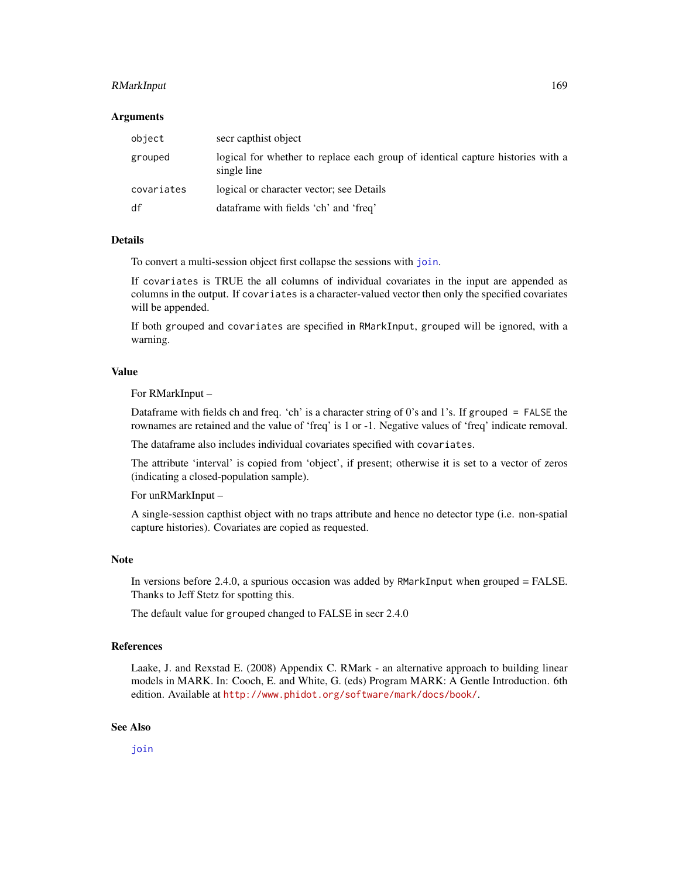# RMarkInput 169

#### Arguments

| object     | secr capthist object                                                                           |
|------------|------------------------------------------------------------------------------------------------|
| grouped    | logical for whether to replace each group of identical capture histories with a<br>single line |
| covariates | logical or character vector; see Details                                                       |
| df         | dataframe with fields 'ch' and 'freq'                                                          |

## Details

To convert a multi-session object first collapse the sessions with [join](#page-82-0).

If covariates is TRUE the all columns of individual covariates in the input are appended as columns in the output. If covariates is a character-valued vector then only the specified covariates will be appended.

If both grouped and covariates are specified in RMarkInput, grouped will be ignored, with a warning.

# Value

For RMarkInput –

Dataframe with fields ch and freq. 'ch' is a character string of 0's and 1's. If grouped  $=$  FALSE the rownames are retained and the value of 'freq' is 1 or -1. Negative values of 'freq' indicate removal.

The dataframe also includes individual covariates specified with covariates.

The attribute 'interval' is copied from 'object', if present; otherwise it is set to a vector of zeros (indicating a closed-population sample).

For unRMarkInput –

A single-session capthist object with no traps attribute and hence no detector type (i.e. non-spatial capture histories). Covariates are copied as requested.

# Note

In versions before 2.4.0, a spurious occasion was added by RMarkInput when grouped = FALSE. Thanks to Jeff Stetz for spotting this.

The default value for grouped changed to FALSE in secr 2.4.0

# References

Laake, J. and Rexstad E. (2008) Appendix C. RMark - an alternative approach to building linear models in MARK. In: Cooch, E. and White, G. (eds) Program MARK: A Gentle Introduction. 6th edition. Available at <http://www.phidot.org/software/mark/docs/book/>.

# See Also

[join](#page-82-0)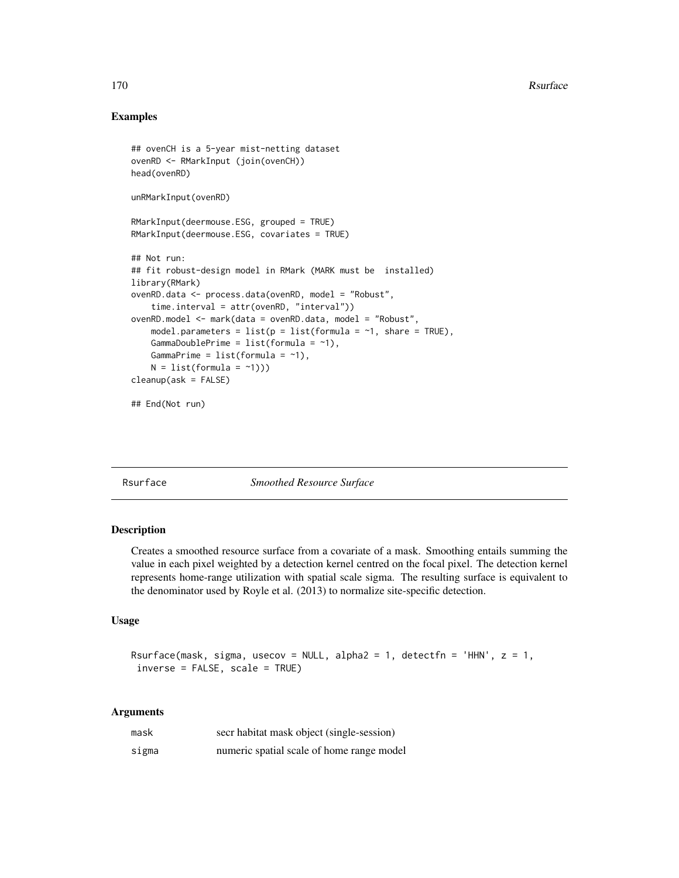# Examples

```
## ovenCH is a 5-year mist-netting dataset
ovenRD <- RMarkInput (join(ovenCH))
head(ovenRD)
unRMarkInput(ovenRD)
RMarkInput(deermouse.ESG, grouped = TRUE)
RMarkInput(deermouse.ESG, covariates = TRUE)
## Not run:
## fit robust-design model in RMark (MARK must be installed)
library(RMark)
ovenRD.data <- process.data(ovenRD, model = "Robust",
    time.interval = attr(ovenRD, "interval"))
ovenRD.model <- mark(data = ovenRD.data, model = "Robust",
    model.parameters = list(p = list(fromula = -1, share = TRUE),GammaDoublePrime = list(formula = ~1),
   GammaPrime = list(fromula = ~1),
    N = list(fromula = ~1)))cleanup(ask = FALSE)
## End(Not run)
```
Rsurface *Smoothed Resource Surface*

# Description

Creates a smoothed resource surface from a covariate of a mask. Smoothing entails summing the value in each pixel weighted by a detection kernel centred on the focal pixel. The detection kernel represents home-range utilization with spatial scale sigma. The resulting surface is equivalent to the denominator used by Royle et al. (2013) to normalize site-specific detection.

# Usage

```
Rsurface(mask, sigma, usecov = NULL, alpha2 = 1, detectfn = 'HHN', z = 1,
inverse = FALSE, scale = TRUE)
```
#### Arguments

| mask  | secr habitat mask object (single-session) |
|-------|-------------------------------------------|
| sigma | numeric spatial scale of home range model |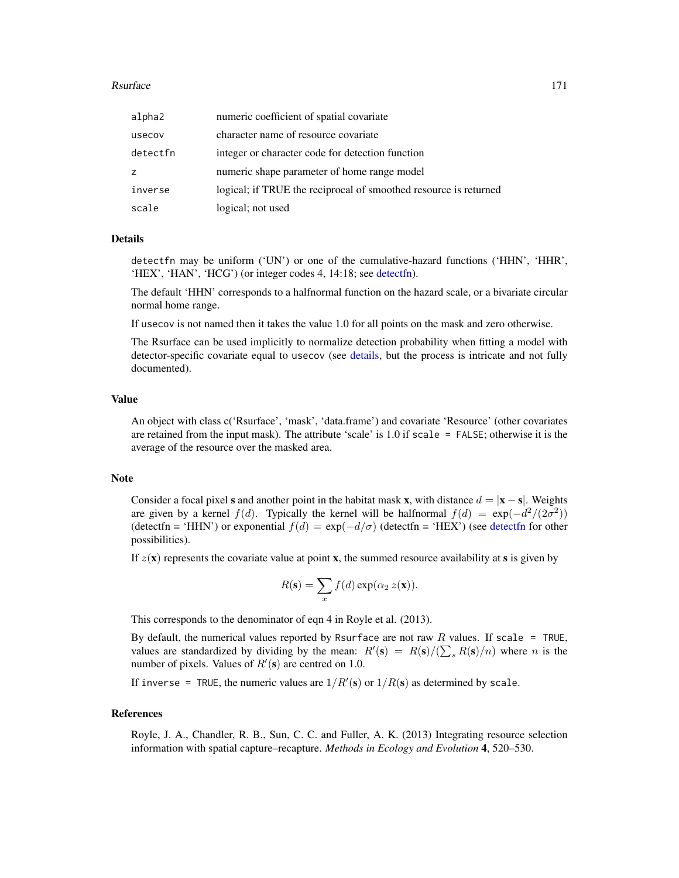#### Rsurface 171

| alpha2   | numeric coefficient of spatial covariate                         |
|----------|------------------------------------------------------------------|
| usecov   | character name of resource covariate                             |
| detectfn | integer or character code for detection function                 |
| Z        | numeric shape parameter of home range model                      |
| inverse  | logical; if TRUE the reciprocal of smoothed resource is returned |
| scale    | logical; not used                                                |

### Details

detectfn may be uniform ('UN') or one of the cumulative-hazard functions ('HHN', 'HHR', 'HEX', 'HAN', 'HCG') (or integer codes 4, 14:18; see [detectfn\)](#page-44-0).

The default 'HHN' corresponds to a halfnormal function on the hazard scale, or a bivariate circular normal home range.

If usecov is not named then it takes the value 1.0 for all points on the mask and zero otherwise.

The Rsurface can be used implicitly to normalize detection probability when fitting a model with detector-specific covariate equal to usecov (see [details,](#page-42-0) but the process is intricate and not fully documented).

## Value

An object with class c('Rsurface', 'mask', 'data.frame') and covariate 'Resource' (other covariates are retained from the input mask). The attribute 'scale' is 1.0 if scale = FALSE; otherwise it is the average of the resource over the masked area.

#### Note

Consider a focal pixel s and another point in the habitat mask x, with distance  $d = |\mathbf{x} - \mathbf{s}|$ . Weights are given by a kernel  $f(d)$ . Typically the kernel will be halfnormal  $f(d) = \exp(-\frac{d^2}{2\sigma^2})$ ([detectfn](#page-44-0) = 'HHN') or exponential  $f(d) = \exp(-d/\sigma)$  (detectfn = 'HEX') (see detectfn for other possibilities).

If  $z(\mathbf{x})$  represents the covariate value at point **x**, the summed resource availability at **s** is given by

$$
R(\mathbf{s}) = \sum_{x} f(d) \exp(\alpha_2 z(\mathbf{x})).
$$

This corresponds to the denominator of eqn 4 in Royle et al. (2013).

By default, the numerical values reported by Rsurface are not raw R values. If scale = TRUE, values are standardized by dividing by the mean:  $R'(\mathbf{s}) = R(\mathbf{s})/(\sum_{s} R(\mathbf{s})/n)$  where n is the number of pixels. Values of  $R'(\mathbf{s})$  are centred on 1.0.

If inverse = TRUE, the numeric values are  $1/R'(s)$  or  $1/R(s)$  as determined by scale.

## References

Royle, J. A., Chandler, R. B., Sun, C. C. and Fuller, A. K. (2013) Integrating resource selection information with spatial capture–recapture. *Methods in Ecology and Evolution* 4, 520–530.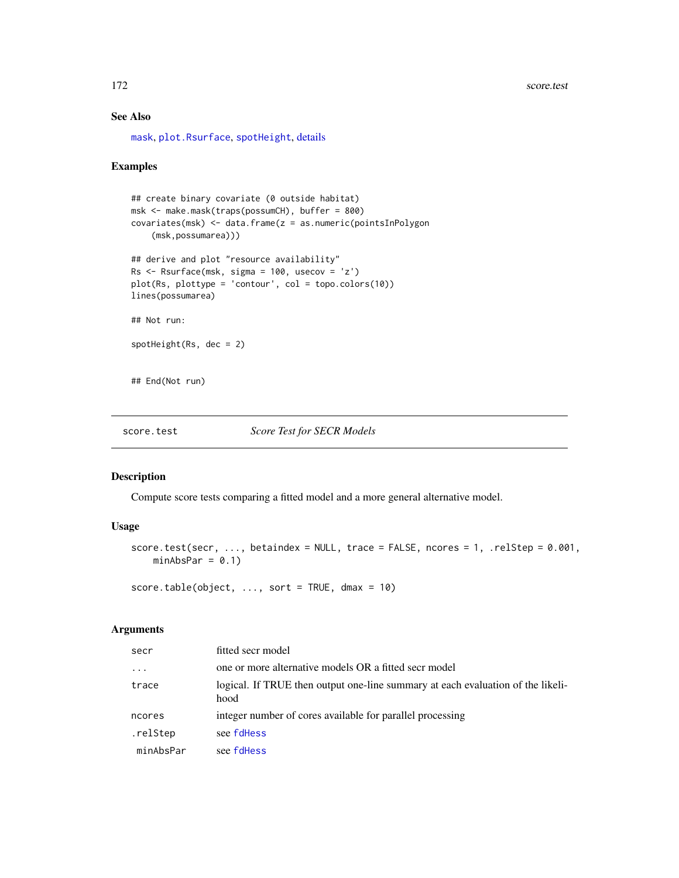# See Also

[mask](#page-100-0), [plot.Rsurface](#page-125-0), [spotHeight](#page-125-0), [details](#page-42-0)

## Examples

```
## create binary covariate (0 outside habitat)
msk <- make.mask(traps(possumCH), buffer = 800)
covariates(msk) <- data.frame(z = as.numeric(pointsInPolygon
    (msk,possumarea)))
## derive and plot "resource availability"
Rs <- Rsurface(msk, sigma = 100, usecov = 'z')
plot(Rs, plottype = 'contour', col = topo.colors(10))lines(possumarea)
## Not run:
spotHeight(Rs, dec = 2)
## End(Not run)
```
<span id="page-171-0"></span>score.test *Score Test for SECR Models*

# Description

Compute score tests comparing a fitted model and a more general alternative model.

# Usage

```
score.test(secr, ..., betaindex = NULL, trace = FALSE, ncores = 1, .relStep = 0.001,
   minAbsPar = 0.1)
```
score.table(object,  $\ldots$ , sort = TRUE, dmax = 10)

# Arguments

| secr      | fitted secr model                                                                       |
|-----------|-----------------------------------------------------------------------------------------|
| $\ddotsc$ | one or more alternative models OR a fitted secr model                                   |
| trace     | logical. If TRUE then output one-line summary at each evaluation of the likeli-<br>hood |
| ncores    | integer number of cores available for parallel processing                               |
| .relStep  | see fdHess                                                                              |
| minAbsPar | see fdHess                                                                              |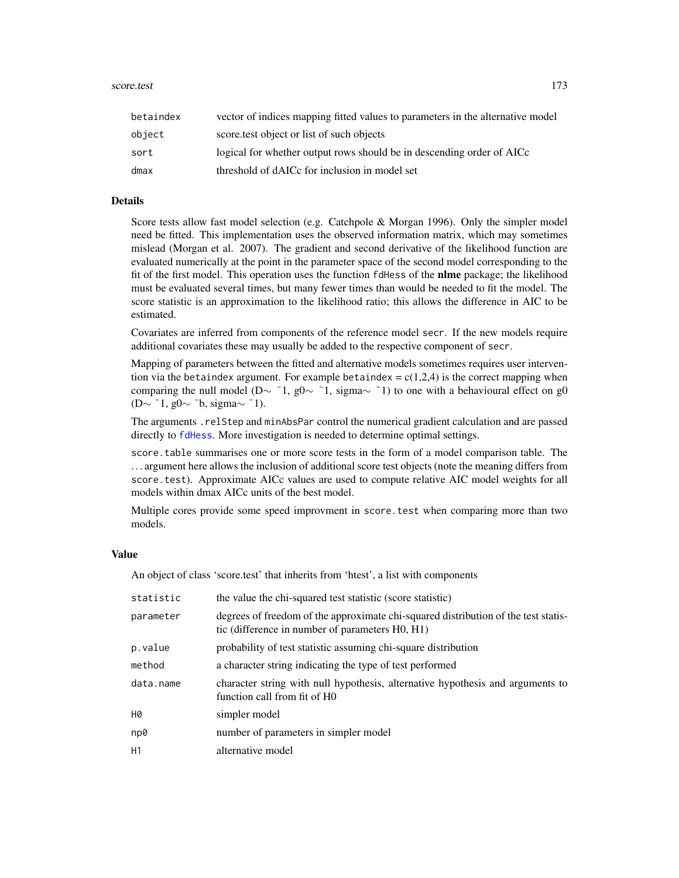| betaindex | vector of indices mapping fitted values to parameters in the alternative model |
|-----------|--------------------------------------------------------------------------------|
| object    | score test object or list of such objects                                      |
| sort      | logical for whether output rows should be in descending order of AICc          |
| dmax      | threshold of dAICc for inclusion in model set                                  |

# Details

Score tests allow fast model selection (e.g. Catchpole & Morgan 1996). Only the simpler model need be fitted. This implementation uses the observed information matrix, which may sometimes mislead (Morgan et al. 2007). The gradient and second derivative of the likelihood function are evaluated numerically at the point in the parameter space of the second model corresponding to the fit of the first model. This operation uses the function fdHess of the **nlme** package; the likelihood must be evaluated several times, but many fewer times than would be needed to fit the model. The score statistic is an approximation to the likelihood ratio; this allows the difference in AIC to be estimated.

Covariates are inferred from components of the reference model secr. If the new models require additional covariates these may usually be added to the respective component of secr.

Mapping of parameters between the fitted and alternative models sometimes requires user intervention via the betaindex argument. For example betaindex =  $c(1,2,4)$  is the correct mapping when comparing the null model (D $\sim$  ~1, g0 $\sim$  ~1, sigma $\sim$  ~1) to one with a behavioural effect on g0 (D∼ ~1, g0∼ ~b, sigma $\sim$  ~1).

The arguments .relStep and minAbsPar control the numerical gradient calculation and are passed directly to [fdHess](#page-0-0). More investigation is needed to determine optimal settings.

score.table summarises one or more score tests in the form of a model comparison table. The . . . argument here allows the inclusion of additional score test objects (note the meaning differs from score.test). Approximate AICc values are used to compute relative AIC model weights for all models within dmax AICc units of the best model.

Multiple cores provide some speed improvment in score.test when comparing more than two models.

## Value

An object of class 'score.test' that inherits from 'htest', a list with components

| statistic | the value the chi-squared test statistic (score statistic)                                                                            |
|-----------|---------------------------------------------------------------------------------------------------------------------------------------|
| parameter | degrees of freedom of the approximate chi-squared distribution of the test statis-<br>tic (difference in number of parameters H0, H1) |
| p.value   | probability of test statistic assuming chi-square distribution                                                                        |
| method    | a character string indicating the type of test performed                                                                              |
| data.name | character string with null hypothesis, alternative hypothesis and arguments to<br>function call from fit of HO                        |
| H0        | simpler model                                                                                                                         |
| np0       | number of parameters in simpler model                                                                                                 |
| H1        | alternative model                                                                                                                     |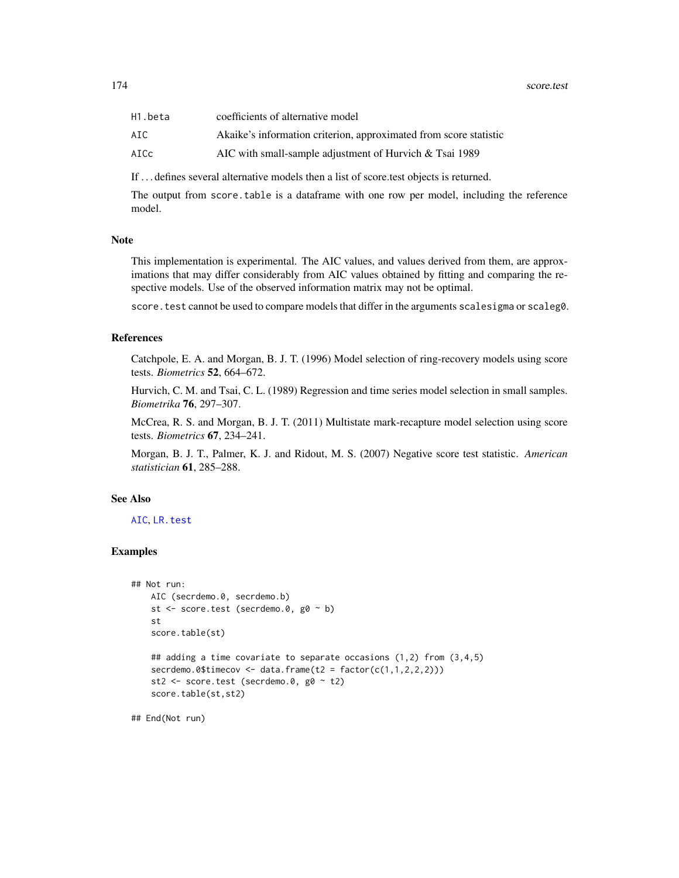| H1.beta | coefficients of alternative model                                 |
|---------|-------------------------------------------------------------------|
| AIC.    | Akaike's information criterion, approximated from score statistic |
| AICc    | AIC with small-sample adjustment of Hurvich $&$ Tsai 1989         |

If . . . defines several alternative models then a list of score.test objects is returned.

The output from score.table is a dataframe with one row per model, including the reference model.

#### Note

This implementation is experimental. The AIC values, and values derived from them, are approximations that may differ considerably from AIC values obtained by fitting and comparing the respective models. Use of the observed information matrix may not be optimal.

score. test cannot be used to compare models that differ in the arguments scalesigma or scaleg0.

# References

Catchpole, E. A. and Morgan, B. J. T. (1996) Model selection of ring-recovery models using score tests. *Biometrics* 52, 664–672.

Hurvich, C. M. and Tsai, C. L. (1989) Regression and time series model selection in small samples. *Biometrika* 76, 297–307.

McCrea, R. S. and Morgan, B. J. T. (2011) Multistate mark-recapture model selection using score tests. *Biometrics* 67, 234–241.

Morgan, B. J. T., Palmer, K. J. and Ridout, M. S. (2007) Negative score test statistic. *American statistician* 61, 285–288.

#### See Also

#### [AIC](#page-0-0), [LR.test](#page-87-0)

# Examples

```
## Not run:
   AIC (secrdemo.0, secrdemo.b)
   st <- score.test (secrdemo.0, g0 ~ b)
   st
   score.table(st)
   ## adding a time covariate to separate occasions (1,2) from (3,4,5)
   secrdemo.0$timecov <- data.frame(t2 = factor(c(1,1,2,2,2)))st2 <- score.test (secrdemo.0, g0 ~ t2)
   score.table(st,st2)
```
## End(Not run)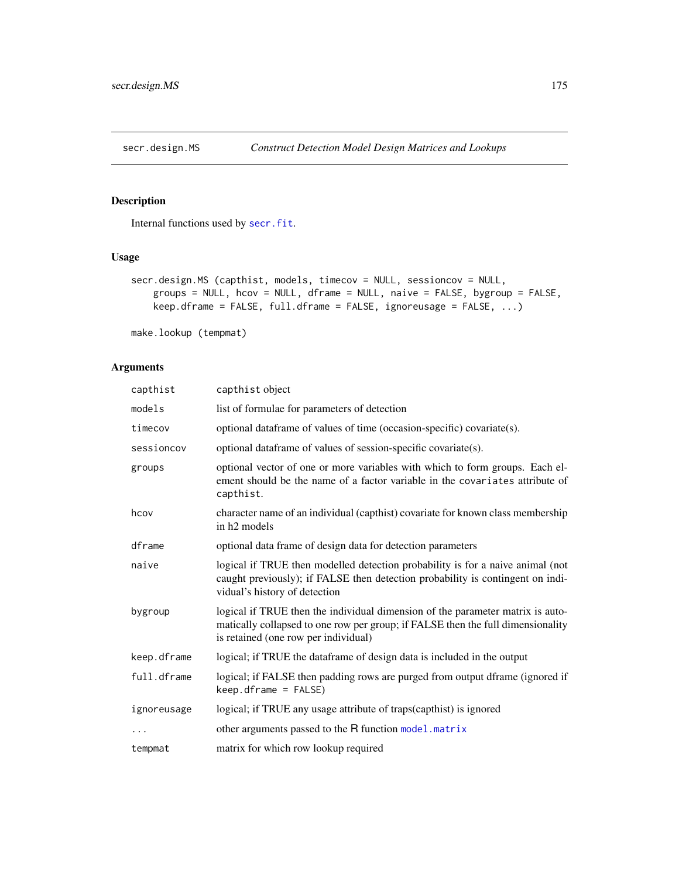<span id="page-174-0"></span>

Internal functions used by [secr.fit](#page-176-0).

# Usage

```
secr.design.MS (capthist, models, timecov = NULL, sessioncov = NULL,
   groups = NULL, hcov = NULL, dframe = NULL, naive = FALSE, bygroup = FALSE,
   keep.dframe = FALSE, full.dframe = FALSE, ignoreusage = FALSE, ...)
```
make.lookup (tempmat)

# Arguments

| capthist    | capthist object                                                                                                                                                                                           |
|-------------|-----------------------------------------------------------------------------------------------------------------------------------------------------------------------------------------------------------|
| models      | list of formulae for parameters of detection                                                                                                                                                              |
| timecov     | optional dataframe of values of time (occasion-specific) covariate(s).                                                                                                                                    |
| sessioncov  | optional dataframe of values of session-specific covariate(s).                                                                                                                                            |
| groups      | optional vector of one or more variables with which to form groups. Each el-<br>ement should be the name of a factor variable in the covariates attribute of<br>capthist.                                 |
| hcov        | character name of an individual (capthist) covariate for known class membership<br>in h <sub>2</sub> models                                                                                               |
| dframe      | optional data frame of design data for detection parameters                                                                                                                                               |
| naive       | logical if TRUE then modelled detection probability is for a naive animal (not<br>caught previously); if FALSE then detection probability is contingent on indi-<br>vidual's history of detection         |
| bygroup     | logical if TRUE then the individual dimension of the parameter matrix is auto-<br>matically collapsed to one row per group; if FALSE then the full dimensionality<br>is retained (one row per individual) |
| keep.dframe | logical; if TRUE the dataframe of design data is included in the output                                                                                                                                   |
| full.dframe | logical; if FALSE then padding rows are purged from output dframe (ignored if<br>$keep.dframe = FALSE)$                                                                                                   |
| ignoreusage | logical; if TRUE any usage attribute of traps(capthist) is ignored                                                                                                                                        |
|             | other arguments passed to the R function model. matrix                                                                                                                                                    |
| tempmat     | matrix for which row lookup required                                                                                                                                                                      |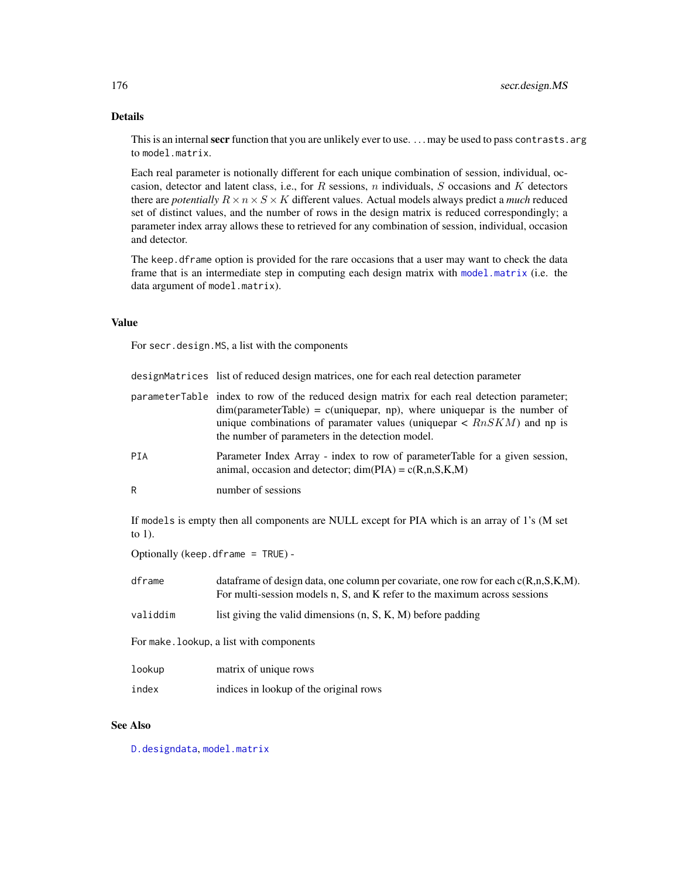# Details

This is an internal secr function that you are unlikely ever to use. ... may be used to pass contrasts. arg to model.matrix.

Each real parameter is notionally different for each unique combination of session, individual, occasion, detector and latent class, i.e., for  $R$  sessions,  $n$  individuals,  $S$  occasions and  $K$  detectors there are *potentially*  $R \times n \times S \times K$  different values. Actual models always predict a *much* reduced set of distinct values, and the number of rows in the design matrix is reduced correspondingly; a parameter index array allows these to retrieved for any combination of session, individual, occasion and detector.

The keep.dframe option is provided for the rare occasions that a user may want to check the data frame that is an intermediate step in computing each design matrix with [model.matrix](#page-0-0) (i.e. the data argument of model.matrix).

# Value

For secr.design.MS, a list with the components

|                                          | designMatrices list of reduced design matrices, one for each real detection parameter                                                                                                                                                                                                                                    |  |
|------------------------------------------|--------------------------------------------------------------------------------------------------------------------------------------------------------------------------------------------------------------------------------------------------------------------------------------------------------------------------|--|
|                                          | parameterTable index to row of the reduced design matrix for each real detection parameter;<br>$dim(parameterTable) = c(uniquepar, np)$ , where uniquepar is the number of<br>unique combinations of paramater values (unique par $\langle RnSKM\rangle$ ) and np is<br>the number of parameters in the detection model. |  |
| PIA                                      | Parameter Index Array - index to row of parameterTable for a given session,<br>animal, occasion and detector; $dim(PIA) = c(R,n,S,K,M)$                                                                                                                                                                                  |  |
| R                                        | number of sessions                                                                                                                                                                                                                                                                                                       |  |
| to $1$ ).                                | If models is empty then all components are NULL except for PIA which is an array of 1's (M set                                                                                                                                                                                                                           |  |
|                                          | Optionally (keep. dframe = $TRUE$ ) -                                                                                                                                                                                                                                                                                    |  |
| dframe                                   | data frame of design data, one column per covariate, one row for each $c(R, n, S, K, M)$ .<br>For multi-session models n, S, and K refer to the maximum across sessions                                                                                                                                                  |  |
| validdim                                 | list giving the valid dimensions $(n, S, K, M)$ before padding                                                                                                                                                                                                                                                           |  |
| For make. lookup, a list with components |                                                                                                                                                                                                                                                                                                                          |  |
| lookup                                   | matrix of unique rows                                                                                                                                                                                                                                                                                                    |  |
| index                                    | indices in lookup of the original rows                                                                                                                                                                                                                                                                                   |  |

# See Also

[D.designdata](#page-36-0), [model.matrix](#page-0-0)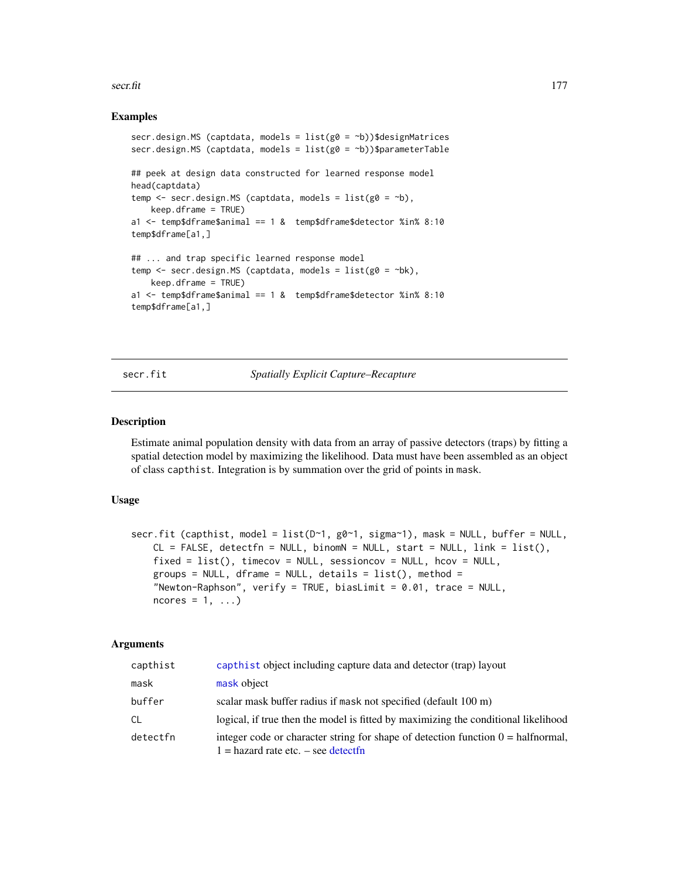#### secr.fit the secretive contract of the secretive contract of the secretive contract of the secretive contract of the secretive contract of the secretive contract of the secretive contract of the secretive contract of the s

# Examples

```
secr.design.MS (captdata, models = list(g0 = ^{b}))$designMatrices
secr.design.MS (captdata, models = list(g0 = b))$parameterTable
## peek at design data constructed for learned response model
head(captdata)
temp \leq secr.design.MS (captdata, models = list(g0 = \negb),
   keep.dframe = TRUE)
a1 <- temp$dframe$animal == 1 & temp$dframe$detector %in% 8:10
temp$dframe[a1,]
## ... and trap specific learned response model
temp \le secr.design.MS (captdata, models = list(g0 = \negbk),
   keep.dframe = TRUE)
a1 <- temp$dframe$animal == 1 & temp$dframe$detector %in% 8:10
temp$dframe[a1,]
```
## secr.fit *Spatially Explicit Capture–Recapture*

## Description

Estimate animal population density with data from an array of passive detectors (traps) by fitting a spatial detection model by maximizing the likelihood. Data must have been assembled as an object of class capthist. Integration is by summation over the grid of points in mask.

## Usage

```
secr.fit (capthist, model = list(D~1, g0~1, sigma~1), mask = NULL, buffer = NULL,
   CL = FALSE, detectfn = NULL, binomN = NULL, start = NULL, link = list(),
    fixed = list(), timecov = NULL, sessioncov = NULL, hcov = NULL,
   groups = NULL, dframe = NULL, details = list(), method =
    "Newton-Raphson", verify = TRUE, biasLimit = 0.01, trace = NULL,
   ncores = 1, ...
```
# Arguments

| capthist | capthist object including capture data and detector (trap) layout                                                                     |
|----------|---------------------------------------------------------------------------------------------------------------------------------------|
| mask     | mask object                                                                                                                           |
| buffer   | scalar mask buffer radius if mask not specified (default 100 m)                                                                       |
| СL       | logical, if true then the model is fitted by maximizing the conditional likelihood                                                    |
| detectfn | integer code or character string for shape of detection function $0 = \text{halfnormal}$ ,<br>$1 =$ hazard rate etc. $-$ see detectfn |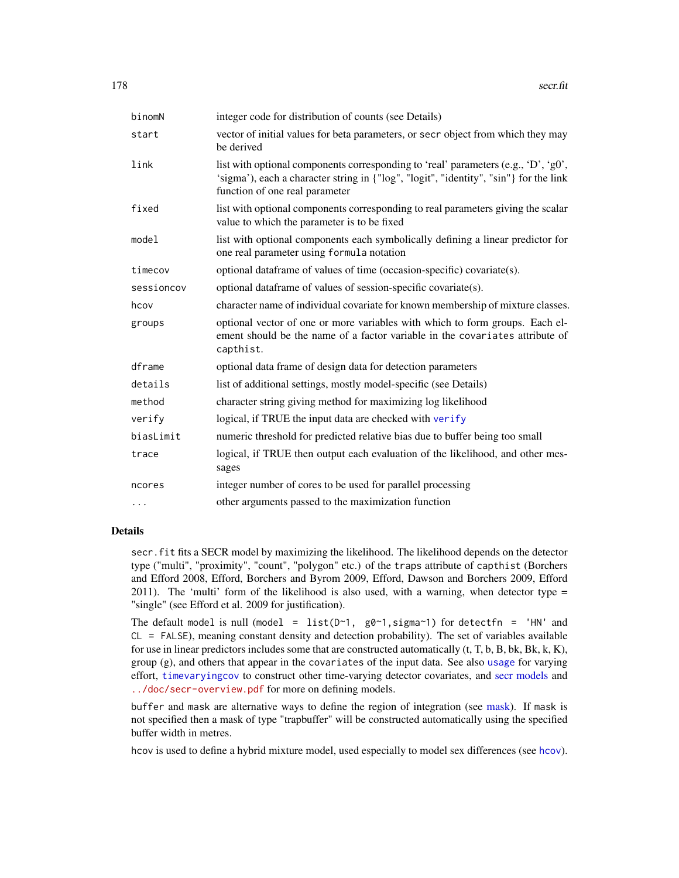| binomN     | integer code for distribution of counts (see Details)                                                                                                                                                         |
|------------|---------------------------------------------------------------------------------------------------------------------------------------------------------------------------------------------------------------|
| start      | vector of initial values for beta parameters, or secr object from which they may<br>be derived                                                                                                                |
| link       | list with optional components corresponding to 'real' parameters (e.g., 'D', 'g0',<br>'sigma'), each a character string in {"log", "logit", "identity", "sin"} for the link<br>function of one real parameter |
| fixed      | list with optional components corresponding to real parameters giving the scalar<br>value to which the parameter is to be fixed                                                                               |
| model      | list with optional components each symbolically defining a linear predictor for<br>one real parameter using formula notation                                                                                  |
| timecov    | optional dataframe of values of time (occasion-specific) covariate(s).                                                                                                                                        |
| sessioncov | optional dataframe of values of session-specific covariate(s).                                                                                                                                                |
| hcov       | character name of individual covariate for known membership of mixture classes.                                                                                                                               |
| groups     | optional vector of one or more variables with which to form groups. Each el-<br>ement should be the name of a factor variable in the covariates attribute of<br>capthist.                                     |
| dframe     | optional data frame of design data for detection parameters                                                                                                                                                   |
| details    | list of additional settings, mostly model-specific (see Details)                                                                                                                                              |
| method     | character string giving method for maximizing log likelihood                                                                                                                                                  |
| verify     | logical, if TRUE the input data are checked with verify                                                                                                                                                       |
| biasLimit  | numeric threshold for predicted relative bias due to buffer being too small                                                                                                                                   |
| trace      | logical, if TRUE then output each evaluation of the likelihood, and other mes-<br>sages                                                                                                                       |
| ncores     | integer number of cores to be used for parallel processing                                                                                                                                                    |
| .          | other arguments passed to the maximization function                                                                                                                                                           |

# Details

secr.fit fits a SECR model by maximizing the likelihood. The likelihood depends on the detector type ("multi", "proximity", "count", "polygon" etc.) of the traps attribute of capthist (Borchers and Efford 2008, Efford, Borchers and Byrom 2009, Efford, Dawson and Borchers 2009, Efford 2011). The 'multi' form of the likelihood is also used, with a warning, when detector type  $=$ "single" (see Efford et al. 2009 for justification).

The default model is null (model = list( $D \sim 1$ , g $\theta \sim 1$ , sigma $\sim 1$ ) for detectfn = 'HN' and CL = FALSE), meaning constant density and detection probability). The set of variables available for use in linear predictors includes some that are constructed automatically  $(t, T, b, B, bk, Bk, k, K)$ , group (g), and others that appear in the covariates of the input data. See also [usage](#page-249-0) for varying effort, [timevaryingcov](#page-235-0) to construct other time-varying detector covariates, and [secr models](#page-182-0) and <../doc/secr-overview.pdf> for more on defining models.

buffer and mask are alternative ways to define the region of integration (see [mask\)](#page-100-0). If mask is not specified then a mask of type "trapbuffer" will be constructed automatically using the specified buffer width in metres.

hcov is used to define a hybrid mixture model, used especially to model sex differences (see [hcov](#page-68-0)).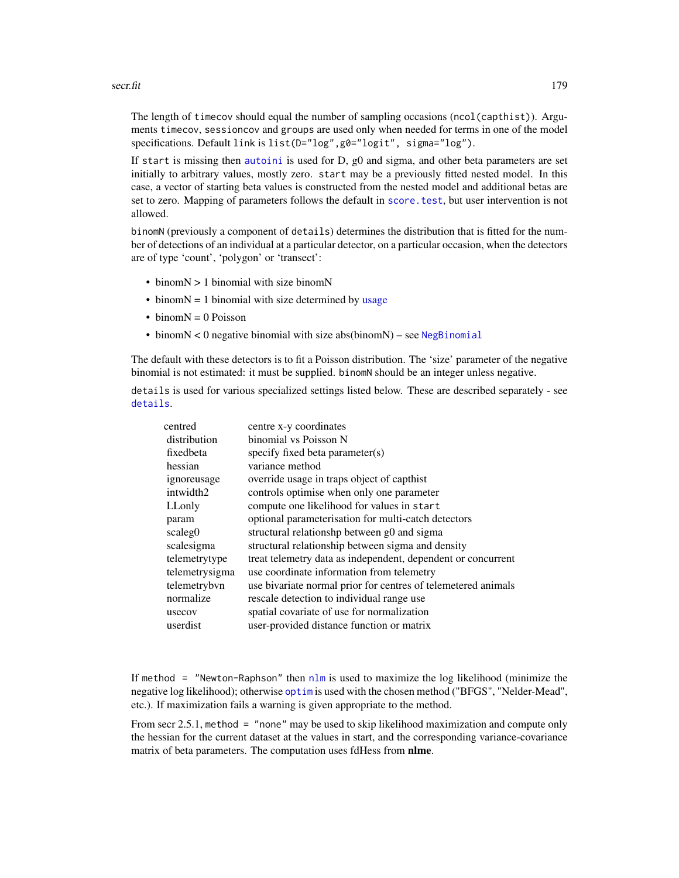#### secr.fit 279

The length of timecov should equal the number of sampling occasions (ncol(capthist)). Arguments timecov, sessioncov and groups are used only when needed for terms in one of the model specifications. Default link is list(D="log",g0="logit", sigma="log").

If start is missing then [autoini](#page-13-0) is used for D, g0 and sigma, and other beta parameters are set initially to arbitrary values, mostly zero. start may be a previously fitted nested model. In this case, a vector of starting beta values is constructed from the nested model and additional betas are set to zero. Mapping of parameters follows the default in score . test, but user intervention is not allowed.

binomN (previously a component of details) determines the distribution that is fitted for the number of detections of an individual at a particular detector, on a particular occasion, when the detectors are of type 'count', 'polygon' or 'transect':

- binomN > 1 binomial with size binomN
- $\bullet$  binom $N = 1$  binomial with size determined by [usage](#page-249-0)
- $\bullet$  binom $N = 0$  Poisson
- binom $N < 0$  negative binomial with size abs(binom $N$ ) see [NegBinomial](#page-0-0)

The default with these detectors is to fit a Poisson distribution. The 'size' parameter of the negative binomial is not estimated: it must be supplied. binomN should be an integer unless negative.

details is used for various specialized settings listed below. These are described separately - see [details](#page-42-0).

| centred        | centre x-y coordinates                                        |
|----------------|---------------------------------------------------------------|
| distribution   | binomial vs Poisson N                                         |
| fixedbeta      | specify fixed beta parameter(s)                               |
| hessian        | variance method                                               |
| ignoreusage    | override usage in traps object of capthist                    |
| intwidth2      | controls optimise when only one parameter                     |
| LLonly         | compute one likelihood for values in start                    |
| param          | optional parameterisation for multi-catch detectors           |
| scaleg0        | structural relationshp between g0 and sigma                   |
| scalesigma     | structural relationship between sigma and density             |
| telemetrytype  | treat telemetry data as independent, dependent or concurrent  |
| telemetrysigma | use coordinate information from telemetry                     |
| telemetrybvn   | use bivariate normal prior for centres of telemetered animals |
| normalize      | rescale detection to individual range use                     |
| usecov         | spatial covariate of use for normalization                    |
| userdist       | user-provided distance function or matrix                     |
|                |                                                               |

If method = "Newton-Raphson" then  $n \ln n$  is used to maximize the log likelihood (minimize the negative log likelihood); otherwise [optim](#page-0-0) is used with the chosen method ("BFGS", "Nelder-Mead", etc.). If maximization fails a warning is given appropriate to the method.

From secr 2.5.1, method = "none" may be used to skip likelihood maximization and compute only the hessian for the current dataset at the values in start, and the corresponding variance-covariance matrix of beta parameters. The computation uses fdHess from nlme.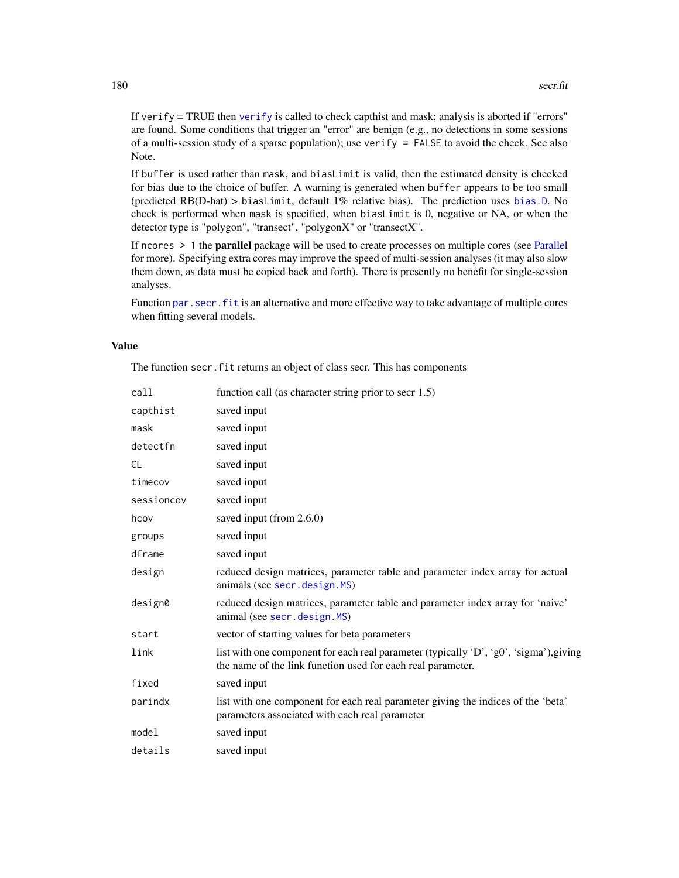If [verify](#page-253-0)  $=$  TRUE then verify is called to check capthist and mask; analysis is aborted if "errors" are found. Some conditions that trigger an "error" are benign (e.g., no detections in some sessions of a multi-session study of a sparse population); use verify = FALSE to avoid the check. See also Note.

If buffer is used rather than mask, and biasLimit is valid, then the estimated density is checked for bias due to the choice of buffer. A warning is generated when buffer appears to be too small (predicted RB(D-hat) > biasLimit, default 1% relative bias). The prediction uses [bias.D](#page-229-0). No check is performed when mask is specified, when biasLimit is 0, negative or NA, or when the detector type is "polygon", "transect", "polygonX" or "transectX".

If ncores > 1 the parallel package will be used to create processes on multiple cores (see [Parallel](#page-116-0) for more). Specifying extra cores may improve the speed of multi-session analyses (it may also slow them down, as data must be copied back and forth). There is presently no benefit for single-session analyses.

Function par. secr. fit is an alternative and more effective way to take advantage of multiple cores when fitting several models.

# Value

The function secr. fit returns an object of class secr. This has components

| call       | function call (as character string prior to secr 1.5)                                                                                                 |
|------------|-------------------------------------------------------------------------------------------------------------------------------------------------------|
| capthist   | saved input                                                                                                                                           |
| mask       | saved input                                                                                                                                           |
| detectfn   | saved input                                                                                                                                           |
| <b>CL</b>  | saved input                                                                                                                                           |
| timecov    | saved input                                                                                                                                           |
| sessioncov | saved input                                                                                                                                           |
| hcov       | saved input (from 2.6.0)                                                                                                                              |
| groups     | saved input                                                                                                                                           |
| dframe     | saved input                                                                                                                                           |
| design     | reduced design matrices, parameter table and parameter index array for actual<br>animals (see secr.design.MS)                                         |
| design0    | reduced design matrices, parameter table and parameter index array for 'naive'<br>animal (see secr.design.MS)                                         |
| start      | vector of starting values for beta parameters                                                                                                         |
| link       | list with one component for each real parameter (typically 'D', 'g0', 'sigma'), giving<br>the name of the link function used for each real parameter. |
| fixed      | saved input                                                                                                                                           |
| parindx    | list with one component for each real parameter giving the indices of the 'beta'<br>parameters associated with each real parameter                    |
| model      | saved input                                                                                                                                           |
| details    | saved input                                                                                                                                           |
|            |                                                                                                                                                       |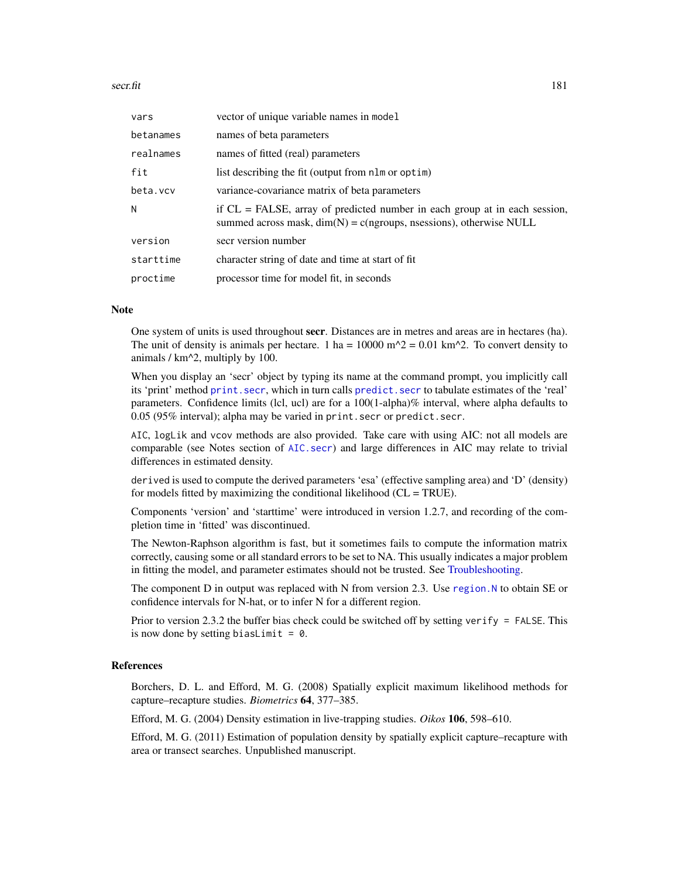#### secr.fit 181

| vars      | vector of unique variable names in model                                                                                                              |
|-----------|-------------------------------------------------------------------------------------------------------------------------------------------------------|
| betanames | names of beta parameters                                                                                                                              |
| realnames | names of fitted (real) parameters                                                                                                                     |
| fit       | list describing the fit (output from nlm or optim)                                                                                                    |
| beta.vcv  | variance-covariance matrix of beta parameters                                                                                                         |
| N         | if $CL = FALSE$ , array of predicted number in each group at in each session,<br>summed across mask, $dim(N) = c(ngroup, nsessions)$ , otherwise NULL |
| version   | secr version number                                                                                                                                   |
| starttime | character string of date and time at start of fit                                                                                                     |
| proctime  | processor time for model fit, in seconds                                                                                                              |

#### Note

One system of units is used throughout secr. Distances are in metres and areas are in hectares (ha). The unit of density is animals per hectare. 1 ha =  $10000$  m<sup> $\Delta$ </sup> = 0.01 km<sup> $\Delta$ </sup>. To convert density to animals / km^2, multiply by 100.

When you display an 'secr' object by typing its name at the command prompt, you implicitly call its 'print' method [print.secr](#page-144-0), which in turn calls [predict.secr](#page-139-0) to tabulate estimates of the 'real' parameters. Confidence limits (lcl, ucl) are for a 100(1-alpha)% interval, where alpha defaults to 0.05 (95% interval); alpha may be varied in print.secr or predict.secr.

AIC, logLik and vcov methods are also provided. Take care with using AIC: not all models are comparable (see Notes section of [AIC.secr](#page-10-0)) and large differences in AIC may relate to trivial differences in estimated density.

derived is used to compute the derived parameters 'esa' (effective sampling area) and 'D' (density) for models fitted by maximizing the conditional likelihood (CL = TRUE).

Components 'version' and 'starttime' were introduced in version 1.2.7, and recording of the completion time in 'fitted' was discontinued.

The Newton-Raphson algorithm is fast, but it sometimes fails to compute the information matrix correctly, causing some or all standard errors to be set to NA. This usually indicates a major problem in fitting the model, and parameter estimates should not be trusted. See [Troubleshooting.](#page-247-0)

The component D in output was replaced with N from version 2.3. Use region. N to obtain SE or confidence intervals for N-hat, or to infer N for a different region.

Prior to version 2.3.2 the buffer bias check could be switched off by setting verify = FALSE. This is now done by setting biasLimit =  $\theta$ .

## References

Borchers, D. L. and Efford, M. G. (2008) Spatially explicit maximum likelihood methods for capture–recapture studies. *Biometrics* 64, 377–385.

Efford, M. G. (2004) Density estimation in live-trapping studies. *Oikos* 106, 598–610.

Efford, M. G. (2011) Estimation of population density by spatially explicit capture–recapture with area or transect searches. Unpublished manuscript.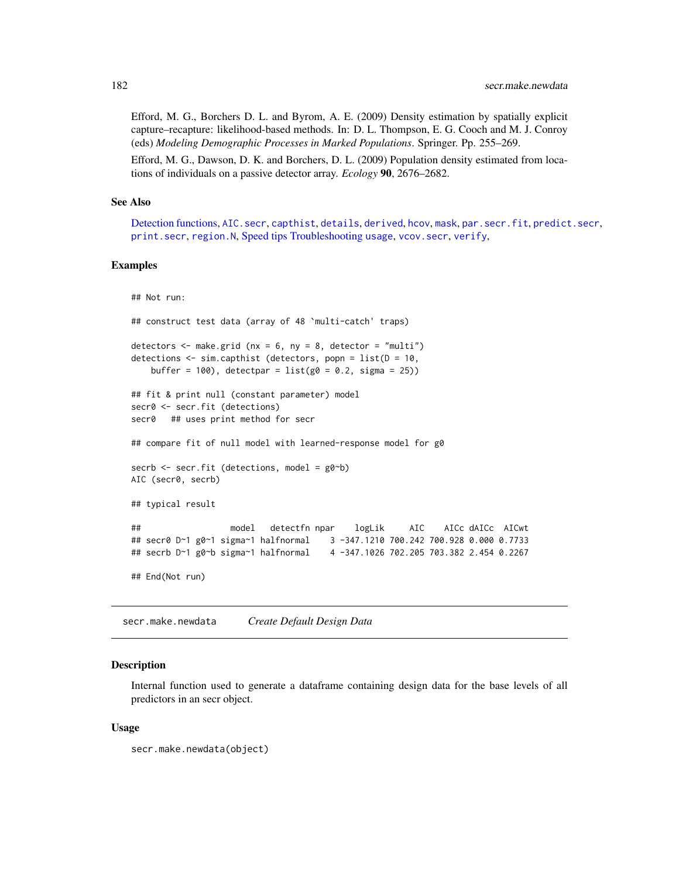Efford, M. G., Borchers D. L. and Byrom, A. E. (2009) Density estimation by spatially explicit capture–recapture: likelihood-based methods. In: D. L. Thompson, E. G. Cooch and M. J. Conroy (eds) *Modeling Demographic Processes in Marked Populations*. Springer. Pp. 255–269.

Efford, M. G., Dawson, D. K. and Borchers, D. L. (2009) Population density estimated from locations of individuals on a passive detector array. *Ecology* 90, 2676–2682.

#### See Also

[Detection functions,](#page-44-0) [AIC.secr](#page-10-0), [capthist](#page-17-0), [details](#page-42-0), [derived](#page-39-0), [hcov](#page-68-0), [mask](#page-100-0), [par.secr.fit](#page-115-0), [predict.secr](#page-139-0), [print.secr](#page-144-0), [region.N](#page-164-0), [Speed tips](#page-216-0) [Troubleshooting](#page-247-0) [usage](#page-249-0), [vcov.secr](#page-252-0), [verify](#page-253-0),

#### Examples

```
## Not run:
## construct test data (array of 48 `multi-catch' traps)
detectors \leq make.grid (nx = 6, ny = 8, detector = "multi")
detections <- sim.capthist (detectors, popn = list(D = 10,
   buffer = 100), detectpar = list(g0 = 0.2, sigma = 25))
## fit & print null (constant parameter) model
secr0 <- secr.fit (detections)
secr0 ## uses print method for secr
## compare fit of null model with learned-response model for g0
secrb <- secr.fit (detections, model = g0~b)
AIC (secr0, secrb)
## typical result
## model detectfn npar logLik AIC AICc dAICc AICwt
## secr0 D~1 g0~1 sigma~1 halfnormal 3 -347.1210 700.242 700.928 0.000 0.7733
## secrb D~1 g0~b sigma~1 halfnormal 4 -347.1026 702.205 703.382 2.454 0.2267
## End(Not run)
```
secr.make.newdata *Create Default Design Data*

# Description

Internal function used to generate a dataframe containing design data for the base levels of all predictors in an secr object.

#### Usage

```
secr.make.newdata(object)
```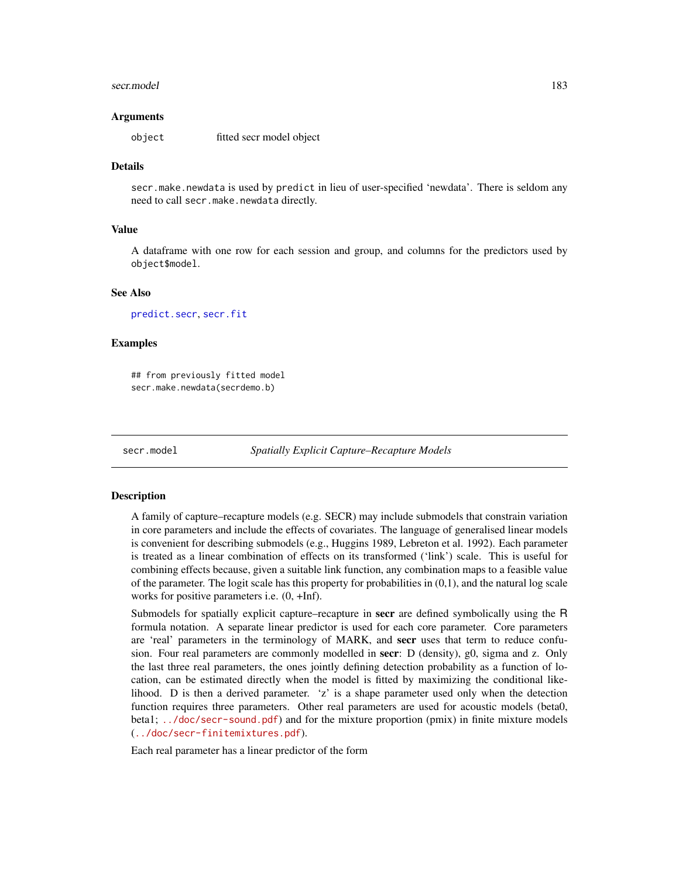#### secr.model and the secretary contract to the secretary contract of the secretary contract of the secretary contract of the secretary contract of the secretary contract of the secretary contract of the secretary contract of

#### Arguments

object fitted secr model object

#### Details

secr.make.newdata is used by predict in lieu of user-specified 'newdata'. There is seldom any need to call secr.make.newdata directly.

## Value

A dataframe with one row for each session and group, and columns for the predictors used by object\$model.

#### See Also

[predict.secr](#page-139-0), [secr.fit](#page-176-0)

## Examples

## from previously fitted model secr.make.newdata(secrdemo.b)

secr.model *Spatially Explicit Capture–Recapture Models*

#### **Description**

A family of capture–recapture models (e.g. SECR) may include submodels that constrain variation in core parameters and include the effects of covariates. The language of generalised linear models is convenient for describing submodels (e.g., Huggins 1989, Lebreton et al. 1992). Each parameter is treated as a linear combination of effects on its transformed ('link') scale. This is useful for combining effects because, given a suitable link function, any combination maps to a feasible value of the parameter. The logit scale has this property for probabilities in (0,1), and the natural log scale works for positive parameters i.e. (0, +Inf).

Submodels for spatially explicit capture–recapture in secr are defined symbolically using the R formula notation. A separate linear predictor is used for each core parameter. Core parameters are 'real' parameters in the terminology of MARK, and secr uses that term to reduce confusion. Four real parameters are commonly modelled in secr: D (density), g0, sigma and z. Only the last three real parameters, the ones jointly defining detection probability as a function of location, can be estimated directly when the model is fitted by maximizing the conditional likelihood. D is then a derived parameter. 'z' is a shape parameter used only when the detection function requires three parameters. Other real parameters are used for acoustic models (beta0, beta1;  $\ldots$ /doc/secr-sound.pdf) and for the mixture proportion (pmix) in finite mixture models (<../doc/secr-finitemixtures.pdf>).

Each real parameter has a linear predictor of the form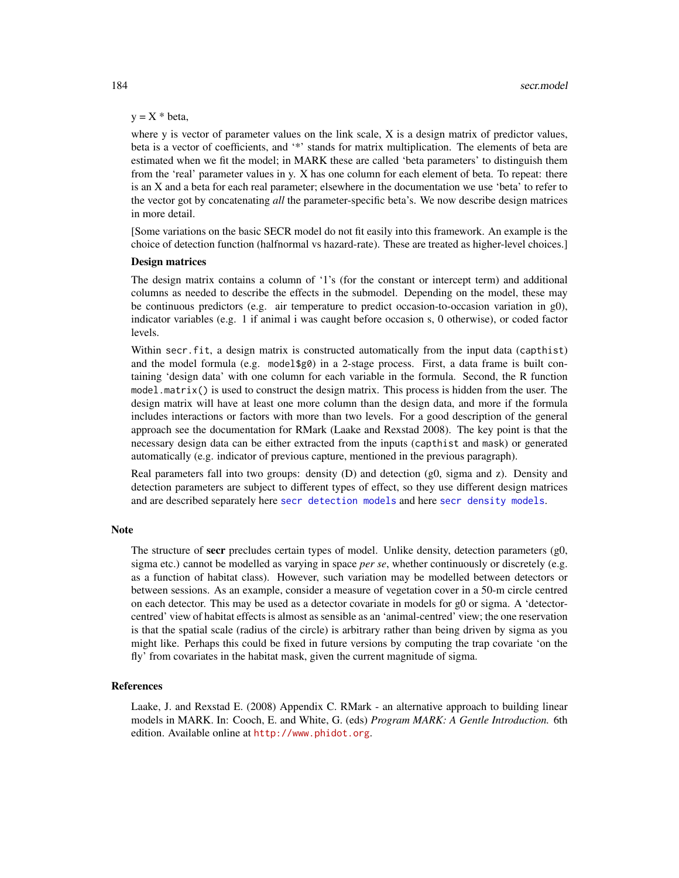# $y = X * beta$ ,

where y is vector of parameter values on the link scale, X is a design matrix of predictor values, beta is a vector of coefficients, and '\*' stands for matrix multiplication. The elements of beta are estimated when we fit the model; in MARK these are called 'beta parameters' to distinguish them from the 'real' parameter values in y. X has one column for each element of beta. To repeat: there is an X and a beta for each real parameter; elsewhere in the documentation we use 'beta' to refer to the vector got by concatenating *all* the parameter-specific beta's. We now describe design matrices in more detail.

[Some variations on the basic SECR model do not fit easily into this framework. An example is the choice of detection function (halfnormal vs hazard-rate). These are treated as higher-level choices.]

## Design matrices

The design matrix contains a column of '1's (for the constant or intercept term) and additional columns as needed to describe the effects in the submodel. Depending on the model, these may be continuous predictors (e.g. air temperature to predict occasion-to-occasion variation in g0), indicator variables (e.g. 1 if animal i was caught before occasion s, 0 otherwise), or coded factor levels.

Within secr.fit, a design matrix is constructed automatically from the input data (capthist) and the model formula (e.g. model \$g0) in a 2-stage process. First, a data frame is built containing 'design data' with one column for each variable in the formula. Second, the R function model.matrix() is used to construct the design matrix. This process is hidden from the user. The design matrix will have at least one more column than the design data, and more if the formula includes interactions or factors with more than two levels. For a good description of the general approach see the documentation for RMark (Laake and Rexstad 2008). The key point is that the necessary design data can be either extracted from the inputs (capthist and mask) or generated automatically (e.g. indicator of previous capture, mentioned in the previous paragraph).

Real parameters fall into two groups: density (D) and detection (g0, sigma and z). Density and detection parameters are subject to different types of effect, so they use different design matrices and are described separately here [secr detection models](#page-0-0) and here [secr density models](#page-0-0).

### Note

The structure of **secr** precludes certain types of model. Unlike density, detection parameters (g0, sigma etc.) cannot be modelled as varying in space *per se*, whether continuously or discretely (e.g. as a function of habitat class). However, such variation may be modelled between detectors or between sessions. As an example, consider a measure of vegetation cover in a 50-m circle centred on each detector. This may be used as a detector covariate in models for g0 or sigma. A 'detectorcentred' view of habitat effects is almost as sensible as an 'animal-centred' view; the one reservation is that the spatial scale (radius of the circle) is arbitrary rather than being driven by sigma as you might like. Perhaps this could be fixed in future versions by computing the trap covariate 'on the fly' from covariates in the habitat mask, given the current magnitude of sigma.

## **References**

Laake, J. and Rexstad E. (2008) Appendix C. RMark - an alternative approach to building linear models in MARK. In: Cooch, E. and White, G. (eds) *Program MARK: A Gentle Introduction.* 6th edition. Available online at <http://www.phidot.org>.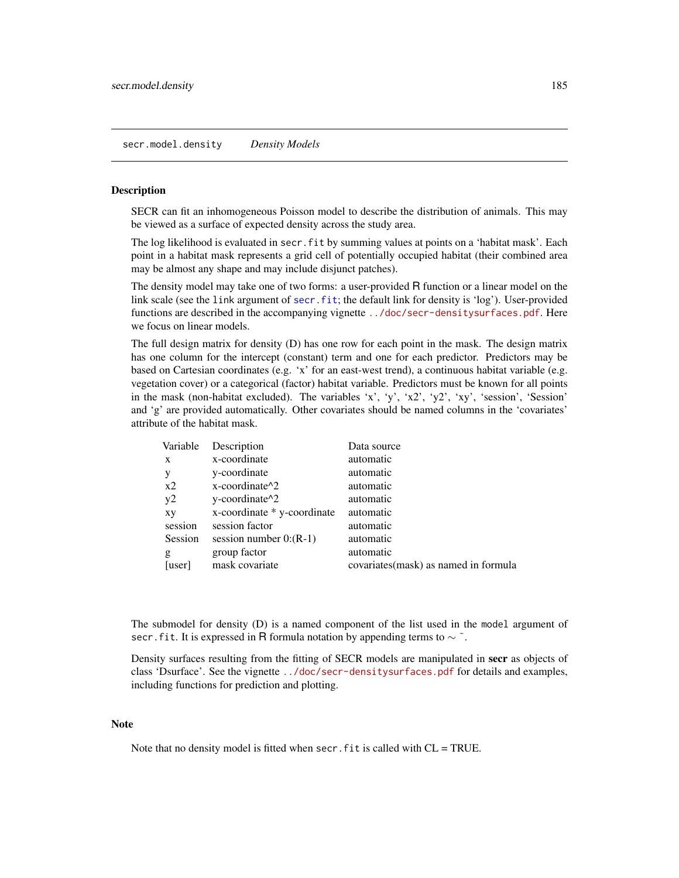## secr.model.density *Density Models*

## Description

SECR can fit an inhomogeneous Poisson model to describe the distribution of animals. This may be viewed as a surface of expected density across the study area.

The log likelihood is evaluated in secr.fit by summing values at points on a 'habitat mask'. Each point in a habitat mask represents a grid cell of potentially occupied habitat (their combined area may be almost any shape and may include disjunct patches).

The density model may take one of two forms: a user-provided R function or a linear model on the link scale (see the link argument of [secr.fit](#page-176-0); the default link for density is 'log'). User-provided functions are described in the accompanying vignette <../doc/secr-densitysurfaces.pdf>. Here we focus on linear models.

The full design matrix for density (D) has one row for each point in the mask. The design matrix has one column for the intercept (constant) term and one for each predictor. Predictors may be based on Cartesian coordinates (e.g. 'x' for an east-west trend), a continuous habitat variable (e.g. vegetation cover) or a categorical (factor) habitat variable. Predictors must be known for all points in the mask (non-habitat excluded). The variables 'x', 'y', 'x2', 'y2', 'xy', 'session', 'Session' and 'g' are provided automatically. Other covariates should be named columns in the 'covariates' attribute of the habitat mask.

| Variable | Description                                      | Data source                          |
|----------|--------------------------------------------------|--------------------------------------|
| X        | x-coordinate                                     | automatic                            |
| y        | y-coordinate                                     | automatic                            |
| $x^2$    | $x$ -coordinate <sup><math>\lambda</math>2</sup> | automatic                            |
| y2       | y-coordinate <sup><math>\lambda</math>2</sup>    | automatic                            |
| xy       | x-coordinate * y-coordinate                      | automatic                            |
| session  | session factor                                   | automatic                            |
| Session  | session number $0:(R-1)$                         | automatic                            |
| g        | group factor                                     | automatic                            |
| [user]   | mask covariate                                   | covariates(mask) as named in formula |

The submodel for density (D) is a named component of the list used in the model argument of secr. fit. It is expressed in R formula notation by appending terms to  $\sim$   $\tilde{\ }$ .

Density surfaces resulting from the fitting of SECR models are manipulated in secr as objects of class 'Dsurface'. See the vignette <../doc/secr-densitysurfaces.pdf> for details and examples, including functions for prediction and plotting.

## **Note**

Note that no density model is fitted when secr.  $fit$  is called with  $CL = TRUE$ .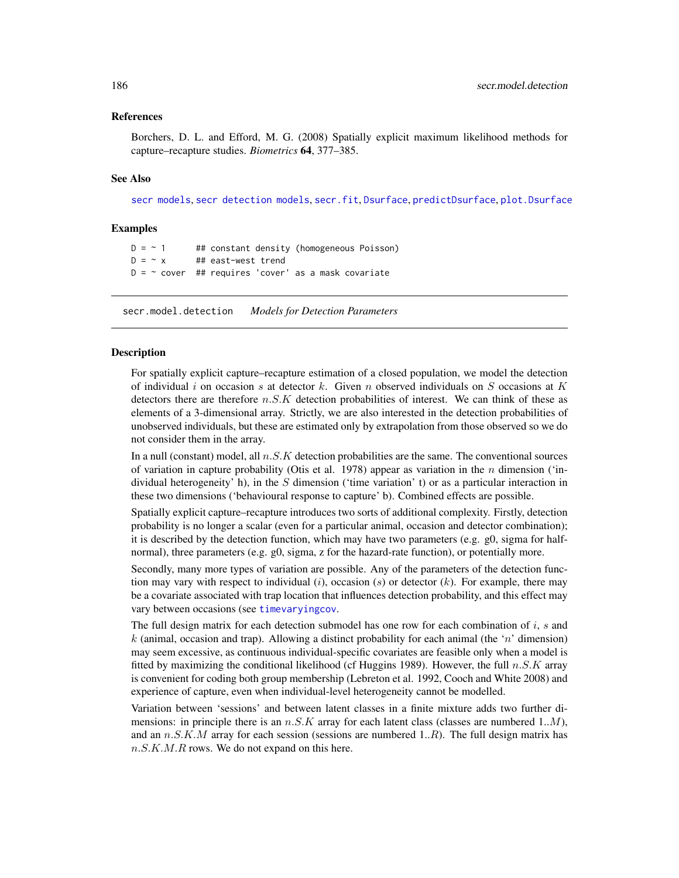## References

Borchers, D. L. and Efford, M. G. (2008) Spatially explicit maximum likelihood methods for capture–recapture studies. *Biometrics* 64, 377–385.

## See Also

[secr models](#page-0-0), [secr detection models](#page-0-0), [secr.fit](#page-176-0), [Dsurface](#page-49-0), [predictDsurface](#page-141-0), [plot.Dsurface](#page-125-0)

# Examples

 $D = \sim 1$  ## constant density (homogeneous Poisson)  $D = -x$  ## east-west trend  $D = \sim$  cover ## requires 'cover' as a mask covariate

secr.model.detection *Models for Detection Parameters*

## **Description**

For spatially explicit capture–recapture estimation of a closed population, we model the detection of individual i on occasion s at detector k. Given n observed individuals on S occasions at K detectors there are therefore  $n.S.K$  detection probabilities of interest. We can think of these as elements of a 3-dimensional array. Strictly, we are also interested in the detection probabilities of unobserved individuals, but these are estimated only by extrapolation from those observed so we do not consider them in the array.

In a null (constant) model, all  $n.S.K$  detection probabilities are the same. The conventional sources of variation in capture probability (Otis et al. 1978) appear as variation in the n dimension ('individual heterogeneity' h), in the S dimension ('time variation' t) or as a particular interaction in these two dimensions ('behavioural response to capture' b). Combined effects are possible.

Spatially explicit capture–recapture introduces two sorts of additional complexity. Firstly, detection probability is no longer a scalar (even for a particular animal, occasion and detector combination); it is described by the detection function, which may have two parameters (e.g. g0, sigma for halfnormal), three parameters (e.g. g0, sigma, z for the hazard-rate function), or potentially more.

Secondly, many more types of variation are possible. Any of the parameters of the detection function may vary with respect to individual  $(i)$ , occasion  $(s)$  or detector  $(k)$ . For example, there may be a covariate associated with trap location that influences detection probability, and this effect may vary between occasions (see [timevaryingcov](#page-235-0).

The full design matrix for each detection submodel has one row for each combination of  $i$ , s and k (animal, occasion and trap). Allowing a distinct probability for each animal (the 'n' dimension) may seem excessive, as continuous individual-specific covariates are feasible only when a model is fitted by maximizing the conditional likelihood (cf Huggins 1989). However, the full  $n.S.K$  array is convenient for coding both group membership (Lebreton et al. 1992, Cooch and White 2008) and experience of capture, even when individual-level heterogeneity cannot be modelled.

Variation between 'sessions' and between latent classes in a finite mixture adds two further dimensions: in principle there is an  $n.S.K$  array for each latent class (classes are numbered 1..*M*), and an  $n.S.K.M$  array for each session (sessions are numbered  $1..R$ ). The full design matrix has  $n.S.K.M.R$  rows. We do not expand on this here.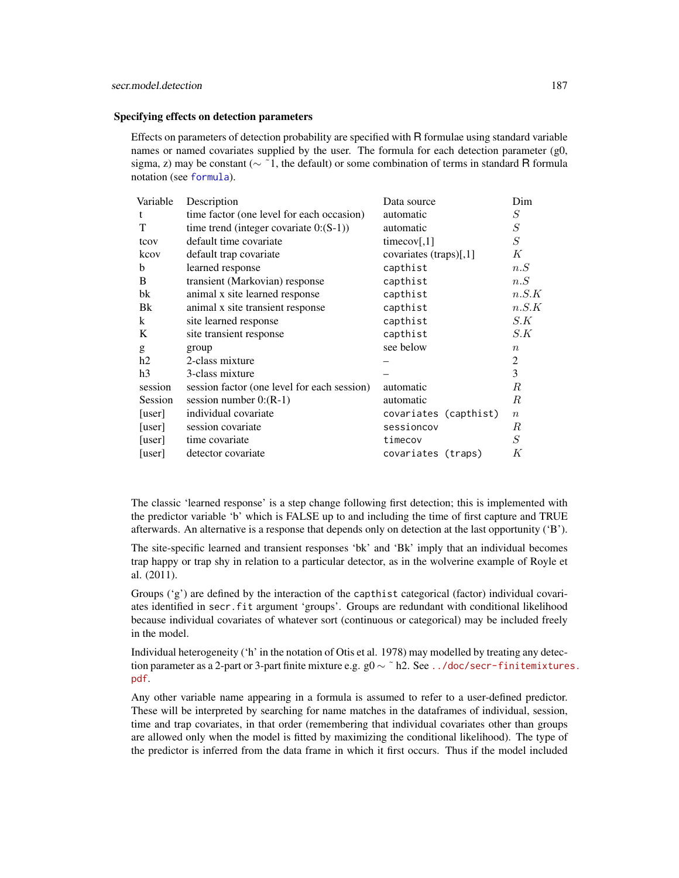#### Specifying effects on detection parameters

Effects on parameters of detection probability are specified with R formulae using standard variable names or named covariates supplied by the user. The formula for each detection parameter (g0, sigma, z) may be constant ( $\sim$  ~1, the default) or some combination of terms in standard R formula notation (see [formula](#page-0-0)).

| Variable       | Description                                 | Data source            | Dim              |
|----------------|---------------------------------------------|------------------------|------------------|
| t              | time factor (one level for each occasion)   | automatic              | S                |
| T              | time trend (integer covariate $0:(S-1))$ )  | automatic              | S                |
| tcov           | default time covariate                      | timecov[,1]            | $\cal S$         |
| kcov           | default trap covariate                      | covariates (traps)[,1] | К                |
| b              | learned response                            | capthist               | n.S              |
| B              | transient (Markovian) response              | capthist               | n.S              |
| bk             | animal x site learned response              | capthist               | n.S.K            |
| Bk             | animal x site transient response            | capthist               | n.S.K            |
| k              | site learned response                       | capthist               | S.K              |
| K              | site transient response                     | capthist               | S.K              |
| g              | group                                       | see below              | $\boldsymbol{n}$ |
| h2             | 2-class mixture                             |                        | $\overline{c}$   |
| h <sub>3</sub> | 3-class mixture                             |                        | 3                |
| session        | session factor (one level for each session) | automatic              | R                |
| Session        | session number $0:(R-1)$                    | automatic              | R                |
| [user]         | individual covariate                        | covariates (capthist)  | $\boldsymbol{n}$ |
| [user]         | session covariate                           | sessioncov             | R                |
| [user]         | time covariate                              | timecov                | S                |
| [user]         | detector covariate                          | covariates (traps)     | Κ                |

The classic 'learned response' is a step change following first detection; this is implemented with the predictor variable 'b' which is FALSE up to and including the time of first capture and TRUE afterwards. An alternative is a response that depends only on detection at the last opportunity ('B').

The site-specific learned and transient responses 'bk' and 'Bk' imply that an individual becomes trap happy or trap shy in relation to a particular detector, as in the wolverine example of Royle et al. (2011).

Groups ('g') are defined by the interaction of the capthist categorical (factor) individual covariates identified in secr.fit argument 'groups'. Groups are redundant with conditional likelihood because individual covariates of whatever sort (continuous or categorical) may be included freely in the model.

Individual heterogeneity ('h' in the notation of Otis et al. 1978) may modelled by treating any detection parameter as a 2-part or 3-part finite mixture e.g.  $g0 \sim$  ~ h2. See [../doc/secr-finitemixture](../doc/secr-finitemixtures.pdf)s. [pdf](../doc/secr-finitemixtures.pdf).

Any other variable name appearing in a formula is assumed to refer to a user-defined predictor. These will be interpreted by searching for name matches in the dataframes of individual, session, time and trap covariates, in that order (remembering that individual covariates other than groups are allowed only when the model is fitted by maximizing the conditional likelihood). The type of the predictor is inferred from the data frame in which it first occurs. Thus if the model included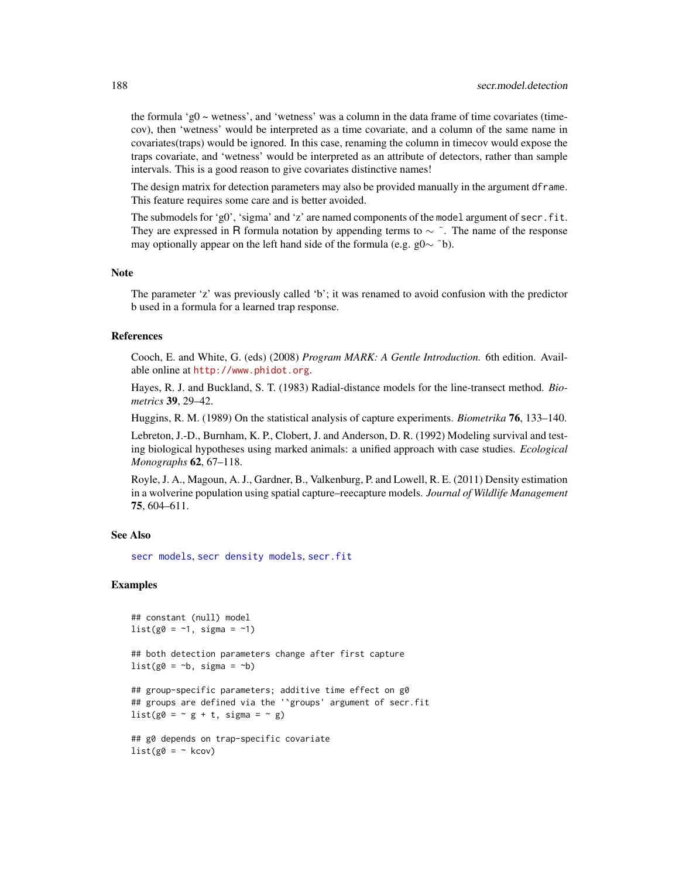the formula 'g0  $\sim$  wetness', and 'wetness' was a column in the data frame of time covariates (timecov), then 'wetness' would be interpreted as a time covariate, and a column of the same name in covariates(traps) would be ignored. In this case, renaming the column in timecov would expose the traps covariate, and 'wetness' would be interpreted as an attribute of detectors, rather than sample intervals. This is a good reason to give covariates distinctive names!

The design matrix for detection parameters may also be provided manually in the argument dframe. This feature requires some care and is better avoided.

The submodels for 'g0', 'sigma' and 'z' are named components of the model argument of secr.fit. They are expressed in R formula notation by appending terms to  $\sim \tilde{\ }$ . The name of the response may optionally appear on the left hand side of the formula (e.g. g0 $\sim$  ~b).

## Note

The parameter 'z' was previously called 'b'; it was renamed to avoid confusion with the predictor b used in a formula for a learned trap response.

## References

Cooch, E. and White, G. (eds) (2008) *Program MARK: A Gentle Introduction.* 6th edition. Available online at <http://www.phidot.org>.

Hayes, R. J. and Buckland, S. T. (1983) Radial-distance models for the line-transect method. *Biometrics* 39, 29–42.

Huggins, R. M. (1989) On the statistical analysis of capture experiments. *Biometrika* 76, 133–140.

Lebreton, J.-D., Burnham, K. P., Clobert, J. and Anderson, D. R. (1992) Modeling survival and testing biological hypotheses using marked animals: a unified approach with case studies. *Ecological Monographs* 62, 67–118.

Royle, J. A., Magoun, A. J., Gardner, B., Valkenburg, P. and Lowell, R. E. (2011) Density estimation in a wolverine population using spatial capture–reecapture models. *Journal of Wildlife Management* 75, 604–611.

## See Also

[secr models](#page-0-0), [secr density models](#page-0-0), [secr.fit](#page-176-0)

# Examples

```
## constant (null) model
list(g0 = -1, sigma = -1)## both detection parameters change after first capture
list(g0 = -b, sigma = -b)## group-specific parameters; additive time effect on g0
## groups are defined via the '`groups' argument of secr.fit
list(g0 = -g + t, sigma = - g)
## g0 depends on trap-specific covariate
list(g0 = ~ kcov)
```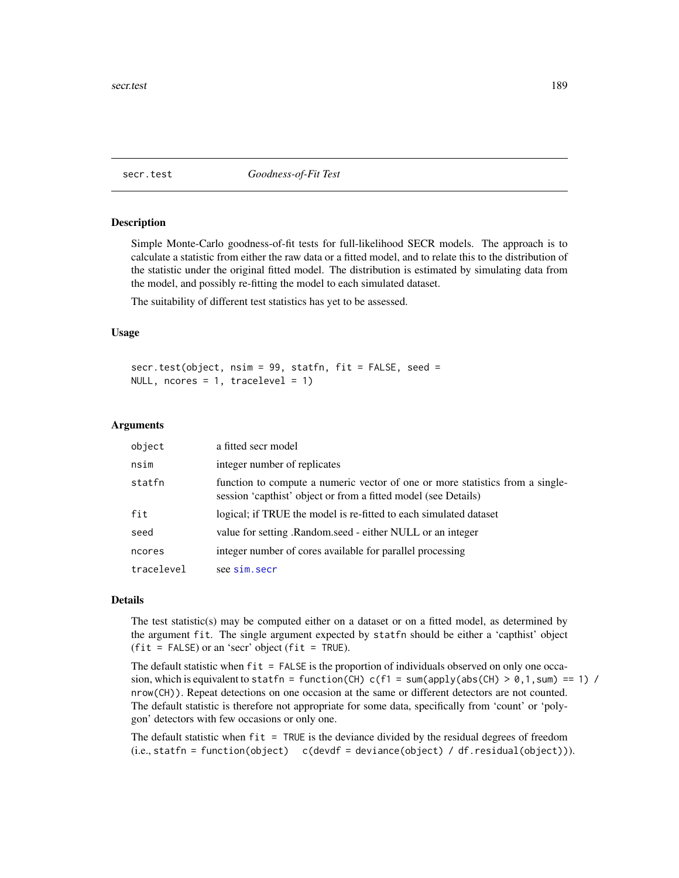<span id="page-188-0"></span>secr.test *Goodness-of-Fit Test*

## Description

Simple Monte-Carlo goodness-of-fit tests for full-likelihood SECR models. The approach is to calculate a statistic from either the raw data or a fitted model, and to relate this to the distribution of the statistic under the original fitted model. The distribution is estimated by simulating data from the model, and possibly re-fitting the model to each simulated dataset.

The suitability of different test statistics has yet to be assessed.

#### Usage

```
secr.test(object, nsim = 99, statfn, fit = FALSE, seed =
NULL, ncores = 1, tracelevel = 1)
```
#### Arguments

| object     | a fitted secr model                                                                                                                             |
|------------|-------------------------------------------------------------------------------------------------------------------------------------------------|
| nsim       | integer number of replicates                                                                                                                    |
| statfn     | function to compute a numeric vector of one or more statistics from a single-<br>session 'capthist' object or from a fitted model (see Details) |
| fit        | logical; if TRUE the model is re-fitted to each simulated dataset                                                                               |
| seed       | value for setting .Random.seed - either NULL or an integer                                                                                      |
| ncores     | integer number of cores available for parallel processing                                                                                       |
| tracelevel | see sim. secr                                                                                                                                   |

#### Details

The test statistic(s) may be computed either on a dataset or on a fitted model, as determined by the argument fit. The single argument expected by statfn should be either a 'capthist' object  $(fit = FALSE)$  or an 'secr' object  $(fit = TRUE)$ .

The default statistic when  $fit = FALSE$  is the proportion of individuals observed on only one occasion, which is equivalent to statfn = function(CH) c(f1 = sum(apply(abs(CH) > 0,1, sum) == 1) / nrow(CH)). Repeat detections on one occasion at the same or different detectors are not counted. The default statistic is therefore not appropriate for some data, specifically from 'count' or 'polygon' detectors with few occasions or only one.

The default statistic when fit = TRUE is the deviance divided by the residual degrees of freedom (i.e., statfn = function(object) c(devdf = deviance(object) / df.residual(object))).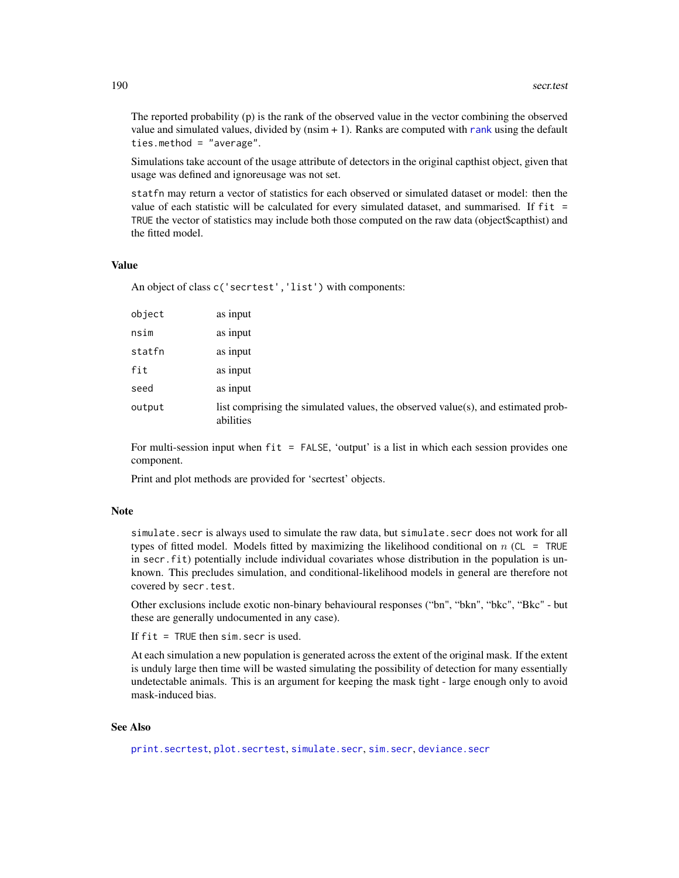The reported probability (p) is the rank of the observed value in the vector combining the observed value and simulated values, divided by  $(n\sin + 1)$ . Ranks are computed with [rank](#page-0-0) using the default ties.method = "average".

Simulations take account of the usage attribute of detectors in the original capthist object, given that usage was defined and ignoreusage was not set.

statfn may return a vector of statistics for each observed or simulated dataset or model: then the value of each statistic will be calculated for every simulated dataset, and summarised. If fit = TRUE the vector of statistics may include both those computed on the raw data (object\$capthist) and the fitted model.

#### Value

An object of class c('secrtest','list') with components:

| object | as input                                                                                      |
|--------|-----------------------------------------------------------------------------------------------|
| nsim   | as input                                                                                      |
| statfn | as input                                                                                      |
| fit    | as input                                                                                      |
| seed   | as input                                                                                      |
| output | list comprising the simulated values, the observed value(s), and estimated prob-<br>abilities |

For multi-session input when fit = FALSE, 'output' is a list in which each session provides one component.

Print and plot methods are provided for 'secrtest' objects.

#### Note

simulate.secr is always used to simulate the raw data, but simulate.secr does not work for all types of fitted model. Models fitted by maximizing the likelihood conditional on  $n$  (CL = TRUE in secr.fit) potentially include individual covariates whose distribution in the population is unknown. This precludes simulation, and conditional-likelihood models in general are therefore not covered by secr.test.

Other exclusions include exotic non-binary behavioural responses ("bn", "bkn", "bkc", "Bkc" - but these are generally undocumented in any case).

If  $fit = TRUE$  then sim. secr is used.

At each simulation a new population is generated across the extent of the original mask. If the extent is unduly large then time will be wasted simulating the possibility of detection for many essentially undetectable animals. This is an argument for keeping the mask tight - large enough only to avoid mask-induced bias.

# See Also

[print.secrtest](#page-192-0), [plot.secrtest](#page-192-0), [simulate.secr](#page-204-1), [sim.secr](#page-204-0), [deviance.secr](#page-47-0)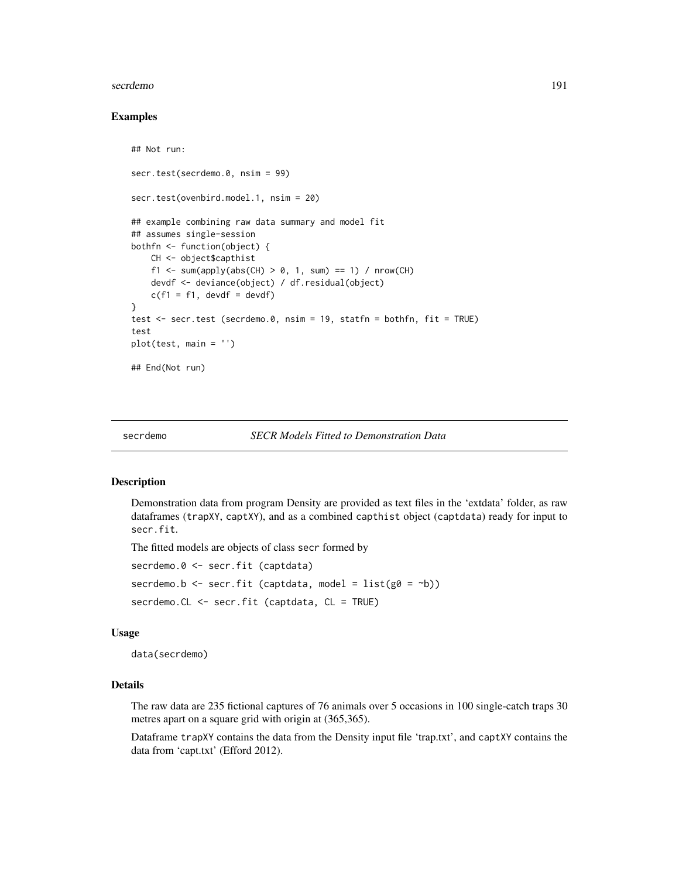#### secrdemo antico a contra a secretario de la contra de la contra de la contra de la contra de la contra de la contra de la contra de la contra de la contra de la contra de la contra de la contra de la contra de la contra de

## Examples

```
## Not run:
secr.test(secrdemo.0, nsim = 99)
secr.test(ovenbird.model.1, nsim = 20)
## example combining raw data summary and model fit
## assumes single-session
bothfn <- function(object) {
   CH <- object$capthist
   f1 <- sum(apply(abs(CH) > 0, 1, sum) == 1) / nrow(CH)
   devdf <- deviance(object) / df.residual(object)
   c(f1 = f1, devdf = devdf)}
test <- secr.test (secrdemo.0, nsim = 19, statfn = bothfn, fit = TRUE)
test
plot(test, main = '')
## End(Not run)
```
secrdemo *SECR Models Fitted to Demonstration Data*

## Description

Demonstration data from program Density are provided as text files in the 'extdata' folder, as raw dataframes (trapXY, captXY), and as a combined capthist object (captdata) ready for input to secr.fit.

The fitted models are objects of class secr formed by

secrdemo.0 <- secr.fit (captdata)

secrdemo.b  $\leq$  secr.fit (captdata, model = list(g0 =  $\sim$ b))

secrdemo.CL <- secr.fit (captdata, CL = TRUE)

# Usage

data(secrdemo)

#### Details

The raw data are 235 fictional captures of 76 animals over 5 occasions in 100 single-catch traps 30 metres apart on a square grid with origin at (365,365).

Dataframe trapXY contains the data from the Density input file 'trap.txt', and captXY contains the data from 'capt.txt' (Efford 2012).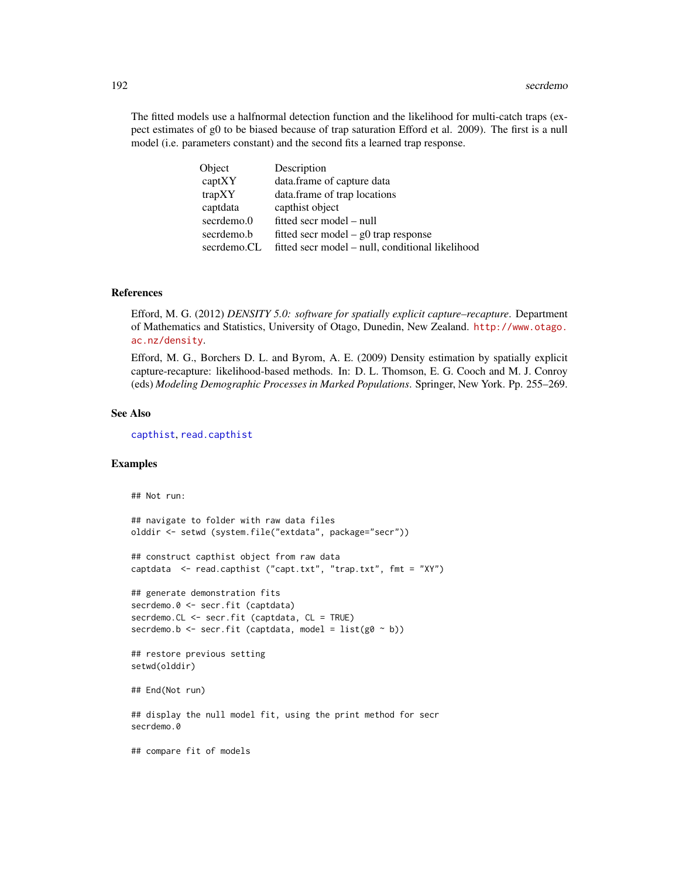The fitted models use a halfnormal detection function and the likelihood for multi-catch traps (expect estimates of g0 to be biased because of trap saturation Efford et al. 2009). The first is a null model (i.e. parameters constant) and the second fits a learned trap response.

| Object      | Description                                      |
|-------------|--------------------------------------------------|
| captXY      | data.frame of capture data                       |
| trapXY      | data.frame of trap locations                     |
| captdata    | capthist object                                  |
| secrdemo.0  | fitted secr model – null                         |
| secrdemo.b  | fitted secr model $-$ g0 trap response           |
| secrdemo.CL | fitted secr model – null, conditional likelihood |

# References

Efford, M. G. (2012) *DENSITY 5.0: software for spatially explicit capture–recapture*. Department of Mathematics and Statistics, University of Otago, Dunedin, New Zealand. [http://www.otago.](http://www.otago.ac.nz/density) [ac.nz/density](http://www.otago.ac.nz/density).

Efford, M. G., Borchers D. L. and Byrom, A. E. (2009) Density estimation by spatially explicit capture-recapture: likelihood-based methods. In: D. L. Thomson, E. G. Cooch and M. J. Conroy (eds) *Modeling Demographic Processes in Marked Populations*. Springer, New York. Pp. 255–269.

## See Also

[capthist](#page-17-0), [read.capthist](#page-153-0)

# Examples

## Not run:

```
## navigate to folder with raw data files
olddir <- setwd (system.file("extdata", package="secr"))
## construct capthist object from raw data
captdata <- read.capthist ("capt.txt", "trap.txt", fmt = "XY")
## generate demonstration fits
secrdemo.0 <- secr.fit (captdata)
secrdemo.CL <- secr.fit (captdata, CL = TRUE)
secrdemo.b <- secr.fit (captdata, model = list(g0 \sim b))## restore previous setting
setwd(olddir)
## End(Not run)
## display the null model fit, using the print method for secr
secrdemo.0
## compare fit of models
```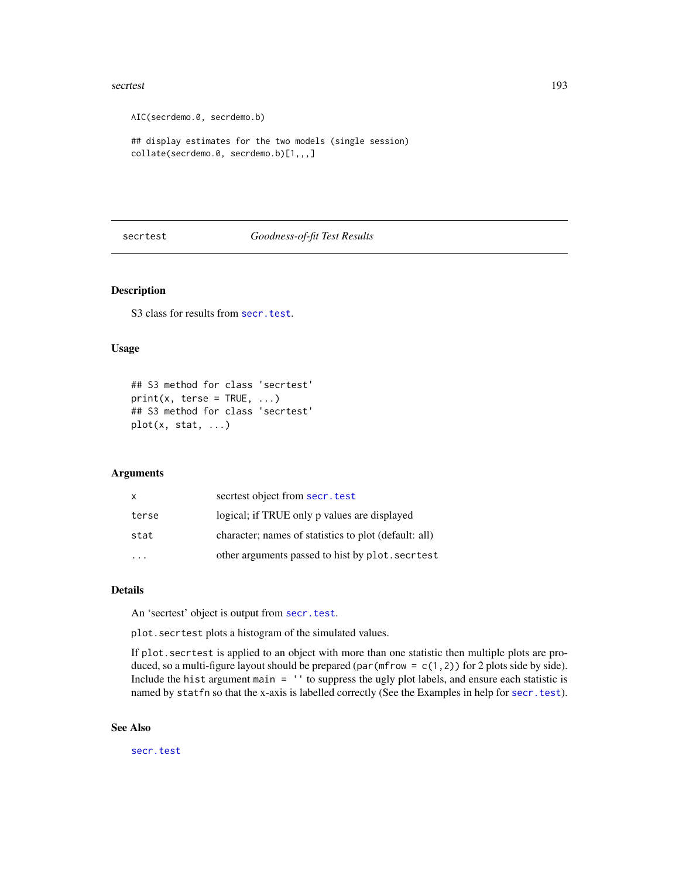#### secrtest 193

```
AIC(secrdemo.0, secrdemo.b)
## display estimates for the two models (single session)
collate(secrdemo.0, secrdemo.b)[1,,,]
```
# secrtest *Goodness-of-fit Test Results*

# <span id="page-192-0"></span>Description

S<sub>3</sub> class for results from [secr.test](#page-188-0).

# Usage

```
## S3 method for class 'secrtest'
print(x, \text{terse} = TRUE, ...)## S3 method for class 'secrtest'
plot(x, stat, ...)
```
#### Arguments

| x     | secriest object from secr. test                       |
|-------|-------------------------------------------------------|
| terse | logical; if TRUE only p values are displayed          |
| stat  | character; names of statistics to plot (default: all) |
|       | other arguments passed to hist by plot. secritest     |

## Details

An 'secrtest' object is output from [secr.test](#page-188-0).

plot.secrtest plots a histogram of the simulated values.

If plot.secrtest is applied to an object with more than one statistic then multiple plots are produced, so a multi-figure layout should be prepared (par (mfrow =  $c(1,2)$ ) for 2 plots side by side). Include the hist argument main = '' to suppress the ugly plot labels, and ensure each statistic is named by statfn so that the x-axis is labelled correctly (See the Examples in help for [secr.test](#page-188-0)).

#### See Also

[secr.test](#page-188-0)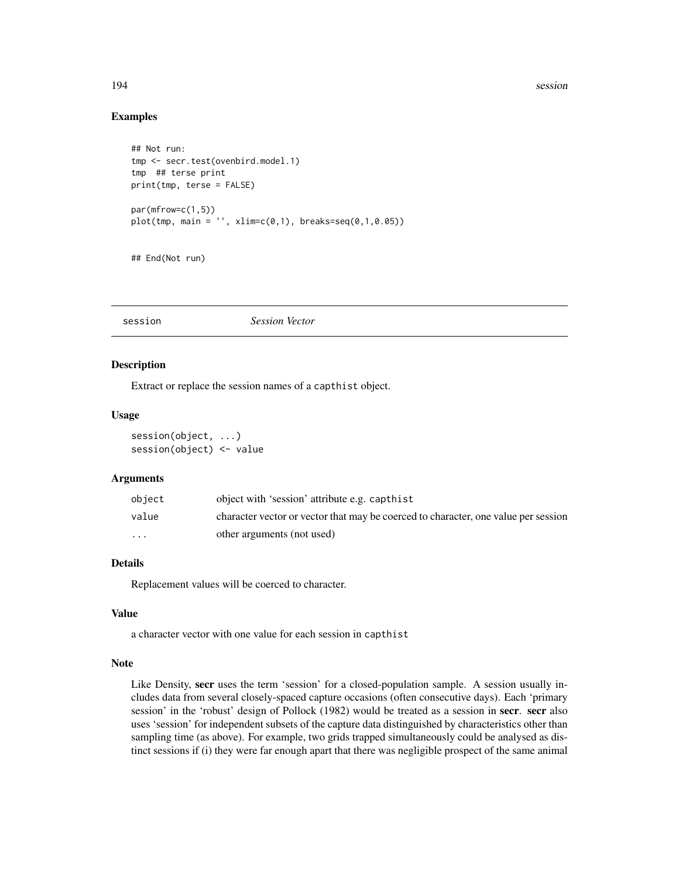#### 194 session

## Examples

```
## Not run:
tmp <- secr.test(ovenbird.model.1)
tmp ## terse print
print(tmp, terse = FALSE)
par(mfrow=c(1,5))
plot(tmp, main = '' , xlim=c(0,1), breaks=seq(0,1,0.05))
```
## End(Not run)

session *Session Vector*

# Description

Extract or replace the session names of a capthist object.

## Usage

session(object, ...) session(object) <- value

## Arguments

| object                  | object with 'session' attribute e.g. capthist                                      |
|-------------------------|------------------------------------------------------------------------------------|
| value                   | character vector or vector that may be coerced to character, one value per session |
| $\cdot$ $\cdot$ $\cdot$ | other arguments (not used)                                                         |

# Details

Replacement values will be coerced to character.

# Value

a character vector with one value for each session in capthist

## Note

Like Density, secr uses the term 'session' for a closed-population sample. A session usually includes data from several closely-spaced capture occasions (often consecutive days). Each 'primary session' in the 'robust' design of Pollock (1982) would be treated as a session in secr. secr also uses 'session' for independent subsets of the capture data distinguished by characteristics other than sampling time (as above). For example, two grids trapped simultaneously could be analysed as distinct sessions if (i) they were far enough apart that there was negligible prospect of the same animal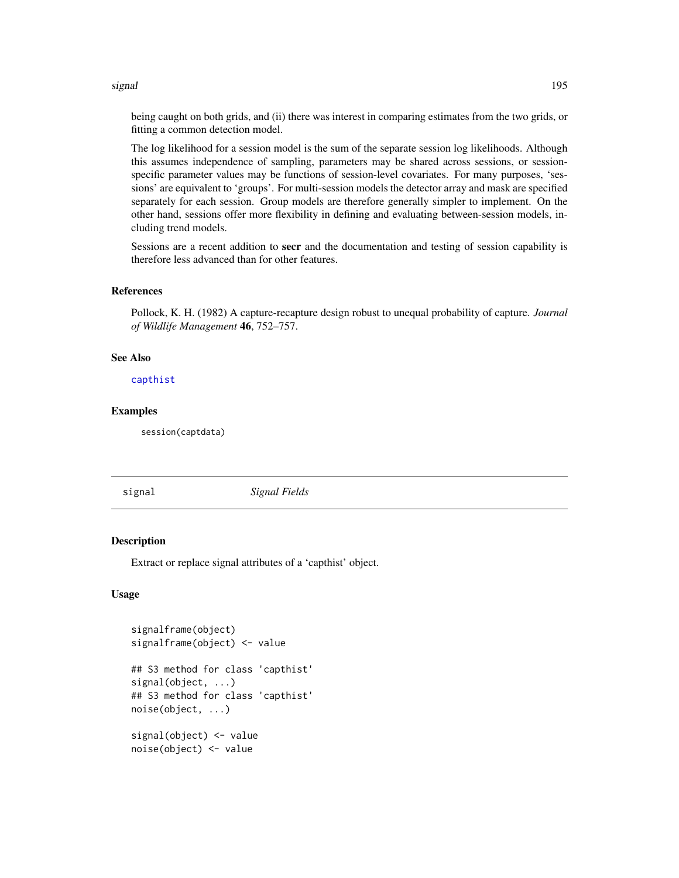#### signal 195

being caught on both grids, and (ii) there was interest in comparing estimates from the two grids, or fitting a common detection model.

The log likelihood for a session model is the sum of the separate session log likelihoods. Although this assumes independence of sampling, parameters may be shared across sessions, or sessionspecific parameter values may be functions of session-level covariates. For many purposes, 'sessions' are equivalent to 'groups'. For multi-session models the detector array and mask are specified separately for each session. Group models are therefore generally simpler to implement. On the other hand, sessions offer more flexibility in defining and evaluating between-session models, including trend models.

Sessions are a recent addition to secr and the documentation and testing of session capability is therefore less advanced than for other features.

# References

Pollock, K. H. (1982) A capture-recapture design robust to unequal probability of capture. *Journal of Wildlife Management* 46, 752–757.

## See Also

[capthist](#page-17-0)

#### Examples

session(captdata)

signal *Signal Fields*

#### Description

Extract or replace signal attributes of a 'capthist' object.

## Usage

```
signalframe(object)
signalframe(object) <- value
## S3 method for class 'capthist'
signal(object, ...)
## S3 method for class 'capthist'
noise(object, ...)
signal(object) <- value
noise(object) <- value
```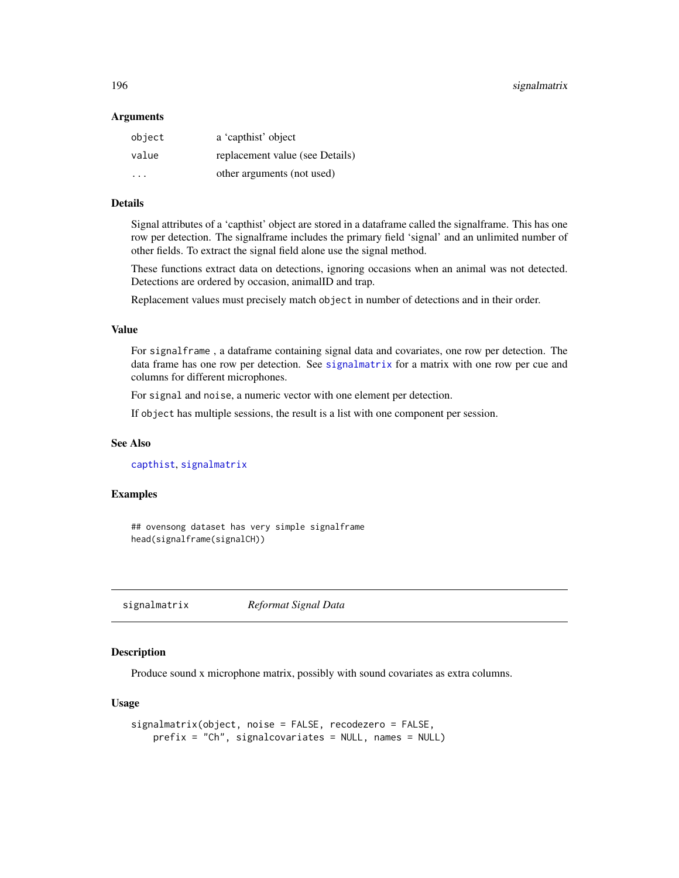#### **Arguments**

| object                  | a 'capthist' object             |
|-------------------------|---------------------------------|
| value                   | replacement value (see Details) |
| $\cdot$ $\cdot$ $\cdot$ | other arguments (not used)      |

# Details

Signal attributes of a 'capthist' object are stored in a dataframe called the signalframe. This has one row per detection. The signalframe includes the primary field 'signal' and an unlimited number of other fields. To extract the signal field alone use the signal method.

These functions extract data on detections, ignoring occasions when an animal was not detected. Detections are ordered by occasion, animalID and trap.

Replacement values must precisely match object in number of detections and in their order.

#### Value

For signalframe , a dataframe containing signal data and covariates, one row per detection. The data frame has one row per detection. See [signalmatrix](#page-195-0) for a matrix with one row per cue and columns for different microphones.

For signal and noise, a numeric vector with one element per detection.

If object has multiple sessions, the result is a list with one component per session.

## See Also

[capthist](#page-17-0), [signalmatrix](#page-195-0)

## Examples

## ovensong dataset has very simple signalframe head(signalframe(signalCH))

<span id="page-195-0"></span>signalmatrix *Reformat Signal Data*

## Description

Produce sound x microphone matrix, possibly with sound covariates as extra columns.

#### Usage

```
signalmatrix(object, noise = FALSE, recodezero = FALSE,
   prefix = "Ch", signalcovariates = NULL, names = NULL)
```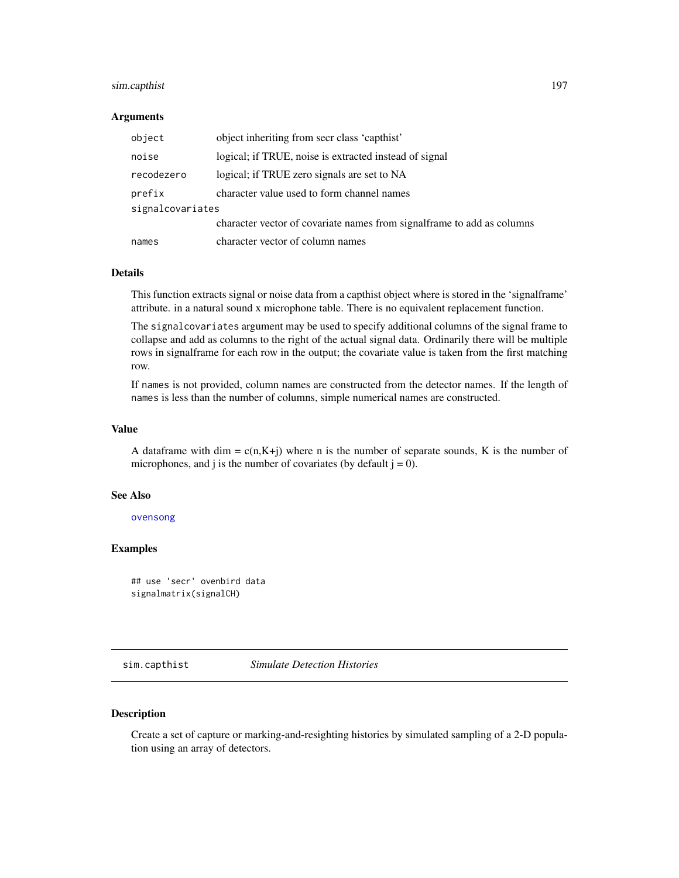# sim.capthist 197

#### Arguments

| object           | object inheriting from secr class 'capthist'                           |  |
|------------------|------------------------------------------------------------------------|--|
| noise            | logical; if TRUE, noise is extracted instead of signal                 |  |
| recodezero       | logical; if TRUE zero signals are set to NA                            |  |
| prefix           | character value used to form channel names                             |  |
| signalcovariates |                                                                        |  |
|                  | character vector of covariate names from signalframe to add as columns |  |
| names            | character vector of column names                                       |  |

## Details

This function extracts signal or noise data from a capthist object where is stored in the 'signalframe' attribute. in a natural sound x microphone table. There is no equivalent replacement function.

The signalcovariates argument may be used to specify additional columns of the signal frame to collapse and add as columns to the right of the actual signal data. Ordinarily there will be multiple rows in signalframe for each row in the output; the covariate value is taken from the first matching row.

If names is not provided, column names are constructed from the detector names. If the length of names is less than the number of columns, simple numerical names are constructed.

## Value

A dataframe with dim =  $c(n,K+j)$  where n is the number of separate sounds, K is the number of microphones, and j is the number of covariates (by default  $j = 0$ ).

## See Also

[ovensong](#page-110-0)

# Examples

```
## use 'secr' ovenbird data
signalmatrix(signalCH)
```
<span id="page-196-0"></span>sim.capthist *Simulate Detection Histories*

## Description

Create a set of capture or marking-and-resighting histories by simulated sampling of a 2-D population using an array of detectors.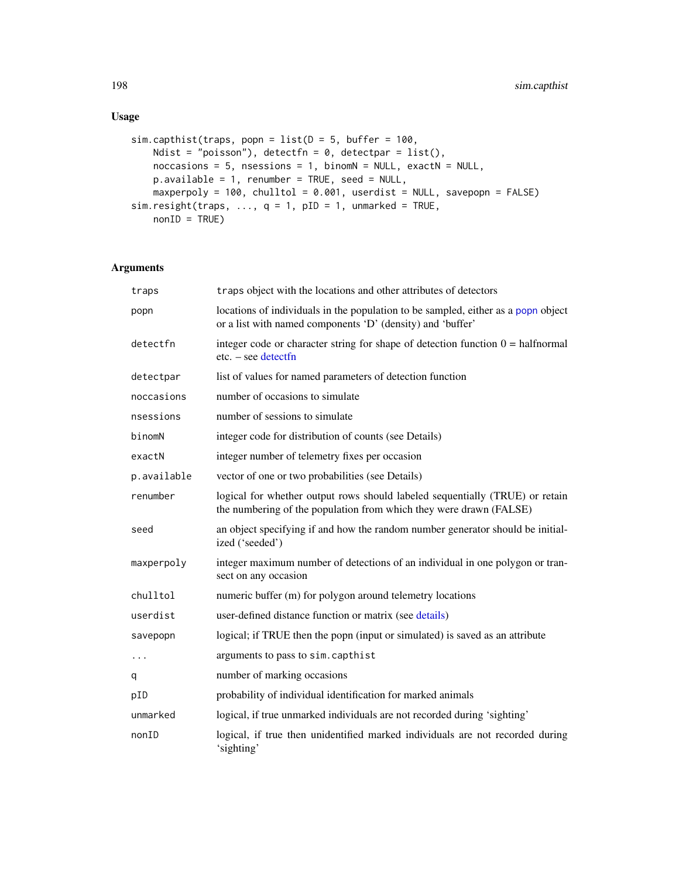# Usage

```
sim.capthist(traps, popn = list(D = 5, buffer = 100,Ndist = "poisson"), detectfn = 0, detectpar = list(),
   noccasions = 5, nsessions = 1, binomN = NULL, exactN = NULL,
   p.available = 1, renumber = TRUE, seed = NULL,
   maxperpoly = 100, chulltol = 0.001, userdist = NULL, savepopn = FALSE)
sim.resight(traps, ..., q = 1, pID = 1, unmarked = TRUE,
   nonID = TRUE)
```
# Arguments

| traps       | traps object with the locations and other attributes of detectors                                                                                  |
|-------------|----------------------------------------------------------------------------------------------------------------------------------------------------|
| popn        | locations of individuals in the population to be sampled, either as a popn object<br>or a list with named components 'D' (density) and 'buffer'    |
| detectfn    | integer code or character string for shape of detection function $0 = \text{halfnormal}$<br>$etc. - see detect$                                    |
| detectpar   | list of values for named parameters of detection function                                                                                          |
| noccasions  | number of occasions to simulate                                                                                                                    |
| nsessions   | number of sessions to simulate                                                                                                                     |
| binomN      | integer code for distribution of counts (see Details)                                                                                              |
| exactN      | integer number of telemetry fixes per occasion                                                                                                     |
| p.available | vector of one or two probabilities (see Details)                                                                                                   |
| renumber    | logical for whether output rows should labeled sequentially (TRUE) or retain<br>the numbering of the population from which they were drawn (FALSE) |
| seed        | an object specifying if and how the random number generator should be initial-<br>ized ('seeded')                                                  |
| maxperpoly  | integer maximum number of detections of an individual in one polygon or tran-<br>sect on any occasion                                              |
| chulltol    | numeric buffer (m) for polygon around telemetry locations                                                                                          |
| userdist    | user-defined distance function or matrix (see details)                                                                                             |
| savepopn    | logical; if TRUE then the popn (input or simulated) is saved as an attribute                                                                       |
| $\cdots$    | arguments to pass to sim. capthist                                                                                                                 |
| q           | number of marking occasions                                                                                                                        |
| pID         | probability of individual identification for marked animals                                                                                        |
| unmarked    | logical, if true unmarked individuals are not recorded during 'sighting'                                                                           |
| nonID       | logical, if true then unidentified marked individuals are not recorded during<br>'sighting'                                                        |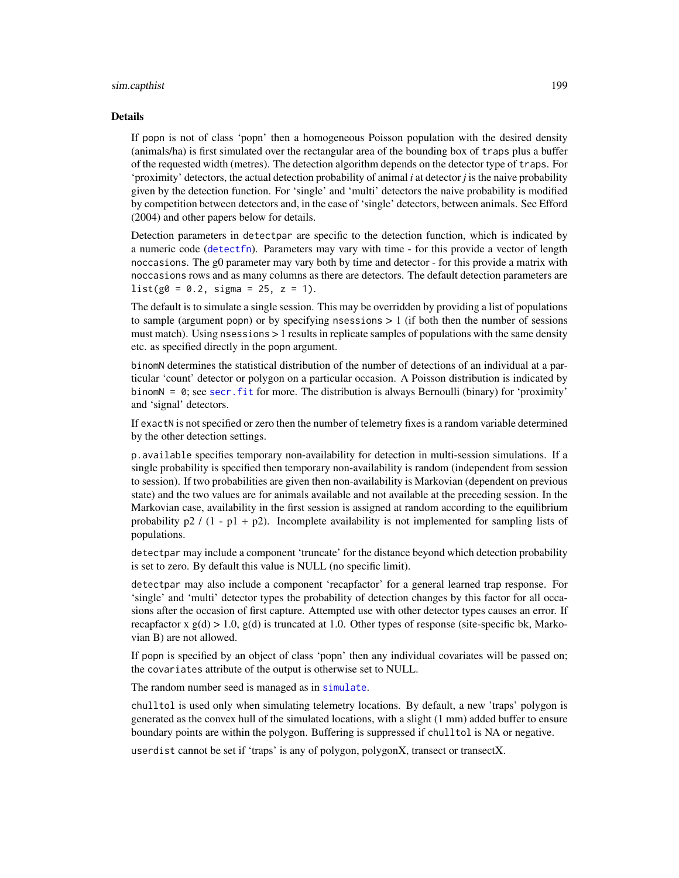## sim.capthist 199

#### Details

If popn is not of class 'popn' then a homogeneous Poisson population with the desired density (animals/ha) is first simulated over the rectangular area of the bounding box of traps plus a buffer of the requested width (metres). The detection algorithm depends on the detector type of traps. For 'proximity' detectors, the actual detection probability of animal *i* at detector *j* is the naive probability given by the detection function. For 'single' and 'multi' detectors the naive probability is modified by competition between detectors and, in the case of 'single' detectors, between animals. See Efford (2004) and other papers below for details.

Detection parameters in detectpar are specific to the detection function, which is indicated by a numeric code ([detectfn](#page-44-1)). Parameters may vary with time - for this provide a vector of length noccasions. The g0 parameter may vary both by time and detector - for this provide a matrix with noccasions rows and as many columns as there are detectors. The default detection parameters are  $list(g0 = 0.2, sigma = 25, z = 1).$ 

The default is to simulate a single session. This may be overridden by providing a list of populations to sample (argument popn) or by specifying nsessions  $> 1$  (if both then the number of sessions must match). Using nsessions > 1 results in replicate samples of populations with the same density etc. as specified directly in the popn argument.

binomN determines the statistical distribution of the number of detections of an individual at a particular 'count' detector or polygon on a particular occasion. A Poisson distribution is indicated by binomN =  $\theta$ ; see secr. fit for more. The distribution is always Bernoulli (binary) for 'proximity' and 'signal' detectors.

If exactN is not specified or zero then the number of telemetry fixes is a random variable determined by the other detection settings.

p.available specifies temporary non-availability for detection in multi-session simulations. If a single probability is specified then temporary non-availability is random (independent from session to session). If two probabilities are given then non-availability is Markovian (dependent on previous state) and the two values are for animals available and not available at the preceding session. In the Markovian case, availability in the first session is assigned at random according to the equilibrium probability  $p2 / (1 - p1 + p2)$ . Incomplete availability is not implemented for sampling lists of populations.

detectpar may include a component 'truncate' for the distance beyond which detection probability is set to zero. By default this value is NULL (no specific limit).

detectpar may also include a component 'recapfactor' for a general learned trap response. For 'single' and 'multi' detector types the probability of detection changes by this factor for all occasions after the occasion of first capture. Attempted use with other detector types causes an error. If recapfactor x  $g(d) > 1.0$ ,  $g(d)$  is truncated at 1.0. Other types of response (site-specific bk, Markovian B) are not allowed.

If popn is specified by an object of class 'popn' then any individual covariates will be passed on; the covariates attribute of the output is otherwise set to NULL.

The random number seed is managed as in [simulate](#page-204-1).

chulltol is used only when simulating telemetry locations. By default, a new 'traps' polygon is generated as the convex hull of the simulated locations, with a slight (1 mm) added buffer to ensure boundary points are within the polygon. Buffering is suppressed if chulltol is NA or negative.

userdist cannot be set if 'traps' is any of polygon, polygonX, transect or transectX.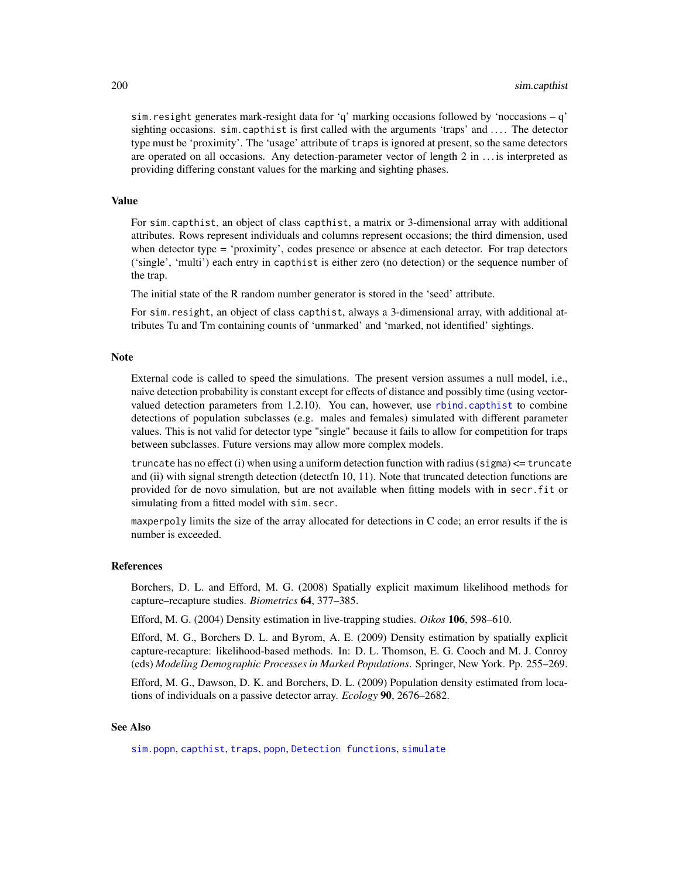sim.resight generates mark-resight data for 'q' marking occasions followed by 'noccasions – q' sighting occasions.  $\sin$  capthist is first called with the arguments 'traps' and  $\dots$ . The detector type must be 'proximity'. The 'usage' attribute of traps is ignored at present, so the same detectors are operated on all occasions. Any detection-parameter vector of length 2 in . . . is interpreted as providing differing constant values for the marking and sighting phases.

# Value

For sim.capthist, an object of class capthist, a matrix or 3-dimensional array with additional attributes. Rows represent individuals and columns represent occasions; the third dimension, used when detector type = 'proximity', codes presence or absence at each detector. For trap detectors ('single', 'multi') each entry in capthist is either zero (no detection) or the sequence number of the trap.

The initial state of the R random number generator is stored in the 'seed' attribute.

For sim.resight, an object of class capthist, always a 3-dimensional array, with additional attributes Tu and Tm containing counts of 'unmarked' and 'marked, not identified' sightings.

#### Note

External code is called to speed the simulations. The present version assumes a null model, i.e., naive detection probability is constant except for effects of distance and possibly time (using vectorvalued detection parameters from 1.2.10). You can, however, use [rbind.capthist](#page-148-0) to combine detections of population subclasses (e.g. males and females) simulated with different parameter values. This is not valid for detector type "single" because it fails to allow for competition for traps between subclasses. Future versions may allow more complex models.

truncate has no effect (i) when using a uniform detection function with radius (sigma)  $\leq$  truncate and (ii) with signal strength detection (detectfn 10, 11). Note that truncated detection functions are provided for de novo simulation, but are not available when fitting models with in secr.fit or simulating from a fitted model with sim.secr.

maxperpoly limits the size of the array allocated for detections in C code; an error results if the is number is exceeded.

# References

Borchers, D. L. and Efford, M. G. (2008) Spatially explicit maximum likelihood methods for capture–recapture studies. *Biometrics* 64, 377–385.

Efford, M. G. (2004) Density estimation in live-trapping studies. *Oikos* 106, 598–610.

Efford, M. G., Borchers D. L. and Byrom, A. E. (2009) Density estimation by spatially explicit capture-recapture: likelihood-based methods. In: D. L. Thomson, E. G. Cooch and M. J. Conroy (eds) *Modeling Demographic Processes in Marked Populations*. Springer, New York. Pp. 255–269.

Efford, M. G., Dawson, D. K. and Borchers, D. L. (2009) Population density estimated from locations of individuals on a passive detector array. *Ecology* 90, 2676–2682.

## See Also

[sim.popn](#page-200-0), [capthist](#page-17-0), [traps](#page-243-0), [popn](#page-136-0), [Detection functions](#page-0-0), [simulate](#page-204-1)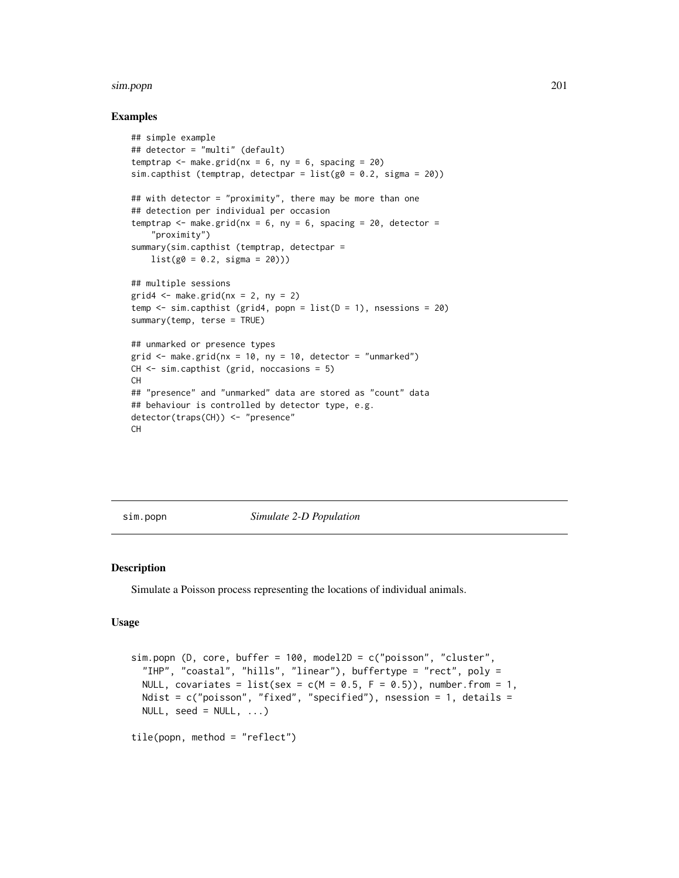#### sim.popn 201

## Examples

```
## simple example
## detector = "multi" (default)
temptrap \leq make.grid(nx = 6, ny = 6, spacing = 20)
sim.capthist (temptrap, detectpar = list(g0 = 0.2, sigma = 20))
## with detector = "proximity", there may be more than one
## detection per individual per occasion
temptrap \leq make.grid(nx = 6, ny = 6, spacing = 20, detector =
    "proximity")
summary(sim.capthist (temptrap, detectpar =
   list(g0 = 0.2, sigma = 20))## multiple sessions
grid4 \leq make.grid(nx = 2, ny = 2)
temp \le sim.capthist (grid4, popn = list(D = 1), nsessions = 20)
summary(temp, terse = TRUE)
## unmarked or presence types
grid \leq make.grid(nx = 10, ny = 10, detector = "unmarked")
CH <- sim.capthist (grid, noccasions = 5)
CH
## "presence" and "unmarked" data are stored as "count" data
## behaviour is controlled by detector type, e.g.
detector(traps(CH)) <- "presence"
CH
```
<span id="page-200-0"></span>sim.popn *Simulate 2-D Population*

## Description

Simulate a Poisson process representing the locations of individual animals.

## Usage

```
sim.popn (D, core, buffer = 100, model2D = c("poisson", "cluster",
 "IHP", "coastal", "hills", "linear"), buffertype = "rect", poly =
 NULL, covariates = list(sex = c(M = 0.5, F = 0.5)), number.from = 1,
 Ndist = c("poisson", "fixed", "specified"), nsession = 1, details =NULL, seed = NULL, ...)tile(popn, method = "reflect")
```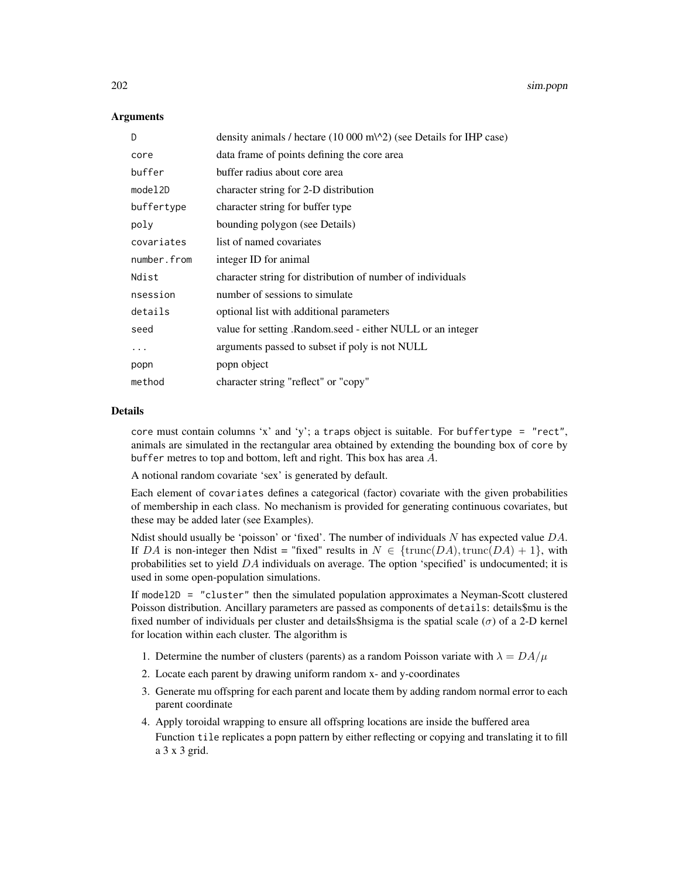## **Arguments**

| D           | density animals / hectare $(10\ 000\ \text{m}^2)$ (see Details for IHP case) |
|-------------|------------------------------------------------------------------------------|
| core        | data frame of points defining the core area                                  |
| buffer      | buffer radius about core area                                                |
| model2D     | character string for 2-D distribution                                        |
| buffertype  | character string for buffer type                                             |
| poly        | bounding polygon (see Details)                                               |
| covariates  | list of named covariates                                                     |
| number.from | integer ID for animal                                                        |
| Ndist       | character string for distribution of number of individuals                   |
| nsession    | number of sessions to simulate                                               |
| details     | optional list with additional parameters                                     |
| seed        | value for setting . Random.seed - either NULL or an integer                  |
| .           | arguments passed to subset if poly is not NULL                               |
| popn        | popn object                                                                  |
| method      | character string "reflect" or "copy"                                         |

# Details

core must contain columns 'x' and 'y'; a traps object is suitable. For buffertype = "rect", animals are simulated in the rectangular area obtained by extending the bounding box of core by buffer metres to top and bottom, left and right. This box has area  $A$ .

A notional random covariate 'sex' is generated by default.

Each element of covariates defines a categorical (factor) covariate with the given probabilities of membership in each class. No mechanism is provided for generating continuous covariates, but these may be added later (see Examples).

Ndist should usually be 'poisson' or 'fixed'. The number of individuals N has expected value  $DA$ . If DA is non-integer then Ndist = "fixed" results in  $N \in \{\text{trunc}(DA), \text{trunc}(DA) + 1\}$ , with probabilities set to yield  $DA$  individuals on average. The option 'specified' is undocumented; it is used in some open-population simulations.

If model2D = "cluster" then the simulated population approximates a Neyman-Scott clustered Poisson distribution. Ancillary parameters are passed as components of details: details\$mu is the fixed number of individuals per cluster and details\$hsigma is the spatial scale ( $\sigma$ ) of a 2-D kernel for location within each cluster. The algorithm is

- 1. Determine the number of clusters (parents) as a random Poisson variate with  $\lambda = DA/\mu$
- 2. Locate each parent by drawing uniform random x- and y-coordinates
- 3. Generate mu offspring for each parent and locate them by adding random normal error to each parent coordinate
- 4. Apply toroidal wrapping to ensure all offspring locations are inside the buffered area Function tile replicates a popn pattern by either reflecting or copying and translating it to fill a 3 x 3 grid.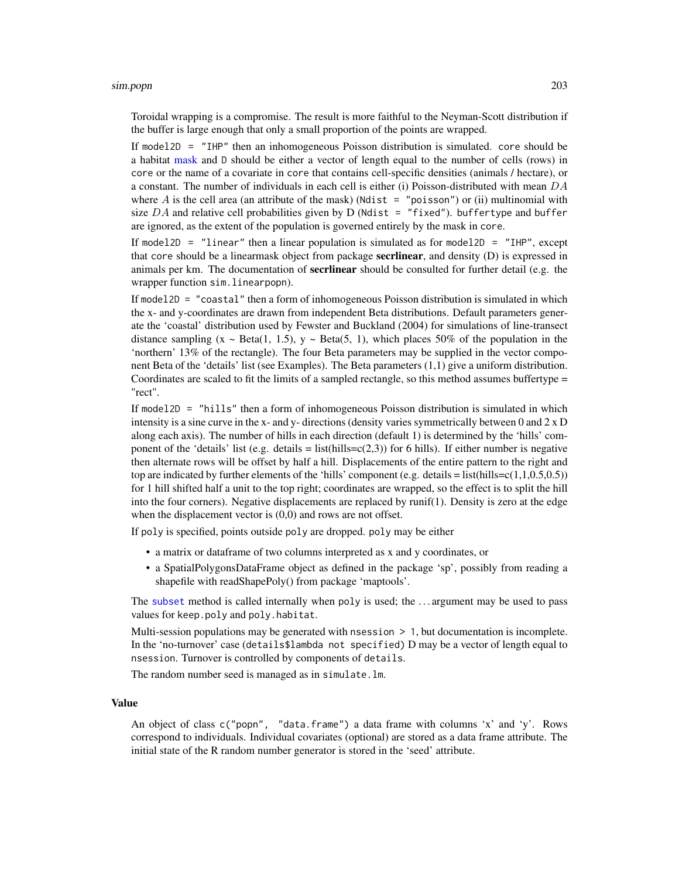#### sim.popn 203

Toroidal wrapping is a compromise. The result is more faithful to the Neyman-Scott distribution if the buffer is large enough that only a small proportion of the points are wrapped.

If model2D = "IHP" then an inhomogeneous Poisson distribution is simulated. core should be a habitat [mask](#page-100-0) and D should be either a vector of length equal to the number of cells (rows) in core or the name of a covariate in core that contains cell-specific densities (animals / hectare), or a constant. The number of individuals in each cell is either (i) Poisson-distributed with mean  $DA$ where A is the cell area (an attribute of the mask) (Ndist  $=$  "poisson") or (ii) multinomial with size DA and relative cell probabilities given by D (Ndist = "fixed"). buffertype and buffer are ignored, as the extent of the population is governed entirely by the mask in core.

If model2D = "linear" then a linear population is simulated as for model2D = "IHP", except that core should be a linearmask object from package **secrlinear**, and density (D) is expressed in animals per km. The documentation of **secrlinear** should be consulted for further detail (e.g. the wrapper function sim.linearpopn).

If model2D = "coastal" then a form of inhomogeneous Poisson distribution is simulated in which the x- and y-coordinates are drawn from independent Beta distributions. Default parameters generate the 'coastal' distribution used by Fewster and Buckland (2004) for simulations of line-transect distance sampling  $(x \sim Beta(1, 1.5), y \sim Beta(5, 1))$ , which places 50% of the population in the 'northern' 13% of the rectangle). The four Beta parameters may be supplied in the vector component Beta of the 'details' list (see Examples). The Beta parameters (1,1) give a uniform distribution. Coordinates are scaled to fit the limits of a sampled rectangle, so this method assumes buffertype = "rect".

If model2D = "hills" then a form of inhomogeneous Poisson distribution is simulated in which intensity is a sine curve in the x- and y- directions (density varies symmetrically between 0 and  $2 \times D$ along each axis). The number of hills in each direction (default 1) is determined by the 'hills' component of the 'details' list (e.g. details = list(hills= $c(2,3)$ ) for 6 hills). If either number is negative then alternate rows will be offset by half a hill. Displacements of the entire pattern to the right and top are indicated by further elements of the 'hills' component (e.g. details = list(hills= $c(1,1,0.5,0.5)$ ) for 1 hill shifted half a unit to the top right; coordinates are wrapped, so the effect is to split the hill into the four corners). Negative displacements are replaced by runif(1). Density is zero at the edge when the displacement vector is  $(0,0)$  and rows are not offset.

If poly is specified, points outside poly are dropped. poly may be either

- a matrix or dataframe of two columns interpreted as x and y coordinates, or
- a SpatialPolygonsDataFrame object as defined in the package 'sp', possibly from reading a shapefile with readShapePoly() from package 'maptools'.

The [subset](#page-0-0) method is called internally when poly is used; the . . . argument may be used to pass values for keep.poly and poly.habitat.

Multi-session populations may be generated with nsession > 1, but documentation is incomplete. In the 'no-turnover' case (details\$lambda not specified) D may be a vector of length equal to nsession. Turnover is controlled by components of details.

The random number seed is managed as in simulate.lm.

## Value

An object of class c("popn", "data.frame") a data frame with columns 'x' and 'y'. Rows correspond to individuals. Individual covariates (optional) are stored as a data frame attribute. The initial state of the R random number generator is stored in the 'seed' attribute.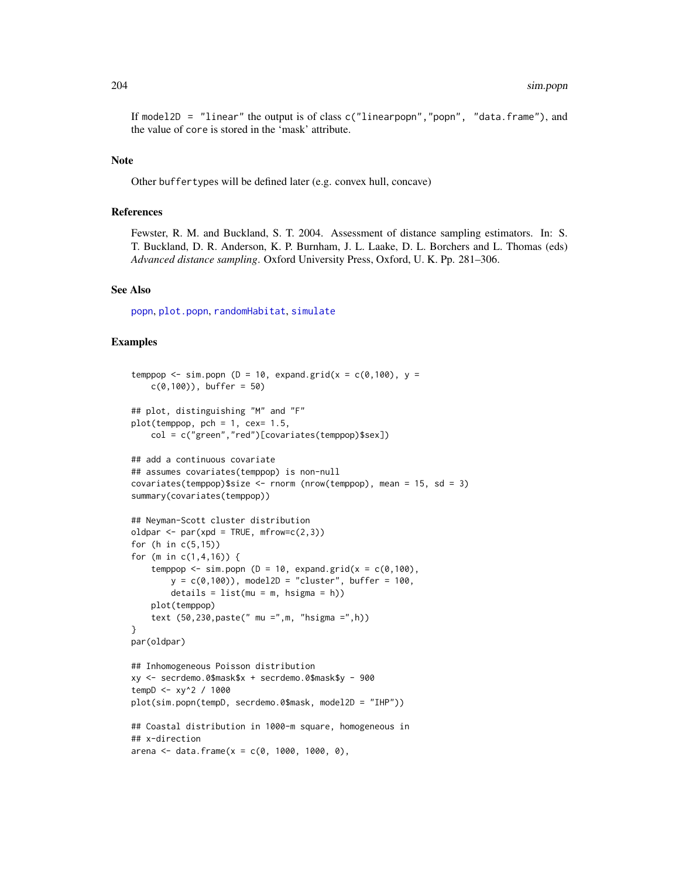If model2D = "linear" the output is of class c("linearpopn","popn", "data.frame"), and the value of core is stored in the 'mask' attribute.

#### Note

Other buffertypes will be defined later (e.g. convex hull, concave)

## **References**

Fewster, R. M. and Buckland, S. T. 2004. Assessment of distance sampling estimators. In: S. T. Buckland, D. R. Anderson, K. P. Burnham, J. L. Laake, D. L. Borchers and L. Thomas (eds) *Advanced distance sampling*. Oxford University Press, Oxford, U. K. Pp. 281–306.

## See Also

[popn](#page-136-0), [plot.popn](#page-129-0), [randomHabitat](#page-146-0), [simulate](#page-204-1)

## Examples

```
temppop \le sim.popn (D = 10, expand.grid(x = c(0,100), y =
   c(0,100), buffer = 50)
## plot, distinguishing "M" and "F"
plot(temppop, pch = 1, cex= 1.5,
   col = c("green","red")[covariates(temppop)$sex])
## add a continuous covariate
## assumes covariates(temppop) is non-null
covariates(temppop)$size <- rnorm (nrow(temppop), mean = 15, sd = 3)
summary(covariates(temppop))
## Neyman-Scott cluster distribution
oldpar \leq par(xpd = TRUE, mfrow=c(2,3))
for (h in c(5,15))
for (m in c(1,4,16)) {
    temppop \le sim.popn (D = 10, expand.grid(x = c(0,100),
        y = c(0,100), model2D = "cluster", buffer = 100,
        details = list(mu = m, hsigma = h))plot(temppop)
    text (50,230,paste(" mu =",m, "hsigma =",h))
}
par(oldpar)
## Inhomogeneous Poisson distribution
xy <- secrdemo.0$mask$x + secrdemo.0$mask$y - 900
tempD <- xy^2 / 1000
plot(sim.popn(tempD, secrdemo.0$mask, model2D = "IHP"))
## Coastal distribution in 1000-m square, homogeneous in
## x-direction
arena <- data.frame(x = c(0, 1000, 1000, 0),
```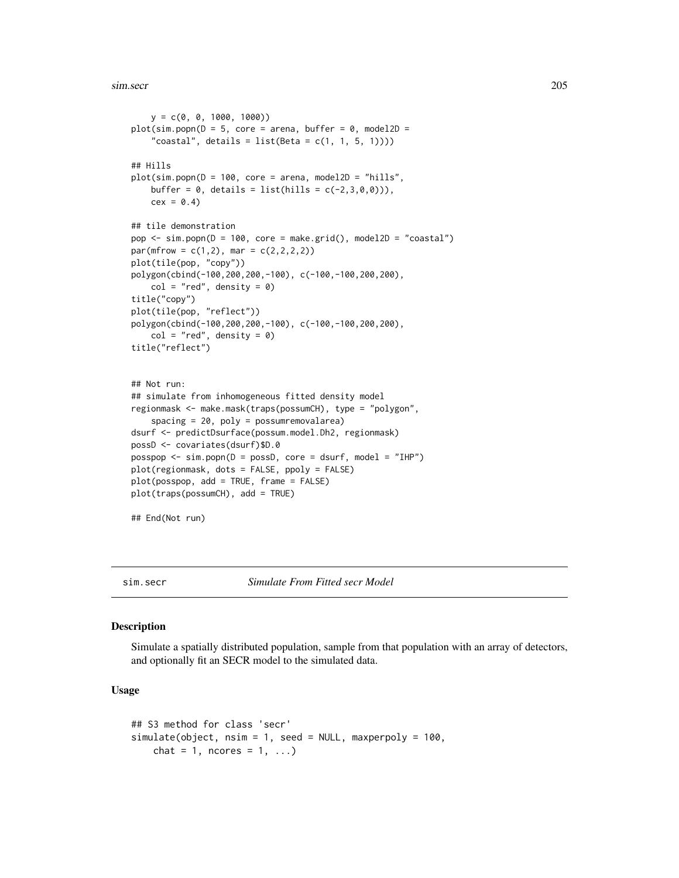sim.secr 205

```
y = c(0, 0, 1000, 1000)plot(sim.popn(D = 5, core = arena, buffer = 0, model2D ="coastal", details = list(Beta = c(1, 1, 5, 1))))
## Hills
plot(sim.popn(D = 100, core = arena, model2D = "hills",
   buffer = 0, details = list(hills = c(-2, 3, 0, 0))),
    cex = 0.4## tile demonstration
pop <- sim.popn(D = 100, core = make.grid(), model2D = "coastal")
par(mfrow = c(1,2), mar = c(2,2,2,2))plot(tile(pop, "copy"))
polygon(cbind(-100,200,200,-100), c(-100,-100,200,200),
    col = "red", density = 0)title("copy")
plot(tile(pop, "reflect"))
polygon(cbind(-100,200,200,-100), c(-100,-100,200,200),
    col = "red", density = 0)title("reflect")
## Not run:
## simulate from inhomogeneous fitted density model
regionmask <- make.mask(traps(possumCH), type = "polygon",
    spacing = 20, poly = possumremovalarea)
dsurf <- predictDsurface(possum.model.Dh2, regionmask)
possD <- covariates(dsurf)$D.0
posspop <- sim.popn(D = possD, core = dsurf, model = "IHP")
plot(regionmask, dots = FALSE, ppoly = FALSE)
plot(posspop, add = TRUE, frame = FALSE)
plot(traps(possumCH), add = TRUE)
```
## End(Not run)

<span id="page-204-0"></span>

sim.secr *Simulate From Fitted secr Model*

## <span id="page-204-1"></span>Description

Simulate a spatially distributed population, sample from that population with an array of detectors, and optionally fit an SECR model to the simulated data.

## Usage

```
## S3 method for class 'secr'
simulate(object, nsim = 1, seed = NULL, maxperpoly = 100,
   chat = 1, ncores = 1, ...)
```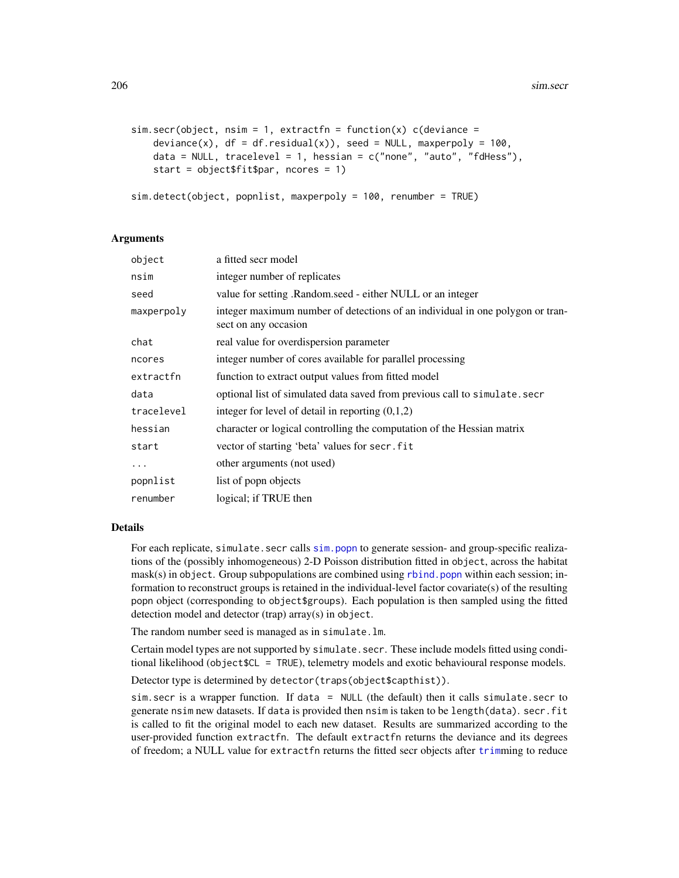```
sim. secr(object, nsim = 1, extractfn = function(x) c(deviance =
    deviance(x), df = df</math>.residual(x)), seed = NULL, maxperpoly = 100,data = NULL, tracelevel = 1, hessian = c("none", "auto", "fdHess"),start = object$fit$par, ncores = 1)
```

```
sim.detect(object, popnlist, maxperpoly = 100, renumber = TRUE)
```
# Arguments

| a fitted secr model                                                                                   |
|-------------------------------------------------------------------------------------------------------|
| integer number of replicates                                                                          |
| value for setting . Random.seed - either NULL or an integer                                           |
| integer maximum number of detections of an individual in one polygon or tran-<br>sect on any occasion |
| real value for overdispersion parameter                                                               |
| integer number of cores available for parallel processing                                             |
| function to extract output values from fitted model                                                   |
| optional list of simulated data saved from previous call to simulate. secr                            |
| integer for level of detail in reporting $(0,1,2)$                                                    |
| character or logical controlling the computation of the Hessian matrix                                |
| vector of starting 'beta' values for secr. fit                                                        |
| other arguments (not used)                                                                            |
| list of popp objects                                                                                  |
| logical; if TRUE then                                                                                 |
|                                                                                                       |

#### Details

For each replicate, simulate.secr calls [sim.popn](#page-200-0) to generate session- and group-specific realizations of the (possibly inhomogeneous) 2-D Poisson distribution fitted in object, across the habitat  $mask(s)$  in object. Group subpopulations are combined using [rbind.popn](#page-151-0) within each session; information to reconstruct groups is retained in the individual-level factor covariate(s) of the resulting popn object (corresponding to object\$groups). Each population is then sampled using the fitted detection model and detector (trap) array(s) in object.

The random number seed is managed as in simulate.lm.

Certain model types are not supported by simulate.secr. These include models fitted using conditional likelihood (object\$CL = TRUE), telemetry models and exotic behavioural response models.

Detector type is determined by detector(traps(object\$capthist)).

sim.secr is a wrapper function. If data = NULL (the default) then it calls simulate.secr to generate nsim new datasets. If data is provided then nsim is taken to be length(data). secr.fit is called to fit the original model to each new dataset. Results are summarized according to the user-provided function extractfn. The default extractfn returns the deviance and its degrees of freedom; a NULL value for extractfn returns the fitted secr objects after [trim](#page-246-0)ming to reduce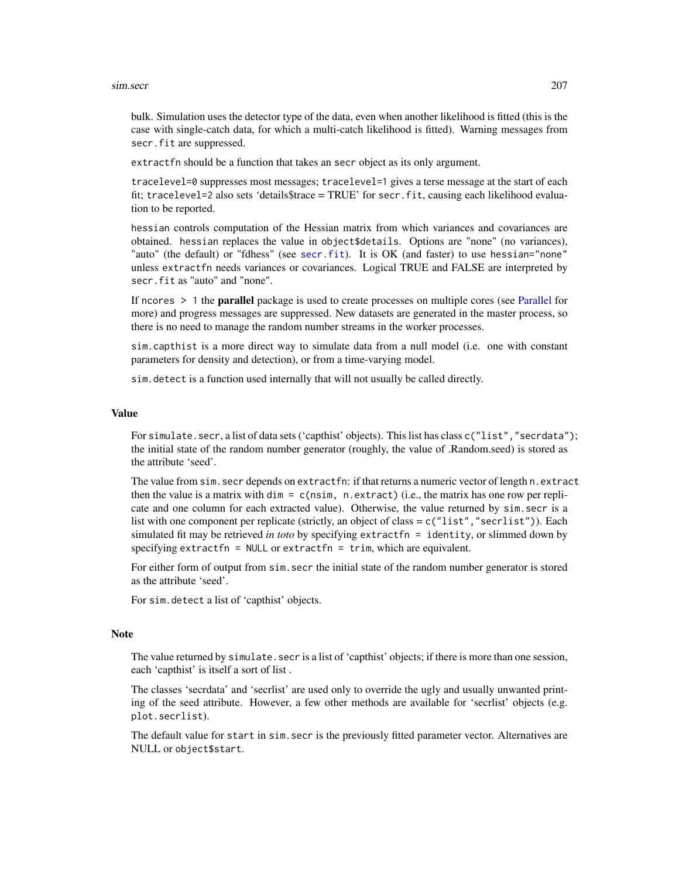#### sim.secr 207

bulk. Simulation uses the detector type of the data, even when another likelihood is fitted (this is the case with single-catch data, for which a multi-catch likelihood is fitted). Warning messages from secr.fit are suppressed.

extractfn should be a function that takes an secr object as its only argument.

tracelevel=0 suppresses most messages; tracelevel=1 gives a terse message at the start of each fit; tracelevel=2 also sets 'details\$trace = TRUE' for secr.fit, causing each likelihood evaluation to be reported.

hessian controls computation of the Hessian matrix from which variances and covariances are obtained. hessian replaces the value in object\$details. Options are "none" (no variances), "auto" (the default) or "fdhess" (see [secr.fit](#page-176-0)). It is OK (and faster) to use hessian="none" unless extractfn needs variances or covariances. Logical TRUE and FALSE are interpreted by secr.fit as "auto" and "none".

If ncores > 1 the parallel package is used to create processes on multiple cores (see [Parallel](#page-116-0) for more) and progress messages are suppressed. New datasets are generated in the master process, so there is no need to manage the random number streams in the worker processes.

sim.capthist is a more direct way to simulate data from a null model (i.e. one with constant parameters for density and detection), or from a time-varying model.

sim.detect is a function used internally that will not usually be called directly.

#### Value

For simulate. secr, a list of data sets ('capthist' objects). This list has class c("list", "secrdata"); the initial state of the random number generator (roughly, the value of .Random.seed) is stored as the attribute 'seed'.

The value from sim.secr depends on extractfn: if that returns a numeric vector of length n.extract then the value is a matrix with  $\dim = c$  (nsim, n.extract) (i.e., the matrix has one row per replicate and one column for each extracted value). Otherwise, the value returned by sim.secr is a list with one component per replicate (strictly, an object of class =  $c("list", "secrlist"))$ ). Each simulated fit may be retrieved *in toto* by specifying extractfn = identity, or slimmed down by specifying extractfn = NULL or extractfn = trim, which are equivalent.

For either form of output from sim.secr the initial state of the random number generator is stored as the attribute 'seed'.

For sim.detect a list of 'capthist' objects.

## **Note**

The value returned by simulate. secr is a list of 'capthist' objects; if there is more than one session, each 'capthist' is itself a sort of list .

The classes 'secrdata' and 'secrlist' are used only to override the ugly and usually unwanted printing of the seed attribute. However, a few other methods are available for 'secrlist' objects (e.g. plot.secrlist).

The default value for start in sim.secr is the previously fitted parameter vector. Alternatives are NULL or object\$start.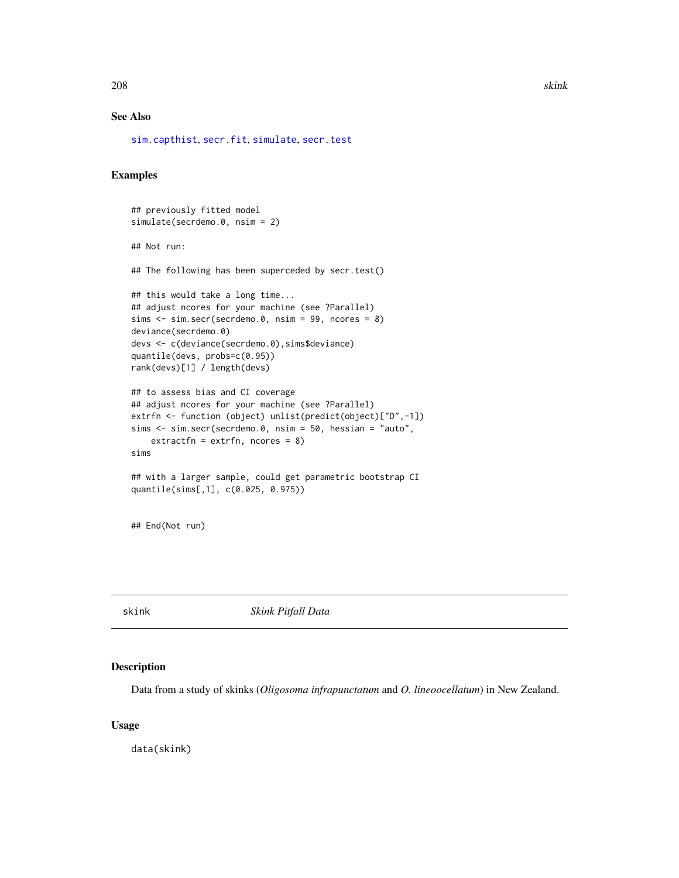208 skink and the set of the set of the set of the set of the set of the set of the set of the set of the set of the set of the set of the set of the set of the set of the set of the set of the set of the set of the set of

# See Also

[sim.capthist](#page-196-0), [secr.fit](#page-176-0), [simulate](#page-204-1), [secr.test](#page-188-0)

## Examples

```
## previously fitted model
simulate(secrdemo.0, nsim = 2)
## Not run:
## The following has been superceded by secr.test()
## this would take a long time...
## adjust ncores for your machine (see ?Parallel)
sims \le sim.secr(secrdemo.0, nsim = 99, ncores = 8)
deviance(secrdemo.0)
devs <- c(deviance(secrdemo.0),sims$deviance)
quantile(devs, probs=c(0.95))
rank(devs)[1] / length(devs)
## to assess bias and CI coverage
## adjust ncores for your machine (see ?Parallel)
extrfn <- function (object) unlist(predict(object)["D",-1])
sims <- sim.secr(secrdemo.0, nsim = 50, hessian = "auto",
   extractfn = extrfn, ncores = 8)
sims
## with a larger sample, could get parametric bootstrap CI
quantile(sims[,1], c(0.025, 0.975))
## End(Not run)
```
skink *Skink Pitfall Data*

#### Description

Data from a study of skinks (*Oligosoma infrapunctatum* and *O. lineoocellatum*) in New Zealand.

## Usage

data(skink)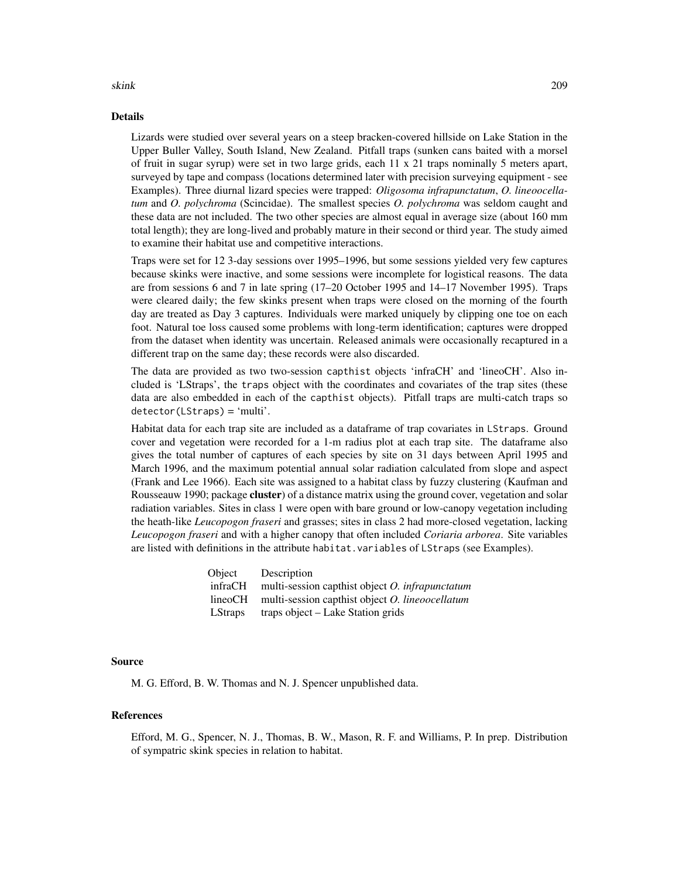## Details

Lizards were studied over several years on a steep bracken-covered hillside on Lake Station in the Upper Buller Valley, South Island, New Zealand. Pitfall traps (sunken cans baited with a morsel of fruit in sugar syrup) were set in two large grids, each 11 x 21 traps nominally 5 meters apart, surveyed by tape and compass (locations determined later with precision surveying equipment - see Examples). Three diurnal lizard species were trapped: *Oligosoma infrapunctatum*, *O. lineoocellatum* and *O. polychroma* (Scincidae). The smallest species *O. polychroma* was seldom caught and these data are not included. The two other species are almost equal in average size (about 160 mm total length); they are long-lived and probably mature in their second or third year. The study aimed to examine their habitat use and competitive interactions.

Traps were set for 12 3-day sessions over 1995–1996, but some sessions yielded very few captures because skinks were inactive, and some sessions were incomplete for logistical reasons. The data are from sessions 6 and 7 in late spring (17–20 October 1995 and 14–17 November 1995). Traps were cleared daily; the few skinks present when traps were closed on the morning of the fourth day are treated as Day 3 captures. Individuals were marked uniquely by clipping one toe on each foot. Natural toe loss caused some problems with long-term identification; captures were dropped from the dataset when identity was uncertain. Released animals were occasionally recaptured in a different trap on the same day; these records were also discarded.

The data are provided as two two-session capthist objects 'infraCH' and 'lineoCH'. Also included is 'LStraps', the traps object with the coordinates and covariates of the trap sites (these data are also embedded in each of the capthist objects). Pitfall traps are multi-catch traps so detector(LStraps) = 'multi'.

Habitat data for each trap site are included as a dataframe of trap covariates in LStraps. Ground cover and vegetation were recorded for a 1-m radius plot at each trap site. The dataframe also gives the total number of captures of each species by site on 31 days between April 1995 and March 1996, and the maximum potential annual solar radiation calculated from slope and aspect (Frank and Lee 1966). Each site was assigned to a habitat class by fuzzy clustering (Kaufman and Rousseauw 1990; package cluster) of a distance matrix using the ground cover, vegetation and solar radiation variables. Sites in class 1 were open with bare ground or low-canopy vegetation including the heath-like *Leucopogon fraseri* and grasses; sites in class 2 had more-closed vegetation, lacking *Leucopogon fraseri* and with a higher canopy that often included *Coriaria arborea*. Site variables are listed with definitions in the attribute habitat.variables of LStraps (see Examples).

| Object         | Description                                        |
|----------------|----------------------------------------------------|
| infraCH        | multi-session capthist object $O$ . infrapunctatum |
| lineoCH        | multi-session capthist object O. lineoocellatum    |
| <b>LStraps</b> | traps object – Lake Station grids                  |

## Source

M. G. Efford, B. W. Thomas and N. J. Spencer unpublished data.

## References

Efford, M. G., Spencer, N. J., Thomas, B. W., Mason, R. F. and Williams, P. In prep. Distribution of sympatric skink species in relation to habitat.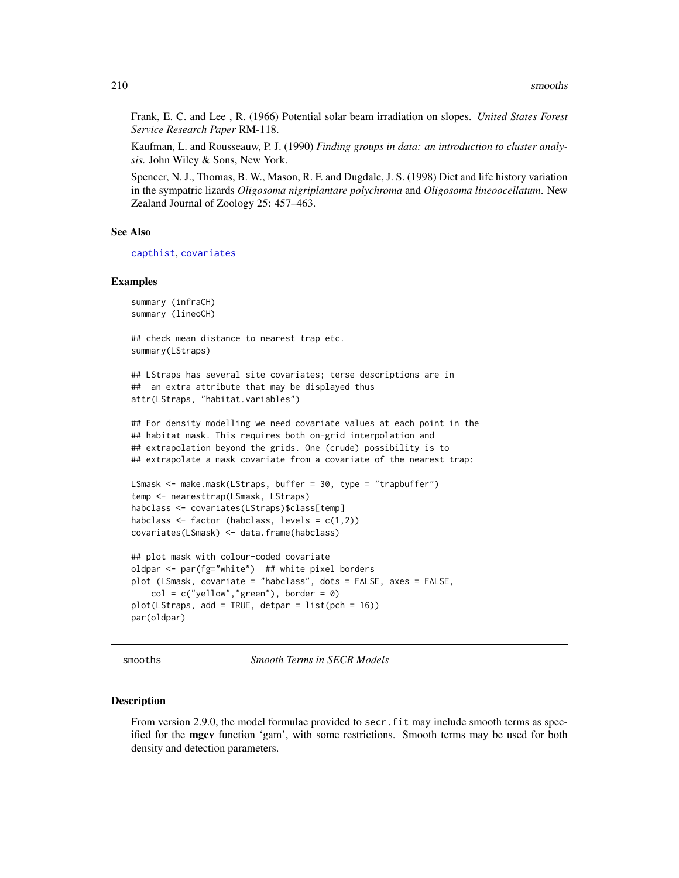Frank, E. C. and Lee , R. (1966) Potential solar beam irradiation on slopes. *United States Forest Service Research Paper* RM-118.

Kaufman, L. and Rousseauw, P. J. (1990) *Finding groups in data: an introduction to cluster analysis.* John Wiley & Sons, New York.

Spencer, N. J., Thomas, B. W., Mason, R. F. and Dugdale, J. S. (1998) Diet and life history variation in the sympatric lizards *Oligosoma nigriplantare polychroma* and *Oligosoma lineoocellatum*. New Zealand Journal of Zoology 25: 457–463.

## See Also

[capthist](#page-17-0), [covariates](#page-33-0)

#### Examples

```
summary (infraCH)
summary (lineoCH)
```
## check mean distance to nearest trap etc. summary(LStraps)

## LStraps has several site covariates; terse descriptions are in ## an extra attribute that may be displayed thus attr(LStraps, "habitat.variables")

## For density modelling we need covariate values at each point in the ## habitat mask. This requires both on-grid interpolation and ## extrapolation beyond the grids. One (crude) possibility is to ## extrapolate a mask covariate from a covariate of the nearest trap:

```
LSmask <- make.mask(LStraps, buffer = 30, type = "trapbuffer")
temp <- nearesttrap(LSmask, LStraps)
habclass <- covariates(LStraps)$class[temp]
habclass \le factor (habclass, levels = c(1,2))
covariates(LSmask) <- data.frame(habclass)
```

```
## plot mask with colour-coded covariate
oldpar <- par(fg="white") ## white pixel borders
plot (LSmask, covariate = "habclass", dots = FALSE, axes = FALSE,
    col = c("yellow", "green"), border = 0)
plot(LStraps, add = TRUE, detpar = list(pch = 16))par(oldpar)
```
smooths *Smooth Terms in SECR Models*

#### Description

From version 2.9.0, the model formulae provided to secr. fit may include smooth terms as specified for the mgcv function 'gam', with some restrictions. Smooth terms may be used for both density and detection parameters.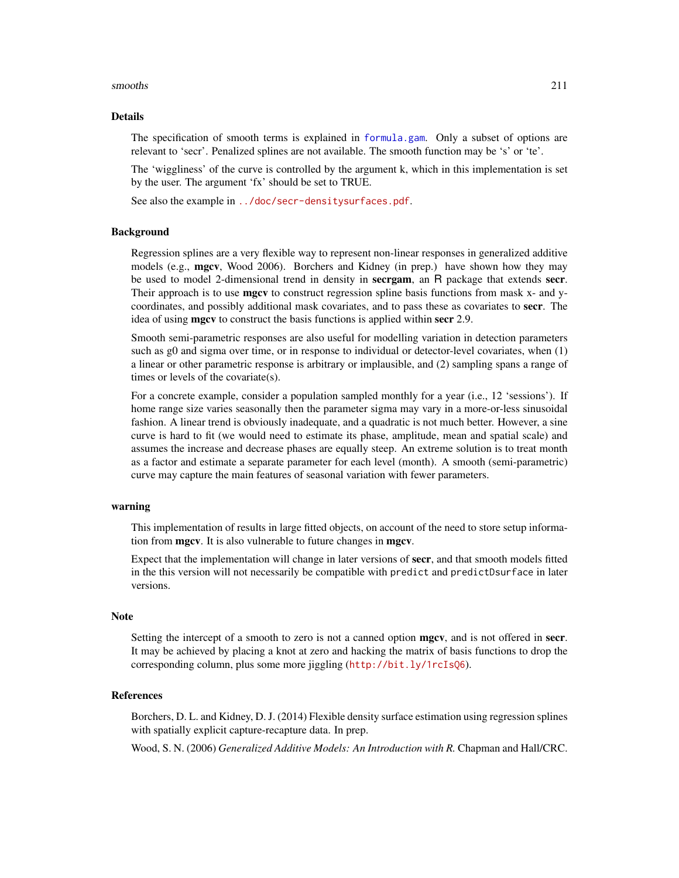#### smooths 211

## Details

The specification of smooth terms is explained in [formula.gam](#page-0-0). Only a subset of options are relevant to 'secr'. Penalized splines are not available. The smooth function may be 's' or 'te'.

The 'wiggliness' of the curve is controlled by the argument k, which in this implementation is set by the user. The argument 'fx' should be set to TRUE.

See also the example in <../doc/secr-densitysurfaces.pdf>.

#### Background

Regression splines are a very flexible way to represent non-linear responses in generalized additive models (e.g., **mgcv**, Wood 2006). Borchers and Kidney (in prep.) have shown how they may be used to model 2-dimensional trend in density in **secrgam**, an R package that extends **secr**. Their approach is to use **mgcv** to construct regression spline basis functions from mask x- and ycoordinates, and possibly additional mask covariates, and to pass these as covariates to secr. The idea of using **mgcv** to construct the basis functions is applied within secr 2.9.

Smooth semi-parametric responses are also useful for modelling variation in detection parameters such as g0 and sigma over time, or in response to individual or detector-level covariates, when (1) a linear or other parametric response is arbitrary or implausible, and (2) sampling spans a range of times or levels of the covariate(s).

For a concrete example, consider a population sampled monthly for a year (i.e., 12 'sessions'). If home range size varies seasonally then the parameter sigma may vary in a more-or-less sinusoidal fashion. A linear trend is obviously inadequate, and a quadratic is not much better. However, a sine curve is hard to fit (we would need to estimate its phase, amplitude, mean and spatial scale) and assumes the increase and decrease phases are equally steep. An extreme solution is to treat month as a factor and estimate a separate parameter for each level (month). A smooth (semi-parametric) curve may capture the main features of seasonal variation with fewer parameters.

## warning

This implementation of results in large fitted objects, on account of the need to store setup information from mgcv. It is also vulnerable to future changes in mgcv.

Expect that the implementation will change in later versions of secr, and that smooth models fitted in the this version will not necessarily be compatible with predict and predictDsurface in later versions.

## **Note**

Setting the intercept of a smooth to zero is not a canned option **mgcv**, and is not offered in **secr**. It may be achieved by placing a knot at zero and hacking the matrix of basis functions to drop the corresponding column, plus some more jiggling (<http://bit.ly/1rcIsQ6>).

#### References

Borchers, D. L. and Kidney, D. J. (2014) Flexible density surface estimation using regression splines with spatially explicit capture-recapture data. In prep.

Wood, S. N. (2006) *Generalized Additive Models: An Introduction with R.* Chapman and Hall/CRC.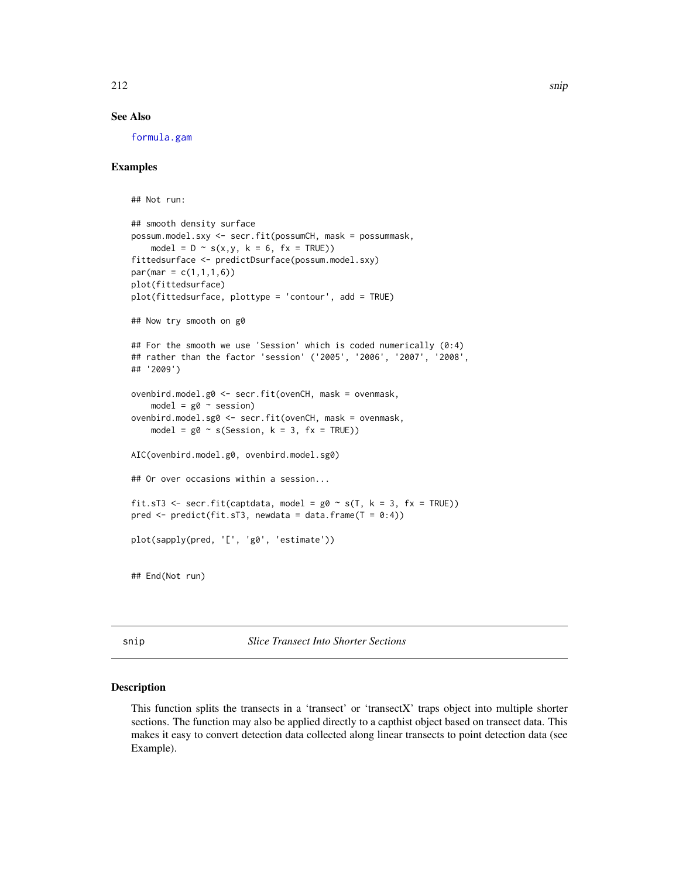# See Also

[formula.gam](#page-0-0)

## Examples

```
## Not run:
## smooth density surface
possum.model.sxy <- secr.fit(possumCH, mask = possummask,
   model = D \sim s(x,y, k = 6, fx = TRUE)fittedsurface <- predictDsurface(possum.model.sxy)
par(max = c(1,1,1,6))plot(fittedsurface)
plot(fittedsurface, plottype = 'contour', add = TRUE)
## Now try smooth on g0
## For the smooth we use 'Session' which is coded numerically (0:4)
## rather than the factor 'session' ('2005', '2006', '2007', '2008',
## '2009')
ovenbird.model.g0 <- secr.fit(ovenCH, mask = ovenmask,
   model = g0 \sim sessionovenbird.model.sg0 <- secr.fit(ovenCH, mask = ovenmask,
   model = g0 \sim s(Session, k = 3, fx = TRUE))
AIC(ovenbird.model.g0, ovenbird.model.sg0)
## Or over occasions within a session...
fit.sT3 <- secr.fit(captdata, model = g0 \sim s(T, k = 3, fx = TRUE))
pred \leq predict(fit.sT3, newdata = data.frame(T = 0:4))
plot(sapply(pred, '[', 'g0', 'estimate'))
## End(Not run)
```
snip *Slice Transect Into Shorter Sections*

## Description

This function splits the transects in a 'transect' or 'transectX' traps object into multiple shorter sections. The function may also be applied directly to a capthist object based on transect data. This makes it easy to convert detection data collected along linear transects to point detection data (see Example).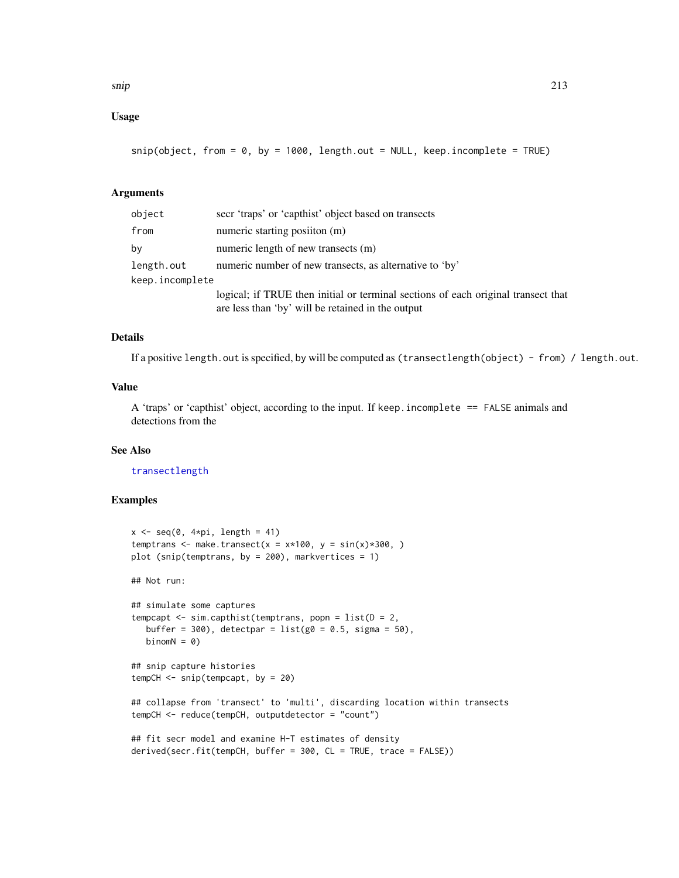# Usage

 $snip(object, from = 0, by = 1000, length.out = NULL, keep.incomplete = TRUE)$ 

## **Arguments**

| object          | secr 'traps' or 'capthist' object based on transects                                                                                   |  |  |  |
|-----------------|----------------------------------------------------------------------------------------------------------------------------------------|--|--|--|
| from            | numeric starting position (m)                                                                                                          |  |  |  |
| bv              | numeric length of new transects (m)                                                                                                    |  |  |  |
| length.out      | numeric number of new transects, as alternative to 'by'                                                                                |  |  |  |
| keep.incomplete |                                                                                                                                        |  |  |  |
|                 | logical; if TRUE then initial or terminal sections of each original transect that<br>are less than 'by' will be retained in the output |  |  |  |

# Details

If a positive length.out is specified, by will be computed as (transectlength(object) - from) / length.out.

# Value

A 'traps' or 'capthist' object, according to the input. If keep.incomplete == FALSE animals and detections from the

# See Also

[transectlength](#page-245-0)

# Examples

```
x \leq -\text{seq}(0, 4 \times \text{pi}, \text{length} = 41)temptrans <- make.transect(x = x*100, y = sin(x)*300, )
plot (snip(temptrans, by = 200), markvertices = 1)
## Not run:
## simulate some captures
tempcapt \leq sim.capthist(temptrans, popn = list(D = 2,
   buffer = 300, detectpar = list(g0 = 0.5, sigma = 50),
   binomN = 0)
## snip capture histories
tempCH \leq -snip(tempcapt, by = 20)## collapse from 'transect' to 'multi', discarding location within transects
tempCH <- reduce(tempCH, outputdetector = "count")
## fit secr model and examine H-T estimates of density
derived(secr.fit(tempCH, buffer = 300, CL = TRUE, trace = FALSE))
```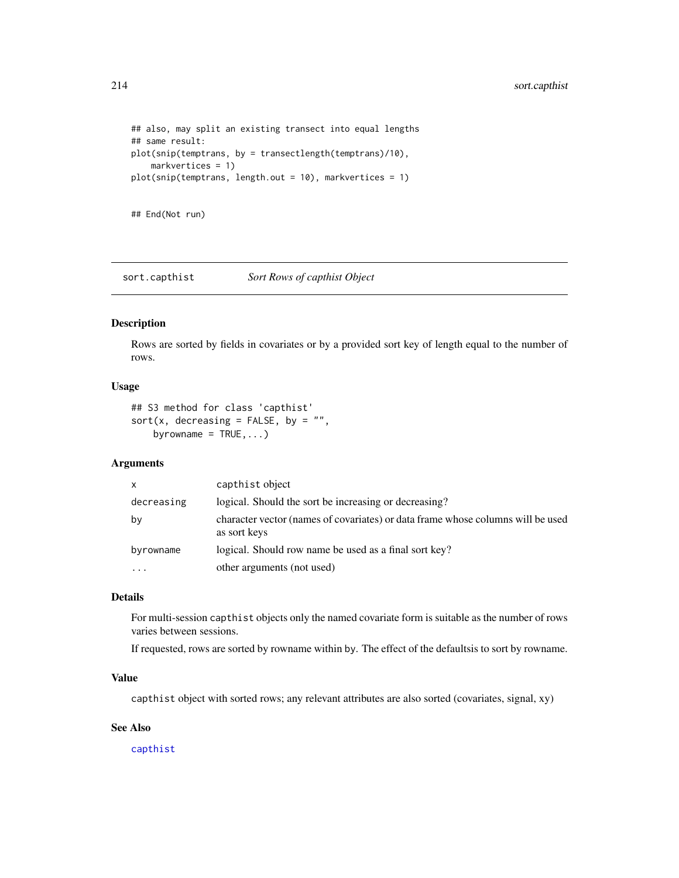```
## also, may split an existing transect into equal lengths
## same result:
plot(snip(temptrans, by = transectlength(temptrans)/10),
    markvertices = 1)
plot(snip(temptrans, length.out = 10), markvertices = 1)
```
## End(Not run)

sort.capthist *Sort Rows of capthist Object*

# Description

Rows are sorted by fields in covariates or by a provided sort key of length equal to the number of rows.

## Usage

## S3 method for class 'capthist' sort(x, decreasing = FALSE, by =  $"$ , byrowname =  $TRUE$ , ...)

# Arguments

| $\mathsf{x}$ | capthist object                                                                                 |
|--------------|-------------------------------------------------------------------------------------------------|
| decreasing   | logical. Should the sort be increasing or decreasing?                                           |
| by           | character vector (names of covariates) or data frame whose columns will be used<br>as sort keys |
| byrowname    | logical. Should row name be used as a final sort key?                                           |
|              | other arguments (not used)                                                                      |

# Details

For multi-session capthist objects only the named covariate form is suitable as the number of rows varies between sessions.

If requested, rows are sorted by rowname within by. The effect of the defaultsis to sort by rowname.

# Value

capthist object with sorted rows; any relevant attributes are also sorted (covariates, signal, xy)

## See Also

[capthist](#page-17-0)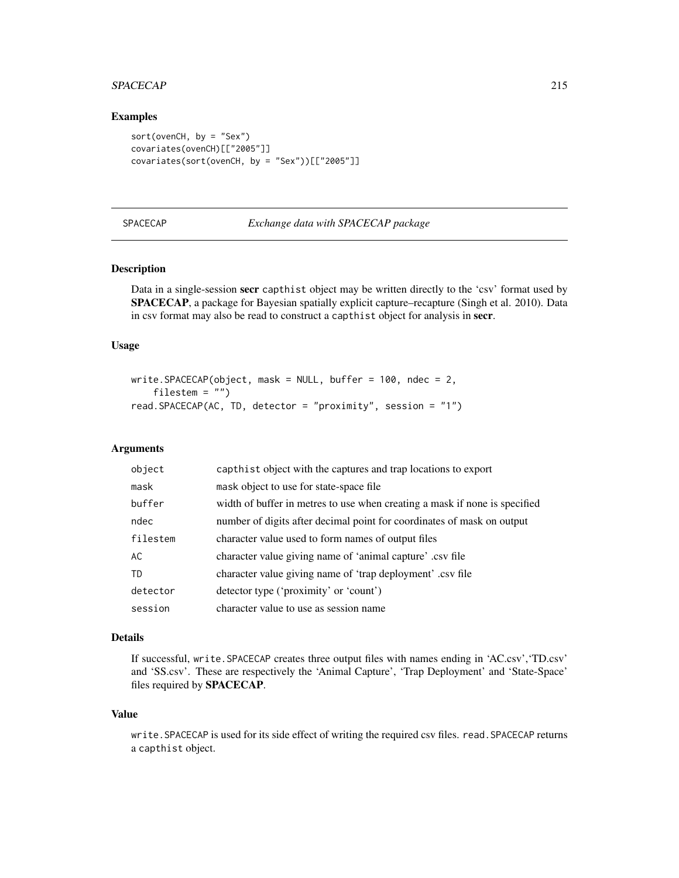#### SPACECAP 215

# Examples

```
sort(ovenCH, by = "Sex")
covariates(ovenCH)[["2005"]]
covariates(sort(ovenCH, by = "Sex"))[["2005"]]
```
## SPACECAP *Exchange data with SPACECAP package*

## Description

Data in a single-session secr capthist object may be written directly to the 'csv' format used by SPACECAP, a package for Bayesian spatially explicit capture–recapture (Singh et al. 2010). Data in csv format may also be read to construct a capthist object for analysis in secr.

## Usage

```
write.SPACECAP(object, mask = NULL, buffer = 100, ndec = 2,
    filestem = "")
read.SPACECAP(AC, TD, detector = "proximity", session = "1")
```
## Arguments

| object    | capthist object with the captures and trap locations to export             |
|-----------|----------------------------------------------------------------------------|
| mask      | mask object to use for state-space file.                                   |
| buffer    | width of buffer in metres to use when creating a mask if none is specified |
| ndec      | number of digits after decimal point for coordinates of mask on output     |
| filestem  | character value used to form names of output files                         |
| AC        | character value giving name of 'animal capture' .csv file                  |
| <b>TD</b> | character value giving name of 'trap deployment' .csv file                 |
| detector  | detector type ('proximity' or 'count')                                     |
| session   | character value to use as session name                                     |

#### Details

If successful, write.SPACECAP creates three output files with names ending in 'AC.csv','TD.csv' and 'SS.csv'. These are respectively the 'Animal Capture', 'Trap Deployment' and 'State-Space' files required by SPACECAP.

# Value

write.SPACECAP is used for its side effect of writing the required csv files. read.SPACECAP returns a capthist object.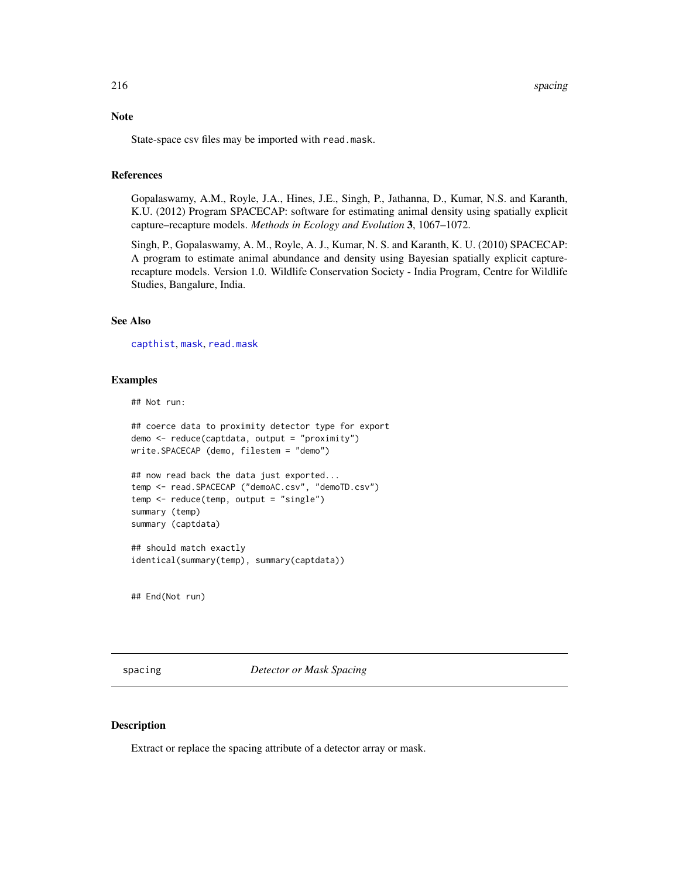## Note

State-space csv files may be imported with read.mask.

## References

Gopalaswamy, A.M., Royle, J.A., Hines, J.E., Singh, P., Jathanna, D., Kumar, N.S. and Karanth, K.U. (2012) Program SPACECAP: software for estimating animal density using spatially explicit capture–recapture models. *Methods in Ecology and Evolution* 3, 1067–1072.

Singh, P., Gopalaswamy, A. M., Royle, A. J., Kumar, N. S. and Karanth, K. U. (2010) SPACECAP: A program to estimate animal abundance and density using Bayesian spatially explicit capturerecapture models. Version 1.0. Wildlife Conservation Society - India Program, Centre for Wildlife Studies, Bangalure, India.

# See Also

[capthist](#page-17-0), [mask](#page-100-0), [read.mask](#page-155-0)

#### Examples

## Not run:

```
## coerce data to proximity detector type for export
demo <- reduce(captdata, output = "proximity")
write.SPACECAP (demo, filestem = "demo")
## now read back the data just exported...
```

```
temp <- read.SPACECAP ("demoAC.csv", "demoTD.csv")
temp <- reduce(temp, output = "single")
summary (temp)
summary (captdata)
```
## should match exactly identical(summary(temp), summary(captdata))

## End(Not run)

spacing *Detector or Mask Spacing*

# Description

Extract or replace the spacing attribute of a detector array or mask.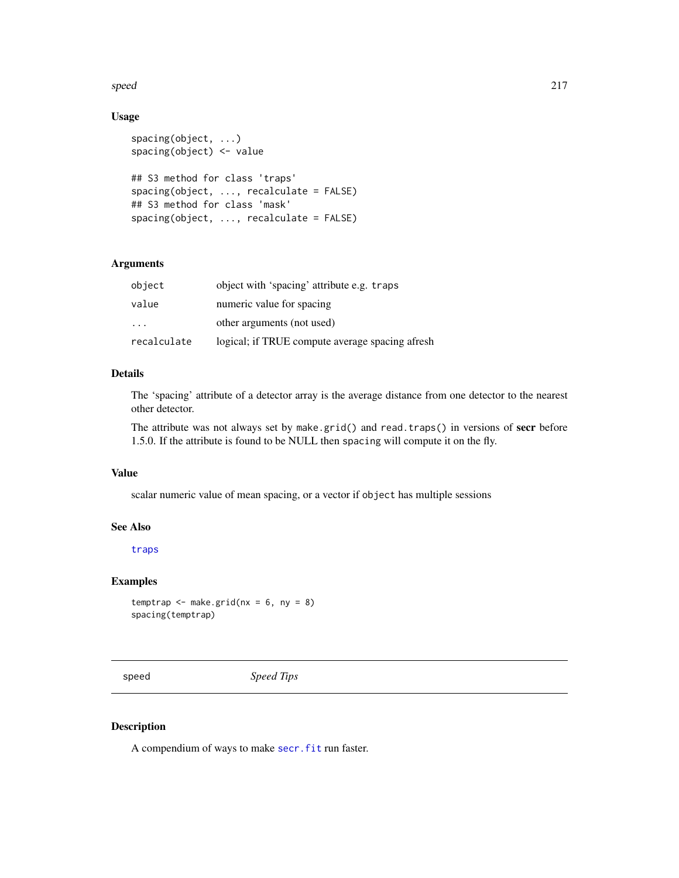speed 217

# Usage

```
spacing(object, ...)
spacing(object) <- value
## S3 method for class 'traps'
spacing(object, ..., recalculate = FALSE)
## S3 method for class 'mask'
spacing(object, ..., recalculate = FALSE)
```
## Arguments

| object      | object with 'spacing' attribute e.g. traps      |
|-------------|-------------------------------------------------|
| value       | numeric value for spacing                       |
| $\cdot$     | other arguments (not used)                      |
| recalculate | logical; if TRUE compute average spacing afresh |

# Details

The 'spacing' attribute of a detector array is the average distance from one detector to the nearest other detector.

The attribute was not always set by make.grid() and read.traps() in versions of secr before 1.5.0. If the attribute is found to be NULL then spacing will compute it on the fly.

# Value

scalar numeric value of mean spacing, or a vector if object has multiple sessions

## See Also

[traps](#page-243-0)

# Examples

```
temptrap \leq make.grid(nx = 6, ny = 8)
spacing(temptrap)
```
speed *Speed Tips*

# Description

A compendium of ways to make secr. fit run faster.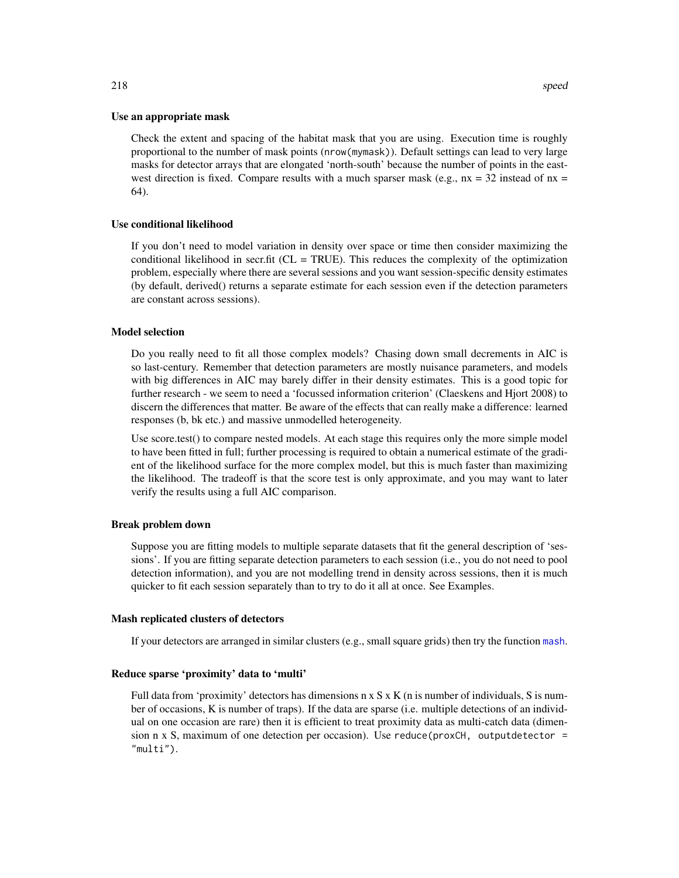#### Use an appropriate mask

Check the extent and spacing of the habitat mask that you are using. Execution time is roughly proportional to the number of mask points (nrow(mymask)). Default settings can lead to very large masks for detector arrays that are elongated 'north-south' because the number of points in the eastwest direction is fixed. Compare results with a much sparser mask (e.g.,  $nx = 32$  instead of  $nx =$ 64).

## Use conditional likelihood

If you don't need to model variation in density over space or time then consider maximizing the conditional likelihood in secr.fit ( $CL = TRUE$ ). This reduces the complexity of the optimization problem, especially where there are several sessions and you want session-specific density estimates (by default, derived() returns a separate estimate for each session even if the detection parameters are constant across sessions).

## Model selection

Do you really need to fit all those complex models? Chasing down small decrements in AIC is so last-century. Remember that detection parameters are mostly nuisance parameters, and models with big differences in AIC may barely differ in their density estimates. This is a good topic for further research - we seem to need a 'focussed information criterion' (Claeskens and Hjort 2008) to discern the differences that matter. Be aware of the effects that can really make a difference: learned responses (b, bk etc.) and massive unmodelled heterogeneity.

Use score.test() to compare nested models. At each stage this requires only the more simple model to have been fitted in full; further processing is required to obtain a numerical estimate of the gradient of the likelihood surface for the more complex model, but this is much faster than maximizing the likelihood. The tradeoff is that the score test is only approximate, and you may want to later verify the results using a full AIC comparison.

## Break problem down

Suppose you are fitting models to multiple separate datasets that fit the general description of 'sessions'. If you are fitting separate detection parameters to each session (i.e., you do not need to pool detection information), and you are not modelling trend in density across sessions, then it is much quicker to fit each session separately than to try to do it all at once. See Examples.

#### Mash replicated clusters of detectors

If your detectors are arranged in similar clusters (e.g., small square grids) then try the function [mash](#page-239-0).

## Reduce sparse 'proximity' data to 'multi'

Full data from 'proximity' detectors has dimensions  $n \times S \times K$  (n is number of individuals, S is number of occasions, K is number of traps). If the data are sparse (i.e. multiple detections of an individual on one occasion are rare) then it is efficient to treat proximity data as multi-catch data (dimension n x S, maximum of one detection per occasion). Use reduce( $proxCH$ , outputdetector = "multi").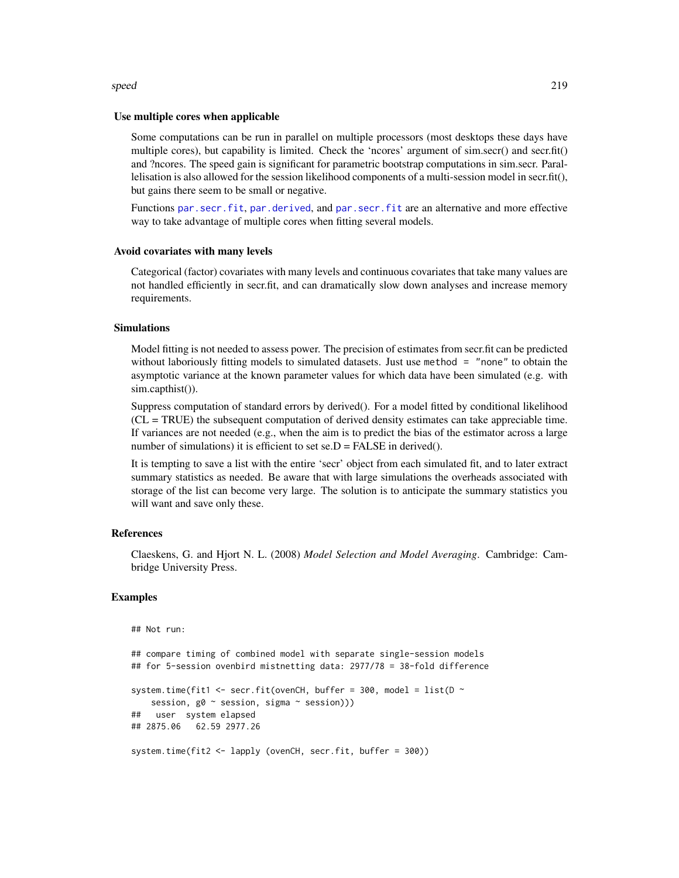## speed 219

#### Use multiple cores when applicable

Some computations can be run in parallel on multiple processors (most desktops these days have multiple cores), but capability is limited. Check the 'ncores' argument of sim.secr() and secr.fit() and ?ncores. The speed gain is significant for parametric bootstrap computations in sim.secr. Parallelisation is also allowed for the session likelihood components of a multi-session model in secr.fit(), but gains there seem to be small or negative.

Functions [par.secr.fit](#page-115-0), [par.derived](#page-115-1), and [par.secr.fit](#page-115-0) are an alternative and more effective way to take advantage of multiple cores when fitting several models.

## Avoid covariates with many levels

Categorical (factor) covariates with many levels and continuous covariates that take many values are not handled efficiently in secr.fit, and can dramatically slow down analyses and increase memory requirements.

# Simulations

Model fitting is not needed to assess power. The precision of estimates from secr.fit can be predicted without laboriously fitting models to simulated datasets. Just use method = "none" to obtain the asymptotic variance at the known parameter values for which data have been simulated (e.g. with sim.capthist()).

Suppress computation of standard errors by derived(). For a model fitted by conditional likelihood (CL = TRUE) the subsequent computation of derived density estimates can take appreciable time. If variances are not needed (e.g., when the aim is to predict the bias of the estimator across a large number of simulations) it is efficient to set  $se.D = FALSE$  in derived().

It is tempting to save a list with the entire 'secr' object from each simulated fit, and to later extract summary statistics as needed. Be aware that with large simulations the overheads associated with storage of the list can become very large. The solution is to anticipate the summary statistics you will want and save only these.

## References

Claeskens, G. and Hjort N. L. (2008) *Model Selection and Model Averaging*. Cambridge: Cambridge University Press.

# Examples

## Not run:

```
## compare timing of combined model with separate single-session models
## for 5-session ovenbird mistnetting data: 2977/78 = 38-fold difference
system.time(fit1 <- secr.fit(ovenCH, buffer = 300, model = list(D \simsession, g0 ~ session, sigma ~ session)))
## user system elapsed
## 2875.06 62.59 2977.26
system.time(fit2 <- lapply (ovenCH, secr.fit, buffer = 300))
```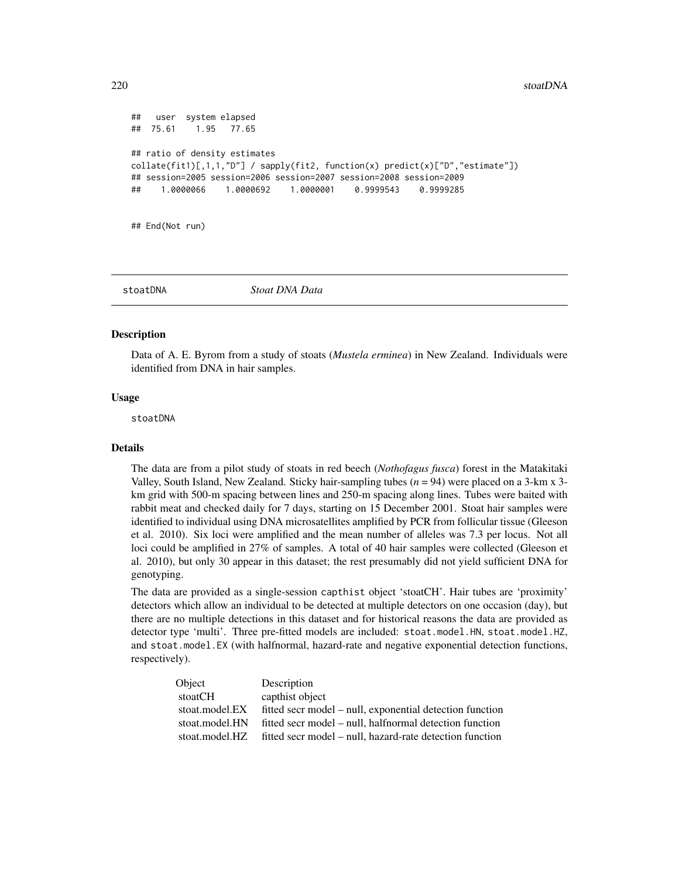```
## user system elapsed
## 75.61 1.95 77.65
## ratio of density estimates
collate(fitt)[1,1,1,"D"] / sapply(fitt2, function(x) predict(x)[TD", "estimate"])## session=2005 session=2006 session=2007 session=2008 session=2009
## 1.0000066 1.0000692 1.0000001 0.9999543 0.9999285
```
## End(Not run)

stoatDNA *Stoat DNA Data*

#### Description

Data of A. E. Byrom from a study of stoats (*Mustela erminea*) in New Zealand. Individuals were identified from DNA in hair samples.

## Usage

stoatDNA

## Details

The data are from a pilot study of stoats in red beech (*Nothofagus fusca*) forest in the Matakitaki Valley, South Island, New Zealand. Sticky hair-sampling tubes  $(n = 94)$  were placed on a 3-km x 3km grid with 500-m spacing between lines and 250-m spacing along lines. Tubes were baited with rabbit meat and checked daily for 7 days, starting on 15 December 2001. Stoat hair samples were identified to individual using DNA microsatellites amplified by PCR from follicular tissue (Gleeson et al. 2010). Six loci were amplified and the mean number of alleles was 7.3 per locus. Not all loci could be amplified in 27% of samples. A total of 40 hair samples were collected (Gleeson et al. 2010), but only 30 appear in this dataset; the rest presumably did not yield sufficient DNA for genotyping.

The data are provided as a single-session capthist object 'stoatCH'. Hair tubes are 'proximity' detectors which allow an individual to be detected at multiple detectors on one occasion (day), but there are no multiple detections in this dataset and for historical reasons the data are provided as detector type 'multi'. Three pre-fitted models are included: stoat.model.HN, stoat.model.HZ, and stoat.model.EX (with halfnormal, hazard-rate and negative exponential detection functions, respectively).

| Object         | Description                                              |
|----------------|----------------------------------------------------------|
| stoatCH        | capthist object                                          |
| stoat.model.EX | fitted secr model – null, exponential detection function |
| stoat.model.HN | fitted secr model – null, halfnormal detection function  |
| stoat.model.HZ | fitted secr model – null, hazard-rate detection function |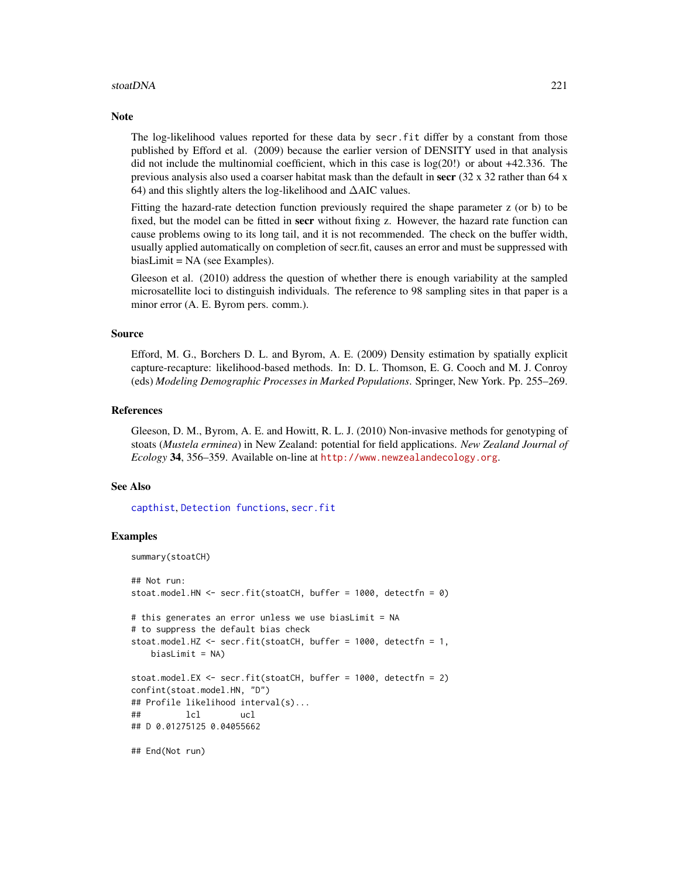## stoatDNA 221

#### **Note**

The log-likelihood values reported for these data by secr.fit differ by a constant from those published by Efford et al. (2009) because the earlier version of DENSITY used in that analysis did not include the multinomial coefficient, which in this case is log(20!) or about +42.336. The previous analysis also used a coarser habitat mask than the default in secr  $(32 \times 32 \text{ rather than } 64 \times \text{m})$ 64) and this slightly alters the log-likelihood and ∆AIC values.

Fitting the hazard-rate detection function previously required the shape parameter z (or b) to be fixed, but the model can be fitted in **secr** without fixing z. However, the hazard rate function can cause problems owing to its long tail, and it is not recommended. The check on the buffer width, usually applied automatically on completion of secr.fit, causes an error and must be suppressed with biasLimit = NA (see Examples).

Gleeson et al. (2010) address the question of whether there is enough variability at the sampled microsatellite loci to distinguish individuals. The reference to 98 sampling sites in that paper is a minor error (A. E. Byrom pers. comm.).

## Source

Efford, M. G., Borchers D. L. and Byrom, A. E. (2009) Density estimation by spatially explicit capture-recapture: likelihood-based methods. In: D. L. Thomson, E. G. Cooch and M. J. Conroy (eds) *Modeling Demographic Processes in Marked Populations*. Springer, New York. Pp. 255–269.

## References

Gleeson, D. M., Byrom, A. E. and Howitt, R. L. J. (2010) Non-invasive methods for genotyping of stoats (*Mustela erminea*) in New Zealand: potential for field applications. *New Zealand Journal of Ecology* 34, 356–359. Available on-line at <http://www.newzealandecology.org>.

## See Also

[capthist](#page-17-0), [Detection functions](#page-0-0), [secr.fit](#page-176-0)

```
summary(stoatCH)
## Not run:
stoat.model.HN <- secr.fit(stoatCH, buffer = 1000, detectfn = 0)
# this generates an error unless we use biasLimit = NA
# to suppress the default bias check
stoat.model.HZ <- secr.fit(stoatCH, buffer = 1000, detectfn = 1,
   biasLimit = NA)
stoat.model.EX <- secr.fit(stoatCH, buffer = 1000, detectfn = 2)
confint(stoat.model.HN, "D")
## Profile likelihood interval(s)...
## lcl ucl
## D 0.01275125 0.04055662
## End(Not run)
```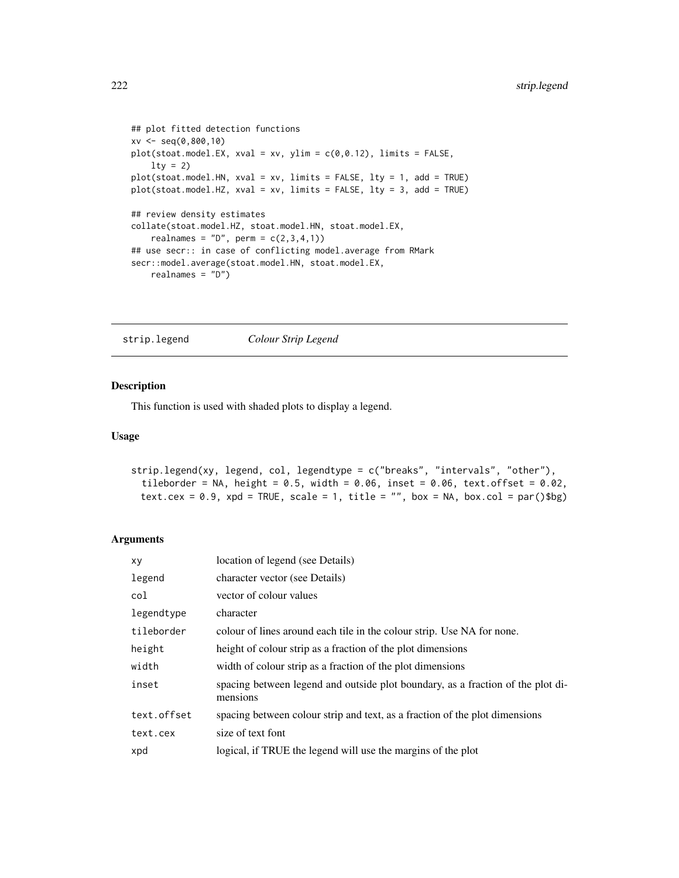```
## plot fitted detection functions
xv <- seq(0,800,10)
plot(stat_model.EX, xval = xv, ylim = c(0, 0.12), limits = FALSE,lty = 2plot(stoat.model.HN, xval = xv, limits = FALSE, lty = 1, add = TRUE)
plot(stoat.model.HZ, xval = xv, limits = FALSE, lty = 3, add = TRUE)
## review density estimates
collate(stoat.model.HZ, stoat.model.HN, stoat.model.EX,
    realnames = "D", perm = c(2,3,4,1))
## use secr:: in case of conflicting model.average from RMark
secr::model.average(stoat.model.HN, stoat.model.EX,
    realnames = "D")
```
strip.legend *Colour Strip Legend*

# Description

This function is used with shaded plots to display a legend.

## Usage

```
strip.legend(xy, legend, col, legendtype = c("breaks", "intervals", "other"),
 tileborder = NA, height = 0.5, width = 0.06, inset = 0.06, text.offset = 0.02,
 text.cex = 0.9, xpd = TRUE, scale = 1, title = "", box = NA, box.col = par()$bg)
```
## Arguments

| XV          | location of legend (see Details)                                                            |
|-------------|---------------------------------------------------------------------------------------------|
| legend      | character vector (see Details)                                                              |
| col         | vector of colour values                                                                     |
| legendtype  | character                                                                                   |
| tileborder  | colour of lines around each tile in the colour strip. Use NA for none.                      |
| height      | height of colour strip as a fraction of the plot dimensions                                 |
| width       | width of colour strip as a fraction of the plot dimensions                                  |
| inset       | spacing between legend and outside plot boundary, as a fraction of the plot di-<br>mensions |
| text.offset | spacing between colour strip and text, as a fraction of the plot dimensions                 |
| text.cex    | size of text font                                                                           |
| xpd         | logical, if TRUE the legend will use the margins of the plot                                |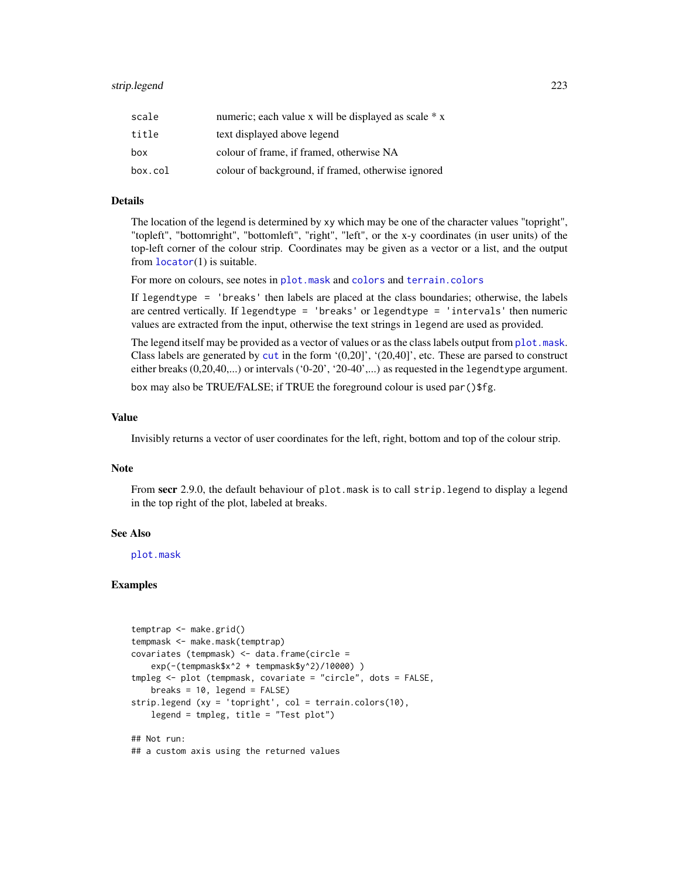| scale   | numeric; each value x will be displayed as scale * x |
|---------|------------------------------------------------------|
| title   | text displayed above legend                          |
| box     | colour of frame, if framed, otherwise NA             |
| box.col | colour of background, if framed, otherwise ignored   |

# Details

The location of the legend is determined by xy which may be one of the character values "topright", "topleft", "bottomright", "bottomleft", "right", "left", or the x-y coordinates (in user units) of the top-left corner of the colour strip. Coordinates may be given as a vector or a list, and the output from  $location(1)$  is suitable.

For more on colours, see notes in [plot.mask](#page-125-0) and [colors](#page-0-0) and [terrain.colors](#page-0-0)

If legendtype = 'breaks' then labels are placed at the class boundaries; otherwise, the labels are centred vertically. If legendtype = 'breaks' or legendtype = 'intervals' then numeric values are extracted from the input, otherwise the text strings in legend are used as provided.

The legend itself may be provided as a vector of values or as the class labels output from [plot.mask](#page-125-0). Class labels are generated by [cut](#page-0-0) in the form  $'(0,20)'$ ,  $'(20,40)'$ , etc. These are parsed to construct either breaks (0,20,40,...) or intervals ('0-20', '20-40',...) as requested in the legendtype argument.

box may also be TRUE/FALSE; if TRUE the foreground colour is used par () \$fg.

#### Value

Invisibly returns a vector of user coordinates for the left, right, bottom and top of the colour strip.

# Note

From secr 2.9.0, the default behaviour of plot.mask is to call strip.legend to display a legend in the top right of the plot, labeled at breaks.

## See Also

[plot.mask](#page-125-0)

```
temptrap <- make.grid()
tempmask <- make.mask(temptrap)
covariates (tempmask) <- data.frame(circle =
    exp(-(tempmask$x^2 + tempmask$y^2)/10000) )
tmpleg <- plot (tempmask, covariate = "circle", dots = FALSE,
   breaks = 10, legend = FALSE)strip.legend (xy = 'topright', col = terrain.colors(10),
   legend = tmpleg, title = "Test plot")
## Not run:
## a custom axis using the returned values
```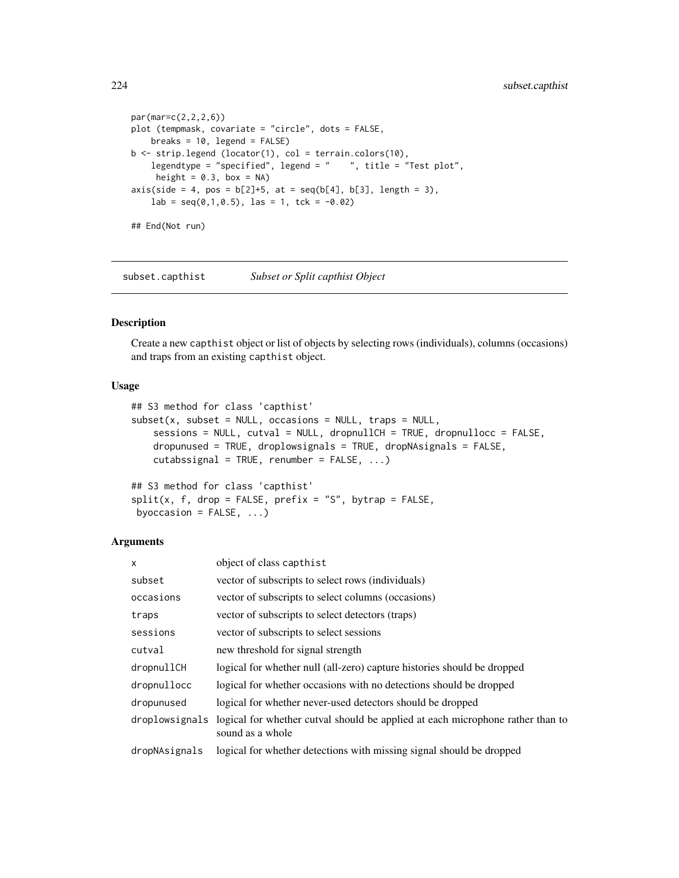```
par(mar=c(2,2,2,6))
plot (tempmask, covariate = "circle", dots = FALSE,
    breaks = 10, legend = FALSE)
b \leftarrow \text{strip.length} (locator(1), col = terrain.colors(10),
    legendtype = "specified", legend = " ", title = "Test plot",
     height = 0.3, box = NA)
axis(side = 4, pos = b[2]+5, at = seq(b[4], b[3], length = 3),lab = seq(0, 1, 0.5), las = 1, tck = -0.02)
## End(Not run)
```
subset.capthist *Subset or Split capthist Object*

# Description

Create a new capthist object or list of objects by selecting rows (individuals), columns (occasions) and traps from an existing capthist object.

# Usage

```
## S3 method for class 'capthist'
subset(x, subset = NULL, occasions = NULL, traps = NULL,sessions = NULL, cutval = NULL, dropnullCH = TRUE, dropnullocc = FALSE,
   dropunused = TRUE, droplowsignals = TRUE, dropNAsignals = FALSE,
   cutabssignal = TRUE, renumber = FALSE, ...)
```

```
## S3 method for class 'capthist'
split(x, f, drop = FALSE, prefix = "S", bytrap = FALSE,byoccasion = FALSE, ...)
```
# Arguments

| $\mathsf{x}$   | object of class capthist                                                                           |
|----------------|----------------------------------------------------------------------------------------------------|
| subset         | vector of subscripts to select rows (individuals)                                                  |
| occasions      | vector of subscripts to select columns (occasions)                                                 |
| traps          | vector of subscripts to select detectors (traps)                                                   |
| sessions       | vector of subscripts to select sessions                                                            |
| cutval         | new threshold for signal strength                                                                  |
| dropnullCH     | logical for whether null (all-zero) capture histories should be dropped                            |
| dropnullocc    | logical for whether occasions with no detections should be dropped                                 |
| dropunused     | logical for whether never-used detectors should be dropped                                         |
| droplowsignals | logical for whether cutval should be applied at each microphone rather than to<br>sound as a whole |
| dropNAsignals  | logical for whether detections with missing signal should be dropped                               |
|                |                                                                                                    |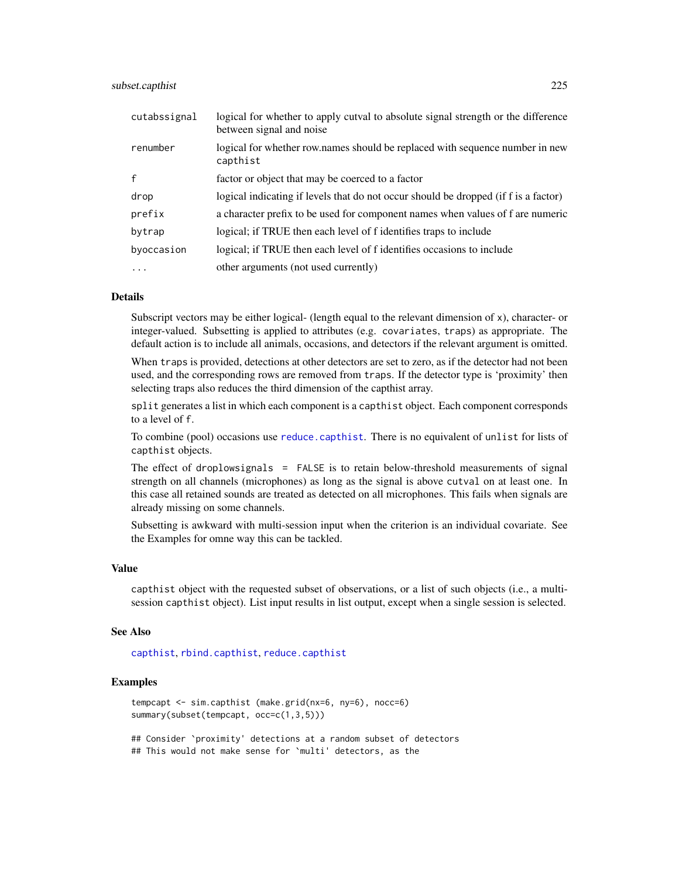# subset.capthist 225

| cutabssignal | logical for whether to apply cutval to absolute signal strength or the difference<br>between signal and noise |
|--------------|---------------------------------------------------------------------------------------------------------------|
| renumber     | logical for whether row.names should be replaced with sequence number in new<br>capthist                      |
| $\mathbf{f}$ | factor or object that may be coerced to a factor                                                              |
| drop         | logical indicating if levels that do not occur should be dropped (if f is a factor)                           |
| prefix       | a character prefix to be used for component names when values of f are numeric                                |
| bytrap       | logical; if TRUE then each level of f identifies traps to include                                             |
| byoccasion   | logical; if TRUE then each level of f identifies occasions to include                                         |
| $\ddotsc$    | other arguments (not used currently)                                                                          |

## Details

Subscript vectors may be either logical- (length equal to the relevant dimension of x), character- or integer-valued. Subsetting is applied to attributes (e.g. covariates, traps) as appropriate. The default action is to include all animals, occasions, and detectors if the relevant argument is omitted.

When traps is provided, detections at other detectors are set to zero, as if the detector had not been used, and the corresponding rows are removed from traps. If the detector type is 'proximity' then selecting traps also reduces the third dimension of the capthist array.

split generates a list in which each component is a capthist object. Each component corresponds to a level of f.

To combine (pool) occasions use [reduce.capthist](#page-162-0). There is no equivalent of unlist for lists of capthist objects.

The effect of droplowsignals  $=$  FALSE is to retain below-threshold measurements of signal strength on all channels (microphones) as long as the signal is above cutval on at least one. In this case all retained sounds are treated as detected on all microphones. This fails when signals are already missing on some channels.

Subsetting is awkward with multi-session input when the criterion is an individual covariate. See the Examples for omne way this can be tackled.

# Value

capthist object with the requested subset of observations, or a list of such objects (i.e., a multisession capthist object). List input results in list output, except when a single session is selected.

#### See Also

[capthist](#page-17-0), [rbind.capthist](#page-148-0), [reduce.capthist](#page-162-0)

# Examples

```
tempcapt <- sim.capthist (make.grid(nx=6, ny=6), nocc=6)
summary(subset(tempcapt, occ=c(1,3,5)))
## Consider `proximity' detections at a random subset of detectors
```
## This would not make sense for `multi' detectors, as the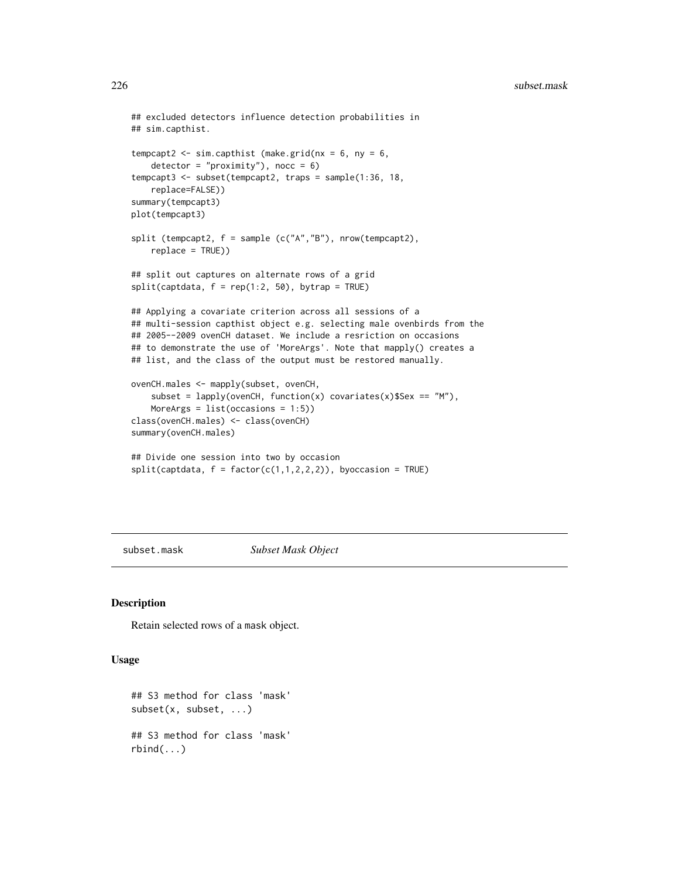```
## excluded detectors influence detection probabilities in
## sim.capthist.
tempcapt2 <- sim.capthist (make.grid(nx = 6, ny = 6,
   detection = "proximity"), nocc = 6)
tempcapt3 <- subset(tempcapt2, traps = sample(1:36, 18,
   replace=FALSE))
summary(tempcapt3)
plot(tempcapt3)
split (tempcapt2, f = sample (c("A","B"), nrow(tempcapt2),
    replace = TRUE))
## split out captures on alternate rows of a grid
split(captdata, f = rep(1:2, 50), bytrap = TRUE)## Applying a covariate criterion across all sessions of a
## multi-session capthist object e.g. selecting male ovenbirds from the
## 2005--2009 ovenCH dataset. We include a resriction on occasions
## to demonstrate the use of 'MoreArgs'. Note that mapply() creates a
## list, and the class of the output must be restored manually.
ovenCH.males <- mapply(subset, ovenCH,
    subset = lapply(ovenCH, function(x) covariates(x)$Sex == "M"),
   MoreArgs = list(occasions = 1:5))
class(ovenCH.males) <- class(ovenCH)
summary(ovenCH.males)
## Divide one session into two by occasion
split(captdata, f = factor(c(1,1,2,2,2)), by occasion = TRUE)
```
subset.mask *Subset Mask Object*

## Description

Retain selected rows of a mask object.

## Usage

```
## S3 method for class 'mask'
subset(x, subset, ...)
## S3 method for class 'mask'
rbind(...)
```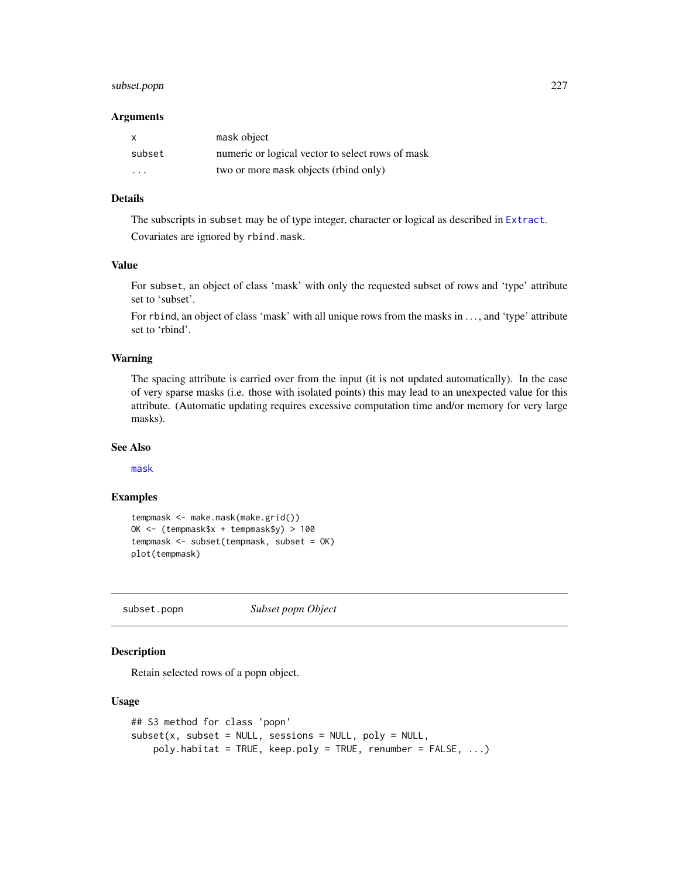# subset.popn 227

#### Arguments

| x       | mask object                                      |
|---------|--------------------------------------------------|
| subset  | numeric or logical vector to select rows of mask |
| $\cdot$ | two or more mask objects (rbind only)            |

# Details

The subscripts in subset may be of type integer, character or logical as described in [Extract](#page-0-0). Covariates are ignored by rbind.mask.

# Value

For subset, an object of class 'mask' with only the requested subset of rows and 'type' attribute set to 'subset'.

For rbind, an object of class 'mask' with all unique rows from the masks in ..., and 'type' attribute set to 'rbind'.

## Warning

The spacing attribute is carried over from the input (it is not updated automatically). In the case of very sparse masks (i.e. those with isolated points) this may lead to an unexpected value for this attribute. (Automatic updating requires excessive computation time and/or memory for very large masks).

## See Also

[mask](#page-100-0)

## Examples

```
tempmask <- make.mask(make.grid())
OK <- (tempmask$x + tempmask$y) > 100
tempmask <- subset(tempmask, subset = OK)
plot(tempmask)
```
subset.popn *Subset popn Object*

# Description

Retain selected rows of a popn object.

## Usage

```
## S3 method for class 'popn'
subset(x, subset = NULL, sessions = NULL, poly = NULL,poly.habitat = TRUE, keep.poly = TRUE, renumber = FALSE, ...)
```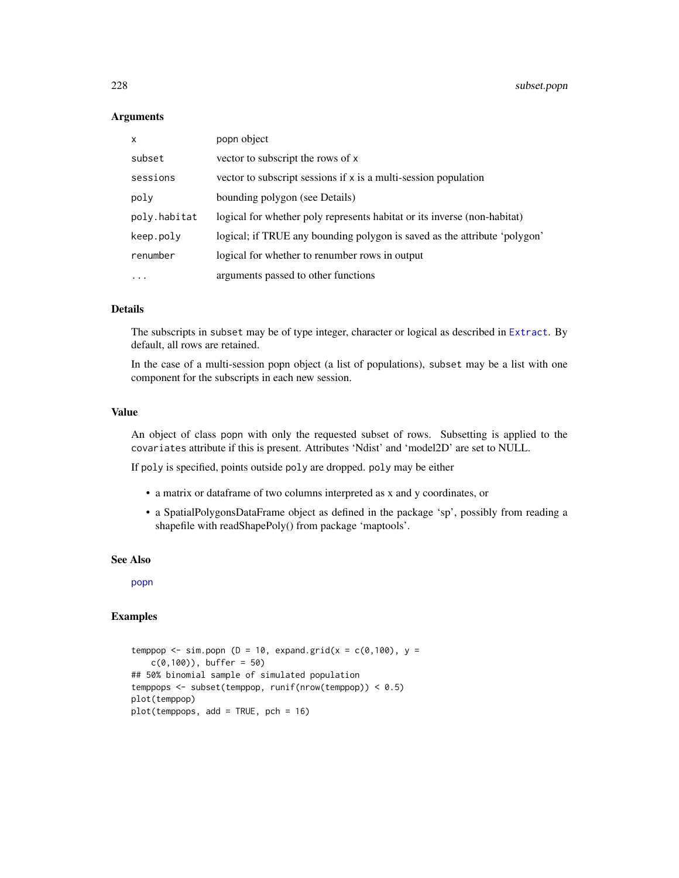## Arguments

| X                 | popn object                                                               |
|-------------------|---------------------------------------------------------------------------|
| subset            | vector to subscript the rows of x                                         |
| sessions          | vector to subscript sessions if x is a multi-session population           |
| poly              | bounding polygon (see Details)                                            |
| poly.habitat      | logical for whether poly represents habitat or its inverse (non-habitat)  |
| keep.poly         | logical; if TRUE any bounding polygon is saved as the attribute 'polygon' |
| renumber          | logical for whether to renumber rows in output                            |
| $\cdot\cdot\cdot$ | arguments passed to other functions                                       |

## Details

The subscripts in subset may be of type integer, character or logical as described in [Extract](#page-0-0). By default, all rows are retained.

In the case of a multi-session popn object (a list of populations), subset may be a list with one component for the subscripts in each new session.

## Value

An object of class popn with only the requested subset of rows. Subsetting is applied to the covariates attribute if this is present. Attributes 'Ndist' and 'model2D' are set to NULL.

If poly is specified, points outside poly are dropped. poly may be either

- a matrix or dataframe of two columns interpreted as x and y coordinates, or
- a SpatialPolygonsDataFrame object as defined in the package 'sp', possibly from reading a shapefile with readShapePoly() from package 'maptools'.

# See Also

[popn](#page-136-0)

```
temppop \le sim.popn (D = 10, expand.grid(x = c(0,100), y =
   c(0,100), buffer = 50)
## 50% binomial sample of simulated population
temppops <- subset(temppop, runif(nrow(temppop)) < 0.5)
plot(temppop)
plot(temppops, add = TRUE, pch = 16)
```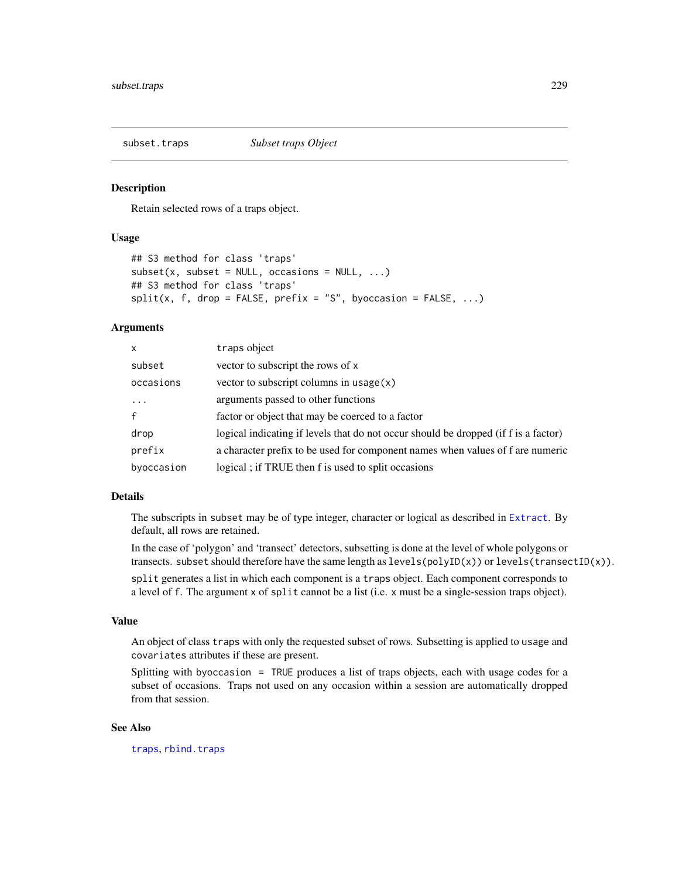<span id="page-228-0"></span>

## Description

Retain selected rows of a traps object.

## Usage

```
## S3 method for class 'traps'
subset(x, subset = NULL, occasions = NULL, ...)## S3 method for class 'traps'
split(x, f, drop = FALSE, prefix = "S", by occasion = FALSE, ...)
```
## Arguments

| x            | traps object                                                                        |
|--------------|-------------------------------------------------------------------------------------|
| subset       | vector to subscript the rows of x                                                   |
| occasions    | vector to subscript columns in usage $(x)$                                          |
| $\ddotsc$    | arguments passed to other functions                                                 |
| $\mathsf{f}$ | factor or object that may be coerced to a factor                                    |
| drop         | logical indicating if levels that do not occur should be dropped (if f is a factor) |
| prefix       | a character prefix to be used for component names when values of f are numeric      |
| byoccasion   | logical; if TRUE then f is used to split occasions                                  |

## Details

The subscripts in subset may be of type integer, character or logical as described in [Extract](#page-0-0). By default, all rows are retained.

In the case of 'polygon' and 'transect' detectors, subsetting is done at the level of whole polygons or transects. subset should therefore have the same length as  $levels(polyID(x))$  or  $levels(trainsectID(x))$ .

split generates a list in which each component is a traps object. Each component corresponds to a level of f. The argument x of split cannot be a list (i.e. x must be a single-session traps object).

# Value

An object of class traps with only the requested subset of rows. Subsetting is applied to usage and covariates attributes if these are present.

Splitting with byoccasion = TRUE produces a list of traps objects, each with usage codes for a subset of occasions. Traps not used on any occasion within a session are automatically dropped from that session.

## See Also

[traps](#page-243-0), [rbind.traps](#page-152-0)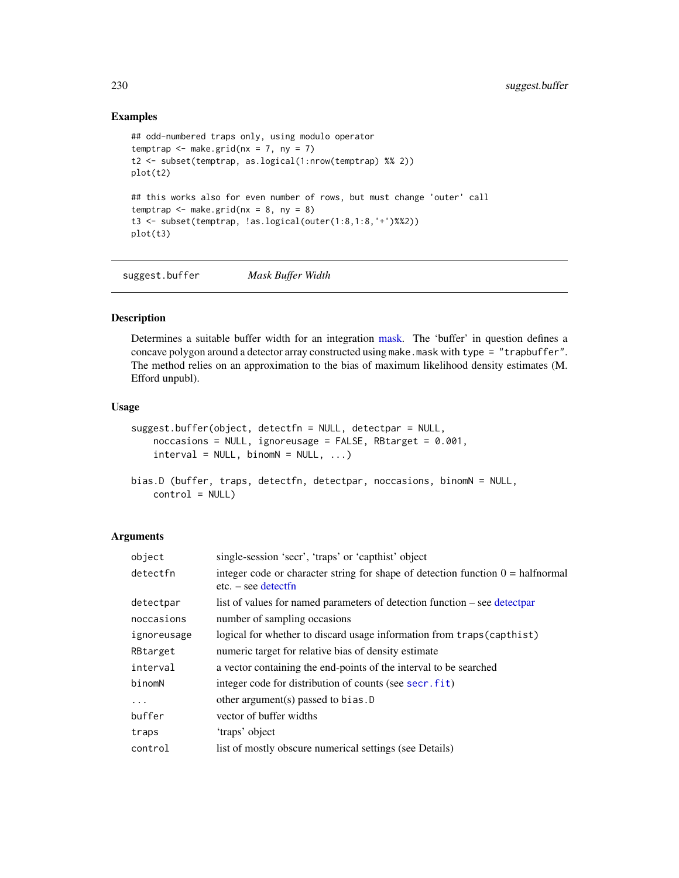# Examples

```
## odd-numbered traps only, using modulo operator
temptrap \leq make.grid(nx = 7, ny = 7)
t2 <- subset(temptrap, as.logical(1:nrow(temptrap) %% 2))
plot(t2)
## this works also for even number of rows, but must change 'outer' call
temptrap \leq make.grid(nx = 8, ny = 8)
t3 <- subset(temptrap, !as.logical(outer(1:8,1:8,'+')%%2))
plot(t3)
```
suggest.buffer *Mask Buffer Width*

# <span id="page-229-0"></span>Description

Determines a suitable buffer width for an integration [mask.](#page-100-0) The 'buffer' in question defines a concave polygon around a detector array constructed using make.mask with type = "trapbuffer". The method relies on an approximation to the bias of maximum likelihood density estimates (M. Efford unpubl).

## Usage

```
suggest.buffer(object, detectfn = NULL, detectpar = NULL,
    noccasions = NULL, ignoreusage = FALSE, RBtarget = 0.001,
    interval = NULL, binomN = NULL, ...bias.D (buffer, traps, detectfn, detectpar, noccasions, binomN = NULL,
    control = NULL)
```
# Arguments

| object      | single-session 'secr', 'traps' or 'capthist' object                                                             |
|-------------|-----------------------------------------------------------------------------------------------------------------|
| detectfn    | integer code or character string for shape of detection function $0 = \text{halfnormal}$<br>$etc. - see detect$ |
| detectpar   | list of values for named parameters of detection function – see detectpar                                       |
| noccasions  | number of sampling occasions                                                                                    |
| ignoreusage | logical for whether to discard usage information from traps (capthist)                                          |
| RBtarget    | numeric target for relative bias of density estimate                                                            |
| interval    | a vector containing the end-points of the interval to be searched                                               |
| binomN      | integer code for distribution of counts (see secr. fit)                                                         |
| $\cdots$    | other argument(s) passed to bias. $D$                                                                           |
| buffer      | vector of buffer widths                                                                                         |
| traps       | 'traps' object                                                                                                  |
| control     | list of mostly obscure numerical settings (see Details)                                                         |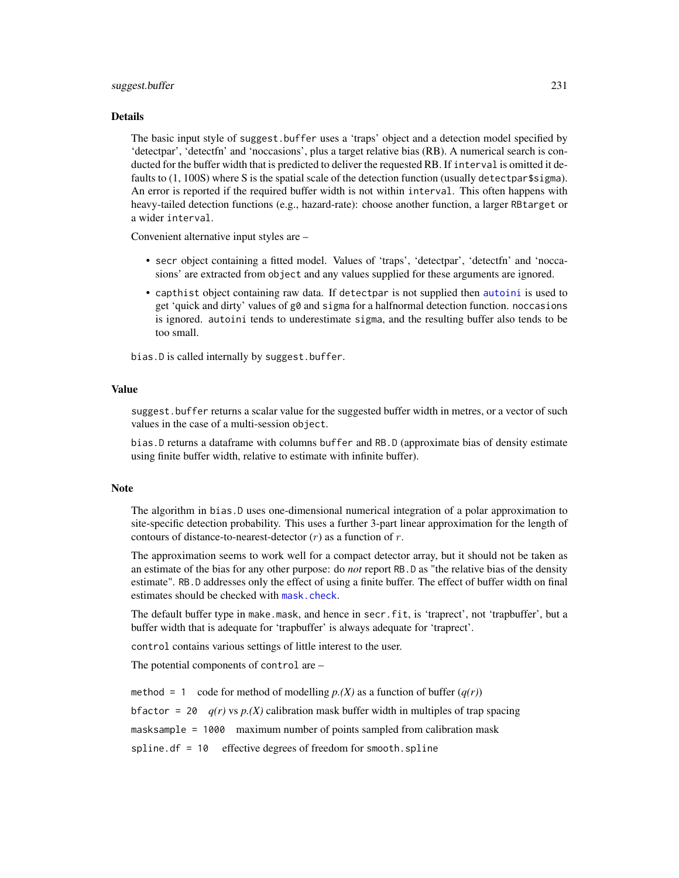## suggest.buffer 231

#### Details

The basic input style of suggest.buffer uses a 'traps' object and a detection model specified by 'detectpar', 'detectfn' and 'noccasions', plus a target relative bias (RB). A numerical search is conducted for the buffer width that is predicted to deliver the requested RB. If interval is omitted it defaults to (1, 100S) where S is the spatial scale of the detection function (usually detectpar\$sigma). An error is reported if the required buffer width is not within interval. This often happens with heavy-tailed detection functions (e.g., hazard-rate): choose another function, a larger RBtarget or a wider interval.

Convenient alternative input styles are –

- secr object containing a fitted model. Values of 'traps', 'detectpar', 'detectfn' and 'noccasions' are extracted from object and any values supplied for these arguments are ignored.
- capthist object containing raw data. If detectpar is not supplied then [autoini](#page-13-0) is used to get 'quick and dirty' values of  $g\theta$  and sigma for a halfnormal detection function. noccasions is ignored. autoini tends to underestimate sigma, and the resulting buffer also tends to be too small.

bias.D is called internally by suggest.buffer.

## Value

suggest.buffer returns a scalar value for the suggested buffer width in metres, or a vector of such values in the case of a multi-session object.

bias.D returns a dataframe with columns buffer and RB.D (approximate bias of density estimate using finite buffer width, relative to estimate with infinite buffer).

#### Note

The algorithm in bias.D uses one-dimensional numerical integration of a polar approximation to site-specific detection probability. This uses a further 3-part linear approximation for the length of contours of distance-to-nearest-detector  $(r)$  as a function of  $r$ .

The approximation seems to work well for a compact detector array, but it should not be taken as an estimate of the bias for any other purpose: do *not* report RB.D as "the relative bias of the density estimate". RB.D addresses only the effect of using a finite buffer. The effect of buffer width on final estimates should be checked with [mask.check](#page-101-0).

The default buffer type in make.mask, and hence in secr.fit, is 'traprect', not 'trapbuffer', but a buffer width that is adequate for 'trapbuffer' is always adequate for 'traprect'.

control contains various settings of little interest to the user.

The potential components of control are –

method = 1 code for method of modelling  $p(x)$  as a function of buffer  $(q(r))$ bfactor = 20  $q(r)$  vs  $p(X)$  calibration mask buffer width in multiples of trap spacing masksample = 1000 maximum number of points sampled from calibration mask spline.df = 10 effective degrees of freedom for smooth.spline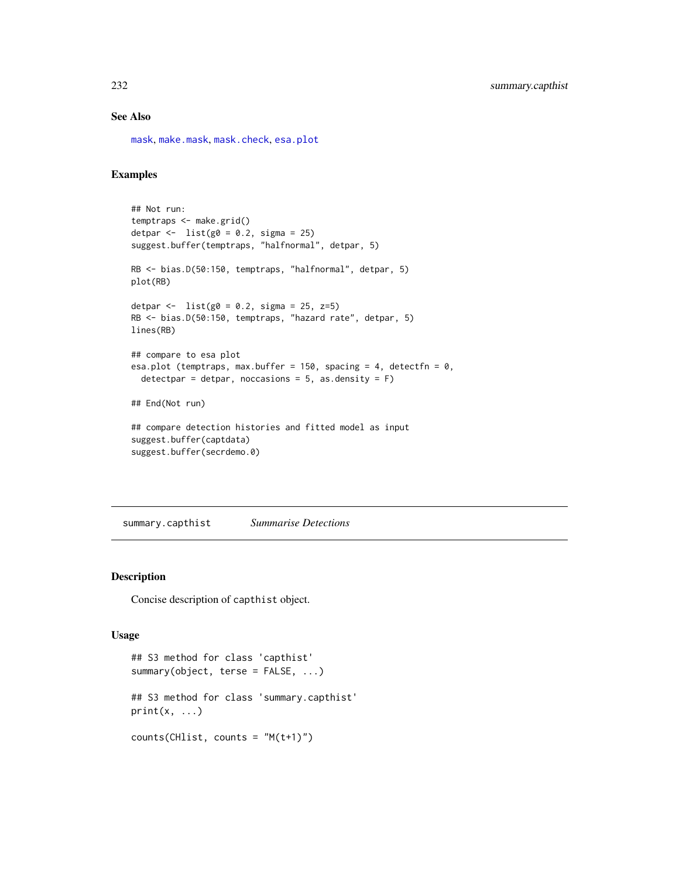# See Also

[mask](#page-100-0), [make.mask](#page-91-0), [mask.check](#page-101-0), [esa.plot](#page-56-0)

# Examples

```
## Not run:
temptraps <- make.grid()
detpar \leftarrow list(g0 = 0.2, sigma = 25)
suggest.buffer(temptraps, "halfnormal", detpar, 5)
RB <- bias.D(50:150, temptraps, "halfnormal", detpar, 5)
plot(RB)
detpar <- list(g0 = 0.2, sigma = 25, z=5)RB <- bias.D(50:150, temptraps, "hazard rate", detpar, 5)
lines(RB)
## compare to esa plot
esa.plot (temptraps, max.buffer = 150, spacing = 4, detectfn = 0,
  detectpar = detpar, noccasions = 5, as.density = F)
## End(Not run)
## compare detection histories and fitted model as input
suggest.buffer(captdata)
suggest.buffer(secrdemo.0)
```
summary.capthist *Summarise Detections*

## Description

Concise description of capthist object.

## Usage

```
## S3 method for class 'capthist'
summary(object, terse = FALSE, ...)
## S3 method for class 'summary.capthist'
print(x, \ldots)counts(CHlist, counts = "M(t+1)")
```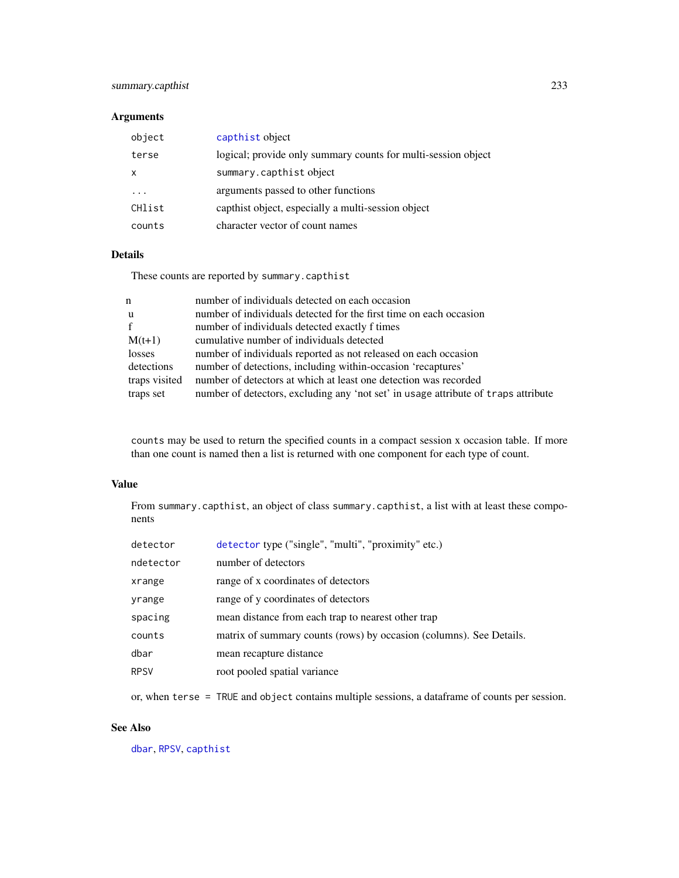# summary.capthist 233

# Arguments

| object   | capthist object                                               |
|----------|---------------------------------------------------------------|
| terse    | logical; provide only summary counts for multi-session object |
| x        | summary.capthistobject                                        |
| $\cdots$ | arguments passed to other functions                           |
| CHlist   | capthist object, especially a multi-session object            |
| counts   | character vector of count names                               |

# Details

These counts are reported by summary.capthist

| n             | number of individuals detected on each occasion                                    |
|---------------|------------------------------------------------------------------------------------|
| u             | number of individuals detected for the first time on each occasion                 |
| f             | number of individuals detected exactly f times                                     |
| $M(t+1)$      | cumulative number of individuals detected                                          |
| losses        | number of individuals reported as not released on each occasion                    |
| detections    | number of detections, including within-occasion 'recaptures'                       |
| traps visited | number of detectors at which at least one detection was recorded                   |
| traps set     | number of detectors, excluding any 'not set' in usage attribute of traps attribute |

counts may be used to return the specified counts in a compact session x occasion table. If more than one count is named then a list is returned with one component for each type of count.

# Value

From summary.capthist, an object of class summary.capthist, a list with at least these components

| detector    | detector type ("single", "multi", "proximity" etc.)                 |
|-------------|---------------------------------------------------------------------|
| ndetector   | number of detectors                                                 |
| xrange      | range of x coordinates of detectors                                 |
| yrange      | range of y coordinates of detectors                                 |
| spacing     | mean distance from each trap to nearest other trap                  |
| counts      | matrix of summary counts (rows) by occasion (columns). See Details. |
| dbar        | mean recapture distance                                             |
| <b>RPSV</b> | root pooled spatial variance                                        |
|             |                                                                     |

or, when terse = TRUE and object contains multiple sessions, a dataframe of counts per session.

# See Also

[dbar](#page-72-0), [RPSV](#page-72-0), [capthist](#page-17-0)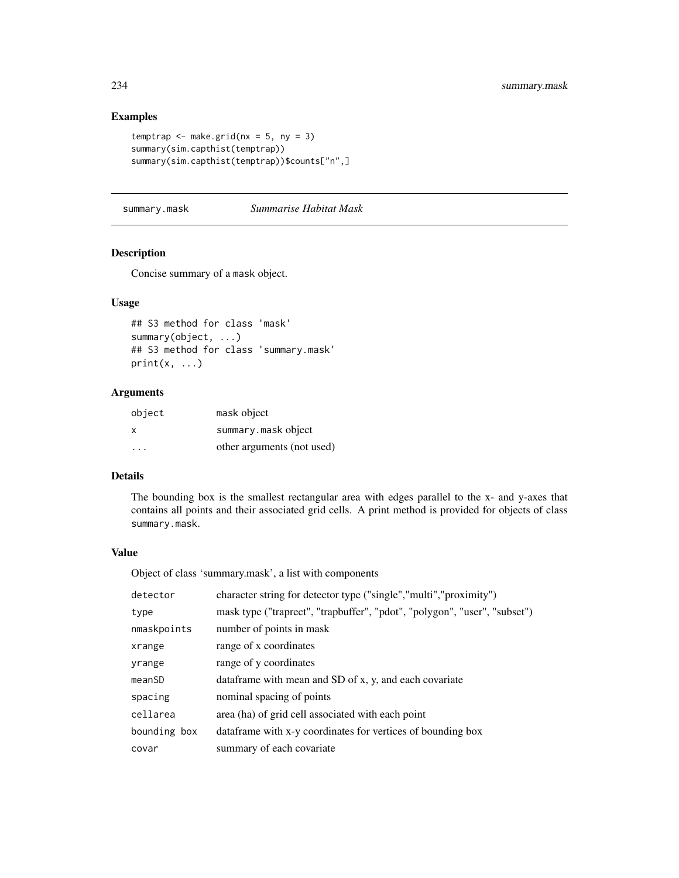# Examples

```
temptrap \leq make.grid(nx = 5, ny = 3)
summary(sim.capthist(temptrap))
summary(sim.capthist(temptrap))$counts["n",]
```
summary.mask *Summarise Habitat Mask*

## Description

Concise summary of a mask object.

# Usage

```
## S3 method for class 'mask'
summary(object, ...)
## S3 method for class 'summary.mask'
print(x, \ldots)
```
# Arguments

| object | mask object                |
|--------|----------------------------|
| X      | summary.maskobject         |
| .      | other arguments (not used) |

# Details

The bounding box is the smallest rectangular area with edges parallel to the x- and y-axes that contains all points and their associated grid cells. A print method is provided for objects of class summary.mask.

## Value

Object of class 'summary.mask', a list with components

| detector     | character string for detector type ("single","multi","proximity")         |
|--------------|---------------------------------------------------------------------------|
| type         | mask type ("traprect", "trapbuffer", "pdot", "polygon", "user", "subset") |
| nmaskpoints  | number of points in mask                                                  |
| xrange       | range of x coordinates                                                    |
| yrange       | range of y coordinates                                                    |
| meanSD       | data frame with mean and SD of x, y, and each covariate                   |
| spacing      | nominal spacing of points                                                 |
| cellarea     | area (ha) of grid cell associated with each point                         |
| bounding box | data frame with x-y coordinates for vertices of bounding box              |
| covar        | summary of each covariate.                                                |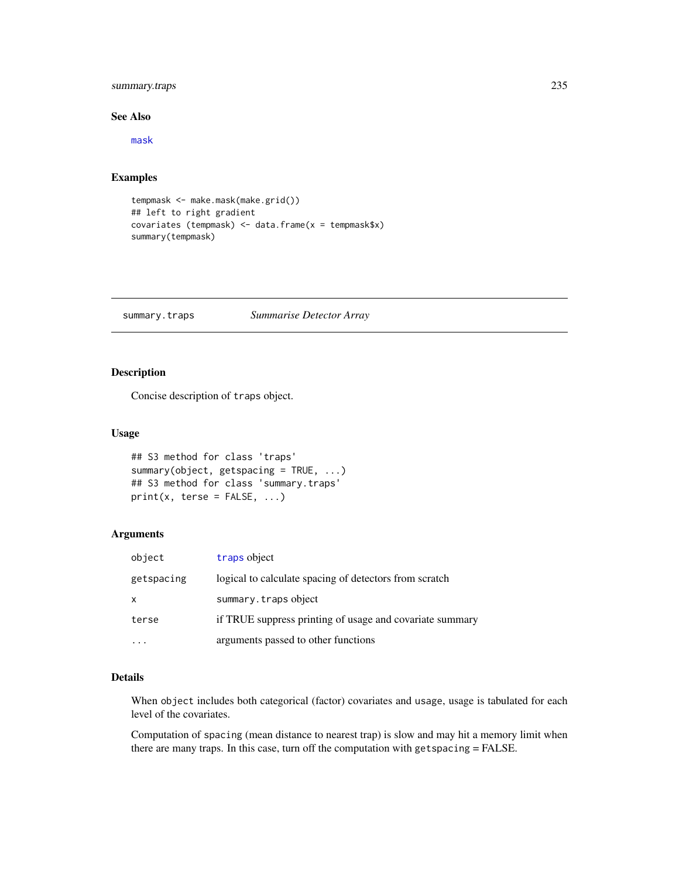# summary.traps 235

# See Also

[mask](#page-100-0)

# Examples

```
tempmask <- make.mask(make.grid())
## left to right gradient
covariates (tempmask) <- data.frame(x = tempmask$x)
summary(tempmask)
```
summary.traps *Summarise Detector Array*

# Description

Concise description of traps object.

# Usage

```
## S3 method for class 'traps'
summary(object, getspacing = TRUE, ...)
## S3 method for class 'summary.traps'
print(x, \text{terse} = \text{FALSE}, \ldots)
```
# Arguments

| object     | traps object                                             |
|------------|----------------------------------------------------------|
| getspacing | logical to calculate spacing of detectors from scratch   |
| x          | summary.trapsobject                                      |
| terse      | if TRUE suppress printing of usage and covariate summary |
|            | arguments passed to other functions                      |

# Details

When object includes both categorical (factor) covariates and usage, usage is tabulated for each level of the covariates.

Computation of spacing (mean distance to nearest trap) is slow and may hit a memory limit when there are many traps. In this case, turn off the computation with getspacing = FALSE.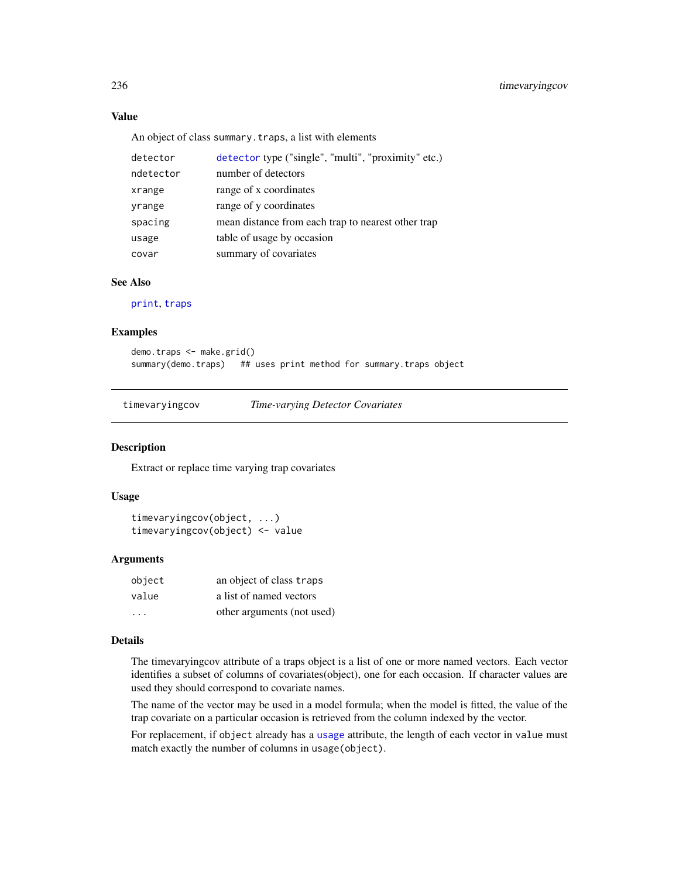# Value

An object of class summary.traps, a list with elements

| detector  | detector type ("single", "multi", "proximity" etc.) |
|-----------|-----------------------------------------------------|
| ndetector | number of detectors                                 |
| xrange    | range of x coordinates                              |
| yrange    | range of y coordinates                              |
| spacing   | mean distance from each trap to nearest other trap  |
| usage     | table of usage by occasion                          |
| covar     | summary of covariates                               |

# See Also

[print](#page-0-0), [traps](#page-243-0)

## Examples

```
demo.traps <- make.grid()
summary(demo.traps) ## uses print method for summary.traps object
```
timevaryingcov *Time-varying Detector Covariates*

#### Description

Extract or replace time varying trap covariates

## Usage

```
timevaryingcov(object, ...)
timevaryingcov(object) <- value
```
#### Arguments

| object | an object of class traps   |
|--------|----------------------------|
| value  | a list of named vectors    |
| .      | other arguments (not used) |

## Details

The timevaryingcov attribute of a traps object is a list of one or more named vectors. Each vector identifies a subset of columns of covariates(object), one for each occasion. If character values are used they should correspond to covariate names.

The name of the vector may be used in a model formula; when the model is fitted, the value of the trap covariate on a particular occasion is retrieved from the column indexed by the vector.

For replacement, if object already has a [usage](#page-249-0) attribute, the length of each vector in value must match exactly the number of columns in usage(object).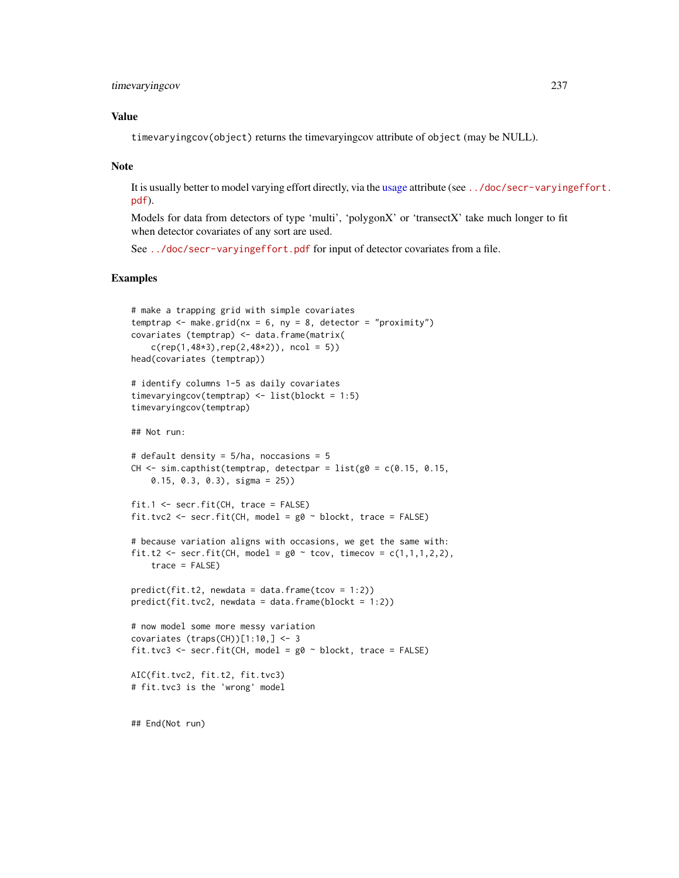# timevaryingcov 237

# Value

timevaryingcov(object) returns the timevaryingcov attribute of object (may be NULL).

## Note

It is usually better to model varying effort directly, via the [usage](#page-249-0) attribute (see [../doc/secr-varying](../doc/secr-varyingeffort.pdf)effort. [pdf](../doc/secr-varyingeffort.pdf)).

Models for data from detectors of type 'multi', 'polygonX' or 'transectX' take much longer to fit when detector covariates of any sort are used.

See <../doc/secr-varyingeffort.pdf> for input of detector covariates from a file.

```
# make a trapping grid with simple covariates
temptrap \leq make.grid(nx = 6, ny = 8, detector = "proximity")
covariates (temptrap) <- data.frame(matrix(
    c(rep(1,48*3),rep(2,48*2)), ncol = 5))
head(covariates (temptrap))
# identify columns 1-5 as daily covariates
timevaryingcov(temptrap) <- list(blockt = 1:5)
timevaryingcov(temptrap)
## Not run:
# default density = 5/ha, noccasions = 5
CH \le sim.capthist(temptrap, detectpar = list(g0 = c(0.15, 0.15,
   0.15, 0.3, 0.3), sigma = 25))
fit.1 <- secr.fit(CH, trace = FALSE)
fit.tvc2 <- secr.fit(CH, model = g0 ~ blockt, trace = FALSE)
# because variation aligns with occasions, we get the same with:
fit.t2 <- secr.fit(CH, model = g0 \sim tcov, timecov = c(1,1,1,2,2),
    trace = FALSE)
predict(fit.t2, newdata = data.frame(tcov = 1:2))predict(fit.tvc2, newdata = data.frame(blockt = 1:2))# now model some more messy variation
covariates (traps(CH))[1:10,] <- 3
fit.tvc3 <- secr.fit(CH, model = g0 \sim blockt, trace = FALSE)
AIC(fit.tvc2, fit.t2, fit.tvc3)
# fit.tvc3 is the 'wrong' model
## End(Not run)
```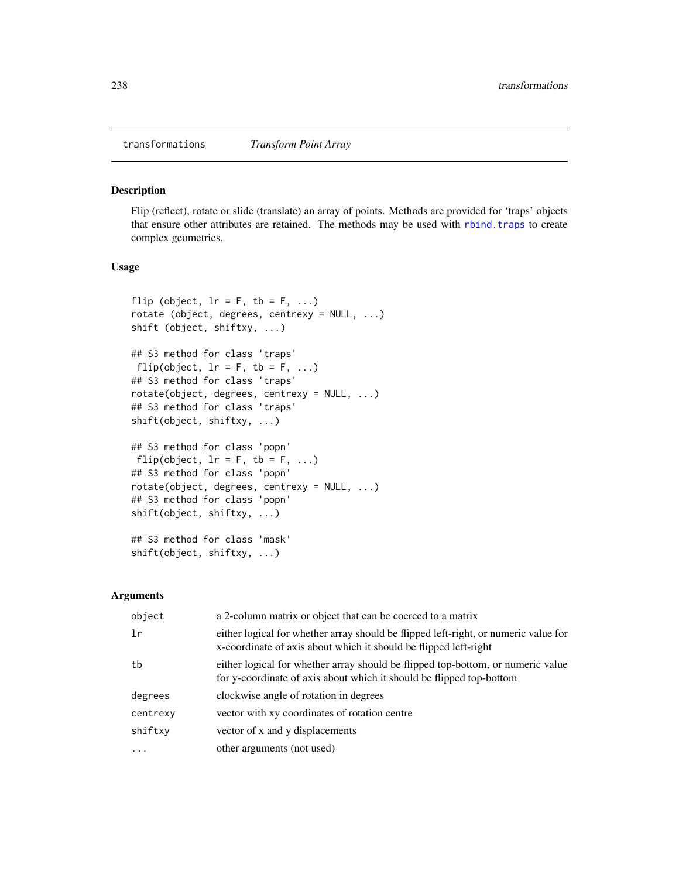#### <span id="page-237-0"></span>Description

Flip (reflect), rotate or slide (translate) an array of points. Methods are provided for 'traps' objects that ensure other attributes are retained. The methods may be used with [rbind.traps](#page-152-0) to create complex geometries.

## Usage

```
flip (object, lr = F, tb = F, ...)
rotate (object, degrees, centrexy = NULL, ...)
shift (object, shiftxy, ...)
## S3 method for class 'traps'
flip(object, lr = F, tb = F, ...)
## S3 method for class 'traps'
rotate(object, degrees, centrexy = NULL, ...)
## S3 method for class 'traps'
shift(object, shiftxy, ...)
## S3 method for class 'popn'
flip(object, lr = F, tb = F, ...)
## S3 method for class 'popn'
rotate(object, degrees, centrexy = NULL, ...)
## S3 method for class 'popn'
shift(object, shiftxy, ...)
## S3 method for class 'mask'
shift(object, shiftxy, ...)
```
## Arguments

| object   | a 2-column matrix or object that can be coerced to a matrix                                                                                             |
|----------|---------------------------------------------------------------------------------------------------------------------------------------------------------|
| 1r       | either logical for whether array should be flipped left-right, or numeric value for<br>x-coordinate of axis about which it should be flipped left-right |
| tb       | either logical for whether array should be flipped top-bottom, or numeric value<br>for y-coordinate of axis about which it should be flipped top-bottom |
| degrees  | clockwise angle of rotation in degrees                                                                                                                  |
| centrexy | vector with xy coordinates of rotation centre                                                                                                           |
| shiftxy  | vector of x and y displacements                                                                                                                         |
| $\ddots$ | other arguments (not used)                                                                                                                              |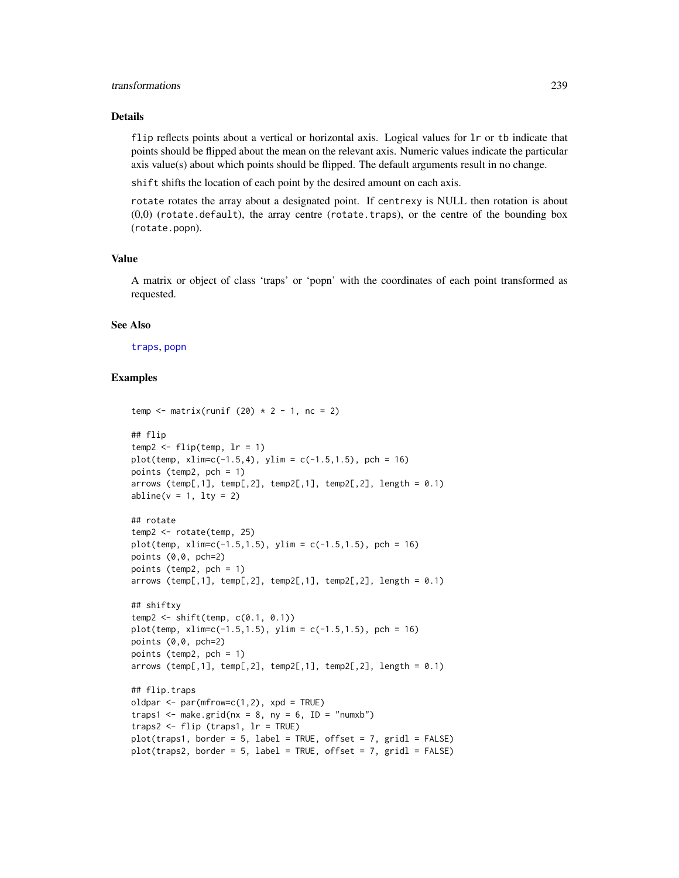## transformations 239

# Details

flip reflects points about a vertical or horizontal axis. Logical values for  $1r$  or tb indicate that points should be flipped about the mean on the relevant axis. Numeric values indicate the particular axis value(s) about which points should be flipped. The default arguments result in no change.

shift shifts the location of each point by the desired amount on each axis.

rotate rotates the array about a designated point. If centrexy is NULL then rotation is about  $(0,0)$  (rotate.default), the array centre (rotate.traps), or the centre of the bounding box (rotate.popn).

## Value

A matrix or object of class 'traps' or 'popn' with the coordinates of each point transformed as requested.

# See Also

[traps](#page-243-0), [popn](#page-136-0)

```
temp \le matrix(runif (20) \star 2 - 1, nc = 2)
## flip
temp2 \leq flip(temp, lr = 1)plot(temp, xlim=c(-1.5,4), ylim = c(-1.5,1.5), pch = 16)
points (temp2, pch = 1)
arrows (temp[,1], temp[,2], temp2[,1], temp2[,2], length = 0.1)
abline(v = 1, lty = 2)## rotate
temp2 <- rotate(temp, 25)
plot(temp, xlim=c(-1.5, 1.5), ylim = c(-1.5, 1.5), pch = 16)points (0,0, pch=2)
points (temp2, pch = 1)
arrows (temp[,1], temp[,2], temp2[,1], temp2[,2], length = 0.1)
## shiftxy
temp2 <- shift(temp, c(0.1, 0.1))
plot(temp, xlim=c(-1.5, 1.5), ylim = c(-1.5, 1.5), pch = 16)points (0,0, pch=2)
points (temp2, pch = 1)
arrows (temp[,1], temp[,2], temp2[,1], temp2[,2], length = 0.1)
## flip.traps
oldpar \leq par(mfrow=c(1,2), xpd = TRUE)
traps1 <- make.grid(nx = 8, ny = 6, ID = "numxb")traps2 <- flip (traps1, lr = TRUE)
plot(traps1, border = 5, label = TRUE, offset = 7, grid = FALSE)plot(traps2, border = 5, label = TRUE, offset = 7, grid1 = FALSE)
```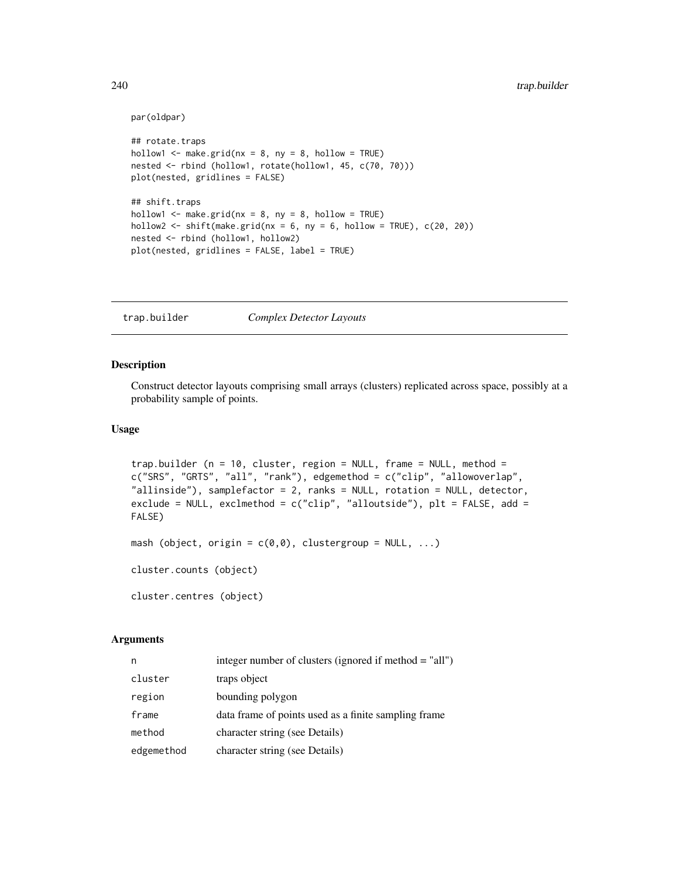```
par(oldpar)
```

```
## rotate.traps
hollow1 \leq make.grid(nx = 8, ny = 8, hollow = TRUE)
nested <- rbind (hollow1, rotate(hollow1, 45, c(70, 70)))
plot(nested, gridlines = FALSE)
## shift.traps
hollow1 \leq make.grid(nx = 8, ny = 8, hollow = TRUE)
hollow2 \le shift(make.grid(nx = 6, ny = 6, hollow = TRUE), c(20, 20))
nested <- rbind (hollow1, hollow2)
plot(nested, gridlines = FALSE, label = TRUE)
```
<span id="page-239-1"></span>trap.builder *Complex Detector Layouts*

# <span id="page-239-0"></span>Description

Construct detector layouts comprising small arrays (clusters) replicated across space, possibly at a probability sample of points.

## Usage

```
trap.builder (n = 10, cluster, region = NULL, frame = NULL, method =
c("SRS", "GRTS", "all", "rank"), edgemethod = c("clip", "allowoverlap",
"allinside"), samplefactor = 2, ranks = NULL, rotation = NULL, detector,
exclude = NULL, exclmethod = c("clip", "alloutside"), plt = FALSE, add =
FALSE)
mash (object, origin = c(0,0), clustergroup = NULL, ...)
```
cluster.counts (object)

cluster.centres (object)

# Arguments

| n          | integer number of clusters (ignored if method = "all") |
|------------|--------------------------------------------------------|
| cluster    | traps object                                           |
| region     | bounding polygon                                       |
| frame      | data frame of points used as a finite sampling frame   |
| method     | character string (see Details)                         |
| edgemethod | character string (see Details)                         |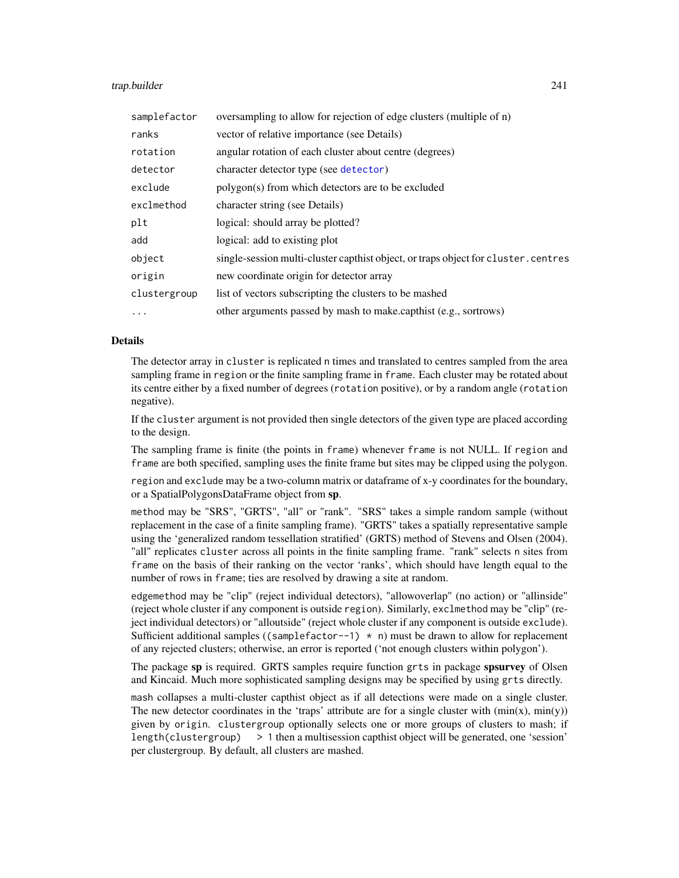## trap.builder 241

| samplefactor | oversampling to allow for rejection of edge clusters (multiple of n)               |
|--------------|------------------------------------------------------------------------------------|
| ranks        | vector of relative importance (see Details)                                        |
| rotation     | angular rotation of each cluster about centre (degrees)                            |
| detector     | character detector type (see detector)                                             |
| exclude      | polygon(s) from which detectors are to be excluded                                 |
| exclmethod   | character string (see Details)                                                     |
| plt          | logical: should array be plotted?                                                  |
| add          | logical: add to existing plot                                                      |
| object       | single-session multi-cluster capthist object, or traps object for cluster. centres |
| origin       | new coordinate origin for detector array                                           |
| clustergroup | list of vectors subscripting the clusters to be mashed                             |
| $\ddots$ .   | other arguments passed by mash to make capthist (e.g., sortrows)                   |

# Details

The detector array in cluster is replicated n times and translated to centres sampled from the area sampling frame in region or the finite sampling frame in frame. Each cluster may be rotated about its centre either by a fixed number of degrees (rotation positive), or by a random angle (rotation negative).

If the cluster argument is not provided then single detectors of the given type are placed according to the design.

The sampling frame is finite (the points in frame) whenever frame is not NULL. If region and frame are both specified, sampling uses the finite frame but sites may be clipped using the polygon.

region and exclude may be a two-column matrix or dataframe of x-y coordinates for the boundary, or a SpatialPolygonsDataFrame object from sp.

method may be "SRS", "GRTS", "all" or "rank". "SRS" takes a simple random sample (without replacement in the case of a finite sampling frame). "GRTS" takes a spatially representative sample using the 'generalized random tessellation stratified' (GRTS) method of Stevens and Olsen (2004). "all" replicates cluster across all points in the finite sampling frame. "rank" selects n sites from frame on the basis of their ranking on the vector 'ranks', which should have length equal to the number of rows in frame; ties are resolved by drawing a site at random.

edgemethod may be "clip" (reject individual detectors), "allowoverlap" (no action) or "allinside" (reject whole cluster if any component is outside region). Similarly, exclmethod may be "clip" (reject individual detectors) or "alloutside" (reject whole cluster if any component is outside exclude). Sufficient additional samples ((samplefactor--1)  $*$  n) must be drawn to allow for replacement of any rejected clusters; otherwise, an error is reported ('not enough clusters within polygon').

The package sp is required. GRTS samples require function grts in package spsurvey of Olsen and Kincaid. Much more sophisticated sampling designs may be specified by using grts directly.

mash collapses a multi-cluster capthist object as if all detections were made on a single cluster. The new detector coordinates in the 'traps' attribute are for a single cluster with  $(\min(x), \min(y))$ given by origin. clustergroup optionally selects one or more groups of clusters to mash; if length(clustergroup) > 1 then a multisession capthist object will be generated, one 'session' per clustergroup. By default, all clusters are mashed.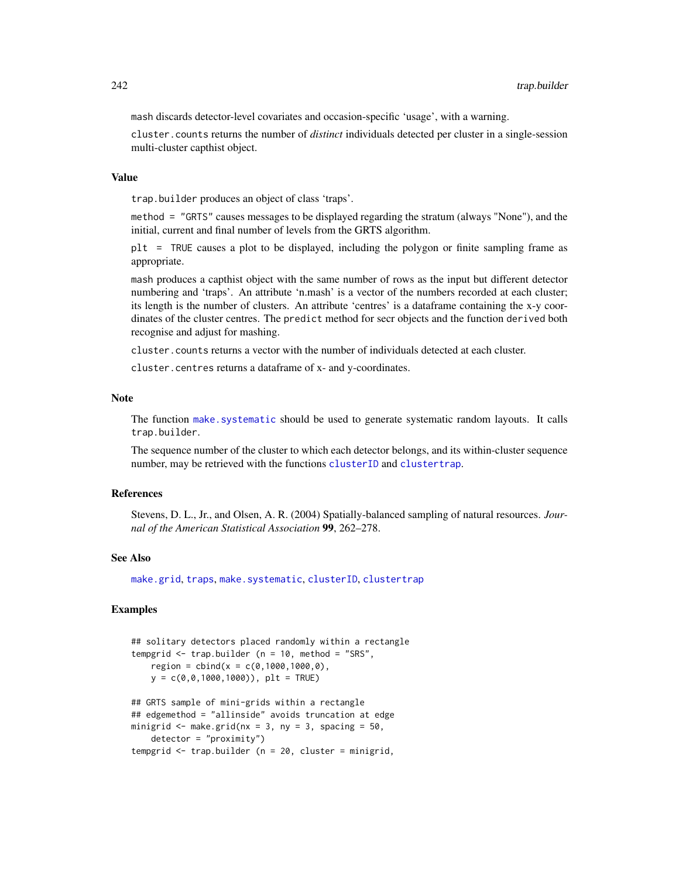mash discards detector-level covariates and occasion-specific 'usage', with a warning.

cluster.counts returns the number of *distinct* individuals detected per cluster in a single-session multi-cluster capthist object.

## Value

trap.builder produces an object of class 'traps'.

method = "GRTS" causes messages to be displayed regarding the stratum (always "None"), and the initial, current and final number of levels from the GRTS algorithm.

plt = TRUE causes a plot to be displayed, including the polygon or finite sampling frame as appropriate.

mash produces a capthist object with the same number of rows as the input but different detector numbering and 'traps'. An attribute 'n.mash' is a vector of the numbers recorded at each cluster; its length is the number of clusters. An attribute 'centres' is a dataframe containing the x-y coordinates of the cluster centres. The predict method for secr objects and the function derived both recognise and adjust for mashing.

cluster.counts returns a vector with the number of individuals detected at each cluster.

cluster.centres returns a dataframe of x- and y-coordinates.

#### Note

The function [make.systematic](#page-93-0) should be used to generate systematic random layouts. It calls trap.builder.

The sequence number of the cluster to which each detector belongs, and its within-cluster sequence number, may be retrieved with the functions [clusterID](#page-27-0) and [clustertrap](#page-27-0).

## References

Stevens, D. L., Jr., and Olsen, A. R. (2004) Spatially-balanced sampling of natural resources. *Journal of the American Statistical Association* 99, 262–278.

## See Also

[make.grid](#page-95-0), [traps](#page-243-0), [make.systematic](#page-93-0), [clusterID](#page-27-0), [clustertrap](#page-27-0)

```
## solitary detectors placed randomly within a rectangle
tempgrid \leq trap.builder (n = 10, method = "SRS",
    region = child(x = c(0, 1000, 1000, 0),
    y = c(0, 0, 1000, 1000), plt = TRUE)
## GRTS sample of mini-grids within a rectangle
## edgemethod = "allinside" avoids truncation at edge
minigrid \leq make.grid(nx = 3, ny = 3, spacing = 50,
    detector = "proximity")
tempgrid \leq trap.builder (n = 20, cluster = minigrid,
```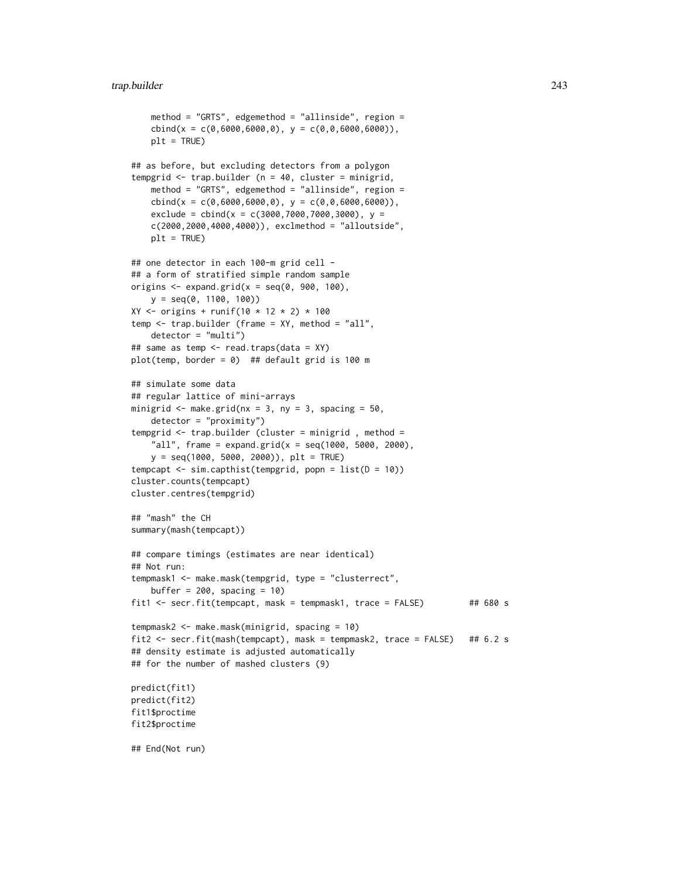```
method = "GRTS", edgemethod = "allinside", region =
    \text{cbind}(x = c(0, 6000, 6000, 0), y = c(0, 0, 6000, 6000)),plt = TRUE)
## as before, but excluding detectors from a polygon
tempgrid <- trap.builder (n = 40, cluster = minigrid,
   method = "GRTS", edgemethod = "allinside", region =
    \text{cbind}(x = c(0, 6000, 6000, 0), y = c(0, 0, 6000, 6000)),exclude = cbind(x = c(3000, 7000, 7000, 3000), y =c(2000,2000,4000,4000)), exclmethod = "alloutside",
    plt = TRUE## one detector in each 100-m grid cell -
## a form of stratified simple random sample
origins \leq expand.grid(x = seq(0, 900, 100),
   y = seq(0, 1100, 100))
XY \le - origins + runif(10 * 12 * 2) * 100
temp <- trap.builder (frame = XY, method = "all",
    detector = "multi")
## same as temp <- read.traps(data = XY)
plot(temp, border = 0) ## default grid is 100 m
## simulate some data
## regular lattice of mini-arrays
minigrid \leq make.grid(nx = 3, ny = 3, spacing = 50,
    detector = "proximity")
tempgrid <- trap.builder (cluster = minigrid , method =
    "all", frame = expand.grid(x = seq(1000, 5000, 2000),
   y = seq(1000, 5000, 2000)), plt = TRUE)
tempcapt <- sim.capthist(tempgrid, popn = list(D = 10))
cluster.counts(tempcapt)
cluster.centres(tempgrid)
## "mash" the CH
summary(mash(tempcapt))
## compare timings (estimates are near identical)
## Not run:
tempmask1 <- make.mask(tempgrid, type = "clusterrect",
    buffer = 200, spacing = 10)
fit1 <- secr.fit(tempcapt, mask = tempmask1, trace = FALSE) ## 680 s
tempmask2 <- make.mask(minigrid, spacing = 10)
fit2 <- secr.fit(mash(tempcapt), mask = tempmask2, trace = FALSE) ## 6.2 s
## density estimate is adjusted automatically
## for the number of mashed clusters (9)
predict(fit1)
predict(fit2)
fit1$proctime
fit2$proctime
## End(Not run)
```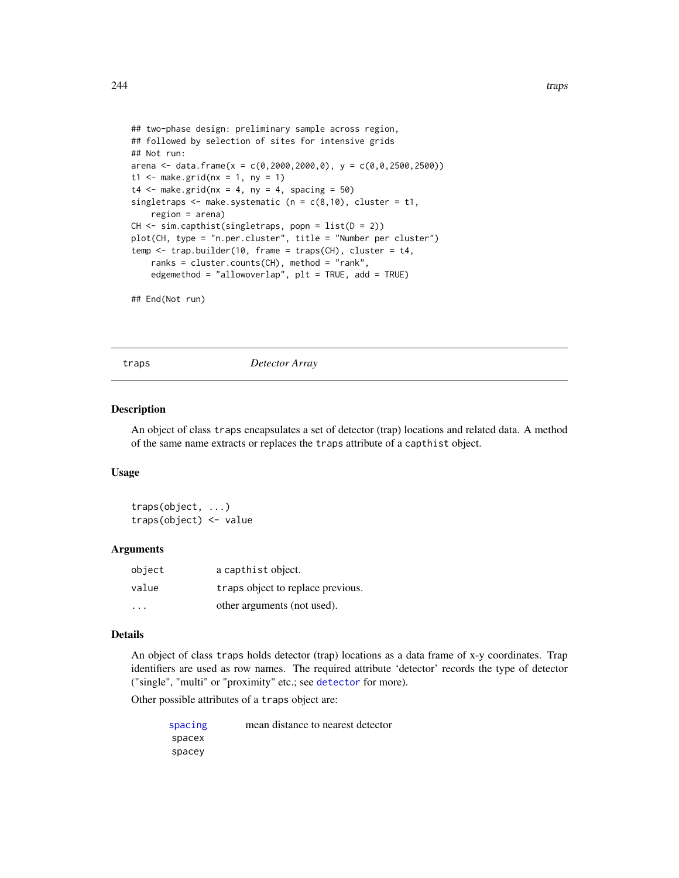```
## two-phase design: preliminary sample across region,
## followed by selection of sites for intensive grids
## Not run:
arena <- data.frame(x = c(0, 2000, 2000, 0), y = c(0, 0, 2500, 2500))
t1 <- make.grid(nx = 1, ny = 1)
t4 \leq - make.grid(nx = 4, ny = 4, spacing = 50)
singletraps \leq make.systematic (n = c(8,10), cluster = t1,
    region = arena)
CH \leftarrow sim.capthist(singletraps, popn = list(D = 2))plot(CH, type = "n.per.cluster", title = "Number per cluster")
temp <- trap.builder(10, frame = traps(CH), cluster = t4,
    ranks = cluster.counts(CH), method = "rank",
    edgemethod = "allowoverlap", plt = TRUE, add = TRUE)
```

```
## End(Not run)
```
<span id="page-243-0"></span>

traps *Detector Array*

## Description

An object of class traps encapsulates a set of detector (trap) locations and related data. A method of the same name extracts or replaces the traps attribute of a capthist object.

#### Usage

traps(object, ...) traps(object) <- value

## Arguments

| object | a capthist object.                |
|--------|-----------------------------------|
| value  | traps object to replace previous. |
| .      | other arguments (not used).       |

#### Details

An object of class traps holds detector (trap) locations as a data frame of x-y coordinates. Trap identifiers are used as row names. The required attribute 'detector' records the type of detector ("single", "multi" or "proximity" etc.; see [detector](#page-46-0) for more).

Other possible attributes of a traps object are:

| spacing | mean distance to nearest detector |
|---------|-----------------------------------|
| spacex  |                                   |
| spacey  |                                   |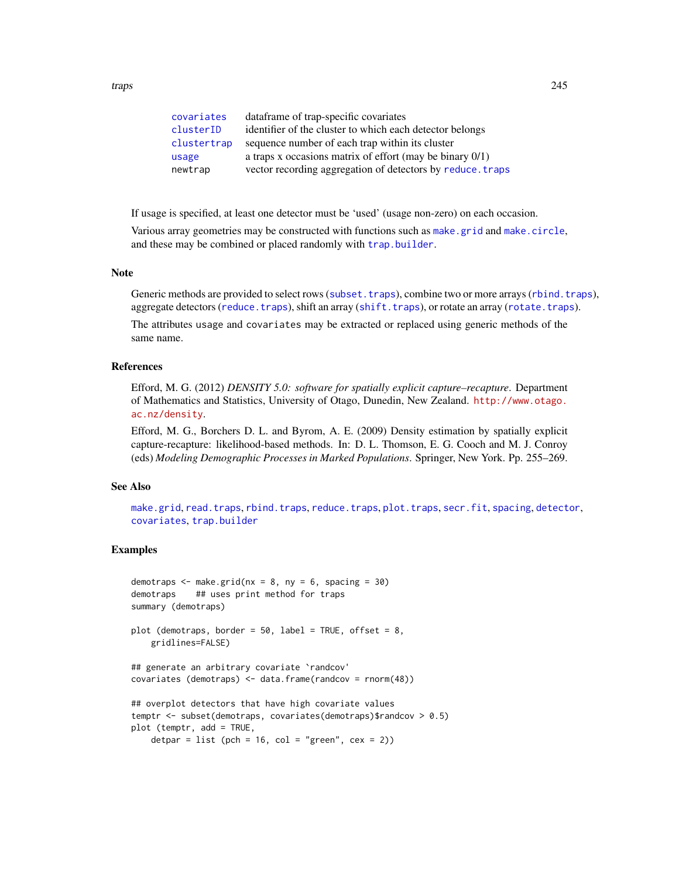| covariates  | data frame of trap-specific covariates                      |
|-------------|-------------------------------------------------------------|
| clusterID   | identifier of the cluster to which each detector belongs    |
| clustertrap | sequence number of each trap within its cluster             |
| usage       | a traps x occasions matrix of effort (may be binary $0/1$ ) |
| newtrap     | vector recording aggregation of detectors by reduce. traps  |

If usage is specified, at least one detector must be 'used' (usage non-zero) on each occasion.

Various array geometries may be constructed with functions such as [make.grid](#page-95-0) and [make.circle](#page-95-0), and these may be combined or placed randomly with [trap.builder](#page-239-1).

## Note

Generic methods are provided to select rows ([subset.traps](#page-228-0)), combine two or more arrays ([rbind.traps](#page-152-0)), aggregate detectors ([reduce.traps](#page-162-1)), shift an array ([shift.traps](#page-237-0)), or rotate an array ([rotate.traps](#page-237-0)).

The attributes usage and covariates may be extracted or replaced using generic methods of the same name.

## References

Efford, M. G. (2012) *DENSITY 5.0: software for spatially explicit capture–recapture*. Department of Mathematics and Statistics, University of Otago, Dunedin, New Zealand. [http://www.otago.](http://www.otago.ac.nz/density) [ac.nz/density](http://www.otago.ac.nz/density).

Efford, M. G., Borchers D. L. and Byrom, A. E. (2009) Density estimation by spatially explicit capture-recapture: likelihood-based methods. In: D. L. Thomson, E. G. Cooch and M. J. Conroy (eds) *Modeling Demographic Processes in Marked Populations*. Springer, New York. Pp. 255–269.

# See Also

[make.grid](#page-95-0), [read.traps](#page-158-0), [rbind.traps](#page-152-0), [reduce.traps](#page-162-1), [plot.traps](#page-132-0), [secr.fit](#page-176-0), [spacing](#page-215-0), [detector](#page-46-0), [covariates](#page-33-0), [trap.builder](#page-239-1)

```
demotraps \leq make.grid(nx = 8, ny = 6, spacing = 30)
demotraps ## uses print method for traps
summary (demotraps)
plot (demotraps, border = 50, label = TRUE, offset = 8,
    gridlines=FALSE)
## generate an arbitrary covariate `randcov'
covariates (demotraps) <- data.frame(randcov = rnorm(48))
## overplot detectors that have high covariate values
temptr <- subset(demotraps, covariates(demotraps)$randcov > 0.5)
plot (temptr, add = TRUE,
   detpar = list (pch = 16, col = "green", cex = 2))
```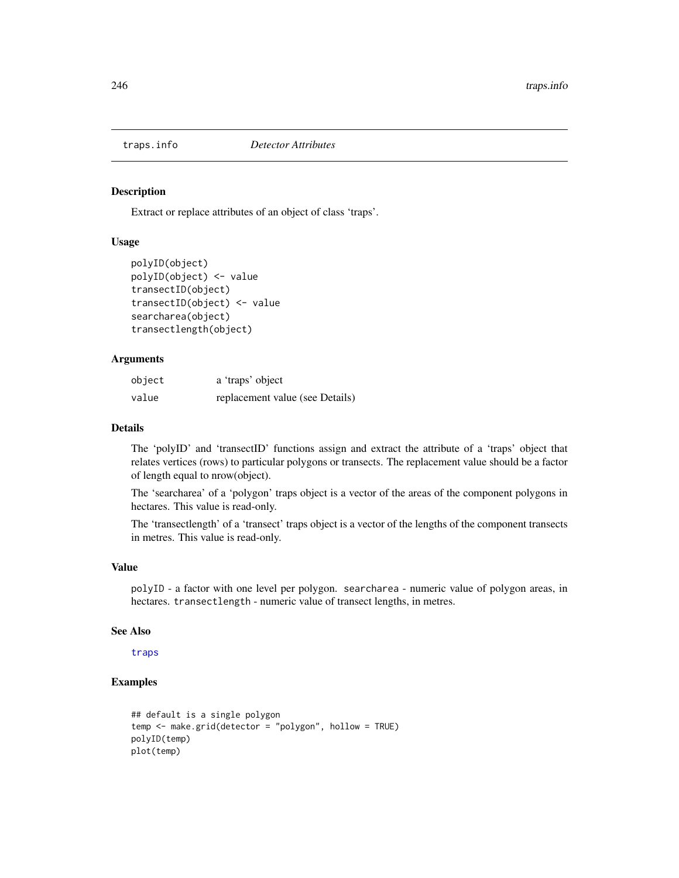## Description

Extract or replace attributes of an object of class 'traps'.

# Usage

```
polyID(object)
polyID(object) <- value
transectID(object)
transectID(object) <- value
searcharea(object)
transectlength(object)
```
# Arguments

| object | a 'traps' object                |
|--------|---------------------------------|
| value  | replacement value (see Details) |

# Details

The 'polyID' and 'transectID' functions assign and extract the attribute of a 'traps' object that relates vertices (rows) to particular polygons or transects. The replacement value should be a factor of length equal to nrow(object).

The 'searcharea' of a 'polygon' traps object is a vector of the areas of the component polygons in hectares. This value is read-only.

The 'transectlength' of a 'transect' traps object is a vector of the lengths of the component transects in metres. This value is read-only.

# Value

polyID - a factor with one level per polygon. searcharea - numeric value of polygon areas, in hectares. transectlength - numeric value of transect lengths, in metres.

## See Also

[traps](#page-243-0)

```
## default is a single polygon
temp <- make.grid(detector = "polygon", hollow = TRUE)
polyID(temp)
plot(temp)
```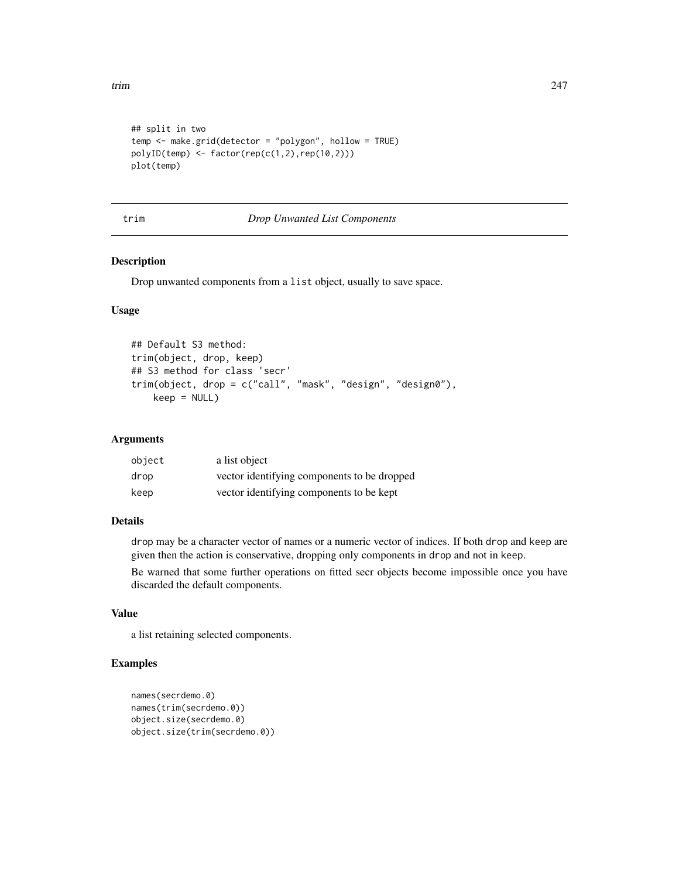```
## split in two
temp <- make.grid(detector = "polygon", hollow = TRUE)
polyID(\text{temp}) \leq factor(\text{rep}(c(1,2),\text{rep}(10,2)))plot(temp)
```
## trim *Drop Unwanted List Components*

# Description

Drop unwanted components from a list object, usually to save space.

# Usage

```
## Default S3 method:
trim(object, drop, keep)
## S3 method for class 'secr'
trim(object, drop = c("call", "mask", "design", "design0"),
    keep = NULL)
```
# Arguments

| object | a list object                               |
|--------|---------------------------------------------|
| drop   | vector identifying components to be dropped |
| keep   | vector identifying components to be kept    |

## Details

drop may be a character vector of names or a numeric vector of indices. If both drop and keep are given then the action is conservative, dropping only components in drop and not in keep.

Be warned that some further operations on fitted secr objects become impossible once you have discarded the default components.

# Value

a list retaining selected components.

```
names(secrdemo.0)
names(trim(secrdemo.0))
object.size(secrdemo.0)
object.size(trim(secrdemo.0))
```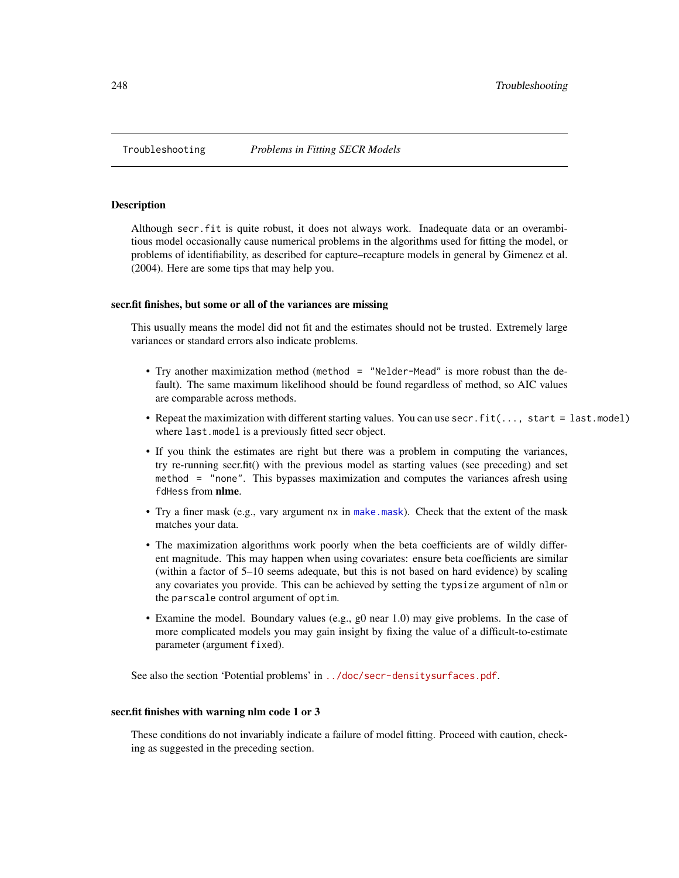## **Description**

Although secr.fit is quite robust, it does not always work. Inadequate data or an overambitious model occasionally cause numerical problems in the algorithms used for fitting the model, or problems of identifiability, as described for capture–recapture models in general by Gimenez et al. (2004). Here are some tips that may help you.

## secr.fit finishes, but some or all of the variances are missing

This usually means the model did not fit and the estimates should not be trusted. Extremely large variances or standard errors also indicate problems.

- Try another maximization method (method = "Nelder-Mead" is more robust than the default). The same maximum likelihood should be found regardless of method, so AIC values are comparable across methods.
- Repeat the maximization with different starting values. You can use secr.fit(..., start = last.model) where last.model is a previously fitted secr object.
- If you think the estimates are right but there was a problem in computing the variances, try re-running secr.fit() with the previous model as starting values (see preceding) and set method = "none". This bypasses maximization and computes the variances afresh using fdHess from nlme.
- Try a finer mask (e.g., vary argument nx in [make.mask](#page-91-0)). Check that the extent of the mask matches your data.
- The maximization algorithms work poorly when the beta coefficients are of wildly different magnitude. This may happen when using covariates: ensure beta coefficients are similar (within a factor of 5–10 seems adequate, but this is not based on hard evidence) by scaling any covariates you provide. This can be achieved by setting the typsize argument of nlm or the parscale control argument of optim.
- Examine the model. Boundary values (e.g., g0 near 1.0) may give problems. In the case of more complicated models you may gain insight by fixing the value of a difficult-to-estimate parameter (argument fixed).

See also the section 'Potential problems' in <../doc/secr-densitysurfaces.pdf>.

## secr.fit finishes with warning nlm code 1 or 3

These conditions do not invariably indicate a failure of model fitting. Proceed with caution, checking as suggested in the preceding section.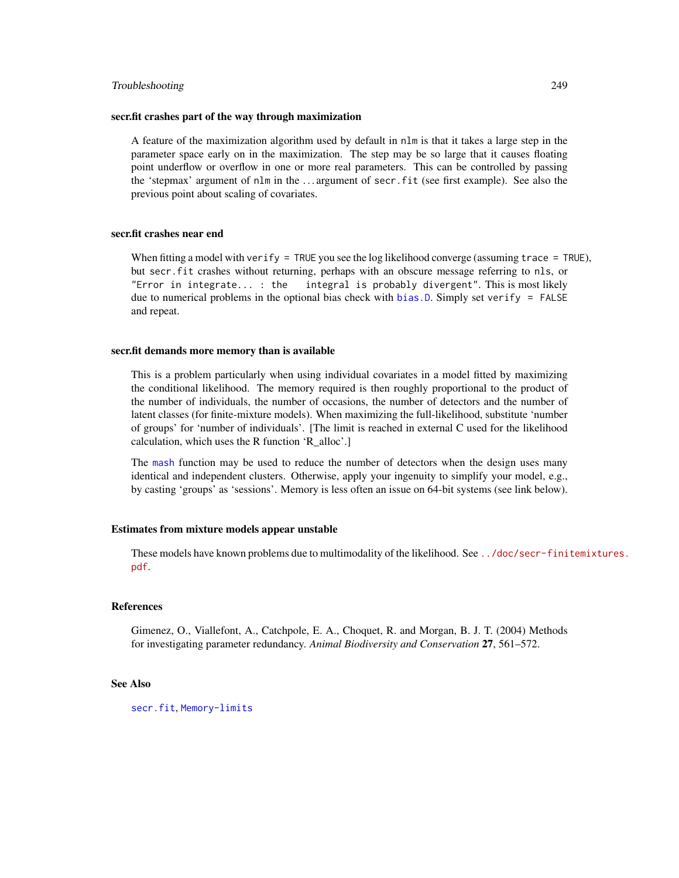## Troubleshooting 249

## secr.fit crashes part of the way through maximization

A feature of the maximization algorithm used by default in nlm is that it takes a large step in the parameter space early on in the maximization. The step may be so large that it causes floating point underflow or overflow in one or more real parameters. This can be controlled by passing the 'stepmax' argument of nlm in the . . . argument of secr.fit (see first example). See also the previous point about scaling of covariates.

## secr.fit crashes near end

When fitting a model with verify = TRUE you see the log likelihood converge (assuming trace = TRUE), but secr.fit crashes without returning, perhaps with an obscure message referring to nls, or "Error in integrate... : the integral is probably divergent". This is most likely due to numerical problems in the optional bias check with [bias.D](#page-229-0). Simply set verify = FALSE and repeat.

#### secr.fit demands more memory than is available

This is a problem particularly when using individual covariates in a model fitted by maximizing the conditional likelihood. The memory required is then roughly proportional to the product of the number of individuals, the number of occasions, the number of detectors and the number of latent classes (for finite-mixture models). When maximizing the full-likelihood, substitute 'number of groups' for 'number of individuals'. [The limit is reached in external C used for the likelihood calculation, which uses the R function 'R\_alloc'.]

The [mash](#page-239-0) function may be used to reduce the number of detectors when the design uses many identical and independent clusters. Otherwise, apply your ingenuity to simplify your model, e.g., by casting 'groups' as 'sessions'. Memory is less often an issue on 64-bit systems (see link below).

## Estimates from mixture models appear unstable

These models have known problems due to multimodality of the likelihood. See [../doc/secr-fini](../doc/secr-finitemixtures.pdf)temixtures. [pdf](../doc/secr-finitemixtures.pdf).

## References

Gimenez, O., Viallefont, A., Catchpole, E. A., Choquet, R. and Morgan, B. J. T. (2004) Methods for investigating parameter redundancy. *Animal Biodiversity and Conservation* 27, 561–572.

# See Also

[secr.fit](#page-176-0), [Memory-limits](#page-0-0)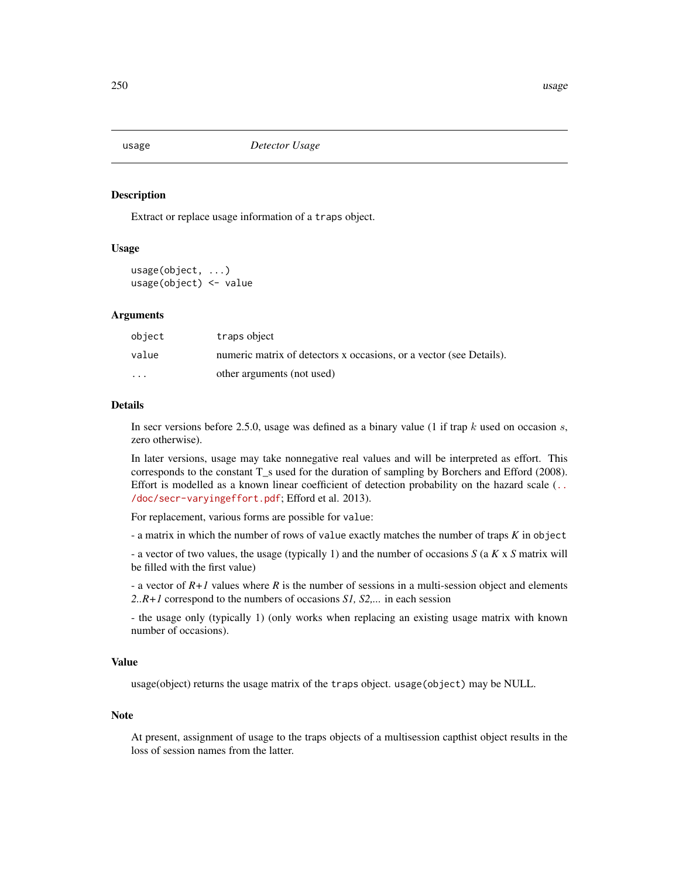<span id="page-249-0"></span>

# **Description**

Extract or replace usage information of a traps object.

## Usage

usage(object, ...) usage(object) <- value

## Arguments

| object  | traps object                                                        |
|---------|---------------------------------------------------------------------|
| value   | numeric matrix of detectors x occasions, or a vector (see Details). |
| $\cdot$ | other arguments (not used)                                          |

## **Details**

In secr versions before 2.5.0, usage was defined as a binary value (1 if trap  $k$  used on occasion  $s$ , zero otherwise).

In later versions, usage may take nonnegative real values and will be interpreted as effort. This corresponds to the constant T\_s used for the duration of sampling by Borchers and Efford (2008). Effort is modelled as a known linear coefficient of detection probability on the hazard scale ([..](../doc/secr-varyingeffort.pdf). [/doc/secr-varyingeffort.pdf](../doc/secr-varyingeffort.pdf); Efford et al. 2013).

For replacement, various forms are possible for value:

- a matrix in which the number of rows of value exactly matches the number of traps *K* in object

- a vector of two values, the usage (typically 1) and the number of occasions *S* (a *K* x *S* matrix will be filled with the first value)

- a vector of *R+1* values where *R* is the number of sessions in a multi-session object and elements *2..R+1* correspond to the numbers of occasions *S1, S2,...* in each session

- the usage only (typically 1) (only works when replacing an existing usage matrix with known number of occasions).

# Value

usage(object) returns the usage matrix of the traps object. usage(object) may be NULL.

## Note

At present, assignment of usage to the traps objects of a multisession capthist object results in the loss of session names from the latter.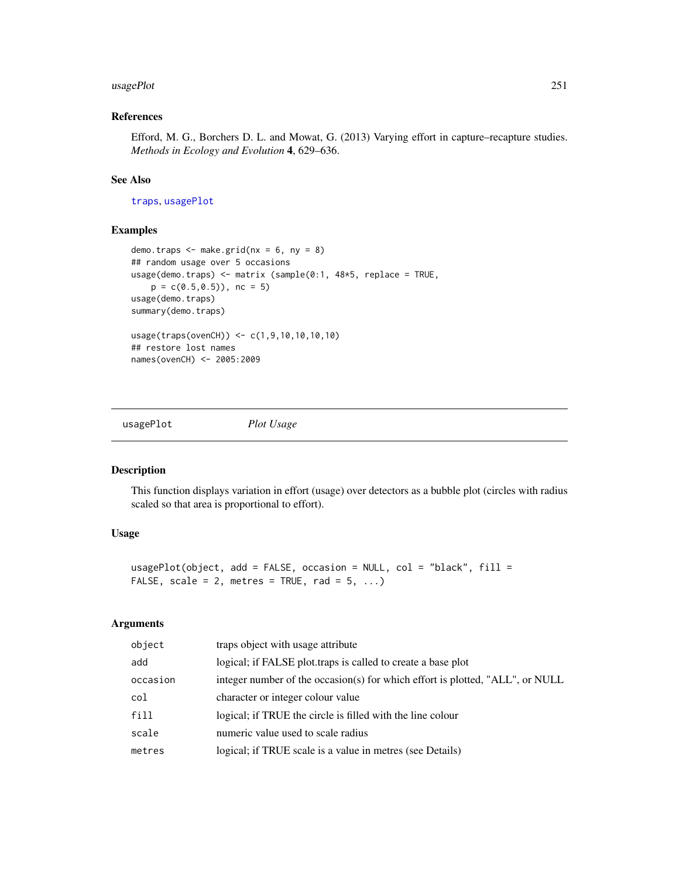## usagePlot 251

# References

Efford, M. G., Borchers D. L. and Mowat, G. (2013) Varying effort in capture–recapture studies. *Methods in Ecology and Evolution* 4, 629–636.

# See Also

[traps](#page-243-0), [usagePlot](#page-250-0)

# Examples

```
demo.traps \leq make.grid(nx = 6, ny = 8)
## random usage over 5 occasions
usage(demo.traps) <- matrix (sample(0:1, 48*5, replace = TRUE,
    p = c(0.5, 0.5), nc = 5)
usage(demo.traps)
summary(demo.traps)
usage(traps(ovenCH)) <- c(1,9,10,10,10,10)
## restore lost names
names(ovenCH) <- 2005:2009
```
<span id="page-250-0"></span>

usagePlot *Plot Usage*

# Description

This function displays variation in effort (usage) over detectors as a bubble plot (circles with radius scaled so that area is proportional to effort).

## Usage

```
usagePlot(object, add = FALSE, occasion = NULL, col = "black", fill =
FALSE, scale = 2, metres = TRUE, rad = 5, ...)
```
## Arguments

| object   | traps object with usage attribute                                             |
|----------|-------------------------------------------------------------------------------|
| add      | logical; if FALSE plot traps is called to create a base plot                  |
| occasion | integer number of the occasion(s) for which effort is plotted, "ALL", or NULL |
| col      | character or integer colour value                                             |
| fill     | logical; if TRUE the circle is filled with the line colour                    |
| scale    | numeric value used to scale radius                                            |
| metres   | logical; if TRUE scale is a value in metres (see Details)                     |
|          |                                                                               |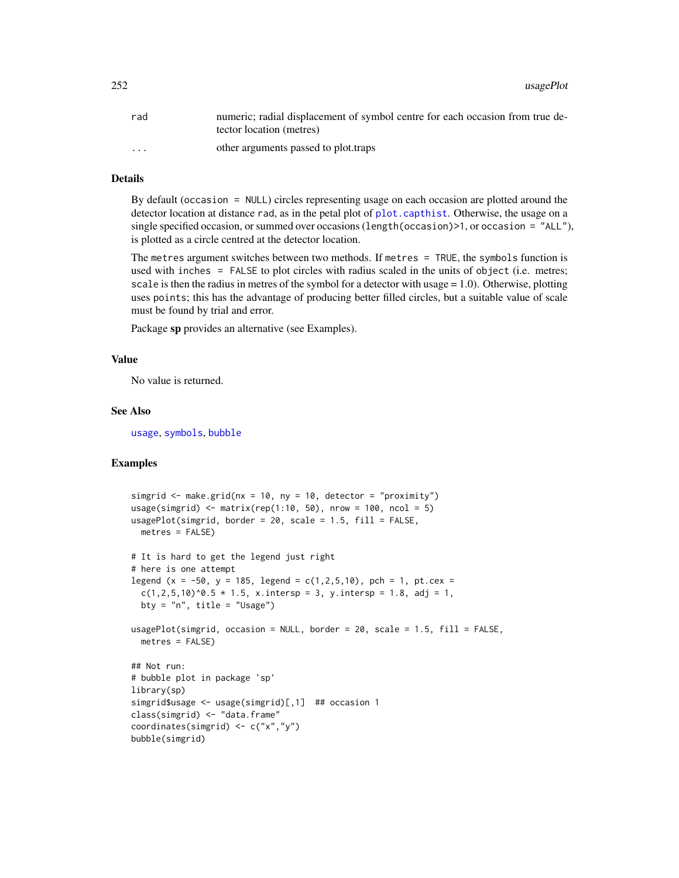252 usagePlot

| rad                  | numeric; radial displacement of symbol centre for each occasion from true de-<br>tector location (metres) |
|----------------------|-----------------------------------------------------------------------------------------------------------|
| $\ddot{\phantom{0}}$ | other arguments passed to plot.traps                                                                      |

# Details

By default (occasion = NULL) circles representing usage on each occasion are plotted around the detector location at distance rad, as in the petal plot of [plot.capthist](#page-122-0). Otherwise, the usage on a single specified occasion, or summed over occasions (length(occasion)>1, or occasion = "ALL"), is plotted as a circle centred at the detector location.

The metres argument switches between two methods. If metres = TRUE, the symbols function is used with inches = FALSE to plot circles with radius scaled in the units of object (i.e. metres; scale is then the radius in metres of the symbol for a detector with usage = 1.0). Otherwise, plotting uses points; this has the advantage of producing better filled circles, but a suitable value of scale must be found by trial and error.

Package sp provides an alternative (see Examples).

## Value

No value is returned.

#### See Also

[usage](#page-249-0), [symbols](#page-0-0), [bubble](#page-0-0)

```
simgrid \leq make.grid(nx = 10, ny = 10, detector = "proximity")
usage(simgrid) \leq matrix(rep(1:10, 50), nrow = 100, ncol = 5)
usagePlot(simgrid, border = 20, scale = 1.5, fill = FALSE,
 metres = FALSE)
# It is hard to get the legend just right
# here is one attempt
legend (x = -50, y = 185, legend = c(1, 2, 5, 10), pch = 1, pt. cex =c(1, 2, 5, 10)^0. 5 * 1.5, x.intersp = 3, y.intersp = 1.8, adj = 1,
 bty = "n", title = "Usage")
usagePlot(simgrid, occasion = NULL, border = 20, scale = 1.5, fill = FALSE,
 metres = FALSE)
## Not run:
# bubble plot in package 'sp'
library(sp)
simgrid$usage <- usage(simgrid)[,1] ## occasion 1
class(simgrid) <- "data.frame"
coordinates(simgrid) <- c("x","y")
bubble(simgrid)
```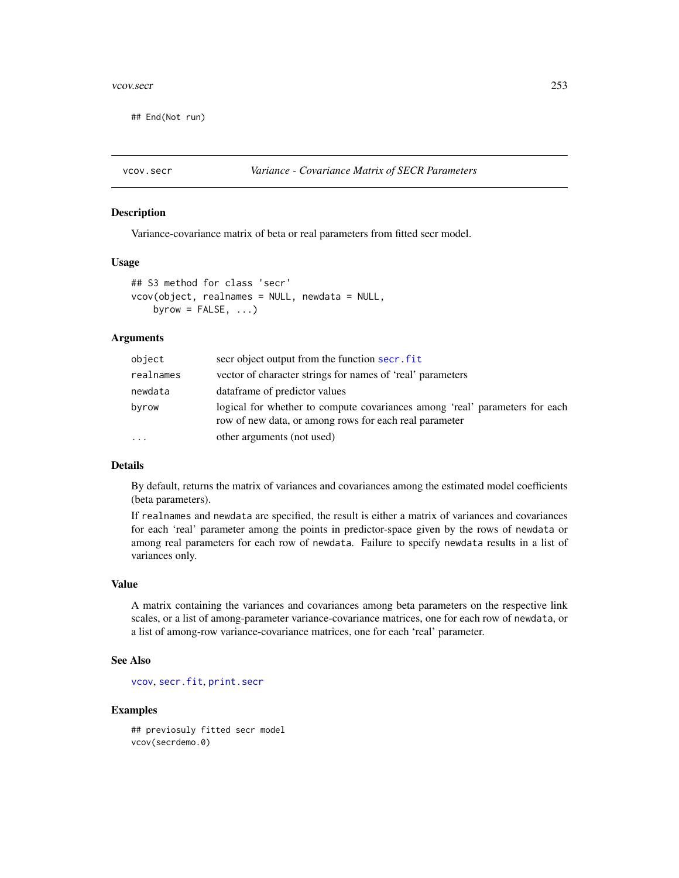#### <span id="page-252-0"></span>vcov.secr 253

## End(Not run)

## Description

Variance-covariance matrix of beta or real parameters from fitted secr model.

#### Usage

```
## S3 method for class 'secr'
vcov(object, realnames = NULL, newdata = NULL,
    byrow = FALSE, \ldots)
```
## Arguments

| object    | secr object output from the function secr. fit                                                                                        |
|-----------|---------------------------------------------------------------------------------------------------------------------------------------|
| realnames | vector of character strings for names of 'real' parameters                                                                            |
| newdata   | data frame of predictor values                                                                                                        |
| byrow     | logical for whether to compute covariances among 'real' parameters for each<br>row of new data, or among rows for each real parameter |
| $\cdots$  | other arguments (not used)                                                                                                            |

# Details

By default, returns the matrix of variances and covariances among the estimated model coefficients (beta parameters).

If realnames and newdata are specified, the result is either a matrix of variances and covariances for each 'real' parameter among the points in predictor-space given by the rows of newdata or among real parameters for each row of newdata. Failure to specify newdata results in a list of variances only.

# Value

A matrix containing the variances and covariances among beta parameters on the respective link scales, or a list of among-parameter variance-covariance matrices, one for each row of newdata, or a list of among-row variance-covariance matrices, one for each 'real' parameter.

# See Also

[vcov](#page-0-0), [secr.fit](#page-176-0), [print.secr](#page-144-0)

# Examples

## previosuly fitted secr model vcov(secrdemo.0)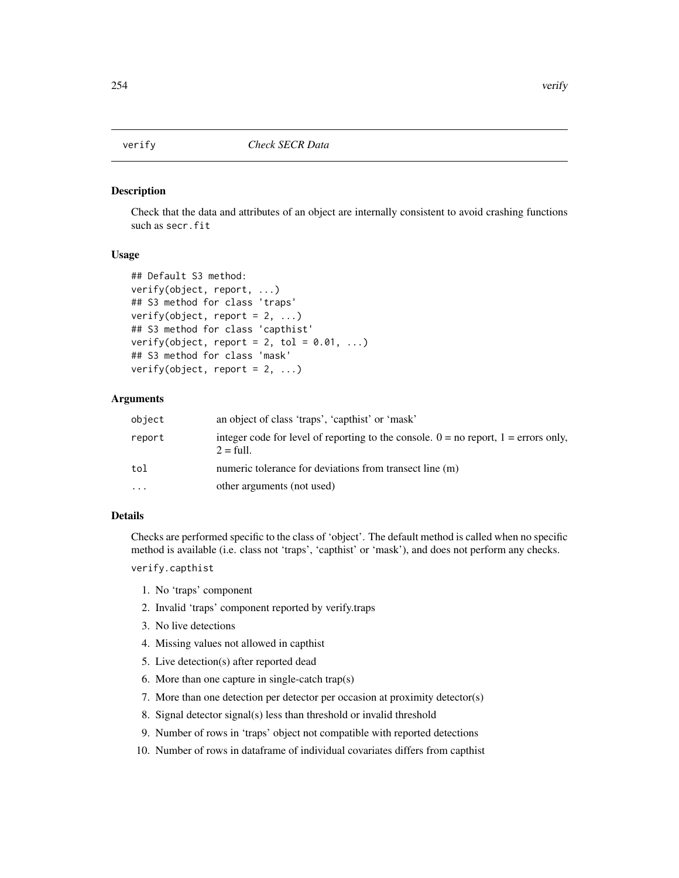<span id="page-253-0"></span>

#### Description

Check that the data and attributes of an object are internally consistent to avoid crashing functions such as secr.fit

# Usage

```
## Default S3 method:
verify(object, report, ...)
## S3 method for class 'traps'
verify(object, report = 2, ...)
## S3 method for class 'capthist'
verify(object, report = 2, tol = 0.01, ...)
## S3 method for class 'mask'
verify(object, report = 2, ...)
```
## Arguments

| object    | an object of class 'traps', 'capthist' or 'mask'                                                               |
|-----------|----------------------------------------------------------------------------------------------------------------|
| report    | integer code for level of reporting to the console. $0 =$ no report, $1 =$ errors only,<br>$2 = \text{full}$ . |
| tol       | numeric tolerance for deviations from transect line (m)                                                        |
| $\ddotsc$ | other arguments (not used)                                                                                     |

# Details

Checks are performed specific to the class of 'object'. The default method is called when no specific method is available (i.e. class not 'traps', 'capthist' or 'mask'), and does not perform any checks.

verify.capthist

- 1. No 'traps' component
- 2. Invalid 'traps' component reported by verify.traps
- 3. No live detections
- 4. Missing values not allowed in capthist
- 5. Live detection(s) after reported dead
- 6. More than one capture in single-catch trap(s)
- 7. More than one detection per detector per occasion at proximity detector(s)
- 8. Signal detector signal(s) less than threshold or invalid threshold
- 9. Number of rows in 'traps' object not compatible with reported detections
- 10. Number of rows in dataframe of individual covariates differs from capthist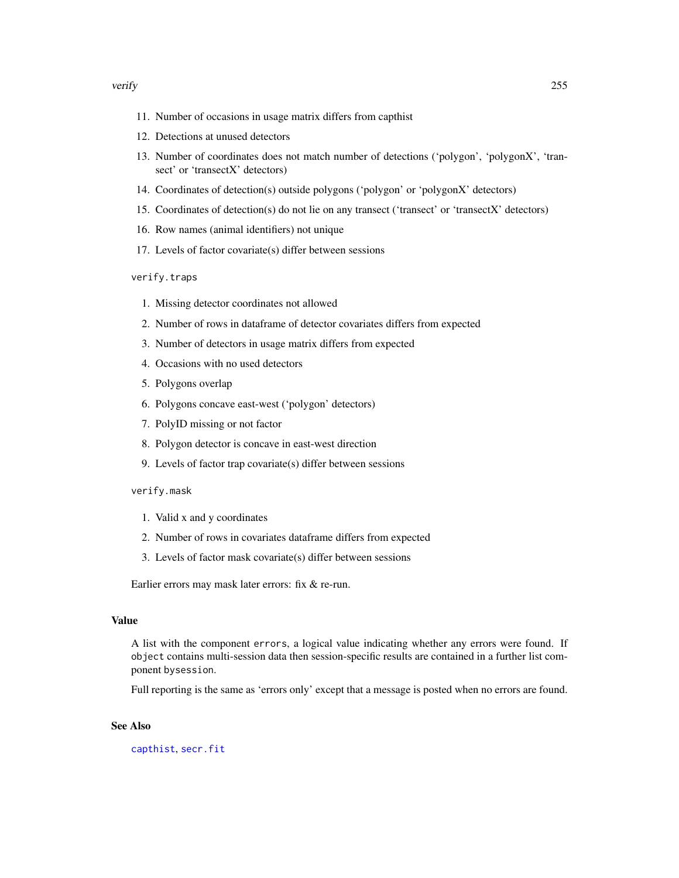#### <span id="page-254-0"></span>verify 255

- 11. Number of occasions in usage matrix differs from capthist
- 12. Detections at unused detectors
- 13. Number of coordinates does not match number of detections ('polygon', 'polygonX', 'transect' or 'transectX' detectors)
- 14. Coordinates of detection(s) outside polygons ('polygon' or 'polygonX' detectors)
- 15. Coordinates of detection(s) do not lie on any transect ('transect' or 'transectX' detectors)
- 16. Row names (animal identifiers) not unique
- 17. Levels of factor covariate(s) differ between sessions

verify.traps

- 1. Missing detector coordinates not allowed
- 2. Number of rows in dataframe of detector covariates differs from expected
- 3. Number of detectors in usage matrix differs from expected
- 4. Occasions with no used detectors
- 5. Polygons overlap
- 6. Polygons concave east-west ('polygon' detectors)
- 7. PolyID missing or not factor
- 8. Polygon detector is concave in east-west direction
- 9. Levels of factor trap covariate(s) differ between sessions

verify.mask

- 1. Valid x and y coordinates
- 2. Number of rows in covariates dataframe differs from expected
- 3. Levels of factor mask covariate(s) differ between sessions

Earlier errors may mask later errors: fix & re-run.

#### Value

A list with the component errors, a logical value indicating whether any errors were found. If object contains multi-session data then session-specific results are contained in a further list component bysession.

Full reporting is the same as 'errors only' except that a message is posted when no errors are found.

# See Also

[capthist](#page-17-0), [secr.fit](#page-176-0)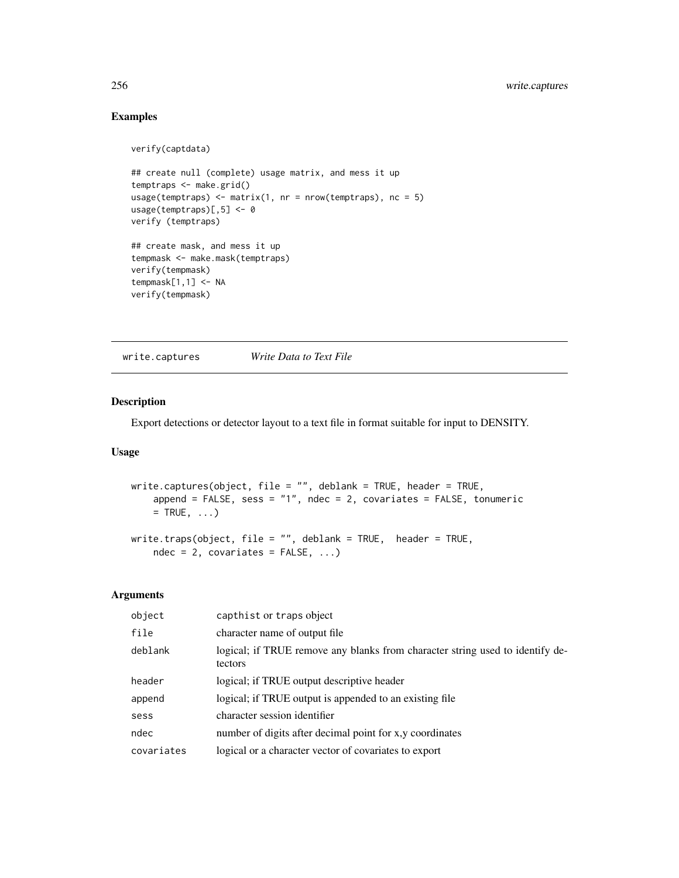# Examples

```
verify(captdata)
```

```
## create null (complete) usage matrix, and mess it up
temptraps <- make.grid()
usage(temptraps) <- matrix(1, nr = nrow(temptraps), nc = 5)
usage(temptraps)[,5] <- 0
verify (temptraps)
## create mask, and mess it up
tempmask <- make.mask(temptraps)
verify(tempmask)
tempmask[1,1] <- NA
verify(tempmask)
```
write.captures *Write Data to Text File*

# Description

Export detections or detector layout to a text file in format suitable for input to DENSITY.

# Usage

```
write.captures(object, file = "", deblank = TRUE, header = TRUE,
    append = FALSE, sess = "1", ndec = 2, covariates = FALSE, tonumeric
   = TRUE, \ldots)
write.traps(object, file = "", deblank = TRUE, header = TRUE,
    ndec = 2, covariates = FALSE, ...)
```
# Arguments

| capthist or traps object                                                                 |
|------------------------------------------------------------------------------------------|
| character name of output file                                                            |
| logical; if TRUE remove any blanks from character string used to identify de-<br>tectors |
| logical; if TRUE output descriptive header                                               |
| logical; if TRUE output is appended to an existing file                                  |
| character session identifier                                                             |
| number of digits after decimal point for x,y coordinates                                 |
| logical or a character vector of covariates to export                                    |
|                                                                                          |

<span id="page-255-0"></span>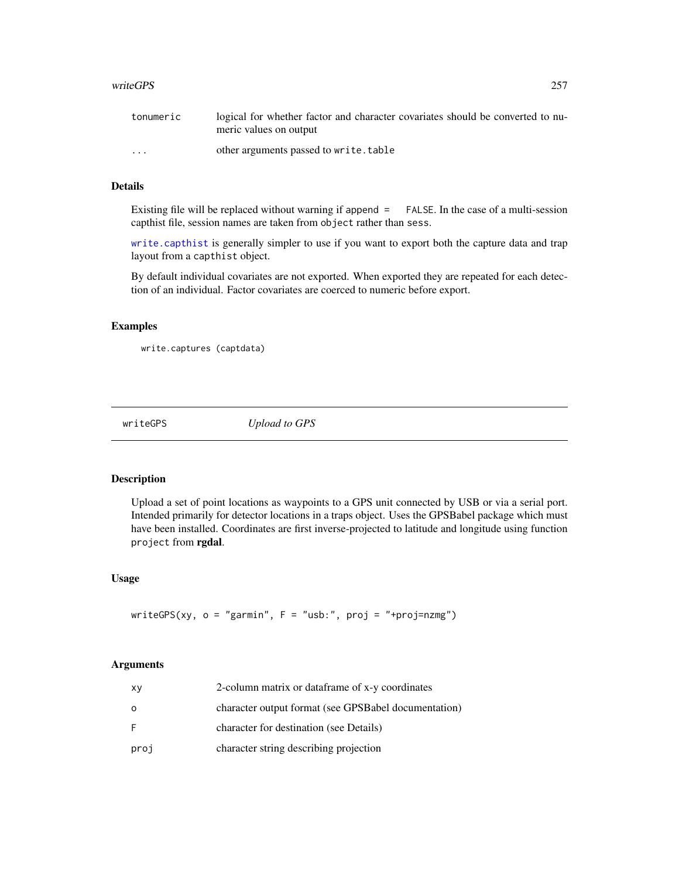#### <span id="page-256-0"></span>writeGPS 257

| tonumeric | logical for whether factor and character covariates should be converted to nu-<br>meric values on output |
|-----------|----------------------------------------------------------------------------------------------------------|
| $\cdots$  | other arguments passed to write.table                                                                    |

# Details

Existing file will be replaced without warning if append = FALSE. In the case of a multi-session capthist file, session names are taken from object rather than sess.

[write.capthist](#page-153-0) is generally simpler to use if you want to export both the capture data and trap layout from a capthist object.

By default individual covariates are not exported. When exported they are repeated for each detection of an individual. Factor covariates are coerced to numeric before export.

# Examples

```
write.captures (captdata)
```
writeGPS *Upload to GPS*

### Description

Upload a set of point locations as waypoints to a GPS unit connected by USB or via a serial port. Intended primarily for detector locations in a traps object. Uses the GPSBabel package which must have been installed. Coordinates are first inverse-projected to latitude and longitude using function project from rgdal.

# Usage

writeGPS(xy, o = "garmin", F = "usb:", proj = "+proj=nzmg")

# Arguments

| XV      | 2-column matrix or dataframe of x-y coordinates      |
|---------|------------------------------------------------------|
| $\circ$ | character output format (see GPSBabel documentation) |
| -F      | character for destination (see Details)              |
| proj    | character string describing projection               |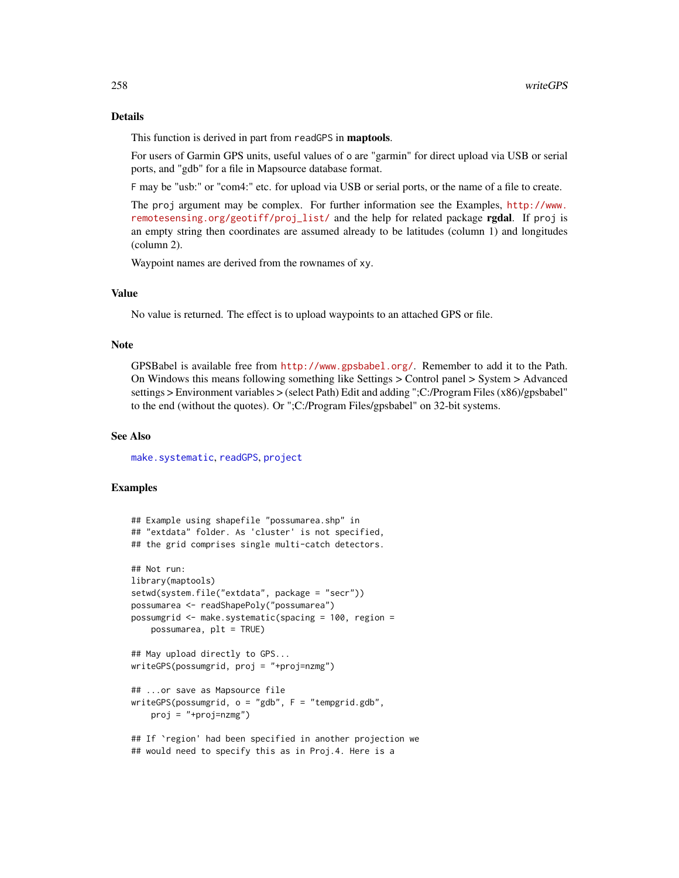## <span id="page-257-0"></span>Details

This function is derived in part from readGPS in maptools.

For users of Garmin GPS units, useful values of o are "garmin" for direct upload via USB or serial ports, and "gdb" for a file in Mapsource database format.

F may be "usb:" or "com4:" etc. for upload via USB or serial ports, or the name of a file to create.

The proj argument may be complex. For further information see the Examples, [http://www.](http://www.remotesensing.org/geotiff/proj_list/) [remotesensing.org/geotiff/proj\\_list/](http://www.remotesensing.org/geotiff/proj_list/) and the help for related package rgdal. If proj is an empty string then coordinates are assumed already to be latitudes (column 1) and longitudes (column 2).

Waypoint names are derived from the rownames of xy.

# Value

No value is returned. The effect is to upload waypoints to an attached GPS or file.

#### Note

GPSBabel is available free from <http://www.gpsbabel.org/>. Remember to add it to the Path. On Windows this means following something like Settings > Control panel > System > Advanced settings > Environment variables > (select Path) Edit and adding ";C:/Program Files (x86)/gpsbabel" to the end (without the quotes). Or ";C:/Program Files/gpsbabel" on 32-bit systems.

# See Also

[make.systematic](#page-93-0), [readGPS](#page-0-0), [project](#page-0-0)

# Examples

```
## Example using shapefile "possumarea.shp" in
## "extdata" folder. As 'cluster' is not specified,
## the grid comprises single multi-catch detectors.
## Not run:
library(maptools)
setwd(system.file("extdata", package = "secr"))
possumarea <- readShapePoly("possumarea")
possumgrid <- make.systematic(spacing = 100, region =
   possumarea, plt = TRUE)
## May upload directly to GPS...
writeGPS(possumgrid, proj = "+proj=nzmg")
## ...or save as Mapsource file
writeGPS(possumgrid, o = "gdb", F = "tempgrid.gdb",
   proj = "+proj=nzmg")## If `region' had been specified in another projection we
```
## would need to specify this as in Proj.4. Here is a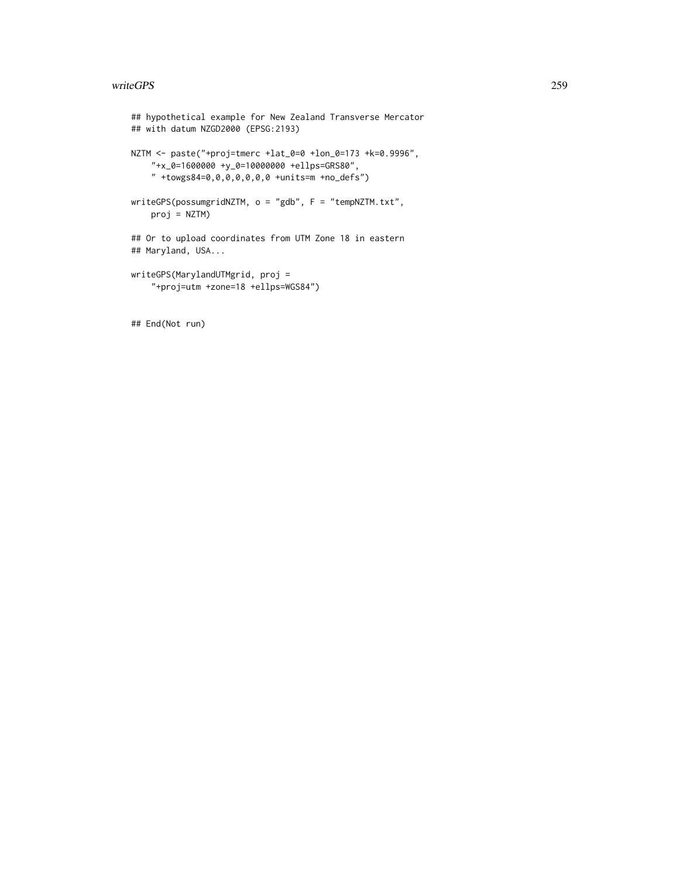#### writeGPS 259

## End(Not run)

```
## hypothetical example for New Zealand Transverse Mercator
## with datum NZGD2000 (EPSG:2193)
NZTM <- paste("+proj=tmerc +lat_0=0 +lon_0=173 +k=0.9996",
    "+x_0=1600000 +y_0=10000000 +ellps=GRS80",
    " +towgs84=0,0,0,0,0,0,0 +units=m +no_defs")
writeGPS(possumgridNZTM, o = "gdb", F = "tempNZTM.txt",
   proj = NZTM)
## Or to upload coordinates from UTM Zone 18 in eastern
## Maryland, USA...
writeGPS(MarylandUTMgrid, proj =
    "+proj=utm +zone=18 +ellps=WGS84")
```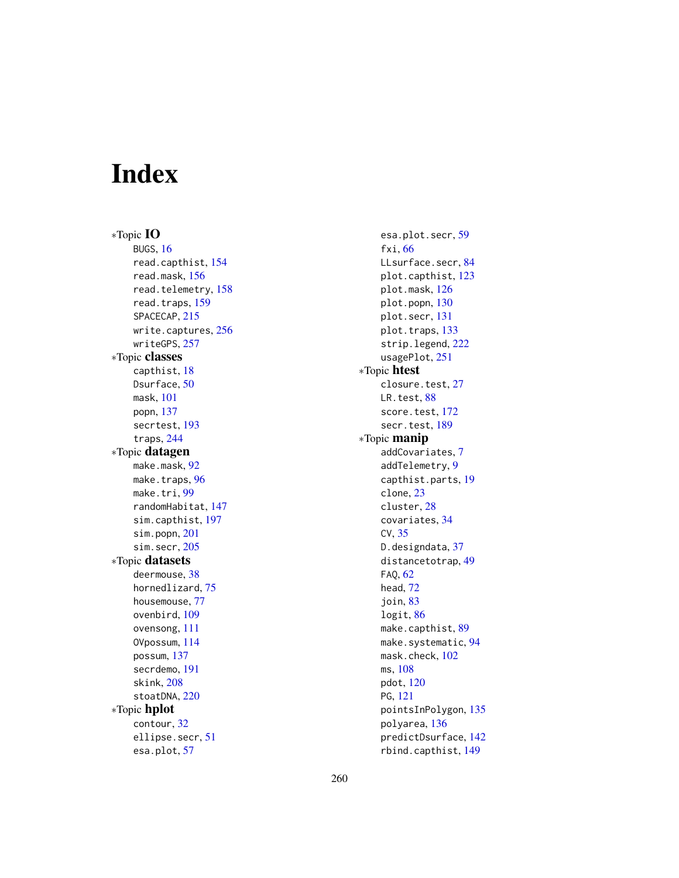# Index

∗Topic IO BUGS, [16](#page-15-0) read.capthist, [154](#page-153-1) read.mask, [156](#page-155-0) read.telemetry, [158](#page-157-0) read.traps, [159](#page-158-0) SPACECAP, [215](#page-214-0) write.captures, [256](#page-255-0) writeGPS, [257](#page-256-0) ∗Topic classes capthist, [18](#page-17-1) Dsurface, [50](#page-49-0) mask, [101](#page-100-0) popn, [137](#page-136-0) secrtest, [193](#page-192-0) traps, [244](#page-243-0) ∗Topic datagen make.mask, [92](#page-91-0) make.traps, [96](#page-95-0) make.tri, [99](#page-98-0) randomHabitat, [147](#page-146-0) sim.capthist, [197](#page-196-0) sim.popn, [201](#page-200-0) sim.secr, [205](#page-204-0) ∗Topic datasets deermouse, [38](#page-37-0) hornedlizard, [75](#page-74-0) housemouse, [77](#page-76-0) ovenbird, [109](#page-108-0) ovensong, [111](#page-110-0) OVpossum, [114](#page-113-0) possum, [137](#page-136-0) secrdemo, [191](#page-190-0) skink, [208](#page-207-0) stoatDNA, [220](#page-219-0) ∗Topic hplot contour, [32](#page-31-0) ellipse.secr, [51](#page-50-0) esa.plot, [57](#page-56-0)

esa.plot.secr, [59](#page-58-0) fxi, [66](#page-65-0) LLsurface.secr, [84](#page-83-0) plot.capthist, [123](#page-122-0) plot.mask, [126](#page-125-0) plot.popn, [130](#page-129-0) plot.secr, [131](#page-130-0) plot.traps, [133](#page-132-0) strip.legend, [222](#page-221-0) usagePlot, [251](#page-250-0) ∗Topic htest closure.test, [27](#page-26-0) LR.test, [88](#page-87-0) score.test, [172](#page-171-0) secr.test, [189](#page-188-0) ∗Topic manip addCovariates, [7](#page-6-0) addTelemetry, [9](#page-8-0) capthist.parts, [19](#page-18-0) clone, [23](#page-22-0) cluster, [28](#page-27-0) covariates, [34](#page-33-0) CV, [35](#page-34-0) D.designdata, [37](#page-36-0) distancetotrap, [49](#page-48-0) FAQ, [62](#page-61-0) head, [72](#page-71-0) join, [83](#page-82-0) logit, [86](#page-85-0) make.capthist, [89](#page-88-0) make.systematic, [94](#page-93-1) mask.check, [102](#page-101-0) ms, [108](#page-107-0) pdot, [120](#page-119-0) PG, [121](#page-120-0) pointsInPolygon, [135](#page-134-0) polyarea, [136](#page-135-0) predictDsurface, [142](#page-141-0) rbind.capthist, [149](#page-148-0)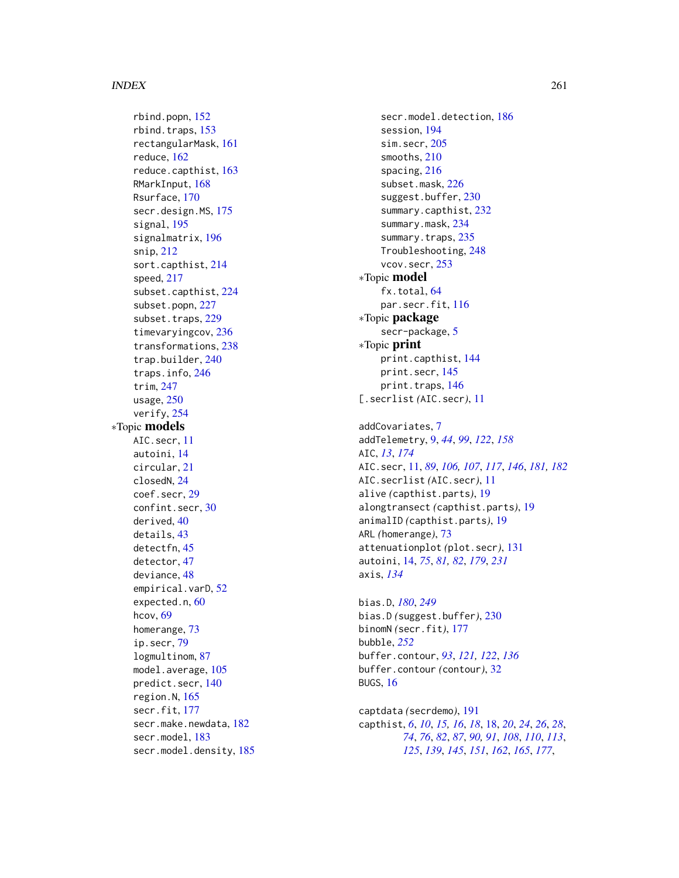rbind.popn, [152](#page-151-0) rbind.traps, [153](#page-152-0) rectangularMask, [161](#page-160-0) reduce, [162](#page-161-0) reduce.capthist, [163](#page-162-0) RMarkInput, [168](#page-167-0) Rsurface, [170](#page-169-0) secr.design.MS, [175](#page-174-0) signal, [195](#page-194-0) signalmatrix, [196](#page-195-0) snip, [212](#page-211-0) sort.capthist, [214](#page-213-0) speed, [217](#page-216-0) subset.capthist, [224](#page-223-0) subset.popn, [227](#page-226-0) subset.traps, [229](#page-228-0) timevaryingcov, [236](#page-235-0) transformations, [238](#page-237-0) trap.builder, [240](#page-239-0) traps.info, [246](#page-245-0) trim, [247](#page-246-0) usage, [250](#page-249-0) verify, [254](#page-253-0) ∗Topic models AIC.secr, [11](#page-10-0) autoini, [14](#page-13-0) circular, [21](#page-20-0) closedN, [24](#page-23-0) coef.secr, [29](#page-28-0) confint.secr, [30](#page-29-0) derived, [40](#page-39-0) details, [43](#page-42-0) detectfn, [45](#page-44-0) detector, [47](#page-46-0) deviance, [48](#page-47-0) empirical.varD, [52](#page-51-0) expected.n, [60](#page-59-0) hcov, [69](#page-68-0) homerange, [73](#page-72-0) ip.secr, [79](#page-78-0) logmultinom, [87](#page-86-0) model.average, [105](#page-104-0) predict.secr, [140](#page-139-0) region.N, [165](#page-164-0) secr.fit, [177](#page-176-1) secr.make.newdata, [182](#page-181-0) secr.model, [183](#page-182-0) secr.model.density, [185](#page-184-0)

secr.model.detection, [186](#page-185-0) session, [194](#page-193-0) sim.secr, [205](#page-204-0) smooths, [210](#page-209-0) spacing, [216](#page-215-0) subset.mask, [226](#page-225-0) suggest.buffer, [230](#page-229-0) summary.capthist, [232](#page-231-0) summary.mask, [234](#page-233-0) summary.traps, [235](#page-234-0) Troubleshooting, [248](#page-247-0) vcov.secr, [253](#page-252-0) ∗Topic model fx.total, [64](#page-63-0) par.secr.fit, [116](#page-115-0) ∗Topic package secr-package, [5](#page-4-0) ∗Topic print print.capthist, [144](#page-143-0) print.secr, [145](#page-144-1) print.traps, [146](#page-145-0) [.secrlist *(*AIC.secr*)*, [11](#page-10-0) addCovariates, [7](#page-6-0)

```
addTelemetry, 9, 44, 99, 122, 158
AIC, 13, 174
AIC.secr, 11, 89, 106, 107, 117, 146, 181, 182
AIC.secrlist (AIC.secr), 11
alive (capthist.parts), 19
alongtransect (capthist.parts), 19
animalID (capthist.parts), 19
ARL (homerange), 73
attenuationplot (plot.secr), 131
autoini, 14, 75, 81, 82, 179, 231
axis, 134
```
bias.D, *[180](#page-179-0)*, *[249](#page-248-0)* bias.D *(*suggest.buffer*)*, [230](#page-229-0) binomN *(*secr.fit*)*, [177](#page-176-1) bubble, *[252](#page-251-0)* buffer.contour, *[93](#page-92-0)*, *[121,](#page-120-0) [122](#page-121-0)*, *[136](#page-135-0)* buffer.contour *(*contour*)*, [32](#page-31-0) BUGS, [16](#page-15-0)

captdata *(*secrdemo*)*, [191](#page-190-0) capthist, *[6](#page-5-0)*, *[10](#page-9-0)*, *[15,](#page-14-0) [16](#page-15-0)*, *[18](#page-17-1)*, [18,](#page-17-1) *[20](#page-19-0)*, *[24](#page-23-0)*, *[26](#page-25-0)*, *[28](#page-27-0)*, *[74](#page-73-0)*, *[76](#page-75-0)*, *[82](#page-81-0)*, *[87](#page-86-0)*, *[90,](#page-89-0) [91](#page-90-0)*, *[108](#page-107-0)*, *[110](#page-109-0)*, *[113](#page-112-0)*, *[125](#page-124-0)*, *[139](#page-138-0)*, *[145](#page-144-1)*, *[151](#page-150-0)*, *[162](#page-161-0)*, *[165](#page-164-0)*, *[177](#page-176-1)*,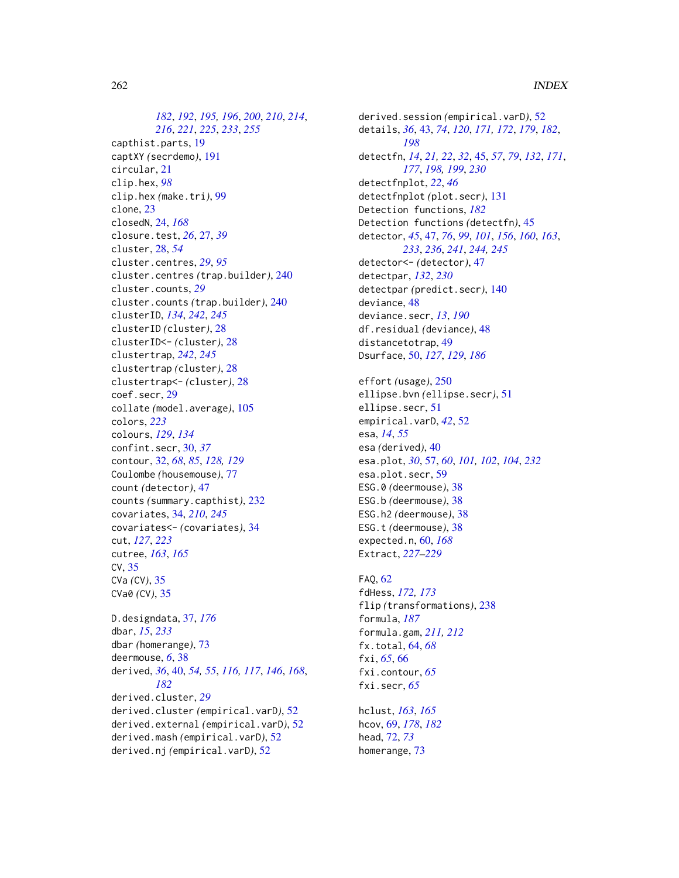*[182](#page-181-0)*, *[192](#page-191-0)*, *[195,](#page-194-0) [196](#page-195-0)*, *[200](#page-199-0)*, *[210](#page-209-0)*, *[214](#page-213-0)*, *[216](#page-215-0)*, *[221](#page-220-0)*, *[225](#page-224-0)*, *[233](#page-232-0)*, *[255](#page-254-0)* capthist.parts, [19](#page-18-0) captXY *(*secrdemo*)*, [191](#page-190-0) circular, [21](#page-20-0) clip.hex, *[98](#page-97-0)* clip.hex *(*make.tri*)*, [99](#page-98-0) clone, [23](#page-22-0) closedN, [24,](#page-23-0) *[168](#page-167-0)* closure.test, *[26](#page-25-0)*, [27,](#page-26-0) *[39](#page-38-0)* cluster, [28,](#page-27-0) *[54](#page-53-0)* cluster.centres, *[29](#page-28-0)*, *[95](#page-94-0)* cluster.centres *(*trap.builder*)*, [240](#page-239-0) cluster.counts, *[29](#page-28-0)* cluster.counts *(*trap.builder*)*, [240](#page-239-0) clusterID, *[134](#page-133-0)*, *[242](#page-241-0)*, *[245](#page-244-0)* clusterID *(*cluster*)*, [28](#page-27-0) clusterID<- *(*cluster*)*, [28](#page-27-0) clustertrap, *[242](#page-241-0)*, *[245](#page-244-0)* clustertrap *(*cluster*)*, [28](#page-27-0) clustertrap<- *(*cluster*)*, [28](#page-27-0) coef.secr, [29](#page-28-0) collate *(*model.average*)*, [105](#page-104-0) colors, *[223](#page-222-0)* colours, *[129](#page-128-0)*, *[134](#page-133-0)* confint.secr, [30,](#page-29-0) *[37](#page-36-0)* contour, [32,](#page-31-0) *[68](#page-67-0)*, *[85](#page-84-0)*, *[128,](#page-127-0) [129](#page-128-0)* Coulombe *(*housemouse*)*, [77](#page-76-0) count *(*detector*)*, [47](#page-46-0) counts *(*summary.capthist*)*, [232](#page-231-0) covariates, [34,](#page-33-0) *[210](#page-209-0)*, *[245](#page-244-0)* covariates<- *(*covariates*)*, [34](#page-33-0) cut, *[127](#page-126-0)*, *[223](#page-222-0)* cutree, *[163](#page-162-0)*, *[165](#page-164-0)* CV, [35](#page-34-0) CVa *(*CV*)*, [35](#page-34-0) CVa0 *(*CV*)*, [35](#page-34-0) D.designdata, [37,](#page-36-0) *[176](#page-175-0)* dbar, *[15](#page-14-0)*, *[233](#page-232-0)* dbar *(*homerange*)*, [73](#page-72-0) deermouse, *[6](#page-5-0)*, [38](#page-37-0)

derived, *[36](#page-35-0)*, [40,](#page-39-0) *[54,](#page-53-0) [55](#page-54-0)*, *[116,](#page-115-0) [117](#page-116-0)*, *[146](#page-145-0)*, *[168](#page-167-0)*, *[182](#page-181-0)* derived.cluster, *[29](#page-28-0)* derived.cluster *(*empirical.varD*)*, [52](#page-51-0) derived.external *(*empirical.varD*)*, [52](#page-51-0) derived.mash *(*empirical.varD*)*, [52](#page-51-0) derived.nj *(*empirical.varD*)*, [52](#page-51-0)

derived.session *(*empirical.varD*)*, [52](#page-51-0) details, *[36](#page-35-0)*, [43,](#page-42-0) *[74](#page-73-0)*, *[120](#page-119-0)*, *[171,](#page-170-0) [172](#page-171-0)*, *[179](#page-178-0)*, *[182](#page-181-0)*, *[198](#page-197-0)* detectfn, *[14](#page-13-0)*, *[21,](#page-20-0) [22](#page-21-0)*, *[32](#page-31-0)*, [45,](#page-44-0) *[57](#page-56-0)*, *[79](#page-78-0)*, *[132](#page-131-0)*, *[171](#page-170-0)*, *[177](#page-176-1)*, *[198,](#page-197-0) [199](#page-198-0)*, *[230](#page-229-0)* detectfnplot, *[22](#page-21-0)*, *[46](#page-45-0)* detectfnplot *(*plot.secr*)*, [131](#page-130-0) Detection functions, *[182](#page-181-0)* Detection functions *(*detectfn*)*, [45](#page-44-0) detector, *[45](#page-44-0)*, [47,](#page-46-0) *[76](#page-75-0)*, *[99](#page-98-0)*, *[101](#page-100-0)*, *[156](#page-155-0)*, *[160](#page-159-0)*, *[163](#page-162-0)*, *[233](#page-232-0)*, *[236](#page-235-0)*, *[241](#page-240-0)*, *[244,](#page-243-0) [245](#page-244-0)* detector<- *(*detector*)*, [47](#page-46-0) detectpar, *[132](#page-131-0)*, *[230](#page-229-0)* detectpar *(*predict.secr*)*, [140](#page-139-0) deviance, [48](#page-47-0) deviance.secr, *[13](#page-12-0)*, *[190](#page-189-0)* df.residual *(*deviance*)*, [48](#page-47-0) distancetotrap, [49](#page-48-0) Dsurface, [50,](#page-49-0) *[127](#page-126-0)*, *[129](#page-128-0)*, *[186](#page-185-0)*

effort *(*usage*)*, [250](#page-249-0) ellipse.bvn *(*ellipse.secr*)*, [51](#page-50-0) ellipse.secr, [51](#page-50-0) empirical.varD, *[42](#page-41-0)*, [52](#page-51-0) esa, *[14](#page-13-0)*, *[55](#page-54-0)* esa *(*derived*)*, [40](#page-39-0) esa.plot, *[30](#page-29-0)*, [57,](#page-56-0) *[60](#page-59-0)*, *[101,](#page-100-0) [102](#page-101-0)*, *[104](#page-103-0)*, *[232](#page-231-0)* esa.plot.secr, [59](#page-58-0) ESG.0 *(*deermouse*)*, [38](#page-37-0) ESG.b *(*deermouse*)*, [38](#page-37-0) ESG.h2 *(*deermouse*)*, [38](#page-37-0) ESG.t *(*deermouse*)*, [38](#page-37-0) expected.n, [60,](#page-59-0) *[168](#page-167-0)* Extract, *[227](#page-226-0)[–229](#page-228-0)*

FAQ, [62](#page-61-0) fdHess, *[172,](#page-171-0) [173](#page-172-0)* flip *(*transformations*)*, [238](#page-237-0) formula, *[187](#page-186-0)* formula.gam, *[211,](#page-210-0) [212](#page-211-0)* fx.total, [64,](#page-63-0) *[68](#page-67-0)* fxi, *[65](#page-64-0)*, [66](#page-65-0) fxi.contour, *[65](#page-64-0)* fxi.secr, *[65](#page-64-0)*

hclust, *[163](#page-162-0)*, *[165](#page-164-0)* hcov, [69,](#page-68-0) *[178](#page-177-0)*, *[182](#page-181-0)* head, [72,](#page-71-0) *[73](#page-72-0)* homerange, [73](#page-72-0)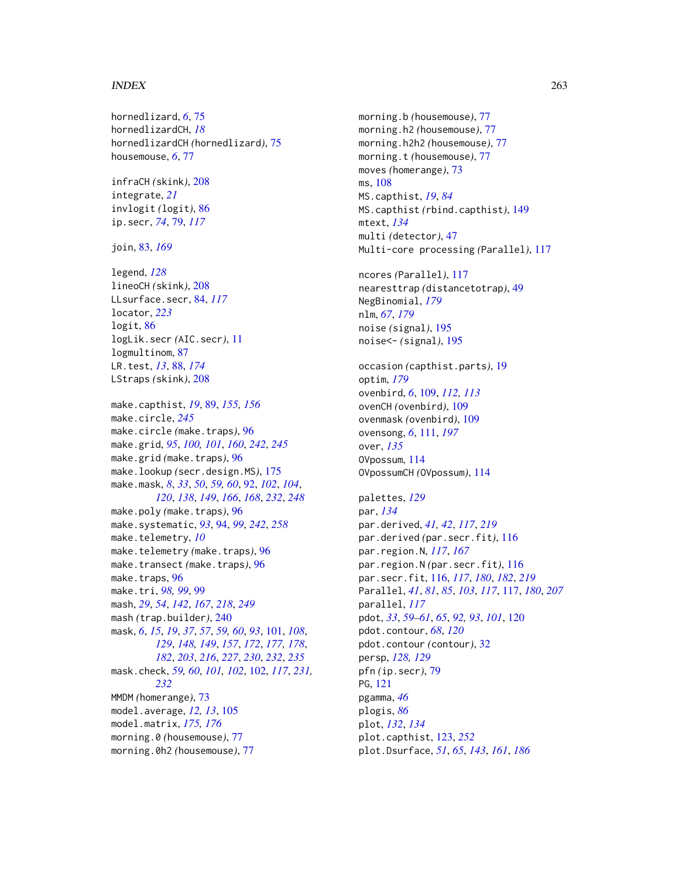hornedlizard, *[6](#page-5-0)*, [75](#page-74-0) hornedlizardCH, *[18](#page-17-1)* hornedlizardCH *(*hornedlizard*)*, [75](#page-74-0) housemouse, *[6](#page-5-0)*, [77](#page-76-0) infraCH *(*skink*)*, [208](#page-207-0) integrate, *[21](#page-20-0)* invlogit *(*logit*)*, [86](#page-85-0) ip.secr, *[74](#page-73-0)*, [79,](#page-78-0) *[117](#page-116-0)* join, [83,](#page-82-0) *[169](#page-168-0)* legend, *[128](#page-127-0)* lineoCH *(*skink*)*, [208](#page-207-0) LLsurface.secr, [84,](#page-83-0) *[117](#page-116-0)* locator, *[223](#page-222-0)* logit, [86](#page-85-0) logLik.secr *(*AIC.secr*)*, [11](#page-10-0) logmultinom, [87](#page-86-0) LR.test, *[13](#page-12-0)*, [88,](#page-87-0) *[174](#page-173-0)* LStraps *(*skink*)*, [208](#page-207-0) make.capthist, *[19](#page-18-0)*, [89,](#page-88-0) *[155,](#page-154-0) [156](#page-155-0)* make.circle, *[245](#page-244-0)* make.circle *(*make.traps*)*, [96](#page-95-0) make.grid, *[95](#page-94-0)*, *[100,](#page-99-0) [101](#page-100-0)*, *[160](#page-159-0)*, *[242](#page-241-0)*, *[245](#page-244-0)* make.grid *(*make.traps*)*, [96](#page-95-0) make.lookup *(*secr.design.MS*)*, [175](#page-174-0) make.mask, *[8](#page-7-0)*, *[33](#page-32-0)*, *[50](#page-49-0)*, *[59,](#page-58-0) [60](#page-59-0)*, [92,](#page-91-0) *[102](#page-101-0)*, *[104](#page-103-0)*, *[120](#page-119-0)*, *[138](#page-137-0)*, *[149](#page-148-0)*, *[166](#page-165-0)*, *[168](#page-167-0)*, *[232](#page-231-0)*, *[248](#page-247-0)* make.poly *(*make.traps*)*, [96](#page-95-0) make.systematic, *[93](#page-92-0)*, [94,](#page-93-1) *[99](#page-98-0)*, *[242](#page-241-0)*, *[258](#page-257-0)* make.telemetry, *[10](#page-9-0)* make.telemetry *(*make.traps*)*, [96](#page-95-0) make.transect *(*make.traps*)*, [96](#page-95-0) make.traps, [96](#page-95-0) make.tri, *[98,](#page-97-0) [99](#page-98-0)*, [99](#page-98-0) mash, *[29](#page-28-0)*, *[54](#page-53-0)*, *[142](#page-141-0)*, *[167](#page-166-0)*, *[218](#page-217-0)*, *[249](#page-248-0)* mash *(*trap.builder*)*, [240](#page-239-0) mask, *[6](#page-5-0)*, *[15](#page-14-0)*, *[19](#page-18-0)*, *[37](#page-36-0)*, *[57](#page-56-0)*, *[59,](#page-58-0) [60](#page-59-0)*, *[93](#page-92-0)*, [101,](#page-100-0) *[108](#page-107-0)*, *[129](#page-128-0)*, *[148,](#page-147-0) [149](#page-148-0)*, *[157](#page-156-0)*, *[172](#page-171-0)*, *[177,](#page-176-1) [178](#page-177-0)*, *[182](#page-181-0)*, *[203](#page-202-0)*, *[216](#page-215-0)*, *[227](#page-226-0)*, *[230](#page-229-0)*, *[232](#page-231-0)*, *[235](#page-234-0)* mask.check, *[59,](#page-58-0) [60](#page-59-0)*, *[101,](#page-100-0) [102](#page-101-0)*, [102,](#page-101-0) *[117](#page-116-0)*, *[231,](#page-230-0) [232](#page-231-0)* MMDM *(*homerange*)*, [73](#page-72-0) model.average, *[12,](#page-11-0) [13](#page-12-0)*, [105](#page-104-0) model.matrix, *[175,](#page-174-0) [176](#page-175-0)* morning.0 *(*housemouse*)*, [77](#page-76-0) morning.0h2 *(*housemouse*)*, [77](#page-76-0)

morning.b *(*housemouse*)*, [77](#page-76-0) morning.h2 *(*housemouse*)*, [77](#page-76-0) morning.h2h2 *(*housemouse*)*, [77](#page-76-0) morning.t *(*housemouse*)*, [77](#page-76-0) moves *(*homerange*)*, [73](#page-72-0) ms, [108](#page-107-0) MS.capthist, *[19](#page-18-0)*, *[84](#page-83-0)* MS.capthist *(*rbind.capthist*)*, [149](#page-148-0) mtext, *[134](#page-133-0)* multi *(*detector*)*, [47](#page-46-0) Multi-core processing *(*Parallel*)*, [117](#page-116-0) ncores *(*Parallel*)*, [117](#page-116-0) nearesttrap *(*distancetotrap*)*, [49](#page-48-0) NegBinomial, *[179](#page-178-0)* nlm, *[67](#page-66-0)*, *[179](#page-178-0)* noise *(*signal*)*, [195](#page-194-0) noise<- *(*signal*)*, [195](#page-194-0) occasion *(*capthist.parts*)*, [19](#page-18-0) optim, *[179](#page-178-0)* ovenbird, *[6](#page-5-0)*, [109,](#page-108-0) *[112,](#page-111-0) [113](#page-112-0)* ovenCH *(*ovenbird*)*, [109](#page-108-0) ovenmask *(*ovenbird*)*, [109](#page-108-0) ovensong, *[6](#page-5-0)*, [111,](#page-110-0) *[197](#page-196-0)* over, *[135](#page-134-0)* OVpossum, [114](#page-113-0) OVpossumCH *(*OVpossum*)*, [114](#page-113-0) palettes, *[129](#page-128-0)* par, *[134](#page-133-0)* par.derived, *[41,](#page-40-0) [42](#page-41-0)*, *[117](#page-116-0)*, *[219](#page-218-0)* par.derived *(*par.secr.fit*)*, [116](#page-115-0) par.region.N, *[117](#page-116-0)*, *[167](#page-166-0)* par.region.N *(*par.secr.fit*)*, [116](#page-115-0) par.secr.fit, [116,](#page-115-0) *[117](#page-116-0)*, *[180](#page-179-0)*, *[182](#page-181-0)*, *[219](#page-218-0)* Parallel, *[41](#page-40-0)*, *[81](#page-80-0)*, *[85](#page-84-0)*, *[103](#page-102-0)*, *[117](#page-116-0)*, [117,](#page-116-0) *[180](#page-179-0)*, *[207](#page-206-0)* parallel, *[117](#page-116-0)* pdot, *[33](#page-32-0)*, *[59](#page-58-0)[–61](#page-60-0)*, *[65](#page-64-0)*, *[92,](#page-91-0) [93](#page-92-0)*, *[101](#page-100-0)*, [120](#page-119-0) pdot.contour, *[68](#page-67-0)*, *[120](#page-119-0)* pdot.contour *(*contour*)*, [32](#page-31-0) persp, *[128,](#page-127-0) [129](#page-128-0)* pfn *(*ip.secr*)*, [79](#page-78-0) PG, [121](#page-120-0) pgamma, *[46](#page-45-0)* plogis, *[86](#page-85-0)* plot, *[132](#page-131-0)*, *[134](#page-133-0)* plot.capthist, [123,](#page-122-0) *[252](#page-251-0)* plot.Dsurface, *[51](#page-50-0)*, *[65](#page-64-0)*, *[143](#page-142-0)*, *[161](#page-160-0)*, *[186](#page-185-0)*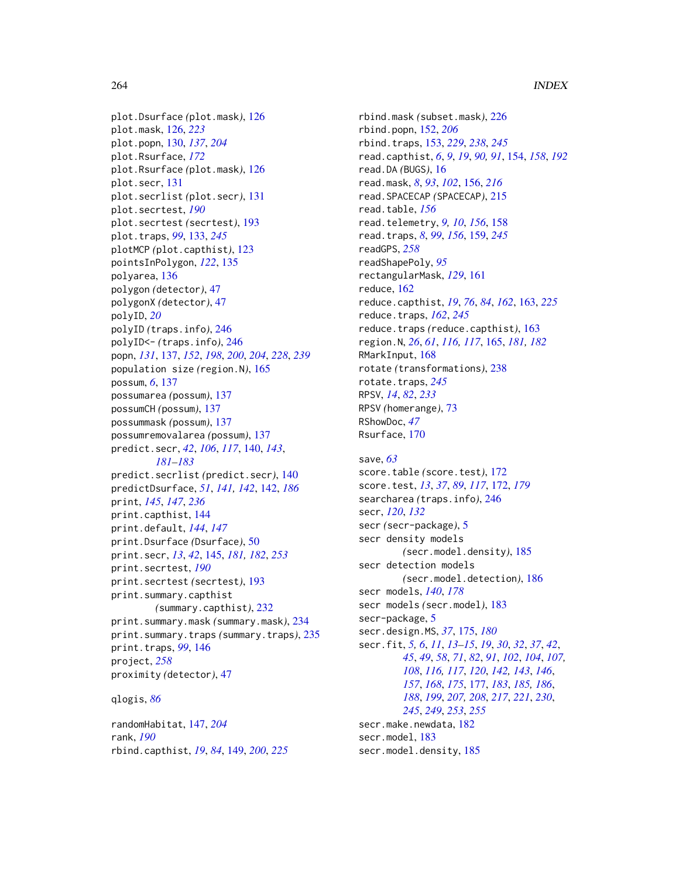plot.Dsurface *(*plot.mask*)*, [126](#page-125-0) plot.mask, [126,](#page-125-0) *[223](#page-222-0)* plot.popn, [130,](#page-129-0) *[137](#page-136-0)*, *[204](#page-203-0)* plot.Rsurface, *[172](#page-171-0)* plot.Rsurface *(*plot.mask*)*, [126](#page-125-0) plot.secr, [131](#page-130-0) plot.secrlist *(*plot.secr*)*, [131](#page-130-0) plot.secrtest, *[190](#page-189-0)* plot.secrtest *(*secrtest*)*, [193](#page-192-0) plot.traps, *[99](#page-98-0)*, [133,](#page-132-0) *[245](#page-244-0)* plotMCP *(*plot.capthist*)*, [123](#page-122-0) pointsInPolygon, *[122](#page-121-0)*, [135](#page-134-0) polyarea, [136](#page-135-0) polygon *(*detector*)*, [47](#page-46-0) polygonX *(*detector*)*, [47](#page-46-0) polyID, *[20](#page-19-0)* polyID *(*traps.info*)*, [246](#page-245-0) polyID<- *(*traps.info*)*, [246](#page-245-0) popn, *[131](#page-130-0)*, [137,](#page-136-0) *[152](#page-151-0)*, *[198](#page-197-0)*, *[200](#page-199-0)*, *[204](#page-203-0)*, *[228](#page-227-0)*, *[239](#page-238-0)* population size *(*region.N*)*, [165](#page-164-0) possum, *[6](#page-5-0)*, [137](#page-136-0) possumarea *(*possum*)*, [137](#page-136-0) possumCH *(*possum*)*, [137](#page-136-0) possummask *(*possum*)*, [137](#page-136-0) possumremovalarea *(*possum*)*, [137](#page-136-0) predict.secr, *[42](#page-41-0)*, *[106](#page-105-0)*, *[117](#page-116-0)*, [140,](#page-139-0) *[143](#page-142-0)*, *[181](#page-180-0)[–183](#page-182-0)* predict.secrlist *(*predict.secr*)*, [140](#page-139-0) predictDsurface, *[51](#page-50-0)*, *[141,](#page-140-0) [142](#page-141-0)*, [142,](#page-141-0) *[186](#page-185-0)* print, *[145](#page-144-1)*, *[147](#page-146-0)*, *[236](#page-235-0)* print.capthist, [144](#page-143-0) print.default, *[144](#page-143-0)*, *[147](#page-146-0)* print.Dsurface *(*Dsurface*)*, [50](#page-49-0) print.secr, *[13](#page-12-0)*, *[42](#page-41-0)*, [145,](#page-144-1) *[181,](#page-180-0) [182](#page-181-0)*, *[253](#page-252-0)* print.secrtest, *[190](#page-189-0)* print.secrtest *(*secrtest*)*, [193](#page-192-0) print.summary.capthist *(*summary.capthist*)*, [232](#page-231-0) print.summary.mask *(*summary.mask*)*, [234](#page-233-0) print.summary.traps *(*summary.traps*)*, [235](#page-234-0) print.traps, *[99](#page-98-0)*, [146](#page-145-0) project, *[258](#page-257-0)* proximity *(*detector*)*, [47](#page-46-0) qlogis, *[86](#page-85-0)*

randomHabitat, [147,](#page-146-0) *[204](#page-203-0)* rank, *[190](#page-189-0)* rbind.capthist, *[19](#page-18-0)*, *[84](#page-83-0)*, [149,](#page-148-0) *[200](#page-199-0)*, *[225](#page-224-0)* rbind.mask *(*subset.mask*)*, [226](#page-225-0) rbind.popn, [152,](#page-151-0) *[206](#page-205-0)* rbind.traps, [153,](#page-152-0) *[229](#page-228-0)*, *[238](#page-237-0)*, *[245](#page-244-0)* read.capthist, *[6](#page-5-0)*, *[9](#page-8-0)*, *[19](#page-18-0)*, *[90,](#page-89-0) [91](#page-90-0)*, [154,](#page-153-1) *[158](#page-157-0)*, *[192](#page-191-0)* read.DA *(*BUGS*)*, [16](#page-15-0) read.mask, *[8](#page-7-0)*, *[93](#page-92-0)*, *[102](#page-101-0)*, [156,](#page-155-0) *[216](#page-215-0)* read.SPACECAP *(*SPACECAP*)*, [215](#page-214-0) read.table, *[156](#page-155-0)* read.telemetry, *[9,](#page-8-0) [10](#page-9-0)*, *[156](#page-155-0)*, [158](#page-157-0) read.traps, *[8](#page-7-0)*, *[99](#page-98-0)*, *[156](#page-155-0)*, [159,](#page-158-0) *[245](#page-244-0)* readGPS, *[258](#page-257-0)* readShapePoly, *[95](#page-94-0)* rectangularMask, *[129](#page-128-0)*, [161](#page-160-0) reduce, [162](#page-161-0) reduce.capthist, *[19](#page-18-0)*, *[76](#page-75-0)*, *[84](#page-83-0)*, *[162](#page-161-0)*, [163,](#page-162-0) *[225](#page-224-0)* reduce.traps, *[162](#page-161-0)*, *[245](#page-244-0)* reduce.traps *(*reduce.capthist*)*, [163](#page-162-0) region.N, *[26](#page-25-0)*, *[61](#page-60-0)*, *[116,](#page-115-0) [117](#page-116-0)*, [165,](#page-164-0) *[181,](#page-180-0) [182](#page-181-0)* RMarkInput, [168](#page-167-0) rotate *(*transformations*)*, [238](#page-237-0) rotate.traps, *[245](#page-244-0)* RPSV, *[14](#page-13-0)*, *[82](#page-81-0)*, *[233](#page-232-0)* RPSV *(*homerange*)*, [73](#page-72-0) RShowDoc, *[47](#page-46-0)* Rsurface, [170](#page-169-0)

save, *[63](#page-62-0)* score.table *(*score.test*)*, [172](#page-171-0) score.test, *[13](#page-12-0)*, *[37](#page-36-0)*, *[89](#page-88-0)*, *[117](#page-116-0)*, [172,](#page-171-0) *[179](#page-178-0)* searcharea *(*traps.info*)*, [246](#page-245-0) secr, *[120](#page-119-0)*, *[132](#page-131-0)* secr *(*secr-package*)*, [5](#page-4-0) secr density models *(*secr.model.density*)*, [185](#page-184-0) secr detection models *(*secr.model.detection*)*, [186](#page-185-0) secr models, *[140](#page-139-0)*, *[178](#page-177-0)* secr models *(*secr.model*)*, [183](#page-182-0) secr-package, [5](#page-4-0) secr.design.MS, *[37](#page-36-0)*, [175,](#page-174-0) *[180](#page-179-0)* secr.fit, *[5,](#page-4-0) [6](#page-5-0)*, *[11](#page-10-0)*, *[13](#page-12-0)[–15](#page-14-0)*, *[19](#page-18-0)*, *[30](#page-29-0)*, *[32](#page-31-0)*, *[37](#page-36-0)*, *[42](#page-41-0)*, *[45](#page-44-0)*, *[49](#page-48-0)*, *[58](#page-57-0)*, *[71](#page-70-0)*, *[82](#page-81-0)*, *[91](#page-90-0)*, *[102](#page-101-0)*, *[104](#page-103-0)*, *[107,](#page-106-0) [108](#page-107-0)*, *[116,](#page-115-0) [117](#page-116-0)*, *[120](#page-119-0)*, *[142,](#page-141-0) [143](#page-142-0)*, *[146](#page-145-0)*, *[157](#page-156-0)*, *[168](#page-167-0)*, *[175](#page-174-0)*, [177,](#page-176-1) *[183](#page-182-0)*, *[185,](#page-184-0) [186](#page-185-0)*, *[188](#page-187-0)*, *[199](#page-198-0)*, *[207,](#page-206-0) [208](#page-207-0)*, *[217](#page-216-0)*, *[221](#page-220-0)*, *[230](#page-229-0)*, *[245](#page-244-0)*, *[249](#page-248-0)*, *[253](#page-252-0)*, *[255](#page-254-0)* secr.make.newdata, [182](#page-181-0) secr.model, [183](#page-182-0) secr.model.density, [185](#page-184-0)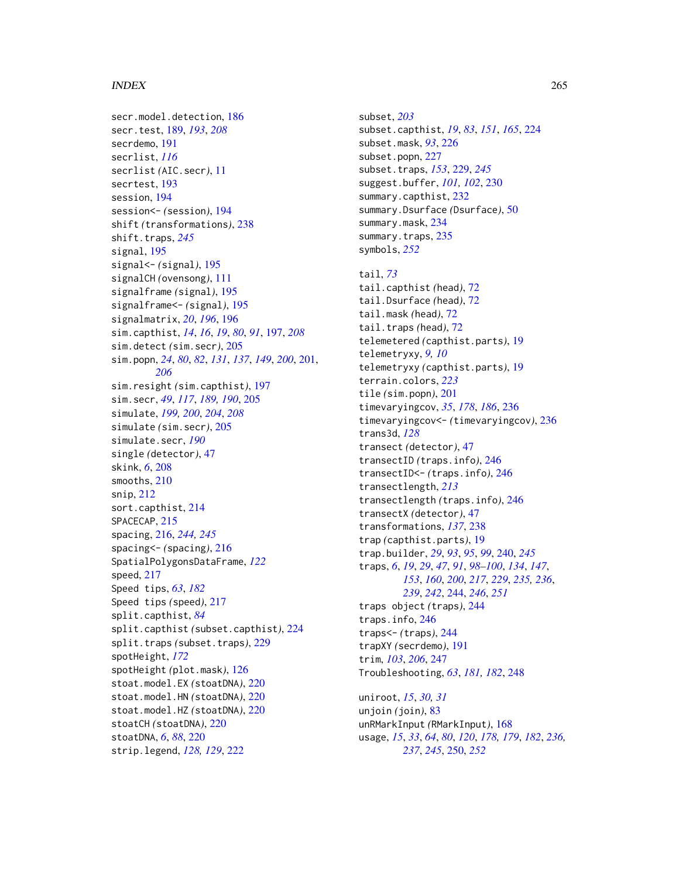```
secr.model.detection, 186
secr.test, 189, 193, 208
secrdemo, 191
secrlist, 116
secrlist (AIC.secr), 11
secrtest, 193
session, 194
session<- (session), 194
shift (transformations), 238
245
signal, 195
signal<- (signal), 195
signalCH (ovensong), 111
signalframe (signal), 195
signalframe<- (signal), 195
signalmatrix, 20, 196, 196
sim.capthist, 14, 16, 19, 80, 91, 197, 208
sim.detect (sim.secr), 205
sim.popn, 24, 80, 82, 131, 137, 149, 200, 201,
        206
sim.resight (sim.capthist), 197
sim.secr, 49, 117, 189, 190, 205
simulate, 199, 200, 204, 208
simulate (sim.secr), 205
simulate.secr, 190
single (detector), 47
skink, 6, 208
smooths, 210
snip, 212
sort.capthist, 214
SPACECAP, 215
spacing, 216, 244, 245
spacing<- (spacing), 216
SpatialPolygonsDataFrame, 122
speed, 217
Speed tips, 63, 182
Speed tips (speed), 217
split.capthist, 84
split.capthist (subset.capthist), 224
split.traps (subset.traps), 229
spotHeight, 172
spotHeight (plot.mask), 126
stoat.model.EX (stoatDNA), 220
stoat.model.HN (stoatDNA), 220
stoat.model.HZ (stoatDNA), 220
stoatCH (stoatDNA), 220
stoatDNA, 6, 88, 220
strip.legend, 128, 129, 222
```
subset, *[203](#page-202-0)* subset.capthist, *[19](#page-18-0)*, *[83](#page-82-0)*, *[151](#page-150-0)*, *[165](#page-164-0)*, [224](#page-223-0) subset.mask, *[93](#page-92-0)*, [226](#page-225-0) subset.popn, [227](#page-226-0) subset.traps, *[153](#page-152-0)*, [229,](#page-228-0) *[245](#page-244-0)* suggest.buffer, *[101,](#page-100-0) [102](#page-101-0)*, [230](#page-229-0) summary.capthist, [232](#page-231-0) summary.Dsurface *(*Dsurface*)*, [50](#page-49-0) summary.mask, [234](#page-233-0) summary.traps, [235](#page-234-0) symbols, *[252](#page-251-0)*

tail, *[73](#page-72-0)* tail.capthist *(*head*)*, [72](#page-71-0) tail.Dsurface *(*head*)*, [72](#page-71-0) tail.mask *(*head*)*, [72](#page-71-0) tail.traps *(*head*)*, [72](#page-71-0) telemetered *(*capthist.parts*)*, [19](#page-18-0) telemetryxy, *[9,](#page-8-0) [10](#page-9-0)* telemetryxy *(*capthist.parts*)*, [19](#page-18-0) terrain.colors, *[223](#page-222-0)* tile *(*sim.popn*)*, [201](#page-200-0) timevaryingcov, *[35](#page-34-0)*, *[178](#page-177-0)*, *[186](#page-185-0)*, [236](#page-235-0) timevaryingcov<- *(*timevaryingcov*)*, [236](#page-235-0) trans3d, *[128](#page-127-0)* transect *(*detector*)*, [47](#page-46-0) transectID *(*traps.info*)*, [246](#page-245-0) transectID<- *(*traps.info*)*, [246](#page-245-0) transectlength, *[213](#page-212-0)* transectlength *(*traps.info*)*, [246](#page-245-0) transectX *(*detector*)*, [47](#page-46-0) transformations, *[137](#page-136-0)*, [238](#page-237-0) trap *(*capthist.parts*)*, [19](#page-18-0) trap.builder, *[29](#page-28-0)*, *[93](#page-92-0)*, *[95](#page-94-0)*, *[99](#page-98-0)*, [240,](#page-239-0) *[245](#page-244-0)* traps, *[6](#page-5-0)*, *[19](#page-18-0)*, *[29](#page-28-0)*, *[47](#page-46-0)*, *[91](#page-90-0)*, *[98](#page-97-0)[–100](#page-99-0)*, *[134](#page-133-0)*, *[147](#page-146-0)*, *[153](#page-152-0)*, *[160](#page-159-0)*, *[200](#page-199-0)*, *[217](#page-216-0)*, *[229](#page-228-0)*, *[235,](#page-234-0) [236](#page-235-0)*, *[239](#page-238-0)*, *[242](#page-241-0)*, [244,](#page-243-0) *[246](#page-245-0)*, *[251](#page-250-0)* traps object *(*traps*)*, [244](#page-243-0) traps.info, [246](#page-245-0) traps<- *(*traps*)*, [244](#page-243-0) trapXY *(*secrdemo*)*, [191](#page-190-0) trim, *[103](#page-102-0)*, *[206](#page-205-0)*, [247](#page-246-0) Troubleshooting, *[63](#page-62-0)*, *[181,](#page-180-0) [182](#page-181-0)*, [248](#page-247-0)

uniroot, *[15](#page-14-0)*, *[30,](#page-29-0) [31](#page-30-0)* unjoin *(*join*)*, [83](#page-82-0) unRMarkInput *(*RMarkInput*)*, [168](#page-167-0) usage, *[15](#page-14-0)*, *[33](#page-32-0)*, *[64](#page-63-0)*, *[80](#page-79-0)*, *[120](#page-119-0)*, *[178,](#page-177-0) [179](#page-178-0)*, *[182](#page-181-0)*, *[236,](#page-235-0) [237](#page-236-0)*, *[245](#page-244-0)*, [250,](#page-249-0) *[252](#page-251-0)*